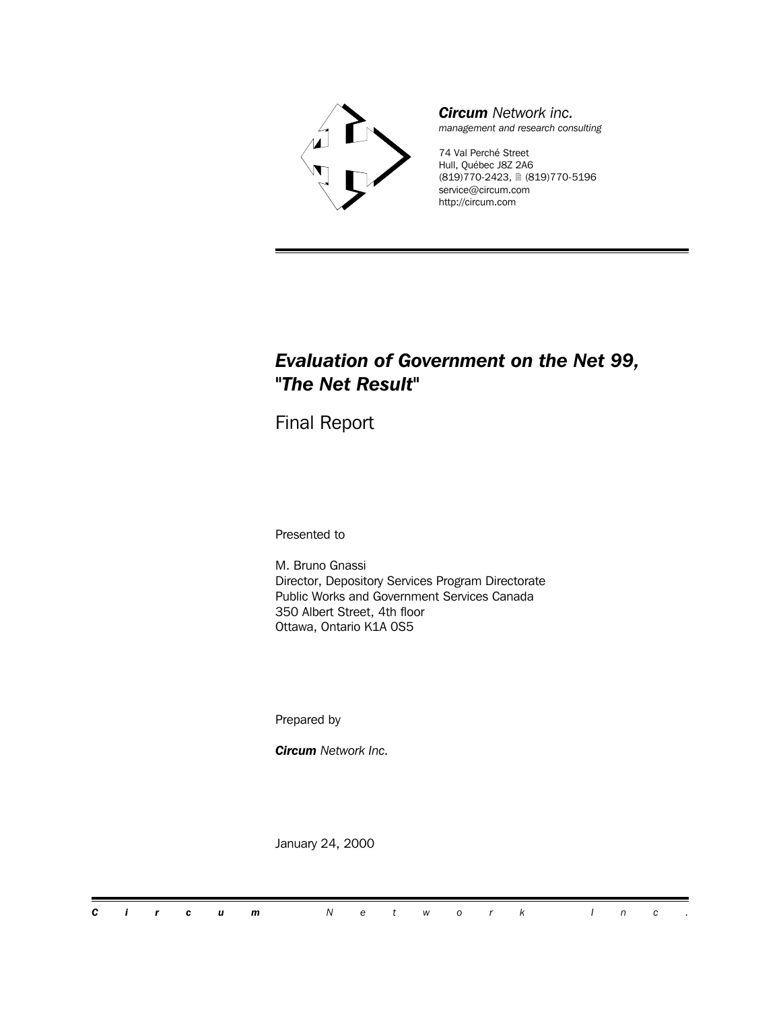

*Circum Network inc. management and research consulting*

74 Val Perché Street Hull, Québec J8Z 2A6 (819)770-2423, 2 (819)770-5196 service@circum.com http://circum.com

#### *Evaluation of Government on the Net 99, "The Net Result"*

Final Report

Presented to

M. Bruno Gnassi Director, Depository Services Program Directorate Public Works and Government Services Canada 350 Albert Street, 4th floor Ottawa, Ontario K1A 0S5

Prepared by

*Circum Network Inc.*

January 24, 2000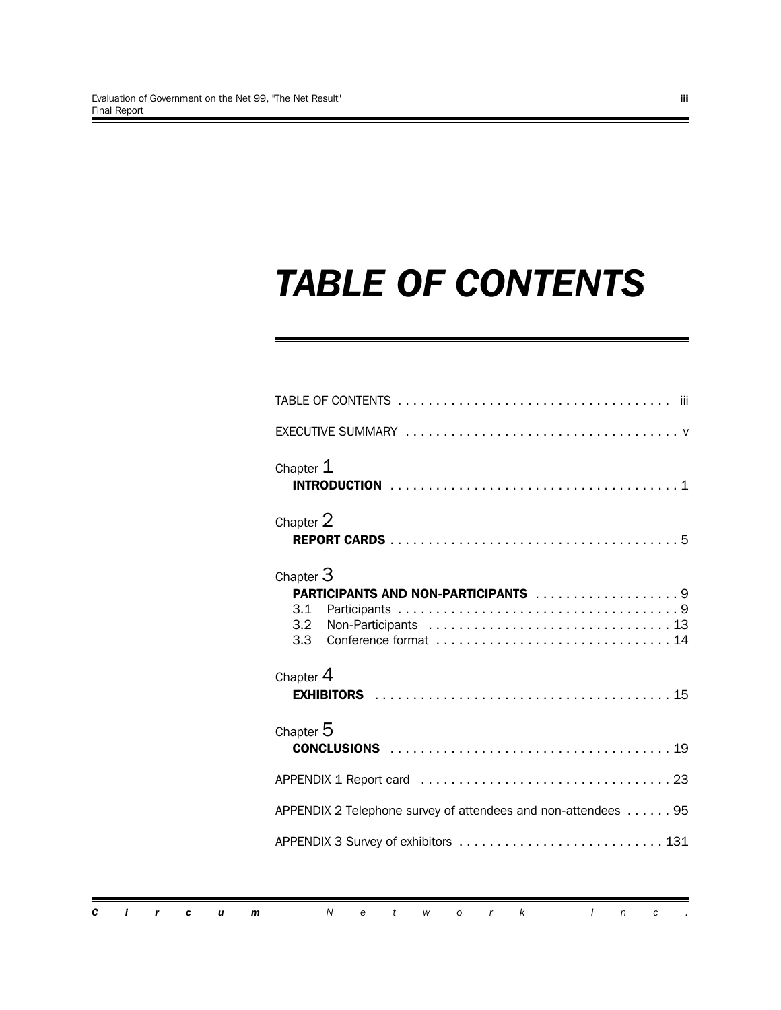## *TABLE OF CONTENTS*

| Chapter $1$                                                                          |
|--------------------------------------------------------------------------------------|
| Chapter 2                                                                            |
| Chapter $3$<br>PARTICIPANTS AND NON-PARTICIPANTS 9<br>3.1<br>3.2<br>3.3 <sub>1</sub> |
| Chapter 4                                                                            |
| Chapter 5                                                                            |
|                                                                                      |
| APPENDIX 2 Telephone survey of attendees and non-attendees 95                        |
| APPENDIX 3 Survey of exhibitors  131                                                 |

|  |  | <b>Circum</b> Network Inc. |  |  |  |  |  |  |
|--|--|----------------------------|--|--|--|--|--|--|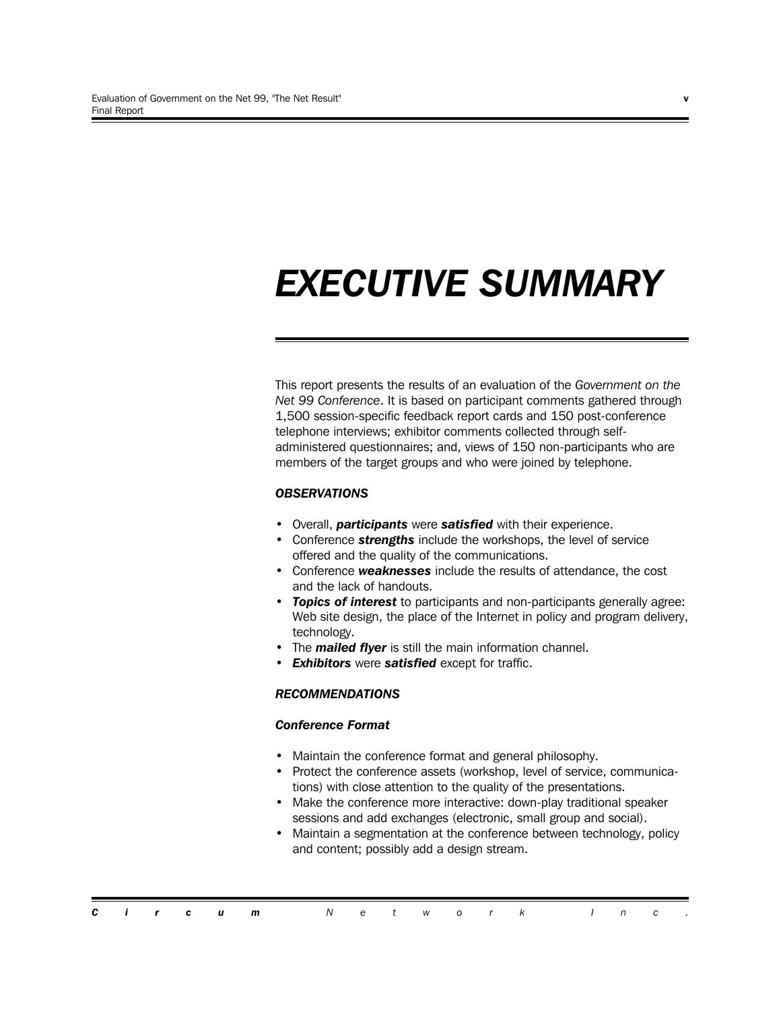## *EXECUTIVE SUMMARY*

This report presents the results of an evaluation of the *Government on the Net 99 Conference*. It is based on participant comments gathered through 1,500 session-specific feedback report cards and 150 post-conference telephone interviews; exhibitor comments collected through selfadministered questionnaires; and, views of 150 non-participants who are members of the target groups and who were joined by telephone.

#### *OBSERVATIONS*

- Overall, *participants* were *satisfied* with their experience.
- Conference *strengths* include the workshops, the level of service offered and the quality of the communications.
- Conference *weaknesses* include the results of attendance, the cost and the lack of handouts.
- *Topics of interest* to participants and non-participants generally agree: Web site design, the place of the Internet in policy and program delivery, technology.
- The *mailed flyer* is still the main information channel.
- *Exhibitors* were *satisfied* except for traffic.

#### *RECOMMENDATIONS*

#### *Conference Format*

- Maintain the conference format and general philosophy.
- Protect the conference assets (workshop, level of service, communications) with close attention to the quality of the presentations.
- Make the conference more interactive: down-play traditional speaker sessions and add exchanges (electronic, small group and social).
- Maintain a segmentation at the conference between technology, policy and content; possibly add a design stream.

|  |  | <b>Circum</b> Network Inc. |  |  |  |  |  |  |
|--|--|----------------------------|--|--|--|--|--|--|
|  |  |                            |  |  |  |  |  |  |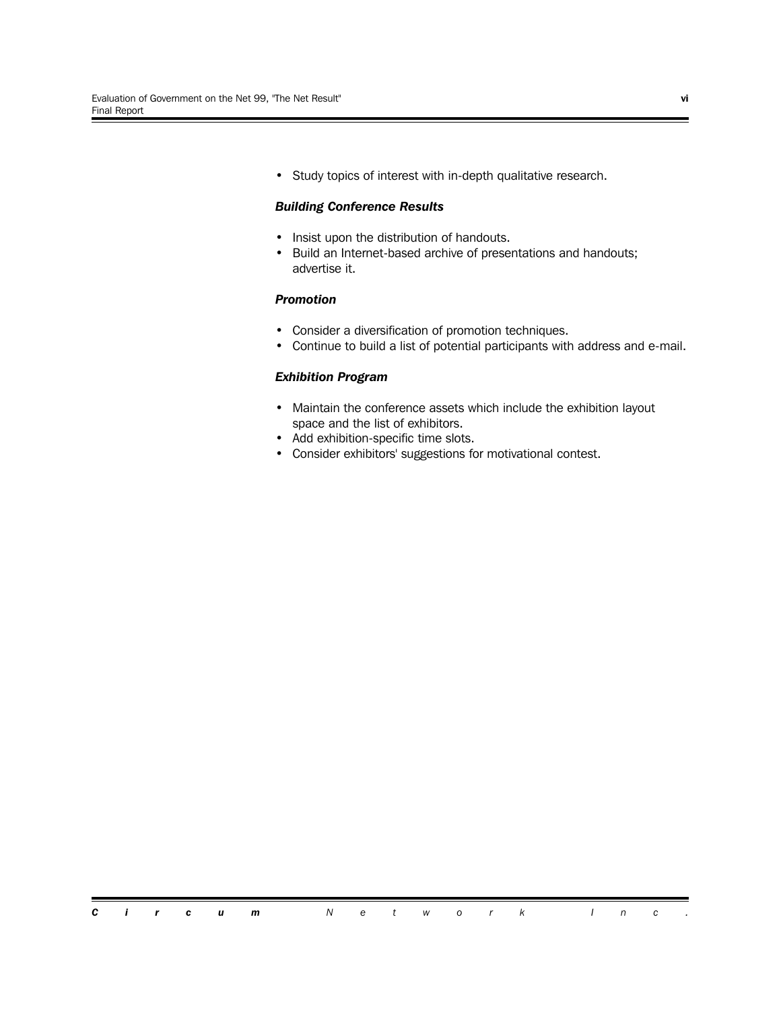• Study topics of interest with in-depth qualitative research.

#### *Building Conference Results*

- Insist upon the distribution of handouts.
- Build an Internet-based archive of presentations and handouts; advertise it.

#### *Promotion*

- Consider a diversification of promotion techniques.
- Continue to build a list of potential participants with address and e-mail.

#### *Exhibition Program*

- Maintain the conference assets which include the exhibition layout space and the list of exhibitors.
- Add exhibition-specific time slots.
- Consider exhibitors' suggestions for motivational contest.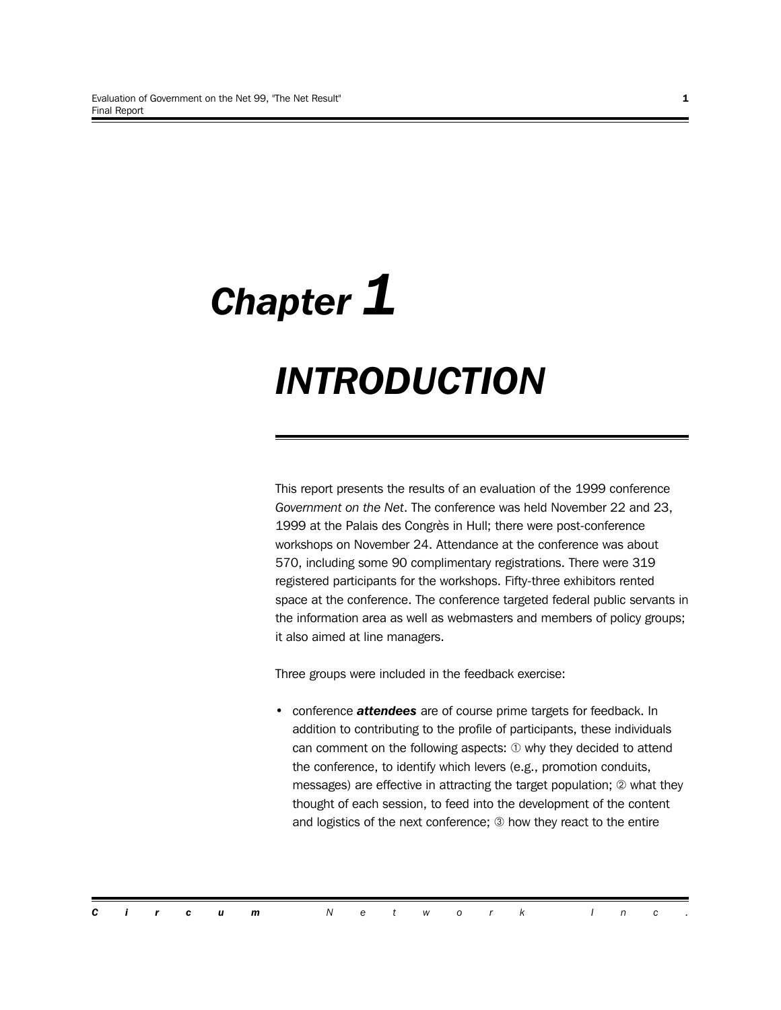# *Chapter 1 INTRODUCTION*

This report presents the results of an evaluation of the 1999 conference *Government on the Net*. The conference was held November 22 and 23, 1999 at the Palais des Congrès in Hull; there were post-conference workshops on November 24. Attendance at the conference was about 570, including some 90 complimentary registrations. There were 319 registered participants for the workshops. Fifty-three exhibitors rented space at the conference. The conference targeted federal public servants in the information area as well as webmasters and members of policy groups; it also aimed at line managers.

Three groups were included in the feedback exercise:

• conference *attendees* are of course prime targets for feedback. In addition to contributing to the profile of participants, these individuals can comment on the following aspects:  $\mathcal D$  why they decided to attend the conference, to identify which levers (e.g., promotion conduits, messages) are effective in attracting the target population; @ what they thought of each session, to feed into the development of the content and logistics of the next conference;  $\circledcirc$  how they react to the entire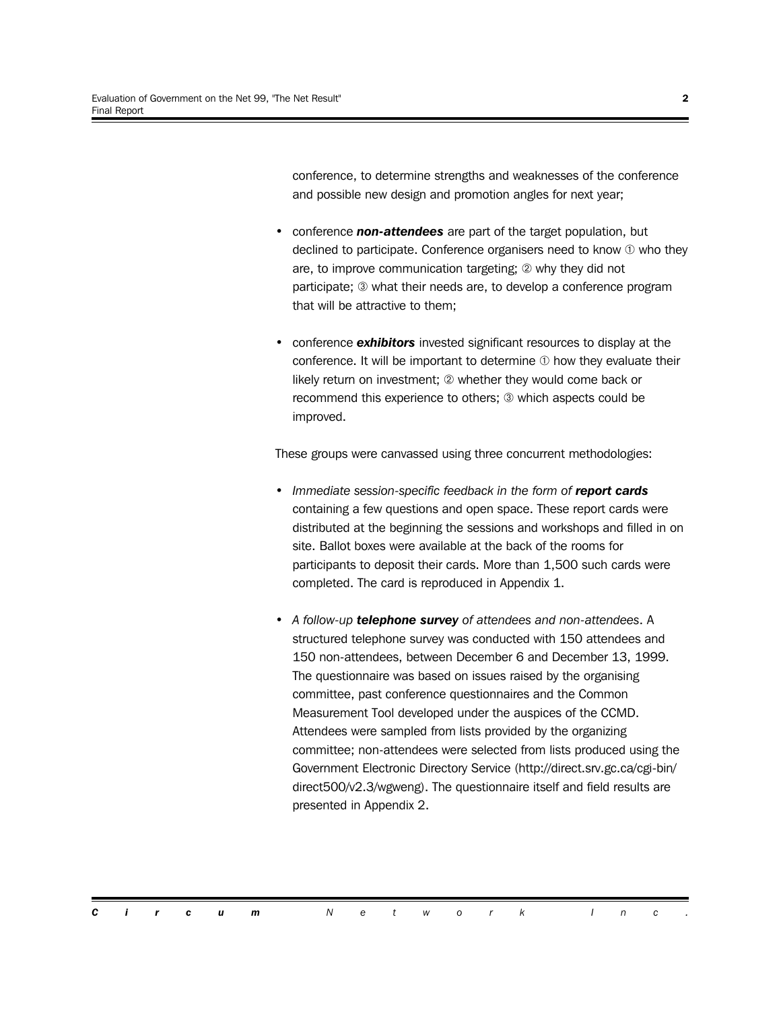conference, to determine strengths and weaknesses of the conference and possible new design and promotion angles for next year;

- conference *non-attendees* are part of the target population, but declined to participate. Conference organisers need to know  $\Phi$  who they are, to improve communication targeting;  $@$  why they did not participate; 3 what their needs are, to develop a conference program that will be attractive to them;
- conference *exhibitors* invested significant resources to display at the conference. It will be important to determine  $\mathbb O$  how they evaluate their likely return on investment; @ whether they would come back or recommend this experience to others; 3 which aspects could be improved.

These groups were canvassed using three concurrent methodologies:

- *Immediate session-specific feedback in the form of report cards* containing a few questions and open space. These report cards were distributed at the beginning the sessions and workshops and filled in on site. Ballot boxes were available at the back of the rooms for participants to deposit their cards. More than 1,500 such cards were completed. The card is reproduced in Appendix 1.
- *A follow-up telephone survey of attendees and non-attendees*. A structured telephone survey was conducted with 150 attendees and 150 non-attendees, between December 6 and December 13, 1999. The questionnaire was based on issues raised by the organising committee, past conference questionnaires and the Common Measurement Tool developed under the auspices of the CCMD. Attendees were sampled from lists provided by the organizing committee; non-attendees were selected from lists produced using the Government Electronic Directory Service (http://direct.srv.gc.ca/cgi-bin/ direct500/v2.3/wgweng). The questionnaire itself and field results are presented in Appendix 2.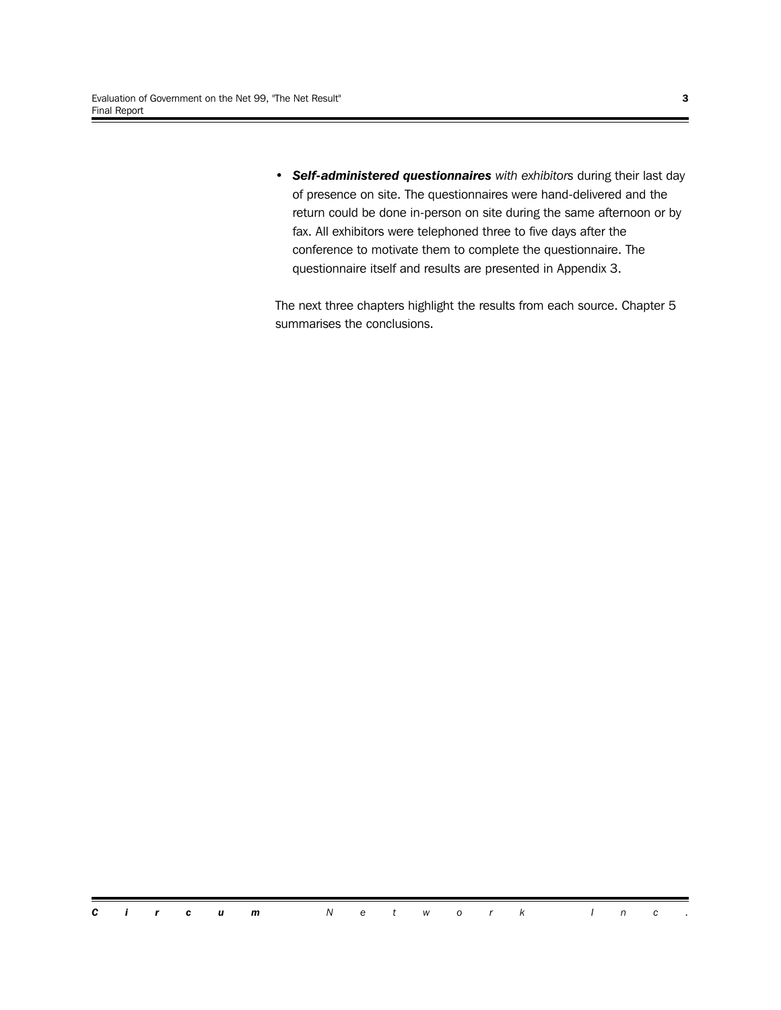• *Self-administered questionnaires with exhibitors* during their last day of presence on site. The questionnaires were hand-delivered and the return could be done in-person on site during the same afternoon or by fax. All exhibitors were telephoned three to five days after the conference to motivate them to complete the questionnaire. The questionnaire itself and results are presented in Appendix 3.

The next three chapters highlight the results from each source. Chapter 5 summarises the conclusions.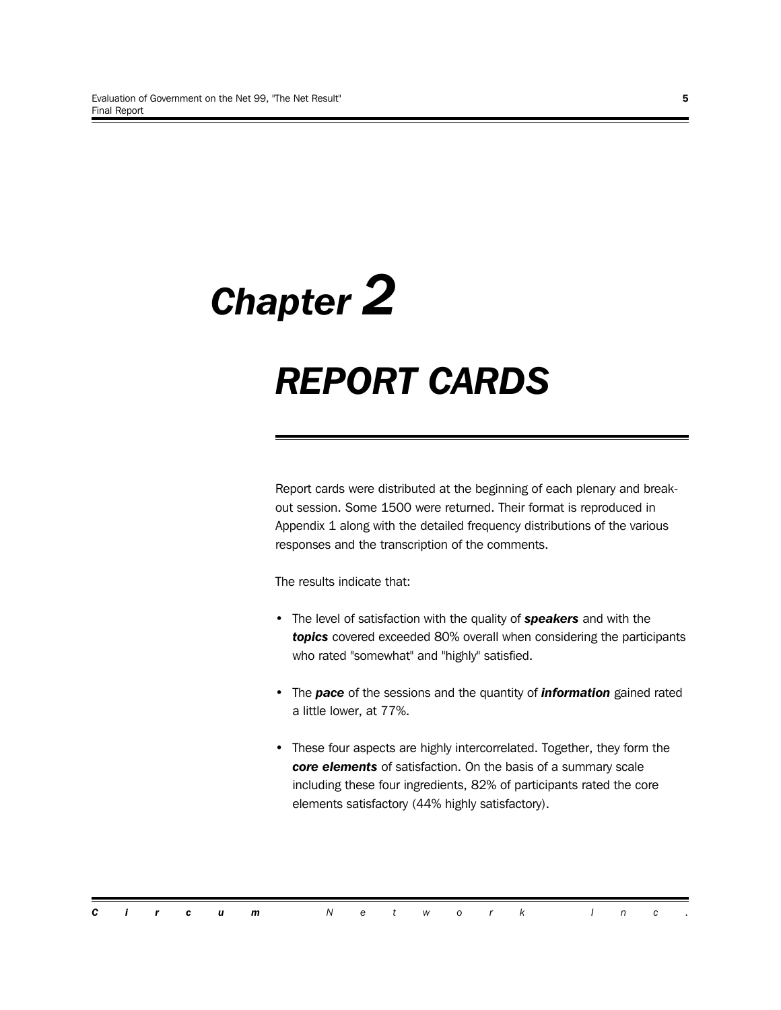# *Chapter 2*

## *REPORT CARDS*

Report cards were distributed at the beginning of each plenary and breakout session. Some 1500 were returned. Their format is reproduced in Appendix 1 along with the detailed frequency distributions of the various responses and the transcription of the comments.

The results indicate that:

- The level of satisfaction with the quality of *speakers* and with the *topics* covered exceeded 80% overall when considering the participants who rated "somewhat" and "highly" satisfied.
- The *pace* of the sessions and the quantity of *information* gained rated a little lower, at 77%.
- These four aspects are highly intercorrelated. Together, they form the *core elements* of satisfaction. On the basis of a summary scale including these four ingredients, 82% of participants rated the core elements satisfactory (44% highly satisfactory).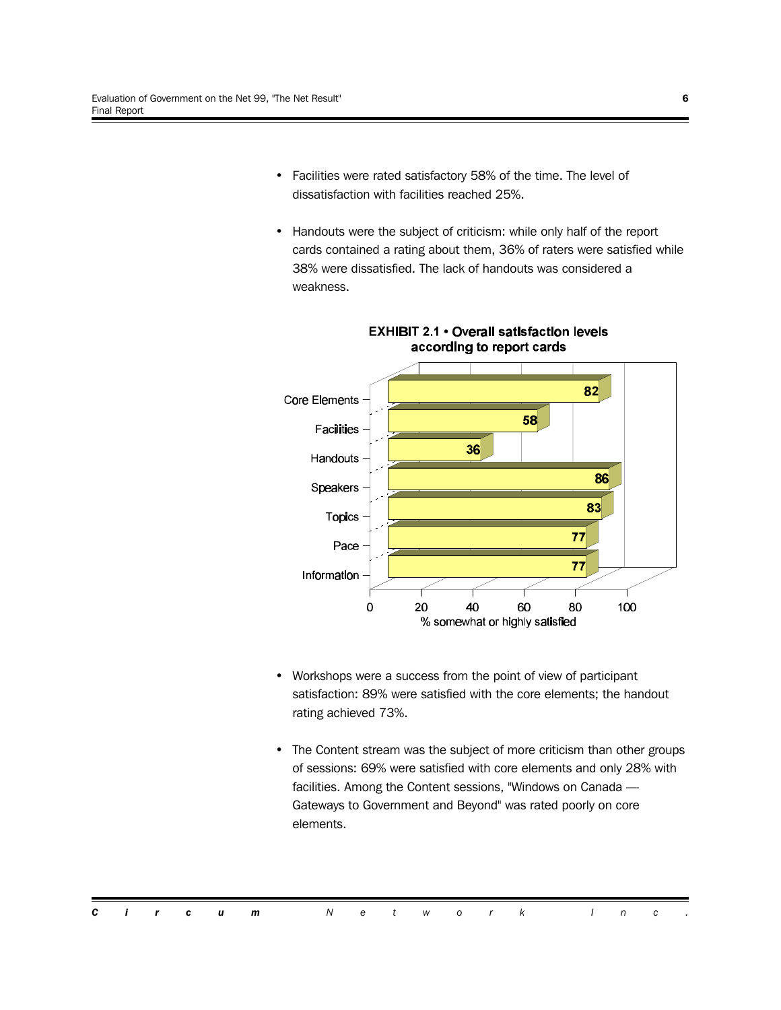- Facilities were rated satisfactory 58% of the time. The level of dissatisfaction with facilities reached 25%.
- Handouts were the subject of criticism: while only half of the report cards contained a rating about them, 36% of raters were satisfied while 38% were dissatisfied. The lack of handouts was considered a weakness.



EXHIBIT 2.1 . Overall satisfaction levels according to report cards

- Workshops were a success from the point of view of participant satisfaction: 89% were satisfied with the core elements; the handout rating achieved 73%.
- The Content stream was the subject of more criticism than other groups of sessions: 69% were satisfied with core elements and only 28% with facilities. Among the Content sessions, "Windows on Canada — Gateways to Government and Beyond" was rated poorly on core elements.

*Circum Network Inc .*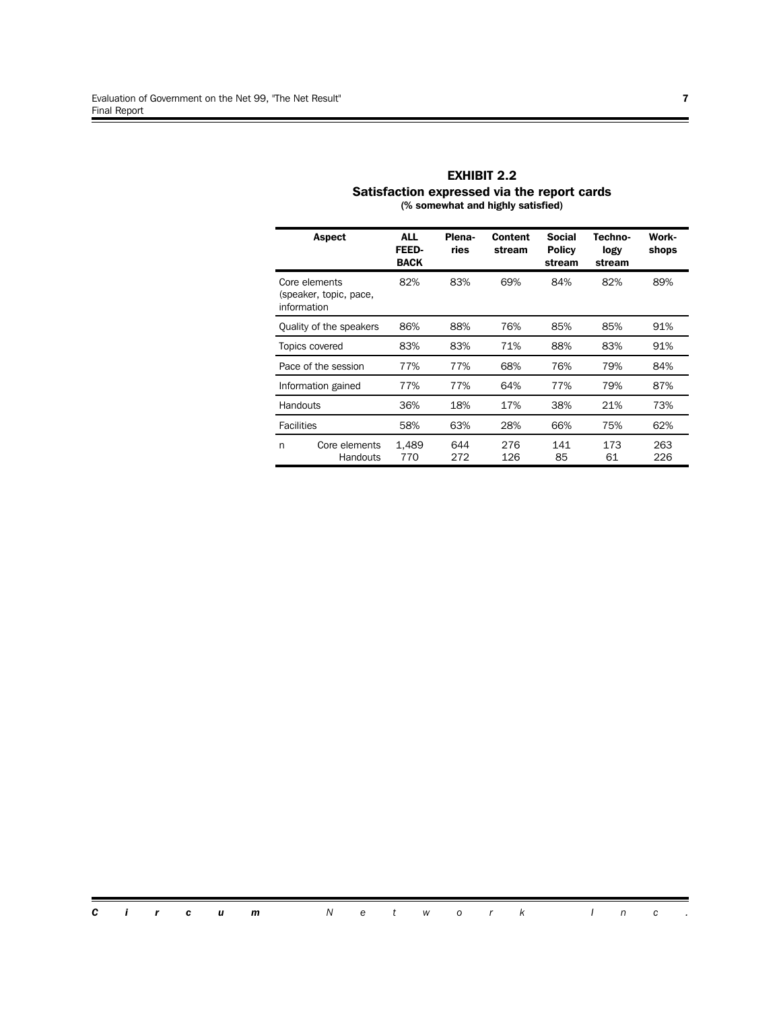#### **EXHIBIT 2.2 Satisfaction expressed via the report cards (% somewhat and highly satisfied)**

|                   | <b>Aspect</b>                           | <b>ALL</b><br>FEED-<br><b>BACK</b> | Plena-<br>ries | <b>Content</b><br>stream | <b>Social</b><br><b>Policy</b><br>stream | Techno-<br>logy<br>stream | Work-<br>shops |
|-------------------|-----------------------------------------|------------------------------------|----------------|--------------------------|------------------------------------------|---------------------------|----------------|
| information       | Core elements<br>(speaker, topic, pace, | 82%                                | 83%            | 69%                      | 84%                                      | 82%                       | 89%            |
|                   | Quality of the speakers                 | 86%                                | 88%            | 76%                      | 85%                                      | 85%                       | 91%            |
|                   | Topics covered                          | 83%                                | 83%            | 71%                      | 88%                                      | 83%                       | 91%            |
|                   | Pace of the session                     | 77%                                | 77%            | 68%                      | 76%                                      | 79%                       | 84%            |
|                   | Information gained                      | 77%                                | 77%            | 64%                      | 77%                                      | 79%                       | 87%            |
| Handouts          |                                         | 36%                                | 18%            | 17%                      | 38%                                      | 21%                       | 73%            |
| <b>Facilities</b> |                                         | 58%                                | 63%            | 28%                      | 66%                                      | 75%                       | 62%            |
| n                 | Core elements<br>Handouts               | 1,489<br>770                       | 644<br>272     | 276<br>126               | 141<br>85                                | 173<br>61                 | 263<br>226     |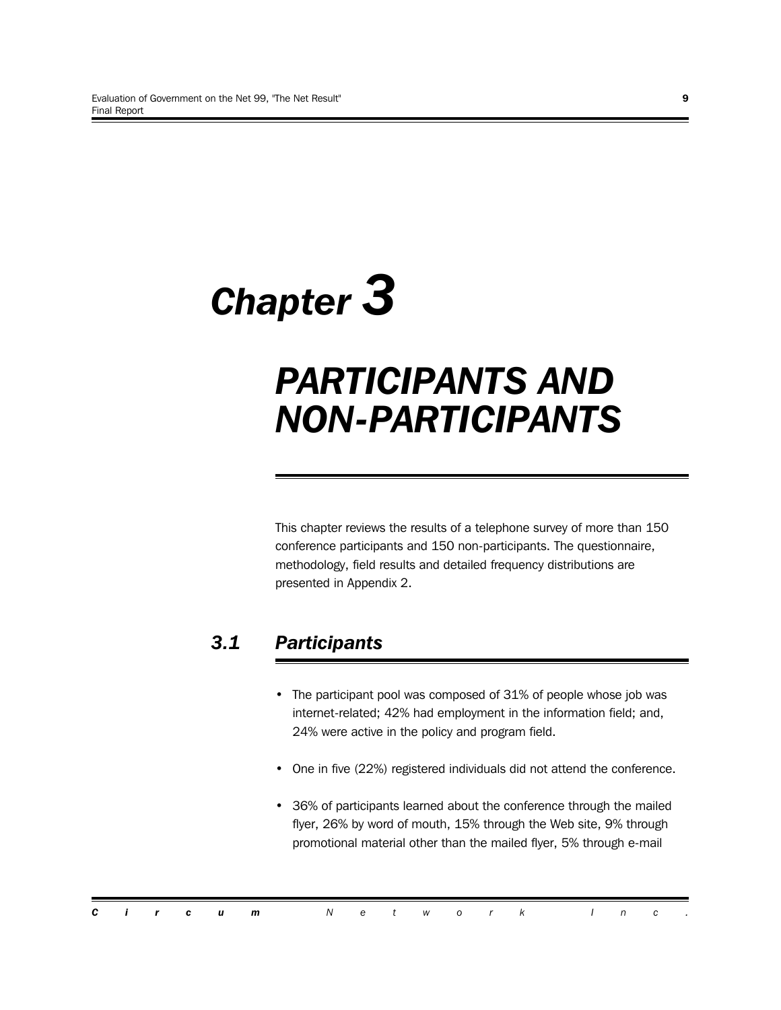## *Chapter 3*

### *PARTICIPANTS AND NON-PARTICIPANTS*

This chapter reviews the results of a telephone survey of more than 150 conference participants and 150 non-participants. The questionnaire, methodology, field results and detailed frequency distributions are presented in Appendix 2.

#### *3.1 Participants*

- The participant pool was composed of 31% of people whose job was internet-related; 42% had employment in the information field; and, 24% were active in the policy and program field.
- One in five (22%) registered individuals did not attend the conference.
- 36% of participants learned about the conference through the mailed flyer, 26% by word of mouth, 15% through the Web site, 9% through promotional material other than the mailed flyer, 5% through e-mail

*Circum Network Inc .*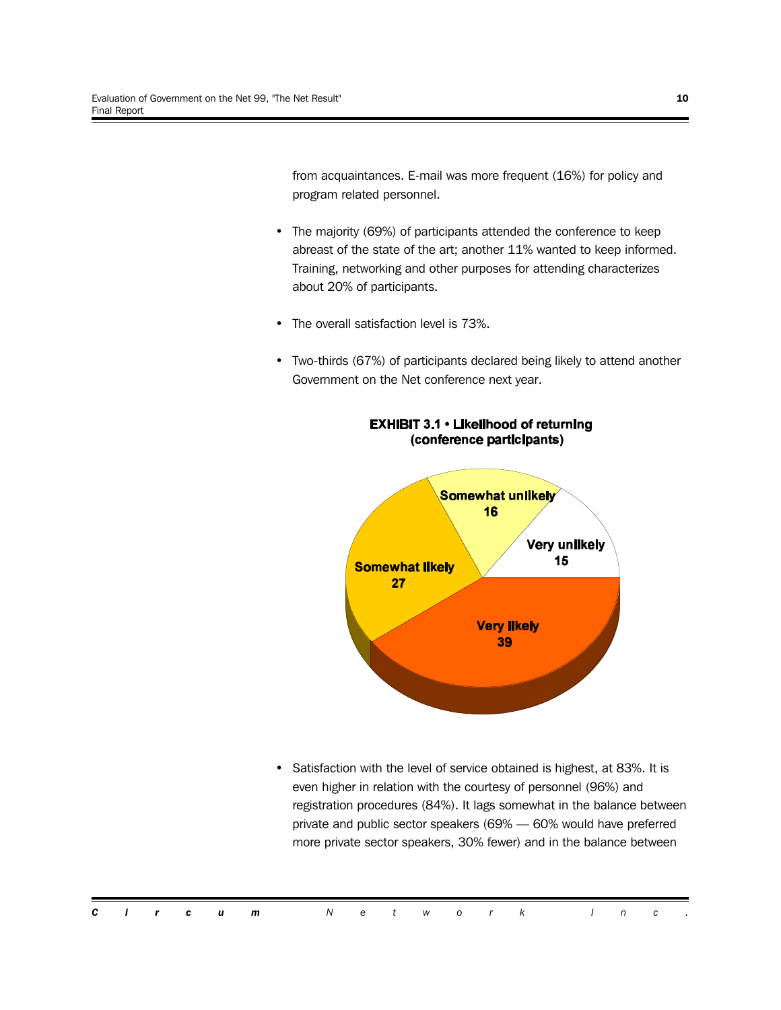from acquaintances. E-mail was more frequent (16%) for policy and program related personnel.

- The majority (69%) of participants attended the conference to keep abreast of the state of the art; another 11% wanted to keep informed. Training, networking and other purposes for attending characterizes about 20% of participants.
- The overall satisfaction level is 73%.
- Two-thirds (67%) of participants declared being likely to attend another Government on the Net conference next year.



#### **EXHIBIT 3.1 • Likelihood of returning** (conference participants)

• Satisfaction with the level of service obtained is highest, at 83%. It is even higher in relation with the courtesy of personnel (96%) and registration procedures (84%). It lags somewhat in the balance between private and public sector speakers (69% — 60% would have preferred more private sector speakers, 30% fewer) and in the balance between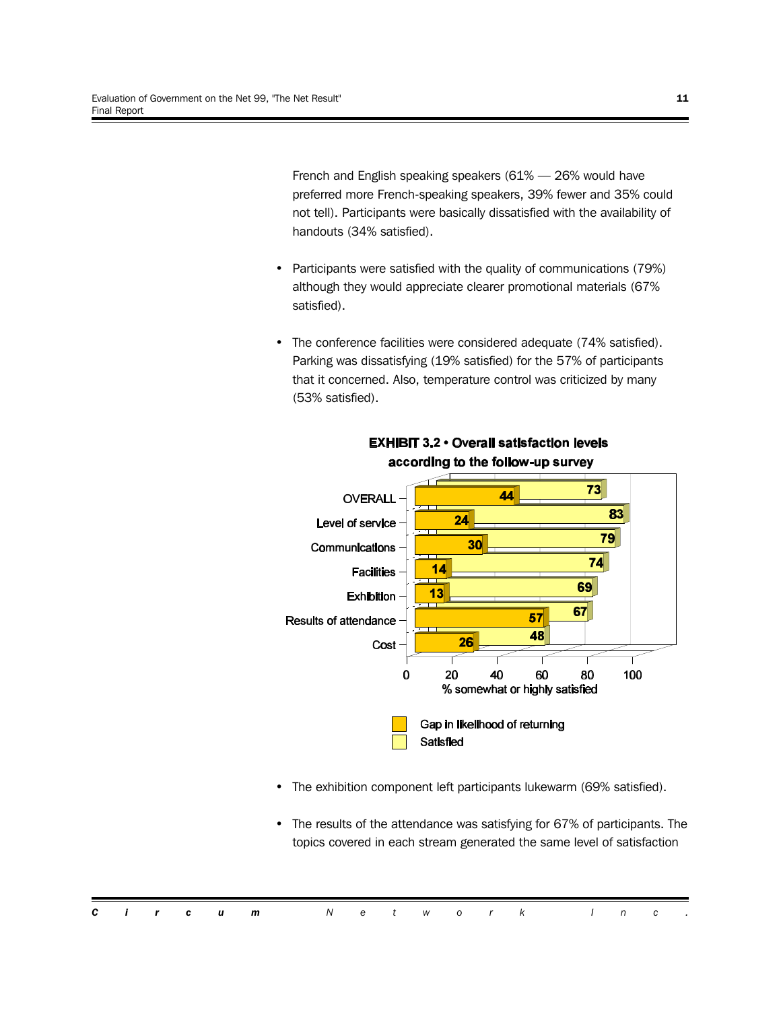French and English speaking speakers (61% — 26% would have preferred more French-speaking speakers, 39% fewer and 35% could not tell). Participants were basically dissatisfied with the availability of handouts (34% satisfied).

- Participants were satisfied with the quality of communications (79%) although they would appreciate clearer promotional materials (67% satisfied).
- The conference facilities were considered adequate (74% satisfied). Parking was dissatisfying (19% satisfied) for the 57% of participants that it concerned. Also, temperature control was criticized by many (53% satisfied).



#### **EXHIBIT 3.2 · Overall satisfaction levels**

- The exhibition component left participants lukewarm (69% satisfied).
- The results of the attendance was satisfying for 67% of participants. The topics covered in each stream generated the same level of satisfaction

|  |  | <b>Circum</b> Network Inc. |  |  |  |  |  |  |
|--|--|----------------------------|--|--|--|--|--|--|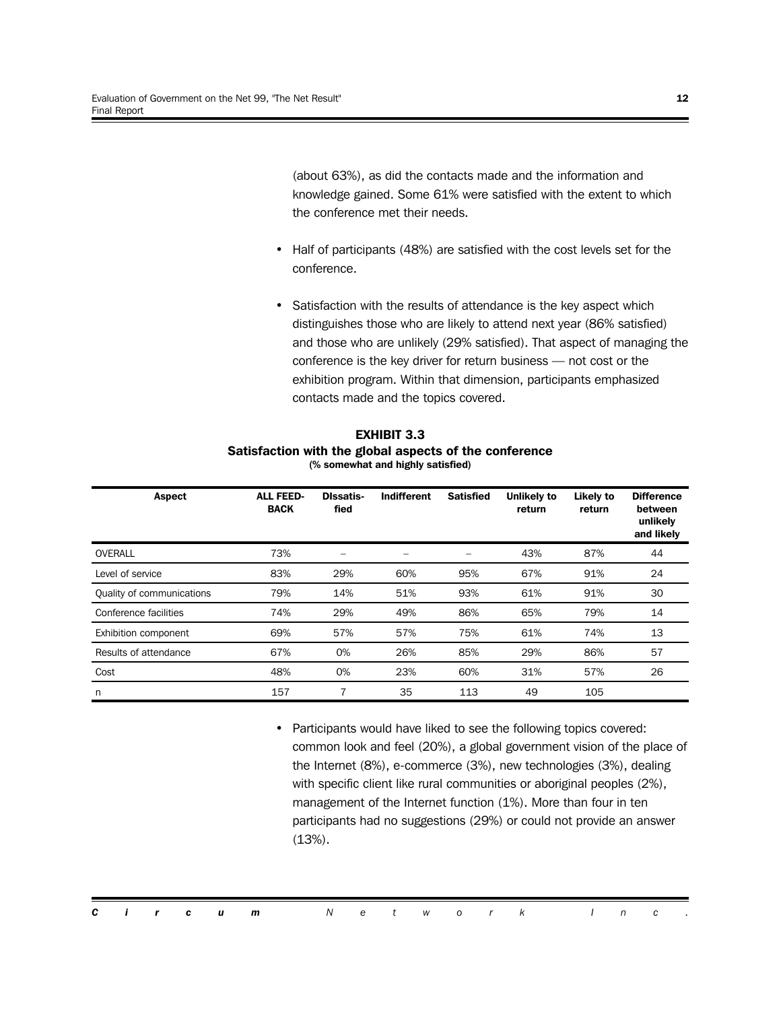(about 63%), as did the contacts made and the information and knowledge gained. Some 61% were satisfied with the extent to which the conference met their needs.

- Half of participants (48%) are satisfied with the cost levels set for the conference.
- Satisfaction with the results of attendance is the key aspect which distinguishes those who are likely to attend next year (86% satisfied) and those who are unlikely (29% satisfied). That aspect of managing the conference is the key driver for return business — not cost or the exhibition program. Within that dimension, participants emphasized contacts made and the topics covered.

#### **EXHIBIT 3.3 Satisfaction with the global aspects of the conference (% somewhat and highly satisfied)**

| <b>Aspect</b>             | <b>ALL FEED-</b><br><b>BACK</b> | <b>DIssatis-</b><br>fied | Indifferent | <b>Satisfied</b> | <b>Unlikely to</b><br>return | Likely to<br>return | <b>Difference</b><br>between<br>unlikely<br>and likely |
|---------------------------|---------------------------------|--------------------------|-------------|------------------|------------------------------|---------------------|--------------------------------------------------------|
| <b>OVERALL</b>            | 73%                             |                          |             |                  | 43%                          | 87%                 | 44                                                     |
| Level of service          | 83%                             | 29%                      | 60%         | 95%              | 67%                          | 91%                 | 24                                                     |
| Quality of communications | 79%                             | 14%                      | 51%         | 93%              | 61%                          | 91%                 | 30                                                     |
| Conference facilities     | 74%                             | 29%                      | 49%         | 86%              | 65%                          | 79%                 | 14                                                     |
| Exhibition component      | 69%                             | 57%                      | 57%         | 75%              | 61%                          | 74%                 | 13                                                     |
| Results of attendance     | 67%                             | 0%                       | 26%         | 85%              | 29%                          | 86%                 | 57                                                     |
| Cost                      | 48%                             | 0%                       | 23%         | 60%              | 31%                          | 57%                 | 26                                                     |
| n                         | 157                             | 7                        | 35          | 113              | 49                           | 105                 |                                                        |

• Participants would have liked to see the following topics covered: common look and feel (20%), a global government vision of the place of the Internet (8%), e-commerce (3%), new technologies (3%), dealing with specific client like rural communities or aboriginal peoples (2%), management of the Internet function (1%). More than four in ten participants had no suggestions (29%) or could not provide an answer (13%).

*Circum Network Inc .*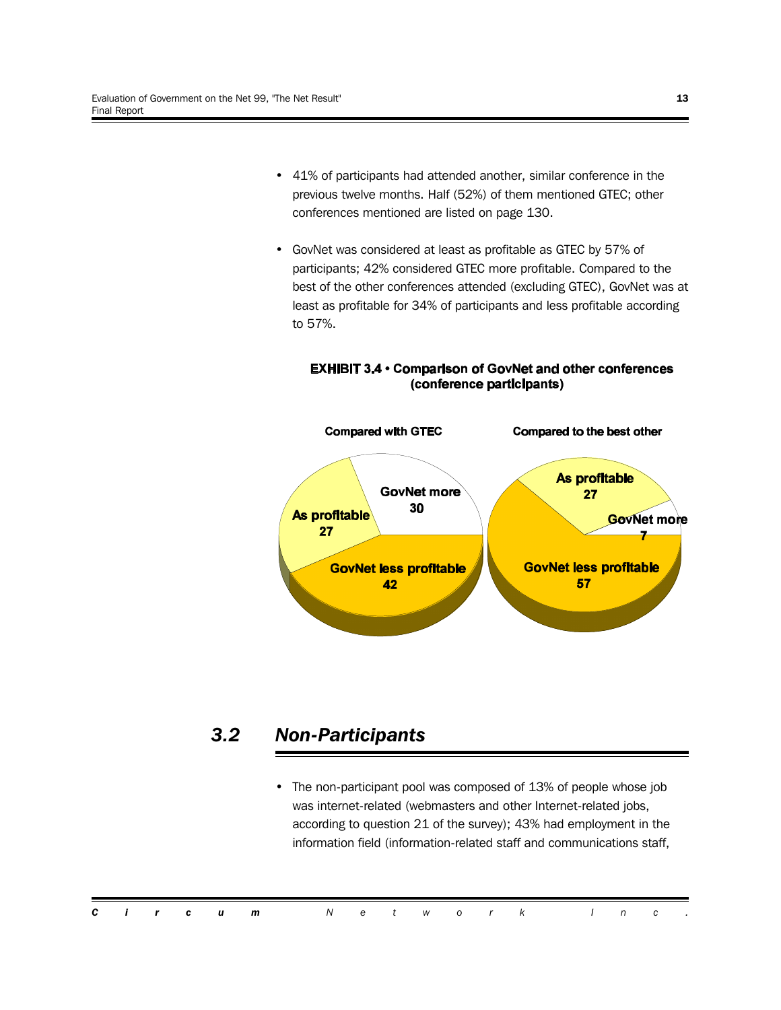- 41% of participants had attended another, similar conference in the previous twelve months. Half (52%) of them mentioned GTEC; other conferences mentioned are listed on page 130.
- GovNet was considered at least as profitable as GTEC by 57% of participants; 42% considered GTEC more profitable. Compared to the best of the other conferences attended (excluding GTEC), GovNet was at least as profitable for 34% of participants and less profitable according to 57%.

**EXHIBIT 3.4 • Comparison of GovNet and other conferences** (conference participants)



#### *3.2 Non-Participants*

• The non-participant pool was composed of 13% of people whose job was internet-related (webmasters and other Internet-related jobs, according to question 21 of the survey); 43% had employment in the information field (information-related staff and communications staff,

|  |  | <b>Circum</b> Network Inc. |  |  |  |  |  |  |
|--|--|----------------------------|--|--|--|--|--|--|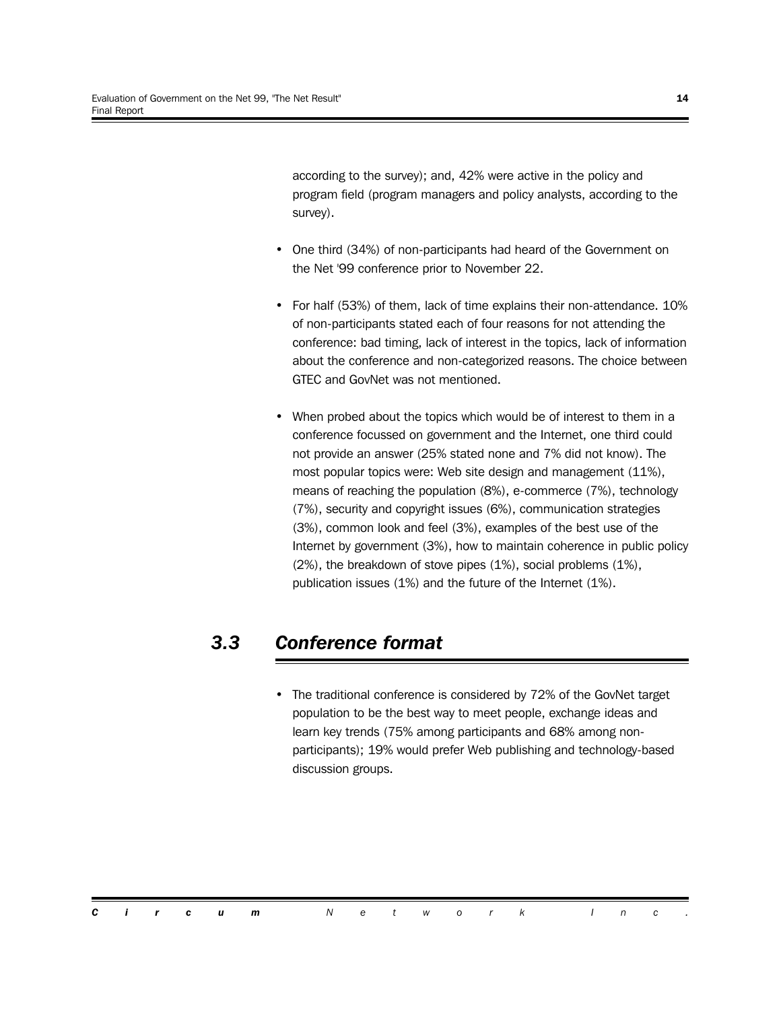according to the survey); and, 42% were active in the policy and program field (program managers and policy analysts, according to the survey).

- One third (34%) of non-participants had heard of the Government on the Net '99 conference prior to November 22.
- For half (53%) of them, lack of time explains their non-attendance. 10% of non-participants stated each of four reasons for not attending the conference: bad timing, lack of interest in the topics, lack of information about the conference and non-categorized reasons. The choice between GTEC and GovNet was not mentioned.
- When probed about the topics which would be of interest to them in a conference focussed on government and the Internet, one third could not provide an answer (25% stated none and 7% did not know). The most popular topics were: Web site design and management (11%), means of reaching the population (8%), e-commerce (7%), technology (7%), security and copyright issues (6%), communication strategies (3%), common look and feel (3%), examples of the best use of the Internet by government (3%), how to maintain coherence in public policy (2%), the breakdown of stove pipes (1%), social problems (1%), publication issues (1%) and the future of the Internet (1%).

#### *3.3 Conference format*

• The traditional conference is considered by 72% of the GovNet target population to be the best way to meet people, exchange ideas and learn key trends (75% among participants and 68% among nonparticipants); 19% would prefer Web publishing and technology-based discussion groups.

*Circum Network Inc .*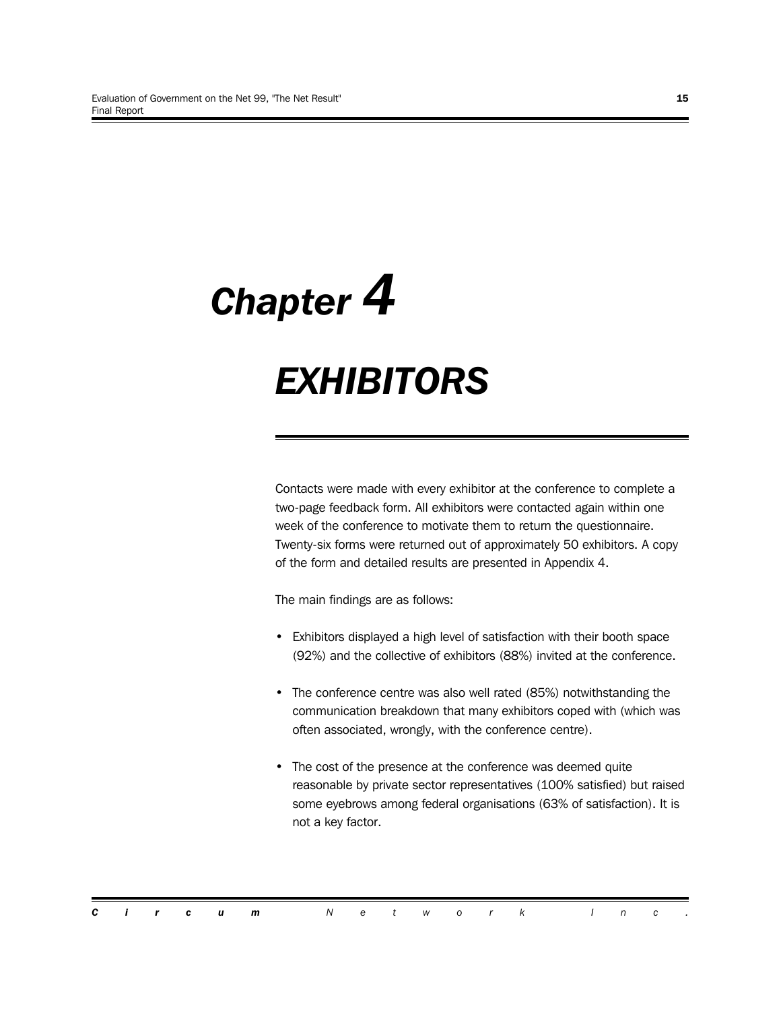## *Chapter 4*

## *EXHIBITORS*

Contacts were made with every exhibitor at the conference to complete a two-page feedback form. All exhibitors were contacted again within one week of the conference to motivate them to return the questionnaire. Twenty-six forms were returned out of approximately 50 exhibitors. A copy of the form and detailed results are presented in Appendix 4.

The main findings are as follows:

- Exhibitors displayed a high level of satisfaction with their booth space (92%) and the collective of exhibitors (88%) invited at the conference.
- The conference centre was also well rated (85%) notwithstanding the communication breakdown that many exhibitors coped with (which was often associated, wrongly, with the conference centre).
- The cost of the presence at the conference was deemed quite reasonable by private sector representatives (100% satisfied) but raised some eyebrows among federal organisations (63% of satisfaction). It is not a key factor.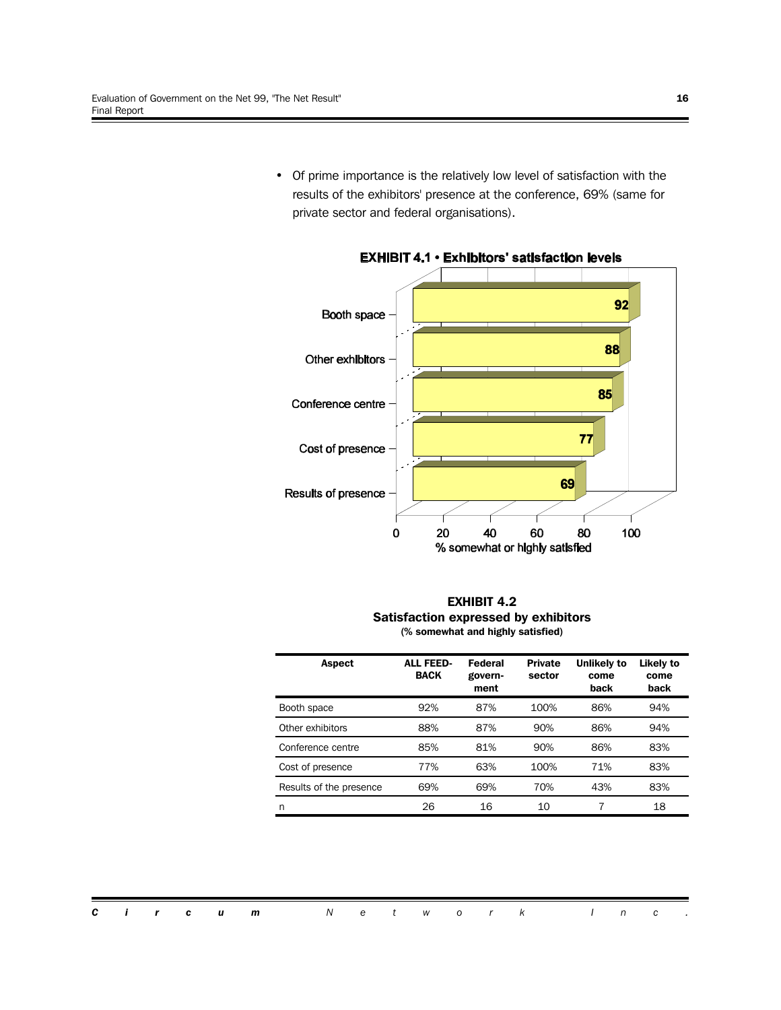• Of prime importance is the relatively low level of satisfaction with the results of the exhibitors' presence at the conference, 69% (same for private sector and federal organisations).



**EXHIBIT 4.2 Satisfaction expressed by exhibitors (% somewhat and highly satisfied)**

| <b>Aspect</b>           | <b>ALL FEED-</b><br><b>BACK</b> | <b>Federal</b><br>govern-<br>ment | <b>Private</b><br>sector | <b>Unlikely to</b><br>come<br>back | Likely to<br>come<br>back |
|-------------------------|---------------------------------|-----------------------------------|--------------------------|------------------------------------|---------------------------|
| Booth space             | 92%                             | 87%                               | 100%                     | 86%                                | 94%                       |
| Other exhibitors        | 88%                             | 87%                               | 90%                      | 86%                                | 94%                       |
| Conference centre       | 85%                             | 81%                               | 90%                      | 86%                                | 83%                       |
| Cost of presence        | 77%                             | 63%                               | 100%                     | 71%                                | 83%                       |
| Results of the presence | 69%                             | 69%                               | 70%                      | 43%                                | 83%                       |
| n                       | 26                              | 16                                | 10                       |                                    | 18                        |

*Circum Network Inc .*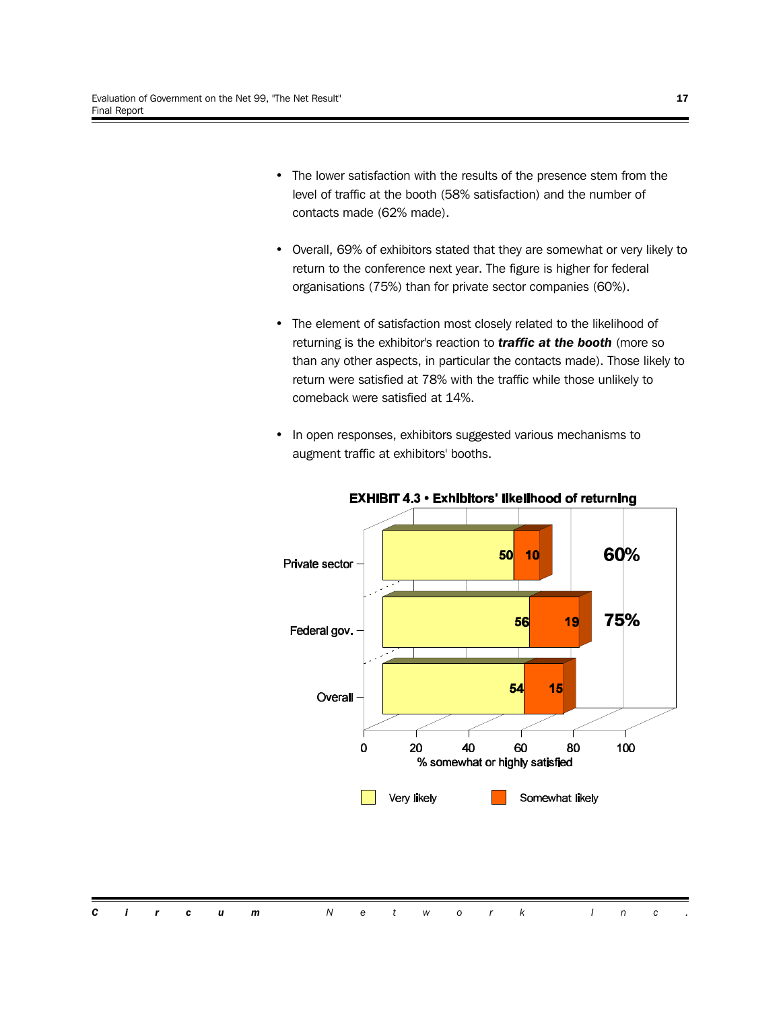- The lower satisfaction with the results of the presence stem from the level of traffic at the booth (58% satisfaction) and the number of contacts made (62% made).
- Overall, 69% of exhibitors stated that they are somewhat or very likely to return to the conference next year. The figure is higher for federal organisations (75%) than for private sector companies (60%).
- The element of satisfaction most closely related to the likelihood of returning is the exhibitor's reaction to *traffic at the booth* (more so than any other aspects, in particular the contacts made). Those likely to return were satisfied at 78% with the traffic while those unlikely to comeback were satisfied at 14%.
- In open responses, exhibitors suggested various mechanisms to augment traffic at exhibitors' booths.

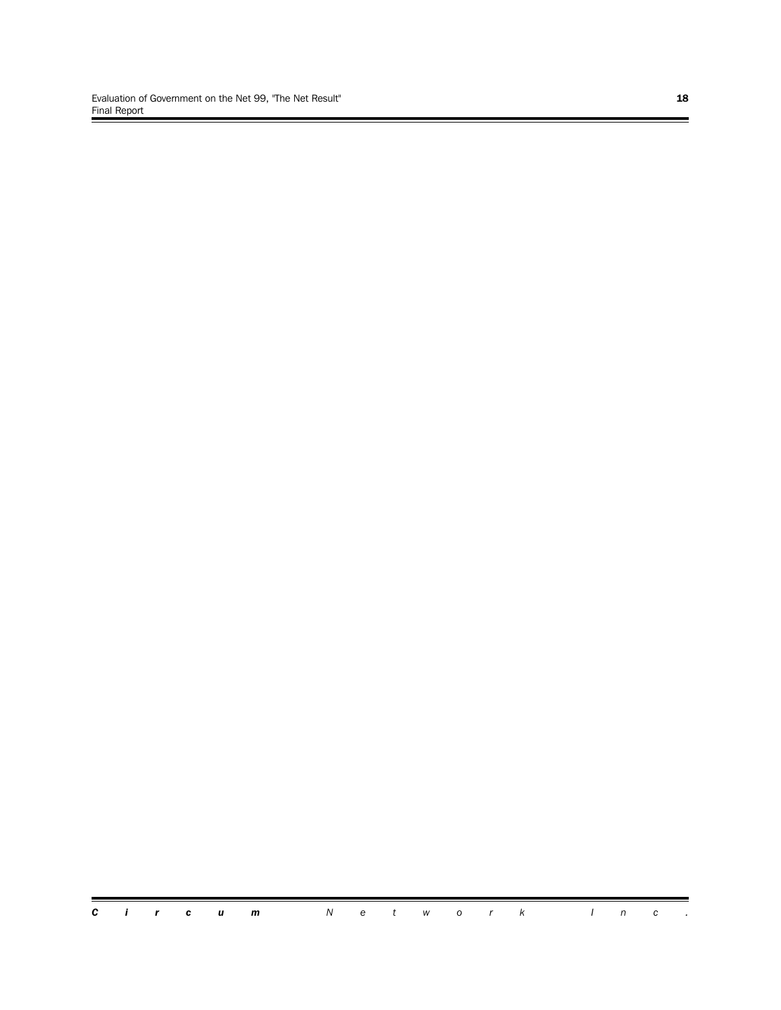*Circum Network Inc .*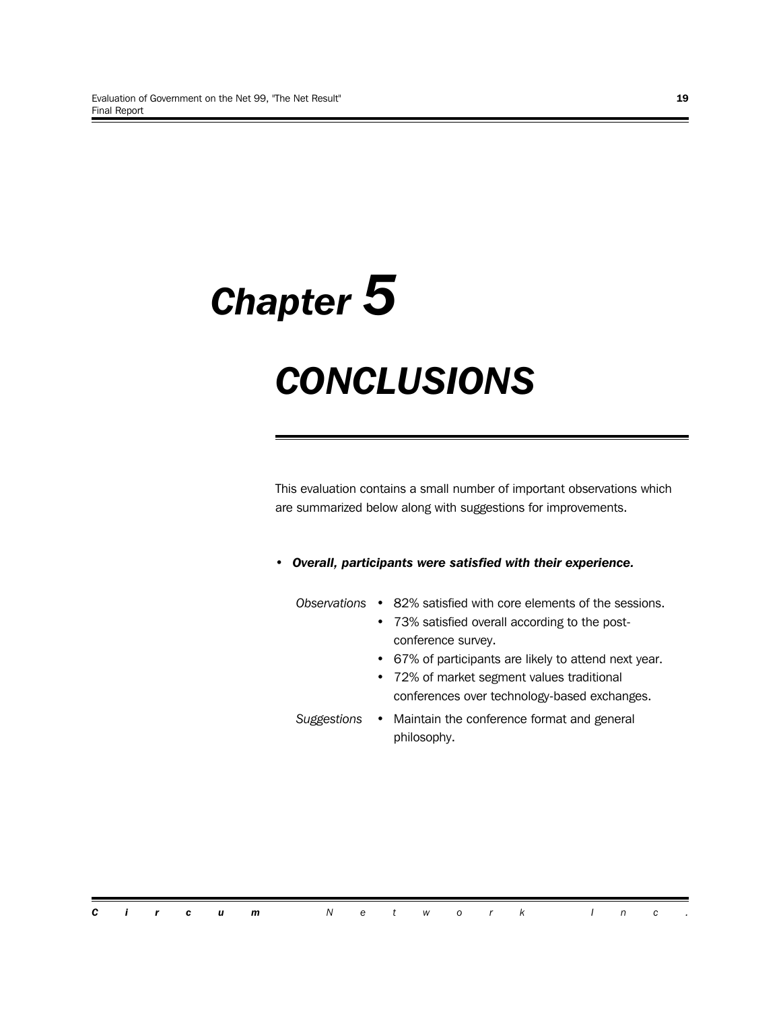# *Chapter 5 CONCLUSIONS*

This evaluation contains a small number of important observations which are summarized below along with suggestions for improvements.

#### • *Overall, participants were satisfied with their experience.*

- *Observations* 82% satisfied with core elements of the sessions.
	- 73% satisfied overall according to the postconference survey.
	- 67% of participants are likely to attend next year.
	- 72% of market segment values traditional conferences over technology-based exchanges.
- *Suggestions* Maintain the conference format and general philosophy.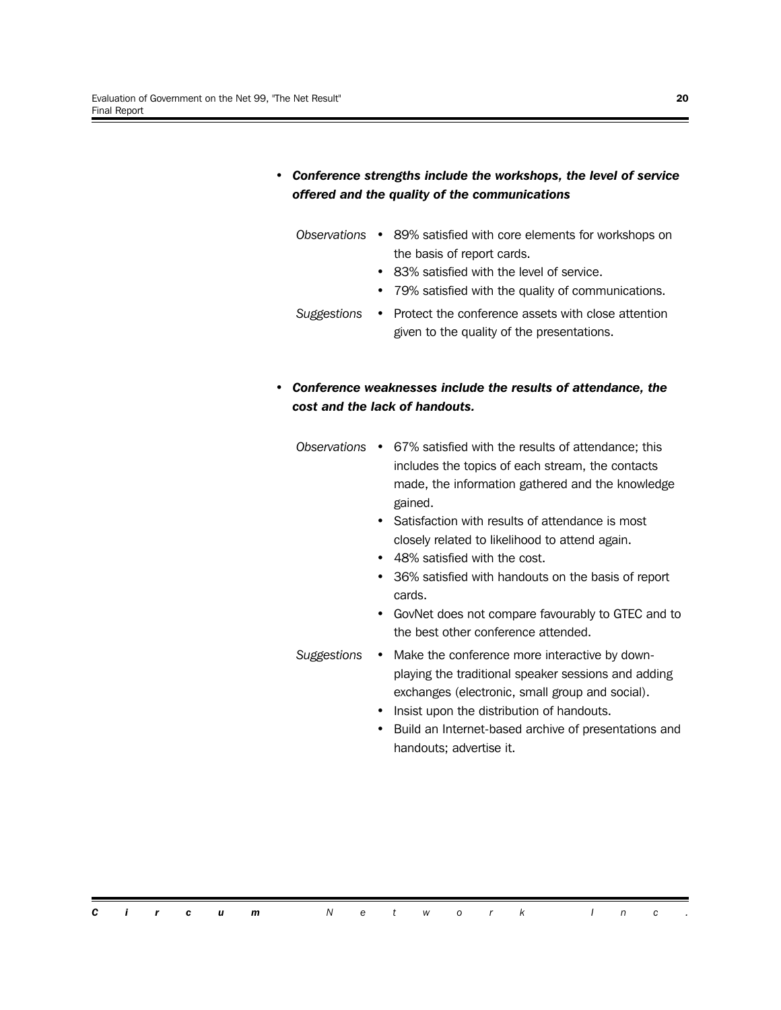- *Conference strengths include the workshops, the level of service offered and the quality of the communications*
	- *Observations* 89% satisfied with core elements for workshops on the basis of report cards.
		- 83% satisfied with the level of service.
		- 79% satisfied with the quality of communications.
	- *Suggestions* Protect the conference assets with close attention given to the quality of the presentations.
- *Conference weaknesses include the results of attendance, the cost and the lack of handouts.*
	- *Observations* 67% satisfied with the results of attendance; this includes the topics of each stream, the contacts made, the information gathered and the knowledge gained.
		- Satisfaction with results of attendance is most closely related to likelihood to attend again.
		- 48% satisfied with the cost.
		- 36% satisfied with handouts on the basis of report cards.
		- GovNet does not compare favourably to GTEC and to the best other conference attended.
	- *Suggestions* Make the conference more interactive by downplaying the traditional speaker sessions and adding exchanges (electronic, small group and social).
		- Insist upon the distribution of handouts.
		- Build an Internet-based archive of presentations and handouts; advertise it.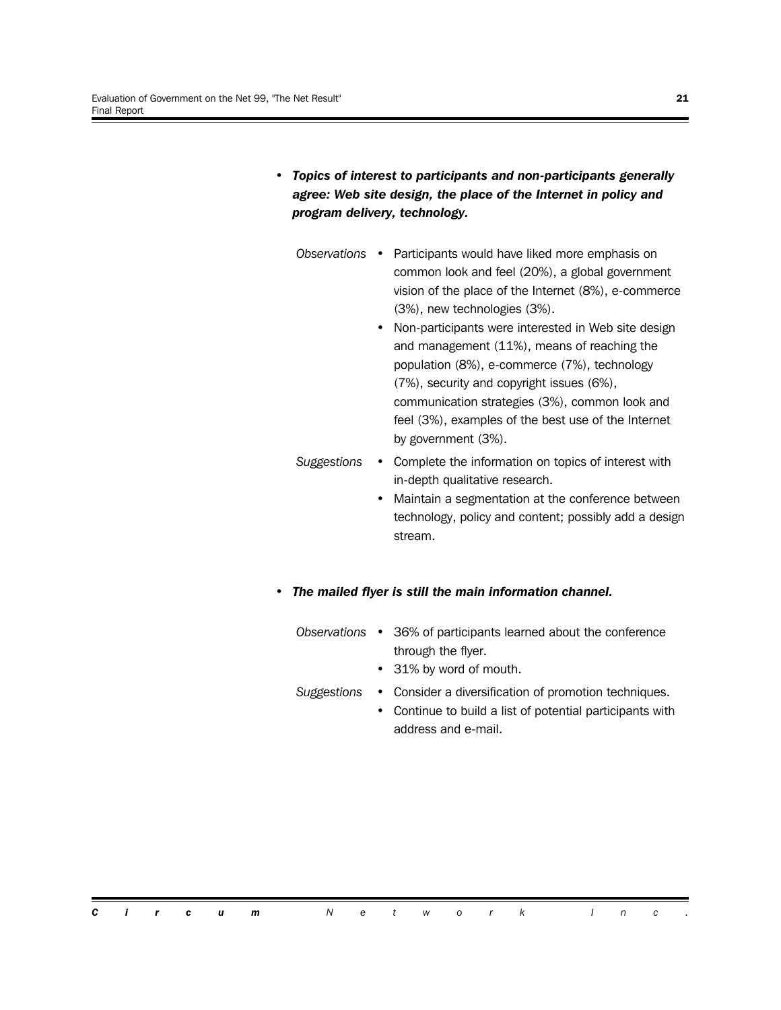- *Topics of interest to participants and non-participants generally agree: Web site design, the place of the Internet in policy and program delivery, technology.*
	- *Observations* Participants would have liked more emphasis on common look and feel (20%), a global government vision of the place of the Internet (8%), e-commerce (3%), new technologies (3%).
		- Non-participants were interested in Web site design and management (11%), means of reaching the population (8%), e-commerce (7%), technology (7%), security and copyright issues (6%), communication strategies (3%), common look and feel (3%), examples of the best use of the Internet by government (3%).
	- *Suggestions* Complete the information on topics of interest with in-depth qualitative research.
		- Maintain a segmentation at the conference between technology, policy and content; possibly add a design stream.
- *The mailed flyer is still the main information channel.*
	- *Observations* 36% of participants learned about the conference through the flyer.
		- 31% by word of mouth.
	- *Suggestions* Consider a diversification of promotion techniques.
		- Continue to build a list of potential participants with address and e-mail.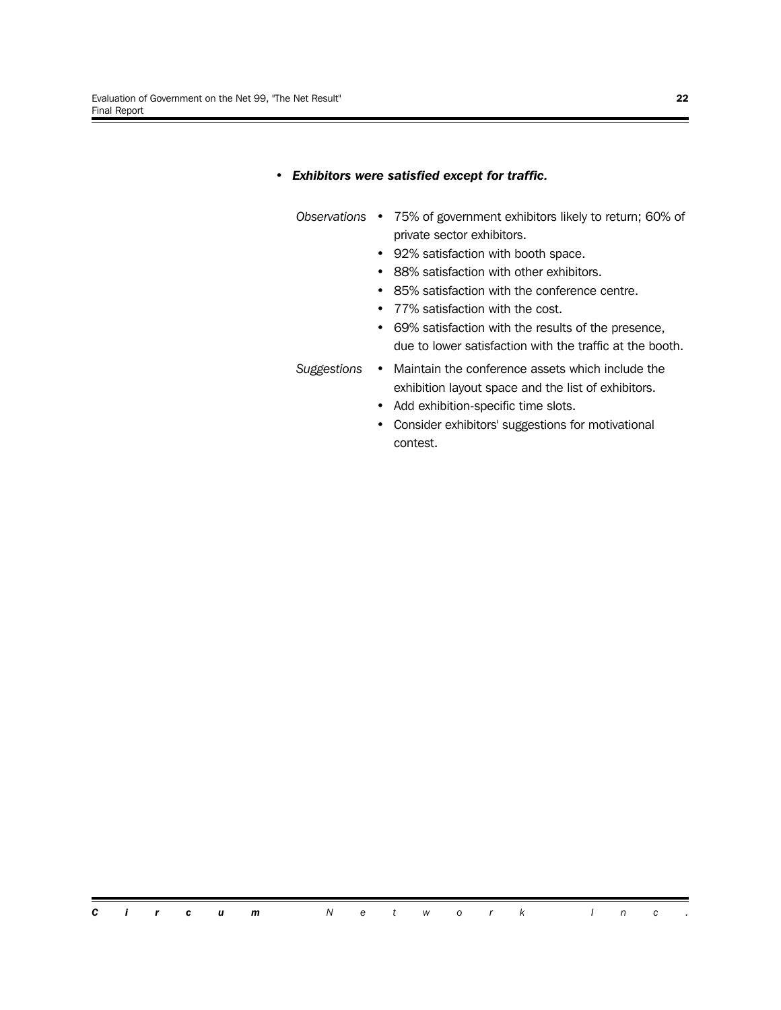#### • *Exhibitors were satisfied except for traffic.*

- *Observations* 75% of government exhibitors likely to return; 60% of private sector exhibitors.
	- 92% satisfaction with booth space.
	- 88% satisfaction with other exhibitors.
	- 85% satisfaction with the conference centre.
	- 77% satisfaction with the cost.
	- 69% satisfaction with the results of the presence, due to lower satisfaction with the traffic at the booth.
- *Suggestions* Maintain the conference assets which include the exhibition layout space and the list of exhibitors.
	- Add exhibition-specific time slots.
	- Consider exhibitors' suggestions for motivational contest.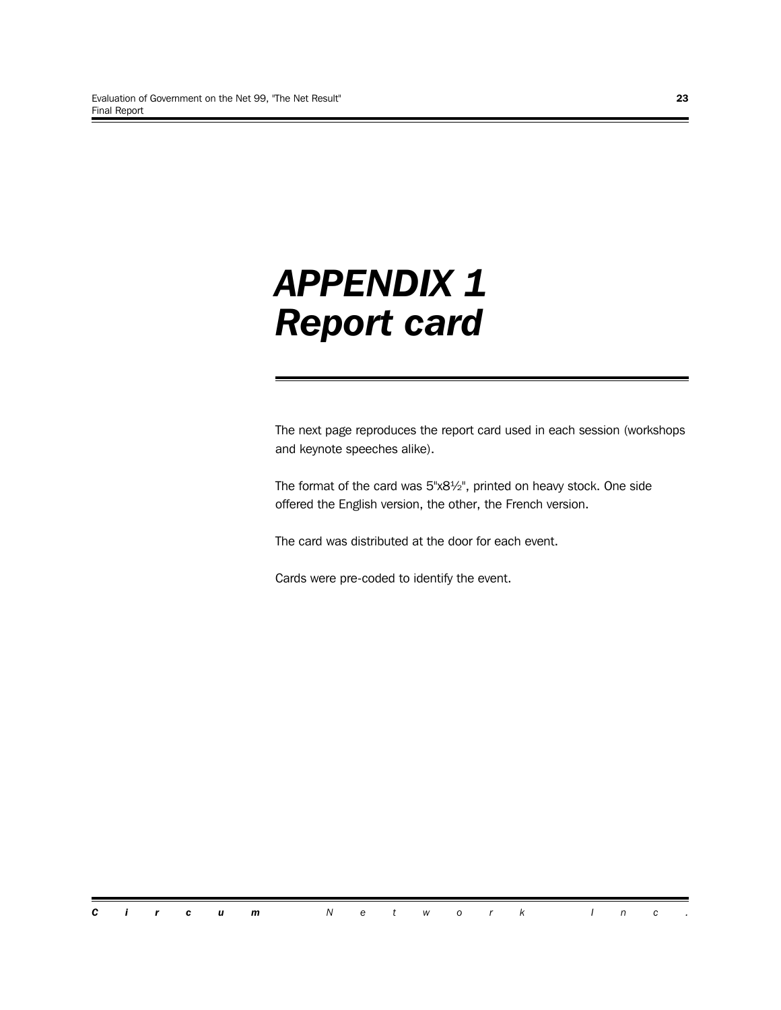## *APPENDIX 1 Report card*

The next page reproduces the report card used in each session (workshops and keynote speeches alike).

The format of the card was 5"x8½", printed on heavy stock. One side offered the English version, the other, the French version.

The card was distributed at the door for each event.

Cards were pre-coded to identify the event.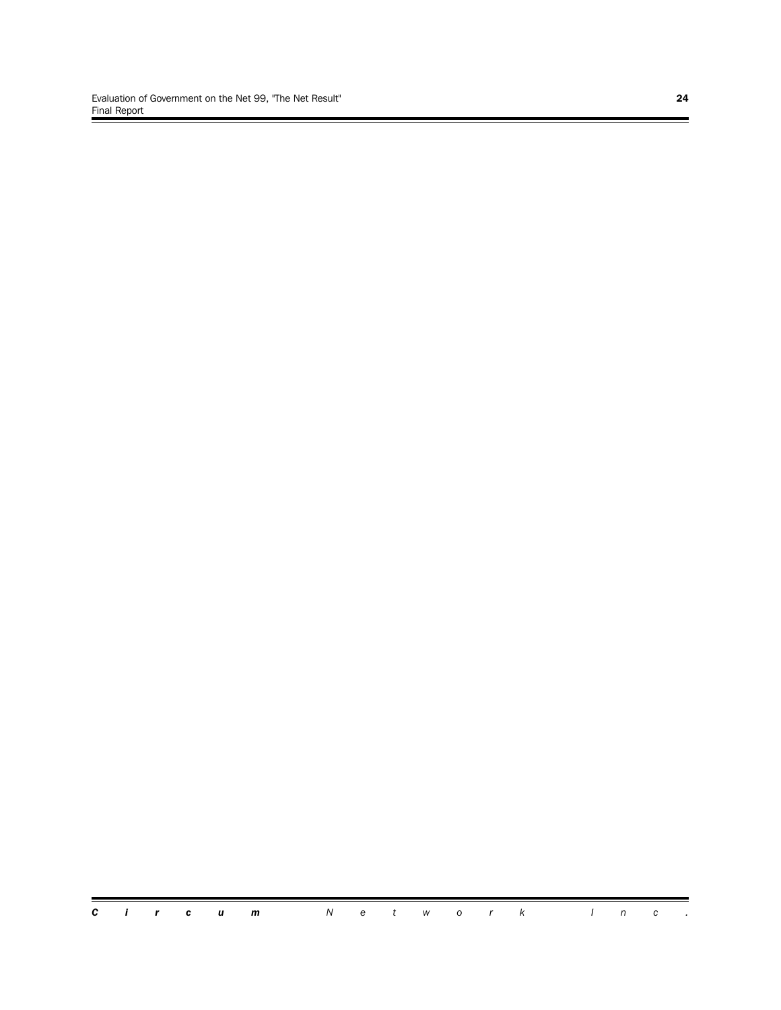and the control of the control of the control of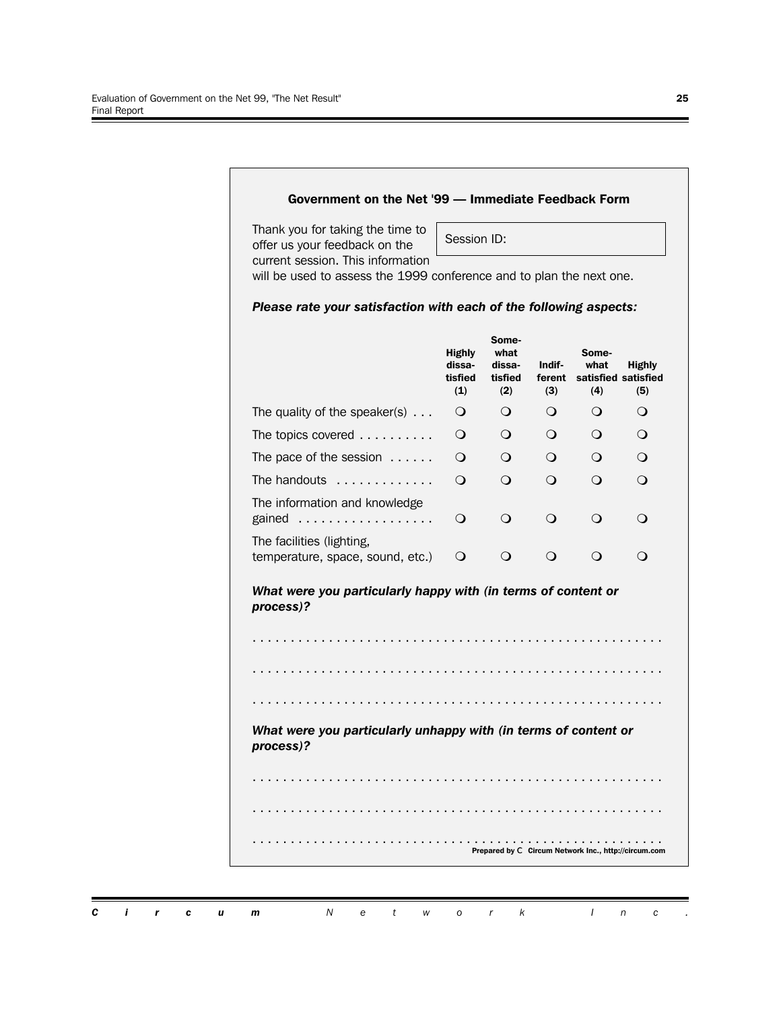| Thank you for taking the time to<br>offer us your feedback on the                                         | Session ID:                               |                                           |                         |                                             |               |
|-----------------------------------------------------------------------------------------------------------|-------------------------------------------|-------------------------------------------|-------------------------|---------------------------------------------|---------------|
| current session. This information<br>will be used to assess the 1999 conference and to plan the next one. |                                           |                                           |                         |                                             |               |
| Please rate your satisfaction with each of the following aspects:                                         |                                           |                                           |                         |                                             |               |
|                                                                                                           | <b>Highly</b><br>dissa-<br>tisfied<br>(1) | Some-<br>what<br>dissa-<br>tisfied<br>(2) | Indif-<br>ferent<br>(3) | Some-<br>what<br>satisfied satisfied<br>(4) | Highly<br>(5) |
| The quality of the speaker(s) $\ldots$                                                                    | O                                         | $\circ$                                   | $\circ$                 | $\circ$                                     | $\circ$       |
| The topics covered                                                                                        | O                                         | $\Omega$                                  | $\circ$                 | $\circ$                                     | $\circ$       |
| The pace of the session $\dots$ .                                                                         | O                                         | $\Omega$                                  | $\bigcirc$              | $\circ$                                     | O             |
| The handouts $\ldots$ , $\ldots$ , $\ldots$                                                               | O                                         | $\Omega$                                  | $\bigcirc$              | $\Omega$                                    | $\bigcirc$    |
| The information and knowledge<br>gained $\ldots \ldots \ldots \ldots \ldots$                              | Ő                                         | $\Omega$                                  | $\Omega$                | $\Omega$                                    | O             |
| The facilities (lighting,<br>temperature, space, sound, etc.)                                             | $\Omega$                                  | O                                         | $\Omega$                | $\Omega$                                    | $\Omega$      |
| What were you particularly happy with (in terms of content or<br>process)?                                |                                           |                                           |                         |                                             |               |
|                                                                                                           |                                           |                                           |                         |                                             |               |
|                                                                                                           |                                           |                                           |                         |                                             |               |
|                                                                                                           |                                           |                                           |                         |                                             |               |
|                                                                                                           |                                           |                                           |                         |                                             |               |
| What were you particularly unhappy with (in terms of content or<br>process)?                              |                                           |                                           |                         |                                             |               |
|                                                                                                           |                                           |                                           |                         |                                             |               |

*Circum Network Inc .*

<u> 1980 - Jan Sterling Sterling Sterling Sterling Sterling Sterling Sterling Sterling Sterling Sterling Sterling</u>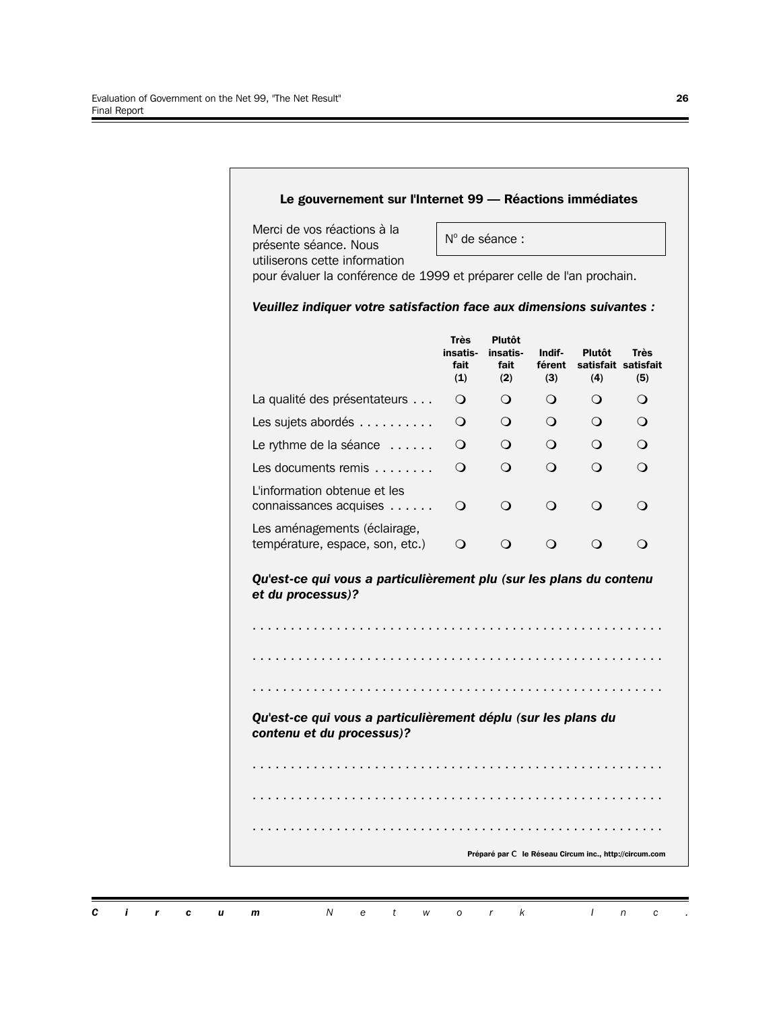| Merci de vos réactions à la<br>présente séance. Nous                                                    |                                        | Nº de séance :                    |                         |                                      |             |
|---------------------------------------------------------------------------------------------------------|----------------------------------------|-----------------------------------|-------------------------|--------------------------------------|-------------|
| utiliserons cette information<br>pour évaluer la conférence de 1999 et préparer celle de l'an prochain. |                                        |                                   |                         |                                      |             |
| Veuillez indiquer votre satisfaction face aux dimensions suivantes :                                    | <b>Très</b><br>insatis-<br>fait<br>(1) | Plutôt<br>insatis-<br>fait<br>(2) | Indif-<br>férent<br>(3) | Plutôt<br>satisfait satisfait<br>(4) | Très<br>(5) |
| La qualité des présentateurs                                                                            | $\circ$                                | $\Omega$                          | $\Omega$                | $\Omega$                             | $\Omega$    |
| Les sujets abordés                                                                                      | $\circ$                                | $\circ$                           | $\circ$                 | $\Omega$                             | $\Omega$    |
| Le rythme de la séance                                                                                  | $\circ$                                | $\Omega$                          | $\circ$                 | $\Omega$                             | $\bigcirc$  |
| Les documents remis $\ldots$ ,                                                                          | $\circ$                                | $\Omega$                          | $\Omega$                | $\Omega$                             | $\Omega$    |
| L'information obtenue et les<br>connaissances acquises                                                  | $\circ$                                | Q                                 | $\bigcirc$              | $\Omega$                             | $\circ$     |
| Les aménagements (éclairage,<br>température, espace, son, etc.)                                         | O                                      | $\Omega$                          | $\Omega$                | $\Omega$                             | $\circ$     |
| Qu'est-ce qui vous a particulièrement plu (sur les plans du contenu<br>et du processus)?                |                                        |                                   |                         |                                      |             |
|                                                                                                         |                                        |                                   |                         |                                      |             |
|                                                                                                         |                                        |                                   |                         |                                      |             |
| Qu'est-ce qui vous a particulièrement déplu (sur les plans du<br>contenu et du processus)?              |                                        |                                   |                         |                                      |             |
|                                                                                                         |                                        |                                   |                         |                                      |             |
|                                                                                                         |                                        |                                   |                         |                                      |             |

#### *Circum Network Inc .*

<u> The Common School Common School Common School Common School Common School Common School Common School Common School Common School Common School Common School Common School Common School Common School Common School Common</u>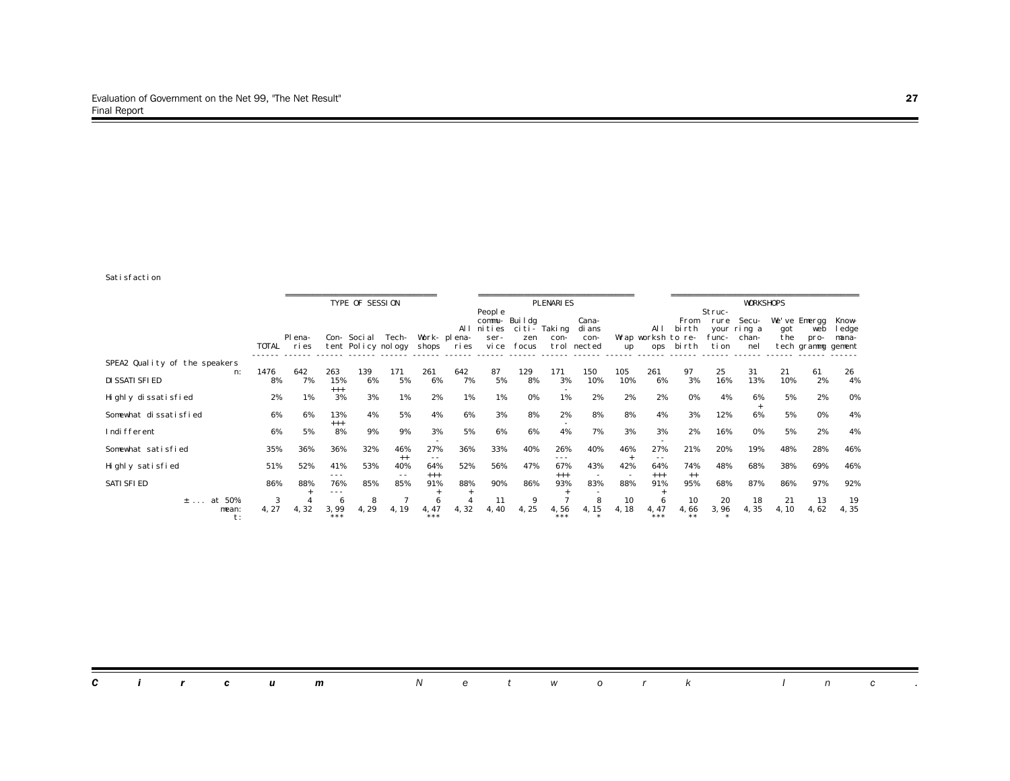|                                   | TYPE OF SESSION |                 |                           |            |                             |                   | <b>PLENARIES</b><br>People |                             |                              |                             |                                        |               | <b>WORKSHOPS</b><br>Struc- |                                                |                        |                                      |             |                                                   |                          |
|-----------------------------------|-----------------|-----------------|---------------------------|------------|-----------------------------|-------------------|----------------------------|-----------------------------|------------------------------|-----------------------------|----------------------------------------|---------------|----------------------------|------------------------------------------------|------------------------|--------------------------------------|-------------|---------------------------------------------------|--------------------------|
|                                   | <b>TOTAL</b>    | Pl ena-<br>ries |                           | Con-Social | Tech-<br>tent Policy nology | shops             | Work-plena-<br>ries        | All nities<br>ser-<br>vi ce | commu-Buildg<br>zen<br>focus | citi-Taking<br>con-         | Cana-<br>di ans<br>con-<br>trol nected | up            | Al 1<br>ops                | From<br>bi rth<br>Wrap worksh to re-<br>bi rth | rure<br>func-<br>ti on | Secu-<br>your ring a<br>chan-<br>nel | got<br>the  | We've Emergg<br>web<br>pro-<br>tech grammg gement | Know-<br>l edge<br>mana- |
| SPEA2 Quality of the speakers     | 1476            | 642             | 263                       | 139        | 171                         | 261               | 642                        | 87                          | 129                          | 171                         | 150                                    | 105           | 261                        | 97                                             | 25                     | 31                                   | 21          | 61                                                |                          |
| $\mathbf{n}$ :<br>DI SSATI SFI ED | 8%              | 7%              | 15%                       | 6%         | 5%                          | 6%                | 7%                         | 5%                          | 8%                           | 3%                          | 10%                                    | 10%           | 6%                         | 3%                                             | 16%                    | 13%                                  | 10%         | 2%                                                | 26<br>4%                 |
| Highly dissatisfied               | 2%              | 1%              | $^{+++}$<br>3%            | 3%         | 1%                          | 2%                | 1%                         | 1%                          | 0%                           | 1%                          | 2%                                     | 2%            | 2%                         | 0%                                             | 4%                     | 6%                                   | 5%          | 2%                                                | 0%                       |
| Somewhat dissatisfied             | 6%              | 6%              | 13%                       | 4%         | 5%                          | 4%                | 6%                         | 3%                          | 8%                           | 2%                          | 8%                                     | 8%            | 4%                         | 3%                                             | 12%                    | 6%                                   | 5%          | 0%                                                | 4%                       |
| Indifferent                       | 6%              | 5%              | $^{+++}$<br>8%            | 9%         | 9%                          | 3%                | 5%                         | 6%                          | 6%                           | 4%                          | 7%                                     | 3%            | 3%                         | 2%                                             | 16%                    | 0%                                   | 5%          | 2%                                                | 4%                       |
| Somewhat satisfied                | 35%             | 36%             | 36%                       | 32%        | 46%                         | 27%               | 36%                        | 33%                         | 40%                          | 26%                         | 40%                                    | 46%           | 27%                        | 21%                                            | 20%                    | 19%                                  | 48%         | 28%                                               | 46%                      |
| Highly satisfied                  | 51%             | 52%             | 41%                       | 53%        | $^{++}$<br>40%              | 64%               | 52%                        | 56%                         | 47%                          | $- - -$<br>67%              | 43%                                    | $^{+}$<br>42% | $ -$<br>64%                | 74%                                            | 48%                    | 68%                                  | 38%         | 69%                                               | 46%                      |
| <b>SATI SFIED</b>                 | 86%             | 88%             | $- - -$<br>76%            | 85%        | $ -$<br>85%                 | $^{+++}$<br>91%   | 88%                        | 90%                         | 86%                          | $^{+++}$<br>93%             | 83%                                    | $\sim$<br>88% | $^{+++}$<br>91%            | $^{++}$<br>95%                                 | 68%                    | 87%                                  | 86%         | 97%                                               | 92%                      |
| at 50%:<br>$\pm$<br>mean:<br>t:   | 3<br>4.27       | 4,32            | - - -<br>6<br>3,99<br>*** | 8<br>4, 29 | 4, 19                       | 6<br>4, 47<br>*** | 4,32                       | 11<br>4, 40                 | 9<br>4,25                    | $\mathbf{r}$<br>4,56<br>*** | 8<br>4, 15                             | 10<br>4,18    | 6<br>4, 47<br>***          | 10<br>4,66<br>**                               | 20<br>3,96             | 18<br>4,35                           | 21<br>4, 10 | 13<br>4,62                                        | 19<br>4,35               |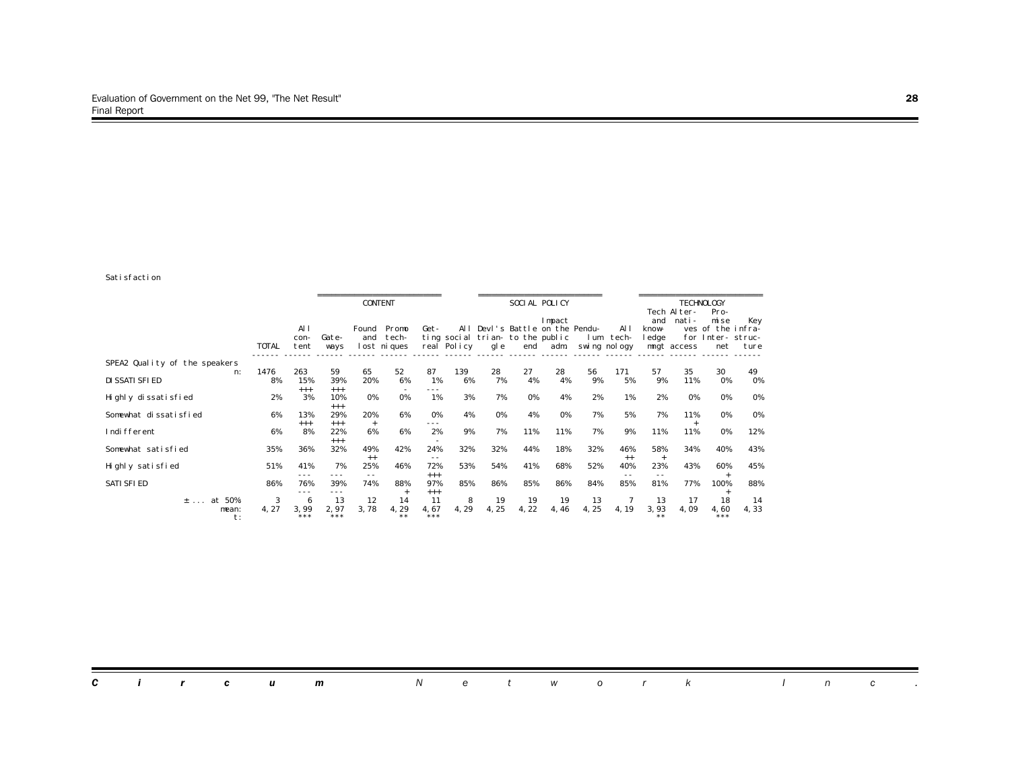|                                 |              |                      |                          |                | <b>CONTENT</b>                |                   |             | SOCIAL POLICY |                                                                     |                    |            |                                   | <b>TECHNOLOGY</b><br>Tech Alter-<br>Pro- |                      |                                                 |                       |
|---------------------------------|--------------|----------------------|--------------------------|----------------|-------------------------------|-------------------|-------------|---------------|---------------------------------------------------------------------|--------------------|------------|-----------------------------------|------------------------------------------|----------------------|-------------------------------------------------|-----------------------|
|                                 | <b>TOTAL</b> | Al 1<br>con-<br>tent | Gate-<br>ways            | Found<br>and   | Promo<br>tech-<br>lost niques | Get-              | real Policy | gl e          | All Devl's Battle on the Pendu-<br>ting social trian- to the public | Impact<br>end adm. |            | Al 1<br>lum tech-<br>swing nology | and<br>know-<br>ledge                    | nati-<br>mngt access | mi se<br>ves of the infra-<br>for Inter-<br>net | Key<br>struc-<br>ture |
| SPEA2 Quality of the speakers   |              |                      |                          |                |                               |                   |             |               |                                                                     |                    |            |                                   |                                          |                      |                                                 |                       |
| n:<br>DI SSATI SFI ED           | 1476<br>8%   | 263<br>15%           | 59<br>39%                | 65<br>20%      | 52<br>6%                      | 87<br>1%          | 139<br>6%   | 28<br>7%      | 27<br>4%                                                            | 28<br>4%           | 56<br>9%   | 171<br>5%                         | 57<br>9%                                 | 35<br>11%            | 30<br>0%                                        | 49<br>0%              |
| Highly dissatisfied             | 2%           | $^{+++}$<br>3%       | $+++$<br>10%<br>$^{+++}$ | 0%             | 0%                            | - - -<br>1%       | 3%          | 7%            | 0%                                                                  | 4%                 | 2%         | 1%                                | 2%                                       | 0%                   | 0%                                              | 0%                    |
| Somewhat dissatisfied           | 6%           | 13%<br>$^{+++}$      | 29%<br>$^{+++}$          | 20%<br>$+$     | 6%                            | 0%<br>- - -       | 4%          | 0%            | 4%                                                                  | 0%                 | 7%         | 5%                                | 7%                                       | 11%                  | 0%                                              | 0%                    |
| Indifferent                     | 6%           | 8%                   | 22%<br>$+++$             | 6%             | 6%                            | 2%                | 9%          | 7%            | 11%                                                                 | 11%                | 7%         | 9%                                | 11%                                      | 11%                  | 0%                                              | 12%                   |
| Somewhat satisfied              | 35%          | 36%                  | 32%                      | 49%<br>$^{++}$ | 42%                           | 24%<br>$- -$      | 32%         | 32%           | 44%                                                                 | 18%                | 32%        | 46%<br>$^{++}$                    | 58%<br>$\pm$                             | 34%                  | 40%                                             | 43%                   |
| Highly satisfied                | 51%          | 41%<br>$- - -$       | 7%<br>- - -              | 25%<br>- -     | 46%                           | 72%<br>$^{+++}$   | 53%         | 54%           | 41%                                                                 | 68%                | 52%        | 40%<br>$\sim$ $\sim$              | 23%<br>$ -$                              | 43%                  | 60%<br>$\overline{+}$                           | 45%                   |
| <b>SATI SFIED</b>               | 86%          | 76%<br>$= - -$       | 39%<br>$- - -$           | 74%            | 88%<br>$\ddot{}$              | 97%<br>$^{+++}$   | 85%         | 86%           | 85%                                                                 | 86%                | 84%        | 85%                               | 81%                                      | 77%                  | 100%<br>$^{+}$                                  | 88%                   |
| at 50%:<br>$\pm$<br>mean:<br>t: | 3<br>4,27    | 6<br>3,99<br>***     | 13<br>2,97<br>***        | 12<br>3,78     | 14<br>4,29<br>**              | 11<br>4,67<br>*** | 8<br>4,29   | 19<br>4,25    | 19<br>4.22                                                          | 19<br>4,46         | 13<br>4,25 | 4, 19                             | 13<br>3,93<br>**                         | 17<br>4,09           | 18<br>4,60<br>***                               | 14<br>4,33            |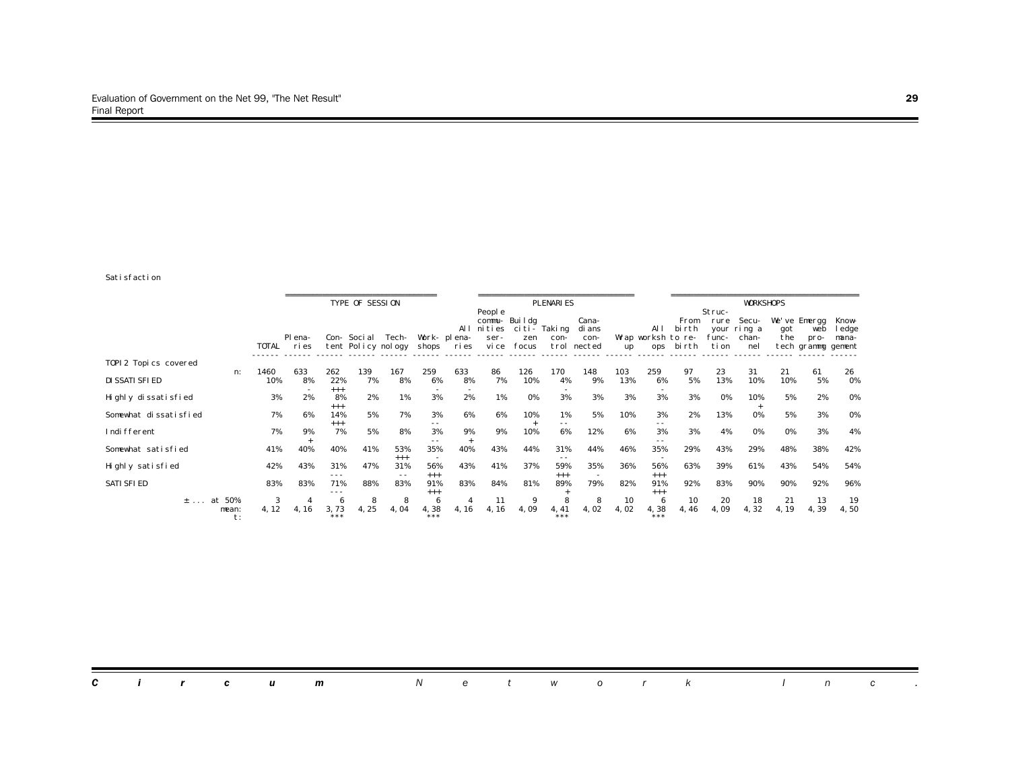|                                 | TYPE OF SESSION |                 |                             |           |                                        |                              |                     | <b>PLENARIES</b><br>People  |                              |                     |                                        |            |                              | <b>WORKSHOPS</b><br>Struc-                     |                       |                                      |            |                                                   |                          |  |
|---------------------------------|-----------------|-----------------|-----------------------------|-----------|----------------------------------------|------------------------------|---------------------|-----------------------------|------------------------------|---------------------|----------------------------------------|------------|------------------------------|------------------------------------------------|-----------------------|--------------------------------------|------------|---------------------------------------------------|--------------------------|--|
|                                 | <b>TOTAL</b>    | Pl ena-<br>ries |                             |           | Con-Social Tech-<br>tent Policy nology | shops                        | Work-plena-<br>ries | All nities<br>ser-<br>vi ce | commu-Buildg<br>zen<br>focus | citi-Taking<br>con- | Cana-<br>di ans<br>con-<br>trol nected | up         | Al 1<br>ops                  | From<br>bi rth<br>Wrap worksh to re-<br>bi rth | rure<br>func-<br>tion | Secu-<br>your ring a<br>chan-<br>nel | got<br>the | We've Emergg<br>web<br>pro-<br>tech grammg gement | Know-<br>l edge<br>mana- |  |
| T0PI2 Topics covered            |                 |                 |                             |           |                                        |                              |                     |                             |                              |                     |                                        |            |                              |                                                |                       |                                      |            |                                                   |                          |  |
| n:<br>DI SSATI SFI ED           | 1460<br>10%     | 633<br>8%       | 262<br>22%                  | 139<br>7% | 167<br>8%                              | 259<br>6%                    | 633<br>8%           | 86<br>7%                    | 126<br>10%                   | 170<br>4%           | 148<br>9%                              | 103<br>13% | 259<br>6%                    | 97<br>5%                                       | 23<br>13%             | 31<br>10%                            | 21<br>10%  | 61<br>5%                                          | 26<br>$\mathbf{0\%}$     |  |
| Highly dissatisfied             | 3%              | 2%              | $^{+++}$<br>8%              | 2%        | 1%                                     | 3%                           | 2%                  | 1%                          | 0%                           | 3%                  | 3%                                     | 3%         | 3%                           | 3%                                             | 0%                    | 10%                                  | 5%         | 2%                                                | <b>0%</b>                |  |
| Somewhat dissatisfied           | 7%              | 6%              | $^{+++}$<br>14%             | 5%        | 7%                                     | 3%                           | 6%                  | 6%                          | 10%                          | 1%                  | 5%                                     | 10%        | 3%                           | 2%                                             | 13%                   | 0%                                   | 5%         | 3%                                                | 0%                       |  |
| Indi fferent                    | 7%              | 9%              | $^{+++}$<br>7%              | 5%        | 8%                                     | 3%<br>$ -$                   | 9%<br>$^{+}$        | 9%                          | 10%                          | $ -$<br>6%          | 12%                                    | 6%         | 3%<br>$- -$                  | 3%                                             | 4%                    | 0%                                   | 0%         | 3%                                                | 4%                       |  |
| Somewhat satisfied              | 41%             | 40%             | 40%                         | 41%       | 53%<br>$^{+++}$                        | 35%                          | 40%                 | 43%                         | 44%                          | 31%<br>$ -$         | 44%                                    | 46%        | 35%                          | 29%                                            | 43%                   | 29%                                  | 48%        | 38%                                               | 42%                      |  |
| Highly satisfied                | 42%             | 43%             | 31%                         | 47%       | 31%                                    | 56%                          | 43%                 | 41%                         | 37%                          | 59%                 | 35%                                    | 36%        | 56%                          | 63%                                            | 39%                   | 61%                                  | 43%        | 54%                                               | 54%                      |  |
| <b>SATI SFIED</b>               | 83%             | 83%             | $- - -$<br>71%              | 88%       | $\cdots$<br>83%                        | $^{+++}$<br>91%              | 83%                 | 84%                         | 81%                          | $^{+++}$<br>89%     | 79%                                    | 82%        | $^{+++}$<br>91%              | 92%                                            | 83%                   | 90%                                  | 90%        | 92%                                               | 96%                      |  |
| at 50%:<br>$\pm$<br>mean:<br>t: | 3<br>4, 12      | 4<br>4, 16      | $- - -$<br>6<br>3,73<br>*** | 8<br>4,25 | 8<br>4,04                              | $^{+++}$<br>6<br>4,38<br>*** | 4<br>4, 16          | 11<br>4, 16                 | 9<br>4,09                    | 8<br>4, 41<br>***   | 8<br>4,02                              | 10<br>4,02 | $^{+++}$<br>6<br>4,38<br>*** | 10<br>4, 46                                    | 20<br>4,09            | 18<br>4,32                           | 21<br>4,19 | 13<br>4,39                                        | 19<br>4,50               |  |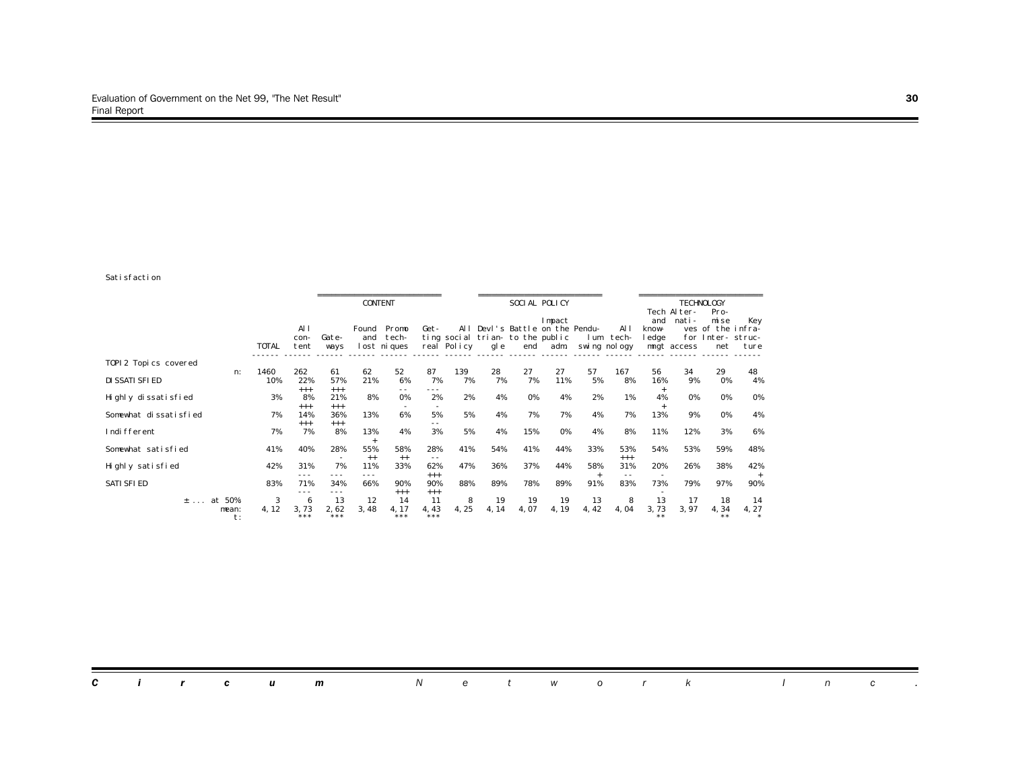|                                 |              |                             | <b>CONTENT</b>             |                  |                                |                                |                     |            |            | <b>SOCIAL POLICY</b>                                                                  |                       | <b>TECHNOLOGY</b>                 |                       |                                     |                                                         |                       |
|---------------------------------|--------------|-----------------------------|----------------------------|------------------|--------------------------------|--------------------------------|---------------------|------------|------------|---------------------------------------------------------------------------------------|-----------------------|-----------------------------------|-----------------------|-------------------------------------|---------------------------------------------------------|-----------------------|
|                                 | <b>TOTAL</b> | Al 1<br>con-<br>tent        | Gate-<br>ways              | Found<br>and     | Promo<br>tech-<br>lost niques  | Get-                           | Al 1<br>real Policy | gl e       |            | Impact<br>Devl's Battle on the Pendu-<br>ting social trian- to the public<br>end adm. |                       | Al 1<br>lum tech-<br>swing nology | and<br>know-<br>ledge | Tech Alter-<br>nati-<br>mngt access | Pro-<br>mi se<br>ves of the infra-<br>for Inter-<br>net | Key<br>struc-<br>ture |
| T0PI2 Topics covered            |              |                             |                            |                  |                                |                                |                     |            |            |                                                                                       |                       |                                   |                       |                                     |                                                         |                       |
| n:<br>DI SSATI SFI ED           | 1460<br>10%  | 262<br>22%                  | 61<br>57%                  | 62<br>21%        | 52<br>6%                       | 87<br>7%                       | 139<br>7%           | 28<br>7%   | 27<br>7%   | 27<br>11%                                                                             | 57<br>5%              | 167<br>8%                         | 56<br>16%             | 34<br>9%                            | 29<br>0%                                                | 48<br>4%              |
| Highly dissatisfied             | 3%           | $^{+++}$<br>8%              | $^{+++}$<br>21%            | 8%               | $- -$<br>0%                    | - - -<br>2%                    | 2%                  | 4%         | 0%         | 4%                                                                                    | 2%                    | 1%                                | 4%                    | $0\%$                               | 0%                                                      | <b>0%</b>             |
| Somewhat dissatisfied           | 7%           | $^{+++}$<br>14%             | $^{+++}$<br>36%            | 13%              | 6%                             | $\overline{\phantom{a}}$<br>5% | 5%                  | 4%         | 7%         | 7%                                                                                    | 4%                    | 7%                                | 13%                   | 9%                                  | 0%                                                      | 4%                    |
| Indifferent                     | 7%           | $^{+++}$<br>7%              | $^{+++}$<br>8%             | 13%              | 4%                             | - -<br>3%                      | 5%                  | 4%         | 15%        | 0%                                                                                    | 4%                    | 8%                                | 11%                   | 12%                                 | 3%                                                      | 6%                    |
| Somewhat satisfied              | 41%          | 40%                         | 28%                        | $\ddot{}$<br>55% | 58%                            | 28%                            | 41%                 | 54%        | 41%        | 44%                                                                                   | 33%                   | 53%                               | 54%                   | 53%                                 | 59%                                                     | 48%                   |
| Highly satisfied                | 42%          | 31%                         | 7%                         | $^{++}$<br>11%   | $^{++}$<br>33%                 | $ -$<br>62%                    | 47%                 | 36%        | 37%        | 44%                                                                                   | 58%                   | $^{+++}$<br>31%                   | 20%                   | 26%                                 | 38%                                                     | 42%                   |
| <b>SATI SFIED</b>               | 83%          | $- - -$<br>71%              | 34%                        | - - -<br>66%     | 90%                            | $^{+++}$<br>90%                | 88%                 | 89%        | 78%        | 89%                                                                                   | $\overline{+}$<br>91% | $\cdots$<br>83%                   | 73%                   | 79%                                 | 97%                                                     | 90%                   |
| at 50%:<br>$\pm$<br>mean:<br>t: | 3<br>4, 12   | $= - -$<br>6<br>3,73<br>*** | - - -<br>13<br>2,62<br>*** | 12<br>3, 48      | $^{+++}$<br>14<br>4, 17<br>*** | $^{+++}$<br>11<br>4, 43<br>*** | 8<br>4,25           | 19<br>4.14 | 19<br>4,07 | 19<br>4, 19                                                                           | 13<br>4, 42           | 8<br>4,04                         | 13<br>3,73<br>**      | 17<br>3,97                          | 18<br>4,34<br>**                                        | 14<br>4,27            |

*Circum Network Inc .*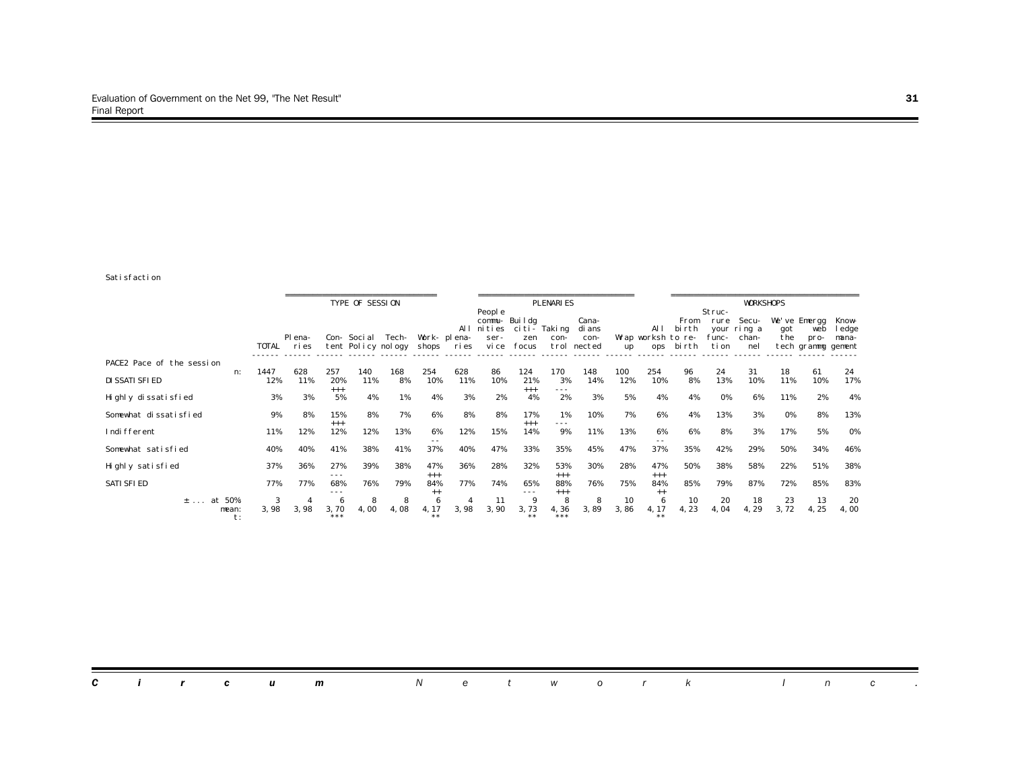|                                             |              |                 |                           | TYPE OF SESSION |                             |                             |                     |                                       |                              | <b>PLENARIES</b>            |                                        |            |                             |                                                | Struc-                 | <b>WORKSHOPS</b>                     |            |                                                   |                          |
|---------------------------------------------|--------------|-----------------|---------------------------|-----------------|-----------------------------|-----------------------------|---------------------|---------------------------------------|------------------------------|-----------------------------|----------------------------------------|------------|-----------------------------|------------------------------------------------|------------------------|--------------------------------------|------------|---------------------------------------------------|--------------------------|
|                                             | <b>TOTAL</b> | Pl ena-<br>ries |                           | Con-Social      | Tech-<br>tent Policy nology | shops                       | Work-plena-<br>ries | People<br>All nities<br>ser-<br>vi ce | commu-Buildg<br>zen<br>focus | citi- Taking<br>con-        | Cana-<br>di ans<br>con-<br>trol nected | up         | Al 1<br><b>ops</b>          | From<br>bi rth<br>Wrap worksh to re-<br>bi rth | rure<br>func-<br>ti on | Secu-<br>your ring a<br>chan-<br>nel | got<br>the | We've Emergg<br>web<br>pro-<br>tech grammg gement | Know-<br>l edge<br>mana- |
| PACE2 Pace of the session<br>$\mathbf{n}$ : | 1447         | 628             | 257                       | 140             | 168                         | 254                         | 628                 | 86                                    | 124                          | 170                         | 148                                    | 100        | 254                         | 96                                             | 24                     | 31                                   | 18         | 61                                                | 24                       |
| DI SSATI SFI ED                             | 12%          | 11%             | 20%                       | 11%             | 8%                          | 10%                         | 11%                 | 10%                                   | 21%                          | 3%                          | 14%                                    | 12%        | 10%                         | 8%                                             | 13%                    | 10%                                  | 11%        | 10%                                               | 17%                      |
| Highly dissatisfied                         | 3%           | 3%              | $^{+++}$<br>5%            | 4%              | 1%                          | 4%                          | 3%                  | 2%                                    | $^{+++}$<br>4%               | 2%                          | 3%                                     | 5%         | 4%                          | 4%                                             | 0%                     | 6%                                   | 11%        | 2%                                                | 4%                       |
| Somewhat dissatisfied                       | 9%           | 8%              | 15%<br>$^{+++}$           | 8%              | 7%                          | 6%                          | 8%                  | 8%                                    | 17%<br>$^{+++}$              | 1%                          | 10%                                    | 7%         | 6%                          | 4%                                             | 13%                    | 3%                                   | 0%         | 8%                                                | 13%                      |
| Indifferent                                 | 11%          | 12%             | 12%                       | 12%             | 13%                         | 6%                          | 12%                 | 15%                                   | 14%                          | 9%                          | 11%                                    | 13%        | 6%                          | 6%                                             | 8%                     | 3%                                   | 17%        | 5%                                                | 0%                       |
| Somewhat satisfied                          | 40%          | 40%             | 41%                       | 38%             | 41%                         | 37%                         | 40%                 | 47%                                   | 33%                          | 35%                         | 45%                                    | 47%        | 37%                         | 35%                                            | 42%                    | 29%                                  | 50%        | 34%                                               | 46%                      |
| Highly satisfied                            | 37%          | 36%             | 27%                       | 39%             | 38%                         | 47%                         | 36%                 | 28%                                   | 32%                          | 53%                         | 30%                                    | 28%        | 47%                         | 50%                                            | 38%                    | 58%                                  | 22%        | 51%                                               | 38%                      |
| <b>SATI SFIED</b>                           | 77%          | 77%             | $- - -$<br>68%<br>$- - -$ | 76%             | 79%                         | $^{+++}$<br>84%             | 77%                 | 74%                                   | 65%<br>$- - - -$             | $^{+++}$<br>88%<br>$^{+++}$ | 76%                                    | 75%        | $^{+++}$<br>84%             | 85%                                            | 79%                    | 87%                                  | 72%        | 85%                                               | 83%                      |
| at 50%:<br>$\pm$<br>mean:<br>t:             | 3<br>3.98    | 4<br>3,98       | 6<br>3,70<br>***          | 8<br>4,00       | 8<br>4,08                   | $^{++}$<br>6<br>4, 17<br>** | 4<br>3,98           | 11<br>3,90                            | 9<br>3,73<br>**              | 8<br>4,36<br>***            | 8<br>3,89                              | 10<br>3,86 | $^{++}$<br>6<br>4, 17<br>** | 10<br>4,23                                     | 20<br>4,04             | 18<br>4,29                           | 23<br>3,72 | 13<br>4, 25                                       | 20<br>4,00               |

|  |  |  |  |  |  | <b>Circum</b> Network Inc. |  |  |
|--|--|--|--|--|--|----------------------------|--|--|
|  |  |  |  |  |  |                            |  |  |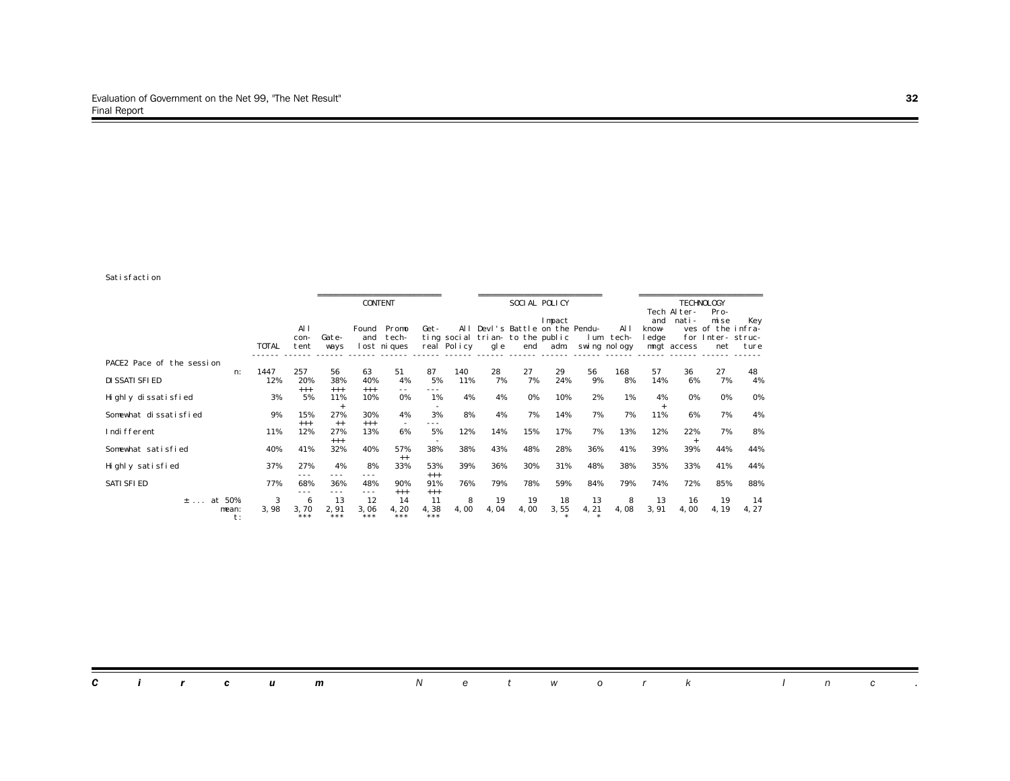|                                 |              |                      |                   |                   | ----------------------------<br><b>CONTENT</b> |                                         |                     |            |            | SOCIAL POLICY                                                                         |                       |                                   |                        |                                     | <b>TECHNOLOGY</b>                                              |             |
|---------------------------------|--------------|----------------------|-------------------|-------------------|------------------------------------------------|-----------------------------------------|---------------------|------------|------------|---------------------------------------------------------------------------------------|-----------------------|-----------------------------------|------------------------|-------------------------------------|----------------------------------------------------------------|-------------|
|                                 | <b>TOTAL</b> | Al 1<br>con-<br>tent | Gate-<br>ways     | Found<br>and      | Promo<br>tech-<br>lost niques                  | Get-                                    | Al l<br>real Policy | gl e       |            | Impact<br>Devl's Battle on the Pendu-<br>ting social trian- to the public<br>end adm. |                       | Al 1<br>lum tech-<br>swing nology | and<br>know-<br>l edge | Tech Alter-<br>nati-<br>mngt access | Pro-<br>mi se<br>ves of the infra-<br>for Inter- struc-<br>net | Key<br>ture |
| PACE2 Pace of the session       |              |                      |                   |                   |                                                |                                         |                     |            |            |                                                                                       |                       |                                   |                        |                                     |                                                                |             |
| n:<br>DI SSATI SFI ED           | 1447<br>12%  | 257<br>20%           | 56<br>38%         | 63<br>40%         | 51<br>4%                                       | 87<br>5%                                | 140<br>11%          | 28<br>7%   | 27<br>7%   | 29<br>24%                                                                             | 56<br>9%              | 168<br>8%                         | 57<br>14%              | 36<br>6%                            | 27<br>7%                                                       | 48<br>4%    |
| Highly dissatisfied             | 3%           | $^{+++}$<br>5%       | $^{+++}$<br>11%   | $^{+++}$<br>10%   | $- -$<br>0%                                    | - - -<br>1%<br>$\overline{\phantom{a}}$ | 4%                  | 4%         | 0%         | 10%                                                                                   | 2%                    | 1%                                | 4%                     | $0\%$                               | 0%                                                             | <b>0%</b>   |
| Somewhat dissatisfied           | 9%           | 15%<br>$^{+++}$      | 27%<br>$++$       | 30%<br>$^{+++}$   | 4%                                             | 3%<br>- - -                             | 8%                  | 4%         | 7%         | 14%                                                                                   | 7%                    | 7%                                | $\ddot{}$<br>11%       | 6%                                  | 7%                                                             | 4%          |
| Indifferent                     | 11%          | 12%                  | 27%<br>$^{+++}$   | 13%               | 6%                                             | 5%                                      | 12%                 | 14%        | 15%        | 17%                                                                                   | 7%                    | 13%                               | 12%                    | 22%<br>$\pm$                        | 7%                                                             | 8%          |
| Somewhat satisfied              | 40%          | 41%                  | 32%               | 40%               | 57%<br>$^{++}$                                 | 38%                                     | 38%                 | 43%        | 48%        | 28%                                                                                   | 36%                   | 41%                               | 39%                    | 39%                                 | 44%                                                            | 44%         |
| Highly satisfied                | 37%          | 27%<br>$- - -$       | 4%<br>- - -       | 8%<br>- - -       | 33%                                            | 53%<br>$^{+++}$                         | 39%                 | 36%        | 30%        | 31%                                                                                   | 48%                   | 38%                               | 35%                    | 33%                                 | 41%                                                            | 44%         |
| <b>SATI SFIED</b>               | 77%          | 68%<br>$= - -$       | 36%<br>- - -      | 48%<br>$- - -$    | 90%<br>$^{+++}$                                | 91%<br>$^{+++}$                         | 76%                 | 79%        | 78%        | 59%                                                                                   | 84%                   | 79%                               | 74%                    | 72%                                 | 85%                                                            | 88%         |
| at 50%:<br>$\pm$<br>mean:<br>t: | 3<br>3,98    | 6<br>3, 70<br>***    | 13<br>2,91<br>*** | 12<br>3,06<br>*** | 14<br>4, 20<br>***                             | 11<br>4,38<br>***                       | 8<br>4,00           | 19<br>4,04 | 19<br>4,00 | 18<br>3, 55                                                                           | 13<br>4, 21<br>$\ast$ | 8<br>4,08                         | 13<br>3, 91            | 16<br>4,00                          | 19<br>4, 19                                                    | 14<br>4,27  |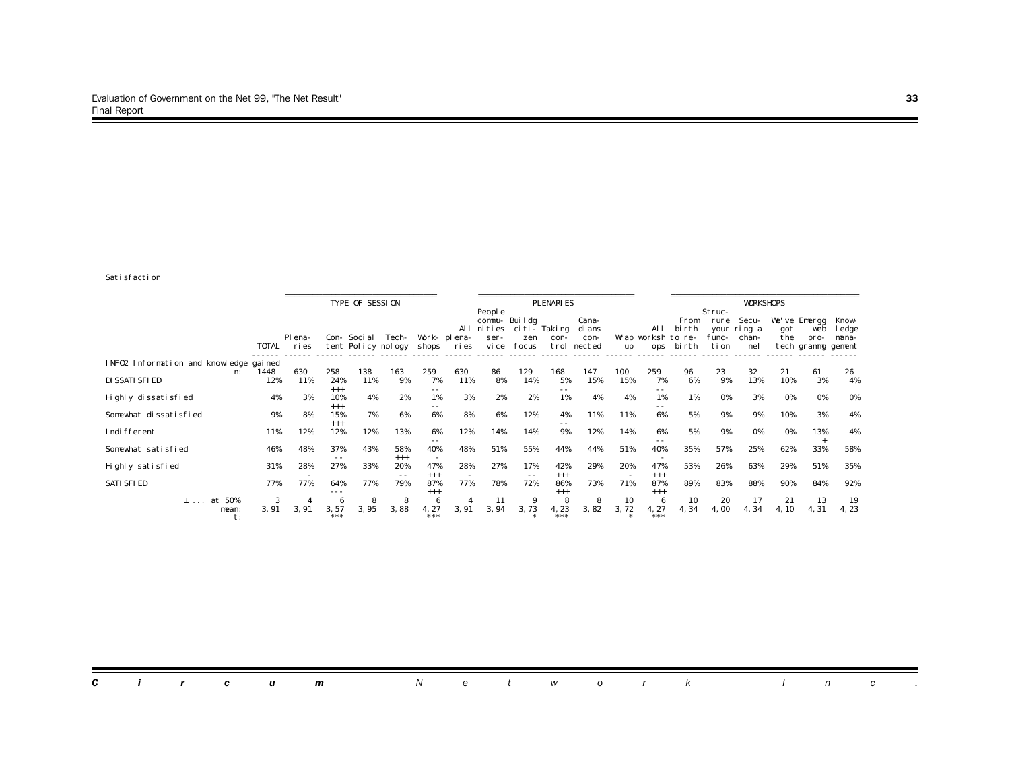|                                        |              |                 |                              | TYPE OF SESSION |                             |                               |                     | People                      |                              | <b>PLENARIES</b>             |                                        |                                 |                               |                                                | Struc-                | <b>WORKSHOPS</b>                     |             |                                                   |                          |
|----------------------------------------|--------------|-----------------|------------------------------|-----------------|-----------------------------|-------------------------------|---------------------|-----------------------------|------------------------------|------------------------------|----------------------------------------|---------------------------------|-------------------------------|------------------------------------------------|-----------------------|--------------------------------------|-------------|---------------------------------------------------|--------------------------|
|                                        | <b>TOTAL</b> | Pl ena-<br>ries |                              | Con-Social      | Tech-<br>tent Policy nology | shops                         | Work-plena-<br>ries | All nities<br>ser-<br>vi ce | commu-Buildg<br>zen<br>focus | citi- Taking<br>con-         | Cana-<br>di ans<br>con-<br>trol nected | up                              | Al l<br>ops                   | From<br>bi rth<br>Wrap worksh to re-<br>bi rth | rure<br>func-<br>tion | Secu-<br>your ring a<br>chan-<br>nel | got<br>the  | We've Emergg<br>web<br>pro-<br>tech grammg gement | Know-<br>l edge<br>mana- |
| INF02 Information and knowledge gained |              |                 |                              |                 |                             |                               |                     |                             |                              |                              |                                        |                                 |                               |                                                |                       |                                      |             |                                                   |                          |
| $\mathbf{n}$ :<br>DI SSATI SFI ED      | 1448<br>12%  | 630<br>11%      | 258<br>24%                   | 138<br>11%      | 163<br>9%                   | 259<br>7%                     | 630<br>11%          | 86<br>8%                    | 129<br>14%                   | 168<br>5%                    | 147<br>15%                             | 100<br>15%                      | 259<br>7%                     | 96<br>6%                                       | 23<br>9%              | 32<br>13%                            | 21<br>10%   | 61<br>3%                                          | 26<br>4%                 |
| Highly dissatisfied                    | 4%           | 3%              | $^{+++}$<br>10%              | 4%              | 2%                          | 1%                            | 3%                  | 2%                          | 2%                           | 1%                           | 4%                                     | 4%                              | 1%                            | 1%                                             | 0%                    | 3%                                   | 0%          | 0%                                                | 0%                       |
| Somewhat dissatisfied                  | 9%           | 8%              | $^{+++}$<br>15%              | 7%              | 6%                          | $ -$<br>6%                    | 8%                  | 6%                          | 12%                          | 4%                           | 11%                                    | 11%                             | $ -$<br>6%                    | 5%                                             | 9%                    | 9%                                   | 10%         | 3%                                                | 4%                       |
| Indifferent                            | 11%          | 12%             | $^{+++}$<br>12%              | 12%             | 13%                         | 6%                            | 12%                 | 14%                         | 14%                          | 9%                           | 12%                                    | 14%                             | 6%                            | 5%                                             | 9%                    | 0%                                   | 0%          | 13%                                               | 4%                       |
| Somewhat satisfied                     | 46%          | 48%             | 37%                          | 43%             | 58%                         | $ -$<br>40%                   | 48%                 | 51%                         | 55%                          | 44%                          | 44%                                    | 51%                             | $- -$<br>40%                  | 35%                                            | 57%                   | 25%                                  | 62%         | 33%                                               | 58%                      |
| Highly satisfied                       | 31%          | 28%             | $- -$<br>27%                 | 33%             | $^{+++}$<br>20%             | 47%                           | 28%                 | 27%                         | 17%                          | 42%                          | 29%                                    | 20%                             | 47%                           | 53%                                            | 26%                   | 63%                                  | 29%         | 51%                                               | 35%                      |
| <b>SATI SFIED</b>                      | 77%          | 77%             | 64%                          | 77%             | $- -$<br>79%                | $^{+++}$<br>87%               | $\sim$<br>77%       | 78%                         | $\sim$ $\sim$<br>72%         | $^{+++}$<br>86%              | 73%                                    | $\overline{\phantom{a}}$<br>71% | $^{+++}$<br>87%               | 89%                                            | 83%                   | 88%                                  | 90%         | 84%                                               | 92%                      |
| at 50%:<br>$\pm$<br>mean:<br>t:        | 3<br>3, 91   | 4<br>3, 91      | $- - -$<br>6<br>3, 57<br>*** | 8<br>3, 95      | 8<br>3,88                   | $^{+++}$<br>6<br>4, 27<br>*** | 4<br>3, 91          | 11<br>3, 94                 | 9<br>3,73                    | $^{+++}$<br>8<br>4,23<br>*** | 8<br>3,82                              | 10<br>3,72                      | $^{+++}$<br>6<br>4, 27<br>*** | 10<br>4,34                                     | 20<br>4,00            | 17<br>4,34                           | 21<br>4, 10 | 13<br>4, 31                                       | 19<br>4,23               |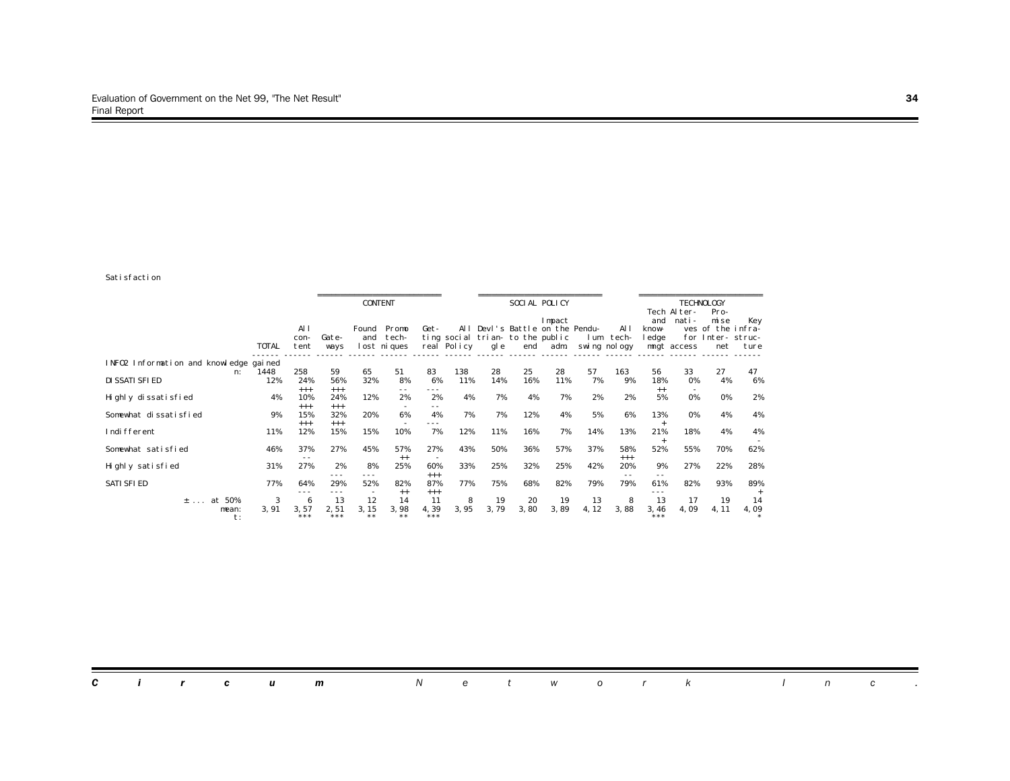|                                        |              |                             |                             |                   | <b>CONTENT</b>                |                       |                     |            |                                                                 | SOCIAL POLICY      |             |                                   |                       |                      | <b>TECHNOLOGY</b>                                      |                 |
|----------------------------------------|--------------|-----------------------------|-----------------------------|-------------------|-------------------------------|-----------------------|---------------------|------------|-----------------------------------------------------------------|--------------------|-------------|-----------------------------------|-----------------------|----------------------|--------------------------------------------------------|-----------------|
|                                        |              |                             |                             |                   |                               |                       |                     |            |                                                                 |                    |             |                                   |                       | Tech Alter-          | $Pro-$                                                 |                 |
|                                        | <b>TOTAL</b> | Al 1<br>con-<br>tent        | Gate-<br>ways               | Found<br>and      | Promo<br>tech-<br>lost niques | Get-                  | Al 1<br>real Policy | gl e       | Devl's Battle on the Pendu-<br>ting social trian- to the public | Impact<br>end adm. |             | Al 1<br>lum tech-<br>swing nology | and<br>know-<br>ledge | nati-<br>mngt access | mi se<br>ves of the infra-<br>for Inter- struc-<br>net | Key<br>ture     |
| INF02 Information and knowledge gained |              |                             |                             |                   |                               |                       |                     |            |                                                                 |                    |             |                                   |                       |                      |                                                        |                 |
| n:<br>DI SSATI SFI ED                  | 1448<br>12%  | 258<br>24%                  | 59<br>56%                   | 65<br>32%         | 51<br>8%                      | 83<br>6%              | 138<br>11%          | 28<br>14%  | 25<br>16%                                                       | 28<br>11%          | 57<br>7%    | 163<br>9%                         | 56<br>18%             | 33<br><b>0%</b>      | 27<br>4%                                               | 47<br>6%        |
| Highly dissatisfied                    | 4%           | $^{+++}$<br>10%<br>$^{+++}$ | $^{+++}$<br>24%             | 12%               | $ -$<br>2%                    | - - -<br>2%           | 4%                  | 7%         | 4%                                                              | 7%                 | 2%          | 2%                                | $^{++}$<br>5%         | 0%                   | 0%                                                     | 2%              |
| Somewhat dissatisfied                  | 9%           | 15%<br>$^{+++}$             | $^{+++}$<br>32%<br>$^{+++}$ | 20%               | 6%                            | $ -$<br>4%<br>$- - -$ | 7%                  | 7%         | 12%                                                             | 4%                 | 5%          | 6%                                | 13%                   | 0%                   | 4%                                                     | 4%              |
| Indifferent                            | 11%          | 12%                         | 15%                         | 15%               | 10%                           | 7%                    | 12%                 | 11%        | 16%                                                             | 7%                 | 14%         | 13%                               | 21%                   | 18%                  | 4%                                                     | 4%              |
| Somewhat satisfied                     | 46%          | 37%<br>$ -$                 | 27%                         | 45%               | 57%<br>$^{++}$                | 27%                   | 43%                 | 50%        | 36%                                                             | 57%                | 37%         | 58%<br>$^{+++}$                   | 52%                   | 55%                  | 70%                                                    | 62%             |
| Highly satisfied                       | 31%          | 27%                         | 2%                          | 8%<br>$- - -$     | 25%                           | 60%<br>$^{+++}$       | 33%                 | 25%        | 32%                                                             | 25%                | 42%         | 20%<br>$\sim$ $\sim$              | 9%                    | 27%                  | 22%                                                    | 28%             |
| <b>SATI SFIED</b>                      | 77%          | 64%<br>$= - -$              | 29%<br>$- - -$              | 52%               | 82%<br>$^{++}$                | 87%<br>$^{+++}$       | 77%                 | 75%        | 68%                                                             | 82%                | 79%         | 79%                               | 61%<br>$- - -$        | 82%                  | 93%                                                    | 89%             |
| at 50%:<br>$\pm$<br>mean:<br>t:        | 3<br>3,91    | 6<br>3,57<br>***            | 13<br>2,51<br>***           | 12<br>3, 15<br>** | 14<br>3,98<br>**              | 11<br>4,39<br>***     | 8<br>3,95           | 19<br>3,79 | 20<br>3,80                                                      | 19<br>3,89         | 13<br>4, 12 | 8<br>3.88                         | 13<br>3, 46<br>***    | 17<br>4,09           | 19<br>4, 11                                            | ÷<br>14<br>4,09 |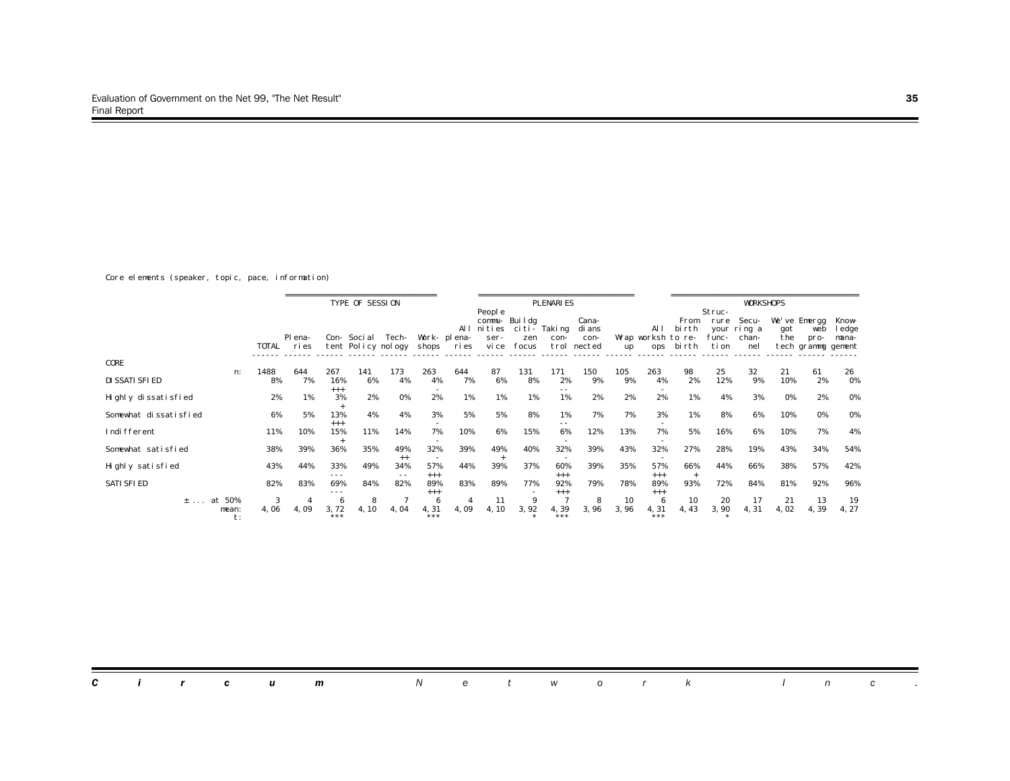Core elements (speaker, topic, pace, information)

|                                 |              | TYPE OF SESSION |                  |            |                                        |                  |                     |                                       |                              | <b>PLENARIES</b>             |                                   |            |                  |                                                |                                 |                                      | <b>WORKSHOPS</b> |                                                   |                          |
|---------------------------------|--------------|-----------------|------------------|------------|----------------------------------------|------------------|---------------------|---------------------------------------|------------------------------|------------------------------|-----------------------------------|------------|------------------|------------------------------------------------|---------------------------------|--------------------------------------|------------------|---------------------------------------------------|--------------------------|
|                                 | <b>TOTAL</b> | Pl ena-<br>ries |                  |            | Con-Social Tech-<br>tent Policy nology | shops            | Work-plena-<br>ries | People<br>All nities<br>ser-<br>vi ce | commu-Buildg<br>zen<br>focus | citi- Taking<br>con-<br>trol | Cana-<br>di ans<br>con-<br>nected | up         | Al 1<br>ops      | From<br>bi rth<br>Wrap worksh to re-<br>bi rth | Struc-<br>rure<br>func-<br>tion | Secu-<br>your ring a<br>chan-<br>nel | got<br>the       | We've Emergg<br>web<br>pro-<br>tech grammg gement | Know-<br>l edge<br>mana- |
| <b>CORE</b>                     |              |                 |                  |            |                                        |                  |                     |                                       |                              |                              |                                   |            |                  |                                                |                                 |                                      |                  |                                                   |                          |
| n:<br>DI SSATI SFI ED           | 1488<br>8%   | 644<br>7%       | 267<br>16%       | 141<br>6%  | 173<br>4%                              | 263<br>4%        | 644<br>7%           | 87<br>6%                              | 131<br>8%                    | 171<br>2%                    | 150<br>9%                         | 105<br>9%  | 263<br>4%        | 98<br>$2\%$                                    | 25<br>12%                       | 32<br>9%                             | 21<br>10%        | 61<br>2%                                          | 26<br>0%                 |
| Highly dissatisfied             | 2%           | 1%              | $^{+++}$<br>3%   | 2%         | 0%                                     | 2%               | 1%                  | 1%                                    | 1%                           | 1%                           | 2%                                | 2%         | 2%               | 1%                                             | 4%                              | 3%                                   | 0%               | 2%                                                | 0%                       |
| Somewhat dissatisfied           | 6%           | 5%              | 13%<br>$+++$     | 4%         | 4%                                     | 3%               | 5%                  | 5%                                    | 8%                           | 1%                           | 7%                                | 7%         | 3%               | 1%                                             | 8%                              | 6%                                   | 10%              | 0%                                                | <b>0%</b>                |
| Indifferent                     | 11%          | 10%             | 15%              | 11%        | 14%                                    | 7%               | 10%                 | 6%                                    | 15%                          | 6%                           | 12%                               | 13%        | 7%               | 5%                                             | 16%                             | 6%                                   | 10%              | 7%                                                | 4%                       |
| Somewhat satisfied              | 38%          | 39%             | 36%              | 35%        | 49%<br>$^{++}$                         | 32%              | 39%                 | 49%                                   | 40%                          | 32%                          | 39%                               | 43%        | 32%              | 27%                                            | 28%                             | 19%                                  | 43%              | 34%                                               | 54%                      |
| Highly satisfied                | 43%          | 44%             | 33%<br>- - -     | 49%        | 34%<br>- -                             | 57%<br>$^{+++}$  | 44%                 | 39%                                   | 37%                          | 60%<br>$^{+++}$              | 39%                               | 35%        | 57%<br>$^{+++}$  | 66%<br>$+$                                     | 44%                             | 66%                                  | 38%              | 57%                                               | 42%                      |
| <b>SATI SFIED</b>               | 82%          | 83%             | 69%<br>$- - -$   | 84%        | 82%                                    | 89%<br>$^{+++}$  | 83%                 | 89%                                   | 77%                          | 92%<br>$^{+++}$              | 79%                               | 78%        | 89%<br>$^{+++}$  | 93%                                            | 72%                             | 84%                                  | 81%              | 92%                                               | 96%                      |
| at 50%:<br>$\pm$<br>mean:<br>t: | 3<br>4.06    | 4<br>4,09       | 6<br>3,72<br>*** | 8<br>4, 10 | 4,04                                   | 6<br>4,31<br>*** | 4<br>4,09           | 11<br>4, 10                           | 9<br>3, 92                   | 4,39<br>***                  | 8<br>3,96                         | 10<br>3,96 | 6<br>4,31<br>*** | 10<br>4, 43                                    | 20<br>3,90                      | 17<br>4, 31                          | 21<br>4,02       | 13<br>4,39                                        | 19<br>4, 27              |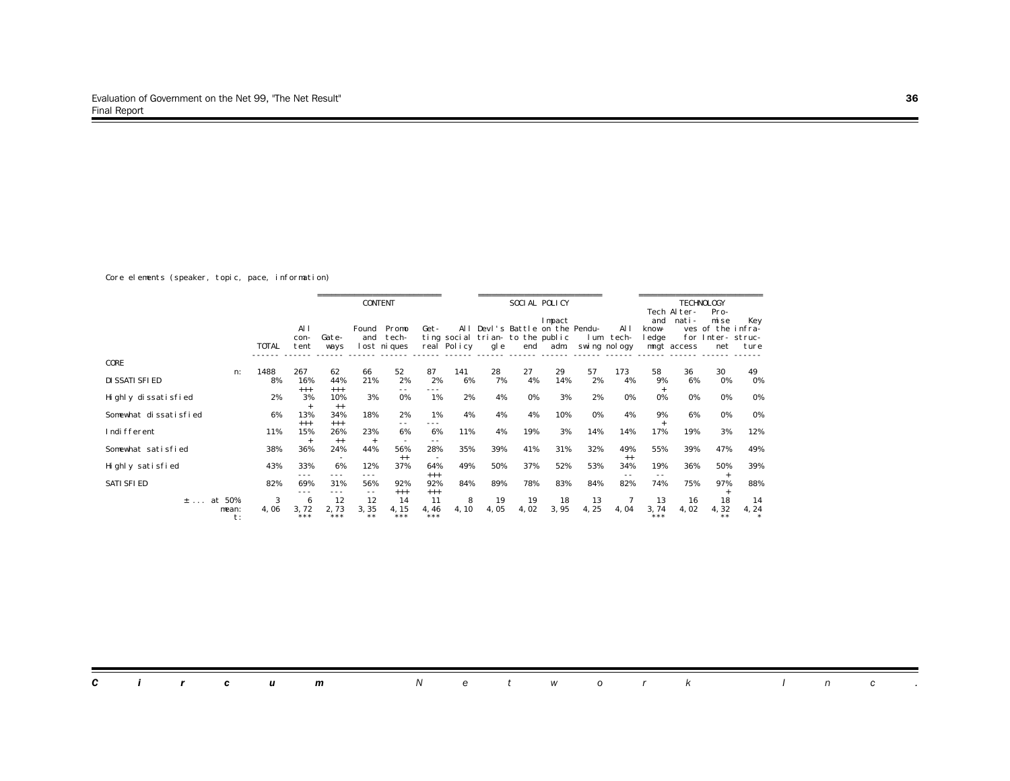Core elements (speaker, topic, pace, information)

|                                 |              |                       |                            |                      | <b>CONTENT</b>                 |                                 |             |            |                                                                            | SOCIAL POLICY  |             |                                   |                        | Tech Alter-          | <b>TECHNOLOGY</b><br>Pro-                              |             |
|---------------------------------|--------------|-----------------------|----------------------------|----------------------|--------------------------------|---------------------------------|-------------|------------|----------------------------------------------------------------------------|----------------|-------------|-----------------------------------|------------------------|----------------------|--------------------------------------------------------|-------------|
|                                 | <b>TOTAL</b> | Al 1<br>con-<br>tent  | Gate-<br>ways              | Found<br>and         | Promo<br>tech-<br>lost niques  | Get-                            | real Policy | gl e       | All Devl's Battle on the Pendu-<br>ting social trian- to the public<br>end | Impact<br>adm. |             | Al 1<br>lum tech-<br>swing nology | and<br>know-<br>l edge | nati-<br>mngt access | mi se<br>ves of the infra-<br>for Inter- struc-<br>net | Key<br>ture |
| <b>CORE</b>                     |              |                       |                            |                      |                                |                                 |             |            |                                                                            |                |             |                                   |                        |                      |                                                        |             |
| n:<br>DI SSATI SFI ED           | 1488<br>8%   | 267<br>16%            | 62<br>44%                  | 66<br>21%            | 52<br>2%                       | 87<br>2%                        | 141<br>6%   | 28<br>7%   | 27<br>4%                                                                   | 29<br>14%      | 57<br>2%    | 173<br>4%                         | 58<br>9%               | 36<br>6%             | 30<br>0%                                               | 49<br>0%    |
| Highly dissatisfied             | 2%           | $^{+++}$<br>3%<br>$+$ | $^{+++}$<br>10%<br>$^{++}$ | 3%                   | - -<br>0%                      | 1%                              | 2%          | 4%         | 0%                                                                         | 3%             | 2%          | 0%                                | 0%                     | 0%                   | 0%                                                     | 0%          |
| Somewhat dissatisfied           | 6%           | 13%<br>$^{+++}$       | 34%<br>$^{+++}$            | 18%                  | 2%<br>- -                      | 1%<br>$- - -$                   | 4%          | 4%         | 4%                                                                         | 10%            | 0%          | 4%                                | 9%                     | 6%                   | 0%                                                     | 0%          |
| Indifferent                     | 11%          | 15%                   | 26%<br>$^{++}$             | 23%<br>$+$           | 6%                             | 6%<br>$\sim$ $\sim$             | 11%         | 4%         | 19%                                                                        | 3%             | 14%         | 14%                               | 17%                    | 19%                  | 3%                                                     | 12%         |
| Somewhat satisfied              | 38%          | 36%                   | 24%                        | 44%                  | 56%<br>$^{++}$                 | 28%<br>$\overline{\phantom{a}}$ | 35%         | 39%        | 41%                                                                        | 31%            | 32%         | 49%<br>$^{++}$                    | 55%                    | 39%                  | 47%                                                    | 49%         |
| Highly satisfied                | 43%          | 33%<br>$- - -$        | 6%                         | 12%<br>$- - -$       | 37%                            | 64%<br>$^{+++}$                 | 49%         | 50%        | 37%                                                                        | 52%            | 53%         | 34%                               | 19%                    | 36%                  | 50%                                                    | 39%         |
| <b>SATI SFIED</b>               | 82%          | 69%<br>$- - -$        | 31%<br>$- - -$             | 56%<br>$\sim$ $\sim$ | 92%                            | 92%                             | 84%         | 89%        | 78%                                                                        | 83%            | 84%         | 82%                               | 74%                    | 75%                  | $\overline{+}$<br>97%                                  | 88%         |
| at 50%:<br>$\pm$<br>mean:<br>t: | 3<br>4,06    | 6<br>3,72<br>***      | 12<br>2,73<br>***          | 12<br>3, 35<br>**    | $^{+++}$<br>14<br>4, 15<br>*** | $^{+++}$<br>11<br>4,46<br>***   | 8<br>4, 10  | 19<br>4,05 | 19<br>4,02                                                                 | 18<br>3,95     | 13<br>4, 25 | 4,04                              | 13<br>3,74<br>***      | 16<br>4,02           | $+$<br>18<br>4,32<br>**                                | 14<br>4, 24 |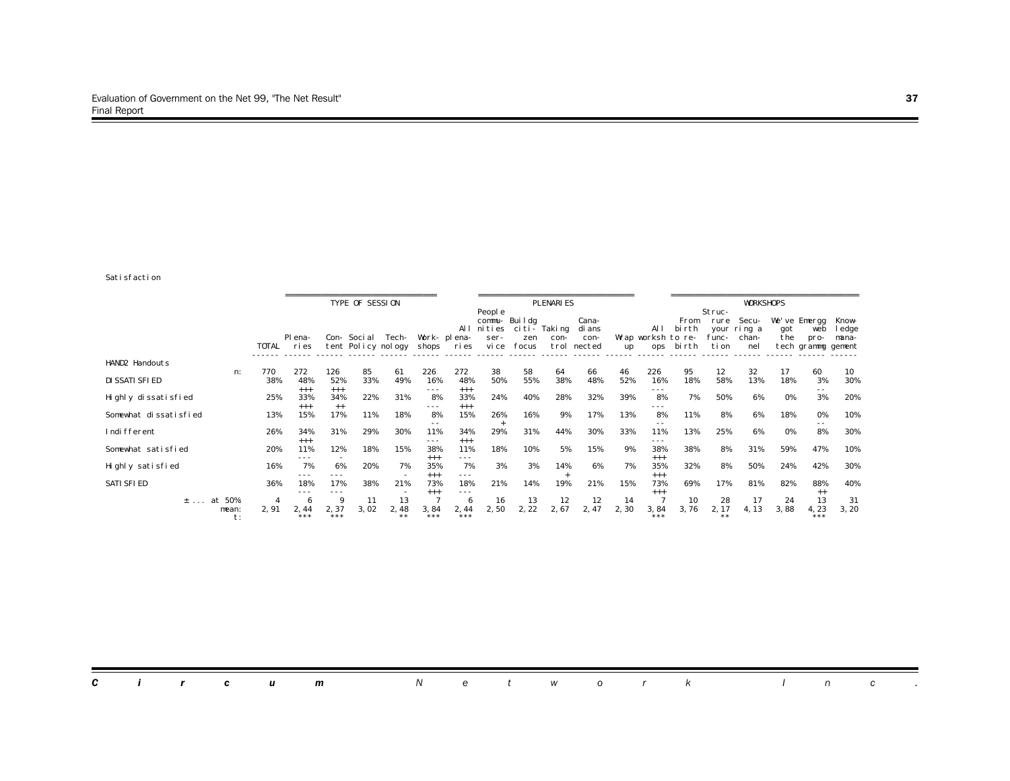|                                 |              |                              |                  | TYPE OF SESSION |                                 |                         |                                 |                    |                                   | <b>PLENARIES</b>            |                                   |            |                         |                                                |                       | <b>WORKSHOPS</b>                     |            |                                                   |                          |
|---------------------------------|--------------|------------------------------|------------------|-----------------|---------------------------------|-------------------------|---------------------------------|--------------------|-----------------------------------|-----------------------------|-----------------------------------|------------|-------------------------|------------------------------------------------|-----------------------|--------------------------------------|------------|---------------------------------------------------|--------------------------|
|                                 |              |                              |                  |                 |                                 |                         |                                 | Peopl e            |                                   |                             |                                   |            |                         |                                                | Struc-                |                                      |            |                                                   |                          |
|                                 | <b>TOTAL</b> | Pl ena-<br>ries              |                  | Con-Social      | Tech-<br>tent Policy nology     | shops                   | Work-plena-<br>ries             | All nities<br>ser- | commu-Buildg<br>zen<br>vice focus | citi-Taking<br>con-<br>trol | Cana-<br>di ans<br>con-<br>nected | up         | All<br>ops              | From<br>bi rth<br>Wrap worksh to re-<br>bi rth | rure<br>func-<br>tion | Secu-<br>your ring a<br>chan-<br>nel | got<br>the | We've Emergg<br>web<br>pro-<br>tech grammg gement | Know-<br>l edge<br>mana- |
| HAND2 Handouts                  |              |                              |                  |                 |                                 |                         |                                 |                    |                                   |                             |                                   |            |                         |                                                |                       |                                      |            |                                                   |                          |
| n:<br>DI SSATI SFI ED           | 770<br>38%   | 272<br>48%                   | 126<br>52%       | 85<br>33%       | 61<br>49%                       | 226<br>16%              | 272<br>48%                      | 38<br>50%          | 58<br>55%                         | 64<br>38%                   | 66<br>48%                         | 46<br>52%  | 226<br>16%              | 95<br>18%                                      | 12<br>58%             | 32<br>13%                            | 17<br>18%  | 60<br>3%                                          | 10<br>30%                |
| Highly dissatisfied             | 25%          | $^{+++}$<br>33%              | $^{+++}$<br>34%  | 22%             | 31%                             | $\frac{1}{2}$<br>8%     | $^{+++}$<br>33%                 | 24%                | 40%                               | 28%                         | 32%                               | 39%        | $- - -$<br>8%           | 7%                                             | 50%                   | 6%                                   | 0%         | $\cdots$<br>3%                                    | 20%                      |
| Somewhat dissatisfied           | 13%          | $^{+++}$<br>15%              | $^{++}$<br>17%   | 11%             | 18%                             | $- - -$<br>8%           | $^{+++}$<br>15%                 | 26%                | 16%                               | 9%                          | 17%                               | 13%        | $- - -$<br>8%           | 11%                                            | 8%                    | 6%                                   | 18%        | 0%                                                | 10%                      |
| Indifferent                     | 26%          | 34%                          | 31%              | 29%             | 30%                             | $ -$<br>11%             | 34%                             | 29%                | 31%                               | 44%                         | 30%                               | 33%        | - -<br>11%              | 13%                                            | 25%                   | 6%                                   | 0%         | $\cdots$<br>8%                                    | 30%                      |
| Somewhat satisfied              | 20%          | $^{+++}$<br>11%              | 12%              | 18%             | 15%                             | $- - -$<br>38%          | $^{+++}$<br>11%                 | 18%                | 10%                               | 5%                          | 15%                               | 9%         | $- - -$<br>38%          | 38%                                            | 8%                    | 31%                                  | 59%        | 47%                                               | 10%                      |
| Highly satisfied                | 16%          | $- - -$<br>7%                | 6%               | 20%             | 7%                              | $^{+++}$<br>35%         | $- - -$<br>7%                   | 3%                 | 3%                                | 14%                         | 6%                                | 7%         | $^{+++}$<br>35%         | 32%                                            | 8%                    | 50%                                  | 24%        | 42%                                               | 30%                      |
| <b>SATI SFIED</b>               | 36%          | $- - -$<br>18%               | $- - -$<br>17%   | 38%             | $\overline{\phantom{a}}$<br>21% | $^{+++}$<br>73%         | $- - -$<br>18%                  | 21%                | 14%                               | 19%                         | 21%                               | 15%        | $^{+++}$<br>73%         | 69%                                            | 17%                   | 81%                                  | 82%        | 88%                                               | 40%                      |
| at 50%:<br>$\pm$<br>mean:<br>t: | 4<br>2,91    | $- - -$<br>6<br>2, 44<br>*** | 9<br>2,37<br>*** | 11<br>3,02      | 13<br>2,48<br>**                | $^{+++}$<br>3,84<br>*** | $- - - -$<br>-6<br>2, 44<br>*** | 16<br>2,50         | 13<br>2, 22                       | 12<br>2,67                  | 12<br>2, 47                       | 14<br>2,30 | $^{+++}$<br>3,84<br>*** | 10<br>3,76                                     | 28<br>2, 17<br>**     | 17<br>4, 13                          | 24<br>3,88 | $^{++}$<br>13<br>4,23<br>***                      | 31<br>3, 20              |

|  |  |  |  |  |  |  | <b>Circum</b> Network Inc. |  |  |  |  |  |  |  |  |  |  |  |
|--|--|--|--|--|--|--|----------------------------|--|--|--|--|--|--|--|--|--|--|--|
|--|--|--|--|--|--|--|----------------------------|--|--|--|--|--|--|--|--|--|--|--|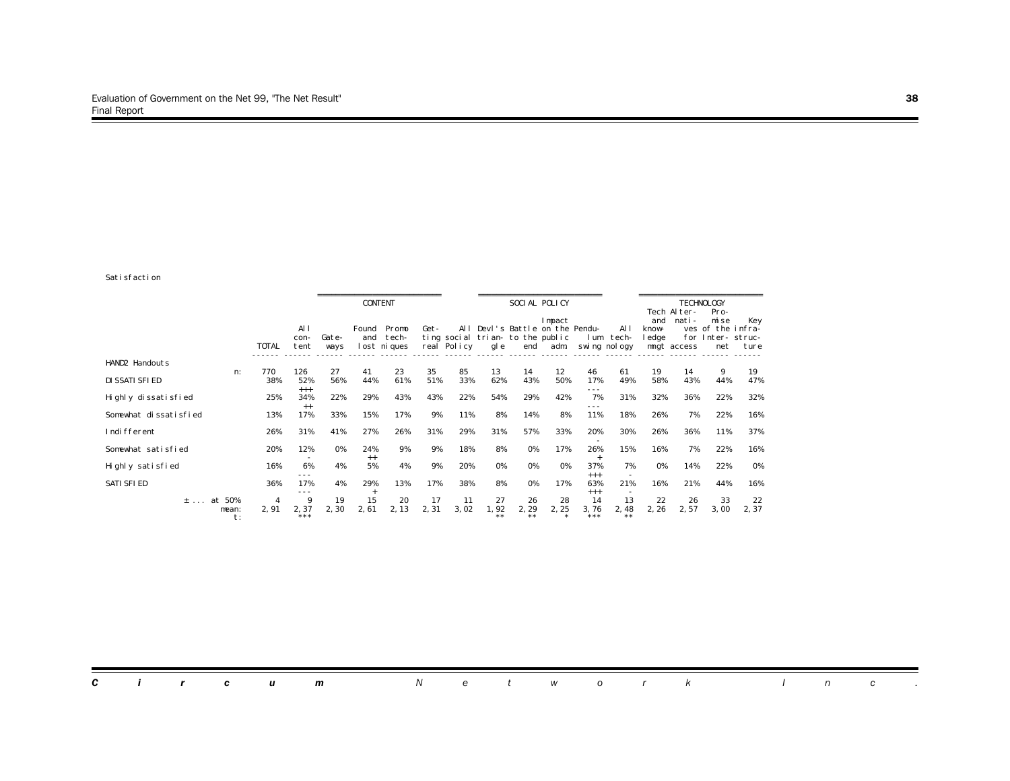|                                 |                        |                      |               | <b>CONTENT</b>               | ----------------------------  |             |                     |                  | <b>SOCIAL POLICY</b>                                            |                     |                               |                                   |                        |                                     | <b>TECHNOLOGY</b>                                              |             |
|---------------------------------|------------------------|----------------------|---------------|------------------------------|-------------------------------|-------------|---------------------|------------------|-----------------------------------------------------------------|---------------------|-------------------------------|-----------------------------------|------------------------|-------------------------------------|----------------------------------------------------------------|-------------|
|                                 | <b>TOTAL</b>           | Al 1<br>con-<br>tent | Gate-<br>ways | Found<br>and                 | Promo<br>tech-<br>lost niques | Get-        | Al 1<br>real Policy | gl e             | Devl's Battle on the Pendu-<br>ting social trian- to the public | Impact<br>end adm.  |                               | Al 1<br>lum tech-<br>swing nology | and<br>know-<br>l edge | Tech Alter-<br>nati-<br>mngt access | Pro-<br>mi se<br>ves of the infra-<br>for Inter- struc-<br>net | Key<br>ture |
| HAND2 Handouts                  |                        |                      |               |                              |                               |             |                     |                  |                                                                 |                     |                               |                                   |                        |                                     |                                                                |             |
| n:<br>DI SSATI SFI ED           | 770<br>38%             | 126<br>52%           | 27<br>56%     | 41<br>44%                    | 23<br>61%                     | 35<br>51%   | 85<br>33%           | 13<br>62%        | 14<br>43%                                                       | 12<br>50%           | 46<br>17%                     | 61<br>49%                         | 19<br>58%              | 14<br>43%                           | 9<br>44%                                                       | 19<br>47%   |
| Highly dissatisfied             | 25%                    | $^{+++}$<br>34%      | 22%           | 29%                          | 43%                           | 43%         | 22%                 | 54%              | 29%                                                             | 42%                 | - - -<br>7%                   | 31%                               | 32%                    | 36%                                 | 22%                                                            | 32%         |
| Somewhat dissatisfied           | 13%                    | $^{++}$<br>17%       | 33%           | 15%                          | 17%                           | 9%          | 11%                 | 8%               | 14%                                                             | 8%                  | $- - -$<br>11%                | 18%                               | 26%                    | 7%                                  | 22%                                                            | 16%         |
| Indifferent                     | 26%                    | 31%                  | 41%           | 27%                          | 26%                           | 31%         | 29%                 | 31%              | 57%                                                             | 33%                 | 20%                           | 30%                               | 26%                    | 36%                                 | 11%                                                            | 37%         |
| Somewhat satisfied              | 20%                    | 12%                  | 0%            | 24%                          | 9%                            | 9%          | 18%                 | 8%               | 0%                                                              | 17%                 | 26%                           | 15%                               | 16%                    | 7%                                  | 22%                                                            | 16%         |
| Highly satisfied                | 16%                    | 6%                   | 4%            | $^{++}$<br>5%                | 4%                            | 9%          | 20%                 | 0%               | 0%                                                              | 0%                  | $+$<br>37%                    | 7%                                | 0%                     | 14%                                 | 22%                                                            | 0%          |
| <b>SATI SFIED</b>               | 36%                    | $- - -$<br>17%       | 4%            | 29%                          | 13%                           | 17%         | 38%                 | 8%               | 0%                                                              | 17%                 | $^{+++}$<br>63%               | $\overline{\phantom{a}}$<br>21%   | 16%                    | 21%                                 | 44%                                                            | 16%         |
| at 50%:<br>$\pm$<br>mean:<br>t: | $\overline{4}$<br>2,91 | 9<br>2,37<br>***     | 19<br>2,30    | $\overline{ }$<br>15<br>2,61 | 20<br>2, 13                   | 17<br>2, 31 | 11<br>3,02          | 27<br>1,92<br>** | 26<br>2, 29<br>**                                               | 28<br>2, 25<br>- 28 | $^{+++}$<br>14<br>3,76<br>*** | 13<br>2,48<br>**                  | 22<br>2, 26            | 26<br>2,57                          | 33<br>3,00                                                     | 22<br>2,37  |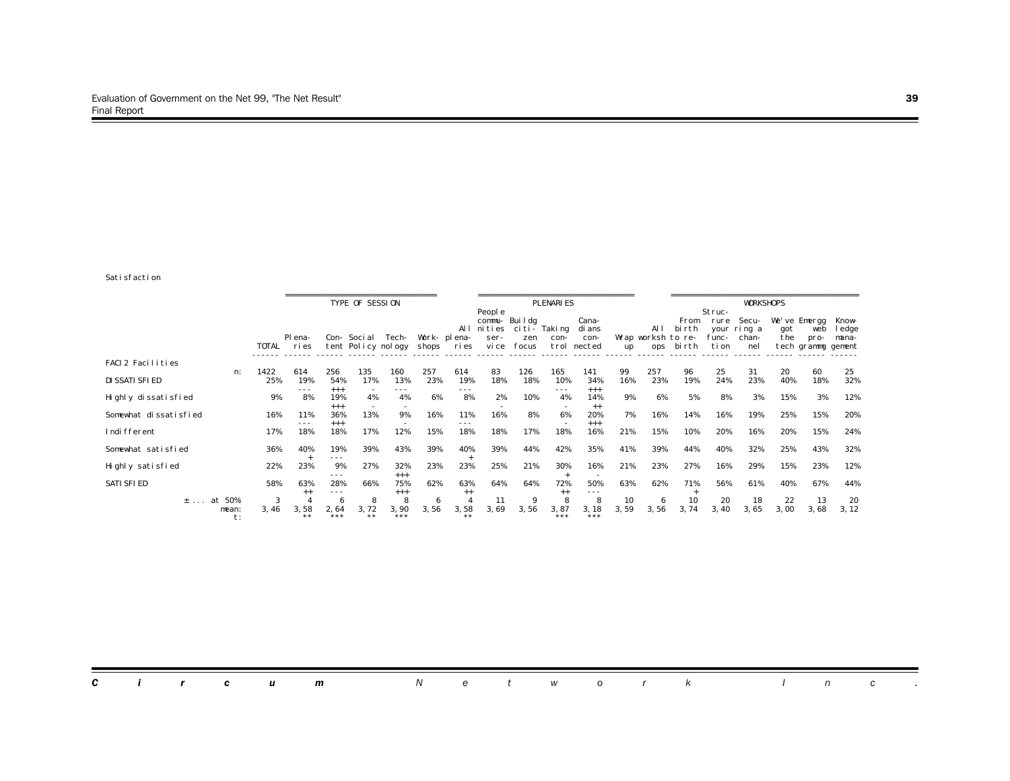|                                 | TYPE OF SESSION |                 |                             |                 |                                        |            |                              |                    |                                   |                             |                                        |            |             |                                                |                       |                                      |            |                                                   |                          |
|---------------------------------|-----------------|-----------------|-----------------------------|-----------------|----------------------------------------|------------|------------------------------|--------------------|-----------------------------------|-----------------------------|----------------------------------------|------------|-------------|------------------------------------------------|-----------------------|--------------------------------------|------------|---------------------------------------------------|--------------------------|
|                                 |                 |                 |                             |                 |                                        |            |                              | People             |                                   | <b>PLENARIES</b>            |                                        |            |             |                                                | Struc-                | <b>WORKSHOPS</b>                     |            |                                                   |                          |
|                                 | <b>TOTAL</b>    | Pl ena-<br>ries |                             |                 | Con-Social Tech-<br>tent Policy nology | shops      | Work-plena-<br>ries          | All nities<br>ser- | commu-Buildg<br>zen<br>vice focus | citi- Taking<br>con-        | Cana-<br>di ans<br>con-<br>trol nected | up         | Al 1<br>ops | From<br>bi rth<br>Wrap worksh to re-<br>bi rth | rure<br>func-<br>tion | Secu-<br>your ring a<br>chan-<br>nel | got<br>the | We've Emergg<br>web<br>pro-<br>tech grammg gement | Know-<br>l edge<br>mana- |
| FACI2 Facilities                |                 |                 |                             |                 |                                        |            |                              |                    |                                   |                             |                                        |            |             |                                                |                       |                                      |            |                                                   |                          |
| n:<br>DI SSATI SFI ED           | 1422<br>25%     | 614<br>19%      | 256<br>54%                  | 135<br>17%      | 160<br>13%                             | 257<br>23% | 614<br>19%                   | 83<br>18%          | 126<br>18%                        | 165<br>10%                  | 141<br>34%                             | 99<br>16%  | 257<br>23%  | 96<br>19%                                      | 25<br>24%             | 31<br>23%                            | 20<br>40%  | 60<br>18%                                         | 25<br>32%                |
| Highly dissatisfied             | 9%              | $- - -$<br>8%   | $^{+++}$<br>19%<br>$^{+++}$ | 4%              | - - -<br>4%                            | 6%         | $- - -$<br>8%                | 2%                 | 10%                               | $- - -$<br>4%               | $^{+++}$<br>14%<br>$^{++}$             | 9%         | 6%          | 5%                                             | 8%                    | 3%                                   | 15%        | 3%                                                | 12%                      |
| Somewhat dissatisfied           | 16%             | 11%<br>$- - -$  | 36%<br>$^{+++}$             | 13%             | 9%                                     | 16%        | 11%<br>$- - -$               | 16%                | 8%                                | 6%                          | 20%<br>$^{+++}$                        | 7%         | 16%         | 14%                                            | 16%                   | 19%                                  | 25%        | 15%                                               | 20%                      |
| Indi fferent                    | 17%             | 18%             | 18%                         | 17%             | 12%                                    | 15%        | 18%                          | 18%                | 17%                               | 18%                         | 16%                                    | 21%        | 15%         | 10%                                            | 20%                   | 16%                                  | 20%        | 15%                                               | 24%                      |
| Somewhat satisfied              | 36%             | 40%             | 19%<br>$- - -$              | 39%             | 43%                                    | 39%        | 40%<br>$^{+}$                | 39%                | 44%                               | 42%                         | 35%                                    | 41%        | 39%         | 44%                                            | 40%                   | 32%                                  | 25%        | 43%                                               | 32%                      |
| Highly satisfied                | 22%             | 23%             | 9%                          | 27%             | 32%                                    | 23%        | 23%                          | 25%                | 21%                               | 30%                         | 16%                                    | 21%        | 23%         | 27%                                            | 16%                   | 29%                                  | 15%        | 23%                                               | 12%                      |
| <b>SATI SFIED</b>               | 58%             | 63%<br>$^{++}$  | $- - -$<br>28%<br>$- - -$   | 66%             | $^{+++}$<br>75%<br>$^{+++}$            | 62%        | 63%<br>$^{++}$               | 64%                | 64%                               | $\ddot{}$<br>72%<br>$^{++}$ | 50%<br>$- - -$                         | 63%        | 62%         | 71%                                            | 56%                   | 61%                                  | 40%        | 67%                                               | 44%                      |
| at 50%:<br>$\pm$<br>mean:<br>t: | 3<br>3.46       | 4<br>3,58<br>** | 6<br>2,64<br>***            | 8<br>3,72<br>** | 8<br>3,90<br>***                       | 6<br>3,56  | $\overline{4}$<br>3,58<br>** | 11<br>3,69         | 9<br>3,56                         | 8<br>3,87<br>***            | 8<br>3, 18<br>***                      | 10<br>3,59 | 6<br>3,56   | 10<br>3,74                                     | 20<br>3, 40           | 18<br>3,65                           | 22<br>3,00 | 13<br>3,68                                        | 20<br>3, 12              |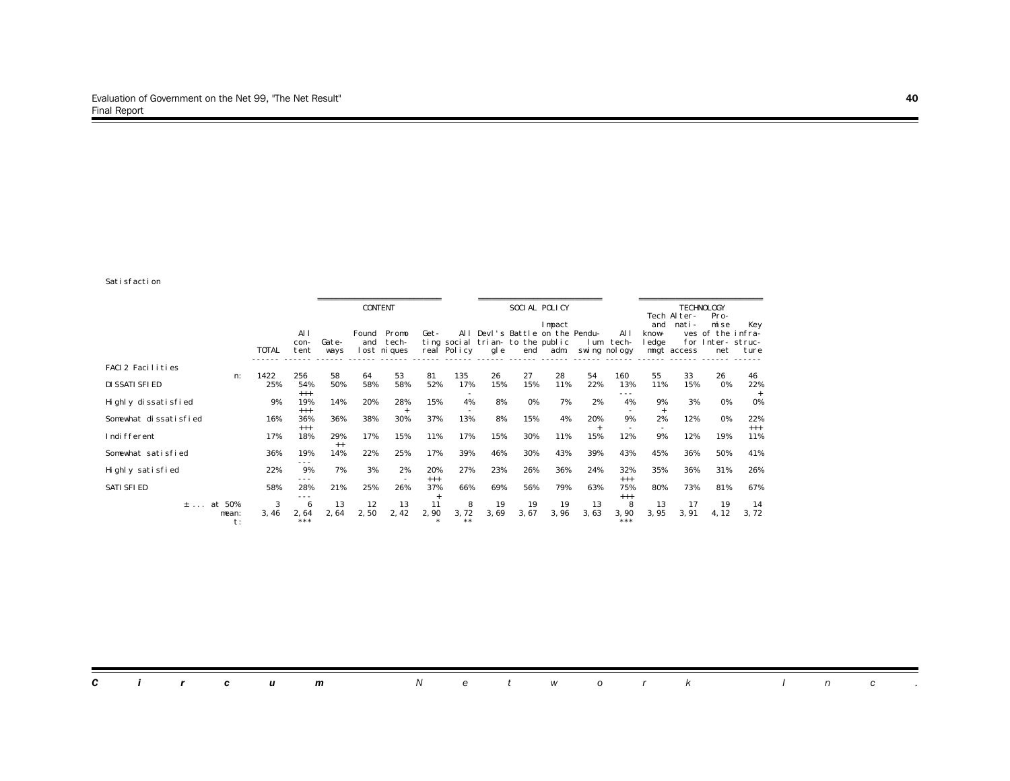|                       |         |              |                 |         |       | <b>CONTENT</b> |          |             |      |      | SOCIAL POLICY                    |      |              |       |             | <b>TECHNOLOGY</b> |                |
|-----------------------|---------|--------------|-----------------|---------|-------|----------------|----------|-------------|------|------|----------------------------------|------|--------------|-------|-------------|-------------------|----------------|
|                       |         |              |                 |         |       |                |          |             |      |      |                                  |      |              |       | Tech Alter- | Pro-              |                |
|                       |         |              |                 |         |       |                |          |             |      |      | Impact                           |      |              | and   | nati-       | mi se             | Key            |
|                       |         |              | AI <sub>1</sub> |         | Found | Promo          | Get-     | Al 1        |      |      | Devl's Battle on the Pendu-      |      | Al 1         | know- |             | ves of the infra- |                |
|                       |         |              | con-            | Gate-   | and   | tech-          |          |             |      |      | ting social trian- to the public |      | lum tech-    | ledge |             | for Inter- struc- |                |
|                       |         | <b>TOTAL</b> |                 |         |       |                |          |             |      |      |                                  |      |              |       |             |                   |                |
|                       |         |              | tent            | ways    |       | lost niques    |          | real Policy | gl e | end  | adm.                             |      | swing nology |       | mngt access | net               | ture           |
| FACI2 Facilities      |         |              |                 |         |       |                |          |             |      |      |                                  |      |              |       |             |                   |                |
|                       | n:      | 1422         | 256             | 58      | 64    | 53             | 81       | 135         | 26   | 27   | 28                               | 54   | 160          | 55    | 33          | 26                | 46             |
| DI SSATI SFI ED       |         | 25%          | 54%             | 50%     | 58%   | 58%            | 52%      | 17%         | 15%  | 15%  | 11%                              | 22%  | 13%          | 11%   | 15%         | 0%                | 22%            |
|                       |         |              | $^{+++}$        |         |       |                |          |             |      |      |                                  |      | $- - -$      |       |             |                   | $\overline{1}$ |
| Highly dissatisfied   |         | 9%           | 19%             | 14%     | 20%   | 28%            | 15%      | 4%          | 8%   | 0%   | 7%                               | 2%   | 4%           | 9%    | 3%          | 0%                | 0%             |
|                       |         |              | $^{+++}$        |         |       | $^{+}$         |          |             |      |      |                                  |      |              |       |             |                   |                |
| Somewhat dissatisfied |         | 16%          | 36%             | 36%     | 38%   | 30%            | 37%      | 13%         | 8%   | 15%  | 4%                               | 20%  | 9%           | 2%    | 12%         | 0%                | 22%            |
|                       |         |              | $+++$           |         |       |                |          |             |      |      |                                  | $+$  |              |       |             |                   | $^{+++}$       |
| Indifferent           |         | 17%          | 18%             | 29%     | 17%   | 15%            | 11%      | 17%         | 15%  | 30%  | 11%                              | 15%  | 12%          | 9%    | 12%         | 19%               | 11%            |
|                       |         |              |                 | $^{++}$ |       |                |          |             |      |      |                                  |      |              |       |             |                   |                |
| Somewhat satisfied    |         | 36%          | 19%             | 14%     | 22%   | 25%            | 17%      | 39%         | 46%  | 30%  | 43%                              | 39%  | 43%          | 45%   | 36%         | 50%               | 41%            |
|                       |         |              | $- - -$         |         |       |                |          |             |      |      |                                  |      |              |       |             |                   |                |
| Highly satisfied      |         | 22%          | 9%              | 7%      | 3%    | 2%             | 20%      | 27%         | 23%  | 26%  | 36%                              | 24%  | 32%          | 35%   | 36%         | 31%               | 26%            |
|                       |         |              | $- - -$         |         |       |                | $^{+++}$ |             |      |      |                                  |      | $^{+++}$     |       |             |                   |                |
| <b>SATI SFIED</b>     |         | 58%          | 28%             | 21%     | 25%   | 26%            | 37%      | 66%         | 69%  | 56%  | 79%                              | 63%  | 75%          | 80%   | 73%         | 81%               | 67%            |
|                       |         |              | $- - -$         |         |       |                | $+$      |             |      |      |                                  |      | $^{+++}$     |       |             |                   |                |
| $\pm$                 | at 50%: | 3            | 6               | 13      | 12    | 13             | 11       | 8           | 19   | 19   | 19                               | 13   | 8            | 13    | 17          | 19                | 14             |
|                       | mean:   | 3,46         | 2,64            | 2,64    | 2,50  | 2, 42          | 2,90     | 3,72        | 3,69 | 3,67 | 3,96                             | 3,63 | 3,90         | 3,95  | 3, 91       | 4, 12             | 3,72           |
|                       | t:      |              | ***             |         |       |                | $\ast$   | **          |      |      |                                  |      | ***          |       |             |                   |                |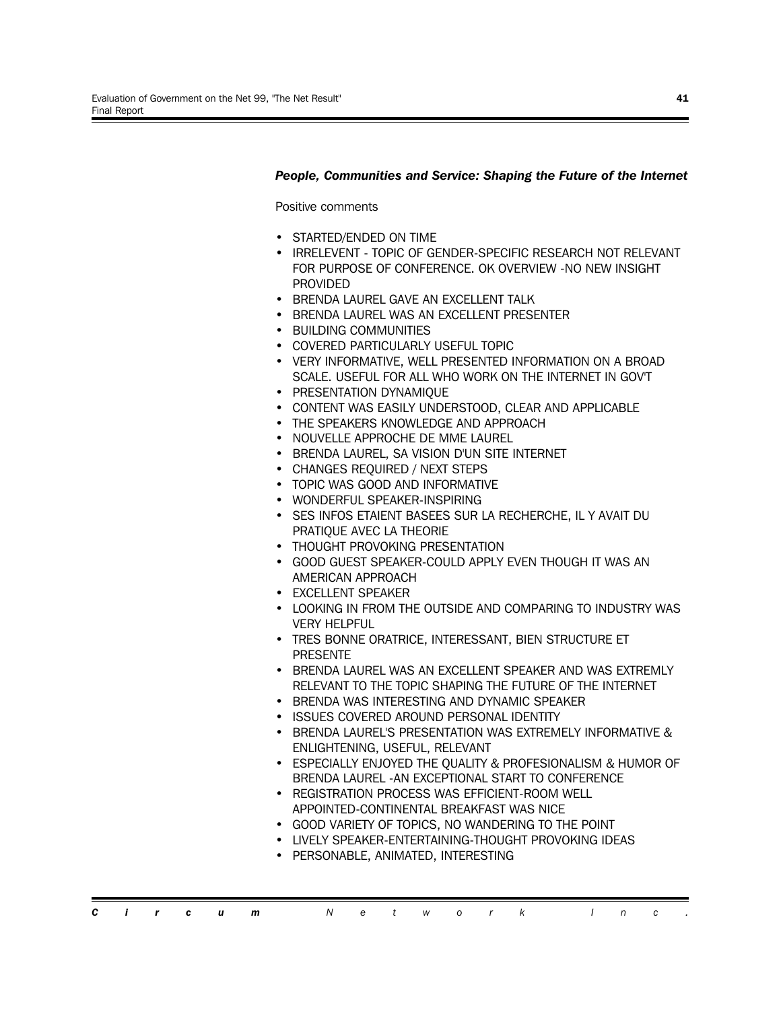- STARTED/ENDED ON TIME
- IRRELEVENT TOPIC OF GENDER-SPECIFIC RESEARCH NOT RELEVANT FOR PURPOSE OF CONFERENCE. OK OVERVIEW -NO NEW INSIGHT PROVIDED
- BRENDA LAUREL GAVE AN EXCELLENT TALK
- BRENDA LAUREL WAS AN EXCELLENT PRESENTER
- BUILDING COMMUNITIES
- COVERED PARTICULARLY USEFUL TOPIC
- VERY INFORMATIVE, WELL PRESENTED INFORMATION ON A BROAD SCALE. USEFUL FOR ALL WHO WORK ON THE INTERNET IN GOV'T
- PRESENTATION DYNAMIQUE
- CONTENT WAS EASILY UNDERSTOOD, CLEAR AND APPLICABLE
- THE SPEAKERS KNOWLEDGE AND APPROACH
- NOUVELLE APPROCHE DE MME LAUREL
- BRENDA LAUREL, SA VISION D'UN SITE INTERNET
- CHANGES REQUIRED / NEXT STEPS
- TOPIC WAS GOOD AND INFORMATIVE
- WONDERFUL SPEAKER-INSPIRING
- SES INFOS ETAIENT BASEES SUR LA RECHERCHE, IL Y AVAIT DU PRATIQUE AVEC LA THEORIE
- THOUGHT PROVOKING PRESENTATION
- GOOD GUEST SPEAKER-COULD APPLY EVEN THOUGH IT WAS AN AMERICAN APPROACH
- **FXCELLENT SPEAKER**
- LOOKING IN FROM THE OUTSIDE AND COMPARING TO INDUSTRY WAS VERY HELPFUL
- TRES BONNE ORATRICE, INTERESSANT, BIEN STRUCTURE ET PRESENTE
- BRENDA LAUREL WAS AN EXCELLENT SPEAKER AND WAS EXTREMLY RELEVANT TO THE TOPIC SHAPING THE FUTURE OF THE INTERNET
- BRENDA WAS INTERESTING AND DYNAMIC SPEAKER
- ISSUES COVERED AROUND PERSONAL IDENTITY
- BRENDA LAUREL'S PRESENTATION WAS EXTREMELY INFORMATIVE & ENLIGHTENING, USEFUL, RELEVANT
- ESPECIALLY ENJOYED THE QUALITY & PROFESIONALISM & HUMOR OF BRENDA LAUREL -AN EXCEPTIONAL START TO CONFERENCE
- REGISTRATION PROCESS WAS EFFICIENT-ROOM WELL APPOINTED-CONTINENTAL BREAKFAST WAS NICE
- GOOD VARIETY OF TOPICS, NO WANDERING TO THE POINT
- LIVELY SPEAKER-ENTERTAINING-THOUGHT PROVOKING IDEAS
- PERSONABLE, ANIMATED, INTERESTING

*Circum Network Inc .*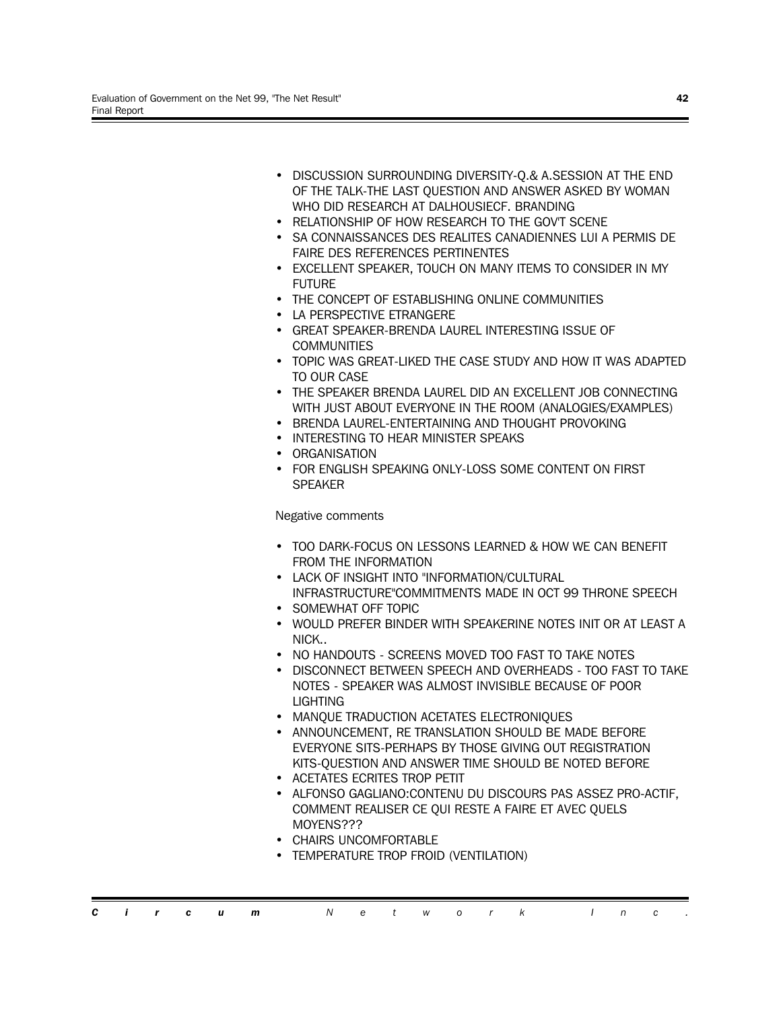- DISCUSSION SURROUNDING DIVERSITY-Q.& A.SESSION AT THE END OF THE TALK-THE LAST QUESTION AND ANSWER ASKED BY WOMAN WHO DID RESEARCH AT DALHOUSIECF. BRANDING
- RELATIONSHIP OF HOW RESEARCH TO THE GOV'T SCENE
- SA CONNAISSANCES DES REALITES CANADIENNES LUI A PERMIS DE FAIRE DES REFERENCES PERTINENTES
- EXCELLENT SPEAKER, TOUCH ON MANY ITEMS TO CONSIDER IN MY FUTURE
- THE CONCEPT OF ESTABLISHING ONLINE COMMUNITIES
- LA PERSPECTIVE ETRANGERE
- GREAT SPEAKER-BRENDA LAUREL INTERESTING ISSUE OF **COMMUNITIES**
- TOPIC WAS GREAT-LIKED THE CASE STUDY AND HOW IT WAS ADAPTED TO OUR CASE
- THE SPEAKER BRENDA LAUREL DID AN EXCELLENT JOB CONNECTING WITH JUST ABOUT EVERYONE IN THE ROOM (ANALOGIES/EXAMPLES)
- BRENDA LAUREL-ENTERTAINING AND THOUGHT PROVOKING
- INTERESTING TO HEAR MINISTER SPEAKS
- ORGANISATION
- FOR ENGLISH SPEAKING ONLY-LOSS SOME CONTENT ON FIRST SPEAKER

- TOO DARK-FOCUS ON LESSONS LEARNED & HOW WE CAN BENEFIT FROM THE INFORMATION
- LACK OF INSIGHT INTO "INFORMATION/CULTURAL INFRASTRUCTURE"COMMITMENTS MADE IN OCT 99 THRONE SPEECH
- SOMEWHAT OFF TOPIC
- WOULD PREFER BINDER WITH SPEAKERINE NOTES INIT OR AT LEAST A NICK..
- NO HANDOUTS SCREENS MOVED TOO FAST TO TAKE NOTES
- DISCONNECT BETWEEN SPEECH AND OVERHEADS TOO FAST TO TAKE NOTES - SPEAKER WAS ALMOST INVISIBLE BECAUSE OF POOR LIGHTING
- MANQUE TRADUCTION ACETATES ELECTRONIQUES
- ANNOUNCEMENT, RE TRANSLATION SHOULD BE MADE BEFORE EVERYONE SITS-PERHAPS BY THOSE GIVING OUT REGISTRATION KITS-QUESTION AND ANSWER TIME SHOULD BE NOTED BEFORE
- ACETATES ECRITES TROP PETIT
- ALFONSO GAGLIANO:CONTENU DU DISCOURS PAS ASSEZ PRO-ACTIF, COMMENT REALISER CE QUI RESTE A FAIRE ET AVEC QUELS MOYENS???
- CHAIRS UNCOMFORTABLE
- TEMPERATURE TROP FROID (VENTILATION)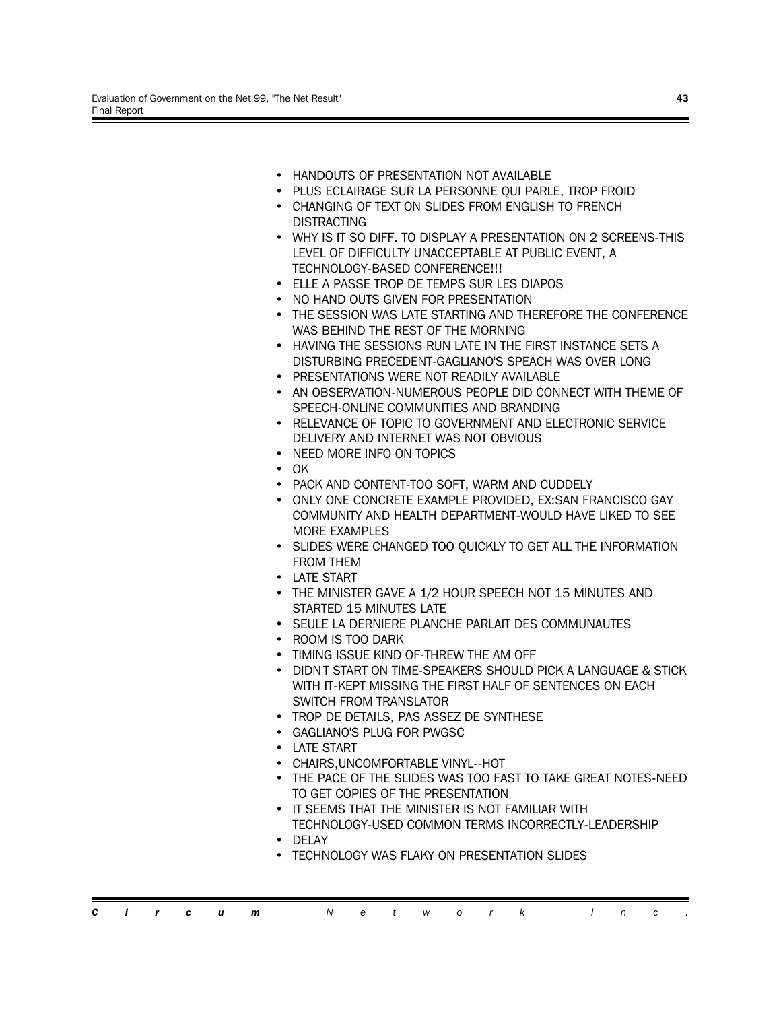- HANDOUTS OF PRESENTATION NOT AVAILABLE
- PLUS ECLAIRAGE SUR LA PERSONNE QUI PARLE, TROP FROID
- CHANGING OF TEXT ON SLIDES FROM ENGLISH TO FRENCH DISTRACTING
- WHY IS IT SO DIFF. TO DISPLAY A PRESENTATION ON 2 SCREENS-THIS LEVEL OF DIFFICULTY UNACCEPTABLE AT PUBLIC EVENT, A TECHNOLOGY-BASED CONFERENCE!!!
- ELLE A PASSE TROP DE TEMPS SUR LES DIAPOS
- NO HAND OUTS GIVEN FOR PRESENTATION
- THE SESSION WAS LATE STARTING AND THEREFORE THE CONFERENCE WAS BEHIND THE REST OF THE MORNING
- HAVING THE SESSIONS RUN LATE IN THE FIRST INSTANCE SETS A DISTURBING PRECEDENT-GAGLIANO'S SPEACH WAS OVER LONG
- PRESENTATIONS WERE NOT READILY AVAILABLE
- AN OBSERVATION-NUMEROUS PEOPLE DID CONNECT WITH THEME OF SPEECH-ONLINE COMMUNITIES AND BRANDING
- RELEVANCE OF TOPIC TO GOVERNMENT AND ELECTRONIC SERVICE DELIVERY AND INTERNET WAS NOT OBVIOUS
- NEED MORE INFO ON TOPICS
- OK
- PACK AND CONTENT-TOO SOFT, WARM AND CUDDELY
- ONLY ONE CONCRETE EXAMPLE PROVIDED, EX:SAN FRANCISCO GAY COMMUNITY AND HEALTH DEPARTMENT-WOULD HAVE LIKED TO SEE MORE EXAMPLES
- SLIDES WERE CHANGED TOO QUICKLY TO GET ALL THE INFORMATION FROM THEM
- LATE START
- THE MINISTER GAVE A 1/2 HOUR SPEECH NOT 15 MINUTES AND STARTED 15 MINUTES LATE
- SEULE LA DERNIERE PLANCHE PARLAIT DES COMMUNAUTES
- ROOM IS TOO DARK
- TIMING ISSUE KIND OF-THREW THE AM OFF
- DIDN'T START ON TIME-SPEAKERS SHOULD PICK A LANGUAGE & STICK WITH IT-KEPT MISSING THE FIRST HALF OF SENTENCES ON EACH SWITCH FROM TRANSLATOR
- TROP DE DETAILS, PAS ASSEZ DE SYNTHESE
- GAGLIANO'S PLUG FOR PWGSC
- LATE START
- CHAIRS,UNCOMFORTABLE VINYL--HOT
- THE PACE OF THE SLIDES WAS TOO FAST TO TAKE GREAT NOTES-NEED TO GET COPIES OF THE PRESENTATION
- IT SEEMS THAT THE MINISTER IS NOT FAMILIAR WITH TECHNOLOGY-USED COMMON TERMS INCORRECTLY-LEADERSHIP
- DELAY
- TECHNOLOGY WAS FLAKY ON PRESENTATION SLIDES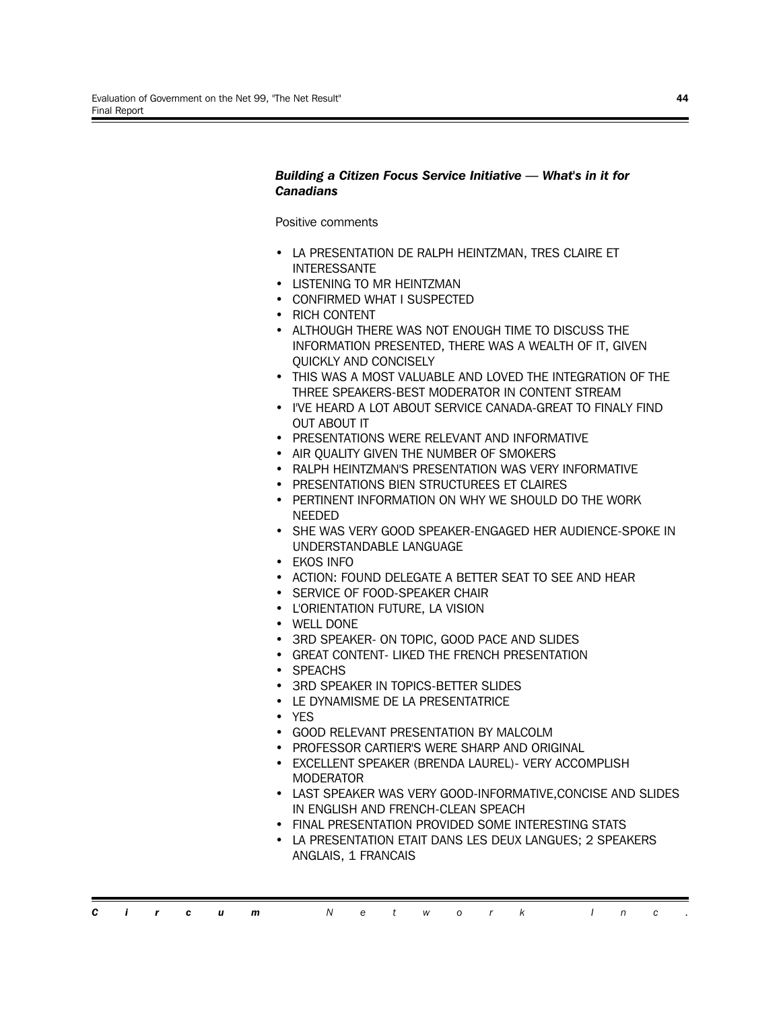# *Building a Citizen Focus Service Initiative — What's in it for Canadians*

- LA PRESENTATION DE RALPH HEINTZMAN, TRES CLAIRE ET INTERESSANTE
- LISTENING TO MR HEINTZMAN
- CONFIRMED WHAT I SUSPECTED
- RICH CONTENT
- ALTHOUGH THERE WAS NOT ENOUGH TIME TO DISCUSS THE INFORMATION PRESENTED, THERE WAS A WEALTH OF IT, GIVEN QUICKLY AND CONCISELY
- THIS WAS A MOST VALUABLE AND LOVED THE INTEGRATION OF THE THREE SPEAKERS-BEST MODERATOR IN CONTENT STREAM
- I'VE HEARD A LOT ABOUT SERVICE CANADA-GREAT TO FINALY FIND OUT ABOUT IT
- PRESENTATIONS WERE RELEVANT AND INFORMATIVE
- AIR QUALITY GIVEN THE NUMBER OF SMOKERS
- RALPH HEINTZMAN'S PRESENTATION WAS VERY INFORMATIVE
- PRESENTATIONS BIEN STRUCTUREES ET CLAIRES
- PERTINENT INFORMATION ON WHY WE SHOULD DO THE WORK NEEDED
- SHE WAS VERY GOOD SPEAKER-ENGAGED HER AUDIENCE-SPOKE IN UNDERSTANDABLE LANGUAGE
- EKOS INFO
- ACTION: FOUND DELEGATE A BETTER SEAT TO SEE AND HEAR
- SERVICE OF FOOD-SPEAKER CHAIR
- L'ORIENTATION FUTURE, LA VISION
- WELL DONE
- 3RD SPEAKER- ON TOPIC, GOOD PACE AND SLIDES
- GREAT CONTENT- LIKED THE FRENCH PRESENTATION
- SPEACHS
- **3RD SPEAKER IN TOPICS-BETTER SLIDES**
- LE DYNAMISME DE LA PRESENTATRICE
- YES
- GOOD RELEVANT PRESENTATION BY MALCOLM
- PROFESSOR CARTIER'S WERE SHARP AND ORIGINAL
- EXCELLENT SPEAKER (BRENDA LAUREL)- VERY ACCOMPLISH MODERATOR
- LAST SPEAKER WAS VERY GOOD-INFORMATIVE,CONCISE AND SLIDES IN ENGLISH AND FRENCH-CLEAN SPEACH
- FINAL PRESENTATION PROVIDED SOME INTERESTING STATS
- LA PRESENTATION ETAIT DANS LES DEUX LANGUES; 2 SPEAKERS ANGLAIS, 1 FRANCAIS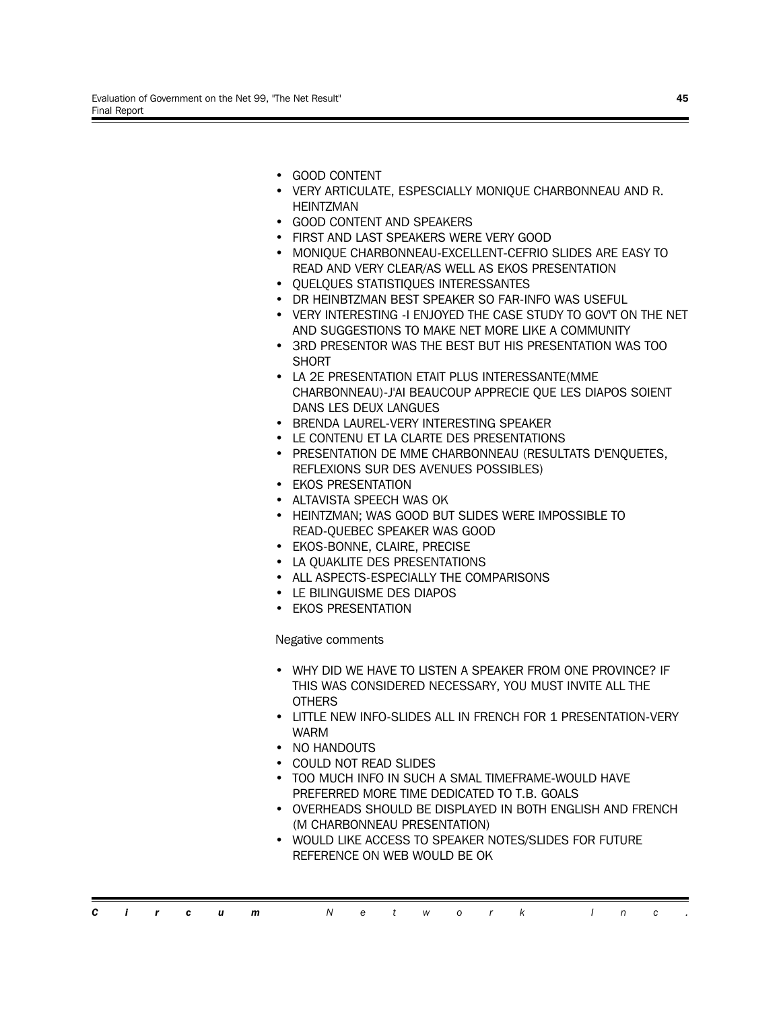- GOOD CONTENT
- VERY ARTICULATE, ESPESCIALLY MONIQUE CHARBONNEAU AND R. HEINTZMAN
- GOOD CONTENT AND SPEAKERS
- FIRST AND LAST SPEAKERS WERE VERY GOOD
- MONIQUE CHARBONNEAU-EXCELLENT-CEFRIO SLIDES ARE EASY TO READ AND VERY CLEAR/AS WELL AS EKOS PRESENTATION
- QUELQUES STATISTIQUES INTERESSANTES
- DR HEINBTZMAN BEST SPEAKER SO FAR-INFO WAS USEFUL
- VERY INTERESTING -I ENJOYED THE CASE STUDY TO GOV'T ON THE NET AND SUGGESTIONS TO MAKE NET MORE LIKE A COMMUNITY
- 3RD PRESENTOR WAS THE BEST BUT HIS PRESENTATION WAS TOO **SHORT**
- LA 2E PRESENTATION ETAIT PLUS INTERESSANTE(MME CHARBONNEAU)-J'AI BEAUCOUP APPRECIE QUE LES DIAPOS SOIENT DANS LES DEUX LANGUES
- BRENDA LAUREL-VERY INTERESTING SPEAKER
- LE CONTENU ET LA CLARTE DES PRESENTATIONS
- PRESENTATION DE MME CHARBONNEAU (RESULTATS D'ENQUETES, REFLEXIONS SUR DES AVENUES POSSIBLES)
- EKOS PRESENTATION
- ALTAVISTA SPEECH WAS OK
- HEINTZMAN; WAS GOOD BUT SLIDES WERE IMPOSSIBLE TO READ-QUEBEC SPEAKER WAS GOOD
- EKOS-BONNE, CLAIRE, PRECISE
- LA QUAKLITE DES PRESENTATIONS
- ALL ASPECTS-ESPECIALLY THE COMPARISONS
- LE BILINGUISME DES DIAPOS
- EKOS PRESENTATION

- WHY DID WE HAVE TO LISTEN A SPEAKER FROM ONE PROVINCE? IF THIS WAS CONSIDERED NECESSARY, YOU MUST INVITE ALL THE **OTHERS**
- LITTLE NEW INFO-SLIDES ALL IN FRENCH FOR 1 PRESENTATION-VERY WARM
- NO HANDOUTS
- COULD NOT READ SLIDES
- TOO MUCH INFO IN SUCH A SMAL TIMEFRAME-WOULD HAVE PREFERRED MORE TIME DEDICATED TO T.B. GOALS
- OVERHEADS SHOULD BE DISPLAYED IN BOTH ENGLISH AND FRENCH (M CHARBONNEAU PRESENTATION)
- WOULD LIKE ACCESS TO SPEAKER NOTES/SLIDES FOR FUTURE REFERENCE ON WEB WOULD BE OK

*Circum Network Inc .*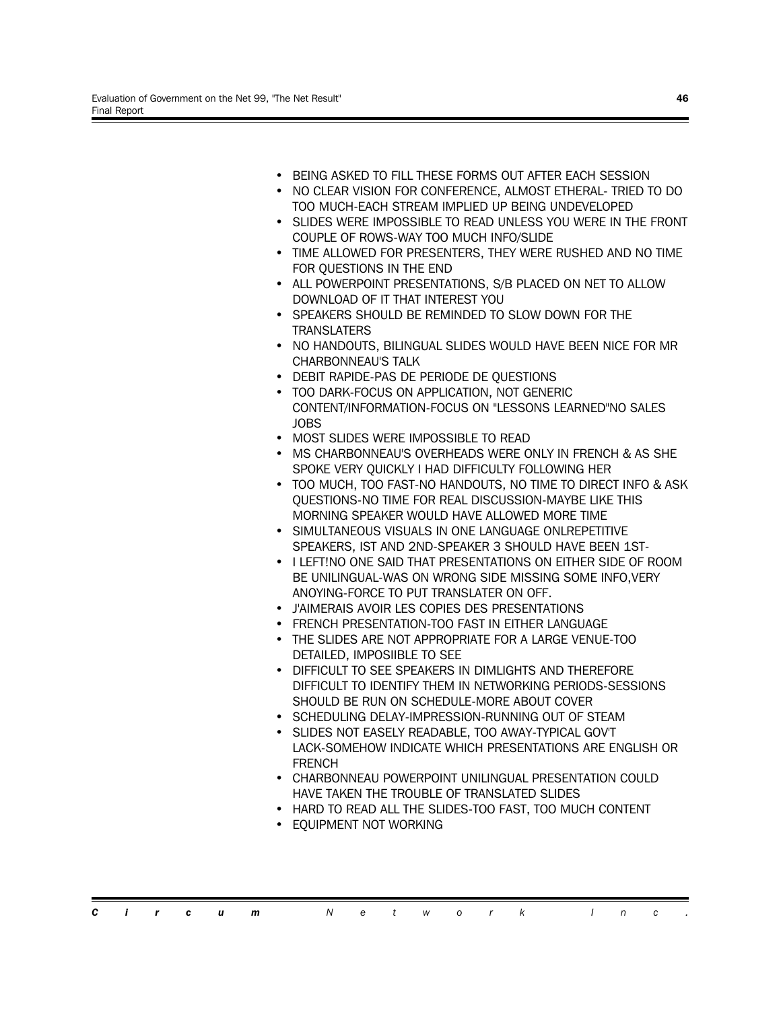- BEING ASKED TO FILL THESE FORMS OUT AFTER EACH SESSION
- NO CLEAR VISION FOR CONFERENCE, ALMOST ETHERAL- TRIED TO DO TOO MUCH-EACH STREAM IMPLIED UP BEING UNDEVELOPED
- SLIDES WERE IMPOSSIBLE TO READ UNLESS YOU WERE IN THE FRONT COUPLE OF ROWS-WAY TOO MUCH INFO/SLIDE
- TIME ALLOWED FOR PRESENTERS, THEY WERE RUSHED AND NO TIME FOR QUESTIONS IN THE END
- ALL POWERPOINT PRESENTATIONS, S/B PLACED ON NET TO ALLOW DOWNLOAD OF IT THAT INTEREST YOU
- SPEAKERS SHOULD BE REMINDED TO SLOW DOWN FOR THE **TRANSLATERS**
- NO HANDOUTS, BILINGUAL SLIDES WOULD HAVE BEEN NICE FOR MR CHARBONNEAU'S TALK
- DEBIT RAPIDE-PAS DE PERIODE DE QUESTIONS
- TOO DARK-FOCUS ON APPLICATION, NOT GENERIC CONTENT/INFORMATION-FOCUS ON "LESSONS LEARNED"NO SALES JOBS
- MOST SLIDES WERE IMPOSSIBLE TO READ
- MS CHARBONNEAU'S OVERHEADS WERE ONLY IN FRENCH & AS SHE SPOKE VERY QUICKLY I HAD DIFFICULTY FOLLOWING HER
- TOO MUCH, TOO FAST-NO HANDOUTS, NO TIME TO DIRECT INFO & ASK QUESTIONS-NO TIME FOR REAL DISCUSSION-MAYBE LIKE THIS MORNING SPEAKER WOULD HAVE ALLOWED MORE TIME
- SIMULTANEOUS VISUALS IN ONE LANGUAGE ONLREPETITIVE SPEAKERS, IST AND 2ND-SPEAKER 3 SHOULD HAVE BEEN 1ST-
- I LEFT!NO ONE SAID THAT PRESENTATIONS ON EITHER SIDE OF ROOM BE UNILINGUAL-WAS ON WRONG SIDE MISSING SOME INFO,VERY ANOYING-FORCE TO PUT TRANSLATER ON OFF.
- J'AIMERAIS AVOIR LES COPIES DES PRESENTATIONS
- FRENCH PRESENTATION-TOO FAST IN EITHER LANGUAGE
- THE SLIDES ARE NOT APPROPRIATE FOR A LARGE VENUE-TOO DETAILED, IMPOSIIBLE TO SEE
- DIFFICULT TO SEE SPEAKERS IN DIMLIGHTS AND THEREFORE DIFFICULT TO IDENTIFY THEM IN NETWORKING PERIODS-SESSIONS SHOULD BE RUN ON SCHEDULE-MORE ABOUT COVER
- SCHEDULING DELAY-IMPRESSION-RUNNING OUT OF STEAM
- SLIDES NOT EASELY READABLE, TOO AWAY-TYPICAL GOV'T LACK-SOMEHOW INDICATE WHICH PRESENTATIONS ARE ENGLISH OR FRENCH
- CHARBONNEAU POWERPOINT UNILINGUAL PRESENTATION COULD HAVE TAKEN THE TROUBLE OF TRANSLATED SLIDES
- HARD TO READ ALL THE SLIDES-TOO FAST, TOO MUCH CONTENT
- EQUIPMENT NOT WORKING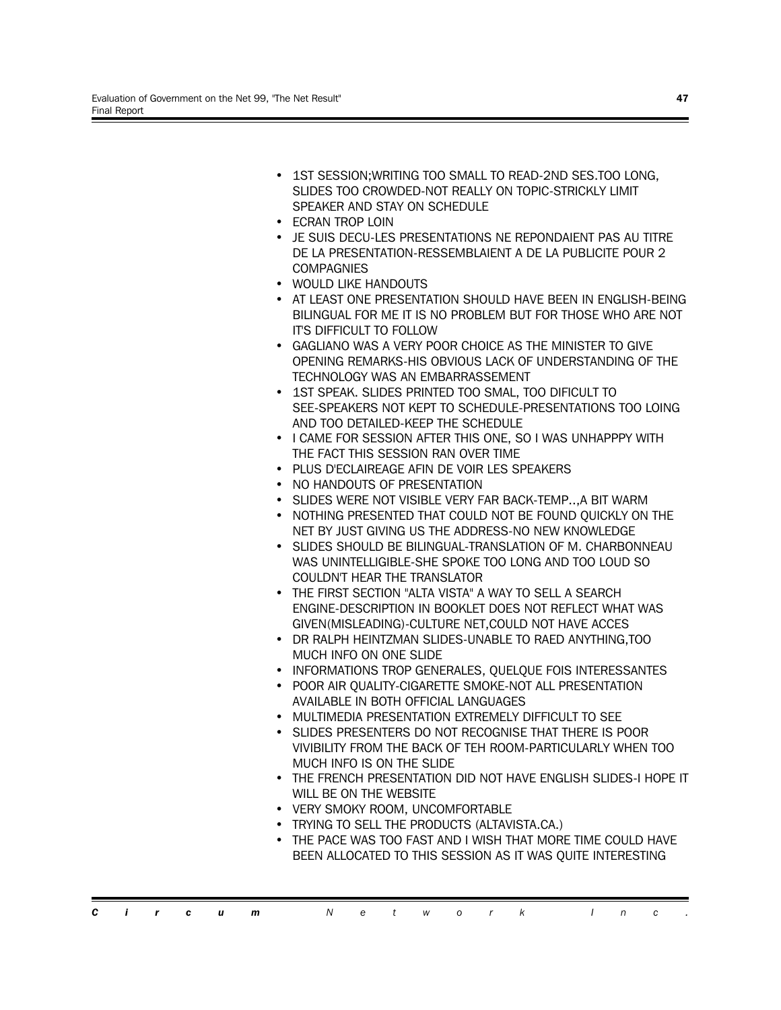- 1ST SESSION;WRITING TOO SMALL TO READ-2ND SES.TOO LONG, SLIDES TOO CROWDED-NOT REALLY ON TOPIC-STRICKLY LIMIT SPEAKER AND STAY ON SCHEDULE
- ECRAN TROP LOIN
- JE SUIS DECU-LES PRESENTATIONS NE REPONDAIENT PAS AU TITRE DE LA PRESENTATION-RESSEMBLAIENT A DE LA PUBLICITE POUR 2 **COMPAGNIES**
- WOULD LIKE HANDOUTS
- AT LEAST ONE PRESENTATION SHOULD HAVE BEEN IN ENGLISH-BEING BILINGUAL FOR ME IT IS NO PROBLEM BUT FOR THOSE WHO ARE NOT IT'S DIFFICULT TO FOLLOW
- GAGLIANO WAS A VERY POOR CHOICE AS THE MINISTER TO GIVE OPENING REMARKS-HIS OBVIOUS LACK OF UNDERSTANDING OF THE TECHNOLOGY WAS AN EMBARRASSEMENT
- 1ST SPEAK. SLIDES PRINTED TOO SMAL, TOO DIFICULT TO SEE-SPEAKERS NOT KEPT TO SCHEDULE-PRESENTATIONS TOO LOING AND TOO DETAILED-KEEP THE SCHEDULE
- I CAME FOR SESSION AFTER THIS ONE, SO I WAS UNHAPPPY WITH THE FACT THIS SESSION RAN OVER TIME
- PLUS D'ECLAIREAGE AFIN DE VOIR LES SPEAKERS
- NO HANDOUTS OF PRESENTATION
- SLIDES WERE NOT VISIBLE VERY FAR BACK-TEMP..,A BIT WARM
- NOTHING PRESENTED THAT COULD NOT BE FOUND QUICKLY ON THE NET BY JUST GIVING US THE ADDRESS-NO NEW KNOWLEDGE
- SLIDES SHOULD BE BILINGUAL-TRANSLATION OF M. CHARBONNEAU WAS UNINTELLIGIBLE-SHE SPOKE TOO LONG AND TOO LOUD SO COULDN'T HEAR THE TRANSLATOR
- THE FIRST SECTION "ALTA VISTA" A WAY TO SELL A SEARCH ENGINE-DESCRIPTION IN BOOKLET DOES NOT REFLECT WHAT WAS GIVEN(MISLEADING)-CULTURE NET,COULD NOT HAVE ACCES
- DR RALPH HEINTZMAN SLIDES-UNABLE TO RAED ANYTHING,TOO MUCH INFO ON ONE SLIDE
- INFORMATIONS TROP GENERALES, QUELQUE FOIS INTERESSANTES
	- POOR AIR QUALITY-CIGARETTE SMOKE-NOT ALL PRESENTATION AVAILABLE IN BOTH OFFICIAL LANGUAGES
- MULTIMEDIA PRESENTATION EXTREMELY DIFFICULT TO SEE
- SLIDES PRESENTERS DO NOT RECOGNISE THAT THERE IS POOR VIVIBILITY FROM THE BACK OF TEH ROOM-PARTICULARLY WHEN TOO MUCH INFO IS ON THE SLIDE
- THE FRENCH PRESENTATION DID NOT HAVE ENGLISH SLIDES-I HOPE IT WILL BE ON THE WEBSITE
- VERY SMOKY ROOM, UNCOMFORTABLE
- TRYING TO SELL THE PRODUCTS (ALTAVISTA.CA.)
- THE PACE WAS TOO FAST AND I WISH THAT MORE TIME COULD HAVE BEEN ALLOCATED TO THIS SESSION AS IT WAS QUITE INTERESTING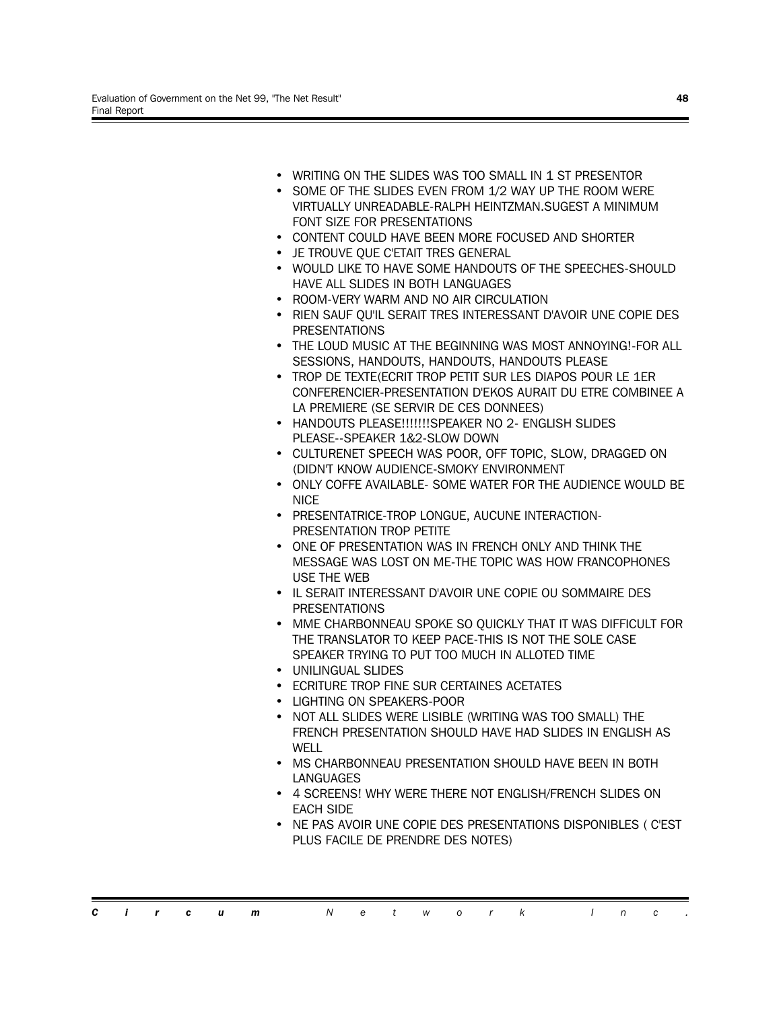- WRITING ON THE SLIDES WAS TOO SMALL IN 1 ST PRESENTOR
- SOME OF THE SLIDES EVEN FROM 1/2 WAY UP THE ROOM WERE VIRTUALLY UNREADABLE-RALPH HEINTZMAN.SUGEST A MINIMUM FONT SIZE FOR PRESENTATIONS
- CONTENT COULD HAVE BEEN MORE FOCUSED AND SHORTER
- JE TROUVE QUE C'ETAIT TRES GENERAL
- WOULD LIKE TO HAVE SOME HANDOUTS OF THE SPEECHES-SHOULD HAVE ALL SLIDES IN BOTH LANGUAGES
- ROOM-VERY WARM AND NO AIR CIRCULATION
- RIEN SAUF QU'IL SERAIT TRES INTERESSANT D'AVOIR UNE COPIE DES **PRESENTATIONS**
- THE LOUD MUSIC AT THE BEGINNING WAS MOST ANNOYING!-FOR ALL SESSIONS, HANDOUTS, HANDOUTS, HANDOUTS PLEASE
- TROP DE TEXTE(ECRIT TROP PETIT SUR LES DIAPOS POUR LE 1ER CONFERENCIER-PRESENTATION D'EKOS AURAIT DU ETRE COMBINEE A LA PREMIERE (SE SERVIR DE CES DONNEES)
- HANDOUTS PLEASE!!!!!!!SPEAKER NO 2- ENGLISH SLIDES PLEASE--SPEAKER 1&2-SLOW DOWN
- CULTURENET SPEECH WAS POOR, OFF TOPIC, SLOW, DRAGGED ON (DIDN'T KNOW AUDIENCE-SMOKY ENVIRONMENT
- ONLY COFFE AVAILABLE- SOME WATER FOR THE AUDIENCE WOULD BE **NICE**
- PRESENTATRICE-TROP LONGUE, AUCUNE INTERACTION-PRESENTATION TROP PETITE
- ONE OF PRESENTATION WAS IN FRENCH ONLY AND THINK THE MESSAGE WAS LOST ON ME-THE TOPIC WAS HOW FRANCOPHONES USE THE WEB
- IL SERAIT INTERESSANT D'AVOIR UNE COPIE OU SOMMAIRE DES PRESENTATIONS
- MME CHARBONNEAU SPOKE SO QUICKLY THAT IT WAS DIFFICULT FOR THE TRANSLATOR TO KEEP PACE-THIS IS NOT THE SOLE CASE SPEAKER TRYING TO PUT TOO MUCH IN ALLOTED TIME
- UNILINGUAL SLIDES
- ECRITURE TROP FINE SUR CERTAINES ACETATES
- LIGHTING ON SPEAKERS-POOR
- NOT ALL SLIDES WERE LISIBLE (WRITING WAS TOO SMALL) THE FRENCH PRESENTATION SHOULD HAVE HAD SLIDES IN ENGLISH AS W<sub>FII</sub>
- MS CHARBONNEAU PRESENTATION SHOULD HAVE BEEN IN BOTH LANGUAGES
- 4 SCREENS! WHY WERE THERE NOT ENGLISH/FRENCH SLIDES ON EACH SIDE
- NE PAS AVOIR UNE COPIE DES PRESENTATIONS DISPONIBLES ( C'EST PLUS FACILE DE PRENDRE DES NOTES)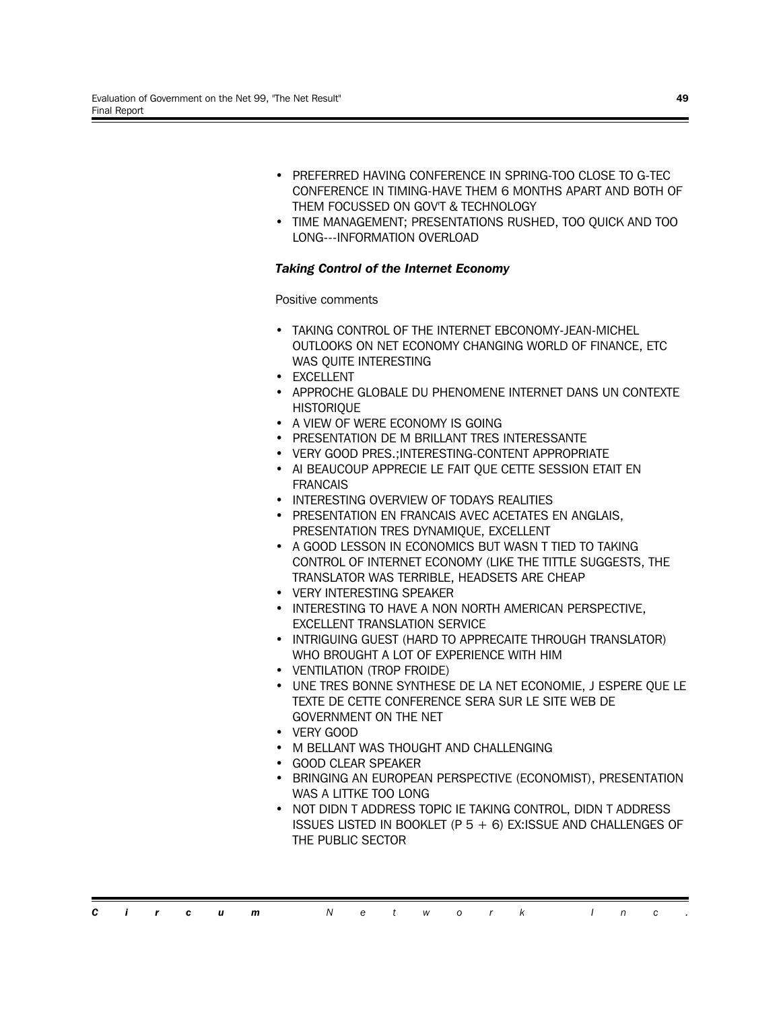- PREFERRED HAVING CONFERENCE IN SPRING-TOO CLOSE TO G-TEC CONFERENCE IN TIMING-HAVE THEM 6 MONTHS APART AND BOTH OF THEM FOCUSSED ON GOV'T & TECHNOLOGY
- TIME MANAGEMENT; PRESENTATIONS RUSHED, TOO QUICK AND TOO LONG---INFORMATION OVERLOAD

## *Taking Control of the Internet Economy*

- TAKING CONTROL OF THE INTERNET EBCONOMY-JEAN-MICHEL OUTLOOKS ON NET ECONOMY CHANGING WORLD OF FINANCE, ETC WAS QUITE INTERESTING
- EXCELLENT
- APPROCHE GLOBALE DU PHENOMENE INTERNET DANS UN CONTEXTE **HISTORIOUE**
- A VIEW OF WERE ECONOMY IS GOING
- PRESENTATION DE M BRILLANT TRES INTERESSANTE
- VERY GOOD PRES.;INTERESTING-CONTENT APPROPRIATE
- AI BEAUCOUP APPRECIE LE FAIT QUE CETTE SESSION ETAIT EN FRANCAIS
- INTERESTING OVERVIEW OF TODAYS REALITIES
- PRESENTATION EN FRANCAIS AVEC ACETATES EN ANGLAIS, PRESENTATION TRES DYNAMIQUE, EXCELLENT
- A GOOD LESSON IN ECONOMICS BUT WASN T TIED TO TAKING CONTROL OF INTERNET ECONOMY (LIKE THE TITTLE SUGGESTS, THE TRANSLATOR WAS TERRIBLE, HEADSETS ARE CHEAP
- VERY INTERESTING SPEAKER
- INTERESTING TO HAVE A NON NORTH AMERICAN PERSPECTIVE, EXCELLENT TRANSLATION SERVICE
- INTRIGUING GUEST (HARD TO APPRECAITE THROUGH TRANSLATOR) WHO BROUGHT A LOT OF EXPERIENCE WITH HIM
- VENTILATION (TROP FROIDE)
- UNE TRES BONNE SYNTHESE DE LA NET ECONOMIE, J ESPERE QUE LE TEXTE DE CETTE CONFERENCE SERA SUR LE SITE WEB DE GOVERNMENT ON THE NET
- VERY GOOD
- M BELLANT WAS THOUGHT AND CHALLENGING
- GOOD CLEAR SPEAKER
- BRINGING AN EUROPEAN PERSPECTIVE (ECONOMIST), PRESENTATION WAS A LITTKE TOO LONG
- NOT DIDN T ADDRESS TOPIC IE TAKING CONTROL, DIDN T ADDRESS ISSUES LISTED IN BOOKLET (P 5 + 6) EX:ISSUE AND CHALLENGES OF THE PUBLIC SECTOR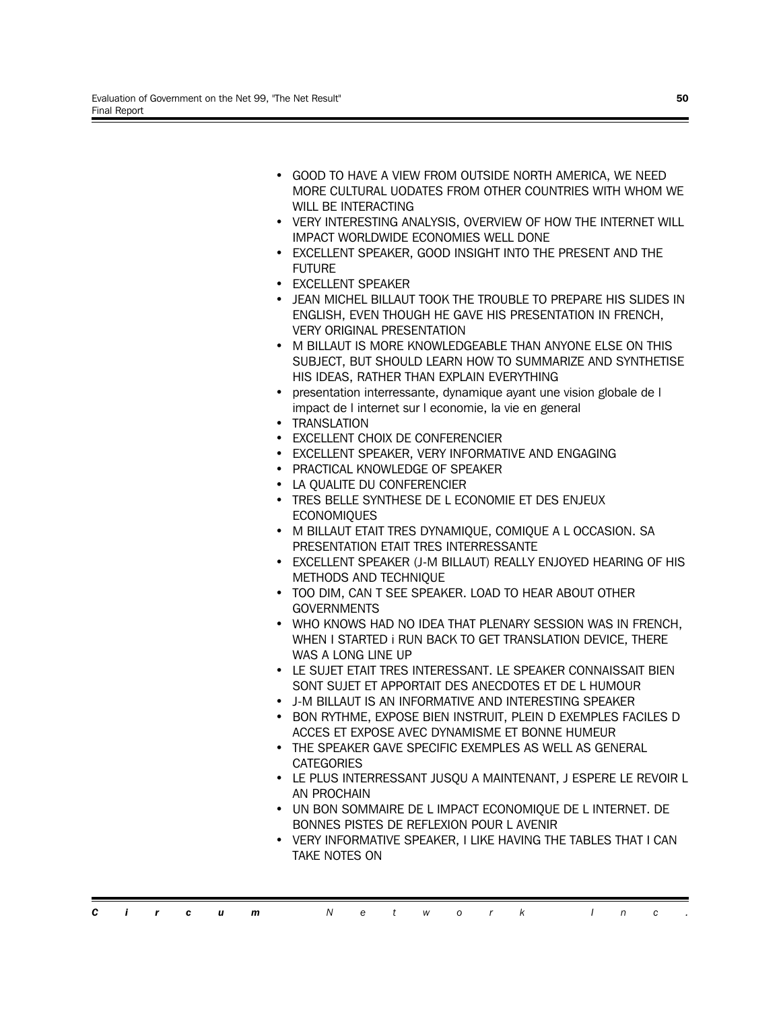- GOOD TO HAVE A VIEW FROM OUTSIDE NORTH AMERICA, WE NEED MORE CULTURAL UODATES FROM OTHER COUNTRIES WITH WHOM WE WILL BE INTERACTING
- VERY INTERESTING ANALYSIS, OVERVIEW OF HOW THE INTERNET WILL IMPACT WORLDWIDE ECONOMIES WELL DONE
- EXCELLENT SPEAKER, GOOD INSIGHT INTO THE PRESENT AND THE FUTURE
- EXCELLENT SPEAKER
- JEAN MICHEL BILLAUT TOOK THE TROUBLE TO PREPARE HIS SLIDES IN ENGLISH, EVEN THOUGH HE GAVE HIS PRESENTATION IN FRENCH, VERY ORIGINAL PRESENTATION
- M BILLAUT IS MORE KNOWLEDGEABLE THAN ANYONE ELSE ON THIS SUBJECT, BUT SHOULD LEARN HOW TO SUMMARIZE AND SYNTHETISE HIS IDEAS, RATHER THAN EXPLAIN EVERYTHING
- presentation interressante, dynamique ayant une vision globale de l impact de l internet sur l economie, la vie en general
- TRANSLATION
- EXCELLENT CHOIX DE CONFERENCIER
- EXCELLENT SPEAKER, VERY INFORMATIVE AND ENGAGING
- PRACTICAL KNOWLEDGE OF SPEAKER
- LA QUALITE DU CONFERENCIER
- TRES BELLE SYNTHESE DE L ECONOMIE ET DES ENJEUX **ECONOMIOUES**
- M BILLAUT ETAIT TRES DYNAMIQUE, COMIQUE A L OCCASION. SA PRESENTATION ETAIT TRES INTERRESSANTE
- EXCELLENT SPEAKER (J-M BILLAUT) REALLY ENJOYED HEARING OF HIS METHODS AND TECHNIQUE
- TOO DIM, CAN T SEE SPEAKER. LOAD TO HEAR ABOUT OTHER GOVERNMENTS
- WHO KNOWS HAD NO IDEA THAT PLENARY SESSION WAS IN FRENCH, WHEN I STARTED i RUN BACK TO GET TRANSLATION DEVICE, THERE WAS A LONG LINE UP
- LE SUJET ETAIT TRES INTERESSANT. LE SPEAKER CONNAISSAIT BIEN SONT SUJET ET APPORTAIT DES ANECDOTES ET DE L HUMOUR
- J-M BILLAUT IS AN INFORMATIVE AND INTERESTING SPEAKER
- BON RYTHME, EXPOSE BIEN INSTRUIT, PLEIN D EXEMPLES FACILES D ACCES ET EXPOSE AVEC DYNAMISME ET BONNE HUMEUR
- THE SPEAKER GAVE SPECIFIC EXEMPLES AS WELL AS GENERAL **CATEGORIES**
- LE PLUS INTERRESSANT JUSQU A MAINTENANT, J ESPERE LE REVOIR L AN PROCHAIN
- UN BON SOMMAIRE DE L IMPACT ECONOMIQUE DE L INTERNET. DE BONNES PISTES DE REFLEXION POUR L AVENIR
- VERY INFORMATIVE SPEAKER, I LIKE HAVING THE TABLES THAT I CAN TAKE NOTES ON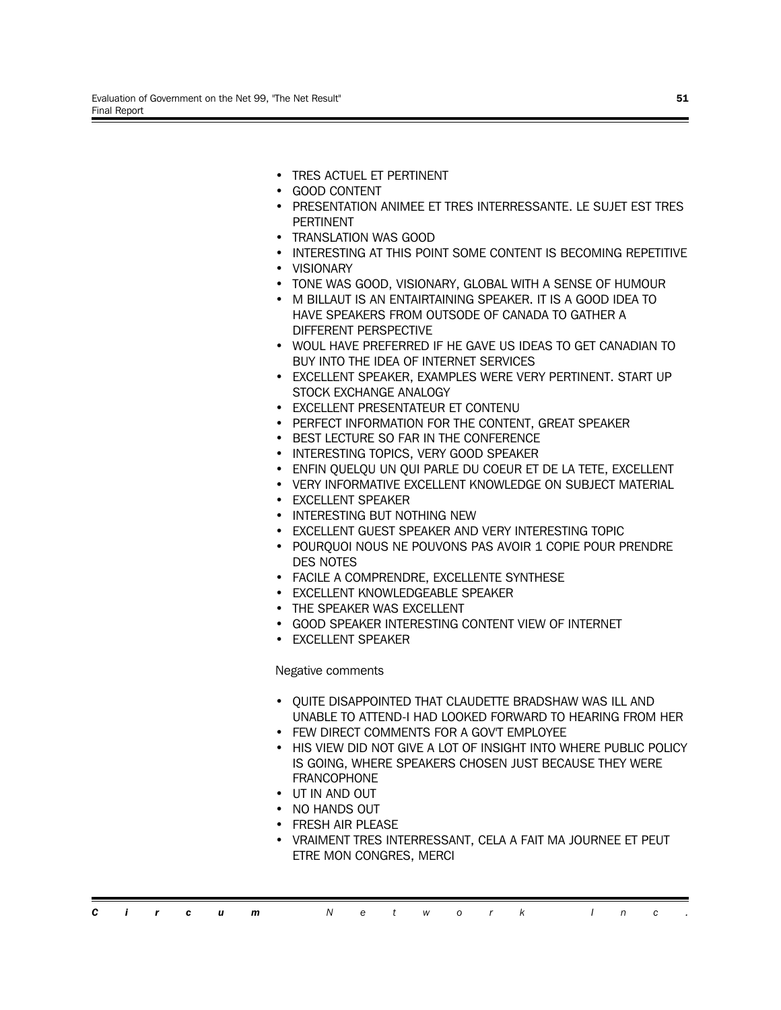- TRES ACTUEL ET PERTINENT
- GOOD CONTENT
- PRESENTATION ANIMEE ET TRES INTERRESSANTE. LE SUJET EST TRES PERTINENT
- TRANSLATION WAS GOOD
- INTERESTING AT THIS POINT SOME CONTENT IS BECOMING REPETITIVE
- VISIONARY
- TONE WAS GOOD, VISIONARY, GLOBAL WITH A SENSE OF HUMOUR
- M BILLAUT IS AN ENTAIRTAINING SPEAKER. IT IS A GOOD IDEA TO HAVE SPEAKERS FROM OUTSODE OF CANADA TO GATHER A DIFFERENT PERSPECTIVE
- WOUL HAVE PREFERRED IF HE GAVE US IDEAS TO GET CANADIAN TO BUY INTO THE IDEA OF INTERNET SERVICES
- EXCELLENT SPEAKER, EXAMPLES WERE VERY PERTINENT. START UP STOCK EXCHANGE ANALOGY
- EXCELLENT PRESENTATEUR ET CONTENU
- PERFECT INFORMATION FOR THE CONTENT, GREAT SPEAKER
- BEST LECTURE SO FAR IN THE CONFERENCE
- INTERESTING TOPICS, VERY GOOD SPEAKER
- ENFIN QUELQU UN QUI PARLE DU COEUR ET DE LA TETE, EXCELLENT
- VERY INFORMATIVE EXCELLENT KNOWLEDGE ON SUBJECT MATERIAL
- EXCELLENT SPEAKER
- INTERESTING BUT NOTHING NEW
- EXCELLENT GUEST SPEAKER AND VERY INTERESTING TOPIC
- POURQUOI NOUS NE POUVONS PAS AVOIR 1 COPIE POUR PRENDRE DES NOTES
- FACILE A COMPRENDRE, EXCELLENTE SYNTHESE
- EXCELLENT KNOWLEDGEABLE SPEAKER
- THE SPEAKER WAS EXCELLENT
- GOOD SPEAKER INTERESTING CONTENT VIEW OF INTERNET
- EXCELLENT SPEAKER

- QUITE DISAPPOINTED THAT CLAUDETTE BRADSHAW WAS ILL AND UNABLE TO ATTEND-I HAD LOOKED FORWARD TO HEARING FROM HER
- FEW DIRECT COMMENTS FOR A GOV'T EMPLOYEE
- HIS VIEW DID NOT GIVE A LOT OF INSIGHT INTO WHERE PUBLIC POLICY IS GOING, WHERE SPEAKERS CHOSEN JUST BECAUSE THEY WERE FRANCOPHONE
- UT IN AND OUT
- NO HANDS OUT
- FRESH AIR PLEASE
- VRAIMENT TRES INTERRESSANT, CELA A FAIT MA JOURNEE ET PEUT ETRE MON CONGRES, MERCI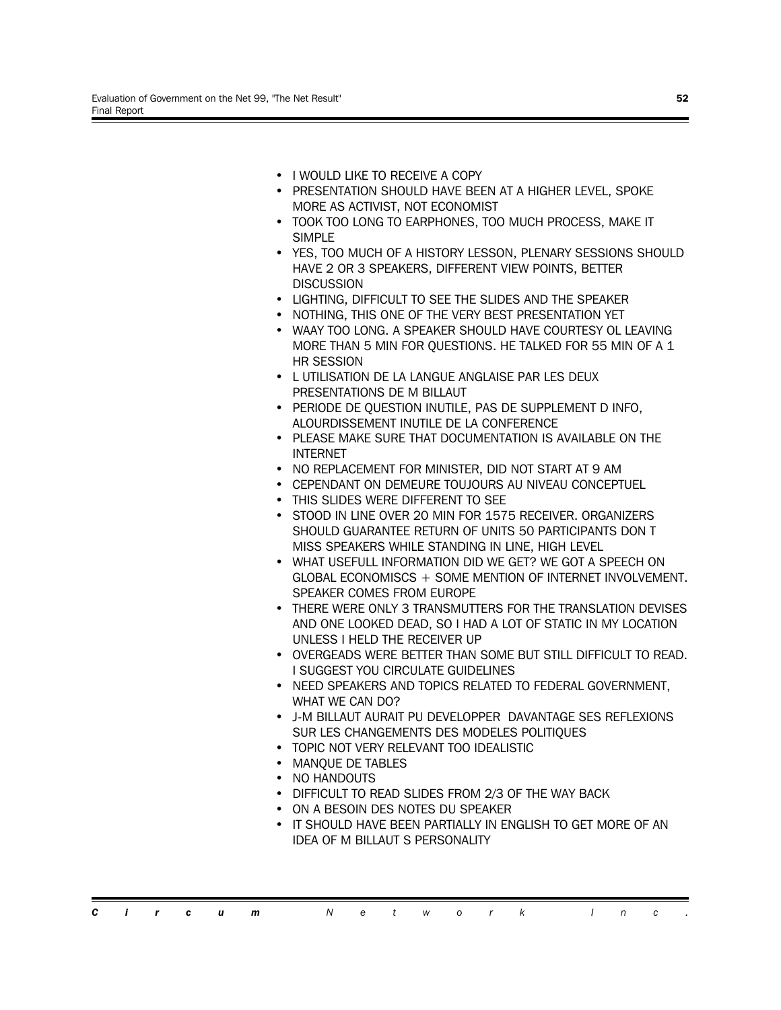- I WOULD LIKE TO RECEIVE A COPY
- PRESENTATION SHOULD HAVE BEEN AT A HIGHER LEVEL, SPOKE MORE AS ACTIVIST, NOT ECONOMIST
- TOOK TOO LONG TO EARPHONES, TOO MUCH PROCESS, MAKE IT SIMPLE
- YES, TOO MUCH OF A HISTORY LESSON, PLENARY SESSIONS SHOULD HAVE 2 OR 3 SPEAKERS, DIFFERENT VIEW POINTS, BETTER **DISCUSSION**
- LIGHTING, DIFFICULT TO SEE THE SLIDES AND THE SPEAKER
- NOTHING, THIS ONE OF THE VERY BEST PRESENTATION YET
- WAAY TOO LONG. A SPEAKER SHOULD HAVE COURTESY OL LEAVING MORE THAN 5 MIN FOR QUESTIONS. HE TALKED FOR 55 MIN OF A 1 HR SESSION
- L UTILISATION DE LA LANGUE ANGLAISE PAR LES DEUX PRESENTATIONS DE M BILLAUT
- PERIODE DE QUESTION INUTILE, PAS DE SUPPLEMENT D INFO, ALOURDISSEMENT INUTILE DE LA CONFERENCE
- PLEASE MAKE SURE THAT DOCUMENTATION IS AVAILABLE ON THE INTERNET
- NO REPLACEMENT FOR MINISTER, DID NOT START AT 9 AM
- CEPENDANT ON DEMEURE TOUJOURS AU NIVEAU CONCEPTUEL
- THIS SLIDES WERE DIFFERENT TO SEE
- STOOD IN LINE OVER 20 MIN FOR 1575 RECEIVER. ORGANIZERS SHOULD GUARANTEE RETURN OF UNITS 50 PARTICIPANTS DON T MISS SPEAKERS WHILE STANDING IN LINE, HIGH LEVEL
- WHAT USEFULL INFORMATION DID WE GET? WE GOT A SPEECH ON GLOBAL ECONOMISCS + SOME MENTION OF INTERNET INVOLVEMENT. SPEAKER COMES FROM EUROPE
- THERE WERE ONLY 3 TRANSMUTTERS FOR THE TRANSLATION DEVISES AND ONE LOOKED DEAD, SO I HAD A LOT OF STATIC IN MY LOCATION UNLESS I HELD THE RECEIVER UP
- OVERGEADS WERE BETTER THAN SOME BUT STILL DIFFICULT TO READ. I SUGGEST YOU CIRCULATE GUIDELINES
- NEED SPEAKERS AND TOPICS RELATED TO FEDERAL GOVERNMENT, WHAT WE CAN DO?
- J-M BILLAUT AURAIT PU DEVELOPPER DAVANTAGE SES REFLEXIONS SUR LES CHANGEMENTS DES MODELES POLITIQUES
- TOPIC NOT VERY RELEVANT TOO IDEALISTIC
- MANQUE DE TABLES
- NO HANDOUTS
- DIFFICULT TO READ SLIDES FROM 2/3 OF THE WAY BACK
- ON A BESOIN DES NOTES DU SPEAKER
- IT SHOULD HAVE BEEN PARTIALLY IN ENGLISH TO GET MORE OF AN IDEA OF M BILLAUT S PERSONALITY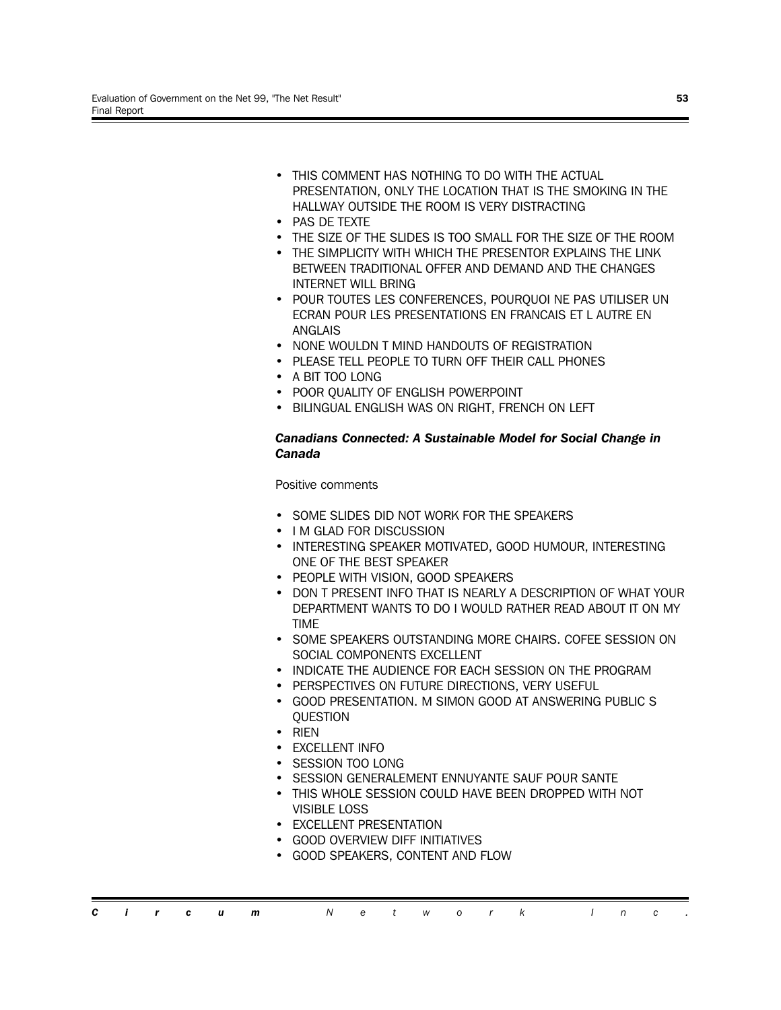- THIS COMMENT HAS NOTHING TO DO WITH THE ACTUAL PRESENTATION, ONLY THE LOCATION THAT IS THE SMOKING IN THE HALLWAY OUTSIDE THE ROOM IS VERY DISTRACTING
- PAS DE TEXTE
- THE SIZE OF THE SLIDES IS TOO SMALL FOR THE SIZE OF THE ROOM
- THE SIMPLICITY WITH WHICH THE PRESENTOR EXPLAINS THE LINK BETWEEN TRADITIONAL OFFER AND DEMAND AND THE CHANGES INTERNET WILL BRING
- POUR TOUTES LES CONFERENCES, POURQUOI NE PAS UTILISER UN ECRAN POUR LES PRESENTATIONS EN FRANCAIS ET L AUTRE EN ANGLAIS
- NONE WOULDN T MIND HANDOUTS OF REGISTRATION
- PLEASE TELL PEOPLE TO TURN OFF THEIR CALL PHONES
- A BIT TOO LONG
- POOR QUALITY OF ENGLISH POWERPOINT
- BILINGUAL ENGLISH WAS ON RIGHT, FRENCH ON LEFT

# *Canadians Connected: A Sustainable Model for Social Change in Canada*

- SOME SLIDES DID NOT WORK FOR THE SPEAKERS
- IM GLAD FOR DISCUSSION
- INTERESTING SPEAKER MOTIVATED, GOOD HUMOUR, INTERESTING ONE OF THE BEST SPEAKER
- PEOPLE WITH VISION, GOOD SPEAKERS
- DON T PRESENT INFO THAT IS NEARLY A DESCRIPTION OF WHAT YOUR DEPARTMENT WANTS TO DO I WOULD RATHER READ ABOUT IT ON MY TIME
- SOME SPEAKERS OUTSTANDING MORE CHAIRS. COFEE SESSION ON SOCIAL COMPONENTS EXCELLENT
- INDICATE THE AUDIENCE FOR EACH SESSION ON THE PROGRAM
- PERSPECTIVES ON FUTURE DIRECTIONS, VERY USEFUL
- GOOD PRESENTATION. M SIMON GOOD AT ANSWERING PUBLIC S QUESTION
- RIEN
- EXCELLENT INFO
- SESSION TOO LONG
- SESSION GENERALEMENT ENNUYANTE SAUF POUR SANTE
- THIS WHOLE SESSION COULD HAVE BEEN DROPPED WITH NOT VISIBLE LOSS
- EXCELLENT PRESENTATION
- GOOD OVERVIEW DIFF INITIATIVES
- GOOD SPEAKERS, CONTENT AND FLOW

*Circum Network Inc .*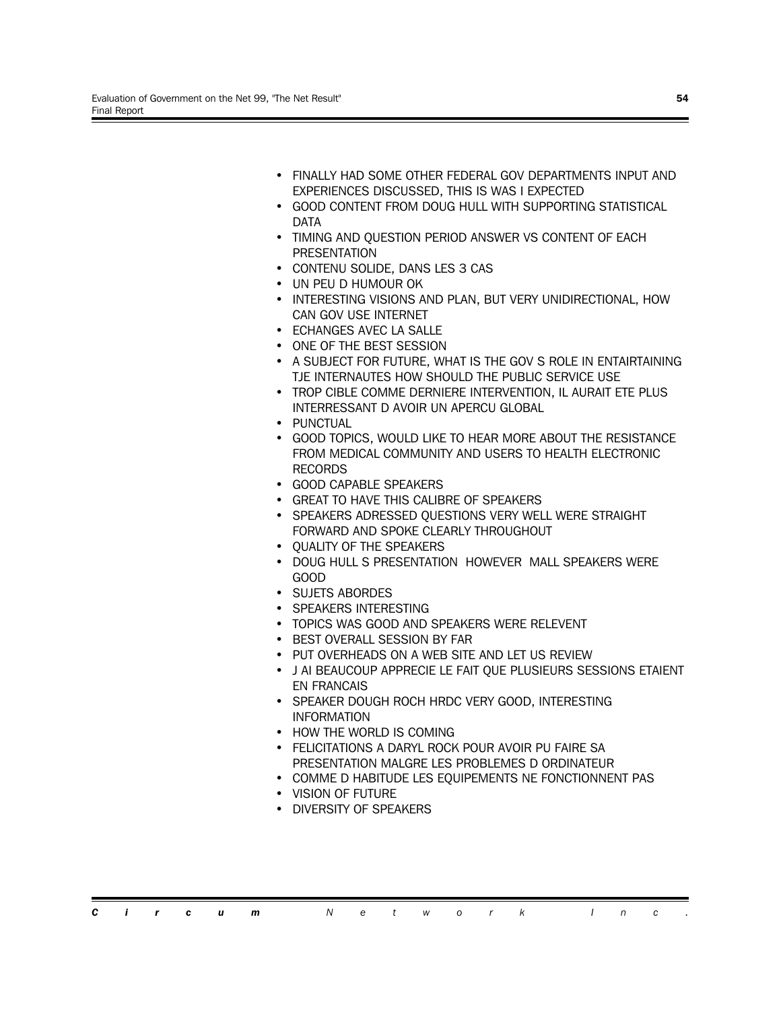- FINALLY HAD SOME OTHER FEDERAL GOV DEPARTMENTS INPUT AND EXPERIENCES DISCUSSED, THIS IS WAS I EXPECTED
- GOOD CONTENT FROM DOUG HULL WITH SUPPORTING STATISTICAL DATA
- TIMING AND QUESTION PERIOD ANSWER VS CONTENT OF EACH PRESENTATION
- CONTENU SOLIDE, DANS LES 3 CAS
- UN PEU D HUMOUR OK
- INTERESTING VISIONS AND PLAN, BUT VERY UNIDIRECTIONAL, HOW CAN GOV USE INTERNET
- ECHANGES AVEC LA SALLE
- ONE OF THE BEST SESSION
- A SUBJECT FOR FUTURE, WHAT IS THE GOV S ROLE IN ENTAIRTAINING TJE INTERNAUTES HOW SHOULD THE PUBLIC SERVICE USE
- TROP CIBLE COMME DERNIERE INTERVENTION, IL AURAIT ETE PLUS INTERRESSANT D AVOIR UN APERCU GLOBAL
- PUNCTUAL
- GOOD TOPICS, WOULD LIKE TO HEAR MORE ABOUT THE RESISTANCE FROM MEDICAL COMMUNITY AND USERS TO HEALTH ELECTRONIC RECORDS
- GOOD CAPABLE SPEAKERS
- GREAT TO HAVE THIS CALIBRE OF SPEAKERS
- SPEAKERS ADRESSED QUESTIONS VERY WELL WERE STRAIGHT FORWARD AND SPOKE CLEARLY THROUGHOUT
- QUALITY OF THE SPEAKERS
- DOUG HULL S PRESENTATION HOWEVER MALL SPEAKERS WERE GOOD
- SUJETS ABORDES
- SPEAKERS INTERESTING
- TOPICS WAS GOOD AND SPEAKERS WERE RELEVENT
- BEST OVERALL SESSION BY FAR
- PUT OVERHEADS ON A WEB SITE AND LET US REVIEW
- J AI BEAUCOUP APPRECIE LE FAIT QUE PLUSIEURS SESSIONS ETAIENT EN FRANCAIS
- SPEAKER DOUGH ROCH HRDC VERY GOOD, INTERESTING INFORMATION
- HOW THE WORLD IS COMING
- FELICITATIONS A DARYL ROCK POUR AVOIR PU FAIRE SA PRESENTATION MALGRE LES PROBLEMES D ORDINATEUR
- COMME D HABITUDE LES EQUIPEMENTS NE FONCTIONNENT PAS
- VISION OF FUTURE
- DIVERSITY OF SPEAKERS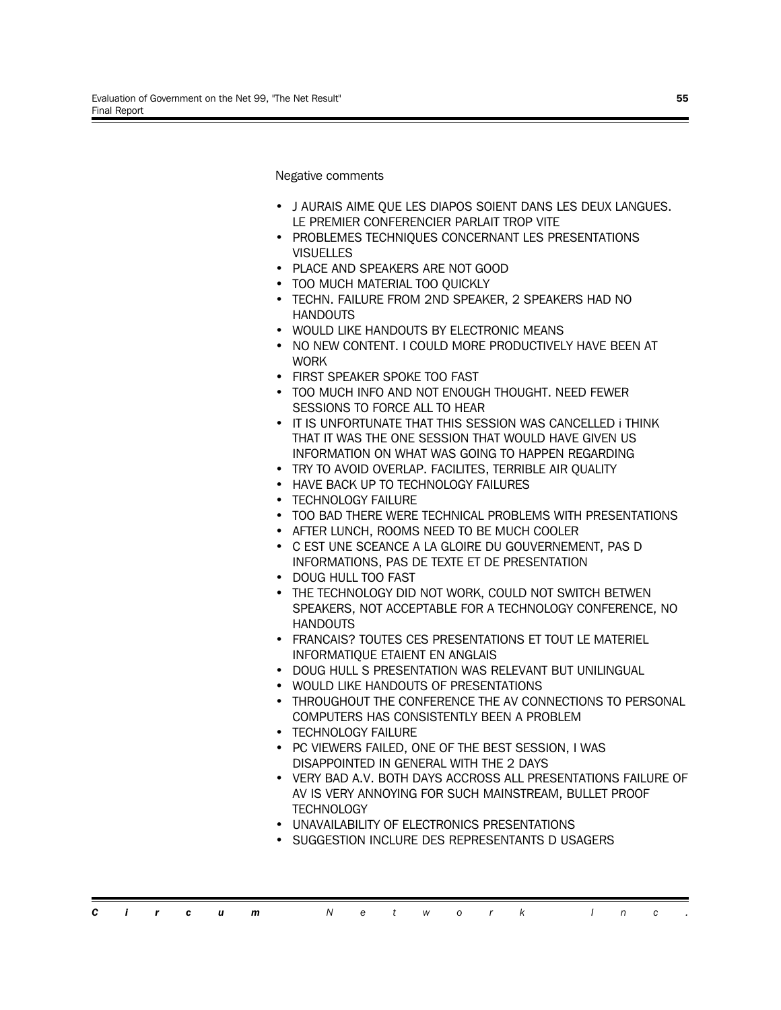- J AURAIS AIME QUE LES DIAPOS SOIENT DANS LES DEUX LANGUES. LE PREMIER CONFERENCIER PARLAIT TROP VITE
- PROBLEMES TECHNIQUES CONCERNANT LES PRESENTATIONS VISUELLES
- PLACE AND SPEAKERS ARE NOT GOOD
- TOO MUCH MATERIAL TOO QUICKLY
- TECHN. FAILURE FROM 2ND SPEAKER, 2 SPEAKERS HAD NO **HANDOUTS**
- WOULD LIKE HANDOUTS BY ELECTRONIC MEANS
- NO NEW CONTENT. I COULD MORE PRODUCTIVELY HAVE BEEN AT **WORK**
- FIRST SPEAKER SPOKE TOO FAST
- TOO MUCH INFO AND NOT ENOUGH THOUGHT. NEED FEWER SESSIONS TO FORCE ALL TO HEAR
- IT IS UNFORTUNATE THAT THIS SESSION WAS CANCELLED i THINK THAT IT WAS THE ONE SESSION THAT WOULD HAVE GIVEN US INFORMATION ON WHAT WAS GOING TO HAPPEN REGARDING
- TRY TO AVOID OVERLAP. FACILITES, TERRIBLE AIR QUALITY
- HAVE BACK UP TO TECHNOLOGY FAILURES
- TECHNOLOGY FAILURE
- TOO BAD THERE WERE TECHNICAL PROBLEMS WITH PRESENTATIONS
- AFTER LUNCH, ROOMS NEED TO BE MUCH COOLER
- C EST UNE SCEANCE A LA GLOIRE DU GOUVERNEMENT, PAS D INFORMATIONS, PAS DE TEXTE ET DE PRESENTATION
- DOUG HULL TOO FAST
- THE TECHNOLOGY DID NOT WORK, COULD NOT SWITCH BETWEN SPEAKERS, NOT ACCEPTABLE FOR A TECHNOLOGY CONFERENCE, NO **HANDOUTS**
- FRANCAIS? TOUTES CES PRESENTATIONS ET TOUT LE MATERIEL INFORMATIQUE ETAIENT EN ANGLAIS
- DOUG HULL S PRESENTATION WAS RELEVANT BUT UNILINGUAL
- WOULD LIKE HANDOUTS OF PRESENTATIONS
- THROUGHOUT THE CONFERENCE THE AV CONNECTIONS TO PERSONAL COMPUTERS HAS CONSISTENTLY BEEN A PROBLEM
- TECHNOLOGY FAILURE
- PC VIEWERS FAILED, ONE OF THE BEST SESSION, I WAS DISAPPOINTED IN GENERAL WITH THE 2 DAYS
- VERY BAD A.V. BOTH DAYS ACCROSS ALL PRESENTATIONS FAILURE OF AV IS VERY ANNOYING FOR SUCH MAINSTREAM, BULLET PROOF **TECHNOLOGY**
- UNAVAILABILITY OF ELECTRONICS PRESENTATIONS
- SUGGESTION INCLURE DES REPRESENTANTS D USAGERS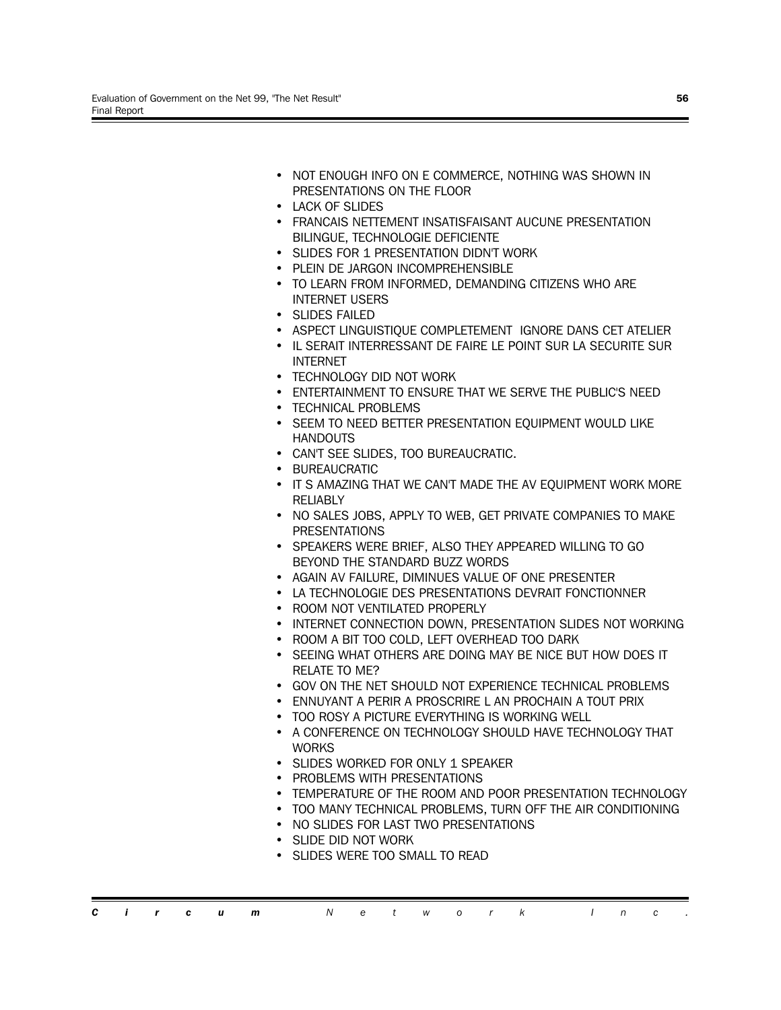- NOT ENOUGH INFO ON E COMMERCE, NOTHING WAS SHOWN IN PRESENTATIONS ON THE FLOOR
- LACK OF SLIDES
- FRANCAIS NETTEMENT INSATISFAISANT AUCUNE PRESENTATION BILINGUE, TECHNOLOGIE DEFICIENTE
- SLIDES FOR 1 PRESENTATION DIDN'T WORK
- PLEIN DE JARGON INCOMPREHENSIBLE
- TO LEARN FROM INFORMED, DEMANDING CITIZENS WHO ARE INTERNET USERS
- SLIDES FAILED
- ASPECT LINGUISTIQUE COMPLETEMENT IGNORE DANS CET ATELIER
- IL SERAIT INTERRESSANT DE FAIRE LE POINT SUR LA SECURITE SUR INTERNET
- TECHNOLOGY DID NOT WORK
- ENTERTAINMENT TO ENSURE THAT WE SERVE THE PUBLIC'S NEED
- TECHNICAL PROBLEMS
- SEEM TO NEED BETTER PRESENTATION EQUIPMENT WOULD LIKE **HANDOUTS**
- CAN'T SEE SLIDES, TOO BUREAUCRATIC.
- BUREAUCRATIC
- IT S AMAZING THAT WE CAN'T MADE THE AV EQUIPMENT WORK MORE RELIABLY
- NO SALES JOBS, APPLY TO WEB, GET PRIVATE COMPANIES TO MAKE PRESENTATIONS
- SPEAKERS WERE BRIEF, ALSO THEY APPEARED WILLING TO GO BEYOND THE STANDARD BUZZ WORDS
- AGAIN AV FAILURE, DIMINUES VALUE OF ONE PRESENTER
- LA TECHNOLOGIE DES PRESENTATIONS DEVRAIT FONCTIONNER
- ROOM NOT VENTILATED PROPERLY
- INTERNET CONNECTION DOWN, PRESENTATION SLIDES NOT WORKING
- ROOM A BIT TOO COLD, LEFT OVERHEAD TOO DARK
- SEEING WHAT OTHERS ARE DOING MAY BE NICE BUT HOW DOES IT RELATE TO ME?
- GOV ON THE NET SHOULD NOT EXPERIENCE TECHNICAL PROBLEMS
- ENNUYANT A PERIR A PROSCRIRE L AN PROCHAIN A TOUT PRIX
- TOO ROSY A PICTURE EVERYTHING IS WORKING WELL
- A CONFERENCE ON TECHNOLOGY SHOULD HAVE TECHNOLOGY THAT **WORKS**
- SLIDES WORKED FOR ONLY 1 SPEAKER
- PROBLEMS WITH PRESENTATIONS
- TEMPERATURE OF THE ROOM AND POOR PRESENTATION TECHNOLOGY
- TOO MANY TECHNICAL PROBLEMS, TURN OFF THE AIR CONDITIONING
- NO SLIDES FOR LAST TWO PRESENTATIONS
- SLIDE DID NOT WORK
- SLIDES WERE TOO SMALL TO READ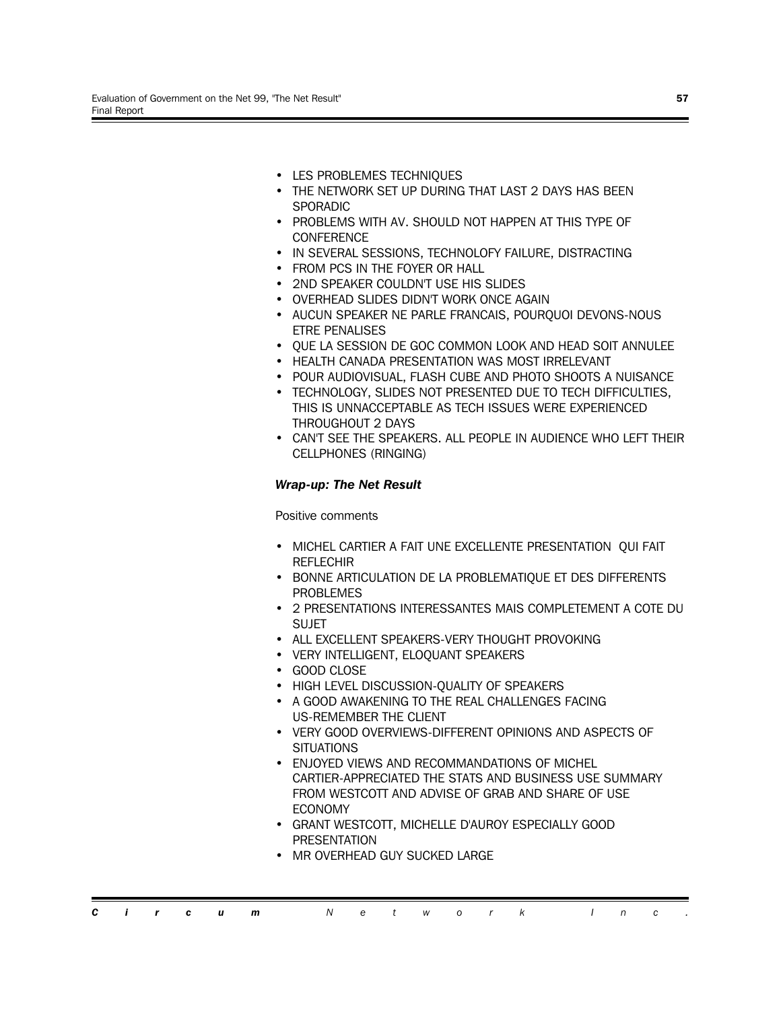- LES PROBLEMES TECHNIQUES
- THE NETWORK SET UP DURING THAT LAST 2 DAYS HAS BEEN SPORADIC
- PROBLEMS WITH AV. SHOULD NOT HAPPEN AT THIS TYPE OF **CONFERENCE**
- IN SEVERAL SESSIONS, TECHNOLOFY FAILURE, DISTRACTING
- FROM PCS IN THE FOYER OR HALL
- 2ND SPEAKER COULDN'T USE HIS SLIDES
- OVERHEAD SLIDES DIDN'T WORK ONCE AGAIN
- AUCUN SPEAKER NE PARLE FRANCAIS, POURQUOI DEVONS-NOUS ETRE PENALISES
- QUE LA SESSION DE GOC COMMON LOOK AND HEAD SOIT ANNULEE
- HEALTH CANADA PRESENTATION WAS MOST IRRELEVANT
- POUR AUDIOVISUAL, FLASH CUBE AND PHOTO SHOOTS A NUISANCE
- TECHNOLOGY, SLIDES NOT PRESENTED DUE TO TECH DIFFICULTIES, THIS IS UNNACCEPTABLE AS TECH ISSUES WERE EXPERIENCED THROUGHOUT 2 DAYS
- CAN'T SEE THE SPEAKERS. ALL PEOPLE IN AUDIENCE WHO LEFT THEIR CELLPHONES (RINGING)

## *Wrap-up: The Net Result*

- MICHEL CARTIER A FAIT UNE EXCELLENTE PRESENTATION QUI FAIT REFLECHIR
- BONNE ARTICULATION DE LA PROBLEMATIQUE ET DES DIFFERENTS PROBLEMES
- 2 PRESENTATIONS INTERESSANTES MAIS COMPLETEMENT A COTE DU **SUJFT**
- ALL EXCELLENT SPEAKERS-VERY THOUGHT PROVOKING
- VERY INTELLIGENT, ELOQUANT SPEAKERS
- GOOD CLOSE
- HIGH LEVEL DISCUSSION-QUALITY OF SPEAKERS
- A GOOD AWAKENING TO THE REAL CHALLENGES FACING US-REMEMBER THE CLIENT
- VERY GOOD OVERVIEWS-DIFFERENT OPINIONS AND ASPECTS OF **SITUATIONS**
- ENJOYED VIEWS AND RECOMMANDATIONS OF MICHEL CARTIER-APPRECIATED THE STATS AND BUSINESS USE SUMMARY FROM WESTCOTT AND ADVISE OF GRAB AND SHARE OF USE ECONOMY
- GRANT WESTCOTT, MICHELLE D'AUROY ESPECIALLY GOOD PRESENTATION
- MR OVERHEAD GUY SUCKED LARGE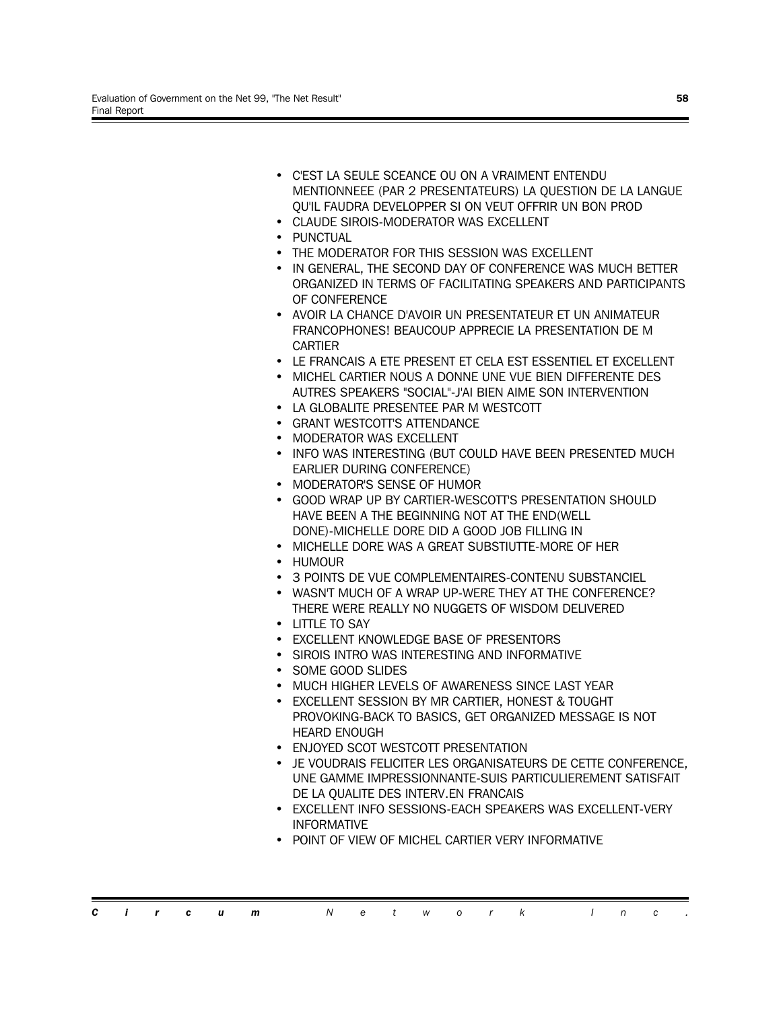- C'EST LA SEULE SCEANCE OU ON A VRAIMENT ENTENDU MENTIONNEEE (PAR 2 PRESENTATEURS) LA QUESTION DE LA LANGUE QU'IL FAUDRA DEVELOPPER SI ON VEUT OFFRIR UN BON PROD
- CLAUDE SIROIS-MODERATOR WAS EXCELLENT
- PUNCTUAL
- THE MODERATOR FOR THIS SESSION WAS EXCELLENT
- IN GENERAL, THE SECOND DAY OF CONFERENCE WAS MUCH BETTER ORGANIZED IN TERMS OF FACILITATING SPEAKERS AND PARTICIPANTS OF CONFERENCE
- AVOIR LA CHANCE D'AVOIR UN PRESENTATEUR ET UN ANIMATEUR FRANCOPHONES! BEAUCOUP APPRECIE LA PRESENTATION DE M CARTIER
- LE FRANCAIS A ETE PRESENT ET CELA EST ESSENTIEL ET EXCELLENT
- MICHEL CARTIER NOUS A DONNE UNE VUE BIEN DIFFERENTE DES AUTRES SPEAKERS "SOCIAL"-J'AI BIEN AIME SON INTERVENTION
- LA GLOBALITE PRESENTEE PAR M WESTCOTT
- GRANT WESTCOTT'S ATTENDANCE
- MODERATOR WAS EXCELLENT
- INFO WAS INTERESTING (BUT COULD HAVE BEEN PRESENTED MUCH EARLIER DURING CONFERENCE)
- MODERATOR'S SENSE OF HUMOR
- GOOD WRAP UP BY CARTIER-WESCOTT'S PRESENTATION SHOULD HAVE BEEN A THE BEGINNING NOT AT THE END(WELL DONE)-MICHELLE DORE DID A GOOD JOB FILLING IN
- MICHELLE DORE WAS A GREAT SUBSTIUTTE-MORE OF HER
- HUMOUR
- 3 POINTS DE VUE COMPLEMENTAIRES-CONTENU SUBSTANCIEL
- WASN'T MUCH OF A WRAP UP-WERE THEY AT THE CONFERENCE? THERE WERE REALLY NO NUGGETS OF WISDOM DELIVERED
- LITTLE TO SAY
- EXCELLENT KNOWLEDGE BASE OF PRESENTORS
- SIROIS INTRO WAS INTERESTING AND INFORMATIVE
- SOME GOOD SLIDES
- MUCH HIGHER LEVELS OF AWARENESS SINCE LAST YEAR
- EXCELLENT SESSION BY MR CARTIER, HONEST & TOUGHT PROVOKING-BACK TO BASICS, GET ORGANIZED MESSAGE IS NOT HEARD ENOUGH
- ENJOYED SCOT WESTCOTT PRESENTATION
- JE VOUDRAIS FELICITER LES ORGANISATEURS DE CETTE CONFERENCE, UNE GAMME IMPRESSIONNANTE-SUIS PARTICULIEREMENT SATISFAIT DE LA QUALITE DES INTERV.EN FRANCAIS
- EXCELLENT INFO SESSIONS-EACH SPEAKERS WAS EXCELLENT-VERY INFORMATIVE
- POINT OF VIEW OF MICHEL CARTIER VERY INFORMATIVE

|  |  | <b>Circum</b> Network Inc. |  |  |  |  |  |  |
|--|--|----------------------------|--|--|--|--|--|--|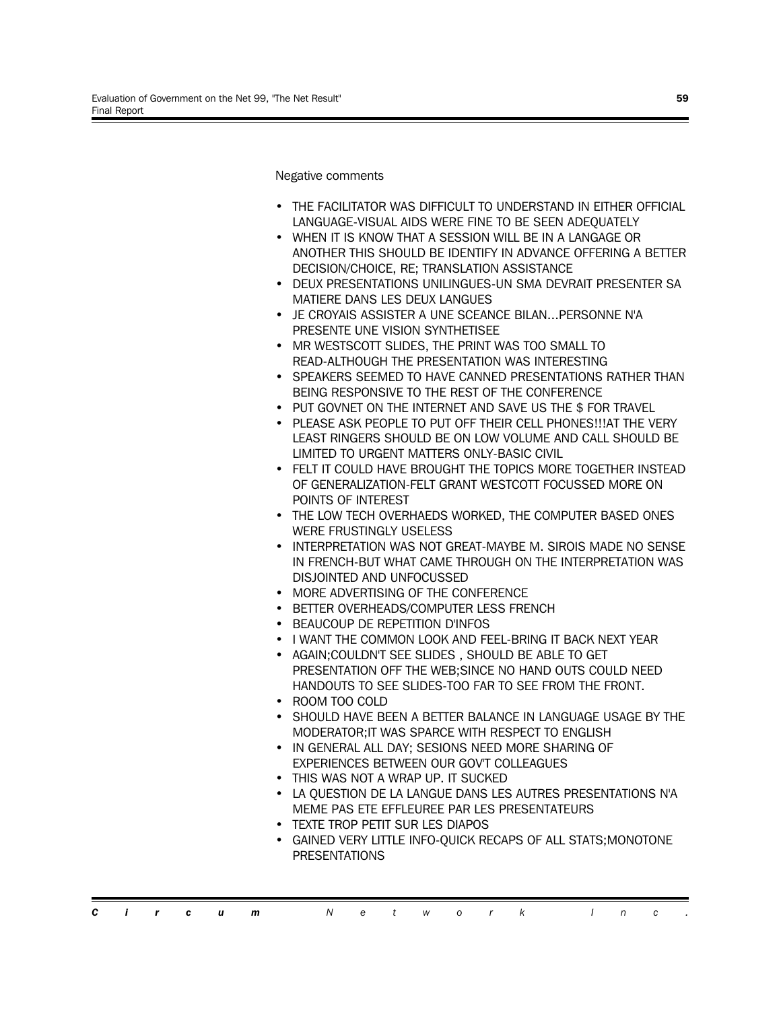- THE FACILITATOR WAS DIFFICULT TO UNDERSTAND IN EITHER OFFICIAL LANGUAGE-VISUAL AIDS WERE FINE TO BE SEEN ADEQUATELY
- WHEN IT IS KNOW THAT A SESSION WILL BE IN A LANGAGE OR ANOTHER THIS SHOULD BE IDENTIFY IN ADVANCE OFFERING A BETTER DECISION/CHOICE, RE; TRANSLATION ASSISTANCE
- DEUX PRESENTATIONS UNILINGUES-UN SMA DEVRAIT PRESENTER SA MATIERE DANS LES DEUX LANGUES
- JE CROYAIS ASSISTER A UNE SCEANCE BILAN...PERSONNE N'A PRESENTE UNE VISION SYNTHETISEE
- MR WESTSCOTT SLIDES, THE PRINT WAS TOO SMALL TO READ-ALTHOUGH THE PRESENTATION WAS INTERESTING
- SPEAKERS SEEMED TO HAVE CANNED PRESENTATIONS RATHER THAN BEING RESPONSIVE TO THE REST OF THE CONFERENCE
- PUT GOVNET ON THE INTERNET AND SAVE US THE \$ FOR TRAVEL
- PLEASE ASK PEOPLE TO PUT OFF THEIR CELL PHONES!!!AT THE VERY LEAST RINGERS SHOULD BE ON LOW VOLUME AND CALL SHOULD BE LIMITED TO URGENT MATTERS ONLY-BASIC CIVIL
- FELT IT COULD HAVE BROUGHT THE TOPICS MORE TOGETHER INSTEAD OF GENERALIZATION-FELT GRANT WESTCOTT FOCUSSED MORE ON POINTS OF INTEREST
- THE LOW TECH OVERHAEDS WORKED, THE COMPUTER BASED ONES WERE FRUSTINGLY USELESS
- INTERPRETATION WAS NOT GREAT-MAYBE M. SIROIS MADE NO SENSE IN FRENCH-BUT WHAT CAME THROUGH ON THE INTERPRETATION WAS DISJOINTED AND UNFOCUSSED
- MORE ADVERTISING OF THE CONFERENCE
- BETTER OVERHEADS/COMPUTER LESS FRENCH
- BEAUCOUP DE REPETITION D'INFOS
- I WANT THE COMMON LOOK AND FEEL-BRING IT BACK NEXT YEAR
- AGAIN;COULDN'T SEE SLIDES , SHOULD BE ABLE TO GET PRESENTATION OFF THE WEB;SINCE NO HAND OUTS COULD NEED HANDOUTS TO SEE SLIDES-TOO FAR TO SEE FROM THE FRONT.
- ROOM TOO COLD
- SHOULD HAVE BEEN A BETTER BALANCE IN LANGUAGE USAGE BY THE MODERATOR;IT WAS SPARCE WITH RESPECT TO ENGLISH
- IN GENERAL ALL DAY; SESIONS NEED MORE SHARING OF EXPERIENCES BETWEEN OUR GOV'T COLLEAGUES
- THIS WAS NOT A WRAP UP. IT SUCKED
- LA QUESTION DE LA LANGUE DANS LES AUTRES PRESENTATIONS N'A MEME PAS ETE EFFLEUREE PAR LES PRESENTATEURS
- TEXTE TROP PETIT SUR LES DIAPOS
- GAINED VERY LITTLE INFO-QUICK RECAPS OF ALL STATS;MONOTONE PRESENTATIONS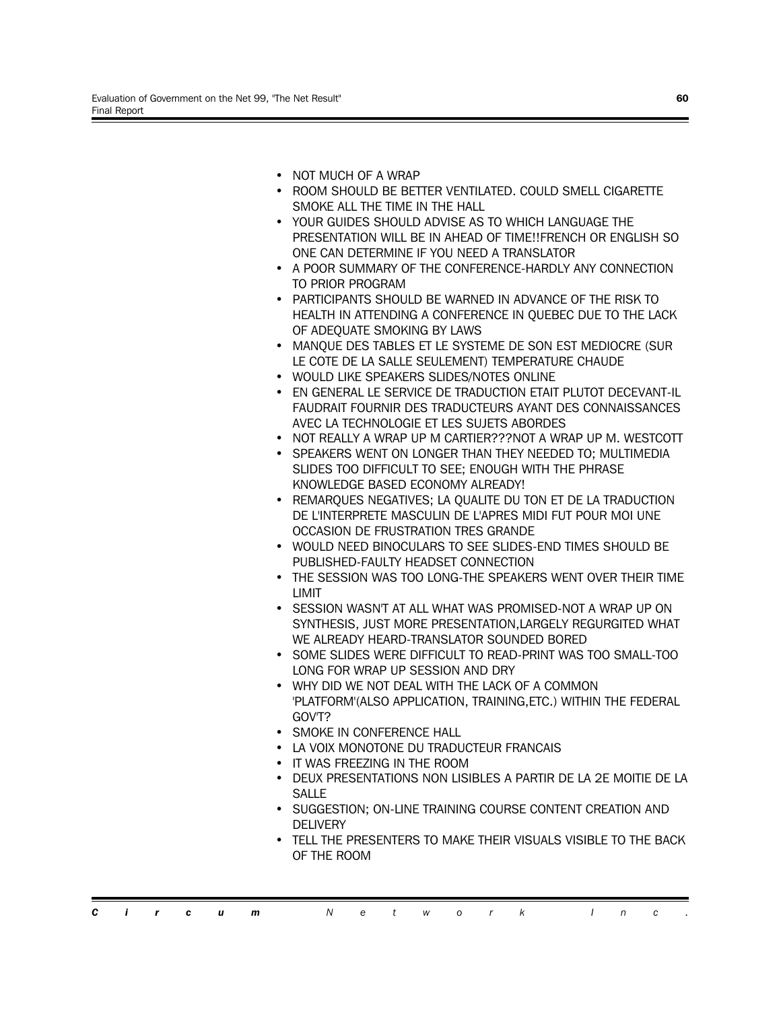- NOT MUCH OF A WRAP
- ROOM SHOULD BE BETTER VENTILATED. COULD SMELL CIGARETTE SMOKE ALL THE TIME IN THE HALL
- YOUR GUIDES SHOULD ADVISE AS TO WHICH LANGUAGE THE PRESENTATION WILL BE IN AHEAD OF TIME!!FRENCH OR ENGLISH SO ONE CAN DETERMINE IF YOU NEED A TRANSLATOR
- A POOR SUMMARY OF THE CONFERENCE-HARDLY ANY CONNECTION TO PRIOR PROGRAM
- PARTICIPANTS SHOULD BE WARNED IN ADVANCE OF THE RISK TO HEALTH IN ATTENDING A CONFERENCE IN QUEBEC DUE TO THE LACK OF ADEQUATE SMOKING BY LAWS
- MANQUE DES TABLES ET LE SYSTEME DE SON EST MEDIOCRE (SUR LE COTE DE LA SALLE SEULEMENT) TEMPERATURE CHAUDE
- WOULD LIKE SPEAKERS SLIDES/NOTES ONLINE
- EN GENERAL LE SERVICE DE TRADUCTION ETAIT PLUTOT DECEVANT-IL FAUDRAIT FOURNIR DES TRADUCTEURS AYANT DES CONNAISSANCES AVEC LA TECHNOLOGIE ET LES SUJETS ABORDES
- NOT REALLY A WRAP UP M CARTIER???NOT A WRAP UP M. WESTCOTT
- SPEAKERS WENT ON LONGER THAN THEY NEEDED TO; MULTIMEDIA SLIDES TOO DIFFICULT TO SEE; ENOUGH WITH THE PHRASE KNOWLEDGE BASED ECONOMY ALREADY!
- REMARQUES NEGATIVES; LA QUALITE DU TON ET DE LA TRADUCTION DE L'INTERPRETE MASCULIN DE L'APRES MIDI FUT POUR MOI UNE OCCASION DE FRUSTRATION TRES GRANDE
- WOULD NEED BINOCULARS TO SEE SLIDES-END TIMES SHOULD BE PUBLISHED-FAULTY HEADSET CONNECTION
- THE SESSION WAS TOO LONG-THE SPEAKERS WENT OVER THEIR TIME LIMIT
- SESSION WASN'T AT ALL WHAT WAS PROMISED-NOT A WRAP UP ON SYNTHESIS, JUST MORE PRESENTATION,LARGELY REGURGITED WHAT WE ALREADY HEARD-TRANSLATOR SOUNDED BORED
- SOME SLIDES WERE DIFFICULT TO READ-PRINT WAS TOO SMALL-TOO LONG FOR WRAP UP SESSION AND DRY
- WHY DID WE NOT DEAL WITH THE LACK OF A COMMON 'PLATFORM'(ALSO APPLICATION, TRAINING,ETC.) WITHIN THE FEDERAL GOV'T?
- SMOKE IN CONFERENCE HALL
- LA VOIX MONOTONE DU TRADUCTEUR FRANCAIS
- IT WAS FREEZING IN THE ROOM
- DEUX PRESENTATIONS NON LISIBLES A PARTIR DE LA 2E MOITIE DE LA SALLE
- SUGGESTION; ON-LINE TRAINING COURSE CONTENT CREATION AND DELIVERY
- TELL THE PRESENTERS TO MAKE THEIR VISUALS VISIBLE TO THE BACK OF THE ROOM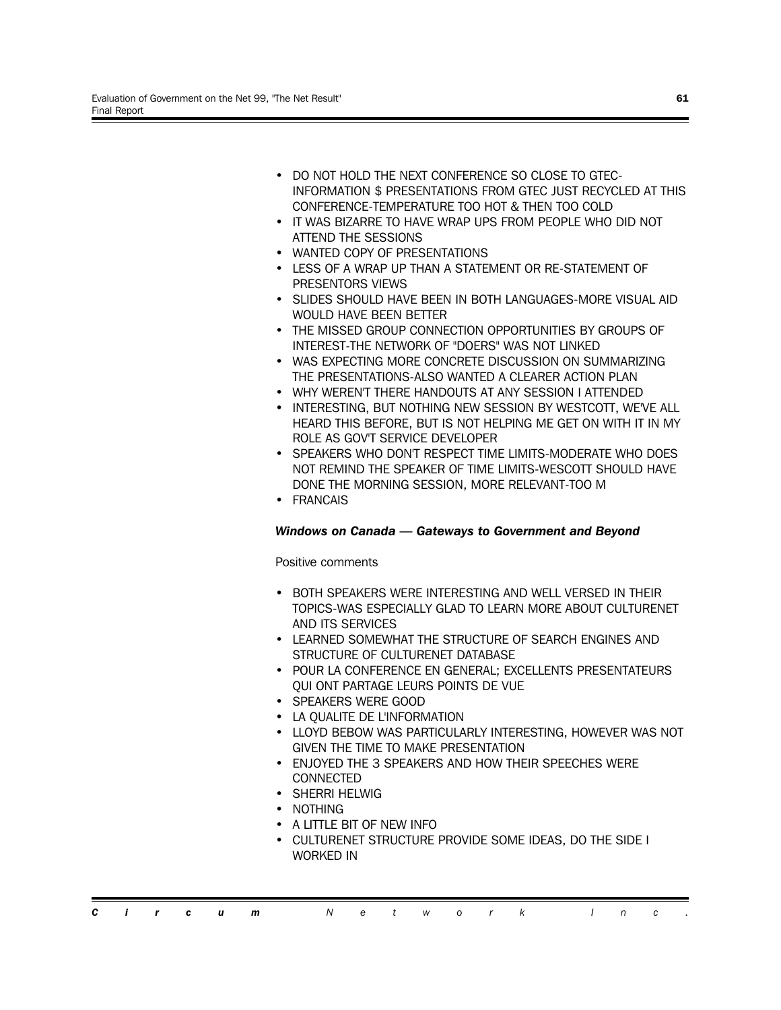- DO NOT HOLD THE NEXT CONFERENCE SO CLOSE TO GTEC-INFORMATION \$ PRESENTATIONS FROM GTEC JUST RECYCLED AT THIS CONFERENCE-TEMPERATURE TOO HOT & THEN TOO COLD
- IT WAS BIZARRE TO HAVE WRAP UPS FROM PEOPLE WHO DID NOT ATTEND THE SESSIONS
- WANTED COPY OF PRESENTATIONS
- LESS OF A WRAP UP THAN A STATEMENT OR RE-STATEMENT OF PRESENTORS VIEWS
- SLIDES SHOULD HAVE BEEN IN BOTH LANGUAGES-MORE VISUAL AID WOULD HAVE BEEN BETTER
- THE MISSED GROUP CONNECTION OPPORTUNITIES BY GROUPS OF INTEREST-THE NETWORK OF "DOERS" WAS NOT LINKED
- WAS EXPECTING MORE CONCRETE DISCUSSION ON SUMMARIZING THE PRESENTATIONS-ALSO WANTED A CLEARER ACTION PLAN
- WHY WEREN'T THERE HANDOUTS AT ANY SESSION I ATTENDED
- INTERESTING, BUT NOTHING NEW SESSION BY WESTCOTT, WE'VE ALL HEARD THIS BEFORE, BUT IS NOT HELPING ME GET ON WITH IT IN MY ROLE AS GOV'T SERVICE DEVELOPER
- SPEAKERS WHO DON'T RESPECT TIME LIMITS-MODERATE WHO DOES NOT REMIND THE SPEAKER OF TIME LIMITS-WESCOTT SHOULD HAVE DONE THE MORNING SESSION, MORE RELEVANT-TOO M
- FRANCAIS

# *Windows on Canada — Gateways to Government and Beyond*

- BOTH SPEAKERS WERE INTERESTING AND WELL VERSED IN THEIR TOPICS-WAS ESPECIALLY GLAD TO LEARN MORE ABOUT CULTURENET AND ITS SERVICES
- LEARNED SOMEWHAT THE STRUCTURE OF SEARCH ENGINES AND STRUCTURE OF CULTURENET DATABASE
- POUR LA CONFERENCE EN GENERAL; EXCELLENTS PRESENTATEURS QUI ONT PARTAGE LEURS POINTS DE VUE
- SPEAKERS WERE GOOD
- LA QUALITE DE L'INFORMATION
- LLOYD BEBOW WAS PARTICULARLY INTERESTING, HOWEVER WAS NOT GIVEN THE TIME TO MAKE PRESENTATION
- ENJOYED THE 3 SPEAKERS AND HOW THEIR SPEECHES WERE CONNECTED
- SHERRI HELWIG
- NOTHING
- A LITTLE BIT OF NEW INFO
- CULTURENET STRUCTURE PROVIDE SOME IDEAS, DO THE SIDE I WORKED IN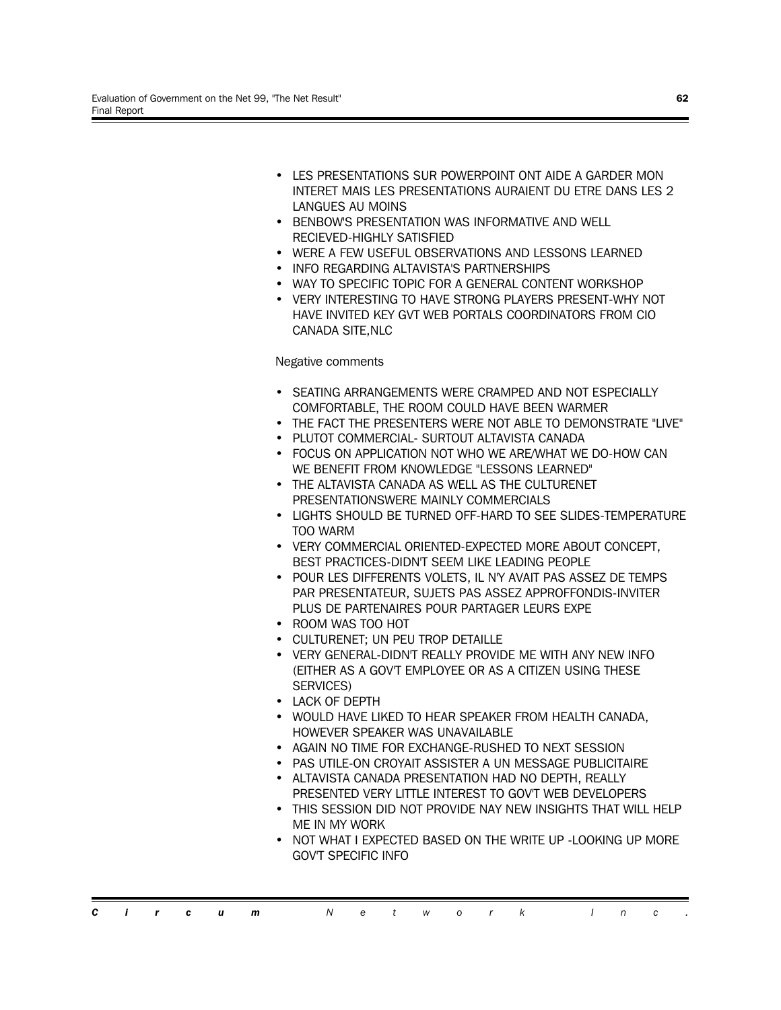- LES PRESENTATIONS SUR POWERPOINT ONT AIDE A GARDER MON INTERET MAIS LES PRESENTATIONS AURAIENT DU ETRE DANS LES 2 LANGUES AU MOINS
- BENBOW'S PRESENTATION WAS INFORMATIVE AND WELL RECIEVED-HIGHLY SATISFIED
- WERE A FEW USEFUL OBSERVATIONS AND LESSONS LEARNED
- INFO REGARDING ALTAVISTA'S PARTNERSHIPS
- WAY TO SPECIFIC TOPIC FOR A GENERAL CONTENT WORKSHOP
- VERY INTERESTING TO HAVE STRONG PLAYERS PRESENT-WHY NOT HAVE INVITED KEY GVT WEB PORTALS COORDINATORS FROM CIO CANADA SITE,NLC

- SEATING ARRANGEMENTS WERE CRAMPED AND NOT ESPECIALLY COMFORTABLE, THE ROOM COULD HAVE BEEN WARMER
- THE FACT THE PRESENTERS WERE NOT ABLE TO DEMONSTRATE "LIVE"
- PLUTOT COMMERCIAL- SURTOUT ALTAVISTA CANADA
- FOCUS ON APPLICATION NOT WHO WE ARE/WHAT WE DO-HOW CAN WE BENEFIT FROM KNOWLEDGE "LESSONS LEARNED"
- THE ALTAVISTA CANADA AS WELL AS THE CULTURENET PRESENTATIONSWERE MAINLY COMMERCIALS
- LIGHTS SHOULD BE TURNED OFF-HARD TO SEE SLIDES-TEMPERATURE TOO WARM
- VERY COMMERCIAL ORIENTED-EXPECTED MORE ABOUT CONCEPT, BEST PRACTICES-DIDN'T SEEM LIKE LEADING PEOPLE
- POUR LES DIFFERENTS VOLETS, IL N'Y AVAIT PAS ASSEZ DE TEMPS PAR PRESENTATEUR, SUJETS PAS ASSEZ APPROFFONDIS-INVITER PLUS DE PARTENAIRES POUR PARTAGER LEURS EXPE
- ROOM WAS TOO HOT
- CULTURENET; UN PEU TROP DETAILLE
- VERY GENERAL-DIDN'T REALLY PROVIDE ME WITH ANY NEW INFO (EITHER AS A GOV'T EMPLOYEE OR AS A CITIZEN USING THESE SERVICES)
- LACK OF DEPTH
- WOULD HAVE LIKED TO HEAR SPEAKER FROM HEALTH CANADA, HOWEVER SPEAKER WAS UNAVAILABLE
- AGAIN NO TIME FOR EXCHANGE-RUSHED TO NEXT SESSION
- PAS UTILE-ON CROYAIT ASSISTER A UN MESSAGE PUBLICITAIRE
- ALTAVISTA CANADA PRESENTATION HAD NO DEPTH, REALLY PRESENTED VERY LITTLE INTEREST TO GOV'T WEB DEVELOPERS
- THIS SESSION DID NOT PROVIDE NAY NEW INSIGHTS THAT WILL HELP ME IN MY WORK
- NOT WHAT I EXPECTED BASED ON THE WRITE UP -LOOKING UP MORE GOV'T SPECIFIC INFO

*Circum Network Inc .*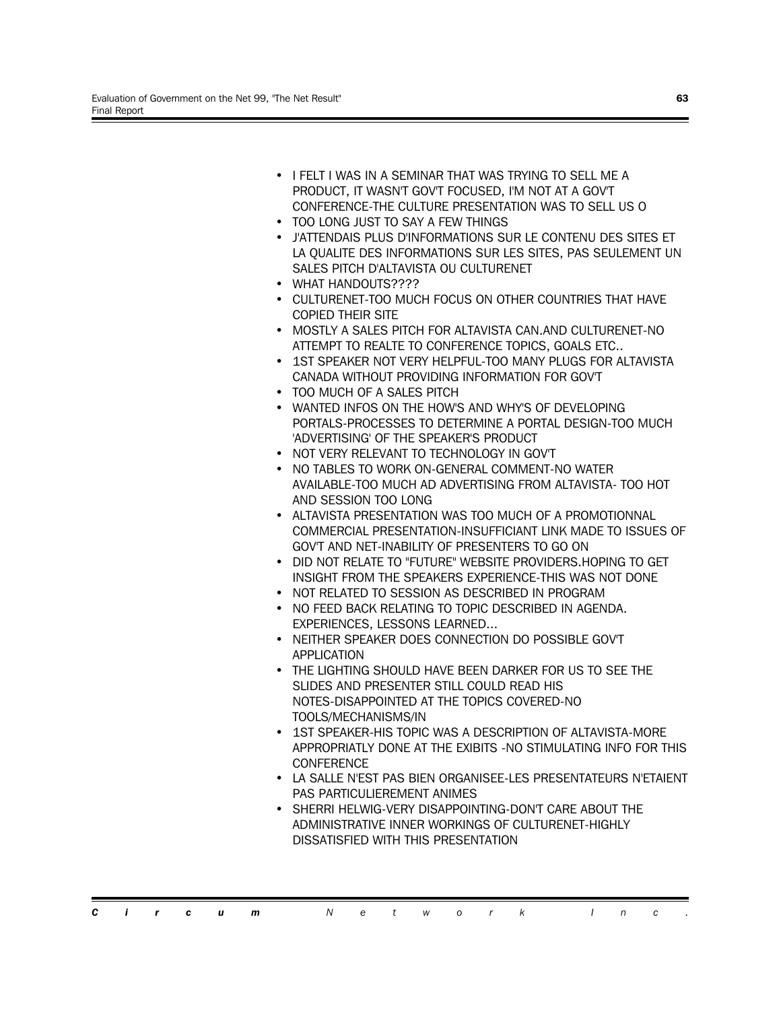- I FELT I WAS IN A SEMINAR THAT WAS TRYING TO SELL ME A PRODUCT, IT WASN'T GOV'T FOCUSED, I'M NOT AT A GOV'T CONFERENCE-THE CULTURE PRESENTATION WAS TO SELL US O
- TOO LONG JUST TO SAY A FEW THINGS
- J'ATTENDAIS PLUS D'INFORMATIONS SUR LE CONTENU DES SITES ET LA QUALITE DES INFORMATIONS SUR LES SITES, PAS SEULEMENT UN SALES PITCH D'ALTAVISTA OU CULTURENET
- WHAT HANDOUTS????
- CULTURENET-TOO MUCH FOCUS ON OTHER COUNTRIES THAT HAVE COPIED THEIR SITE
- MOSTLY A SALES PITCH FOR ALTAVISTA CAN.AND CULTURENET-NO ATTEMPT TO REALTE TO CONFERENCE TOPICS, GOALS ETC..
- 1ST SPEAKER NOT VERY HELPFUL-TOO MANY PLUGS FOR ALTAVISTA CANADA WITHOUT PROVIDING INFORMATION FOR GOV'T
- TOO MUCH OF A SALES PITCH
- WANTED INFOS ON THE HOW'S AND WHY'S OF DEVELOPING PORTALS-PROCESSES TO DETERMINE A PORTAL DESIGN-TOO MUCH 'ADVERTISING' OF THE SPEAKER'S PRODUCT
- NOT VERY RELEVANT TO TECHNOLOGY IN GOV'T
- NO TABLES TO WORK ON-GENERAL COMMENT-NO WATER AVAILABLE-TOO MUCH AD ADVERTISING FROM ALTAVISTA- TOO HOT AND SESSION TOO LONG
- ALTAVISTA PRESENTATION WAS TOO MUCH OF A PROMOTIONNAL COMMERCIAL PRESENTATION-INSUFFICIANT LINK MADE TO ISSUES OF GOV'T AND NET-INABILITY OF PRESENTERS TO GO ON
- DID NOT RELATE TO "FUTURE" WEBSITE PROVIDERS.HOPING TO GET INSIGHT FROM THE SPEAKERS EXPERIENCE-THIS WAS NOT DONE
- NOT RELATED TO SESSION AS DESCRIBED IN PROGRAM
- NO FEED BACK RELATING TO TOPIC DESCRIBED IN AGENDA. EXPERIENCES, LESSONS LEARNED...
- NEITHER SPEAKER DOES CONNECTION DO POSSIBLE GOV'T APPLICATION
- THE LIGHTING SHOULD HAVE BEEN DARKER FOR US TO SEE THE SLIDES AND PRESENTER STILL COULD READ HIS NOTES-DISAPPOINTED AT THE TOPICS COVERED-NO TOOLS/MECHANISMS/IN
- 1ST SPEAKER-HIS TOPIC WAS A DESCRIPTION OF ALTAVISTA-MORE APPROPRIATLY DONE AT THE EXIBITS -NO STIMULATING INFO FOR THIS **CONFERENCE**
- LA SALLE N'EST PAS BIEN ORGANISEE-LES PRESENTATEURS N'ETAIENT PAS PARTICULIEREMENT ANIMES
- SHERRI HELWIG-VERY DISAPPOINTING-DON'T CARE ABOUT THE ADMINISTRATIVE INNER WORKINGS OF CULTURENET-HIGHLY DISSATISFIED WITH THIS PRESENTATION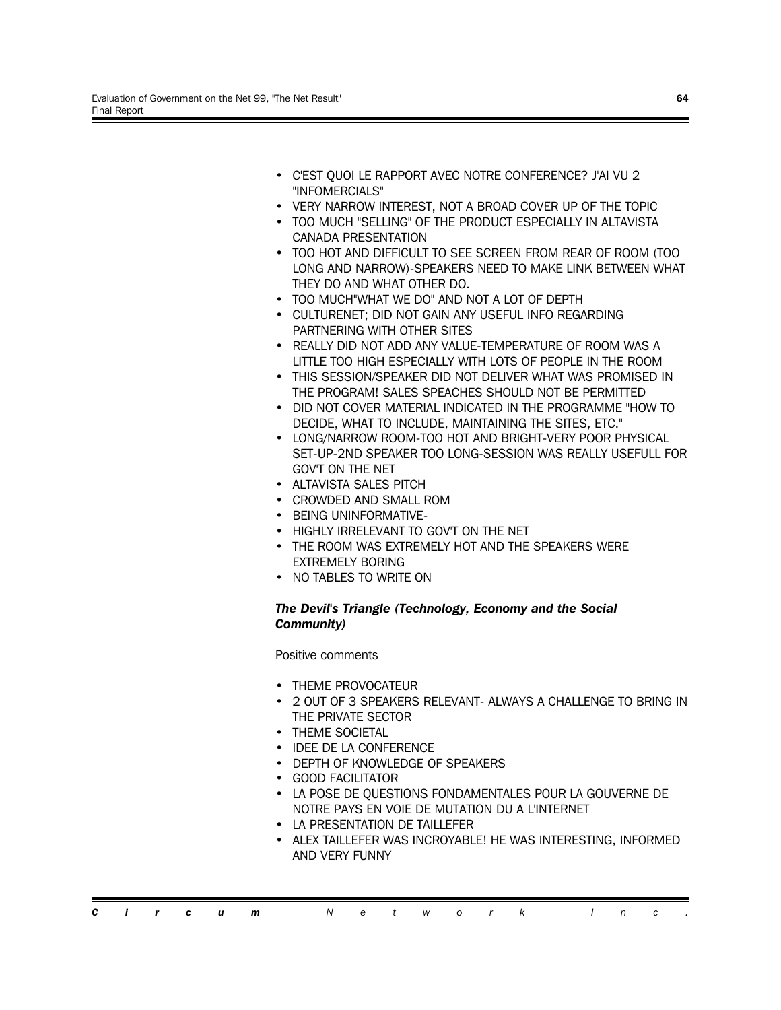- C'EST QUOI LE RAPPORT AVEC NOTRE CONFERENCE? J'AI VU 2 "INFOMERCIALS"
- VERY NARROW INTEREST, NOT A BROAD COVER UP OF THE TOPIC
- TOO MUCH "SELLING" OF THE PRODUCT ESPECIALLY IN ALTAVISTA CANADA PRESENTATION
- TOO HOT AND DIFFICULT TO SEE SCREEN FROM REAR OF ROOM (TOO LONG AND NARROW)-SPEAKERS NEED TO MAKE LINK BETWEEN WHAT THEY DO AND WHAT OTHER DO.
- TOO MUCH"WHAT WE DO" AND NOT A LOT OF DEPTH
- CULTURENET; DID NOT GAIN ANY USEFUL INFO REGARDING PARTNERING WITH OTHER SITES
- REALLY DID NOT ADD ANY VALUE-TEMPERATURE OF ROOM WAS A LITTLE TOO HIGH ESPECIALLY WITH LOTS OF PEOPLE IN THE ROOM
- THIS SESSION/SPEAKER DID NOT DELIVER WHAT WAS PROMISED IN THE PROGRAM! SALES SPEACHES SHOULD NOT BE PERMITTED
- DID NOT COVER MATERIAL INDICATED IN THE PROGRAMME "HOW TO DECIDE, WHAT TO INCLUDE, MAINTAINING THE SITES, ETC."
- LONG/NARROW ROOM-TOO HOT AND BRIGHT-VERY POOR PHYSICAL SET-UP-2ND SPEAKER TOO LONG-SESSION WAS REALLY USEFULL FOR GOV'T ON THE NET
- ALTAVISTA SALES PITCH
- CROWDED AND SMALL ROM
- BEING UNINFORMATIVE-
- HIGHLY IRRELEVANT TO GOV'T ON THE NET
- THE ROOM WAS EXTREMELY HOT AND THE SPEAKERS WERE EXTREMELY BORING
- NO TABLES TO WRITE ON

## *The Devil's Triangle (Technology, Economy and the Social Community)*

- THEME PROVOCATEUR
- 2 OUT OF 3 SPEAKERS RELEVANT- ALWAYS A CHALLENGE TO BRING IN THE PRIVATE SECTOR
- THEME SOCIETAL
- IDEE DE LA CONFERENCE
- DEPTH OF KNOWLEDGE OF SPEAKERS
- GOOD FACILITATOR
- LA POSE DE QUESTIONS FONDAMENTALES POUR LA GOUVERNE DE NOTRE PAYS EN VOIE DE MUTATION DU A L'INTERNET
- LA PRESENTATION DE TAILLEFER
- ALEX TAILLEFER WAS INCROYABLE! HE WAS INTERESTING, INFORMED AND VERY FUNNY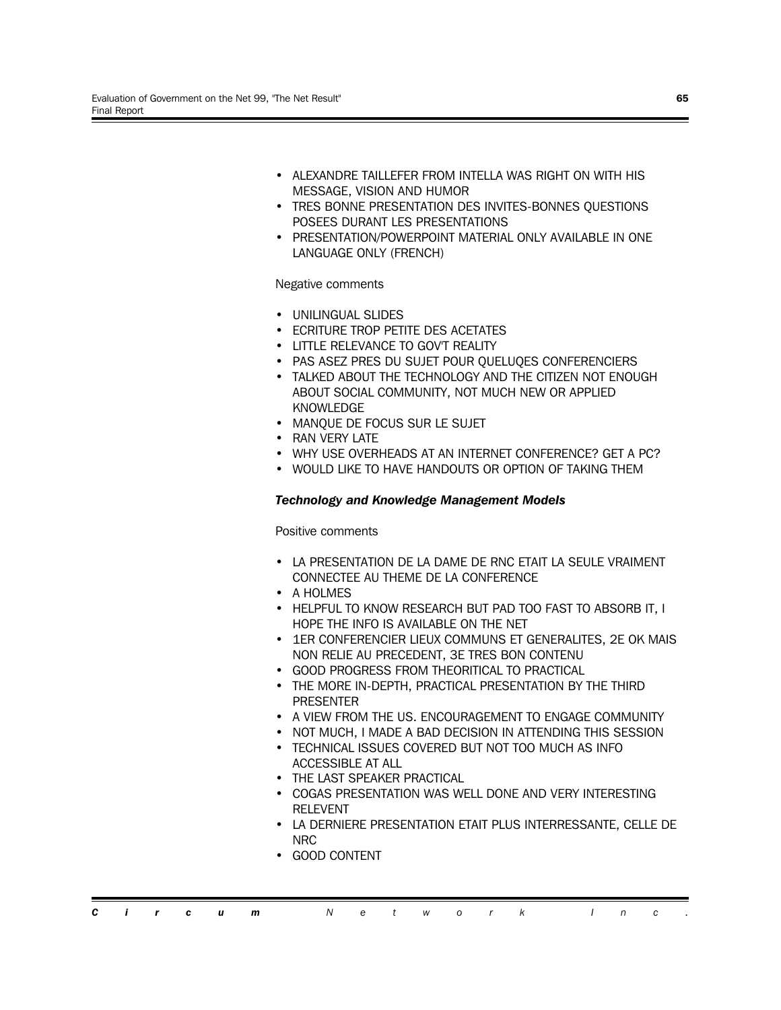- ALEXANDRE TAILLEFER FROM INTELLA WAS RIGHT ON WITH HIS MESSAGE, VISION AND HUMOR
- TRES BONNE PRESENTATION DES INVITES-BONNES QUESTIONS POSEES DURANT LES PRESENTATIONS
- PRESENTATION/POWERPOINT MATERIAL ONLY AVAILABLE IN ONE LANGUAGE ONLY (FRENCH)

- UNILINGUAL SLIDES
- ECRITURE TROP PETITE DES ACETATES
- LITTLE RELEVANCE TO GOV'T REALITY
- PAS ASEZ PRES DU SUJET POUR QUELUQES CONFERENCIERS
- TALKED ABOUT THE TECHNOLOGY AND THE CITIZEN NOT ENOUGH ABOUT SOCIAL COMMUNITY, NOT MUCH NEW OR APPLIED KNOWLEDGE
- MANQUE DE FOCUS SUR LE SUJET
- RAN VERY LATE
- WHY USE OVERHEADS AT AN INTERNET CONFERENCE? GET A PC?
- WOULD LIKE TO HAVE HANDOUTS OR OPTION OF TAKING THEM

# *Technology and Knowledge Management Models*

- LA PRESENTATION DE LA DAME DE RNC ETAIT LA SEULE VRAIMENT CONNECTEE AU THEME DE LA CONFERENCE
- A HOLMES
- HELPFUL TO KNOW RESEARCH BUT PAD TOO FAST TO ABSORB IT, I HOPE THE INFO IS AVAILABLE ON THE NET
- 1ER CONFERENCIER LIEUX COMMUNS ET GENERALITES, 2E OK MAIS NON RELIE AU PRECEDENT, 3E TRES BON CONTENU
- GOOD PROGRESS FROM THEORITICAL TO PRACTICAL
- THE MORE IN-DEPTH, PRACTICAL PRESENTATION BY THE THIRD PRESENTER
- A VIEW FROM THE US. ENCOURAGEMENT TO ENGAGE COMMUNITY
- NOT MUCH, I MADE A BAD DECISION IN ATTENDING THIS SESSION
- TECHNICAL ISSUES COVERED BUT NOT TOO MUCH AS INFO ACCESSIBLE AT ALL
- THE LAST SPEAKER PRACTICAL
- COGAS PRESENTATION WAS WELL DONE AND VERY INTERESTING RELEVENT
- LA DERNIERE PRESENTATION ETAIT PLUS INTERRESSANTE, CELLE DE **NRC**
- GOOD CONTENT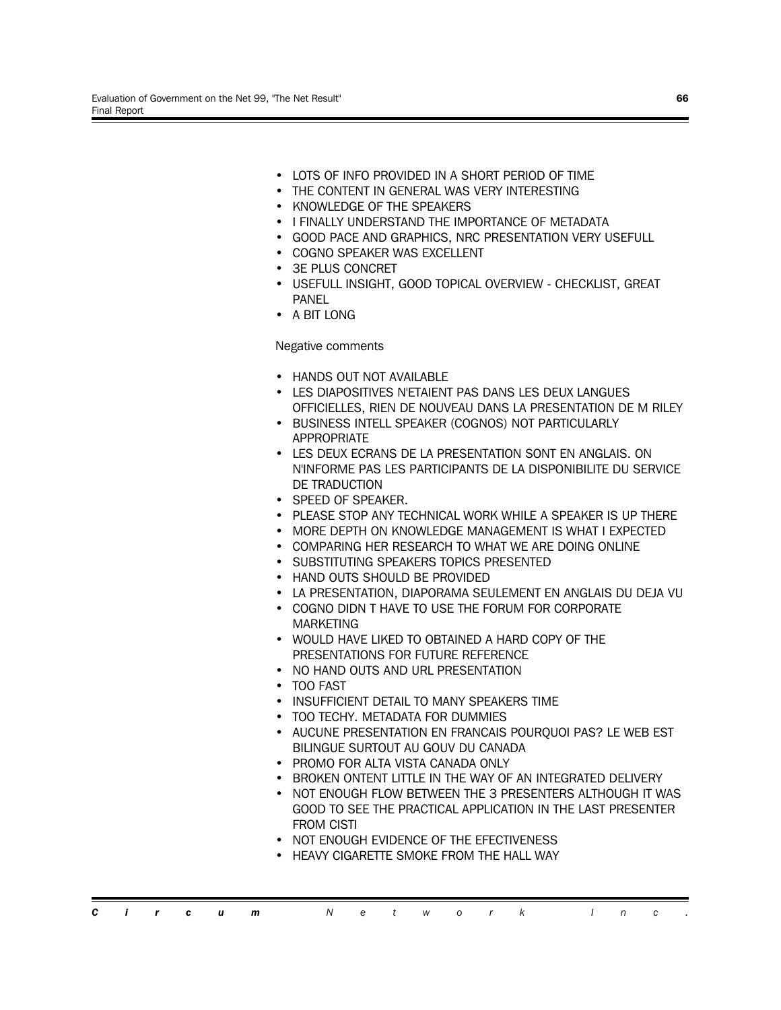- LOTS OF INFO PROVIDED IN A SHORT PERIOD OF TIME
- THE CONTENT IN GENERAL WAS VERY INTERESTING
- KNOWLEDGE OF THE SPEAKERS
- I FINALLY UNDERSTAND THE IMPORTANCE OF METADATA
- GOOD PACE AND GRAPHICS, NRC PRESENTATION VERY USEFULL
- COGNO SPEAKER WAS EXCELLENT
- **3E PLUS CONCRET**
- USEFULL INSIGHT, GOOD TOPICAL OVERVIEW CHECKLIST, GREAT PANEL
- A BIT LONG

- HANDS OUT NOT AVAILABLE
- LES DIAPOSITIVES N'ETAIENT PAS DANS LES DEUX LANGUES OFFICIELLES, RIEN DE NOUVEAU DANS LA PRESENTATION DE M RILEY
- BUSINESS INTELL SPEAKER (COGNOS) NOT PARTICULARLY APPROPRIATE
- LES DEUX ECRANS DE LA PRESENTATION SONT EN ANGLAIS. ON N'INFORME PAS LES PARTICIPANTS DE LA DISPONIBILITE DU SERVICE DE TRADUCTION
- SPEED OF SPEAKER.
- PLEASE STOP ANY TECHNICAL WORK WHILE A SPEAKER IS UP THERE
- MORE DEPTH ON KNOWLEDGE MANAGEMENT IS WHAT I EXPECTED
- COMPARING HER RESEARCH TO WHAT WE ARE DOING ONLINE
- SUBSTITUTING SPEAKERS TOPICS PRESENTED
- HAND OUTS SHOULD BE PROVIDED
- LA PRESENTATION, DIAPORAMA SEULEMENT EN ANGLAIS DU DEJA VU
- COGNO DIDN T HAVE TO USE THE FORUM FOR CORPORATE MARKETING
- WOULD HAVE LIKED TO OBTAINED A HARD COPY OF THE PRESENTATIONS FOR FUTURE REFERENCE
- NO HAND OUTS AND URL PRESENTATION
- TOO FAST
- INSUFFICIENT DETAIL TO MANY SPEAKERS TIME
- TOO TECHY. METADATA FOR DUMMIES
- AUCUNE PRESENTATION EN FRANCAIS POURQUOI PAS? LE WEB EST BILINGUE SURTOUT AU GOUV DU CANADA
- PROMO FOR ALTA VISTA CANADA ONLY
- BROKEN ONTENT LITTLE IN THE WAY OF AN INTEGRATED DELIVERY
- NOT ENOUGH FLOW BETWEEN THE 3 PRESENTERS ALTHOUGH IT WAS GOOD TO SEE THE PRACTICAL APPLICATION IN THE LAST PRESENTER FROM CISTI
- NOT ENOUGH EVIDENCE OF THE EFECTIVENESS
- HEAVY CIGARETTE SMOKE FROM THE HALL WAY

*Circum Network Inc .*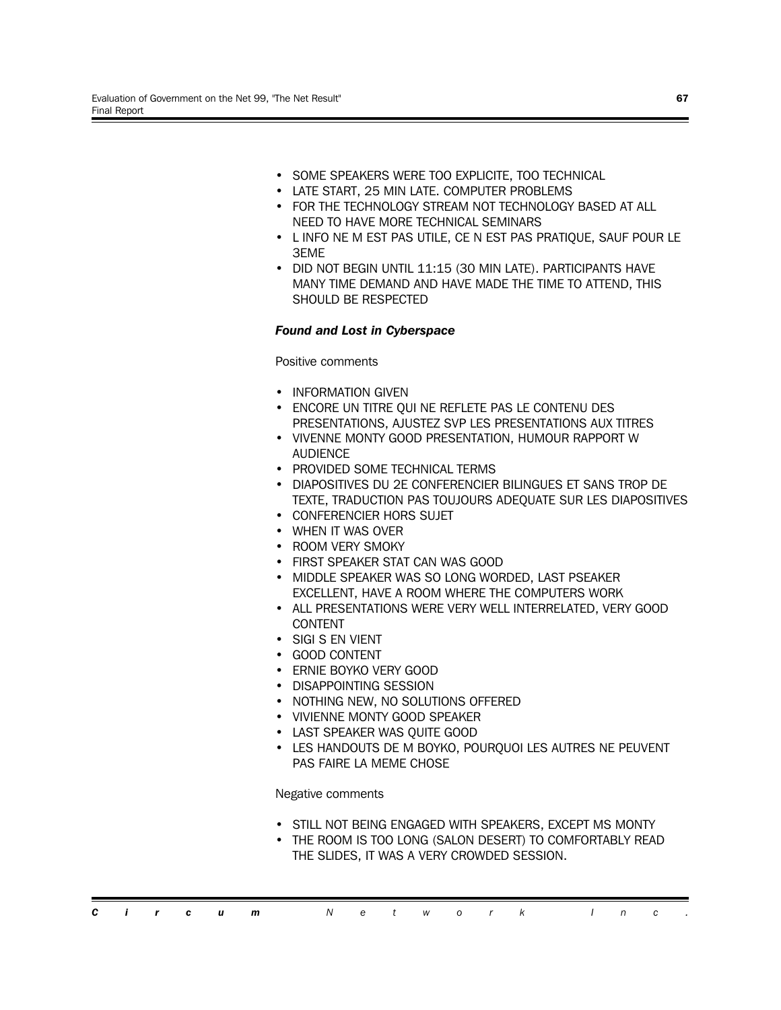- SOME SPEAKERS WERE TOO EXPLICITE, TOO TECHNICAL
- LATE START, 25 MIN LATE. COMPUTER PROBLEMS
- FOR THE TECHNOLOGY STREAM NOT TECHNOLOGY BASED AT ALL NEED TO HAVE MORE TECHNICAL SEMINARS
- L INFO NE M EST PAS UTILE, CE N EST PAS PRATIQUE, SAUF POUR LE 3EME
- DID NOT BEGIN UNTIL 11:15 (30 MIN LATE). PARTICIPANTS HAVE MANY TIME DEMAND AND HAVE MADE THE TIME TO ATTEND, THIS SHOULD BE RESPECTED

# *Found and Lost in Cyberspace*

Positive comments

- INFORMATION GIVEN
- ENCORE UN TITRE QUI NE REFLETE PAS LE CONTENU DES PRESENTATIONS, AJUSTEZ SVP LES PRESENTATIONS AUX TITRES
- VIVENNE MONTY GOOD PRESENTATION, HUMOUR RAPPORT W AUDIENCE
- PROVIDED SOME TECHNICAL TERMS
- DIAPOSITIVES DU 2E CONFERENCIER BILINGUES ET SANS TROP DE TEXTE, TRADUCTION PAS TOUJOURS ADEQUATE SUR LES DIAPOSITIVES
- CONFERENCIER HORS SUJET
- WHEN IT WAS OVER
- ROOM VERY SMOKY
- FIRST SPEAKER STAT CAN WAS GOOD
- MIDDLE SPEAKER WAS SO LONG WORDED, LAST PSEAKER EXCELLENT, HAVE A ROOM WHERE THE COMPUTERS WORK
- ALL PRESENTATIONS WERE VERY WELL INTERRELATED, VERY GOOD CONTENT
- SIGI S EN VIENT
- GOOD CONTENT
- ERNIE BOYKO VERY GOOD
- DISAPPOINTING SESSION
- NOTHING NEW, NO SOLUTIONS OFFERED
- VIVIENNE MONTY GOOD SPEAKER
- LAST SPEAKER WAS QUITE GOOD
- LES HANDOUTS DE M BOYKO, POURQUOI LES AUTRES NE PEUVENT PAS FAIRE LA MEME CHOSE

- STILL NOT BEING ENGAGED WITH SPEAKERS, EXCEPT MS MONTY
- THE ROOM IS TOO LONG (SALON DESERT) TO COMFORTABLY READ THE SLIDES, IT WAS A VERY CROWDED SESSION.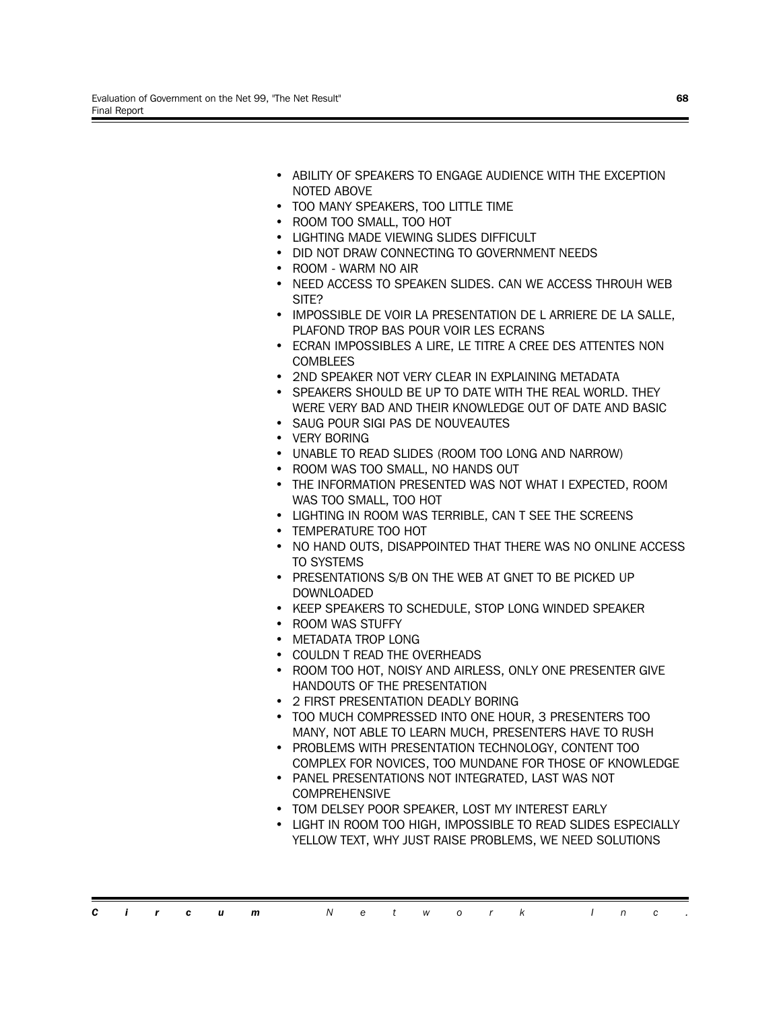- ABILITY OF SPEAKERS TO ENGAGE AUDIENCE WITH THE EXCEPTION NOTED ABOVE
- TOO MANY SPEAKERS, TOO LITTLE TIME
- ROOM TOO SMALL, TOO HOT
- LIGHTING MADE VIEWING SLIDES DIFFICULT
- DID NOT DRAW CONNECTING TO GOVERNMENT NEEDS
- ROOM WARM NO AIR
- NEED ACCESS TO SPEAKEN SLIDES. CAN WE ACCESS THROUH WEB SITE?
- IMPOSSIBLE DE VOIR LA PRESENTATION DE L ARRIERE DE LA SALLE, PLAFOND TROP BAS POUR VOIR LES ECRANS
- ECRAN IMPOSSIBLES A LIRE, LE TITRE A CREE DES ATTENTES NON COMBLEES
- 2ND SPEAKER NOT VERY CLEAR IN EXPLAINING METADATA
- SPEAKERS SHOULD BE UP TO DATE WITH THE REAL WORLD. THEY WERE VERY BAD AND THEIR KNOWLEDGE OUT OF DATE AND BASIC
- SAUG POUR SIGI PAS DE NOUVEAUTES
- VERY BORING
- UNABLE TO READ SLIDES (ROOM TOO LONG AND NARROW)
- ROOM WAS TOO SMALL, NO HANDS OUT
- THE INFORMATION PRESENTED WAS NOT WHAT I EXPECTED, ROOM WAS TOO SMALL, TOO HOT
- LIGHTING IN ROOM WAS TERRIBLE, CAN T SEE THE SCREENS
- TEMPERATURE TOO HOT
- NO HAND OUTS, DISAPPOINTED THAT THERE WAS NO ONLINE ACCESS TO SYSTEMS
- PRESENTATIONS S/B ON THE WEB AT GNET TO BE PICKED UP DOWNLOADED
- KEEP SPEAKERS TO SCHEDULE, STOP LONG WINDED SPEAKER
- ROOM WAS STUFFY
- METADATA TROP LONG
- COULDN T READ THE OVERHEADS
- ROOM TOO HOT, NOISY AND AIRLESS, ONLY ONE PRESENTER GIVE HANDOUTS OF THE PRESENTATION
- 2 FIRST PRESENTATION DEADLY BORING
- TOO MUCH COMPRESSED INTO ONE HOUR, 3 PRESENTERS TOO MANY, NOT ABLE TO LEARN MUCH, PRESENTERS HAVE TO RUSH
- PROBLEMS WITH PRESENTATION TECHNOLOGY, CONTENT TOO COMPLEX FOR NOVICES, TOO MUNDANE FOR THOSE OF KNOWLEDGE
- PANEL PRESENTATIONS NOT INTEGRATED, LAST WAS NOT COMPREHENSIVE
- TOM DELSEY POOR SPEAKER, LOST MY INTEREST EARLY
- LIGHT IN ROOM TOO HIGH, IMPOSSIBLE TO READ SLIDES ESPECIALLY YELLOW TEXT, WHY JUST RAISE PROBLEMS, WE NEED SOLUTIONS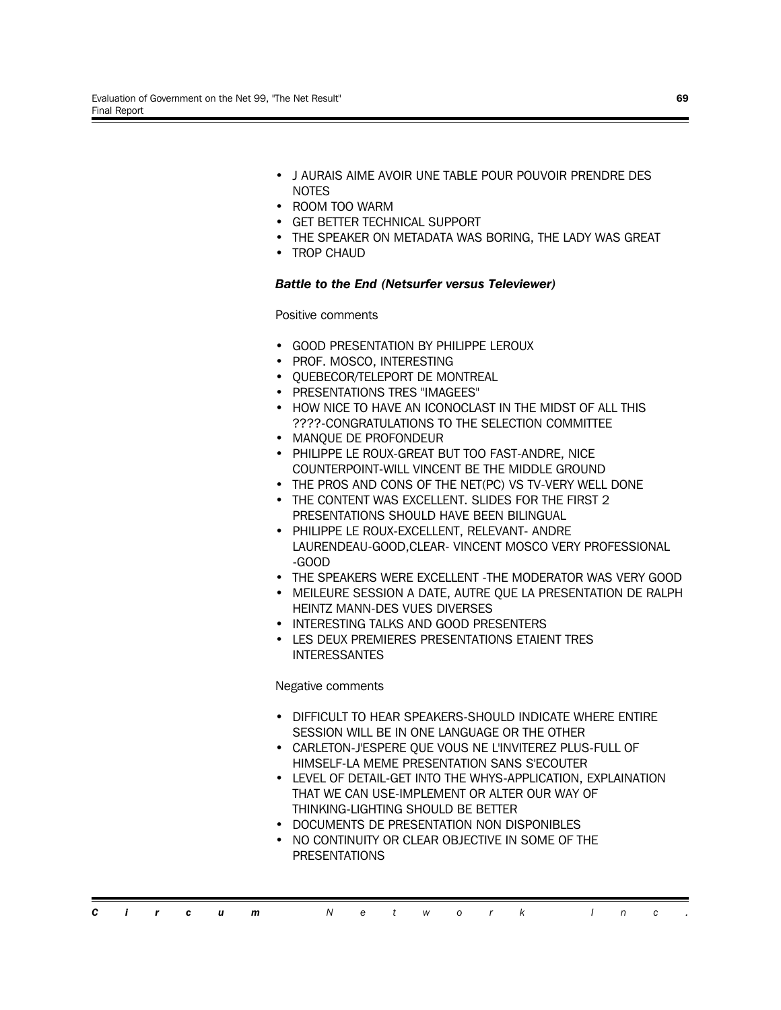- J AURAIS AIME AVOIR UNE TABLE POUR POUVOIR PRENDRE DES NOTES
- ROOM TOO WARM
- GET BETTER TECHNICAL SUPPORT
- THE SPEAKER ON METADATA WAS BORING, THE LADY WAS GREAT
- TROP CHAUD

# *Battle to the End (Netsurfer versus Televiewer)*

Positive comments

- GOOD PRESENTATION BY PHILIPPE LEROUX
- PROF. MOSCO, INTERESTING
- QUEBECOR/TELEPORT DE MONTREAL
- PRESENTATIONS TRES "IMAGEES"
- HOW NICE TO HAVE AN ICONOCLAST IN THE MIDST OF ALL THIS ????-CONGRATULATIONS TO THE SELECTION COMMITTEE
- MANQUE DE PROFONDEUR
- PHILIPPE LE ROUX-GREAT BUT TOO FAST-ANDRE, NICE COUNTERPOINT-WILL VINCENT BE THE MIDDLE GROUND
- THE PROS AND CONS OF THE NET(PC) VS TV-VERY WELL DONE
- THE CONTENT WAS EXCELLENT. SLIDES FOR THE FIRST 2 PRESENTATIONS SHOULD HAVE BEEN BILINGUAL
- PHILIPPE LE ROUX-EXCELLENT, RELEVANT- ANDRE LAURENDEAU-GOOD,CLEAR- VINCENT MOSCO VERY PROFESSIONAL -GOOD
- THE SPEAKERS WERE EXCELLENT -THE MODERATOR WAS VERY GOOD
- MEILEURE SESSION A DATE, AUTRE QUE LA PRESENTATION DE RALPH HEINTZ MANN-DES VUES DIVERSES
- INTERESTING TALKS AND GOOD PRESENTERS
- LES DEUX PREMIERES PRESENTATIONS ETAIENT TRES INTERESSANTES

- DIFFICULT TO HEAR SPEAKERS-SHOULD INDICATE WHERE ENTIRE SESSION WILL BE IN ONE LANGUAGE OR THE OTHER
- CARLETON-J'ESPERE QUE VOUS NE L'INVITEREZ PLUS-FULL OF HIMSELF-LA MEME PRESENTATION SANS S'ECOUTER
- LEVEL OF DETAIL-GET INTO THE WHYS-APPLICATION, EXPLAINATION THAT WE CAN USE-IMPLEMENT OR ALTER OUR WAY OF THINKING-LIGHTING SHOULD BE BETTER
- DOCUMENTS DE PRESENTATION NON DISPONIBLES
- NO CONTINUITY OR CLEAR OBJECTIVE IN SOME OF THE PRESENTATIONS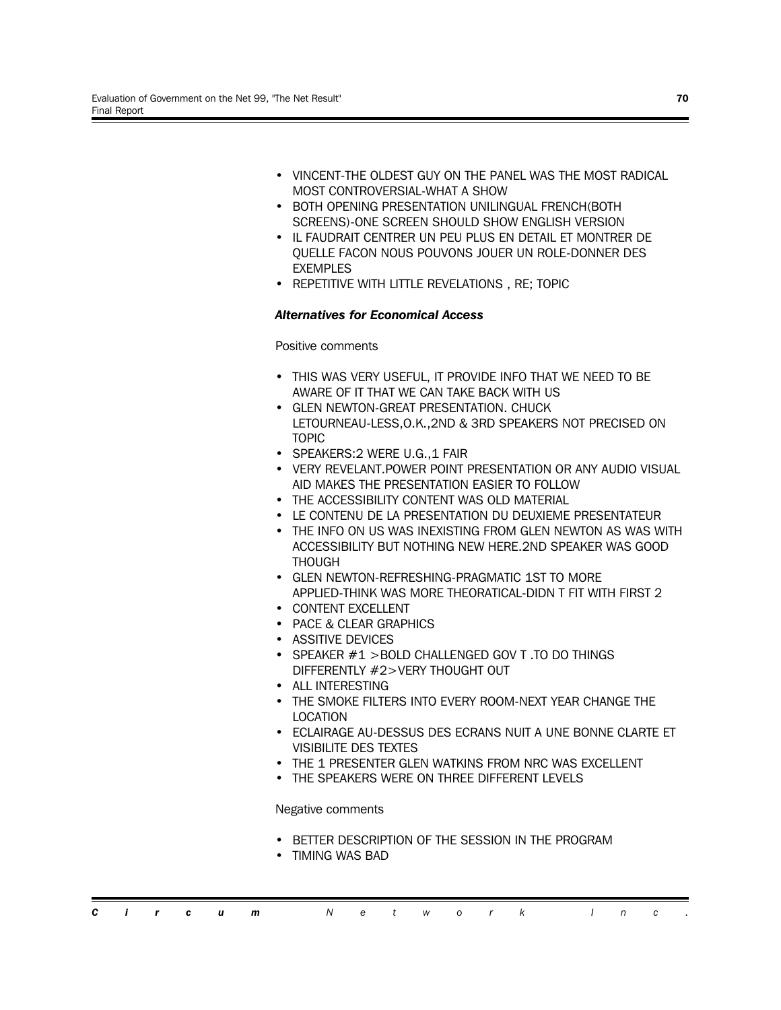- VINCENT-THE OLDEST GUY ON THE PANEL WAS THE MOST RADICAL MOST CONTROVERSIAL-WHAT A SHOW
- BOTH OPENING PRESENTATION UNILINGUAL FRENCH(BOTH SCREENS)-ONE SCREEN SHOULD SHOW ENGLISH VERSION
- IL FAUDRAIT CENTRER UN PEU PLUS EN DETAIL ET MONTRER DE QUELLE FACON NOUS POUVONS JOUER UN ROLE-DONNER DES EXEMPLES
- REPETITIVE WITH LITTLE REVELATIONS , RE; TOPIC

# *Alternatives for Economical Access*

Positive comments

- THIS WAS VERY USEFUL, IT PROVIDE INFO THAT WE NEED TO BE AWARE OF IT THAT WE CAN TAKE BACK WITH US
- GLEN NEWTON-GREAT PRESENTATION. CHUCK LETOURNEAU-LESS,O.K.,2ND & 3RD SPEAKERS NOT PRECISED ON TOPIC
- SPEAKERS:2 WERE U.G.,1 FAIR
- VERY REVELANT.POWER POINT PRESENTATION OR ANY AUDIO VISUAL AID MAKES THE PRESENTATION EASIER TO FOLLOW
- THE ACCESSIBILITY CONTENT WAS OLD MATERIAL
- LE CONTENU DE LA PRESENTATION DU DEUXIEME PRESENTATEUR
- THE INFO ON US WAS INEXISTING FROM GLEN NEWTON AS WAS WITH ACCESSIBILITY BUT NOTHING NEW HERE.2ND SPEAKER WAS GOOD THOUGH
- GLEN NEWTON-REFRESHING-PRAGMATIC 1ST TO MORE APPLIED-THINK WAS MORE THEORATICAL-DIDN T FIT WITH FIRST 2
- CONTENT EXCELLENT
- PACE & CLEAR GRAPHICS
- ASSITIVE DEVICES
- SPEAKER  $#1 > BOLD$  CHALLENGED GOV T. TO DO THINGS DIFFERENTLY #2>VERY THOUGHT OUT
- ALL INTERESTING
- THE SMOKE FILTERS INTO EVERY ROOM-NEXT YEAR CHANGE THE LOCATION
- ECLAIRAGE AU-DESSUS DES ECRANS NUIT A UNE BONNE CLARTE ET VISIBILITE DES TEXTES
- THE 1 PRESENTER GLEN WATKINS FROM NRC WAS EXCELLENT
- THE SPEAKERS WERE ON THREE DIFFERENT LEVELS

- BETTER DESCRIPTION OF THE SESSION IN THE PROGRAM
- TIMING WAS BAD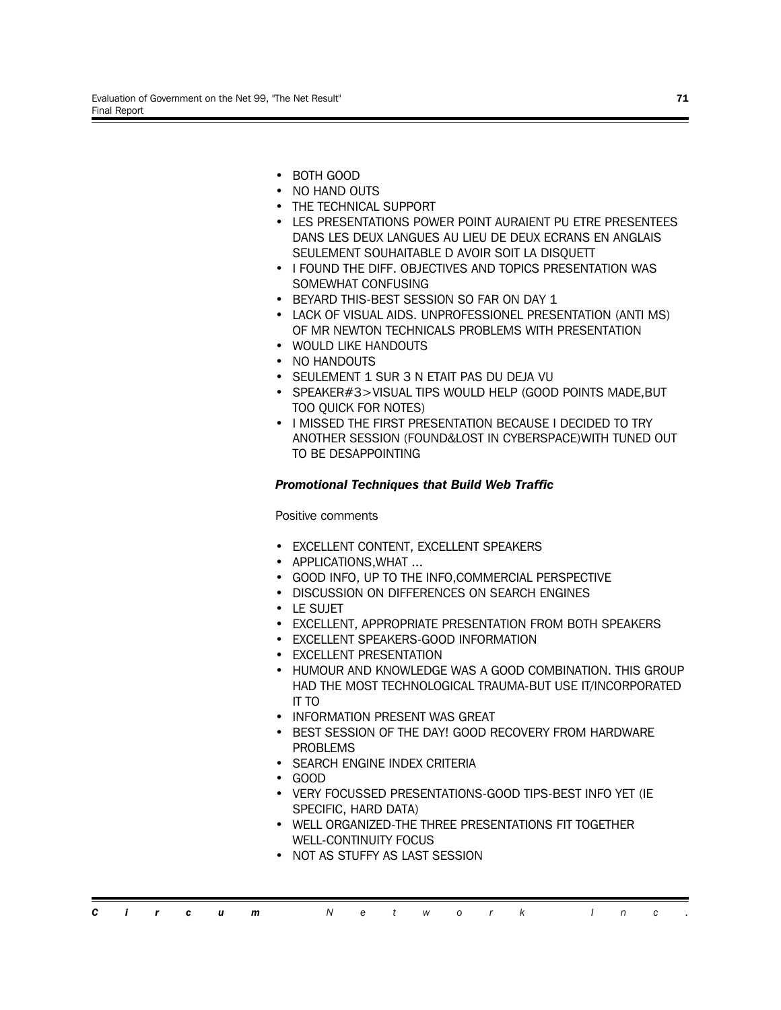- BOTH GOOD
- NO HAND OUTS
- THE TECHNICAL SUPPORT
- LES PRESENTATIONS POWER POINT AURAIENT PU ETRE PRESENTEES DANS LES DEUX LANGUES AU LIEU DE DEUX ECRANS EN ANGLAIS SEULEMENT SOUHAITABLE D AVOIR SOIT LA DISQUETT
- I FOUND THE DIFF. OBJECTIVES AND TOPICS PRESENTATION WAS SOMEWHAT CONFUSING
- BEYARD THIS-BEST SESSION SO FAR ON DAY 1
- LACK OF VISUAL AIDS. UNPROFESSIONEL PRESENTATION (ANTI MS) OF MR NEWTON TECHNICALS PROBLEMS WITH PRESENTATION
- WOULD LIKE HANDOUTS
- NO HANDOUTS
- SEULEMENT 1 SUR 3 N ETAIT PAS DU DEJA VU
- SPEAKER#3>VISUAL TIPS WOULD HELP (GOOD POINTS MADE,BUT TOO QUICK FOR NOTES)
- I MISSED THE FIRST PRESENTATION BECAUSE I DECIDED TO TRY ANOTHER SESSION (FOUND&LOST IN CYBERSPACE)WITH TUNED OUT TO BE DESAPPOINTING

# *Promotional Techniques that Build Web Traffic*

- EXCELLENT CONTENT, EXCELLENT SPEAKERS
- APPLICATIONS,WHAT ...
- GOOD INFO, UP TO THE INFO,COMMERCIAL PERSPECTIVE
- DISCUSSION ON DIFFERENCES ON SEARCH ENGINES
- LE SUJET
- EXCELLENT, APPROPRIATE PRESENTATION FROM BOTH SPEAKERS
- EXCELLENT SPEAKERS-GOOD INFORMATION
- EXCELLENT PRESENTATION
- HUMOUR AND KNOWLEDGE WAS A GOOD COMBINATION. THIS GROUP HAD THE MOST TECHNOLOGICAL TRAUMA-BUT USE IT/INCORPORATED IT TO
- INFORMATION PRESENT WAS GREAT
- BEST SESSION OF THE DAY! GOOD RECOVERY FROM HARDWARE PROBLEMS
- SEARCH ENGINE INDEX CRITERIA
- GOOD
- VERY FOCUSSED PRESENTATIONS-GOOD TIPS-BEST INFO YET (IE SPECIFIC, HARD DATA)
- WELL ORGANIZED-THE THREE PRESENTATIONS FIT TOGETHER WELL-CONTINUITY FOCUS
- NOT AS STUFFY AS LAST SESSION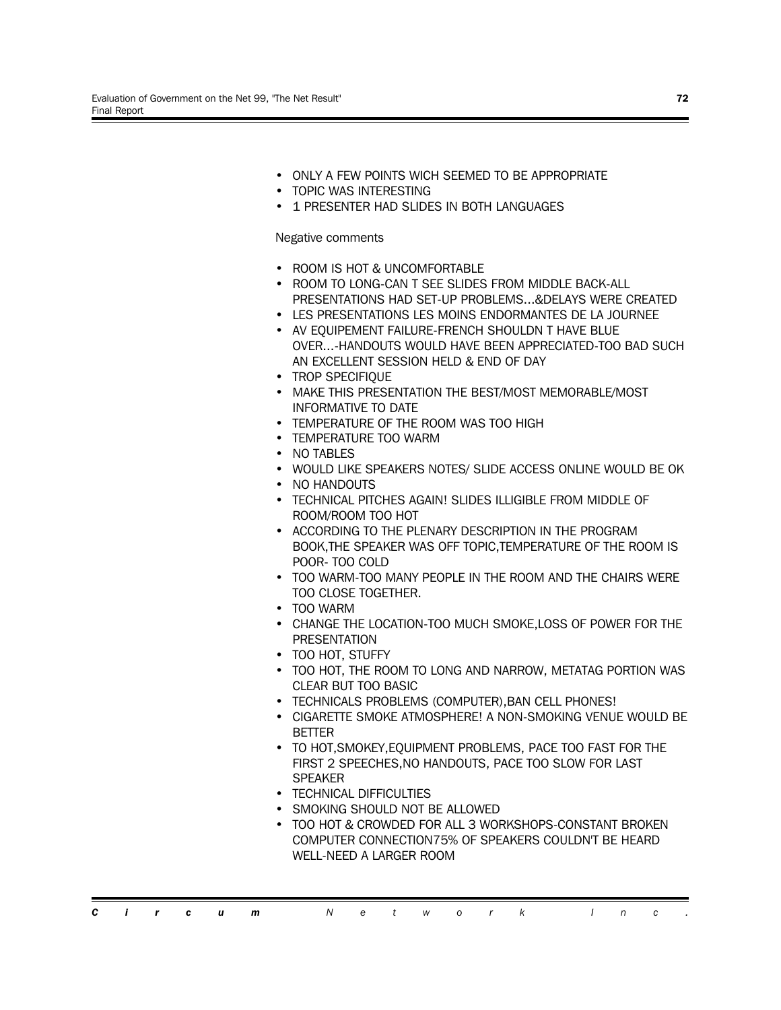- ONLY A FEW POINTS WICH SEEMED TO BE APPROPRIATE
- TOPIC WAS INTERESTING
- 1 PRESENTER HAD SLIDES IN BOTH LANGUAGES

- ROOM IS HOT & UNCOMFORTABLE
- ROOM TO LONG-CAN T SEE SLIDES FROM MIDDLE BACK-ALL PRESENTATIONS HAD SET-UP PROBLEMS...&DELAYS WERE CREATED
- LES PRESENTATIONS LES MOINS ENDORMANTES DE LA JOURNEE
- AV EQUIPEMENT FAILURE-FRENCH SHOULDN T HAVE BLUE OVER...-HANDOUTS WOULD HAVE BEEN APPRECIATED-TOO BAD SUCH AN EXCELLENT SESSION HELD & END OF DAY
- TROP SPECIFIQUE
- MAKE THIS PRESENTATION THE BEST/MOST MEMORABLE/MOST INFORMATIVE TO DATE
- TEMPERATURE OF THE ROOM WAS TOO HIGH
- TEMPERATURE TOO WARM
- NO TABLES
- WOULD LIKE SPEAKERS NOTES/ SLIDE ACCESS ONLINE WOULD BE OK
- NO HANDOUTS
- TECHNICAL PITCHES AGAIN! SLIDES ILLIGIBLE FROM MIDDLE OF ROOM/ROOM TOO HOT
- ACCORDING TO THE PLENARY DESCRIPTION IN THE PROGRAM BOOK,THE SPEAKER WAS OFF TOPIC,TEMPERATURE OF THE ROOM IS POOR- TOO COLD
- TOO WARM-TOO MANY PEOPLE IN THE ROOM AND THE CHAIRS WERE TOO CLOSE TOGETHER.
- TOO WARM
- CHANGE THE LOCATION-TOO MUCH SMOKE,LOSS OF POWER FOR THE **PRESENTATION**
- TOO HOT, STUFFY
- TOO HOT, THE ROOM TO LONG AND NARROW, METATAG PORTION WAS CLEAR BUT TOO BASIC
- TECHNICALS PROBLEMS (COMPUTER),BAN CELL PHONES!
- CIGARETTE SMOKE ATMOSPHERE! A NON-SMOKING VENUE WOULD BE BETTER
- TO HOT,SMOKEY,EQUIPMENT PROBLEMS, PACE TOO FAST FOR THE FIRST 2 SPEECHES,NO HANDOUTS, PACE TOO SLOW FOR LAST SPEAKER
- TECHNICAL DIFFICULTIES
- SMOKING SHOULD NOT BE ALLOWED
- TOO HOT & CROWDED FOR ALL 3 WORKSHOPS-CONSTANT BROKEN COMPUTER CONNECTION75% OF SPEAKERS COULDN'T BE HEARD WELL-NEED A LARGER ROOM

*Circum Network Inc .*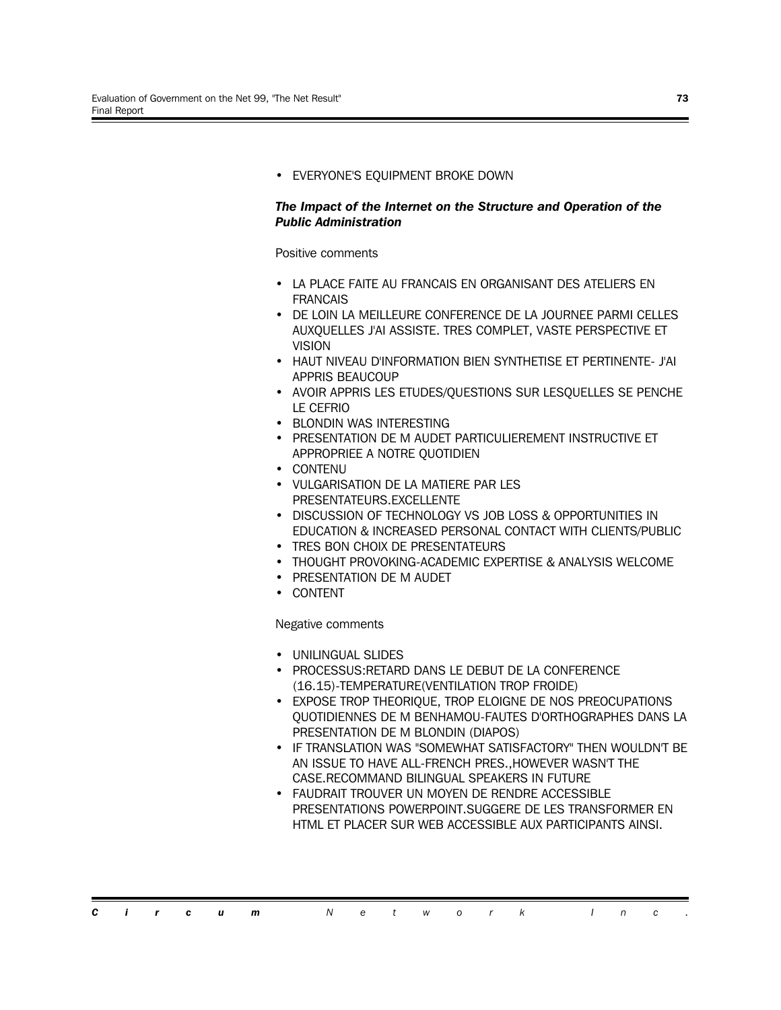• EVERYONE'S EQUIPMENT BROKE DOWN

# *The Impact of the Internet on the Structure and Operation of the Public Administration*

Positive comments

- LA PLACE FAITE AU FRANCAIS EN ORGANISANT DES ATELIERS EN FRANCAIS
- DE LOIN LA MEILLEURE CONFERENCE DE LA JOURNEE PARMI CELLES AUXQUELLES J'AI ASSISTE. TRES COMPLET, VASTE PERSPECTIVE ET VISION
- HAUT NIVEAU D'INFORMATION BIEN SYNTHETISE ET PERTINENTE- J'AI APPRIS BEAUCOUP
- AVOIR APPRIS LES ETUDES/QUESTIONS SUR LESQUELLES SE PENCHE LE CEFRIO
- BLONDIN WAS INTERESTING
- PRESENTATION DE M AUDET PARTICULIEREMENT INSTRUCTIVE ET APPROPRIEE A NOTRE QUOTIDIEN
- CONTENU
- VULGARISATION DE LA MATIERE PAR LES PRESENTATEURS.EXCELLENTE
- DISCUSSION OF TECHNOLOGY VS JOB LOSS & OPPORTUNITIES IN EDUCATION & INCREASED PERSONAL CONTACT WITH CLIENTS/PUBLIC
- TRES BON CHOIX DE PRESENTATEURS
- THOUGHT PROVOKING-ACADEMIC EXPERTISE & ANALYSIS WELCOME
- PRESENTATION DE M AUDET
- CONTENT

- UNILINGUAL SLIDES
- PROCESSUS:RETARD DANS LE DEBUT DE LA CONFERENCE (16.15)-TEMPERATURE(VENTILATION TROP FROIDE)
- EXPOSE TROP THEORIQUE, TROP ELOIGNE DE NOS PREOCUPATIONS QUOTIDIENNES DE M BENHAMOU-FAUTES D'ORTHOGRAPHES DANS LA PRESENTATION DE M BLONDIN (DIAPOS)
- IF TRANSLATION WAS "SOMEWHAT SATISFACTORY" THEN WOULDN'T BE AN ISSUE TO HAVE ALL-FRENCH PRES.,HOWEVER WASN'T THE CASE.RECOMMAND BILINGUAL SPEAKERS IN FUTURE
- FAUDRAIT TROUVER UN MOYEN DE RENDRE ACCESSIBLE PRESENTATIONS POWERPOINT.SUGGERE DE LES TRANSFORMER EN HTML ET PLACER SUR WEB ACCESSIBLE AUX PARTICIPANTS AINSI.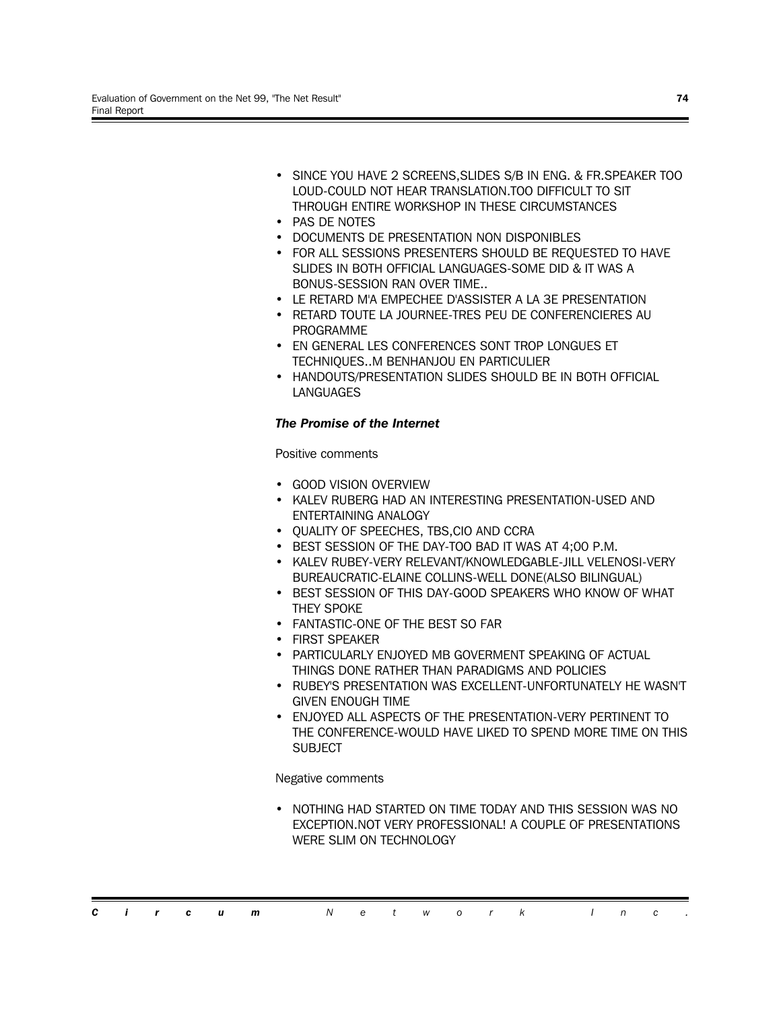- SINCE YOU HAVE 2 SCREENS,SLIDES S/B IN ENG. & FR.SPEAKER TOO LOUD-COULD NOT HEAR TRANSLATION.TOO DIFFICULT TO SIT THROUGH ENTIRE WORKSHOP IN THESE CIRCUMSTANCES
- PAS DE NOTES
- DOCUMENTS DE PRESENTATION NON DISPONIBLES
- FOR ALL SESSIONS PRESENTERS SHOULD BE REQUESTED TO HAVE SLIDES IN BOTH OFFICIAL LANGUAGES-SOME DID & IT WAS A BONUS-SESSION RAN OVER TIME..
- LE RETARD M'A EMPECHEE D'ASSISTER A LA 3E PRESENTATION
- RETARD TOUTE LA JOURNEE-TRES PEU DE CONFERENCIERES AU PROGRAMME
- EN GENERAL LES CONFERENCES SONT TROP LONGUES ET TECHNIQUES..M BENHANJOU EN PARTICULIER
- HANDOUTS/PRESENTATION SLIDES SHOULD BE IN BOTH OFFICIAL LANGUAGES

# *The Promise of the Internet*

Positive comments

- GOOD VISION OVERVIEW
- KALEV RUBERG HAD AN INTERESTING PRESENTATION-USED AND ENTERTAINING ANALOGY
- QUALITY OF SPEECHES, TBS,CIO AND CCRA
- BEST SESSION OF THE DAY-TOO BAD IT WAS AT 4;00 P.M.
- KALEV RUBEY-VERY RELEVANT/KNOWLEDGABLE-JILL VELENOSI-VERY BUREAUCRATIC-ELAINE COLLINS-WELL DONE(ALSO BILINGUAL)
- BEST SESSION OF THIS DAY-GOOD SPEAKERS WHO KNOW OF WHAT THEY SPOKE
- FANTASTIC-ONE OF THE BEST SO FAR
- FIRST SPEAKER
- PARTICULARLY ENJOYED MB GOVERMENT SPEAKING OF ACTUAL THINGS DONE RATHER THAN PARADIGMS AND POLICIES
- RUBEY'S PRESENTATION WAS EXCELLENT-UNFORTUNATELY HE WASN'T GIVEN ENOUGH TIME
- ENJOYED ALL ASPECTS OF THE PRESENTATION-VERY PERTINENT TO THE CONFERENCE-WOULD HAVE LIKED TO SPEND MORE TIME ON THIS **SUBJECT**

Negative comments

• NOTHING HAD STARTED ON TIME TODAY AND THIS SESSION WAS NO EXCEPTION.NOT VERY PROFESSIONAL! A COUPLE OF PRESENTATIONS WERE SLIM ON TECHNOLOGY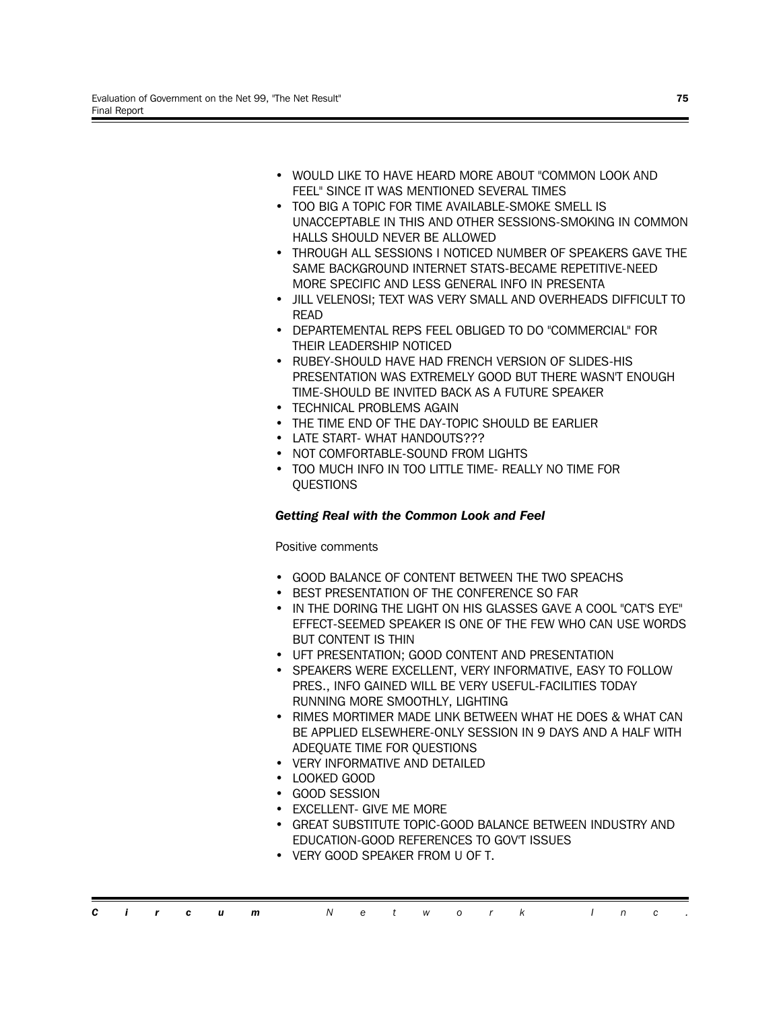- WOULD LIKE TO HAVE HEARD MORE ABOUT "COMMON LOOK AND FEEL" SINCE IT WAS MENTIONED SEVERAL TIMES
- TOO BIG A TOPIC FOR TIME AVAILABLE-SMOKE SMELL IS UNACCEPTABLE IN THIS AND OTHER SESSIONS-SMOKING IN COMMON HALLS SHOULD NEVER BE ALLOWED
- THROUGH ALL SESSIONS I NOTICED NUMBER OF SPEAKERS GAVE THE SAME BACKGROUND INTERNET STATS-BECAME REPETITIVE-NEED MORE SPECIFIC AND LESS GENERAL INFO IN PRESENTA
- JILL VELENOSI; TEXT WAS VERY SMALL AND OVERHEADS DIFFICULT TO READ
- DEPARTEMENTAL REPS FEEL OBLIGED TO DO "COMMERCIAL" FOR THEIR LEADERSHIP NOTICED
- RUBEY-SHOULD HAVE HAD FRENCH VERSION OF SLIDES-HIS PRESENTATION WAS EXTREMELY GOOD BUT THERE WASN'T ENOUGH TIME-SHOULD BE INVITED BACK AS A FUTURE SPEAKER
- TECHNICAL PROBLEMS AGAIN
- THE TIME END OF THE DAY-TOPIC SHOULD BE EARLIER
- LATE START- WHAT HANDOUTS???
- NOT COMFORTABLE-SOUND FROM LIGHTS
- TOO MUCH INFO IN TOO LITTLE TIME- REALLY NO TIME FOR QUESTIONS

# *Getting Real with the Common Look and Feel*

- GOOD BALANCE OF CONTENT BETWEEN THE TWO SPEACHS
- BEST PRESENTATION OF THE CONFERENCE SO FAR
- IN THE DORING THE LIGHT ON HIS GLASSES GAVE A COOL "CAT'S EYE" EFFECT-SEEMED SPEAKER IS ONE OF THE FEW WHO CAN USE WORDS BUT CONTENT IS THIN
- UFT PRESENTATION; GOOD CONTENT AND PRESENTATION
- SPEAKERS WERE EXCELLENT, VERY INFORMATIVE, EASY TO FOLLOW PRES., INFO GAINED WILL BE VERY USEFUL-FACILITIES TODAY RUNNING MORE SMOOTHLY, LIGHTING
- RIMES MORTIMER MADE LINK BETWEEN WHAT HE DOES & WHAT CAN BE APPLIED ELSEWHERE-ONLY SESSION IN 9 DAYS AND A HALF WITH ADEQUATE TIME FOR QUESTIONS
- VERY INFORMATIVE AND DETAILED
- LOOKED GOOD
- GOOD SESSION
- EXCELLENT- GIVE ME MORE
- GREAT SUBSTITUTE TOPIC-GOOD BALANCE BETWEEN INDUSTRY AND EDUCATION-GOOD REFERENCES TO GOV'T ISSUES
- VERY GOOD SPEAKER FROM U OF T.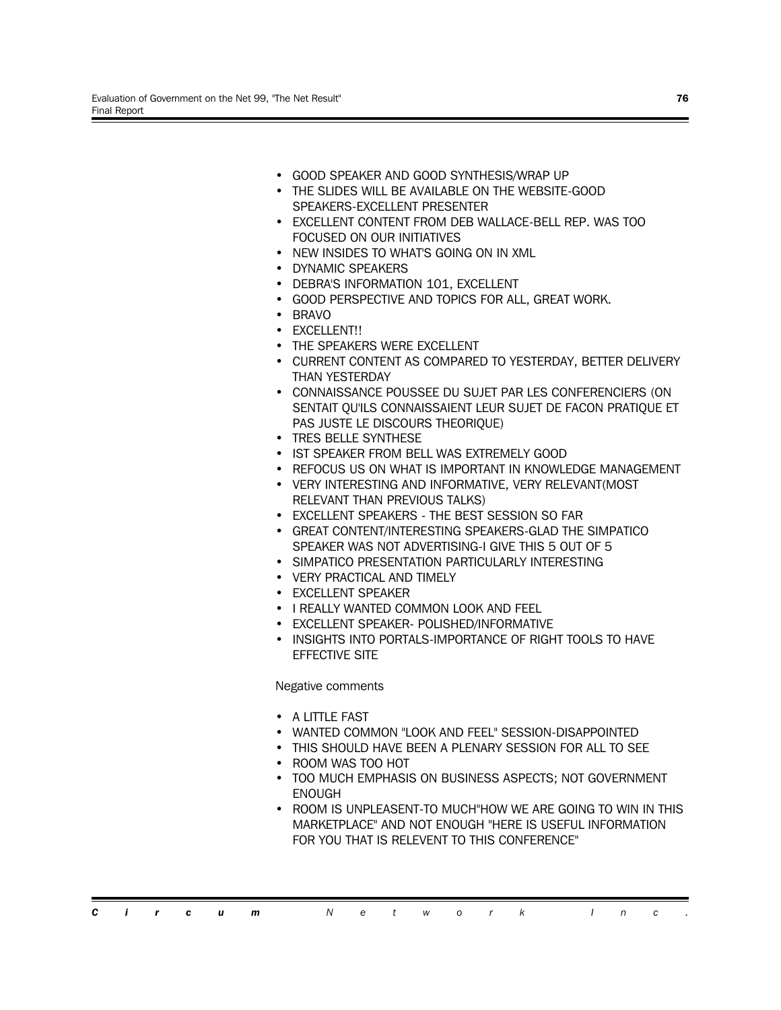- GOOD SPEAKER AND GOOD SYNTHESIS/WRAP UP
- THE SLIDES WILL BE AVAILABLE ON THE WEBSITE-GOOD SPEAKERS-EXCELLENT PRESENTER
- EXCELLENT CONTENT FROM DEB WALLACE-BELL REP. WAS TOO FOCUSED ON OUR INITIATIVES
- NEW INSIDES TO WHAT'S GOING ON IN XML
- DYNAMIC SPEAKERS
- DEBRA'S INFORMATION 101, EXCELLENT
- GOOD PERSPECTIVE AND TOPICS FOR ALL, GREAT WORK.
- BRAVO
- EXCELLENT!!
- THE SPEAKERS WERE EXCELLENT
- CURRENT CONTENT AS COMPARED TO YESTERDAY, BETTER DELIVERY THAN YESTERDAY
- CONNAISSANCE POUSSEE DU SUJET PAR LES CONFERENCIERS (ON SENTAIT QU'ILS CONNAISSAIENT LEUR SUJET DE FACON PRATIQUE ET PAS JUSTE LE DISCOURS THEORIQUE)
- TRES BELLE SYNTHESE
- IST SPEAKER FROM BELL WAS EXTREMELY GOOD
- REFOCUS US ON WHAT IS IMPORTANT IN KNOWLEDGE MANAGEMENT
- VERY INTERESTING AND INFORMATIVE, VERY RELEVANT(MOST RELEVANT THAN PREVIOUS TALKS)
- EXCELLENT SPEAKERS THE BEST SESSION SO FAR
- GREAT CONTENT/INTERESTING SPEAKERS-GLAD THE SIMPATICO SPEAKER WAS NOT ADVERTISING-I GIVE THIS 5 OUT OF 5
- SIMPATICO PRESENTATION PARTICULARLY INTERESTING
- VERY PRACTICAL AND TIMELY
- FXCFLLENT SPFAKER
- I REALLY WANTED COMMON LOOK AND FEEL
- EXCELLENT SPEAKER- POLISHED/INFORMATIVE
- INSIGHTS INTO PORTALS-IMPORTANCE OF RIGHT TOOLS TO HAVE EFFECTIVE SITE

- A LITTLE FAST
- WANTED COMMON "LOOK AND FEEL" SESSION-DISAPPOINTED
- THIS SHOULD HAVE BEEN A PLENARY SESSION FOR ALL TO SEE
- ROOM WAS TOO HOT
- TOO MUCH EMPHASIS ON BUSINESS ASPECTS; NOT GOVERNMENT ENOUGH
- ROOM IS UNPLEASENT-TO MUCH"HOW WE ARE GOING TO WIN IN THIS MARKETPLACE" AND NOT ENOUGH "HERE IS USEFUL INFORMATION FOR YOU THAT IS RELEVENT TO THIS CONFERENCE"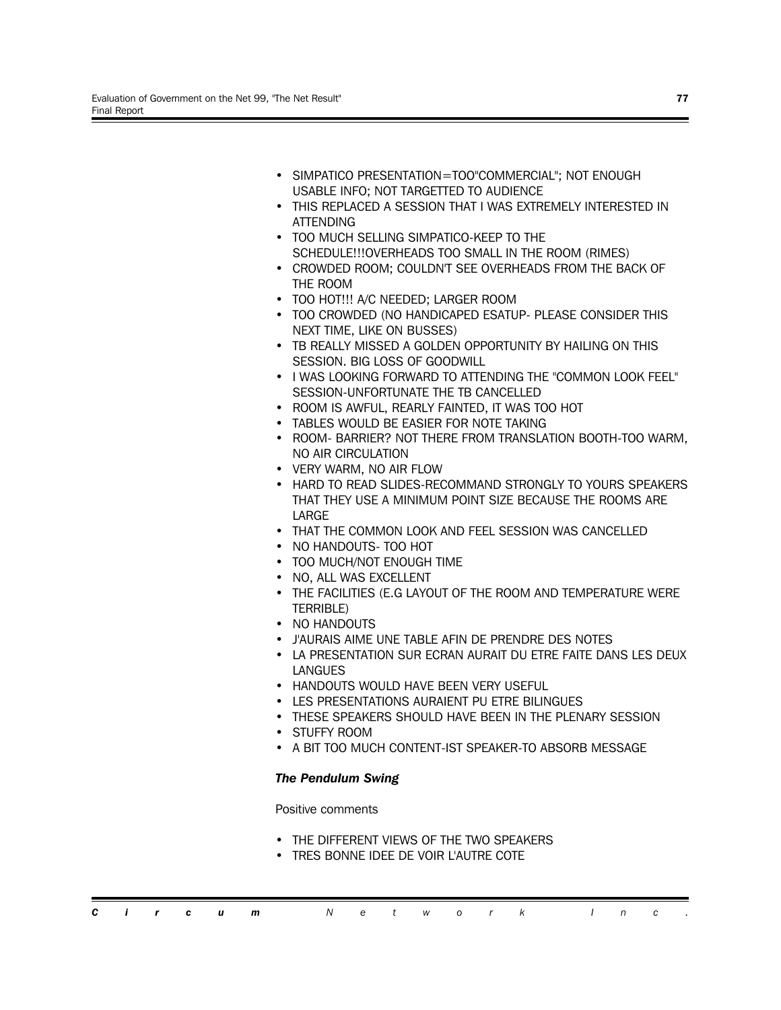- SIMPATICO PRESENTATION=TOO"COMMERCIAL"; NOT ENOUGH USABLE INFO; NOT TARGETTED TO AUDIENCE
- THIS REPLACED A SESSION THAT I WAS EXTREMELY INTERESTED IN ATTENDING
- TOO MUCH SELLING SIMPATICO-KEEP TO THE SCHEDULE!!!OVERHEADS TOO SMALL IN THE ROOM (RIMES)
- CROWDED ROOM; COULDN'T SEE OVERHEADS FROM THE BACK OF THE ROOM
- TOO HOT!!! A/C NEEDED: LARGER ROOM
- TOO CROWDED (NO HANDICAPED ESATUP- PLEASE CONSIDER THIS NEXT TIME, LIKE ON BUSSES)
- TB REALLY MISSED A GOLDEN OPPORTUNITY BY HAILING ON THIS SESSION. BIG LOSS OF GOODWILL
- I WAS LOOKING FORWARD TO ATTENDING THE "COMMON LOOK FEEL" SESSION-UNFORTUNATE THE TB CANCELLED
- ROOM IS AWFUL, REARLY FAINTED, IT WAS TOO HOT
- TABLES WOULD BE EASIER FOR NOTE TAKING
- ROOM- BARRIER? NOT THERE FROM TRANSLATION BOOTH-TOO WARM, NO AIR CIRCULATION
- VERY WARM, NO AIR FLOW
- HARD TO READ SLIDES-RECOMMAND STRONGLY TO YOURS SPEAKERS THAT THEY USE A MINIMUM POINT SIZE BECAUSE THE ROOMS ARE LARGE
- THAT THE COMMON LOOK AND FEEL SESSION WAS CANCELLED
- NO HANDOUTS- TOO HOT
- TOO MUCH/NOT ENOUGH TIME
- NO, ALL WAS EXCELLENT
- THE FACILITIES (E.G LAYOUT OF THE ROOM AND TEMPERATURE WERE TERRIBLE)
- NO HANDOUTS
- J'AURAIS AIME UNE TABLE AFIN DE PRENDRE DES NOTES
- LA PRESENTATION SUR ECRAN AURAIT DU ETRE FAITE DANS LES DEUX LANGUES
- HANDOUTS WOULD HAVE BEEN VERY USEFUL
- LES PRESENTATIONS AURAIENT PU ETRE BILINGUES
- THESE SPEAKERS SHOULD HAVE BEEN IN THE PLENARY SESSION
- STUFFY ROOM
- A BIT TOO MUCH CONTENT-IST SPEAKER-TO ABSORB MESSAGE

# *The Pendulum Swing*

- THE DIFFERENT VIEWS OF THE TWO SPEAKERS
- TRES BONNE IDEE DE VOIR L'AUTRE COTE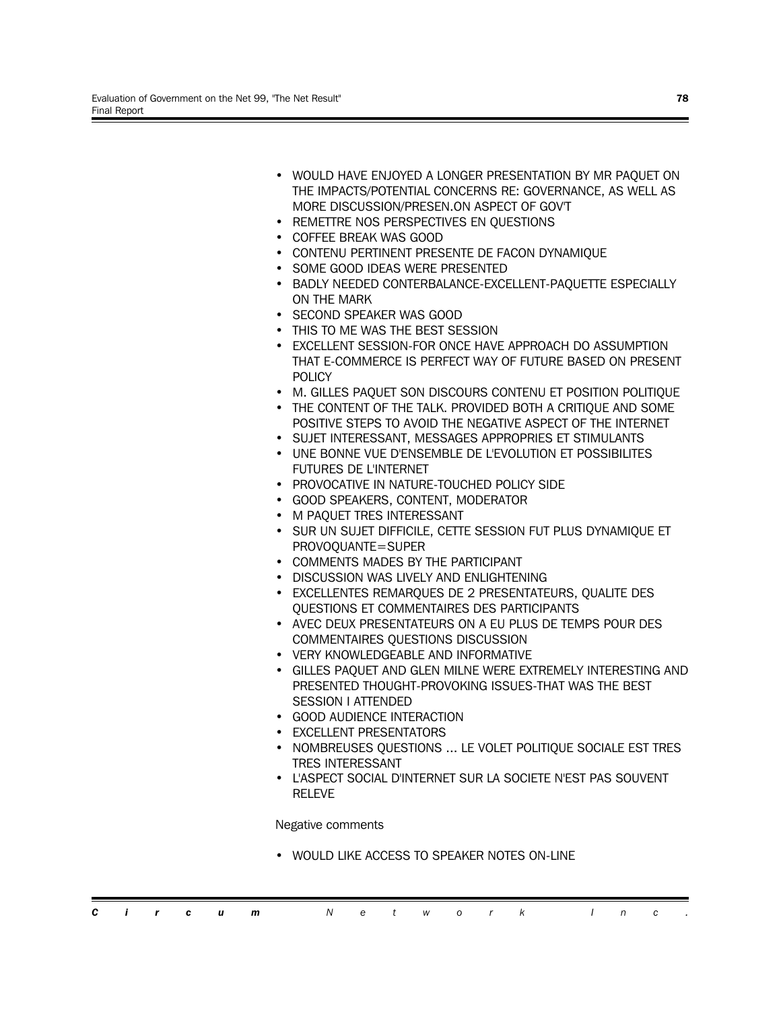- WOULD HAVE ENJOYED A LONGER PRESENTATION BY MR PAQUET ON THE IMPACTS/POTENTIAL CONCERNS RE: GOVERNANCE, AS WELL AS MORE DISCUSSION/PRESEN.ON ASPECT OF GOV'T
- REMETTRE NOS PERSPECTIVES EN QUESTIONS
- COFFEE BREAK WAS GOOD
- CONTENU PERTINENT PRESENTE DE FACON DYNAMIQUE
- SOME GOOD IDEAS WERE PRESENTED
- BADLY NEEDED CONTERBALANCE-EXCELLENT-PAQUETTE ESPECIALLY ON THE MARK
- SECOND SPEAKER WAS GOOD
- THIS TO ME WAS THE BEST SESSION
- EXCELLENT SESSION-FOR ONCE HAVE APPROACH DO ASSUMPTION THAT E-COMMERCE IS PERFECT WAY OF FUTURE BASED ON PRESENT POLICY
- M. GILLES PAQUET SON DISCOURS CONTENU ET POSITION POLITIQUE
- THE CONTENT OF THE TALK. PROVIDED BOTH A CRITIQUE AND SOME POSITIVE STEPS TO AVOID THE NEGATIVE ASPECT OF THE INTERNET
- SUJET INTERESSANT, MESSAGES APPROPRIES ET STIMULANTS
- UNE BONNE VUE D'ENSEMBLE DE L'EVOLUTION ET POSSIBILITES FUTURES DE L'INTERNET
- PROVOCATIVE IN NATURE-TOUCHED POLICY SIDE
- GOOD SPEAKERS, CONTENT, MODERATOR
- M PAQUET TRES INTERESSANT
- SUR UN SUJET DIFFICILE, CETTE SESSION FUT PLUS DYNAMIQUE ET PROVOQUANTE=SUPER
- COMMENTS MADES BY THE PARTICIPANT
- DISCUSSION WAS LIVELY AND ENLIGHTENING
- EXCELLENTES REMARQUES DE 2 PRESENTATEURS, QUALITE DES QUESTIONS ET COMMENTAIRES DES PARTICIPANTS
- AVEC DEUX PRESENTATEURS ON A EU PLUS DE TEMPS POUR DES COMMENTAIRES QUESTIONS DISCUSSION
- VERY KNOWLEDGEABLE AND INFORMATIVE
- GILLES PAQUET AND GLEN MILNE WERE EXTREMELY INTERESTING AND PRESENTED THOUGHT-PROVOKING ISSUES-THAT WAS THE BEST SESSION I ATTENDED
- GOOD AUDIENCE INTERACTION
- EXCELLENT PRESENTATORS
- NOMBREUSES QUESTIONS ... LE VOLET POLITIQUE SOCIALE EST TRES TRES INTERESSANT
- L'ASPECT SOCIAL D'INTERNET SUR LA SOCIETE N'EST PAS SOUVENT RELEVE

• WOULD LIKE ACCESS TO SPEAKER NOTES ON-LINE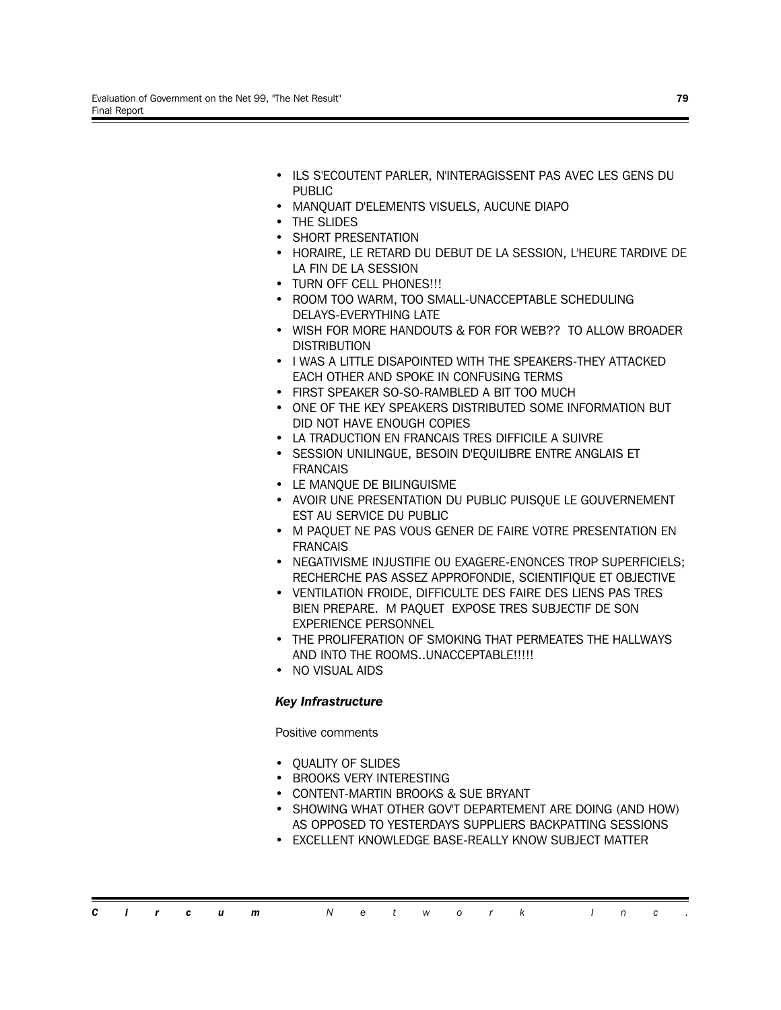- ILS S'ECOUTENT PARLER, N'INTERAGISSENT PAS AVEC LES GENS DU PUBLIC
- MANQUAIT D'ELEMENTS VISUELS, AUCUNE DIAPO
- THE SLIDES
- SHORT PRESENTATION
- HORAIRE, LE RETARD DU DEBUT DE LA SESSION, L'HEURE TARDIVE DE LA FIN DE LA SESSION
- TURN OFF CELL PHONES!!!
- ROOM TOO WARM, TOO SMALL-UNACCEPTABLE SCHEDULING DELAYS-EVERYTHING LATE
- WISH FOR MORE HANDOUTS & FOR FOR WEB?? TO ALLOW BROADER **DISTRIBUTION**
- I WAS A LITTLE DISAPOINTED WITH THE SPEAKERS-THEY ATTACKED EACH OTHER AND SPOKE IN CONFUSING TERMS
- FIRST SPEAKER SO-SO-RAMBLED A BIT TOO MUCH
- ONE OF THE KEY SPEAKERS DISTRIBUTED SOME INFORMATION BUT DID NOT HAVE ENOUGH COPIES
- LA TRADUCTION EN FRANCAIS TRES DIFFICILE A SUIVRE
- SESSION UNILINGUE, BESOIN D'EQUILIBRE ENTRE ANGLAIS ET FRANCAIS
- LE MANQUE DE BILINGUISME
- AVOIR UNE PRESENTATION DU PUBLIC PUISQUE LE GOUVERNEMENT EST AU SERVICE DU PUBLIC
- M PAQUET NE PAS VOUS GENER DE FAIRE VOTRE PRESENTATION EN FRANCAIS
- NEGATIVISME INJUSTIFIE OU EXAGERE-ENONCES TROP SUPERFICIELS; RECHERCHE PAS ASSEZ APPROFONDIE, SCIENTIFIQUE ET OBJECTIVE
- VENTILATION FROIDE, DIFFICULTE DES FAIRE DES LIENS PAS TRES BIEN PREPARE. M PAQUET EXPOSE TRES SUBJECTIF DE SON EXPERIENCE PERSONNEL
- THE PROLIFERATION OF SMOKING THAT PERMEATES THE HALLWAYS AND INTO THE ROOMS..UNACCEPTABLE!!!!!
- NO VISUAL AIDS

# *Key Infrastructure*

- QUALITY OF SLIDES
- BROOKS VERY INTERESTING
- CONTENT-MARTIN BROOKS & SUE BRYANT
- SHOWING WHAT OTHER GOV'T DEPARTEMENT ARE DOING (AND HOW) AS OPPOSED TO YESTERDAYS SUPPLIERS BACKPATTING SESSIONS
- EXCELLENT KNOWLEDGE BASE-REALLY KNOW SUBJECT MATTER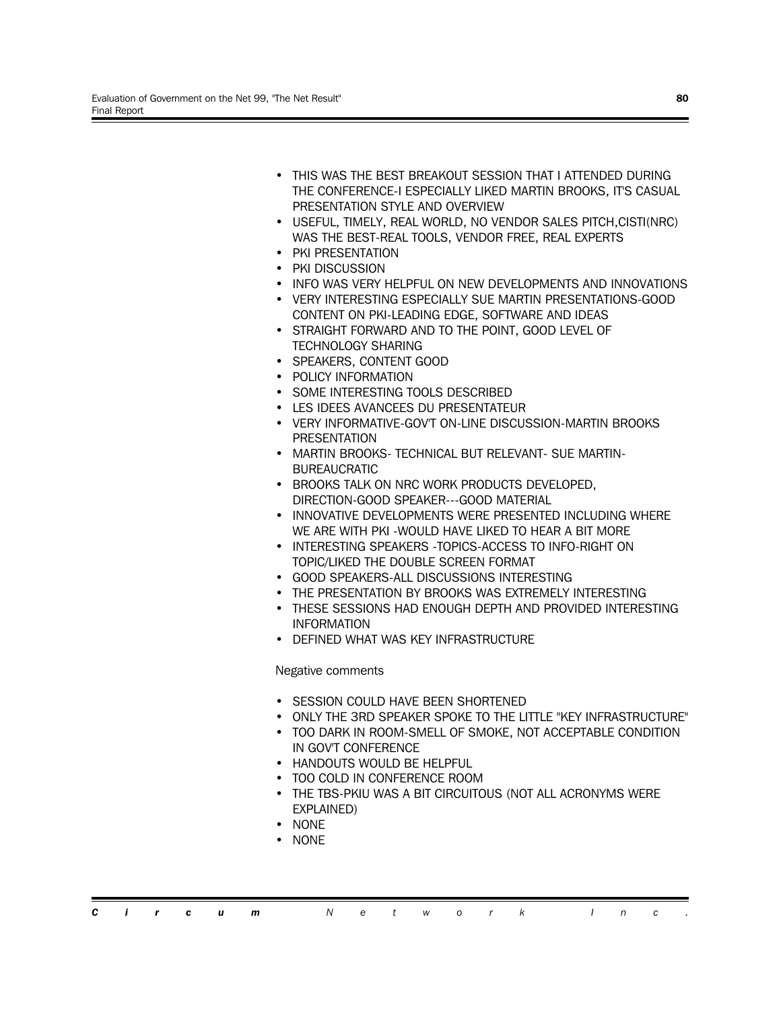- THIS WAS THE BEST BREAKOUT SESSION THAT I ATTENDED DURING THE CONFERENCE-I ESPECIALLY LIKED MARTIN BROOKS, IT'S CASUAL PRESENTATION STYLE AND OVERVIEW
- USEFUL, TIMELY, REAL WORLD, NO VENDOR SALES PITCH,CISTI(NRC) WAS THE BEST-REAL TOOLS, VENDOR FREE, REAL EXPERTS
- PKI PRESENTATION
- PKI DISCUSSION
- INFO WAS VERY HELPFUL ON NEW DEVELOPMENTS AND INNOVATIONS
- VERY INTERESTING ESPECIALLY SUE MARTIN PRESENTATIONS-GOOD CONTENT ON PKI-LEADING EDGE, SOFTWARE AND IDEAS
- STRAIGHT FORWARD AND TO THE POINT, GOOD LEVEL OF TECHNOLOGY SHARING
- SPEAKERS, CONTENT GOOD
- POLICY INFORMATION
- SOME INTERESTING TOOLS DESCRIBED
- LES IDEES AVANCEES DU PRESENTATEUR
- VERY INFORMATIVE-GOV'T ON-LINE DISCUSSION-MARTIN BROOKS **PRESENTATION**
- MARTIN BROOKS- TECHNICAL BUT RELEVANT- SUE MARTIN-BUREAUCRATIC
- BROOKS TALK ON NRC WORK PRODUCTS DEVELOPED, DIRECTION-GOOD SPEAKER---GOOD MATERIAL
- INNOVATIVE DEVELOPMENTS WERE PRESENTED INCLUDING WHERE WE ARE WITH PKI -WOULD HAVE LIKED TO HEAR A BIT MORE
- INTERESTING SPEAKERS -TOPICS-ACCESS TO INFO-RIGHT ON TOPIC/LIKED THE DOUBLE SCREEN FORMAT
- GOOD SPEAKERS-ALL DISCUSSIONS INTERESTING
- THE PRESENTATION BY BROOKS WAS EXTREMELY INTERESTING
- THESE SESSIONS HAD ENOUGH DEPTH AND PROVIDED INTERESTING INFORMATION
- DEFINED WHAT WAS KEY INFRASTRUCTURE

- SESSION COULD HAVE BEEN SHORTENED
- ONLY THE 3RD SPEAKER SPOKE TO THE LITTLE "KEY INFRASTRUCTURE"
- TOO DARK IN ROOM-SMELL OF SMOKE, NOT ACCEPTABLE CONDITION IN GOV'T CONFERENCE
- HANDOUTS WOULD BE HELPFUL
- TOO COLD IN CONFERENCE ROOM
- THE TBS-PKIU WAS A BIT CIRCUITOUS (NOT ALL ACRONYMS WERE EXPLAINED)
- NONE
- NONE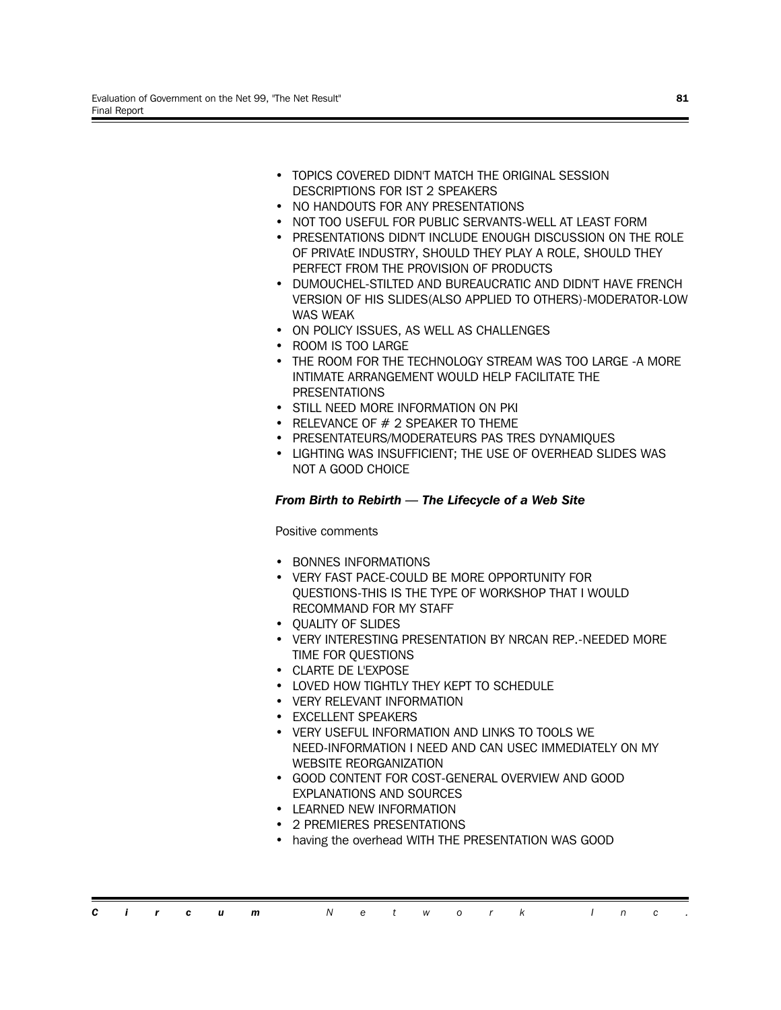- TOPICS COVERED DIDN'T MATCH THE ORIGINAL SESSION DESCRIPTIONS FOR IST 2 SPEAKERS
- NO HANDOUTS FOR ANY PRESENTATIONS
- NOT TOO USEFUL FOR PUBLIC SERVANTS-WELL AT LEAST FORM
- PRESENTATIONS DIDN'T INCLUDE ENOUGH DISCUSSION ON THE ROLE OF PRIVAtE INDUSTRY, SHOULD THEY PLAY A ROLE, SHOULD THEY PERFECT FROM THE PROVISION OF PRODUCTS
- DUMOUCHEL-STILTED AND BUREAUCRATIC AND DIDN'T HAVE FRENCH VERSION OF HIS SLIDES(ALSO APPLIED TO OTHERS)-MODERATOR-LOW WAS WEAK
- ON POLICY ISSUES, AS WELL AS CHALLENGES
- ROOM IS TOO LARGE
- THE ROOM FOR THE TECHNOLOGY STREAM WAS TOO LARGE -A MORE INTIMATE ARRANGEMENT WOULD HELP FACILITATE THE PRESENTATIONS
- STILL NEED MORE INFORMATION ON PKI
- RELEVANCE OF # 2 SPEAKER TO THEME
- PRESENTATEURS/MODERATEURS PAS TRES DYNAMIQUES
- LIGHTING WAS INSUFFICIENT; THE USE OF OVERHEAD SLIDES WAS NOT A GOOD CHOICE

# *From Birth to Rebirth — The Lifecycle of a Web Site*

- BONNES INFORMATIONS
- VERY FAST PACE-COULD BE MORE OPPORTUNITY FOR QUESTIONS-THIS IS THE TYPE OF WORKSHOP THAT I WOULD RECOMMAND FOR MY STAFF
- QUALITY OF SLIDES
- VERY INTERESTING PRESENTATION BY NRCAN REP.-NEEDED MORE TIME FOR QUESTIONS
- CLARTE DE L'EXPOSE
- LOVED HOW TIGHTLY THEY KEPT TO SCHEDULE
- VERY RELEVANT INFORMATION
- EXCELLENT SPEAKERS
- VERY USEFUL INFORMATION AND LINKS TO TOOLS WE NEED-INFORMATION I NEED AND CAN USEC IMMEDIATELY ON MY WEBSITE REORGANIZATION
- GOOD CONTENT FOR COST-GENERAL OVERVIEW AND GOOD EXPLANATIONS AND SOURCES
- LEARNED NEW INFORMATION
- 2 PREMIERES PRESENTATIONS
- having the overhead WITH THE PRESENTATION WAS GOOD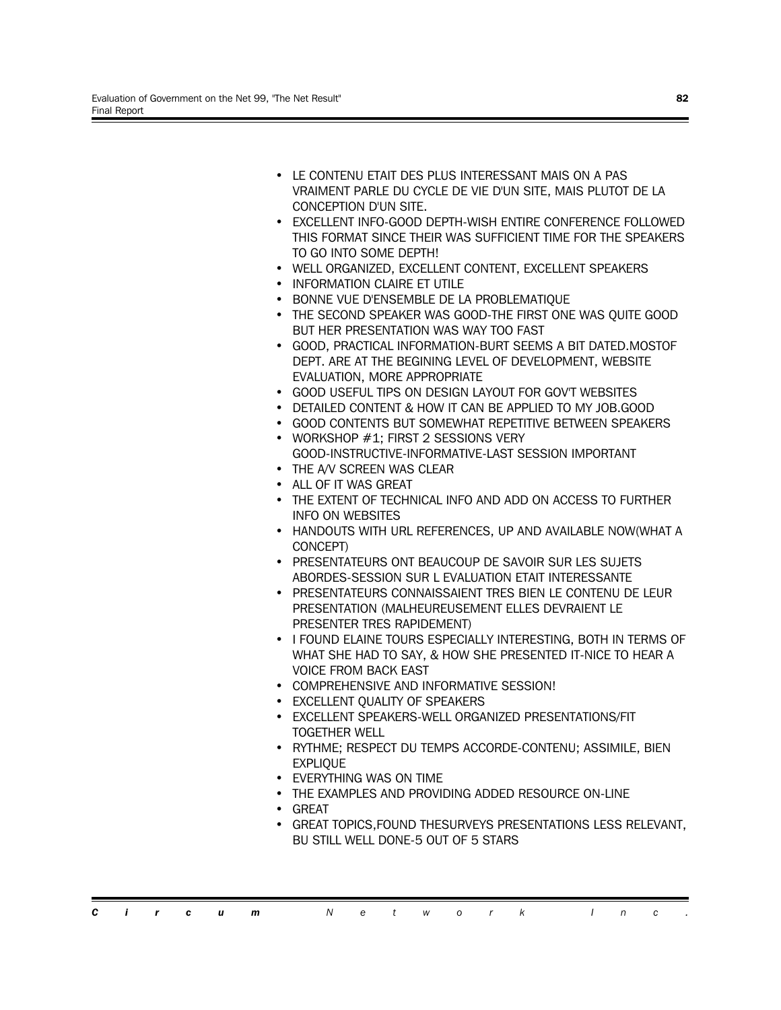- LE CONTENU ETAIT DES PLUS INTERESSANT MAIS ON A PAS VRAIMENT PARLE DU CYCLE DE VIE D'UN SITE, MAIS PLUTOT DE LA CONCEPTION D'UN SITE.
- EXCELLENT INFO-GOOD DEPTH-WISH ENTIRE CONFERENCE FOLLOWED THIS FORMAT SINCE THEIR WAS SUFFICIENT TIME FOR THE SPEAKERS TO GO INTO SOME DEPTH!
- WELL ORGANIZED, EXCELLENT CONTENT, EXCELLENT SPEAKERS
- INFORMATION CLAIRE ET UTILE
- BONNE VUE D'ENSEMBLE DE LA PROBLEMATIQUE
- THE SECOND SPEAKER WAS GOOD-THE FIRST ONE WAS QUITE GOOD BUT HER PRESENTATION WAS WAY TOO FAST
- GOOD, PRACTICAL INFORMATION-BURT SEEMS A BIT DATED.MOSTOF DEPT. ARE AT THE BEGINING LEVEL OF DEVELOPMENT, WEBSITE EVALUATION, MORE APPROPRIATE
- GOOD USEFUL TIPS ON DESIGN LAYOUT FOR GOV'T WEBSITES
- DETAILED CONTENT & HOW IT CAN BE APPLIED TO MY JOB.GOOD
- GOOD CONTENTS BUT SOMEWHAT REPETITIVE BETWEEN SPEAKERS
- WORKSHOP #1; FIRST 2 SESSIONS VERY GOOD-INSTRUCTIVE-INFORMATIVE-LAST SESSION IMPORTANT
- THE A/V SCREEN WAS CLEAR
- ALL OF IT WAS GREAT
- THE EXTENT OF TECHNICAL INFO AND ADD ON ACCESS TO FURTHER INFO ON WEBSITES
- HANDOUTS WITH URL REFERENCES, UP AND AVAILABLE NOW(WHAT A CONCEPT)
- PRESENTATEURS ONT BEAUCOUP DE SAVOIR SUR LES SUJETS ABORDES-SESSION SUR L EVALUATION ETAIT INTERESSANTE
- PRESENTATEURS CONNAISSAIENT TRES BIEN LE CONTENU DE LEUR PRESENTATION (MALHEUREUSEMENT ELLES DEVRAIENT LE PRESENTER TRES RAPIDEMENT)
- I FOUND ELAINE TOURS ESPECIALLY INTERESTING, BOTH IN TERMS OF WHAT SHE HAD TO SAY, & HOW SHE PRESENTED IT-NICE TO HEAR A VOICE FROM BACK EAST
- COMPREHENSIVE AND INFORMATIVE SESSION!
- EXCELLENT QUALITY OF SPEAKERS
- EXCELLENT SPEAKERS-WELL ORGANIZED PRESENTATIONS/FIT TOGETHER WELL
- RYTHME; RESPECT DU TEMPS ACCORDE-CONTENU; ASSIMILE, BIEN EXPLIQUE
- EVERYTHING WAS ON TIME
- THE EXAMPLES AND PROVIDING ADDED RESOURCE ON-LINE
- GREAT
- GREAT TOPICS,FOUND THESURVEYS PRESENTATIONS LESS RELEVANT, BU STILL WELL DONE-5 OUT OF 5 STARS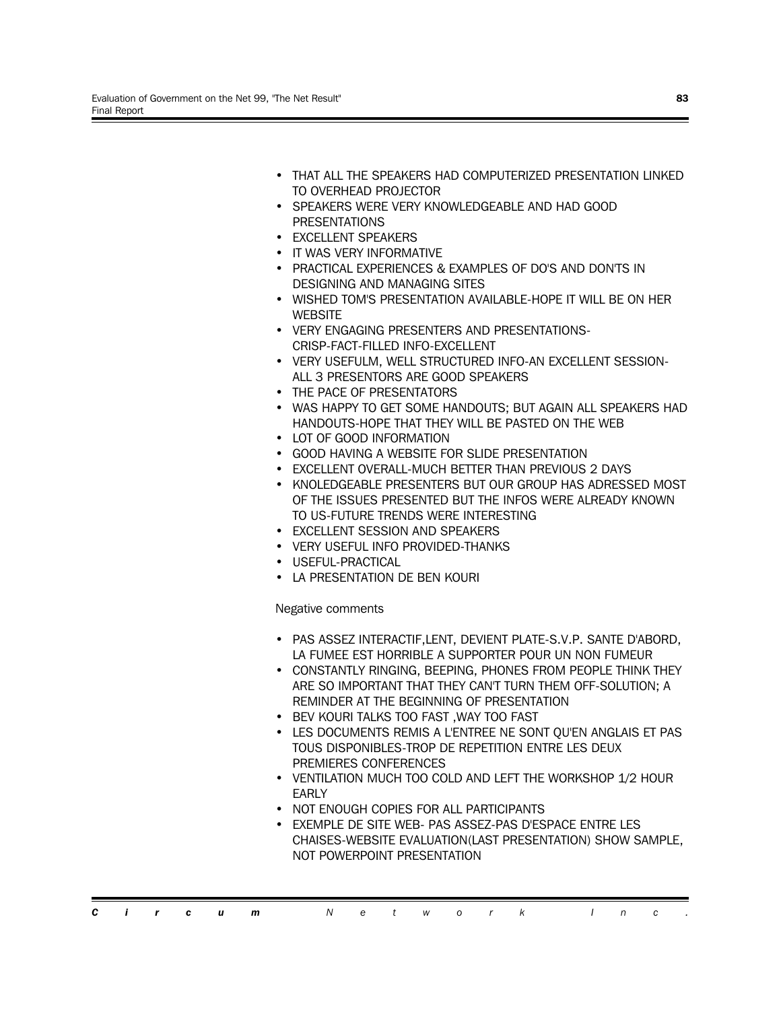- THAT ALL THE SPEAKERS HAD COMPUTERIZED PRESENTATION LINKED TO OVERHEAD PROJECTOR
- SPEAKERS WERE VERY KNOWLEDGEABLE AND HAD GOOD PRESENTATIONS
- EXCELLENT SPEAKERS
- IT WAS VERY INFORMATIVE
- PRACTICAL EXPERIENCES & EXAMPLES OF DO'S AND DON'TS IN DESIGNING AND MANAGING SITES
- WISHED TOM'S PRESENTATION AVAILABLE-HOPE IT WILL BE ON HER **WEBSITE**
- VERY ENGAGING PRESENTERS AND PRESENTATIONS-CRISP-FACT-FILLED INFO-EXCELLENT
- VERY USEFULM, WELL STRUCTURED INFO-AN EXCELLENT SESSION-ALL 3 PRESENTORS ARE GOOD SPEAKERS
- THE PACE OF PRESENTATORS
- WAS HAPPY TO GET SOME HANDOUTS; BUT AGAIN ALL SPEAKERS HAD HANDOUTS-HOPE THAT THEY WILL BE PASTED ON THE WEB
- LOT OF GOOD INFORMATION
- GOOD HAVING A WEBSITE FOR SLIDE PRESENTATION
- EXCELLENT OVERALL-MUCH BETTER THAN PREVIOUS 2 DAYS
- KNOLEDGEABLE PRESENTERS BUT OUR GROUP HAS ADRESSED MOST OF THE ISSUES PRESENTED BUT THE INFOS WERE ALREADY KNOWN TO US-FUTURE TRENDS WERE INTERESTING
- EXCELLENT SESSION AND SPEAKERS
- VERY USEFUL INFO PROVIDED-THANKS
- USEFUL-PRACTICAL
- LA PRESENTATION DE BEN KOURI

- PAS ASSEZ INTERACTIF,LENT, DEVIENT PLATE-S.V.P. SANTE D'ABORD, LA FUMEE EST HORRIBLE A SUPPORTER POUR UN NON FUMEUR
- CONSTANTLY RINGING, BEEPING, PHONES FROM PEOPLE THINK THEY ARE SO IMPORTANT THAT THEY CAN'T TURN THEM OFF-SOLUTION; A REMINDER AT THE BEGINNING OF PRESENTATION
- BEV KOURI TALKS TOO FAST ,WAY TOO FAST
- LES DOCUMENTS REMIS A L'ENTREE NE SONT QU'EN ANGLAIS ET PAS TOUS DISPONIBLES-TROP DE REPETITION ENTRE LES DEUX PREMIERES CONFERENCES
- VENTILATION MUCH TOO COLD AND LEFT THE WORKSHOP 1/2 HOUR EARLY
- NOT ENOUGH COPIES FOR ALL PARTICIPANTS
- EXEMPLE DE SITE WEB- PAS ASSEZ-PAS D'ESPACE ENTRE LES CHAISES-WEBSITE EVALUATION(LAST PRESENTATION) SHOW SAMPLE, NOT POWERPOINT PRESENTATION

*Circum Network Inc .*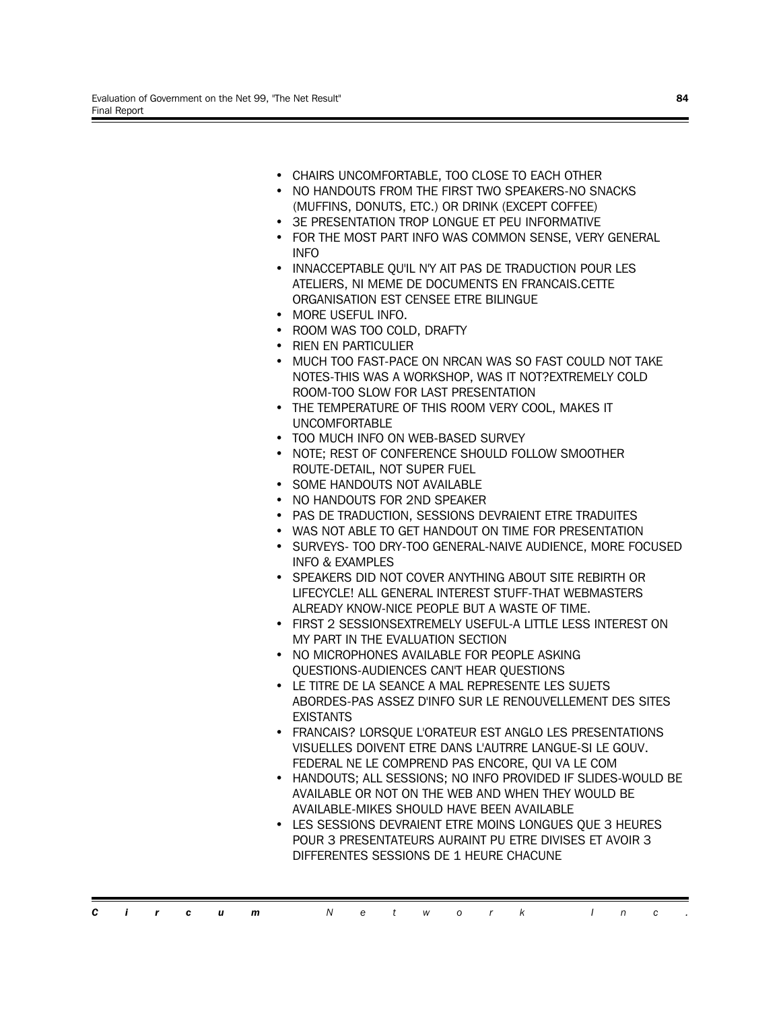- CHAIRS UNCOMFORTABLE, TOO CLOSE TO EACH OTHER
- NO HANDOUTS FROM THE FIRST TWO SPEAKERS-NO SNACKS (MUFFINS, DONUTS, ETC.) OR DRINK (EXCEPT COFFEE)
- 3E PRESENTATION TROP LONGUE ET PEU INFORMATIVE
- FOR THE MOST PART INFO WAS COMMON SENSE, VERY GENERAL INFO
- INNACCEPTABLE QU'IL N'Y AIT PAS DE TRADUCTION POUR LES ATELIERS, NI MEME DE DOCUMENTS EN FRANCAIS.CETTE ORGANISATION EST CENSEE ETRE BILINGUE
- MORE USEFUL INFO.
- ROOM WAS TOO COLD, DRAFTY
- RIEN EN PARTICULIER
- MUCH TOO FAST-PACE ON NRCAN WAS SO FAST COULD NOT TAKE NOTES-THIS WAS A WORKSHOP, WAS IT NOT?EXTREMELY COLD ROOM-TOO SLOW FOR LAST PRESENTATION
- THE TEMPERATURE OF THIS ROOM VERY COOL, MAKES IT UNCOMFORTABLE
- TOO MUCH INFO ON WEB-BASED SURVEY
- NOTE; REST OF CONFERENCE SHOULD FOLLOW SMOOTHER ROUTE-DETAIL, NOT SUPER FUEL
- SOME HANDOUTS NOT AVAILABLE
- NO HANDOUTS FOR 2ND SPEAKER
- PAS DE TRADUCTION, SESSIONS DEVRAIENT ETRE TRADUITES
- WAS NOT ABLE TO GET HANDOUT ON TIME FOR PRESENTATION
- SURVEYS- TOO DRY-TOO GENERAL-NAIVE AUDIENCE, MORE FOCUSED INFO & EXAMPLES
- SPEAKERS DID NOT COVER ANYTHING ABOUT SITE REBIRTH OR LIFECYCLE! ALL GENERAL INTEREST STUFF-THAT WEBMASTERS ALREADY KNOW-NICE PEOPLE BUT A WASTE OF TIME.
- FIRST 2 SESSIONSEXTREMELY USEFUL-A LITTLE LESS INTEREST ON MY PART IN THE EVALUATION SECTION
- NO MICROPHONES AVAILABLE FOR PEOPLE ASKING QUESTIONS-AUDIENCES CAN'T HEAR QUESTIONS
- LE TITRE DE LA SEANCE A MAL REPRESENTE LES SUJETS ABORDES-PAS ASSEZ D'INFO SUR LE RENOUVELLEMENT DES SITES EXISTANTS
- FRANCAIS? LORSQUE L'ORATEUR EST ANGLO LES PRESENTATIONS VISUELLES DOIVENT ETRE DANS L'AUTRRE LANGUE-SI LE GOUV. FEDERAL NE LE COMPREND PAS ENCORE, QUI VA LE COM
- HANDOUTS; ALL SESSIONS; NO INFO PROVIDED IF SLIDES-WOULD BE AVAILABLE OR NOT ON THE WEB AND WHEN THEY WOULD BE AVAILABLE-MIKES SHOULD HAVE BEEN AVAILABLE
- LES SESSIONS DEVRAIENT ETRE MOINS LONGUES QUE 3 HEURES POUR 3 PRESENTATEURS AURAINT PU ETRE DIVISES ET AVOIR 3 DIFFERENTES SESSIONS DE 1 HEURE CHACUNE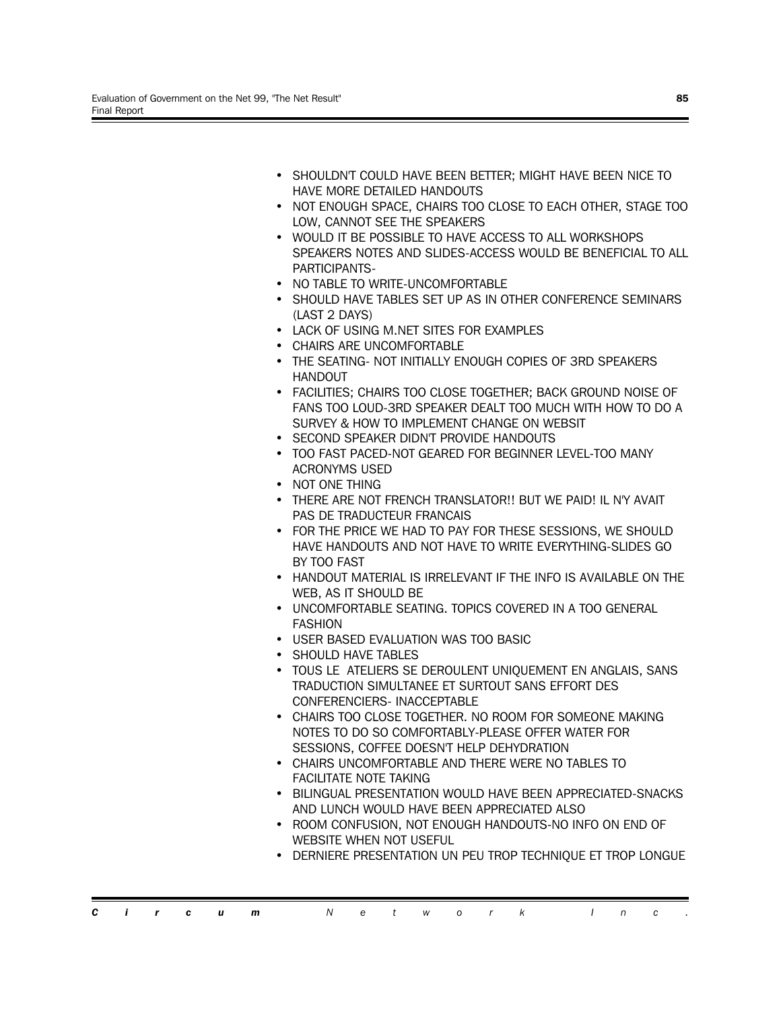- SHOULDN'T COULD HAVE BEEN BETTER; MIGHT HAVE BEEN NICE TO HAVE MORE DETAILED HANDOUTS
- NOT ENOUGH SPACE, CHAIRS TOO CLOSE TO EACH OTHER, STAGE TOO LOW, CANNOT SEE THE SPEAKERS
- WOULD IT BE POSSIBLE TO HAVE ACCESS TO ALL WORKSHOPS SPEAKERS NOTES AND SLIDES-ACCESS WOULD BE BENEFICIAL TO ALL PARTICIPANTS-
- NO TABLE TO WRITE-UNCOMFORTABLE
- SHOULD HAVE TABLES SET UP AS IN OTHER CONFERENCE SEMINARS (LAST 2 DAYS)
- LACK OF USING M.NET SITES FOR EXAMPLES
- CHAIRS ARE UNCOMFORTABLE
- THE SEATING- NOT INITIALLY ENOUGH COPIES OF 3RD SPEAKERS HANDOUT
- FACILITIES; CHAIRS TOO CLOSE TOGETHER; BACK GROUND NOISE OF FANS TOO LOUD-3RD SPEAKER DEALT TOO MUCH WITH HOW TO DO A SURVEY & HOW TO IMPLEMENT CHANGE ON WEBSIT
- SECOND SPEAKER DIDN'T PROVIDE HANDOUTS
- TOO FAST PACED-NOT GEARED FOR BEGINNER LEVEL-TOO MANY ACRONYMS USED
- NOT ONE THING
- THERE ARE NOT FRENCH TRANSLATOR!! BUT WE PAID! IL N'Y AVAIT PAS DE TRADUCTEUR FRANCAIS
- FOR THE PRICE WE HAD TO PAY FOR THESE SESSIONS, WE SHOULD HAVE HANDOUTS AND NOT HAVE TO WRITE EVERYTHING-SLIDES GO BY TOO FAST
- HANDOUT MATERIAL IS IRRELEVANT IF THE INFO IS AVAILABLE ON THE WEB, AS IT SHOULD BE
- UNCOMFORTABLE SEATING. TOPICS COVERED IN A TOO GENERAL FASHION
- USER BASED EVALUATION WAS TOO BASIC
- SHOULD HAVE TABLES
- TOUS LE ATELIERS SE DEROULENT UNIQUEMENT EN ANGLAIS, SANS TRADUCTION SIMULTANEE ET SURTOUT SANS EFFORT DES CONFERENCIERS- INACCEPTABLE
- CHAIRS TOO CLOSE TOGETHER. NO ROOM FOR SOMEONE MAKING NOTES TO DO SO COMFORTABLY-PLEASE OFFER WATER FOR SESSIONS, COFFEE DOESN'T HELP DEHYDRATION
- CHAIRS UNCOMFORTABLE AND THERE WERE NO TABLES TO FACILITATE NOTE TAKING
- BILINGUAL PRESENTATION WOULD HAVE BEEN APPRECIATED-SNACKS AND LUNCH WOULD HAVE BEEN APPRECIATED ALSO
- ROOM CONFUSION, NOT ENOUGH HANDOUTS-NO INFO ON END OF WEBSITE WHEN NOT USEFUL
- DERNIERE PRESENTATION UN PEU TROP TECHNIQUE ET TROP LONGUE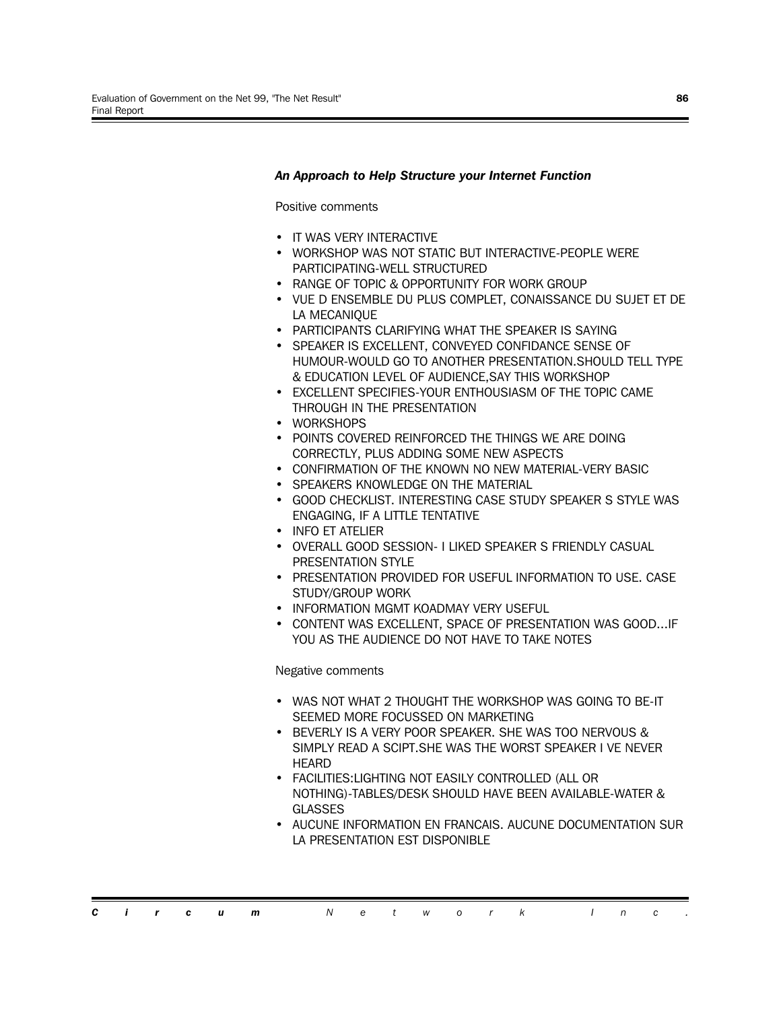# *An Approach to Help Structure your Internet Function*

Positive comments

- IT WAS VERY INTERACTIVE
- WORKSHOP WAS NOT STATIC BUT INTERACTIVE-PEOPLE WERE PARTICIPATING-WELL STRUCTURED
- RANGE OF TOPIC & OPPORTUNITY FOR WORK GROUP
- VUE D ENSEMBLE DU PLUS COMPLET, CONAISSANCE DU SUJET ET DE LA MECANIQUE
- PARTICIPANTS CLARIFYING WHAT THE SPEAKER IS SAYING
- SPEAKER IS EXCELLENT, CONVEYED CONFIDANCE SENSE OF HUMOUR-WOULD GO TO ANOTHER PRESENTATION.SHOULD TELL TYPE & EDUCATION LEVEL OF AUDIENCE,SAY THIS WORKSHOP
- EXCELLENT SPECIFIES-YOUR ENTHOUSIASM OF THE TOPIC CAME THROUGH IN THE PRESENTATION
- WORKSHOPS
- POINTS COVERED REINFORCED THE THINGS WE ARE DOING CORRECTLY, PLUS ADDING SOME NEW ASPECTS
- CONFIRMATION OF THE KNOWN NO NEW MATERIAL-VERY BASIC
- SPEAKERS KNOWLEDGE ON THE MATERIAL
- GOOD CHECKLIST. INTERESTING CASE STUDY SPEAKER S STYLE WAS ENGAGING, IF A LITTLE TENTATIVE
- INFO ET ATELIER
- OVERALL GOOD SESSION- I LIKED SPEAKER S FRIENDLY CASUAL PRESENTATION STYLE
- PRESENTATION PROVIDED FOR USEFUL INFORMATION TO USE. CASE STUDY/GROUP WORK
- INFORMATION MGMT KOADMAY VERY USEFUL
- CONTENT WAS EXCELLENT, SPACE OF PRESENTATION WAS GOOD...IF YOU AS THE AUDIENCE DO NOT HAVE TO TAKE NOTES

- WAS NOT WHAT 2 THOUGHT THE WORKSHOP WAS GOING TO BE-IT SEEMED MORE FOCUSSED ON MARKETING
- BEVERLY IS A VERY POOR SPEAKER. SHE WAS TOO NERVOUS & SIMPLY READ A SCIPT.SHE WAS THE WORST SPEAKER I VE NEVER HEARD
- FACILITIES:LIGHTING NOT EASILY CONTROLLED (ALL OR NOTHING)-TABLES/DESK SHOULD HAVE BEEN AVAILABLE-WATER & GLASSES
- AUCUNE INFORMATION EN FRANCAIS. AUCUNE DOCUMENTATION SUR LA PRESENTATION EST DISPONIBLE

|  |  | <b>Circum</b> Network Inc. |  |  |  |  |  |  |
|--|--|----------------------------|--|--|--|--|--|--|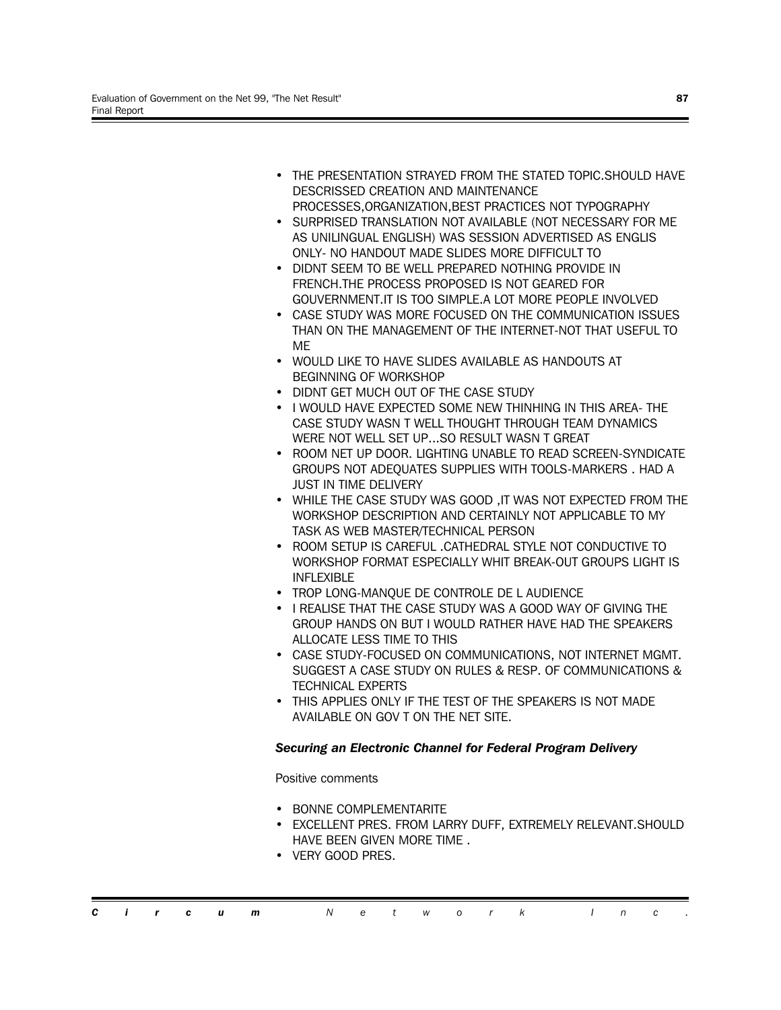- THE PRESENTATION STRAYED FROM THE STATED TOPIC.SHOULD HAVE DESCRISSED CREATION AND MAINTENANCE PROCESSES,ORGANIZATION,BEST PRACTICES NOT TYPOGRAPHY
- SURPRISED TRANSLATION NOT AVAILABLE (NOT NECESSARY FOR ME AS UNILINGUAL ENGLISH) WAS SESSION ADVERTISED AS ENGLIS ONLY- NO HANDOUT MADE SLIDES MORE DIFFICULT TO
- DIDNT SEEM TO BE WELL PREPARED NOTHING PROVIDE IN FRENCH.THE PROCESS PROPOSED IS NOT GEARED FOR GOUVERNMENT.IT IS TOO SIMPLE.A LOT MORE PEOPLE INVOLVED
- CASE STUDY WAS MORE FOCUSED ON THE COMMUNICATION ISSUES THAN ON THE MANAGEMENT OF THE INTERNET-NOT THAT USEFUL TO ME
- WOULD LIKE TO HAVE SLIDES AVAILABLE AS HANDOUTS AT BEGINNING OF WORKSHOP
- DIDNT GET MUCH OUT OF THE CASE STUDY
- I WOULD HAVE EXPECTED SOME NEW THINHING IN THIS AREA- THE CASE STUDY WASN T WELL THOUGHT THROUGH TEAM DYNAMICS WERE NOT WELL SET UP...SO RESULT WASN T GREAT
- ROOM NET UP DOOR. LIGHTING UNABLE TO READ SCREEN-SYNDICATE GROUPS NOT ADEQUATES SUPPLIES WITH TOOLS-MARKERS . HAD A JUST IN TIME DELIVERY
- WHILE THE CASE STUDY WAS GOOD ,IT WAS NOT EXPECTED FROM THE WORKSHOP DESCRIPTION AND CERTAINLY NOT APPLICABLE TO MY TASK AS WEB MASTER/TECHNICAL PERSON
- ROOM SETUP IS CAREFUL .CATHEDRAL STYLE NOT CONDUCTIVE TO WORKSHOP FORMAT ESPECIALLY WHIT BREAK-OUT GROUPS LIGHT IS INFLEXIBLE
- TROP LONG-MANQUE DE CONTROLE DE L AUDIENCE
- I REALISE THAT THE CASE STUDY WAS A GOOD WAY OF GIVING THE GROUP HANDS ON BUT I WOULD RATHER HAVE HAD THE SPEAKERS ALLOCATE LESS TIME TO THIS
- CASE STUDY-FOCUSED ON COMMUNICATIONS, NOT INTERNET MGMT. SUGGEST A CASE STUDY ON RULES & RESP. OF COMMUNICATIONS & TECHNICAL EXPERTS
- THIS APPLIES ONLY IF THE TEST OF THE SPEAKERS IS NOT MADE AVAILABLE ON GOV T ON THE NET SITE.

# *Securing an Electronic Channel for Federal Program Delivery*

- BONNE COMPLEMENTARITE
- EXCELLENT PRES. FROM LARRY DUFF, EXTREMELY RELEVANT.SHOULD HAVE BEEN GIVEN MORE TIME .
- VERY GOOD PRES.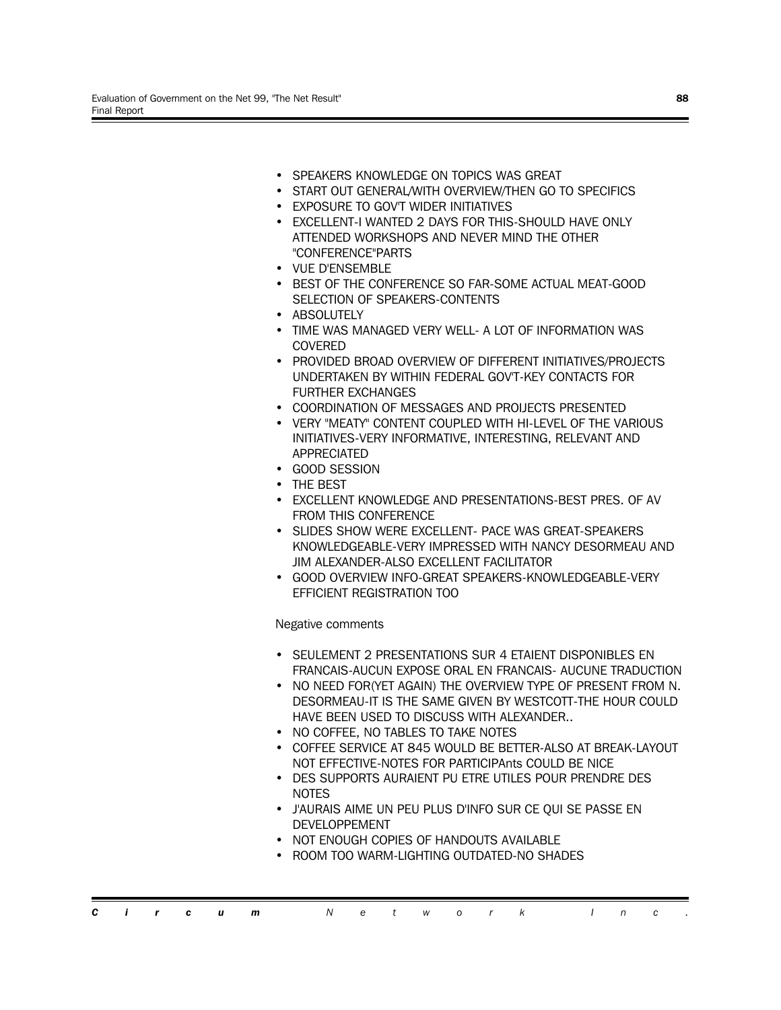- SPEAKERS KNOWLEDGE ON TOPICS WAS GREAT
- START OUT GENERAL/WITH OVERVIEW/THEN GO TO SPECIFICS
- EXPOSURE TO GOV'T WIDER INITIATIVES
- EXCELLENT-I WANTED 2 DAYS FOR THIS-SHOULD HAVE ONLY ATTENDED WORKSHOPS AND NEVER MIND THE OTHER "CONFERENCE"PARTS
- VUE D'ENSEMBLE
- BEST OF THE CONFERENCE SO FAR-SOME ACTUAL MEAT-GOOD SELECTION OF SPEAKERS-CONTENTS
- ABSOLUTELY
- TIME WAS MANAGED VERY WELL- A LOT OF INFORMATION WAS COVERED
- PROVIDED BROAD OVERVIEW OF DIFFERENT INITIATIVES/PROJECTS UNDERTAKEN BY WITHIN FEDERAL GOV'T-KEY CONTACTS FOR FURTHER EXCHANGES
- COORDINATION OF MESSAGES AND PROIJECTS PRESENTED
- VERY "MEATY" CONTENT COUPLED WITH HI-LEVEL OF THE VARIOUS INITIATIVES-VERY INFORMATIVE, INTERESTING, RELEVANT AND APPRECIATED
- GOOD SESSION
- THE BEST
- EXCELLENT KNOWLEDGE AND PRESENTATIONS-BEST PRES. OF AV FROM THIS CONFERENCE
- SLIDES SHOW WERE EXCELLENT- PACE WAS GREAT-SPEAKERS KNOWLEDGEABLE-VERY IMPRESSED WITH NANCY DESORMEAU AND JIM ALEXANDER-ALSO EXCELLENT FACILITATOR
- GOOD OVERVIEW INFO-GREAT SPEAKERS-KNOWLEDGEABLE-VERY EFFICIENT REGISTRATION TOO

- SEULEMENT 2 PRESENTATIONS SUR 4 ETAIENT DISPONIBLES EN FRANCAIS-AUCUN EXPOSE ORAL EN FRANCAIS- AUCUNE TRADUCTION
- NO NEED FOR(YET AGAIN) THE OVERVIEW TYPE OF PRESENT FROM N. DESORMEAU-IT IS THE SAME GIVEN BY WESTCOTT-THE HOUR COULD HAVE BEEN USED TO DISCUSS WITH ALEXANDER..
- NO COFFEE, NO TABLES TO TAKE NOTES
- COFFEE SERVICE AT 845 WOULD BE BETTER-ALSO AT BREAK-LAYOUT NOT EFFECTIVE-NOTES FOR PARTICIPAnts COULD BE NICE
- DES SUPPORTS AURAIENT PU ETRE UTILES POUR PRENDRE DES NOTES
- J'AURAIS AIME UN PEU PLUS D'INFO SUR CE QUI SE PASSE EN DEVELOPPEMENT
- NOT ENOUGH COPIES OF HANDOUTS AVAILABLE
- ROOM TOO WARM-LIGHTING OUTDATED-NO SHADES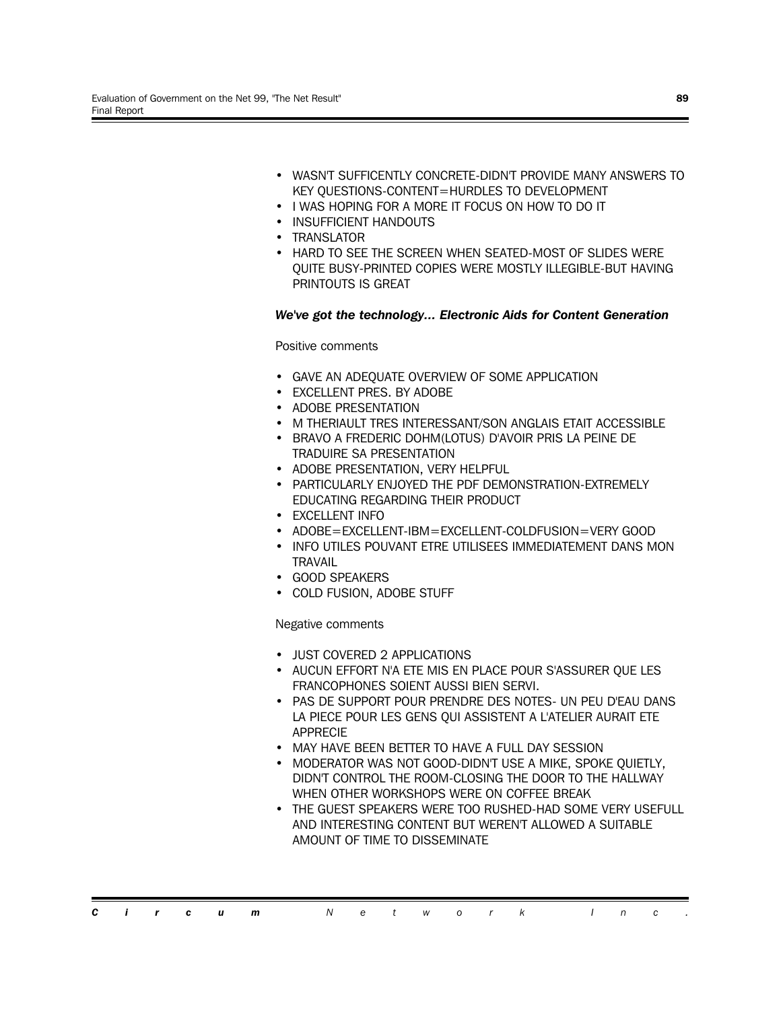- WASN'T SUFFICENTLY CONCRETE-DIDN'T PROVIDE MANY ANSWERS TO KEY QUESTIONS-CONTENT=HURDLES TO DEVELOPMENT
- I WAS HOPING FOR A MORE IT FOCUS ON HOW TO DO IT
- INSUFFICIENT HANDOUTS
- TRANSLATOR
- HARD TO SEE THE SCREEN WHEN SEATED-MOST OF SLIDES WERE QUITE BUSY-PRINTED COPIES WERE MOSTLY ILLEGIBLE-BUT HAVING PRINTOUTS IS GREAT

# *We've got the technology... Electronic Aids for Content Generation*

Positive comments

- GAVE AN ADEQUATE OVERVIEW OF SOME APPLICATION
- EXCELLENT PRES. BY ADOBE
- ADOBE PRESENTATION
- M THERIAULT TRES INTERESSANT/SON ANGLAIS ETAIT ACCESSIBLE
- BRAVO A FREDERIC DOHM(LOTUS) D'AVOIR PRIS LA PEINE DE TRADUIRE SA PRESENTATION
- ADOBE PRESENTATION, VERY HELPFUL
- PARTICULARLY ENJOYED THE PDF DEMONSTRATION-EXTREMELY EDUCATING REGARDING THEIR PRODUCT
- EXCELLENT INFO
- ADOBE=EXCELLENT-IBM=EXCELLENT-COLDFUSION=VERY GOOD
- INFO UTILES POUVANT ETRE UTILISEES IMMEDIATEMENT DANS MON TRAVAIL
- GOOD SPEAKERS
- COLD FUSION, ADOBE STUFF

- JUST COVERED 2 APPLICATIONS
- AUCUN EFFORT N'A ETE MIS EN PLACE POUR S'ASSURER QUE LES FRANCOPHONES SOIENT AUSSI BIEN SERVI.
- PAS DE SUPPORT POUR PRENDRE DES NOTES- UN PEU D'EAU DANS LA PIECE POUR LES GENS QUI ASSISTENT A L'ATELIER AURAIT ETE APPRECIE
- MAY HAVE BEEN BETTER TO HAVE A FULL DAY SESSION
- MODERATOR WAS NOT GOOD-DIDN'T USE A MIKE, SPOKE QUIETLY, DIDN'T CONTROL THE ROOM-CLOSING THE DOOR TO THE HALLWAY WHEN OTHER WORKSHOPS WERE ON COFFEE BREAK
- THE GUEST SPEAKERS WERE TOO RUSHED-HAD SOME VERY USEFULL AND INTERESTING CONTENT BUT WEREN'T ALLOWED A SUITABLE AMOUNT OF TIME TO DISSEMINATE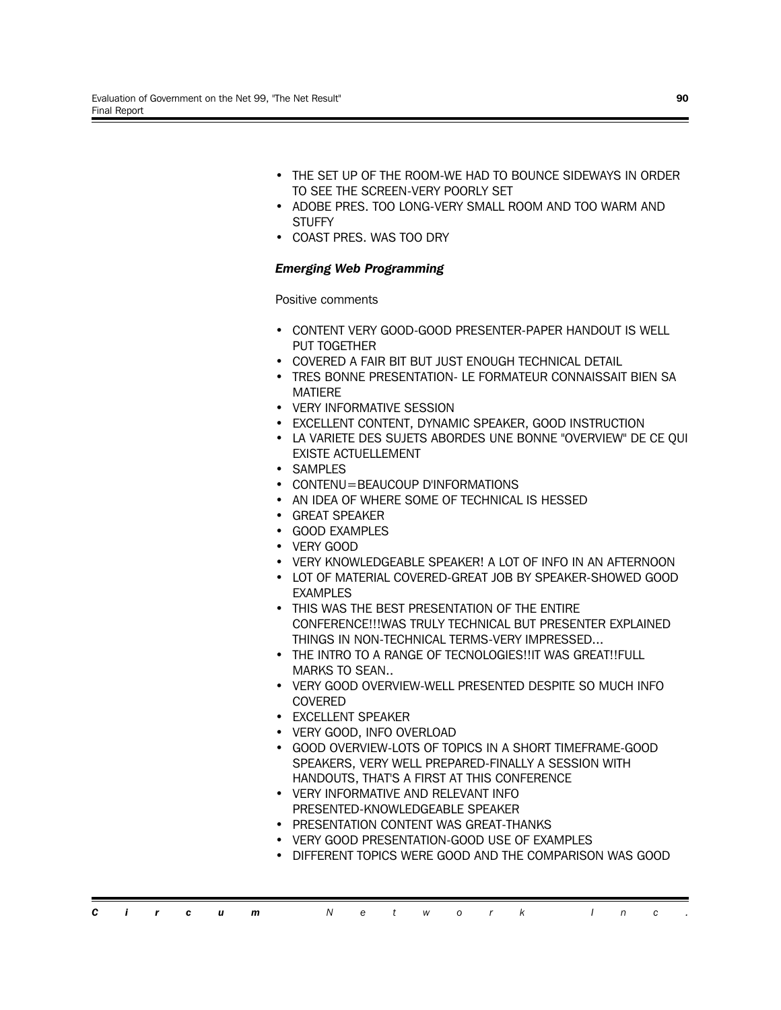- THE SET UP OF THE ROOM-WE HAD TO BOUNCE SIDEWAYS IN ORDER TO SEE THE SCREEN-VERY POORLY SET
- ADOBE PRES. TOO LONG-VERY SMALL ROOM AND TOO WARM AND **STUFFY**
- COAST PRES. WAS TOO DRY

# *Emerging Web Programming*

- CONTENT VERY GOOD-GOOD PRESENTER-PAPER HANDOUT IS WELL PUT TOGETHER
- COVERED A FAIR BIT BUT JUST ENOUGH TECHNICAL DFTAII
- TRES BONNE PRESENTATION- LE FORMATEUR CONNAISSAIT BIEN SA MATIERE
- VERY INFORMATIVE SESSION
- EXCELLENT CONTENT, DYNAMIC SPEAKER, GOOD INSTRUCTION
- LA VARIETE DES SUJETS ABORDES UNE BONNE "OVERVIEW" DE CE QUI EXISTE ACTUELLEMENT
- SAMPLES
- CONTENU=BEAUCOUP D'INFORMATIONS
- AN IDEA OF WHERE SOME OF TECHNICAL IS HESSED
- GREAT SPEAKER
- GOOD EXAMPLES
- VERY GOOD
- VERY KNOWLEDGEABLE SPEAKER! A LOT OF INFO IN AN AFTERNOON
- LOT OF MATERIAL COVERED-GREAT JOB BY SPEAKER-SHOWED GOOD **FXAMPI FS**
- THIS WAS THE BEST PRESENTATION OF THE ENTIRE CONFERENCE!!!WAS TRULY TECHNICAL BUT PRESENTER EXPLAINED THINGS IN NON-TECHNICAL TERMS-VERY IMPRESSED...
- THE INTRO TO A RANGE OF TECNOLOGIES!!IT WAS GREAT!!FULL MARKS TO SEAN..
- VERY GOOD OVERVIEW-WELL PRESENTED DESPITE SO MUCH INFO **COVERED**
- EXCELLENT SPEAKER
- VERY GOOD, INFO OVERLOAD
- GOOD OVERVIEW-LOTS OF TOPICS IN A SHORT TIMEFRAME-GOOD SPEAKERS, VERY WELL PREPARED-FINALLY A SESSION WITH HANDOUTS, THAT'S A FIRST AT THIS CONFERENCE
- VERY INFORMATIVE AND RELEVANT INFO PRESENTED-KNOWLEDGEABLE SPEAKER
- PRESENTATION CONTENT WAS GREAT-THANKS
- VERY GOOD PRESENTATION-GOOD USE OF EXAMPLES
- DIFFERENT TOPICS WERE GOOD AND THE COMPARISON WAS GOOD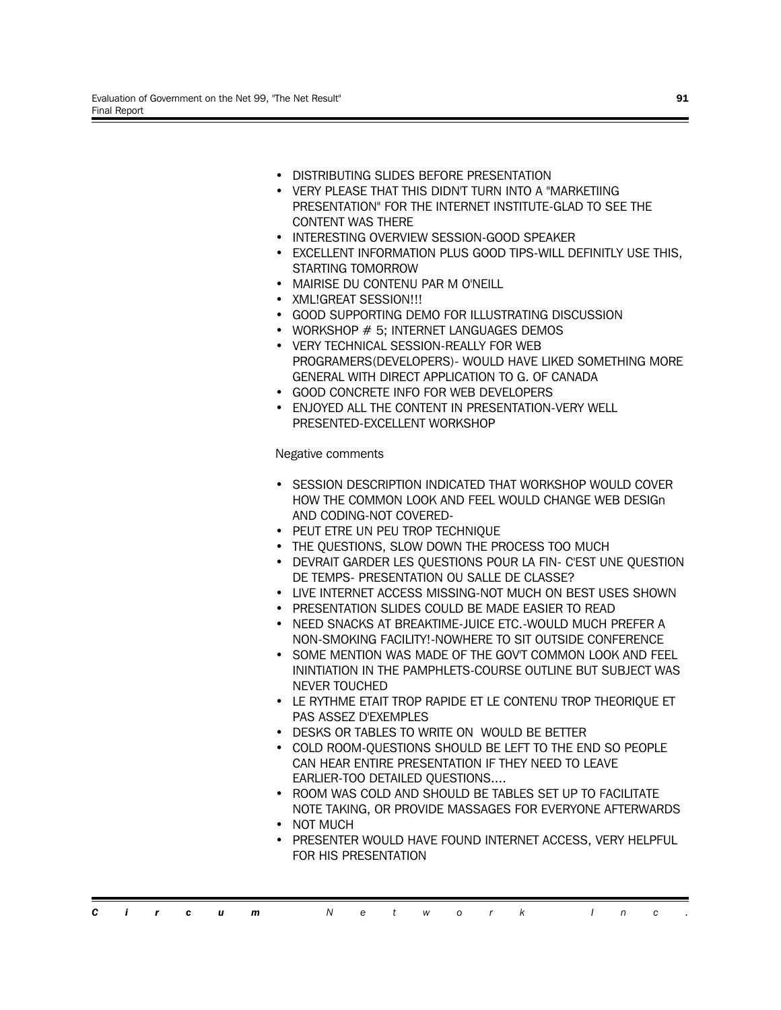- DISTRIBUTING SLIDES BEFORE PRESENTATION
- VERY PLEASE THAT THIS DIDN'T TURN INTO A "MARKETIING PRESENTATION" FOR THE INTERNET INSTITUTE-GLAD TO SEE THE CONTENT WAS THERE
- INTERESTING OVERVIEW SESSION-GOOD SPEAKER
- **EXCELLENT INFORMATION PLUS GOOD TIPS-WILL DEFINITLY USE THIS,** STARTING TOMORROW
- MAIRISE DU CONTENU PAR M O'NEILL
- XML!GREAT SESSION!!!
- GOOD SUPPORTING DEMO FOR ILLUSTRATING DISCUSSION
- WORKSHOP # 5; INTERNET LANGUAGES DEMOS
- VERY TECHNICAL SESSION-REALLY FOR WEB PROGRAMERS(DEVELOPERS)- WOULD HAVE LIKED SOMETHING MORE GENERAL WITH DIRECT APPLICATION TO G. OF CANADA
- GOOD CONCRETE INFO FOR WEB DEVELOPERS
- ENJOYED ALL THE CONTENT IN PRESENTATION-VERY WELL PRESENTED-EXCELLENT WORKSHOP

- SESSION DESCRIPTION INDICATED THAT WORKSHOP WOULD COVER HOW THE COMMON LOOK AND FEEL WOULD CHANGE WEB DESIGn AND CODING-NOT COVERED-
- PEUT ETRE UN PEU TROP TECHNIQUE
- THE QUESTIONS, SLOW DOWN THE PROCESS TOO MUCH
- DEVRAIT GARDER LES QUESTIONS POUR LA FIN- C'EST UNE QUESTION DE TEMPS- PRESENTATION OU SALLE DE CLASSE?
- LIVE INTERNET ACCESS MISSING-NOT MUCH ON BEST USES SHOWN
- PRESENTATION SLIDES COULD BE MADE EASIER TO READ
- NEED SNACKS AT BREAKTIME-JUICE ETC.-WOULD MUCH PREFER A NON-SMOKING FACILITY!-NOWHERE TO SIT OUTSIDE CONFERENCE
- SOME MENTION WAS MADE OF THE GOV'T COMMON LOOK AND FEEL ININTIATION IN THE PAMPHLETS-COURSE OUTLINE BUT SUBJECT WAS NEVER TOUCHED
- LE RYTHME ETAIT TROP RAPIDE ET LE CONTENU TROP THEORIQUE ET PAS ASSEZ D'EXEMPLES
- DESKS OR TABLES TO WRITE ON WOULD BE BETTER
- COLD ROOM-QUESTIONS SHOULD BE LEFT TO THE END SO PEOPLE CAN HEAR ENTIRE PRESENTATION IF THEY NEED TO LEAVE EARLIER-TOO DETAILED QUESTIONS....
- ROOM WAS COLD AND SHOULD BE TABLES SET UP TO FACILITATE NOTE TAKING, OR PROVIDE MASSAGES FOR EVERYONE AFTERWARDS
- NOT MUCH
- PRESENTER WOULD HAVE FOUND INTERNET ACCESS, VERY HELPFUL FOR HIS PRESENTATION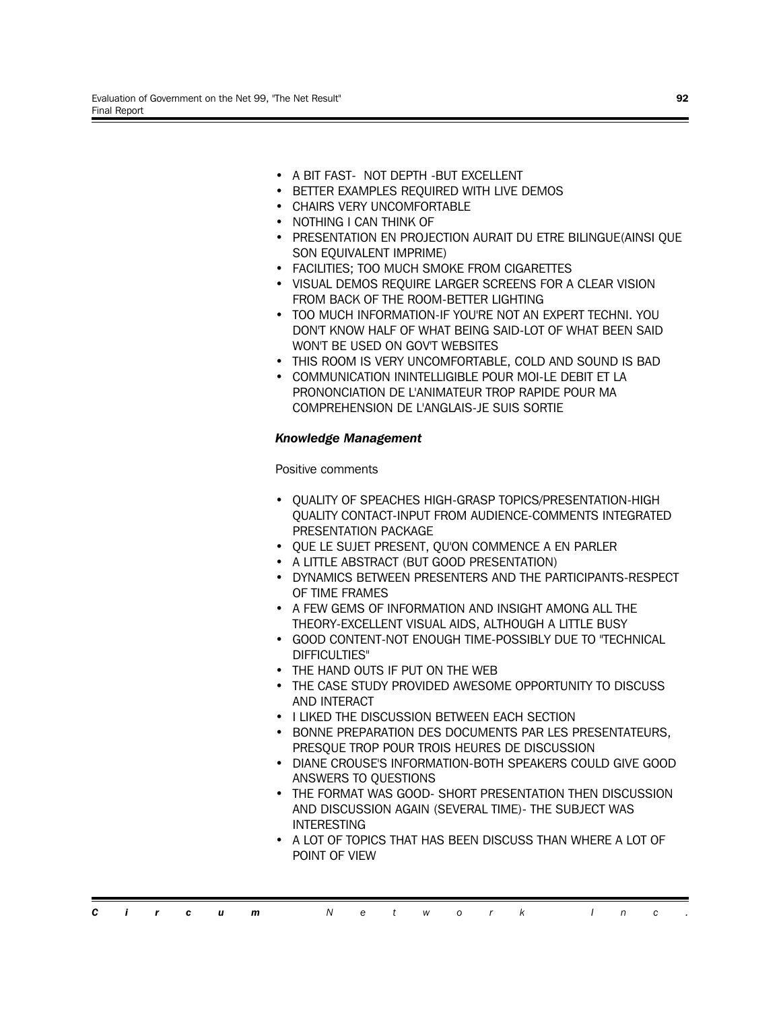- A BIT FAST- NOT DEPTH -BUT EXCELLENT
- BETTER EXAMPLES REQUIRED WITH LIVE DEMOS
- CHAIRS VERY UNCOMFORTABLE
- NOTHING I CAN THINK OF
- PRESENTATION EN PROJECTION AURAIT DU ETRE BILINGUE(AINSI QUE SON EQUIVALENT IMPRIME)
- FACILITIES; TOO MUCH SMOKE FROM CIGARETTES
- VISUAL DEMOS REQUIRE LARGER SCREENS FOR A CLEAR VISION FROM BACK OF THE ROOM-BETTER LIGHTING
- TOO MUCH INFORMATION-IF YOU'RE NOT AN EXPERT TECHNI. YOU DON'T KNOW HALF OF WHAT BEING SAID-LOT OF WHAT BEEN SAID WON'T BE USED ON GOV'T WEBSITES
- THIS ROOM IS VERY UNCOMFORTABLE, COLD AND SOUND IS BAD
- COMMUNICATION ININTELLIGIBLE POUR MOI-LE DEBIT ET LA PRONONCIATION DE L'ANIMATEUR TROP RAPIDE POUR MA COMPREHENSION DE L'ANGLAIS-JE SUIS SORTIE

### *Knowledge Management*

- QUALITY OF SPEACHES HIGH-GRASP TOPICS/PRESENTATION-HIGH QUALITY CONTACT-INPUT FROM AUDIENCE-COMMENTS INTEGRATED PRESENTATION PACKAGE
- QUE LE SUJET PRESENT, QU'ON COMMENCE A EN PARLER
- A LITTLE ABSTRACT (BUT GOOD PRESENTATION)
- DYNAMICS BETWEEN PRESENTERS AND THE PARTICIPANTS-RESPECT OF TIME FRAMES
- A FEW GEMS OF INFORMATION AND INSIGHT AMONG ALL THE THEORY-EXCELLENT VISUAL AIDS, ALTHOUGH A LITTLE BUSY
- GOOD CONTENT-NOT ENOUGH TIME-POSSIBLY DUE TO "TECHNICAL DIFFICULTIES"
- THE HAND OUTS IF PUT ON THE WEB
- THE CASE STUDY PROVIDED AWESOME OPPORTUNITY TO DISCUSS AND INTERACT
- I LIKED THE DISCUSSION BETWEEN EACH SECTION
- BONNE PREPARATION DES DOCUMENTS PAR LES PRESENTATEURS, PRESQUE TROP POUR TROIS HEURES DE DISCUSSION
- DIANE CROUSE'S INFORMATION-BOTH SPEAKERS COULD GIVE GOOD ANSWERS TO QUESTIONS
- THE FORMAT WAS GOOD- SHORT PRESENTATION THEN DISCUSSION AND DISCUSSION AGAIN (SEVERAL TIME)- THE SUBJECT WAS INTERESTING
- A LOT OF TOPICS THAT HAS BEEN DISCUSS THAN WHERE A LOT OF POINT OF VIEW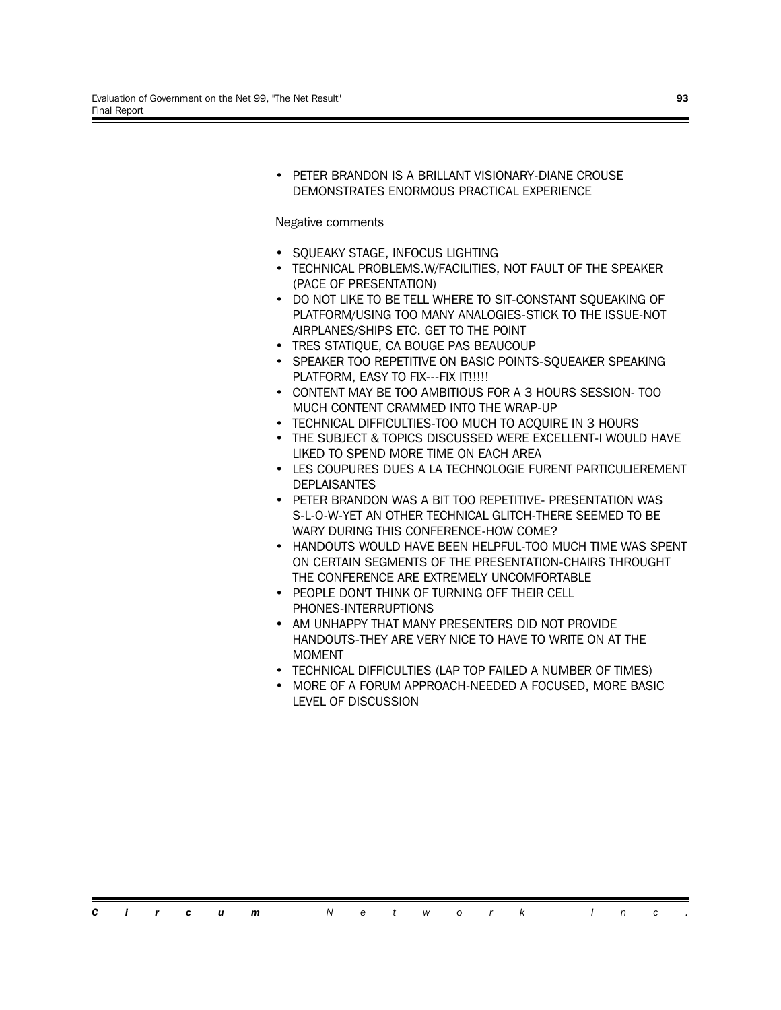• PETER BRANDON IS A BRILLANT VISIONARY-DIANE CROUSE DEMONSTRATES ENORMOUS PRACTICAL EXPERIENCE

- SQUEAKY STAGE, INFOCUS LIGHTING
- TECHNICAL PROBLEMS.W/FACILITIES, NOT FAULT OF THE SPEAKER (PACE OF PRESENTATION)
- DO NOT LIKE TO BE TELL WHERE TO SIT-CONSTANT SQUEAKING OF PLATFORM/USING TOO MANY ANALOGIES-STICK TO THE ISSUE-NOT AIRPLANES/SHIPS ETC. GET TO THE POINT
- TRES STATIQUE, CA BOUGE PAS BEAUCOUP
- SPEAKER TOO REPETITIVE ON BASIC POINTS-SQUEAKER SPEAKING PLATFORM, EASY TO FIX---FIX IT!!!!!
- CONTENT MAY BE TOO AMBITIOUS FOR A 3 HOURS SESSION- TOO MUCH CONTENT CRAMMED INTO THE WRAP-UP
- TECHNICAL DIFFICULTIES-TOO MUCH TO ACOUIRE IN 3 HOURS
- THE SUBJECT & TOPICS DISCUSSED WERE EXCELLENT-I WOULD HAVE LIKED TO SPEND MORE TIME ON EACH AREA
- LES COUPURES DUES A LA TECHNOLOGIE FURENT PARTICULIEREMENT DEPLAISANTES
- PETER BRANDON WAS A BIT TOO REPETITIVE- PRESENTATION WAS S-L-O-W-YET AN OTHER TECHNICAL GLITCH-THERE SEEMED TO BE WARY DURING THIS CONFERENCE-HOW COME?
- HANDOUTS WOULD HAVE BEEN HELPFUL-TOO MUCH TIME WAS SPENT ON CERTAIN SEGMENTS OF THE PRESENTATION-CHAIRS THROUGHT THE CONFERENCE ARE EXTREMELY UNCOMFORTABLE
- PEOPLE DON'T THINK OF TURNING OFF THEIR CELL PHONES-INTERRUPTIONS
- AM UNHAPPY THAT MANY PRESENTERS DID NOT PROVIDE HANDOUTS-THEY ARE VERY NICE TO HAVE TO WRITE ON AT THE MOMENT
- TECHNICAL DIFFICULTIES (LAP TOP FAILED A NUMBER OF TIMES)
- MORE OF A FORUM APPROACH-NEEDED A FOCUSED, MORE BASIC LEVEL OF DISCUSSION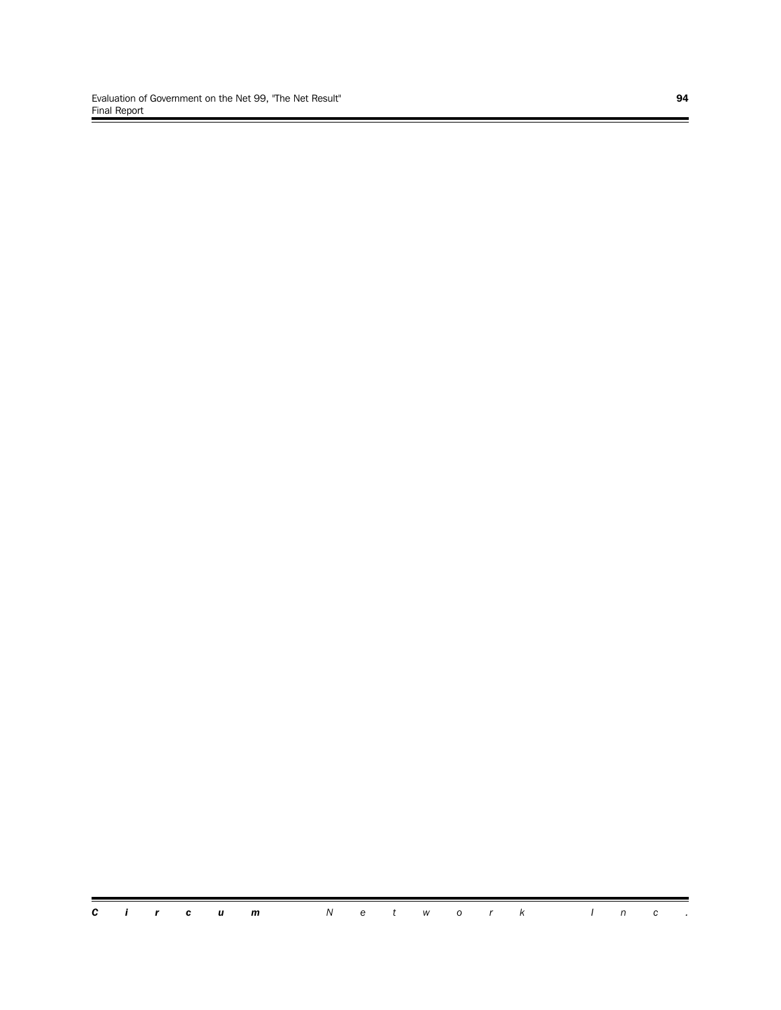*Circum Network Inc .*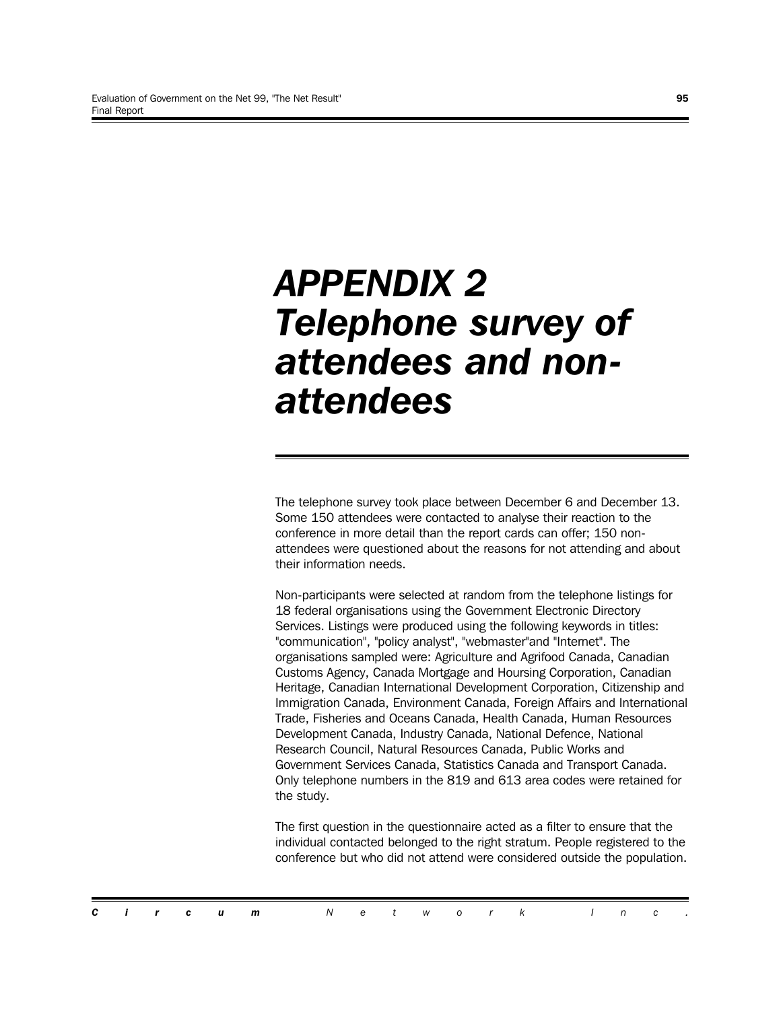# *APPENDIX 2 Telephone survey of attendees and nonattendees*

The telephone survey took place between December 6 and December 13. Some 150 attendees were contacted to analyse their reaction to the conference in more detail than the report cards can offer; 150 nonattendees were questioned about the reasons for not attending and about their information needs.

Non-participants were selected at random from the telephone listings for 18 federal organisations using the Government Electronic Directory Services. Listings were produced using the following keywords in titles: "communication", "policy analyst", "webmaster"and "Internet". The organisations sampled were: Agriculture and Agrifood Canada, Canadian Customs Agency, Canada Mortgage and Hoursing Corporation, Canadian Heritage, Canadian International Development Corporation, Citizenship and Immigration Canada, Environment Canada, Foreign Affairs and International Trade, Fisheries and Oceans Canada, Health Canada, Human Resources Development Canada, Industry Canada, National Defence, National Research Council, Natural Resources Canada, Public Works and Government Services Canada, Statistics Canada and Transport Canada. Only telephone numbers in the 819 and 613 area codes were retained for the study.

The first question in the questionnaire acted as a filter to ensure that the individual contacted belonged to the right stratum. People registered to the conference but who did not attend were considered outside the population.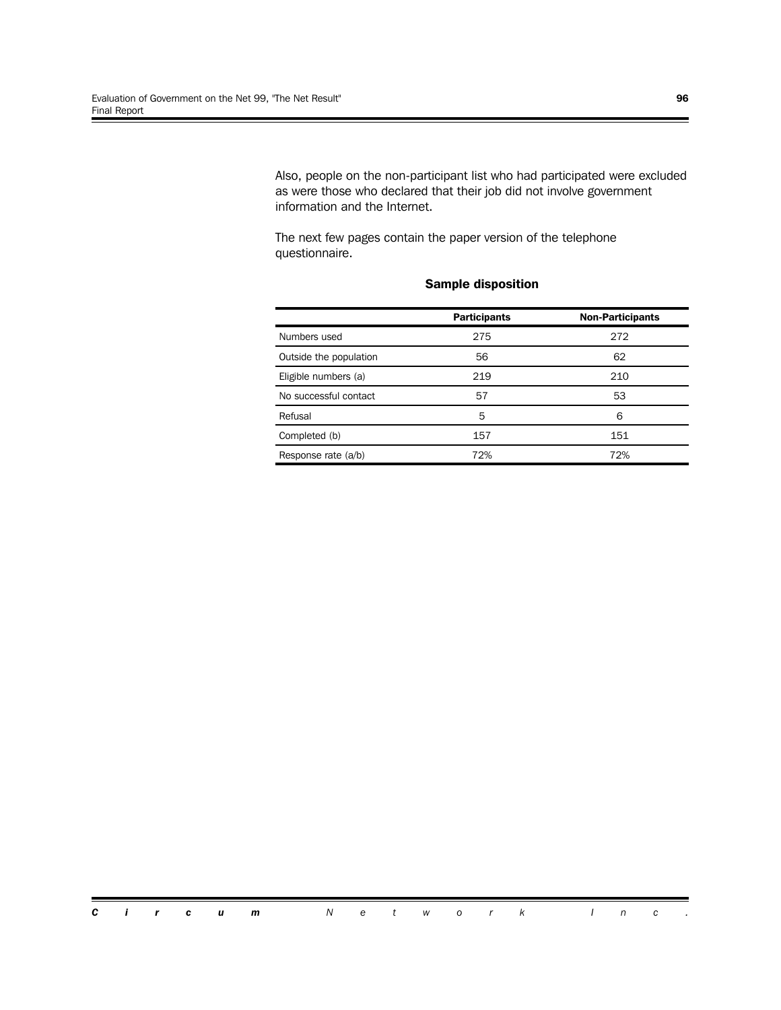Also, people on the non-participant list who had participated were excluded as were those who declared that their job did not involve government information and the Internet.

The next few pages contain the paper version of the telephone questionnaire.

|                        | <b>Participants</b> | <b>Non-Participants</b> |
|------------------------|---------------------|-------------------------|
| Numbers used           | 275                 | 272                     |
| Outside the population | 56                  | 62                      |
| Eligible numbers (a)   | 219                 | 210                     |
| No successful contact  | 57                  | 53                      |
| Refusal                | 5                   | 6                       |
| Completed (b)          | 157                 | 151                     |
| Response rate (a/b)    | 72%                 | 72%                     |

### **Sample disposition**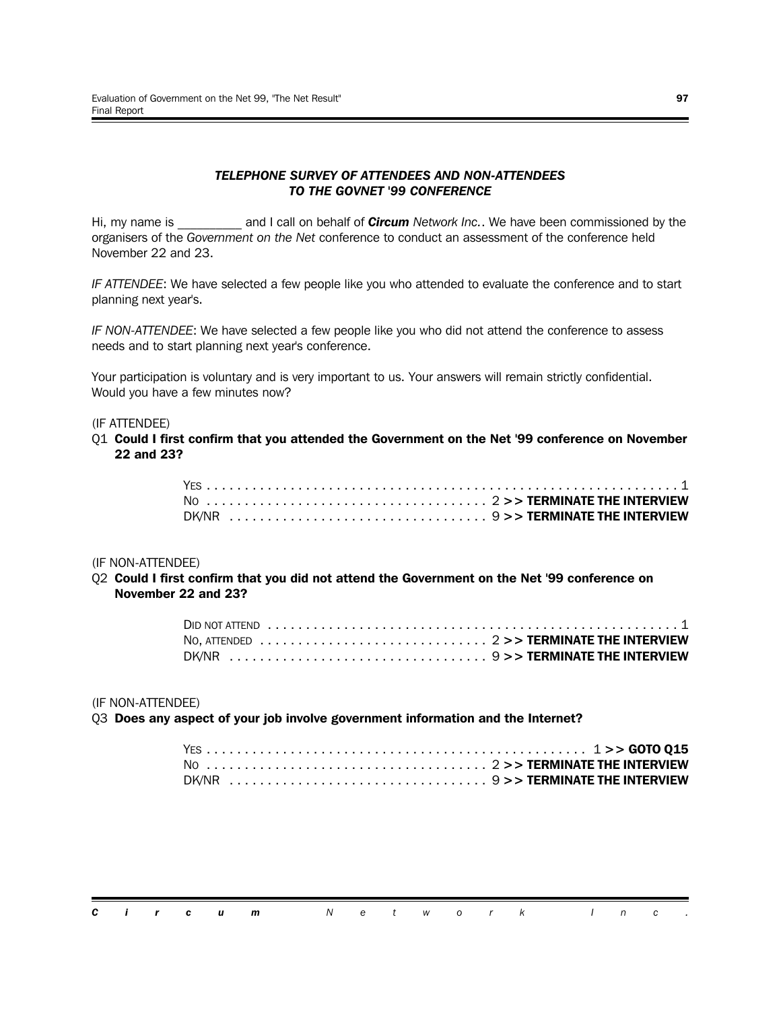## *TELEPHONE SURVEY OF ATTENDEES AND NON-ATTENDEES TO THE GOVNET '99 CONFERENCE*

Hi, my name is \_\_\_\_\_\_\_\_\_\_ and I call on behalf of *Circum Network Inc.*. We have been commissioned by the organisers of the *Government on the Net* conference to conduct an assessment of the conference held November 22 and 23.

*IF ATTENDEE*: We have selected a few people like you who attended to evaluate the conference and to start planning next year's.

*IF NON-ATTENDEE*: We have selected a few people like you who did not attend the conference to assess needs and to start planning next year's conference.

Your participation is voluntary and is very important to us. Your answers will remain strictly confidential. Would you have a few minutes now?

#### (IF ATTENDEE)

Q1 **Could I first confirm that you attended the Government on the Net '99 conference on November 22 and 23?**

#### (IF NON-ATTENDEE)

Q2 **Could I first confirm that you did not attend the Government on the Net '99 conference on November 22 and 23?**

#### (IF NON-ATTENDEE)

Q3 **Does any aspect of your job involve government information and the Internet?**

| No $\ldots \ldots \ldots \ldots \ldots \ldots \ldots \ldots \ldots \ldots \ldots \ldots \ldots$ . 2 >> TERMINATE THE INTERVIEW |  |
|--------------------------------------------------------------------------------------------------------------------------------|--|
|                                                                                                                                |  |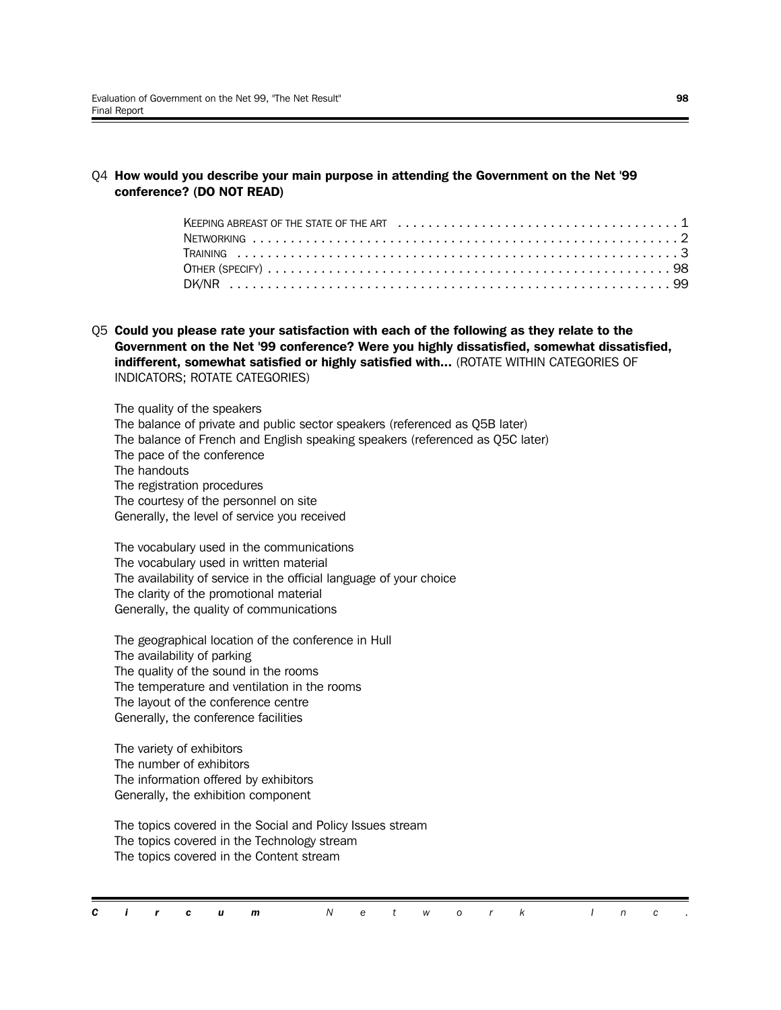# Q4 **How would you describe your main purpose in attending the Government on the Net '99 conference? (DO NOT READ)**

Q5 **Could you please rate your satisfaction with each of the following as they relate to the Government on the Net '99 conference? Were you highly dissatisfied, somewhat dissatisfied, indifferent, somewhat satisfied or highly satisfied with...** (ROTATE WITHIN CATEGORIES OF INDICATORS; ROTATE CATEGORIES)

The quality of the speakers The balance of private and public sector speakers (referenced as Q5B later) The balance of French and English speaking speakers (referenced as Q5C later) The pace of the conference The handouts The registration procedures The courtesy of the personnel on site Generally, the level of service you received

The vocabulary used in the communications The vocabulary used in written material The availability of service in the official language of your choice The clarity of the promotional material Generally, the quality of communications

The geographical location of the conference in Hull The availability of parking The quality of the sound in the rooms The temperature and ventilation in the rooms The layout of the conference centre Generally, the conference facilities

The variety of exhibitors The number of exhibitors The information offered by exhibitors Generally, the exhibition component

The topics covered in the Social and Policy Issues stream The topics covered in the Technology stream The topics covered in the Content stream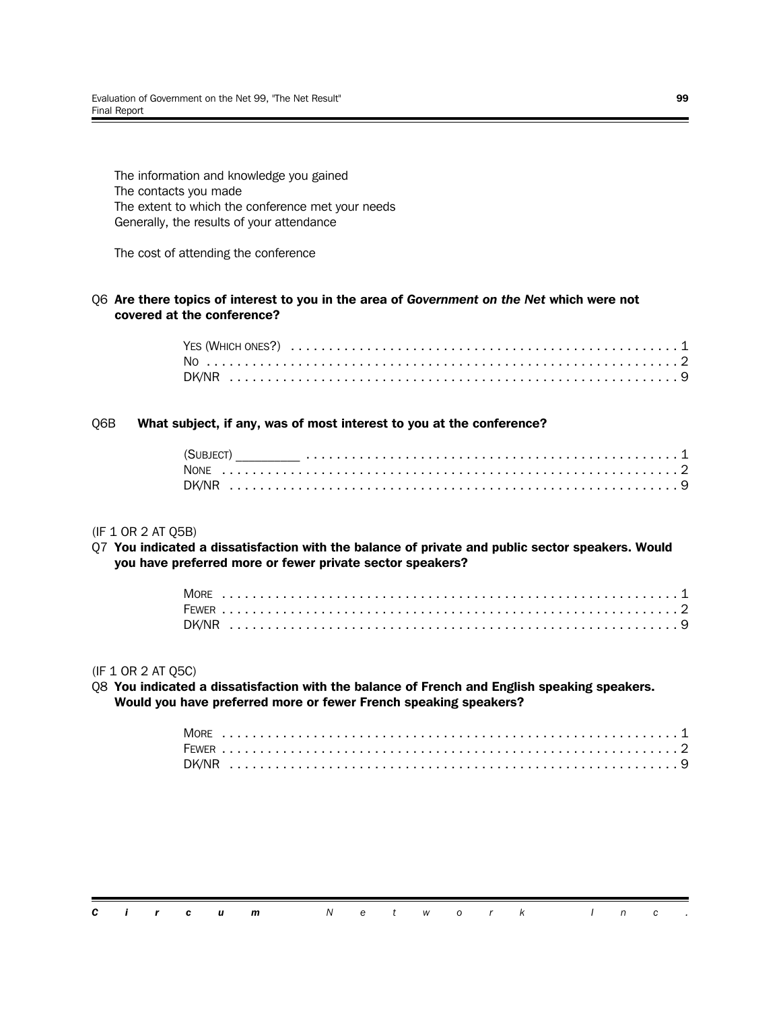The information and knowledge you gained The contacts you made The extent to which the conference met your needs Generally, the results of your attendance

The cost of attending the conference

## Q6 **Are there topics of interest to you in the area of** *Government on the Net* **which were not covered at the conference?**

#### Q6B **What subject, if any, was of most interest to you at the conference?**

#### (IF 1 OR 2 AT Q5B)

Q7 **You indicated a dissatisfaction with the balance of private and public sector speakers. Would you have preferred more or fewer private sector speakers?**

(IF 1 OR 2 AT Q5C)

Q8 **You indicated a dissatisfaction with the balance of French and English speaking speakers. Would you have preferred more or fewer French speaking speakers?**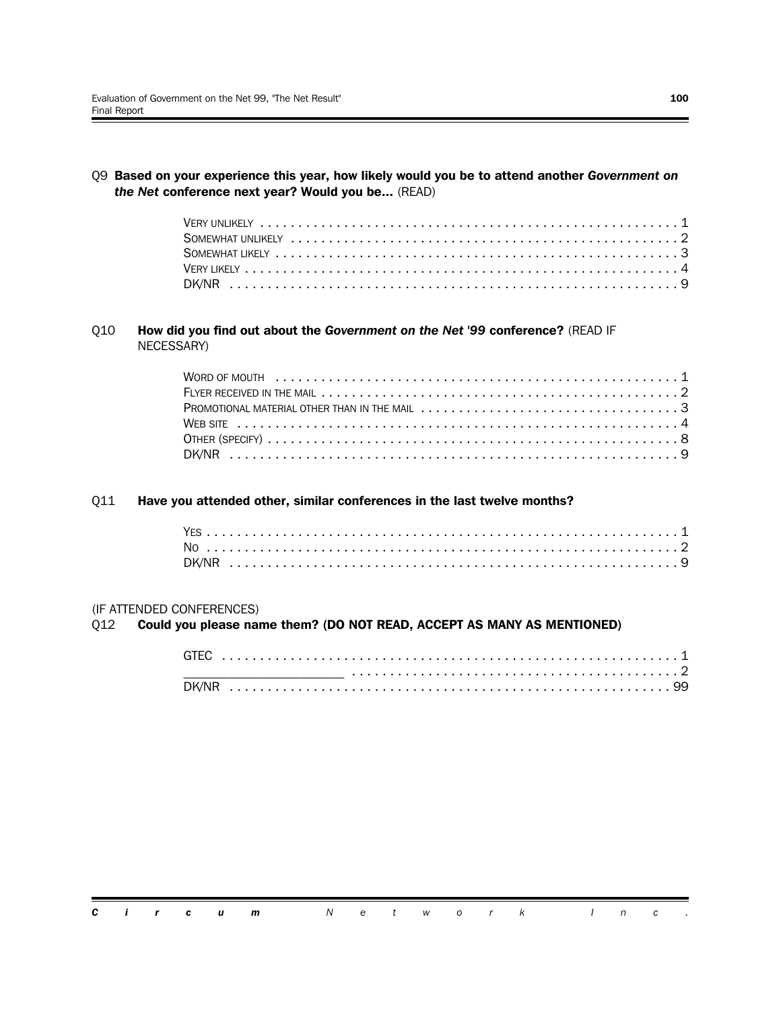Q9 **Based on your experience this year, how likely would you be to attend another** *Government on the Net* **conference next year? Would you be...** (READ)

Q10 **How did you find out about the** *Government on the Net '99* **conference?** (READ IF NECESSARY)

# Q11 **Have you attended other, similar conferences in the last twelve months?**

# (IF ATTENDED CONFERENCES)

# Q12 **Could you please name them? (DO NOT READ, ACCEPT AS MANY AS MENTIONED)**

*Circum Network Inc .*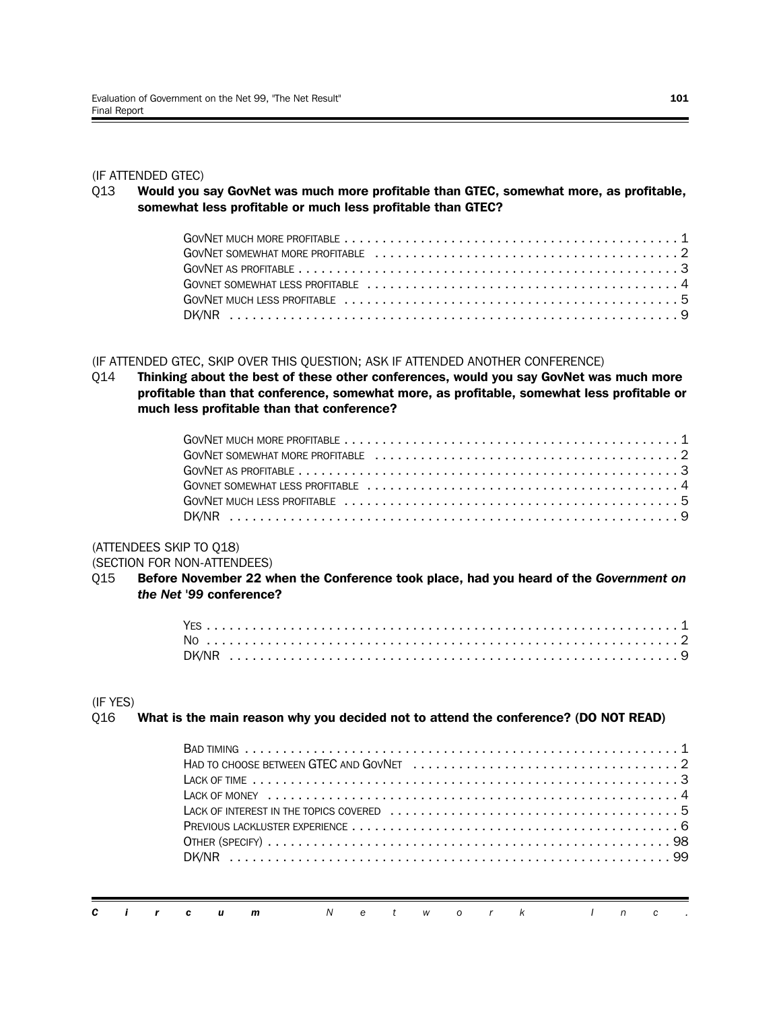# (IF ATTENDED GTEC)

Q13 **Would you say GovNet was much more profitable than GTEC, somewhat more, as profitable, somewhat less profitable or much less profitable than GTEC?**

(IF ATTENDED GTEC, SKIP OVER THIS QUESTION; ASK IF ATTENDED ANOTHER CONFERENCE)

Q14 **Thinking about the best of these other conferences, would you say GovNet was much more profitable than that conference, somewhat more, as profitable, somewhat less profitable or much less profitable than that conference?**

#### (ATTENDEES SKIP TO Q18)

(SECTION FOR NON-ATTENDEES)

Q15 **Before November 22 when the Conference took place, had you heard of the** *Government on the Net '99* **conference?**

### (IF YES)

#### Q16 **What is the main reason why you decided not to attend the conference? (DO NOT READ)**

|  |  | <b>Circum</b> Network Inc |  |  |  |  |  |  |
|--|--|---------------------------|--|--|--|--|--|--|
|  |  |                           |  |  |  |  |  |  |
|  |  |                           |  |  |  |  |  |  |
|  |  |                           |  |  |  |  |  |  |
|  |  |                           |  |  |  |  |  |  |
|  |  |                           |  |  |  |  |  |  |
|  |  |                           |  |  |  |  |  |  |
|  |  |                           |  |  |  |  |  |  |
|  |  |                           |  |  |  |  |  |  |
|  |  |                           |  |  |  |  |  |  |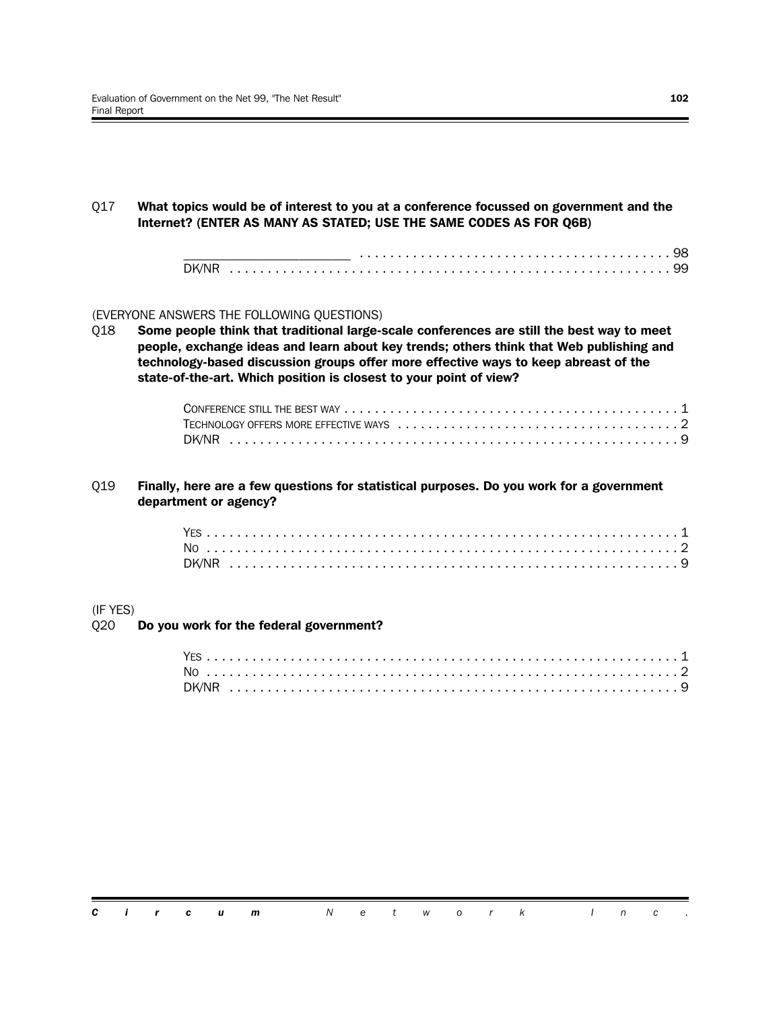# Q17 **What topics would be of interest to you at a conference focussed on government and the Internet? (ENTER AS MANY AS STATED; USE THE SAME CODES AS FOR Q6B)**

| DK/N |  |  |
|------|--|--|

#### (EVERYONE ANSWERS THE FOLLOWING QUESTIONS)

Q18 **Some people think that traditional large-scale conferences are still the best way to meet people, exchange ideas and learn about key trends; others think that Web publishing and technology-based discussion groups offer more effective ways to keep abreast of the state-of-the-art. Which position is closest to your point of view?**

Q19 **Finally, here are a few questions for statistical purposes. Do you work for a government department or agency?**

#### (IF YES)

Q20 **Do you work for the federal government?**

*Circum Network Inc .*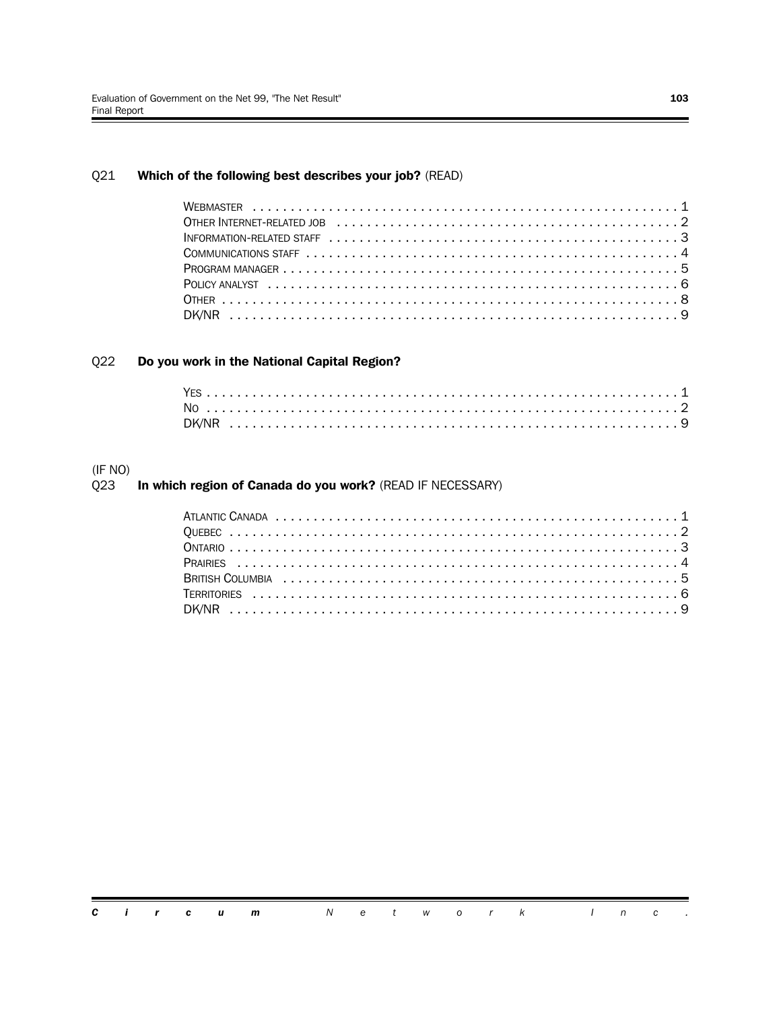#### $Q21$ Which of the following best describes your job? (READ)

#### $Q22$ Do you work in the National Capital Region?

## $(IF NO)$

#### $Q23$ In which region of Canada do you work? (READ IF NECESSARY)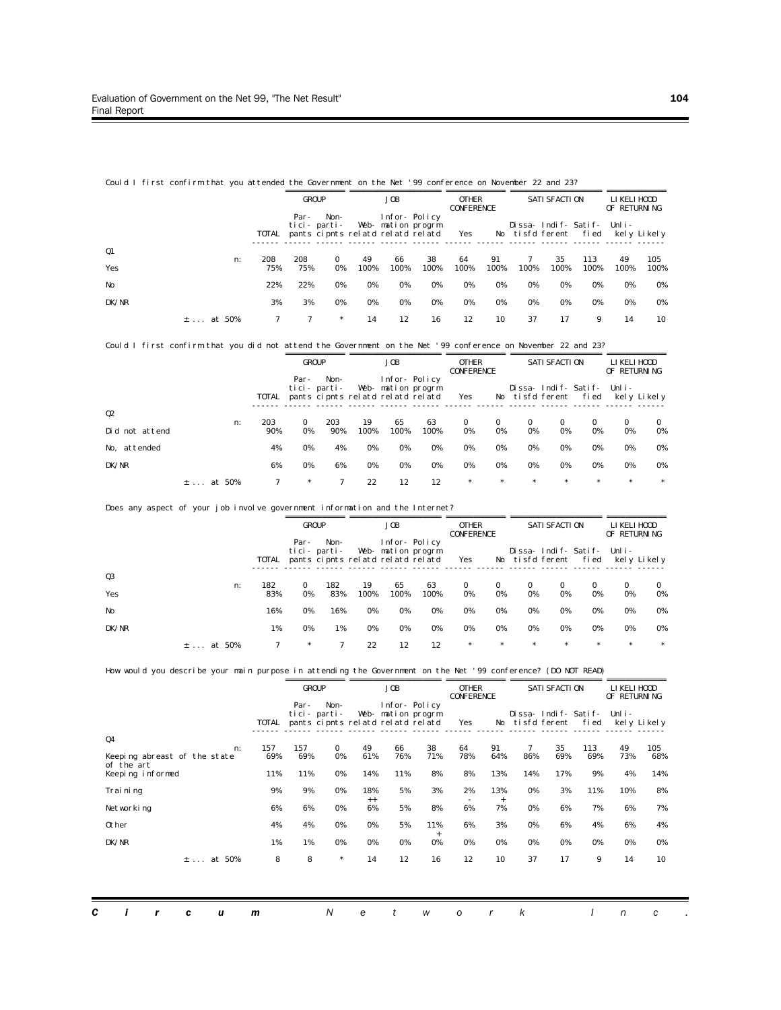|       | Could I first confirm that you attended the Government on the Net '99 conference on November 22 and 23? |            |            |                     |            |            |                                                                          |                                   |            |      |                       |                                            |                              |               |
|-------|---------------------------------------------------------------------------------------------------------|------------|------------|---------------------|------------|------------|--------------------------------------------------------------------------|-----------------------------------|------------|------|-----------------------|--------------------------------------------|------------------------------|---------------|
|       |                                                                                                         |            |            | GROUP               |            | .JOB       |                                                                          | <b>OTHER</b><br><b>CONFERENCE</b> |            |      | <b>SATI SFACTI ON</b> |                                            | LI KELI HOOD<br>OF RETURNING |               |
|       |                                                                                                         | TOTAL      | Par-       | Non-<br>tici-parti- |            |            | Infor- Policy<br>Web- mation progrm<br>pants cipnts relatd relatd relatd | Yes                               |            |      |                       | Dissa-Indif-Satif-<br>No tisfd ferent fied | - Unli                       | kel y Likel y |
| Q1    |                                                                                                         |            |            |                     |            |            |                                                                          |                                   |            |      |                       |                                            |                              |               |
| Yes   | n:                                                                                                      | 208<br>75% | 208<br>75% | 0<br>0%             | 49<br>100% | 66<br>100% | 38<br>100%                                                               | 64<br>100%                        | 91<br>100% | 100% | 35<br>100%            | 113<br>100%                                | 49<br>100%                   | 105<br>100%   |
| No    |                                                                                                         | 22%        | 22%        | 0%                  | 0%         | 0%         | 0%                                                                       | 0%                                | 0%         | 0%   | 0%                    | 0%                                         | 0%                           | 0%            |
| DK/NR |                                                                                                         | 3%         | 3%         | 0%                  | 0%         | 0%         | 0%                                                                       | 0%                                | 0%         | 0%   | 0%                    | 0%                                         | 0%                           | 0%            |
|       | $\pm$ at 50%:                                                                                           |            |            | *                   | 14         | 12         | 16                                                                       | 12                                | 10         | 37   | 17                    | 9                                          | 14                           | 10            |

| Could I first confirm that you did not attend the Government on the Net '99 conference on November 22 and 23? |  |  |  |  |  |  |  |  |  |  |  |
|---------------------------------------------------------------------------------------------------------------|--|--|--|--|--|--|--|--|--|--|--|
|---------------------------------------------------------------------------------------------------------------|--|--|--|--|--|--|--|--|--|--|--|

|                |               |    |              |              | <b>GROUP</b> |       | JOB.          |                                   | <b>OTHER</b>      |          |          | <b>SATI SFACTI ON</b> |                      | LI KELI HOOD |               |
|----------------|---------------|----|--------------|--------------|--------------|-------|---------------|-----------------------------------|-------------------|----------|----------|-----------------------|----------------------|--------------|---------------|
|                |               |    |              |              |              |       |               |                                   | <b>CONFERENCE</b> |          |          |                       |                      | OF RETURNING |               |
|                |               |    |              | Par-         | Non-         |       | Infor- Policy |                                   |                   |          |          |                       |                      |              |               |
|                |               |    |              |              | tici-parti-  |       |               | Web- mation progrm                |                   |          |          |                       | Dissa-Indif-Satif-   | - Unl i      |               |
|                |               |    | <b>TOTAL</b> |              |              |       |               | pants cipnts relatd relatd relatd | Yes               |          |          |                       | No tisfd ferent fied |              | kel y Likel y |
|                |               |    |              |              |              |       |               |                                   |                   |          |          |                       |                      |              |               |
| Q2             |               |    |              |              |              |       |               |                                   |                   |          |          |                       |                      |              |               |
|                |               | n: | 203          | $\mathbf{0}$ | 203          | 19    | 65            | 63                                | $\Omega$          | $\bf{0}$ | $\bf{0}$ | $\Omega$              | $\mathbf{0}$         | $\bf{0}$     | $\bf{0}$      |
| Did not attend |               |    | 90%          | 0%           | 90%          | 100%  | 100%          | 100%                              | 0%                | $0\%$    | 0%       | 0%                    | 0%                   | 0%           | 0%            |
| No, attended   |               |    | 4%           | <b>0%</b>    | 4%           | $0\%$ | 0%            | 0%                                | 0%                | 0%       | $0\%$    | 0%                    | 0%                   | 0%           | 0%            |
|                |               |    |              |              |              |       |               |                                   |                   |          |          |                       |                      |              |               |
| DK/NR          |               |    | 6%           | 0%           | 6%           | 0%    | 0%            | 0%                                | 0%                | 0%       | 0%       | 0%                    | 0%                   | 0%           | 0%            |
|                | $\pm$ at 50%: |    | 7            | *            | 7            | 22    | 12            | 12                                | $\ast$            | *        | *        | $*$                   | $*$                  | $*$          |               |

#### Does any aspect of your job involve government information and the Internet?

|       |               |            |                       | <b>GROUP</b>        |            | <b>JOB</b> |                                                                          | <b>OTHER</b><br><b>CONFERENCE</b> |                | <b>SATI SFACTI ON</b> |                |                                                             | LI KELI HOOD<br>OF RETURNING |                |  |
|-------|---------------|------------|-----------------------|---------------------|------------|------------|--------------------------------------------------------------------------|-----------------------------------|----------------|-----------------------|----------------|-------------------------------------------------------------|------------------------------|----------------|--|
|       |               | TOTAL      | Par-                  | Non-<br>tici-parti- |            |            | Infor- Policy<br>Web- mation progrm<br>pants cipnts relatd relatd relatd | Yes                               |                |                       |                | Dissa-Indif-Satif-Unli-<br>No tisfd ferent fied kely Likely |                              |                |  |
| Q3    |               |            |                       |                     |            |            |                                                                          |                                   |                |                       |                |                                                             |                              |                |  |
| Yes   | n:            | 182<br>83% | $\Omega$<br><b>0%</b> | 182<br>83%          | 19<br>100% | 65<br>100% | 63<br>100%                                                               | $\bf{0}$<br>0%                    | $\bf{0}$<br>0% | $\bf{0}$<br>0%        | $\bf{0}$<br>0% | $\bf{0}$<br>0%                                              | 0<br>0%                      | $\bf{0}$<br>0% |  |
| No    |               | 16%        | O%                    | 16%                 | 0%         | 0%         | 0%                                                                       | 0%                                | 0%             | 0%                    | 0%             | 0%                                                          | 0%                           | 0%             |  |
| DK/NR |               | 1%         | 0%                    | 1%                  | 0%         | 0%         | 0%                                                                       | 0%                                | 0%             | 0%                    | 0%             | 0%                                                          | 0%                           | 0%             |  |
|       | $\pm$ at 50%: |            | *                     | 7                   | 22         | 12         | 12                                                                       | *                                 | *              | *                     | $*$            | $*$                                                         | *                            |                |  |

#### How would you describe your main purpose in attending the Government on the Net '99 conference? (DO NOT READ)

|                                                      |              |            | <b>GROUP</b>        |               | <b>JOB</b>                                                              |              | <b>OTHER</b><br><b>CONFERENCE</b> |              |                      | <b>SATI SFACTI ON</b> |            | LI KELI HOOD<br>OF RETURNING |               |
|------------------------------------------------------|--------------|------------|---------------------|---------------|-------------------------------------------------------------------------|--------------|-----------------------------------|--------------|----------------------|-----------------------|------------|------------------------------|---------------|
|                                                      | <b>TOTAL</b> | Par-       | Non-<br>tici-parti- |               | Infor-Policy<br>Web- mation progrm<br>pants cipnts relatd relatd relatd |              | Yes                               |              | No tisfd ferent fied | Dissa-Indif-Satif-    |            | Unli-                        | kel y Likel y |
| Q <sub>4</sub><br>n:<br>Keeping abreast of the state | 157<br>69%   | 157<br>69% | $\bf{0}$<br>0%      | 49<br>61%     | 66<br>76%                                                               | 38<br>71%    | 64<br>78%                         | 91<br>64%    | 7<br>86%             | 35<br>69%             | 113<br>69% | 49<br>73%                    | 105<br>68%    |
| of the art<br>Keeping informed                       | 11%          | 11%        | 0%                  | 14%           | 11%                                                                     | 8%           | 8%                                | 13%          | 14%                  | 17%                   | 9%         | 4%                           | 14%           |
| Trai ni ng                                           | 9%           | 9%         | 0%                  | 18%           | 5%                                                                      | 3%           | 2%                                | 13%          | 0%                   | 3%                    | 11%        | 10%                          | 8%            |
| Networking                                           | 6%           | 6%         | 0%                  | $^{++}$<br>6% | 5%                                                                      | 8%           | 6%                                | $^{+}$<br>7% | 0%                   | 6%                    | 7%         | 6%                           | 7%            |
| 0ther                                                | 4%           | 4%         | 0%                  | 0%            | 5%                                                                      | 11%          | 6%                                | 3%           | 0%                   | 6%                    | 4%         | 6%                           | 4%            |
| DK/NR                                                | 1%           | 1%         | 0%                  | 0%            | 0%                                                                      | $^{+}$<br>0% | 0%                                | 0%           | 0%                   | 0%                    | 0%         | 0%                           | 0%            |
| $\pm$ at 50%:                                        | 8            | 8          | $*$                 | 14            | 12                                                                      | 16           | 12                                | 10           | 37                   | 17                    | 9          | 14                           | 10            |
|                                                      |              |            |                     |               |                                                                         |              |                                   |              |                      |                       |            |                              |               |
| r<br>u<br>c                                          | m            |            | N                   | е             | t                                                                       | W            | O                                 |              | k                    |                       |            | n                            | с             |

**State College**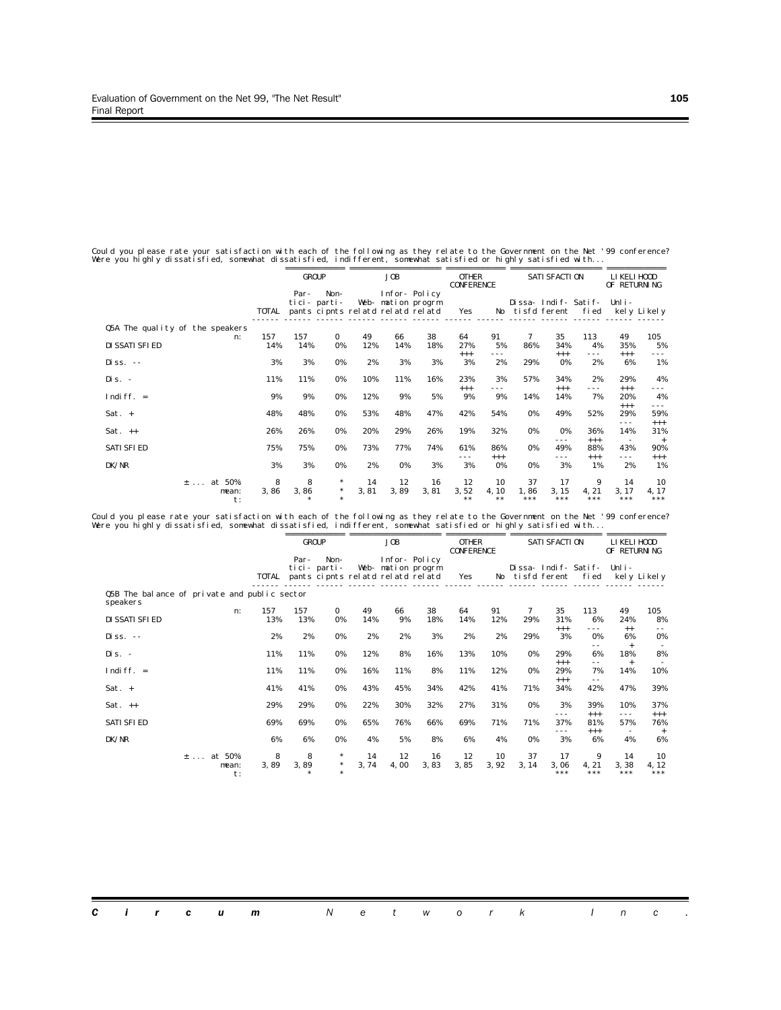| Could you please rate your satisfaction with each of the following as they relate to the Government on the Net '99 conference? |  |  |  |  |
|--------------------------------------------------------------------------------------------------------------------------------|--|--|--|--|
| Were you highly dissatisfied, somewhat dissatisfied, indifferent, somewhat satisfied or highly satisfied with                  |  |  |  |  |

|                                 |               |        | <b>GROUP</b> |      | <b>JOB</b> |                                   | <b>OTHER</b>      |          |                 | <b>SATI SFACTI ON</b> |          | LI KELI HOOD   |                 |
|---------------------------------|---------------|--------|--------------|------|------------|-----------------------------------|-------------------|----------|-----------------|-----------------------|----------|----------------|-----------------|
|                                 |               | Par-   | Non-         |      |            | Infor-Policy                      | <b>CONFERENCE</b> |          |                 |                       |          | OF RETURNING   |                 |
|                                 |               |        | tici-parti-  |      |            | Web- mation progrm                |                   |          |                 | Dissa-Indif-Satif-    |          | Unli-          |                 |
|                                 | TOTAL         |        |              |      |            | pants cipnts relatd relatd relatd | Yes               |          | No tisfd ferent |                       | fi ed    |                | kel y Likel y   |
|                                 |               |        |              |      |            |                                   |                   |          |                 |                       |          |                |                 |
| Q5A The quality of the speakers |               |        |              |      |            |                                   |                   |          |                 |                       |          |                |                 |
|                                 | 157<br>n:     | 157    | $\bf{0}$     | 49   | 66         | 38                                | 64                | 91       | 7               | 35                    | 113      | 49             | 105             |
| DI SSATI SFI ED                 | 14%           | 14%    | 0%           | 12%  | 14%        | 18%                               | 27%               | 5%       | 86%             | 34%                   | 4%       | 35%            | 5%              |
|                                 |               |        |              |      |            |                                   | $^{+++}$          | - - -    |                 | $^{+++}$              | ---      | $^{+++}$       | - - -           |
| $DisS. - -$                     | 3%            | 3%     | 0%           | 2%   | 3%         | 3%                                | 3%                | 2%       | 29%             | 0%                    | 2%       | 6%             | 1%              |
| $Dis. -$                        | 11%           | 11%    | <b>0%</b>    | 10%  | 11%        | 16%                               | 23%               | 3%       | 57%             | 34%                   | 2%       | 29%            | 4%              |
|                                 |               |        |              |      |            |                                   | $^{+++}$          | - - -    |                 | $+++$                 | $- - -$  | $^{+++}$       | - - -           |
| Indiff. $=$                     | 9%            | 9%     | 0%           | 12%  | 9%         | 5%                                | 9%                | 9%       | 14%             | 14%                   | 7%       | 20%            | 4%              |
|                                 |               |        |              |      |            |                                   |                   |          |                 |                       |          | $^{+++}$       | - - -           |
| Sat. $+$                        | 48%           | 48%    | 0%           | 53%  | 48%        | 47%                               | 42%               | 54%      | 0%              | 49%                   | 52%      | 29%            | 59%             |
| Sat. $++$                       | 26%           | 26%    | <b>0%</b>    | 20%  | 29%        | 26%                               | 19%               | 32%      | 0%              | 0%                    | 36%      | $- - -$<br>14% | $^{+++}$<br>31% |
|                                 |               |        |              |      |            |                                   |                   |          |                 | ---                   | $^{+++}$ | $\sim$         | $+$             |
| <b>SATI SFI ED</b>              | 75%           | 75%    | <b>0%</b>    | 73%  | 77%        | 74%                               | 61%               | 86%      | 0%              | 49%                   | 88%      | 43%            | 90%             |
|                                 |               |        |              |      |            |                                   | ---               | $^{+++}$ |                 | - - -                 | $+++$    | $- - -$        | $^{+++}$        |
| DK/NR                           | 3%            | 3%     | 0%           | 2%   | 0%         | 3%                                | 3%                | 0%       | 0%              | 3%                    | 1%       | 2%             | 1%              |
| at 50%:<br>$\pm$                | 8             | 8      | $\ast$       | 14   | 12         | 16                                | 12                | 10       | 37              | 17                    | 9        | 14             | 10              |
|                                 | 3,86<br>mean: | 3,86   | $\ast$       | 3,81 | 3,89       | 3, 81                             | 3,52              | 4, 10    | 1,86            | 3, 15                 | 4, 21    | 3, 17          | 4, 17           |
|                                 | $t$ :         | $\ast$ | $\ast$       |      |            |                                   | **                | **       | ***             | ***                   | ***      | ***            | ***             |

|                                                          |                |              | <b>GROUP</b>         |                            | <b>JOB</b> |              | <b>OTHER</b><br><b>CONFERENCE</b>                       |            | SATI SFACTI ON |             |                                       | LI KELI HOOD<br>OF RETURNING |                                 |                    |
|----------------------------------------------------------|----------------|--------------|----------------------|----------------------------|------------|--------------|---------------------------------------------------------|------------|----------------|-------------|---------------------------------------|------------------------------|---------------------------------|--------------------|
|                                                          |                | <b>TOTAL</b> | Par-                 | Non-<br>tici-parti-        |            | Infor-Policy | Web- mation progrm<br>pants cipnts relatd relatd relatd | Yes        |                |             | Dissa-Indif-Satif-<br>No tisfd ferent | fi ed                        | Unli $-$                        | kel y Likel y      |
| Q5B The balance of private and public sector<br>speakers |                |              |                      |                            |            |              |                                                         |            |                |             |                                       |                              |                                 |                    |
| DI SSATI SFI ED                                          | n:             | 157<br>13%   | 157<br>13%           | $\Omega$<br>0%             | 49<br>14%  | 66<br>9%     | 38<br>18%                                               | 64<br>14%  | 91<br>12%      | 7<br>29%    | 35<br>31%                             | 113<br>6%                    | 49<br>24%                       | 105<br>8%          |
| $DisS. - -$                                              |                | 2%           | 2%                   | 0%                         | 2%         | 2%           | 3%                                                      | 2%         | 2%             | 29%         | $^{+++}$<br>3%                        | $- - -$<br>0%<br>$ -$        | $^{++}$<br>6%<br>$+$            | 0%                 |
| $Dis. -$                                                 |                | 11%          | 11%                  | 0%                         | 12%        | 8%           | 16%                                                     | 13%        | 10%            | 0%          | 29%<br>$^{+++}$                       | 6%<br>$ -$                   | 18%<br>$+$                      | 8%                 |
| Indiff. $=$                                              |                | 11%          | 11%                  | 0%                         | 16%        | 11%          | 8%                                                      | 11%        | 12%            | 0%          | 29%<br>$^{+++}$                       | 7%<br>$- -$                  | 14%                             | 10%                |
| Sat. $+$                                                 |                | 41%          | 41%                  | 0%                         | 43%        | 45%          | 34%                                                     | 42%        | 41%            | 71%         | 34%                                   | 42%                          | 47%                             | 39%                |
| Sat. $++$                                                |                | 29%          | 29%                  | 0%                         | 22%        | 30%          | 32%                                                     | 27%        | 31%            | 0%          | 3%<br>---                             | 39%<br>$^{+++}$              | 10%<br>$- - -$                  | 37%<br>$^{+++}$    |
| <b>SATI SFIED</b>                                        |                | 69%          | 69%                  | 0%                         | 65%        | 76%          | 66%                                                     | 69%        | 71%            | 71%         | 37%<br>---                            | 81%<br>$^{+++}$              | 57%<br>$\overline{\phantom{a}}$ | 76%<br>$+$         |
| DK/NR                                                    |                | 6%           | 6%                   | 0%                         | 4%         | 5%           | 8%                                                      | 6%         | 4%             | 0%          | 3%                                    | 6%                           | 4%                              | 6%                 |
| at 50%:<br>$\pm$                                         | mean:<br>$t$ : | 8<br>3,89    | 8<br>3,89<br>$\star$ | $\ast$<br>$\ast$<br>$\ast$ | 14<br>3,74 | 12<br>4,00   | 16<br>3,83                                              | 12<br>3,85 | 10<br>3, 92    | 37<br>3, 14 | 17<br>3,06<br>***                     | 9<br>4, 21<br>***            | 14<br>3, 38<br>***              | 10<br>4, 12<br>*** |

<u> a shekara t</u>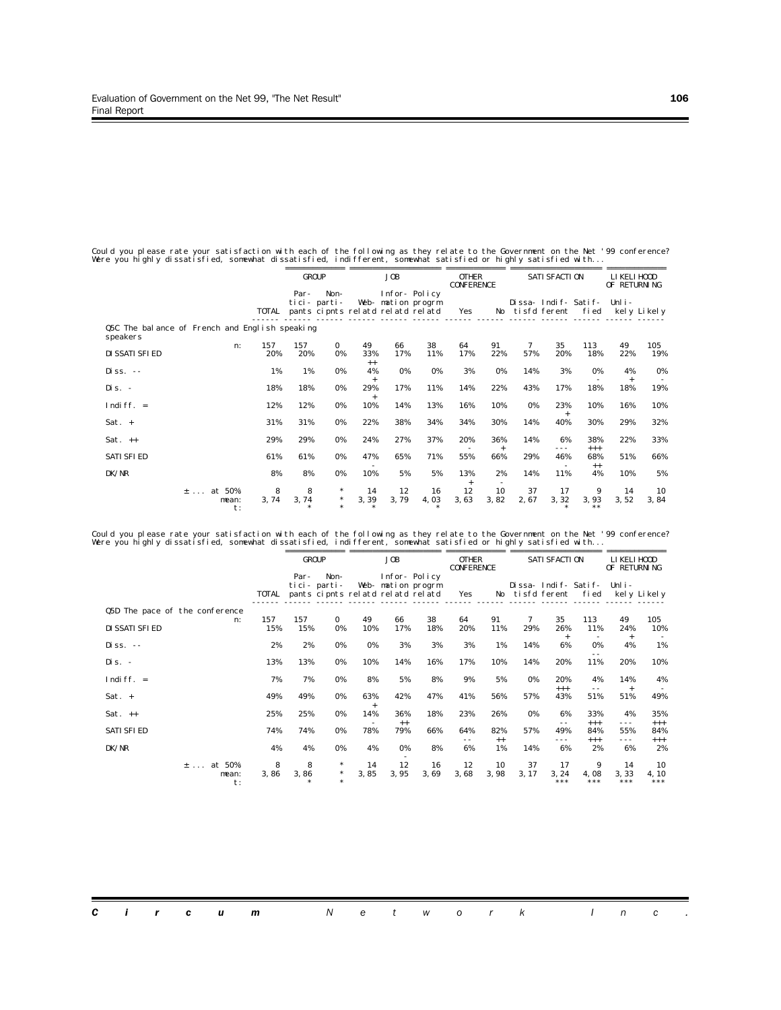|  |  | Could you please rate your satisfaction with each of the following as they relate to the Government on the Net '99 conference? |  |  |  |  |  |  |
|--|--|--------------------------------------------------------------------------------------------------------------------------------|--|--|--|--|--|--|
|  |  | Were you highly dissatisfied, somewhat dissatisfied, indifferent, somewhat satisfied or highly satisfied with                  |  |  |  |  |  |  |

|                                                            |                                 |            |                     | <b>GROUP</b>               |                         | <b>JOB</b> |                                                                         | <b>OTHER</b><br><b>CONFERENCE</b> |                  |                 | <b>SATI SFACTI ON</b> |                  | LI KELI HOOD<br>OF RETURNING |               |
|------------------------------------------------------------|---------------------------------|------------|---------------------|----------------------------|-------------------------|------------|-------------------------------------------------------------------------|-----------------------------------|------------------|-----------------|-----------------------|------------------|------------------------------|---------------|
|                                                            |                                 | TOTAL      | Par-                | Non-<br>tici-parti-        |                         |            | Infor-Policy<br>Web- mation progrm<br>pants cipnts relatd relatd relatd | Yes                               |                  | No tisfd ferent | Dissa-Indif-Satif-    | fied             | Unli $-$                     | kel y Likel y |
| Q5C The balance of French and English speaking<br>speakers |                                 |            |                     |                            |                         |            |                                                                         |                                   |                  |                 |                       |                  |                              |               |
| DI SSATI SFI ED                                            | n:                              | 157<br>20% | 157<br>20%          | $\mathbf{0}$<br>0%         | 49<br>33%<br>$^{++}$    | 66<br>17%  | 38<br>11%                                                               | 64<br>17%                         | 91<br>22%        | 7<br>57%        | 35<br>20%             | 113<br>18%       | 49<br>22%                    | 105<br>19%    |
| $DisS. - -$                                                |                                 | 1%         | 1%                  | <b>0%</b>                  | 4%                      | 0%         | 0%                                                                      | 3%                                | 0%               | 14%             | 3%                    | 0%               | 4%                           | 0%            |
| $Dis. -$                                                   |                                 | 18%        | 18%                 | 0%                         | $\ddot{}$<br>29%<br>$+$ | 17%        | 11%                                                                     | 14%                               | 22%              | 43%             | 17%                   | 18%              | $+$<br>18%                   | 19%           |
| Indiff. $=$                                                |                                 | 12%        | 12%                 | 0%                         | 10%                     | 14%        | 13%                                                                     | 16%                               | 10%              | 0%              | 23%                   | 10%              | 16%                          | 10%           |
| Sat. $+$                                                   |                                 | 31%        | 31%                 | 0%                         | 22%                     | 38%        | 34%                                                                     | 34%                               | 30%              | 14%             | $^{+}$<br>40%         | 30%              | 29%                          | 32%           |
| Sat. $++$                                                  |                                 | 29%        | 29%                 | 0%                         | 24%                     | 27%        | 37%                                                                     | 20%                               | 36%              | 14%             | 6%                    | 38%              | 22%                          | 33%           |
| <b>SATI SFIED</b>                                          |                                 | 61%        | 61%                 | 0%                         | 47%                     | 65%        | 71%                                                                     | 55%                               | $\ddot{}$<br>66% | 29%             | - - -<br>46%          | $^{+++}$<br>68%  | 51%                          | 66%           |
| DK/NR                                                      |                                 | 8%         | 8%                  | 0%                         | 10%                     | 5%         | 5%                                                                      | 13%                               | 2%               | 14%             | 11%                   | $^{++}$<br>4%    | 10%                          | 5%            |
|                                                            | $\pm$ at 50%:<br>mean:<br>$t$ : | 8<br>3, 74 | 8<br>3,74<br>$\ast$ | $\ast$<br>$\ast$<br>$\ast$ | 14<br>3, 39<br>$\star$  | 12<br>3,79 | 16<br>4,03                                                              | $\ddot{}$<br>12<br>3,63           | ٠<br>10<br>3,82  | 37<br>2,67      | 17<br>3, 32<br>$\ast$ | 9<br>3, 93<br>** | 14<br>3, 52                  | 10<br>3, 84   |

|                                |              |        | <b>GROUP</b> |           | <b>JOB</b> |                                   | <b>OTHER</b>      |         |       | <b>SATI SFACTI ON</b> |          | LI KELI HOOD |             |
|--------------------------------|--------------|--------|--------------|-----------|------------|-----------------------------------|-------------------|---------|-------|-----------------------|----------|--------------|-------------|
|                                |              |        |              |           |            |                                   | <b>CONFERENCE</b> |         |       |                       |          | OF RETURNING |             |
|                                |              | Par-   | Non-         |           |            | Infor-Policy                      |                   |         |       |                       |          |              |             |
|                                |              |        | tici-parti-  |           |            | Web- mation progrm                |                   |         |       | Dissa-Indif-Satif-    |          | Unli-        |             |
|                                | <b>TOTAL</b> |        |              |           |            | pants cipnts relatd relatd relatd | Yes               |         |       | No tisfd ferent       | fi ed    |              | kely Likely |
|                                |              |        |              |           |            |                                   |                   |         |       |                       |          |              |             |
| Q5D The pace of the conference |              |        |              |           |            |                                   |                   |         |       |                       |          |              |             |
| n:                             | 157          | 157    | $\bf{0}$     | 49        | 66         | 38                                | 64                | 91      | 7     | 35                    | 113      | 49           | 105         |
| DI SSATI SFI ED                | 15%          | 15%    | 0%           | 10%       | 17%        | 18%                               | 20%               | 11%     | 29%   | 26%                   | 11%      | 24%          | 10%         |
|                                |              |        |              |           |            |                                   |                   |         |       | $^{+}$                |          | $+$          |             |
| $DisS. - -$                    | 2%           | 2%     | 0%           | 0%        | 3%         | 3%                                | 3%                | 1%      | 14%   | 6%                    | 0%       | 4%           | 1%          |
|                                |              |        |              |           |            |                                   |                   |         |       |                       | $ -$     |              |             |
| $Dis. -$                       | 13%          | 13%    | 0%           | 10%       | 14%        | 16%                               | 17%               | 10%     | 14%   | 20%                   | 11%      | 20%          | 10%         |
| Indiff. $=$                    | 7%           | 7%     | 0%           | 8%        | 5%         | 8%                                | 9%                | 5%      | 0%    | 20%                   | 4%       | 14%          | 4%          |
|                                |              |        |              |           |            |                                   |                   |         |       | $^{+++}$              | $ -$     | $+$          |             |
| Sat. $+$                       | 49%          | 49%    | 0%           | 63%       | 42%        | 47%                               | 41%               | 56%     | 57%   | 43%                   | 51%      | 51%          | 49%         |
|                                |              |        |              | $\ddot{}$ |            |                                   |                   |         |       |                       |          |              |             |
| Sat. $++$                      | 25%          | 25%    | 0%           | 14%       | 36%        | 18%                               | 23%               | 26%     | 0%    | 6%                    | 33%      | 4%           | 35%         |
|                                |              |        |              |           | $^{++}$    |                                   |                   |         |       | $- -$                 | $^{+++}$ | $- - -$      | $^{+++}$    |
| <b>SATI SFIED</b>              | 74%          | 74%    | 0%           | 78%       | 79%        | 66%                               | 64%               | 82%     | 57%   | 49%                   | 84%      | 55%          | 84%         |
|                                |              |        |              |           |            |                                   | $ -$              | $^{++}$ |       | - - -                 | $^{+++}$ | $- - -$      | $^{+++}$    |
| DK/NR                          | 4%           | 4%     | 0%           | 4%        | 0%         | 8%                                | 6%                | 1%      | 14%   | 6%                    | 2%       | 6%           | 2%          |
| $\pm$ at 50%:                  | 8            | 8      | *            | 14        | 12         | 16                                | 12                | 10      | 37    | 17                    | 9        | 14           | 10          |
| mean:                          | 3,86         | 3,86   | $\ast$       | 3,85      | 3,95       | 3,69                              | 3,68              | 3,98    | 3, 17 | 3, 24                 | 4,08     | 3, 33        | 4, 10       |
| $t$ :                          |              | $\ast$ | $\ast$       |           |            |                                   |                   |         |       | ***                   | ***      | ***          | ***         |

|  |  | <b>Circum</b> Network Inc. |  |  |  |  |  |  |
|--|--|----------------------------|--|--|--|--|--|--|
|  |  |                            |  |  |  |  |  |  |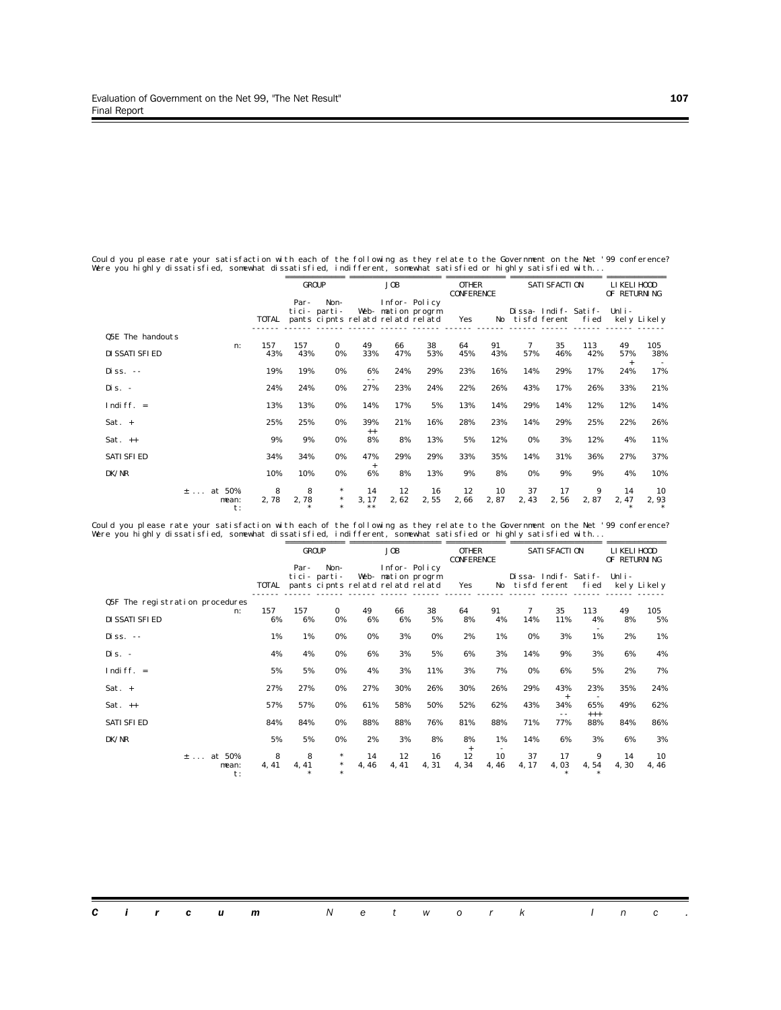Could you please rate your satisfaction with each of the following as they relate to the Government on the Net '99 conference?<br>Were you highly dissatisfied, somewhat dissatisfied, indifferent, somewhat satisfied or highly

|                   |                                 |            |                     | <b>GROUP</b>          |                   | <b>JOB</b> |                                                                             | <b>OTHER</b>      |            |             | <b>SATI SFACTI ON</b> |                      | LI KELI HOOD<br>OF RETURNING |               |
|-------------------|---------------------------------|------------|---------------------|-----------------------|-------------------|------------|-----------------------------------------------------------------------------|-------------------|------------|-------------|-----------------------|----------------------|------------------------------|---------------|
|                   |                                 | TOTAL      | Par-                | Non-<br>tici-parti-   |                   |            | Infor-Policy<br>Web- mation progrm<br>pants cipnts relatd relatd relatd Yes | <b>CONFERENCE</b> |            |             | Dissa-Indif-Satif-    | No tisfd ferent fied | Unli $-$                     | kel y Likel y |
| Q5E The handouts  |                                 |            |                     |                       |                   |            |                                                                             |                   |            |             |                       |                      |                              |               |
| DI SSATI SFI ED   | n:                              | 157<br>43% | 157<br>43%          | $\bf{0}$<br>0%        | 49<br>33%         | 66<br>47%  | 38<br>53%                                                                   | 64<br>45%         | 91<br>43%  | 7<br>57%    | 35<br>46%             | 113<br>42%           | 49<br>57%                    | 105<br>38%    |
| $DisS. - -$       |                                 | 19%        | 19%                 | 0%                    | 6%                | 24%        | 29%                                                                         | 23%               | 16%        | 14%         | 29%                   | 17%                  | $\ddot{}$<br>24%             | 17%           |
| $Dis. -$          |                                 | 24%        | 24%                 | 0%                    | $- -$<br>27%      | 23%        | 24%                                                                         | 22%               | 26%        | 43%         | 17%                   | 26%                  | 33%                          | 21%           |
| Indiff. $=$       |                                 | 13%        | 13%                 | 0%                    | 14%               | 17%        | 5%                                                                          | 13%               | 14%        | 29%         | 14%                   | 12%                  | 12%                          | 14%           |
| Sat. $+$          |                                 | 25%        | 25%                 | $0\%$                 | 39%               | 21%        | 16%                                                                         | 28%               | 23%        | 14%         | 29%                   | 25%                  | 22%                          | 26%           |
| Sat. $++$         |                                 | 9%         | 9%                  | 0%                    | $^{++}$<br>8%     | 8%         | 13%                                                                         | 5%                | 12%        | 0%          | 3%                    | 12%                  | 4%                           | 11%           |
| <b>SATI SFIED</b> |                                 | 34%        | 34%                 | 0%                    | 47%               | 29%        | 29%                                                                         | 33%               | 35%        | 14%         | 31%                   | 36%                  | 27%                          | 37%           |
| DK/NR             |                                 | 10%        | 10%                 | 0%                    | $+$<br>6%         | 8%         | 13%                                                                         | 9%                | 8%         | 0%          | 9%                    | 9%                   | 4%                           | 10%           |
|                   | $\pm$ at 50%:<br>mean:<br>$t$ : | 8<br>2,78  | 8<br>2,78<br>$\ast$ | $\ast$<br>$\ast$<br>× | 14<br>3, 17<br>** | 12<br>2,62 | 16<br>2,55                                                                  | 12<br>2,66        | 10<br>2,87 | 37<br>2, 43 | 17<br>2,56            | 9<br>2,87            | 14<br>2, 47                  | 10<br>2,93    |

|                                    |            | <b>GROUP</b> |                       |            | <b>JOB</b>  |                                                                         | <b>OTHER</b><br><b>CONFERENCE</b> |            |             | SATI SFACTI ON                        |                  | LI KELI HOOD<br>OF RETURNING |               |
|------------------------------------|------------|--------------|-----------------------|------------|-------------|-------------------------------------------------------------------------|-----------------------------------|------------|-------------|---------------------------------------|------------------|------------------------------|---------------|
|                                    | TOTAL      | Par-         | Non-<br>tici-parti-   |            |             | Infor-Policy<br>Web- mation progrm<br>pants cipnts relatd relatd relatd | Yes                               |            |             | Dissa-Indif-Satif-<br>No tisfd ferent | fied             | Unli-                        | kel y Likel y |
| Q5F The registration procedures    |            |              |                       |            |             |                                                                         |                                   |            |             |                                       |                  |                              |               |
| n:<br>DI SSATI SFI ED              | 157<br>6%  | 157<br>6%    | $\bf{0}$<br>0%        | 49<br>6%   | 66<br>6%    | 38<br>5%                                                                | 64<br>8%                          | 91<br>4%   | 7<br>14%    | 35<br>11%                             | 113<br>4%        | 49<br>8%                     | 105<br>5%     |
| $DisS. - -$                        | 1%         | 1%           | 0%                    | 0%         | 3%          | 0%                                                                      | 2%                                | 1%         | 0%          | 3%                                    | 1%               | 2%                           | 1%            |
| $Dis. -$                           | 4%         | 4%           | 0%                    | 6%         | 3%          | 5%                                                                      | 6%                                | 3%         | 14%         | 9%                                    | 3%               | 6%                           | 4%            |
| Indiff. $=$                        | 5%         | 5%           | 0%                    | 4%         | 3%          | 11%                                                                     | 3%                                | 7%         | 0%          | 6%                                    | 5%               | 2%                           | 7%            |
| Sat. $+$                           | 27%        | 27%          | 0%                    | 27%        | 30%         | 26%                                                                     | 30%                               | 26%        | 29%         | 43%<br>$\ddot{}$                      | 23%              | 35%                          | 24%           |
| Sat. $++$                          | 57%        | 57%          | 0%                    | 61%        | 58%         | 50%                                                                     | 52%                               | 62%        | 43%         | 34%                                   | 65%              | 49%                          | 62%           |
| <b>SATI SFI ED</b>                 | 84%        | 84%          | 0%                    | 88%        | 88%         | 76%                                                                     | 81%                               | 88%        | 71%         | $- -$<br>77%                          | $^{+++}$<br>88%  | 84%                          | 86%           |
| DK/NR                              | 5%         | 5%           | 0%                    | 2%         | 3%          | 8%                                                                      | 8%                                | 1%         | 14%         | 6%                                    | 3%               | 6%                           | 3%            |
| at 50%:<br>$\pm$<br>mean:<br>$t$ : | 8<br>4, 41 | 8<br>4, 41   | $\ast$<br>$\ast$<br>× | 14<br>4,46 | 12<br>4, 41 | 16<br>4,31                                                              | $\ddot{}$<br>12<br>4,34           | 10<br>4,46 | 37<br>4, 17 | 17<br>4, 03                           | 9<br>4,54<br>$*$ | 14<br>4,30                   | 10<br>4, 46   |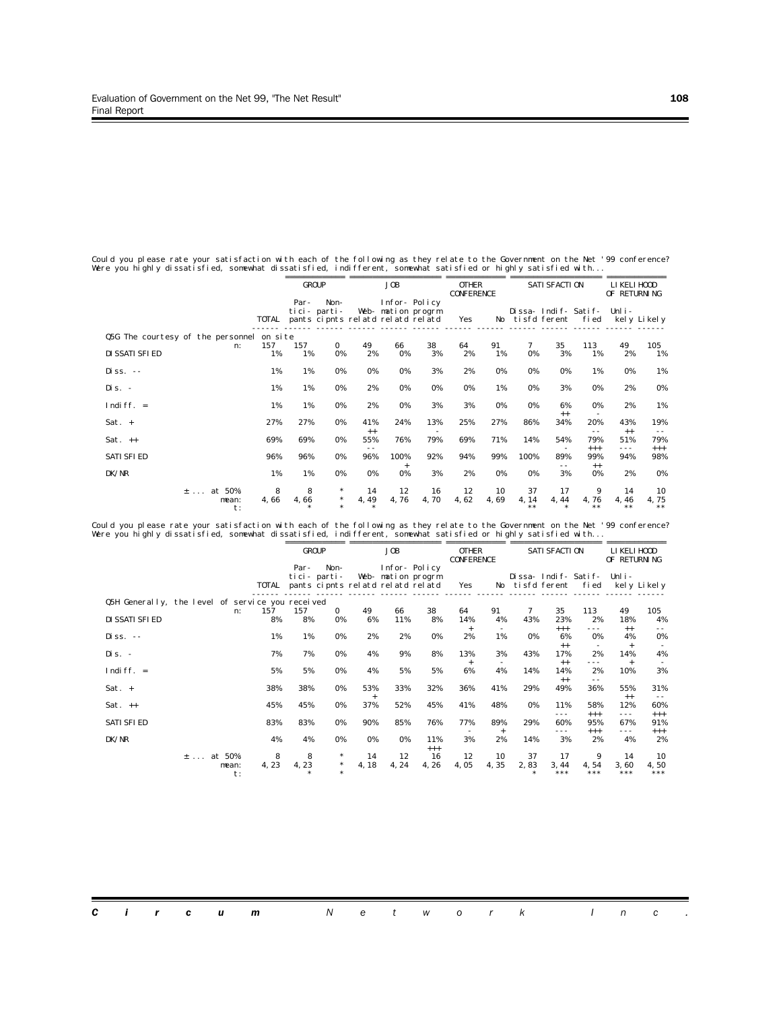|  |  | Could you please rate your satisfaction with each of the following as they relate to the Government on the Net '99 conference? |  |  |  |  |  |  |  |
|--|--|--------------------------------------------------------------------------------------------------------------------------------|--|--|--|--|--|--|--|
|  |  | Were you highly dissatisfied, somewhat dissatisfied, indifferent, somewhat satisfied or highly satisfied with                  |  |  |  |  |  |  |  |

|                                           |              |           | <b>GROUP</b> |                     |                | <b>JOB</b>   |                                                                                   | <b>OTHER</b><br><b>CONFERENCE</b> |            |             | <b>SATI SFACTI ON</b> |                      | <b>LIKELIHOOD</b><br>OF RETURNING |                 |
|-------------------------------------------|--------------|-----------|--------------|---------------------|----------------|--------------|-----------------------------------------------------------------------------------|-----------------------------------|------------|-------------|-----------------------|----------------------|-----------------------------------|-----------------|
|                                           |              |           | Par-         | Non-<br>tici-parti- |                |              | Infor-Policy<br>Web- mation progrm<br>TOTAL pants cipnts relatd relatd relatd Yes |                                   |            |             | Dissa-Indif-Satif-    | No tisfd ferent fied | Unli-                             | kel y Likel y   |
| Q5G The courtesy of the personnel on site |              |           |              |                     |                |              |                                                                                   |                                   |            |             |                       |                      |                                   |                 |
| DI SSATI SFI ED                           | n:           | 157<br>1% | 157<br>1%    | $\bf{0}$<br>0%      | 49<br>2%       | 66<br>0%     | 38<br>3%                                                                          | 64<br>2%                          | 91<br>1%   | 7<br>0%     | 35<br>3%              | 113<br>1%            | 49<br>2%                          | 105<br>1%       |
| $DisS. -$                                 |              | 1%        | 1%           | 0%                  | 0%             | 0%           | 3%                                                                                | 2%                                | 0%         | 0%          | 0%                    | 1%                   | 0%                                | 1%              |
| $Dis. -$                                  |              | 1%        | 1%           | 0%                  | 2%             | 0%           | 0%                                                                                | 0%                                | 1%         | 0%          | 3%                    | 0%                   | 2%                                | 0%              |
| Indiff. $=$                               |              | 1%        | 1%           | 0%                  | 2%             | 0%           | 3%                                                                                | 3%                                | 0%         | 0%          | 6%<br>$^{++}$         | 0%                   | 2%                                | 1%              |
| Sat. $+$                                  |              | 27%       | 27%          | 0%                  | 41%<br>$^{++}$ | 24%          | 13%<br>$\overline{\phantom{a}}$                                                   | 25%                               | 27%        | 86%         | 34%                   | 20%                  | 43%<br>$^{++}$                    | 19%<br>$- -$    |
| Sat. $++$                                 |              | 69%       | 69%          | 0%                  | 55%            | 76%          | 79%                                                                               | 69%                               | 71%        | 14%         | 54%                   | 79%                  | 51%                               | 79%             |
| <b>SATI SFI ED</b>                        |              | 96%       | 96%          | 0%                  | $- -$<br>96%   | 100%         | 92%                                                                               | 94%                               | 99%        | 100%        | 89%                   | $+++$<br>99%         | ---<br>94%                        | $^{+++}$<br>98% |
| DK/NR                                     |              | 1%        | 1%           | 0%                  | 0%             | $^{+}$<br>0% | 3%                                                                                | 2%                                | 0%         | 0%          | 3%                    | $^{++}$<br>0%        | 2%                                | 0%              |
| $\pm$ at 50%:                             | mean:        | 8<br>4,66 | 8<br>4,66    | *<br>$\ast$         | 14<br>4, 49    | 12<br>4,76   | 16<br>4,70                                                                        | 12<br>4,62                        | 10<br>4,69 | 37<br>4, 14 | 17<br>4, 44           | 9<br>4,76            | 14<br>4, 46                       | 10<br>4,75      |
|                                           | $\mathbf{f}$ |           | $\ast$       | $\ast$              | $*$            |              |                                                                                   |                                   |            | **          | $*$                   | **                   | **                                | $* *$           |

Could you please rate your satisfaction with each of the following as they relate to the Government on the Net '99 conference?<br>Were you highly dissatisfied, somewhat dissatisfied, indifferent, somewhat satisfied or highly

|                                                  |       |                  |                    | <b>GROUP</b>        |                            |             | <b>JOB</b>  |                                                                         | <b>OTHER</b><br><b>CONFERENCE</b> |             |                 | SATI SFACTI ON            |                             | LI KELI HOOD<br>OF RETURNING |                   |
|--------------------------------------------------|-------|------------------|--------------------|---------------------|----------------------------|-------------|-------------|-------------------------------------------------------------------------|-----------------------------------|-------------|-----------------|---------------------------|-----------------------------|------------------------------|-------------------|
|                                                  |       |                  | <b>TOTAL</b>       | Par-                | Non-<br>tici-parti-        |             |             | Infor-Policy<br>Web- mation progrm<br>pants cipnts relatd relatd relatd | Yes                               |             | No tisfd ferent |                           | Dissa-Indif-Satif-<br>fi ed | Unli-                        | kel y Likel y     |
| Q5H Generally, the level of service you received |       |                  |                    |                     |                            |             |             |                                                                         |                                   |             |                 |                           |                             |                              |                   |
| DI SSATI SFI ED                                  |       |                  | 157<br>n:<br>8%    | 157<br>8%           | $\Omega$<br>0%             | 49<br>6%    | 66<br>11%   | 38<br>8%                                                                | 64<br>14%                         | 91<br>4%    | 7<br>43%        | 35<br>23%                 | 113<br>2%                   | 49<br>18%                    | 105<br>4%         |
| $DisS. - -$                                      |       |                  | 1%                 | 1%                  | 0%                         | 2%          | 2%          | 0%                                                                      | $\ddot{}$<br>2%                   | 1%          | 0%              | $^{+++}$<br>6%<br>$^{++}$ | $- - -$<br>0%<br>$\sim$     | $^{++}$<br>4%                | $ -$<br>0%        |
| $Dis. -$                                         |       |                  | 7%                 | 7%                  | 0%                         | 4%          | 9%          | 8%                                                                      | 13%                               | 3%          | 43%             | 17%                       | 2%                          | $+$<br>14%                   | 4%                |
| Indiff. $=$                                      |       |                  | 5%                 | 5%                  | 0%                         | 4%          | 5%          | 5%                                                                      | $\ddot{}$<br>6%                   | ٠<br>4%     | 14%             | $^{++}$<br>14%<br>$^{++}$ | - - -<br>2%<br>$ -$         | $+$<br>10%                   | 3%                |
| Sat. $+$                                         |       |                  | 38%                | 38%                 | 0%                         | 53%         | 33%         | 32%                                                                     | 36%                               | 41%         | 29%             | 49%                       | 36%                         | 55%                          | 31%               |
| Sat. $++$                                        |       |                  | 45%                | 45%                 | 0%                         | $+$<br>37%  | 52%         | 45%                                                                     | 41%                               | 48%         | 0%              | 11%                       | 58%                         | $^{++}$<br>12%               | $- -$<br>60%      |
| <b>SATI SFI ED</b>                               |       |                  | 83%                | 83%                 | 0%                         | 90%         | 85%         | 76%                                                                     | 77%                               | 89%         | 29%             | ---<br>60%                | $^{+++}$<br>95%             | $- - -$<br>67%               | $^{+++}$<br>91%   |
| DK/NR                                            |       |                  | 4%                 | 4%                  | 0%                         | 0%          | 0%          | 11%<br>$^{+++}$                                                         | 3%                                | $+$<br>2%   | 14%             | - - -<br>3%               | $^{+++}$<br>2%              | ---<br>4%                    | $^{+++}$<br>2%    |
|                                                  | $\pm$ | at 50%:<br>mean: | 8<br>4,23<br>$t$ : | 8<br>4,23<br>$\ast$ | $\ast$<br>$\ast$<br>$\ast$ | 14<br>4, 18 | 12<br>4, 24 | 16<br>4, 26                                                             | 12<br>4,05                        | 10<br>4, 35 | 37<br>2,83      | 17<br>3,44<br>***         | 9<br>4,54<br>***            | 14<br>3,60<br>***            | 10<br>4,50<br>*** |

**Service Contract Contract Contract**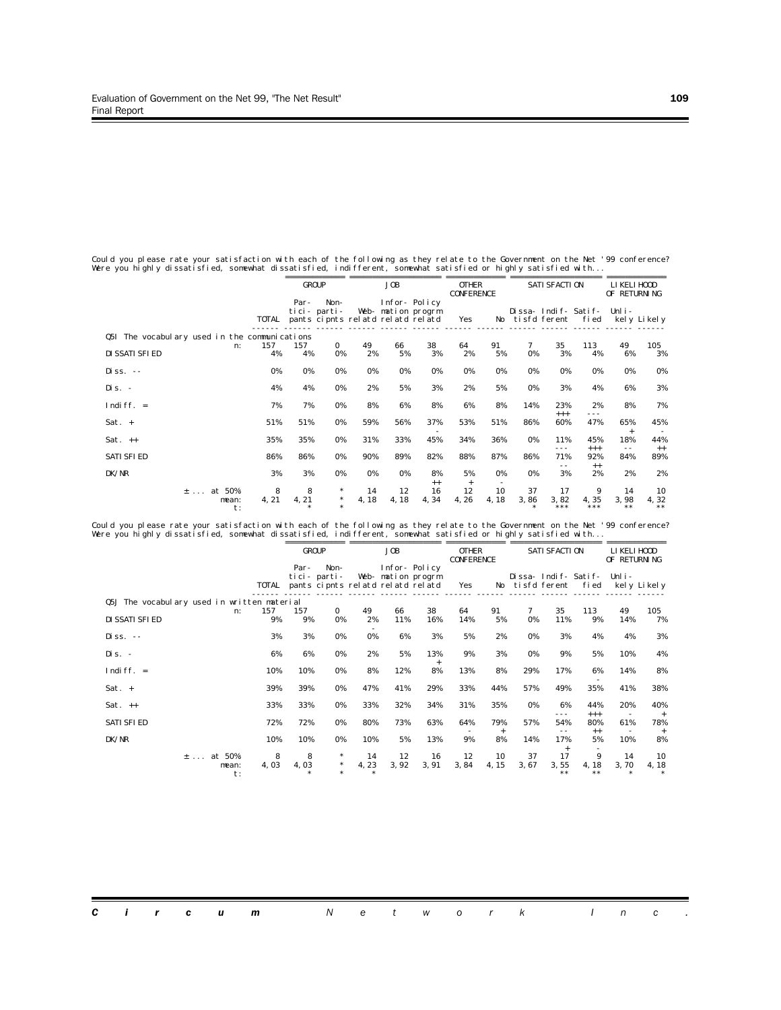|  |  | Could you please rate your satisfaction with each of the following as they relate to the Government on the Net '99 conference? |  |  |  |  |  |  |  |
|--|--|--------------------------------------------------------------------------------------------------------------------------------|--|--|--|--|--|--|--|
|  |  | Were you highly dissatisfied, somewhat dissatisfied, indifferent, somewhat satisfied or highly satisfied with                  |  |  |  |  |  |  |  |

|                                               |                      |                 | <b>GROUP</b>          |            | <b>JOB</b> |                                                                             | <b>OTHER</b><br><b>CONFERENCE</b> |            |            | <b>SATI SFACTI ON</b> |                      | <b>LI KELI HOOD</b><br>OF RETURNING |                |
|-----------------------------------------------|----------------------|-----------------|-----------------------|------------|------------|-----------------------------------------------------------------------------|-----------------------------------|------------|------------|-----------------------|----------------------|-------------------------------------|----------------|
|                                               | <b>TOTAL</b>         | Par-            | Non-<br>tici-parti-   |            |            | Infor-Policy<br>Web- mation progrm<br>pants cipnts relatd relatd relatd Yes |                                   |            |            | Dissa-Indif-Satif-    | No tisfd ferent fied | Unli $-$                            | kel y Likel y  |
| Q5I The vocabulary used in the communications |                      |                 |                       |            |            |                                                                             |                                   |            |            |                       |                      |                                     |                |
| DI SSATI SFI ED                               | 157<br>n:            | 157<br>4%<br>4% | $\bf{0}$<br><b>0%</b> | 49<br>2%   | 66<br>5%   | 38<br>3%                                                                    | 64<br>2%                          | 91<br>5%   | 7<br>0%    | 35<br>3%              | 113<br>4%            | 49<br>6%                            | 105<br>3%      |
| $DisS. -$                                     |                      | 0%<br>0%        | 0%                    | 0%         | 0%         | 0%                                                                          | 0%                                | <b>0%</b>  | 0%         | 0%                    | 0%                   | 0%                                  | 0%             |
| $Dis. -$                                      |                      | 4%<br>4%        | 0%                    | 2%         | 5%         | 3%                                                                          | 2%                                | 5%         | 0%         | 3%                    | 4%                   | 6%                                  | 3%             |
| Indiff. $=$                                   |                      | 7%<br>7%        | 0%                    | 8%         | 6%         | 8%                                                                          | 6%                                | 8%         | 14%        | 23%<br>$^{+++}$       | 2%<br>$- - -$        | 8%                                  | 7%             |
| Sat. $+$                                      |                      | 51%<br>51%      | 0%                    | 59%        | 56%        | 37%                                                                         | 53%                               | 51%        | 86%        | 60%                   | 47%                  | 65%<br>$\ddot{}$                    | 45%            |
| Sat. $++$                                     |                      | 35%<br>35%      | 0%                    | 31%        | 33%        | 45%                                                                         | 34%                               | 36%        | 0%         | 11%                   | 45%                  | 18%                                 | 44%            |
| <b>SATI SFIED</b>                             |                      | 86%<br>86%      | 0%                    | 90%        | 89%        | 82%                                                                         | 88%                               | 87%        | 86%        | ---<br>71%            | $^{+++}$<br>92%      | $ -$<br>84%                         | $^{++}$<br>89% |
| DK/NR                                         |                      | 3%<br>3%        | 0%                    | 0%         | 0%         | 8%                                                                          | 5%                                | 0%         | 0%         | 3%                    | $^{++}$<br>2%        | 2%                                  | 2%             |
| $±$ at 50%:                                   | 4, 21<br>mean:       | 8<br>8<br>4, 21 | *<br>$\ast$           | 14<br>4,18 | 12<br>4,18 | $^{++}$<br>16<br>4,34                                                       | $+$<br>12<br>4,26                 | 10<br>4,18 | 37<br>3,86 | 17<br>3,82            | 9<br>4, 35           | 14<br>3,98                          | 10<br>4, 32    |
|                                               | $\ddot{\phantom{1}}$ | $\ast$          | *                     |            |            |                                                                             |                                   |            | *          | ***                   | ***                  | **                                  | $* *$          |

Could you please rate your satisfaction with each of the following as they relate to the Government on the Net '99 conference?<br>Were you highly dissatisfied, somewhat dissatisfied, indifferent, somewhat satisfied or highly

|                                             |                           |              | <b>GROUP</b> |                            |                       | <b>JOB</b>  |                                                                         | <b>OTHER</b><br><b>CONFERENCE</b> |             |                 | SATI SFACTI ON           |                             | LI KELI HOOD<br>OF RETURNING    |                  |
|---------------------------------------------|---------------------------|--------------|--------------|----------------------------|-----------------------|-------------|-------------------------------------------------------------------------|-----------------------------------|-------------|-----------------|--------------------------|-----------------------------|---------------------------------|------------------|
|                                             |                           | <b>TOTAL</b> | Par-         | Non-<br>tici-parti-        |                       |             | Infor-Policy<br>Web- mation progrm<br>pants cipnts relatd relatd relatd | Yes                               |             | No tisfd ferent |                          | Dissa-Indif-Satif-<br>fi ed | Unli-                           | kel y Likel y    |
| Q5J The vocabulary used in written material |                           |              |              |                            |                       |             |                                                                         |                                   |             |                 |                          |                             |                                 |                  |
| DI SSATI SFI ED                             | n:                        | 157<br>9%    | 157<br>9%    | $\mathbf{0}$<br>0%         | 49<br>2%              | 66<br>11%   | 38<br>16%                                                               | 64<br>14%                         | 91<br>5%    | 7<br>0%         | 35<br>11%                | 113<br>9%                   | 49<br>14%                       | 105<br>7%        |
| $DisS. - -$                                 |                           | 3%           | 3%           | 0%                         | 0%                    | 6%          | 3%                                                                      | 5%                                | 2%          | 0%              | 3%                       | 4%                          | 4%                              | 3%               |
| $Dis. -$                                    |                           | 6%           | 6%           | 0%                         | 2%                    | 5%          | 13%<br>$\ddot{}$                                                        | 9%                                | 3%          | 0%              | 9%                       | 5%                          | 10%                             | 4%               |
| Indiff. $=$                                 |                           | 10%          | 10%          | 0%                         | 8%                    | 12%         | 8%                                                                      | 13%                               | 8%          | 29%             | 17%                      | 6%                          | 14%                             | 8%               |
| Sat. $+$                                    |                           | 39%          | 39%          | 0%                         | 47%                   | 41%         | 29%                                                                     | 33%                               | 44%         | 57%             | 49%                      | 35%                         | 41%                             | 38%              |
| Sat. $++$                                   |                           | 33%          | 33%          | 0%                         | 33%                   | 32%         | 34%                                                                     | 31%                               | 35%         | 0%              | 6%                       | 44%                         | 20%                             | 40%              |
| <b>SATI SFIED</b>                           |                           | 72%          | 72%          | 0%                         | 80%                   | 73%         | 63%                                                                     | 64%                               | 79%         | 57%             | ---<br>54%               | $^{+++}$<br>80%             | $\overline{\phantom{a}}$<br>61% | $+$<br>78%       |
| DK/NR                                       |                           | 10%          | 10%          | 0%                         | 10%                   | 5%          | 13%                                                                     | 9%                                | $+$<br>8%   | 14%             | $ -$<br>17%<br>$\ddot{}$ | $^{++}$<br>5%               | 10%                             | $+$<br>8%        |
| $\pm$                                       | at 50%:<br>mean:<br>$t$ : | 8<br>4,03    | 8<br>4,03    | $\ast$<br>$\ast$<br>$\ast$ | 14<br>4, 23<br>$\ast$ | 12<br>3, 92 | 16<br>3, 91                                                             | 12<br>3,84                        | 10<br>4, 15 | 37<br>3, 67     | 17<br>3, 55<br>**        | 9<br>4,18<br>**             | 14<br>3,70<br>$*$               | 10<br>4, 18<br>* |

and the control of the control of the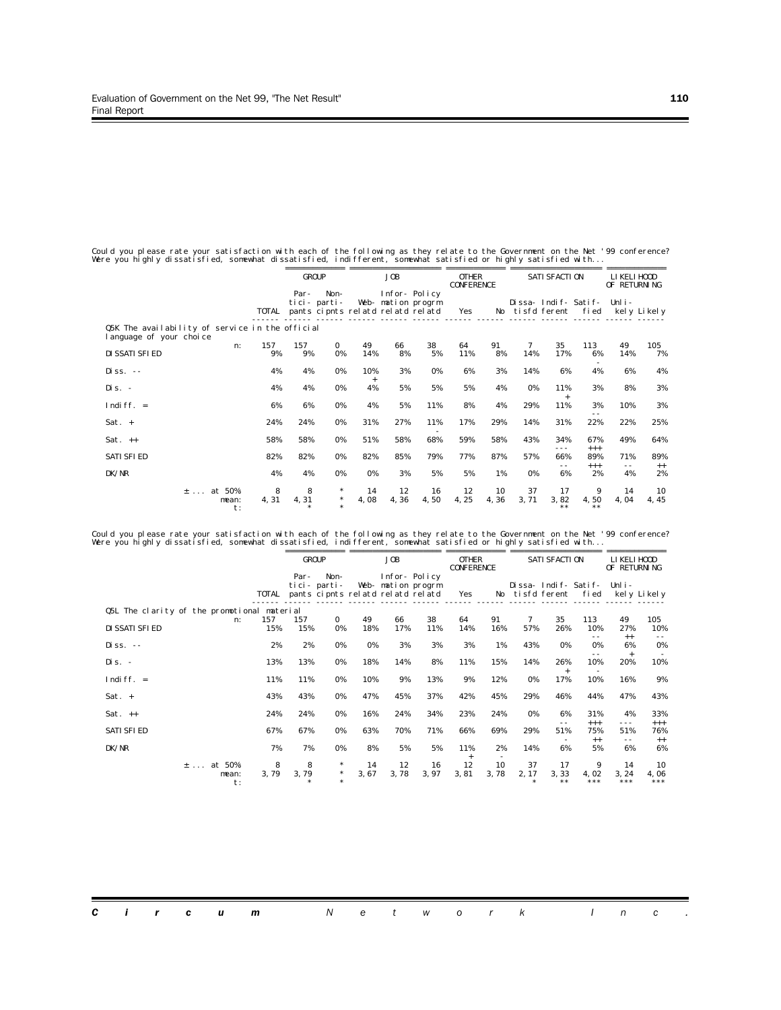|  |  | Could you please rate your satisfaction with each of the following as they relate to the Government on the Net '99 conference? |  |  |  |  |  |  |
|--|--|--------------------------------------------------------------------------------------------------------------------------------|--|--|--|--|--|--|
|  |  | Were you highly dissatisfied, somewhat dissatisfied, indifferent, somewhat satisfied or highly satisfied with                  |  |  |  |  |  |  |

|                                                                            |                |              | <b>GROUP</b><br>Non-<br>Par- |                   |              | <b>JOB</b> |                                                                         | <b>OTHER</b><br><b>CONFERENCE</b> |            |             | <b>SATI SFACTI ON</b> |                      | LI KELI HOOD<br>OF RETURNING |               |
|----------------------------------------------------------------------------|----------------|--------------|------------------------------|-------------------|--------------|------------|-------------------------------------------------------------------------|-----------------------------------|------------|-------------|-----------------------|----------------------|------------------------------|---------------|
|                                                                            |                | <b>TOTAL</b> |                              | tici-parti-       |              |            | Infor-Policy<br>Web- mation progrm<br>pants cipnts relatd relatd relatd | Yes                               |            |             | Dissa-Indif-Satif-    | No tisfd ferent fied | Unli $-$                     | kel y Likel y |
| Q5K The availability of service in the official<br>language of your choice |                |              |                              |                   |              |            |                                                                         |                                   |            |             |                       |                      |                              |               |
| DI SSATI SFI ED                                                            | n:             | 157<br>9%    | 157<br>9%                    | $\bf{0}$<br>0%    | 49<br>14%    | 66<br>8%   | 38<br>5%                                                                | 64<br>11%                         | 91<br>8%   | 7<br>14%    | 35<br>17%             | 113<br>6%            | 49<br>14%                    | 105<br>7%     |
| $DisS. - -$                                                                |                | 4%           | 4%                           | 0%                | 10%          | 3%         | 0%                                                                      | 6%                                | 3%         | 14%         | 6%                    | 4%                   | 6%                           | 4%            |
| $Dis. -$                                                                   |                | 4%           | 4%                           | 0%                | $^{+}$<br>4% | 5%         | 5%                                                                      | 5%                                | 4%         | 0%          | 11%                   | 3%                   | 8%                           | 3%            |
| Indiff. $=$                                                                |                | 6%           | 6%                           | 0%                | 4%           | 5%         | 11%                                                                     | 8%                                | 4%         | 29%         | $\ddot{}$<br>11%      | 3%                   | 10%                          | 3%            |
| Sat. $+$                                                                   |                | 24%          | 24%                          | 0%                | 31%          | 27%        | 11%                                                                     | 17%                               | 29%        | 14%         | 31%                   | 22%                  | 22%                          | 25%           |
| Sat. $++$                                                                  |                | 58%          | 58%                          | 0%                | 51%          | 58%        | 68%                                                                     | 59%                               | 58%        | 43%         | 34%<br>$- - -$        | 67%<br>$^{+++}$      | 49%                          | 64%           |
| <b>SATI SFIED</b>                                                          |                | 82%          | 82%                          | 0%                | 82%          | 85%        | 79%                                                                     | 77%                               | 87%        | 57%         | 66%                   | 89%                  | 71%                          | 89%           |
| DK/NR                                                                      |                | 4%           | 4%                           | 0%                | 0%           | 3%         | 5%                                                                      | 5%                                | 1%         | 0%          | $ -$<br>6%            | $^{+++}$<br>2%       | $ -$<br>4%                   | $^{++}$<br>2% |
| $\pm$ at 50%:                                                              | mean:<br>$t$ : | 8<br>4,31    | 8<br>4, 31<br>$\ast$         | $\ast$<br>*<br>×. | 14<br>4,08   | 12<br>4,36 | 16<br>4,50                                                              | 12<br>4,25                        | 10<br>4,36 | 37<br>3, 71 | 17<br>3, 82<br>**     | 9<br>4,50<br>**      | 14<br>4,04                   | 10<br>4, 45   |

|                                             |                                 |            |                     | <b>GROUP</b>          |            | <b>JOB</b> |                                    | <b>OTHER</b><br><b>CONFERENCE</b> |            |             | <b>SATI SFACTI ON</b> |                             | LI KELI HOOD<br>OF RETURNING |                   |
|---------------------------------------------|---------------------------------|------------|---------------------|-----------------------|------------|------------|------------------------------------|-----------------------------------|------------|-------------|-----------------------|-----------------------------|------------------------------|-------------------|
|                                             |                                 |            | Par-                | Non-<br>tici-parti-   |            |            | Infor-Policy<br>Web- mation progrm |                                   |            |             | Dissa-Indif-Satif-    |                             | Unli-                        |                   |
|                                             |                                 | TOTAL      |                     |                       |            |            | pants cipnts relatd relatd relatd  | Yes                               |            |             | No tisfd ferent       | fi ed                       |                              | kely Likely       |
| Q5L The clarity of the promotional material |                                 |            |                     |                       |            |            |                                    |                                   |            |             |                       |                             |                              |                   |
| DI SSATI SFI ED                             | n:                              | 157<br>15% | 157<br>15%          | $\bf{0}$<br>0%        | 49<br>18%  | 66<br>17%  | 38<br>11%                          | 64<br>14%                         | 91<br>16%  | 7<br>57%    | 35<br>26%             | 113<br>10%<br>$\sim$ $\sim$ | 49<br>27%<br>$^{++}$         | 105<br>10%<br>- - |
| $DisS. - -$                                 |                                 | 2%         | 2%                  | 0%                    | 0%         | 3%         | 3%                                 | 3%                                | 1%         | 43%         | 0%                    | 0%<br>$ -$                  | 6%<br>$+$                    | 0%                |
| $Dis. -$                                    |                                 | 13%        | 13%                 | 0%                    | 18%        | 14%        | 8%                                 | 11%                               | 15%        | 14%         | 26%<br>$\ddot{}$      | 10%<br>$\sim$               | 20%                          | 10%               |
| Indiff. $=$                                 |                                 | 11%        | 11%                 | 0%                    | 10%        | 9%         | 13%                                | 9%                                | 12%        | 0%          | 17%                   | 10%                         | 16%                          | 9%                |
| Sat. $+$                                    |                                 | 43%        | 43%                 | 0%                    | 47%        | 45%        | 37%                                | 42%                               | 45%        | 29%         | 46%                   | 44%                         | 47%                          | 43%               |
| Sat. $++$                                   |                                 | 24%        | 24%                 | 0%                    | 16%        | 24%        | 34%                                | 23%                               | 24%        | 0%          | 6%<br>$- -$           | 31%<br>$^{+++}$             | 4%<br>$- - -$                | 33%<br>$^{+++}$   |
| <b>SATI SFI ED</b>                          |                                 | 67%        | 67%                 | 0%                    | 63%        | 70%        | 71%                                | 66%                               | 69%        | 29%         | 51%                   | 75%                         | 51%                          | 76%               |
| DK/NR                                       |                                 | 7%         | 7%                  | 0%                    | 8%         | 5%         | 5%                                 | 11%<br>$\ddot{}$                  | 2%         | 14%         | 6%                    | $^{++}$<br>5%               | $ -$<br>6%                   | $^{++}$<br>6%     |
|                                             | $\pm$ at 50%:<br>mean:<br>$t$ : | 8<br>3,79  | 8<br>3,79<br>$\ast$ | $\ast$<br>$\ast$<br>* | 14<br>3,67 | 12<br>3,78 | 16<br>3,97                         | 12<br>3,81                        | 10<br>3,78 | 37<br>2, 17 | 17<br>3, 33<br>**     | 9<br>4,02<br>***            | 14<br>3, 24<br>***           | 10<br>4,06<br>*** |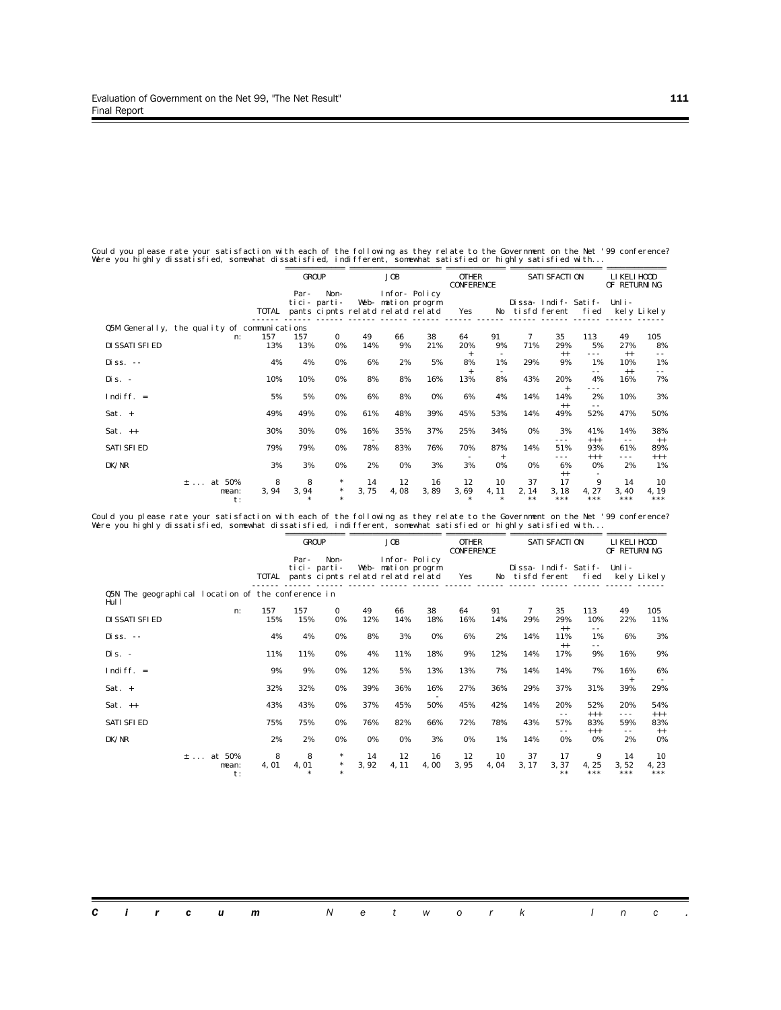| Could you please rate your satisfaction with each of the following as they relate to the Government on the Net '99 conference? |  |  |  |  |
|--------------------------------------------------------------------------------------------------------------------------------|--|--|--|--|
| Were you highly dissatisfied, somewhat dissatisfied, indifferent, somewhat satisfied or highly satisfied with                  |  |  |  |  |

|                                              |               |              |       | <b>GROUP</b> |       | <b>JOB</b> |                                   | <b>OTHER</b>      |           |                 | <b>SATI SFACTI ON</b> |          | LI KELI HOOD |               |
|----------------------------------------------|---------------|--------------|-------|--------------|-------|------------|-----------------------------------|-------------------|-----------|-----------------|-----------------------|----------|--------------|---------------|
|                                              |               |              |       |              |       |            |                                   | <b>CONFERENCE</b> |           |                 |                       |          | OF RETURNING |               |
|                                              |               |              | Par-  | Non-         |       |            | Infor-Policy                      |                   |           |                 |                       |          |              |               |
|                                              |               |              |       | tici-parti-  |       |            | Web- mation progrm                | Yes               |           |                 | Dissa-Indif-Satif-    |          | Unli-        |               |
|                                              |               | <b>TOTAL</b> |       |              |       |            | pants cipnts relatd relatd relatd |                   |           | No tisfd ferent |                       | fi ed    |              | kel y Likel y |
| Q5M Generally, the quality of communications |               |              |       |              |       |            |                                   |                   |           |                 |                       |          |              |               |
|                                              | n:            | 157          | 157   | $\bf{0}$     | 49    | 66         | 38                                | 64                | 91        | 7               | 35                    | 113      | 49           | 105           |
| DI SSATI SFI ED                              |               | 13%          | 13%   | 0%           | 14%   | 9%         | 21%                               | 20%               | 9%        | 71%             | 29%                   | 5%       | 27%          | 8%            |
|                                              |               |              |       |              |       |            |                                   | $\ddot{}$         |           |                 | $^{++}$               | - - -    | $^{++}$      | - -           |
| $DisS. - -$                                  |               | 4%           | 4%    | 0%           | 6%    | 2%         | 5%                                | 8%                | ٠<br>1%   | 29%             | 9%                    | 1%       | 10%          | 1%            |
|                                              |               |              |       |              |       |            |                                   | $\ddot{}$         | ٠         |                 |                       | $ -$     | $^{++}$      | $ -$          |
| $Dis. -$                                     |               | 10%          | 10%   | 0%           | 8%    | 8%         | 16%                               | 13%               | 8%        | 43%             | 20%                   | 4%       | 16%          | 7%            |
|                                              |               |              |       |              |       |            |                                   |                   |           |                 | $\ddot{}$             | ---      |              |               |
| Indiff. $=$                                  |               | 5%           | 5%    | 0%           | 6%    | 8%         | 0%                                | 6%                | 4%        | 14%             | 14%                   | 2%       | 10%          | 3%            |
|                                              |               |              |       |              |       |            |                                   |                   |           |                 | $^{++}$               | $ -$     |              |               |
| Sat. $+$                                     |               | 49%          | 49%   | 0%           | 61%   | 48%        | 39%                               | 45%               | 53%       | 14%             | 49%                   | 52%      | 47%          | 50%           |
|                                              |               |              |       |              |       |            |                                   |                   |           |                 |                       |          |              |               |
| Sat. $++$                                    |               | 30%          | 30%   | 0%           | 16%   | 35%        | 37%                               | 25%               | 34%       | 0%              | 3%                    | 41%      | 14%          | 38%           |
|                                              |               |              |       |              |       |            |                                   |                   |           |                 | ---                   | $^{+++}$ | $ -$         | $^{++}$       |
| <b>SATI SFIED</b>                            |               | 79%          | 79%   | 0%           | 78%   | 83%        | 76%                               | 70%               | 87%       | 14%             | 51%                   | 93%      | 61%          | 89%           |
|                                              |               |              |       |              |       |            |                                   |                   | $\ddot{}$ |                 | ---                   | $^{+++}$ | ---          | $^{+++}$      |
| DK/NR                                        |               | 3%           | 3%    | 0%           | 2%    | 0%         | 3%                                | 3%                | 0%        | 0%              | 6%                    | 0%       | 2%           | 1%            |
|                                              |               |              |       |              |       |            |                                   |                   |           |                 | $^{++}$               |          |              |               |
|                                              | $\pm$ at 50%: | 8            | 8     | *            | 14    | 12         | 16                                | 12                | 10        | 37              | 17                    | 9        | 14           | 10            |
|                                              | mean:         | 3, 94        | 3, 94 | $\ast$       | 3, 75 | 4,08       | 3,89                              | 3,69              | 4, 11     | 2, 14           | 3, 18                 | 4, 27    | 3,40         | 4, 19         |
|                                              | $t$ :         |              | *     | $\ast$       |       |            |                                   | $*$               | $\ast$    | **              | ***                   | ***      | ***          | ***           |

|                                                             |                           |              | <b>GROUP</b>        |                            |             | <b>JOB</b>  |                                                                         | <b>OTHER</b><br><b>CONFERENCE</b> |            |                 | SATI SFACTI ON            |                             | LI KELI HOOD<br>OF RETURNING |                       |
|-------------------------------------------------------------|---------------------------|--------------|---------------------|----------------------------|-------------|-------------|-------------------------------------------------------------------------|-----------------------------------|------------|-----------------|---------------------------|-----------------------------|------------------------------|-----------------------|
|                                                             |                           | <b>TOTAL</b> | Par-                | Non-<br>tici-parti-        |             |             | Infor-Policy<br>Web- mation progrm<br>pants cipnts relatd relatd relatd | Yes                               |            | No tisfd ferent |                           | Dissa-Indif-Satif-<br>fi ed | Unli $-$                     | kel y Likel y         |
| Q5N The geographical location of the conference in<br>Hul 1 |                           |              |                     |                            |             |             |                                                                         |                                   |            |                 |                           |                             |                              |                       |
| DI SSATI SFI ED                                             | n:                        | 157<br>15%   | 157<br>15%          | $\bf{0}$<br>0%             | 49<br>12%   | 66<br>14%   | 38<br>18%                                                               | 64<br>16%                         | 91<br>14%  | 7<br>29%        | 35<br>29%                 | 113<br>10%                  | 49<br>22%                    | 105<br>11%            |
| $DisS. - -$                                                 |                           | 4%           | 4%                  | 0%                         | 8%          | 3%          | 0%                                                                      | 6%                                | 2%         | 14%             | $^{++}$<br>11%<br>$^{++}$ | $ -$<br>1%<br>$ -$          | 6%                           | 3%                    |
| $Dis. -$                                                    |                           | 11%          | 11%                 | 0%                         | 4%          | 11%         | 18%                                                                     | 9%                                | 12%        | 14%             | 17%                       | 9%                          | 16%                          | 9%                    |
| Indiff. $=$                                                 |                           | 9%           | 9%                  | 0%                         | 12%         | 5%          | 13%                                                                     | 13%                               | 7%         | 14%             | 14%                       | 7%                          | 16%<br>$+$                   | 6%                    |
| Sat. $+$                                                    |                           | 32%          | 32%                 | 0%                         | 39%         | 36%         | 16%                                                                     | 27%                               | 36%        | 29%             | 37%                       | 31%                         | 39%                          | 29%                   |
| Sat. $++$                                                   |                           | 43%          | 43%                 | 0%                         | 37%         | 45%         | 50%                                                                     | 45%                               | 42%        | 14%             | 20%<br>$- -$              | 52%<br>$^{+++}$             | 20%<br>$- - -$               | 54%<br>$^{+++}$       |
| <b>SATI SFIED</b>                                           |                           | 75%          | 75%                 | 0%                         | 76%         | 82%         | 66%                                                                     | 72%                               | 78%        | 43%             | 57%<br>$- -$              | 83%<br>$^{+++}$             | 59%<br>$ -$                  | 83%<br>$^{++}$        |
| DK/NR                                                       |                           | 2%           | 2%                  | 0%                         | 0%          | 0%          | 3%                                                                      | 0%                                | 1%         | 14%             | 0%                        | 0%                          | 2%                           | 0%                    |
| $\pm$                                                       | at 50%:<br>mean:<br>$t$ : | 8<br>4,01    | 8<br>4,01<br>$\ast$ | $\ast$<br>$\ast$<br>$\ast$ | 14<br>3, 92 | 12<br>4, 11 | 16<br>4,00                                                              | 12<br>3,95                        | 10<br>4,04 | 37<br>3, 17     | 17<br>3, 37<br>**         | 9<br>4, 25<br>***           | 14<br>3, 52<br>***           | 10<br>4,23<br>$* * *$ |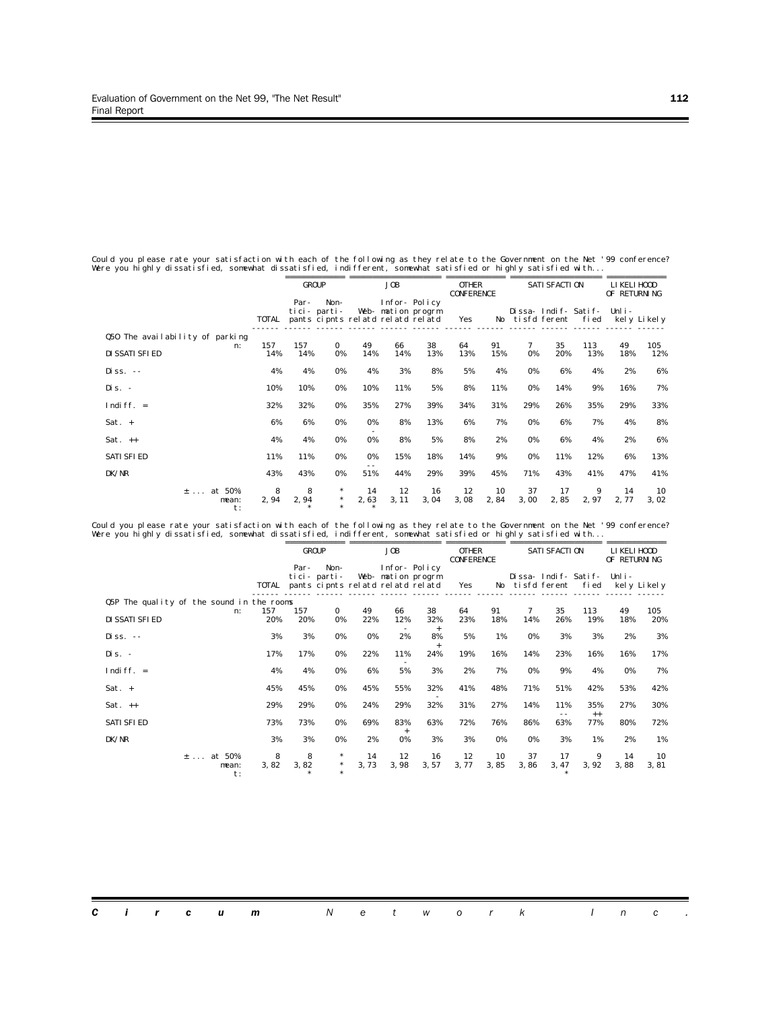|                                 |                             |                     | <b>GROUP</b>        |                       | <b>JOB</b>  |                                                                             | <b>OTHER</b><br><b>CONFERENCE</b> |            |            | <b>SATI SFACTI ON</b> |                                            | LI KELI HOOD<br>OF RETURNING |               |
|---------------------------------|-----------------------------|---------------------|---------------------|-----------------------|-------------|-----------------------------------------------------------------------------|-----------------------------------|------------|------------|-----------------------|--------------------------------------------|------------------------------|---------------|
|                                 | <b>TOTAL</b>                | Par-                | Non-<br>tici-parti- |                       |             | Infor-Policy<br>Web- mation progrm<br>pants cipnts relatd relatd relatd Yes |                                   |            |            |                       | Dissa-Indif-Satif-<br>No tisfd ferent fied | Unli-                        | kel y Likel y |
| Q50 The availability of parking | 157<br>n:                   | 157                 | $\mathbf{0}$        | 49                    | 66          | 38                                                                          | 64                                | 91         | 7          | 35                    | 113                                        | 49                           | 105           |
| DI SSATI SFI ED                 | 14%                         | 14%                 | 0%                  | 14%                   | 14%         | 13%                                                                         | 13%                               | 15%        | 0%         | 20%                   | 13%                                        | 18%                          | 12%           |
| $DisS. -$                       | 4%                          | 4%                  | 0%                  | 4%                    | 3%          | 8%                                                                          | 5%                                | 4%         | 0%         | 6%                    | 4%                                         | 2%                           | 6%            |
| $Dis. -$                        | 10%                         | 10%                 | 0%                  | 10%                   | 11%         | 5%                                                                          | 8%                                | 11%        | 0%         | 14%                   | 9%                                         | 16%                          | 7%            |
| Indiff. $=$                     | 32%                         | 32%                 | 0%                  | 35%                   | 27%         | 39%                                                                         | 34%                               | 31%        | 29%        | 26%                   | 35%                                        | 29%                          | 33%           |
| Sat. $+$                        | 6%                          | 6%                  | 0%                  | 0%                    | 8%          | 13%                                                                         | 6%                                | 7%         | 0%         | 6%                    | 7%                                         | 4%                           | 8%            |
| Sat. $++$                       | 4%                          | 4%                  | 0%                  | 0%                    | 8%          | 5%                                                                          | 8%                                | 2%         | 0%         | 6%                    | 4%                                         | 2%                           | 6%            |
| <b>SATI SFIED</b>               | 11%                         | 11%                 | 0%                  | $0\%$                 | 15%         | 18%                                                                         | 14%                               | 9%         | 0%         | 11%                   | 12%                                        | 6%                           | 13%           |
| DK/NR                           | 43%                         | 43%                 | 0%                  | $- -$<br>51%          | 44%         | 29%                                                                         | 39%                               | 45%        | 71%        | 43%                   | 41%                                        | 47%                          | 41%           |
| $±$ at 50%:                     | 8<br>2,94<br>mean:<br>$t$ : | 8<br>2,94<br>$\ast$ | *<br>*<br>$\ast$    | 14<br>2,63<br>$\star$ | 12<br>3, 11 | 16<br>3, 04                                                                 | 12<br>3,08                        | 10<br>2,84 | 37<br>3,00 | 17<br>2,85            | 9<br>2,97                                  | 14<br>2,77                   | 10<br>3,02    |

|                                           |            | <b>GROUP</b> |                       |            | <b>JOB</b>       |                                                                         | <b>OTHER</b><br><b>CONFERENCE</b> |            |            | <b>SATI SFACTI ON</b>                 |                | LI KELI HOOD<br>OF RETURNING |               |
|-------------------------------------------|------------|--------------|-----------------------|------------|------------------|-------------------------------------------------------------------------|-----------------------------------|------------|------------|---------------------------------------|----------------|------------------------------|---------------|
|                                           | TOTAL      | Par-         | Non-<br>tici-parti-   |            |                  | Infor-Policy<br>Web- mation progrm<br>pants cipnts relatd relatd relatd | Yes                               |            |            | Dissa-Indif-Satif-<br>No tisfd ferent | fi ed          | Unli-                        | kel y Likel y |
| Q5P The quality of the sound in the rooms |            |              |                       |            |                  |                                                                         |                                   |            |            |                                       |                |                              |               |
| n:<br>DI SSATI SFI ED                     | 157<br>20% | 157<br>20%   | $\mathbf{0}$<br>0%    | 49<br>22%  | 66<br>12%        | 38<br>32%<br>$+$                                                        | 64<br>23%                         | 91<br>18%  | 7<br>14%   | 35<br>26%                             | 113<br>19%     | 49<br>18%                    | 105<br>20%    |
| $DisS. - -$                               | 3%         | 3%           | 0%                    | 0%         | 2%               | 8%<br>$\ddot{}$                                                         | 5%                                | 1%         | 0%         | 3%                                    | 3%             | 2%                           | 3%            |
| $Dis. -$                                  | 17%        | 17%          | 0%                    | 22%        | 11%              | 24%                                                                     | 19%                               | 16%        | 14%        | 23%                                   | 16%            | 16%                          | 17%           |
| Indiff. $=$                               | 4%         | 4%           | 0%                    | 6%         | 5%               | 3%                                                                      | 2%                                | 7%         | $0\%$      | 9%                                    | 4%             | 0%                           | 7%            |
| Sat. $+$                                  | 45%        | 45%          | 0%                    | 45%        | 55%              | 32%                                                                     | 41%                               | 48%        | 71%        | 51%                                   | 42%            | 53%                          | 42%           |
| Sat. $++$                                 | 29%        | 29%          | 0%                    | 24%        | 29%              | 32%                                                                     | 31%                               | 27%        | 14%        | 11%                                   | 35%<br>$^{++}$ | 27%                          | 30%           |
| <b>SATI SFIED</b>                         | 73%        | 73%          | 0%                    | 69%        | 83%<br>$\ddot{}$ | 63%                                                                     | 72%                               | 76%        | 86%        | 63%                                   | 77%            | 80%                          | 72%           |
| DK/NR                                     | 3%         | 3%           | $0\%$                 | 2%         | 0%               | 3%                                                                      | 3%                                | 0%         | 0%         | 3%                                    | 1%             | 2%                           | 1%            |
| at 50%:<br>$\pm$<br>mean:<br>$t$ :        | 8<br>3,82  | 8<br>3,82    | *<br>$\ast$<br>$\ast$ | 14<br>3,73 | 12<br>3,98       | 16<br>3,57                                                              | 12<br>3,77                        | 10<br>3,85 | 37<br>3,86 | 17<br>3, 47<br>$*$                    | 9<br>3, 92     | 14<br>3,88                   | 10<br>3,81    |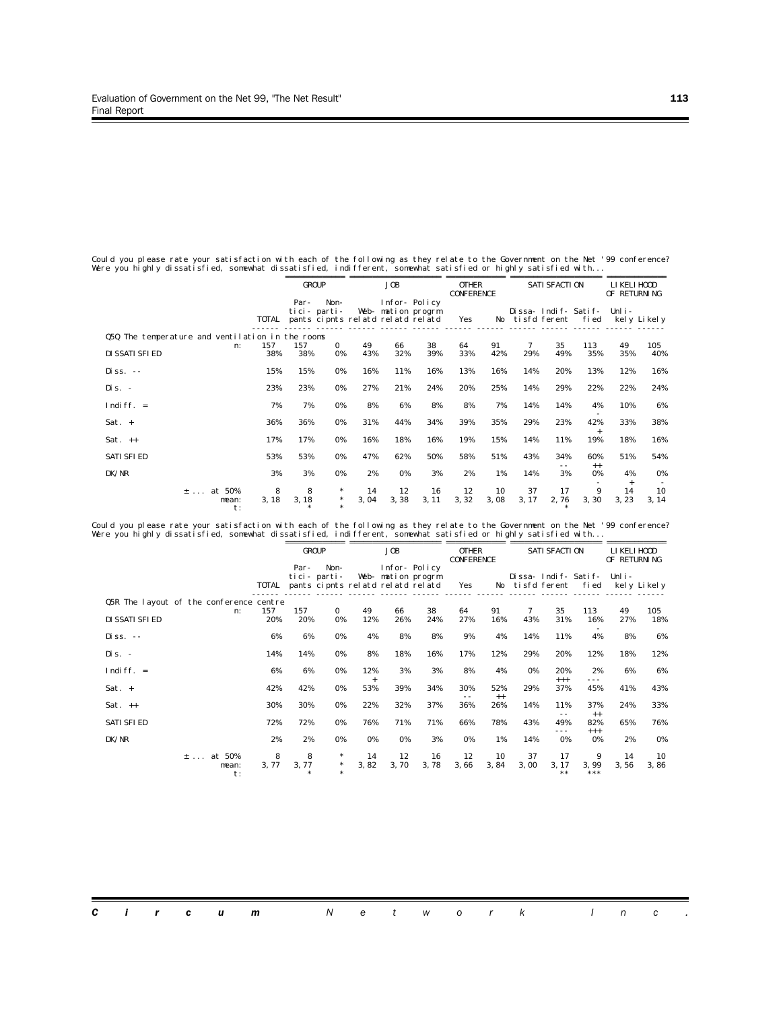|  |  | Could you please rate your satisfaction with each of the following as they relate to the Government on the Net '99 conference? |  |  |  |  |  |  |  |
|--|--|--------------------------------------------------------------------------------------------------------------------------------|--|--|--|--|--|--|--|
|  |  | Were you highly dissatisfied, somewhat dissatisfied, indifferent, somewhat satisfied or highly satisfied with                  |  |  |  |  |  |  |  |

|                                                  |                               |              | <b>GROUP</b>         |                     |             | <b>JOB</b> |                                                                             | <b>OTHER</b><br><b>CONFERENCE</b> |            |             | <b>SATI SFACTI ON</b> |                      | LI KELI HOOD<br>OF RETURNING |               |
|--------------------------------------------------|-------------------------------|--------------|----------------------|---------------------|-------------|------------|-----------------------------------------------------------------------------|-----------------------------------|------------|-------------|-----------------------|----------------------|------------------------------|---------------|
|                                                  |                               | <b>TOTAL</b> | Par-                 | Non-<br>tici-parti- |             |            | Infor-Policy<br>Web- mation progrm<br>pants cipnts relatd relatd relatd Yes |                                   |            |             | Dissa-Indif-Satif-    | No tisfd ferent fied | Unli $-$                     | kel y Likel y |
| Q5Q The temperature and ventilation in the rooms |                               |              |                      |                     |             |            |                                                                             |                                   |            |             |                       |                      |                              |               |
| DI SSATI SFI ED                                  | n:                            | 157<br>38%   | 157<br>38%           | $\Omega$<br>0%      | 49<br>43%   | 66<br>32%  | 38<br>39%                                                                   | 64<br>33%                         | 91<br>42%  | 7<br>29%    | 35<br>49%             | 113<br>35%           | 49<br>35%                    | 105<br>40%    |
| $DisS. -$                                        |                               | 15%          | 15%                  | 0%                  | 16%         | 11%        | 16%                                                                         | 13%                               | 16%        | 14%         | 20%                   | 13%                  | 12%                          | 16%           |
| $Dis. -$                                         |                               | 23%          | 23%                  | 0%                  | 27%         | 21%        | 24%                                                                         | 20%                               | 25%        | 14%         | 29%                   | 22%                  | 22%                          | 24%           |
| Indiff. $=$                                      |                               | 7%           | 7%                   | 0%                  | 8%          | 6%         | 8%                                                                          | 8%                                | 7%         | 14%         | 14%                   | 4%                   | 10%                          | 6%            |
| Sat. $+$                                         |                               | 36%          | 36%                  | 0%                  | 31%         | 44%        | 34%                                                                         | 39%                               | 35%        | 29%         | 23%                   | 42%<br>$^{+}$        | 33%                          | 38%           |
| Sat. $++$                                        |                               | 17%          | 17%                  | 0%                  | 16%         | 18%        | 16%                                                                         | 19%                               | 15%        | 14%         | 11%                   | 19%                  | 18%                          | 16%           |
| <b>SATI SFI ED</b>                               |                               | 53%          | 53%                  | 0%                  | 47%         | 62%        | 50%                                                                         | 58%                               | 51%        | 43%         | 34%                   | 60%<br>$^{++}$       | 51%                          | 54%           |
| DK/NR                                            |                               | 3%           | 3%                   | 0%                  | 2%          | 0%         | 3%                                                                          | 2%                                | 1%         | 14%         | 3%                    | 0%                   | 4%<br>$+$                    | 0%            |
| $±$ at 50%:                                      | mean:<br>$\ddot{\phantom{1}}$ | 8<br>3, 18   | 8<br>3, 18<br>$\ast$ | *<br>$\ast$<br>*    | 14<br>3, 04 | 12<br>3,38 | 16<br>3, 11                                                                 | 12<br>3, 32                       | 10<br>3,08 | 37<br>3, 17 | 17<br>2,76<br>$\ast$  | 9<br>3, 30           | 14<br>3, 23                  | 10<br>3, 14   |

|                                         |                    | <b>GROUP</b><br>Par-<br>Non- |                    |                  | <b>JOB</b>  |                                                                         | OTHER<br><b>CONFERENCE</b> |                |            | <b>SATI SFACTI ON</b>                 |                  | LI KELI HOOD<br>OF RETURNING |               |
|-----------------------------------------|--------------------|------------------------------|--------------------|------------------|-------------|-------------------------------------------------------------------------|----------------------------|----------------|------------|---------------------------------------|------------------|------------------------------|---------------|
|                                         | TOTAL              |                              | tici-parti-        |                  |             | Infor-Policy<br>Web- mation progrm<br>pants cipnts relatd relatd relatd | Yes                        |                |            | Dissa-Indif-Satif-<br>No tisfd ferent | fied             | Unli-                        | kel y Likel y |
| Q5R The layout of the conference centre |                    |                              |                    |                  |             |                                                                         |                            |                |            |                                       |                  |                              |               |
| DI SSATI SFI ED                         | 157<br>n:<br>20%   | 157<br>20%                   | $\bf{0}$<br>0%     | 49<br>12%        | 66<br>26%   | 38<br>24%                                                               | 64<br>27%                  | 91<br>16%      | 7<br>43%   | 35<br>31%                             | 113<br>16%       | 49<br>27%                    | 105<br>18%    |
| $DisS. - -$                             | 6%                 | 6%                           | 0%                 | 4%               | 8%          | 8%                                                                      | 9%                         | 4%             | 14%        | 11%                                   | 4%               | 8%                           | 6%            |
| $Dis. -$                                | 14%                | 14%                          | 0%                 | 8%               | 18%         | 16%                                                                     | 17%                        | 12%            | 29%        | 20%                                   | 12%              | 18%                          | 12%           |
| Indiff. $=$                             | 6%                 | 6%                           | 0%                 | 12%              | 3%          | 3%                                                                      | 8%                         | 4%             | 0%         | 20%                                   | 2%<br>- - -      | 6%                           | 6%            |
| Sat. $+$                                | 42%                | 42%                          | 0%                 | $\ddot{}$<br>53% | 39%         | 34%                                                                     | 30%<br>$ -$                | 52%<br>$^{++}$ | 29%        | $^{+++}$<br>37%                       | 45%              | 41%                          | 43%           |
| Sat. $++$                               | 30%                | 30%                          | 0%                 | 22%              | 32%         | 37%                                                                     | 36%                        | 26%            | 14%        | 11%                                   | 37%              | 24%                          | 33%           |
| <b>SATI SFIED</b>                       | 72%                | 72%                          | 0%                 | 76%              | 71%         | 71%                                                                     | 66%                        | 78%            | 43%        | 49%                                   | $^{++}$<br>82%   | 65%                          | 76%           |
| DK/NR                                   | 2%                 | 2%                           | 0%                 | $0\%$            | 0%          | 3%                                                                      | 0%                         | 1%             | 14%        | - - -<br>0%                           | $^{+++}$<br>0%   | 2%                           | 0%            |
| at 50%:<br>$\pm$<br>mean:               | 8<br>3,77<br>$t$ : | 8<br>3,77                    | *<br>$*$<br>$\ast$ | 14<br>3,82       | 12<br>3, 70 | 16<br>3,78                                                              | 12<br>3,66                 | 10<br>3,84     | 37<br>3,00 | 17<br>3, 17<br>**                     | 9<br>3,99<br>*** | 14<br>3,56                   | 10<br>3,86    |

**State College**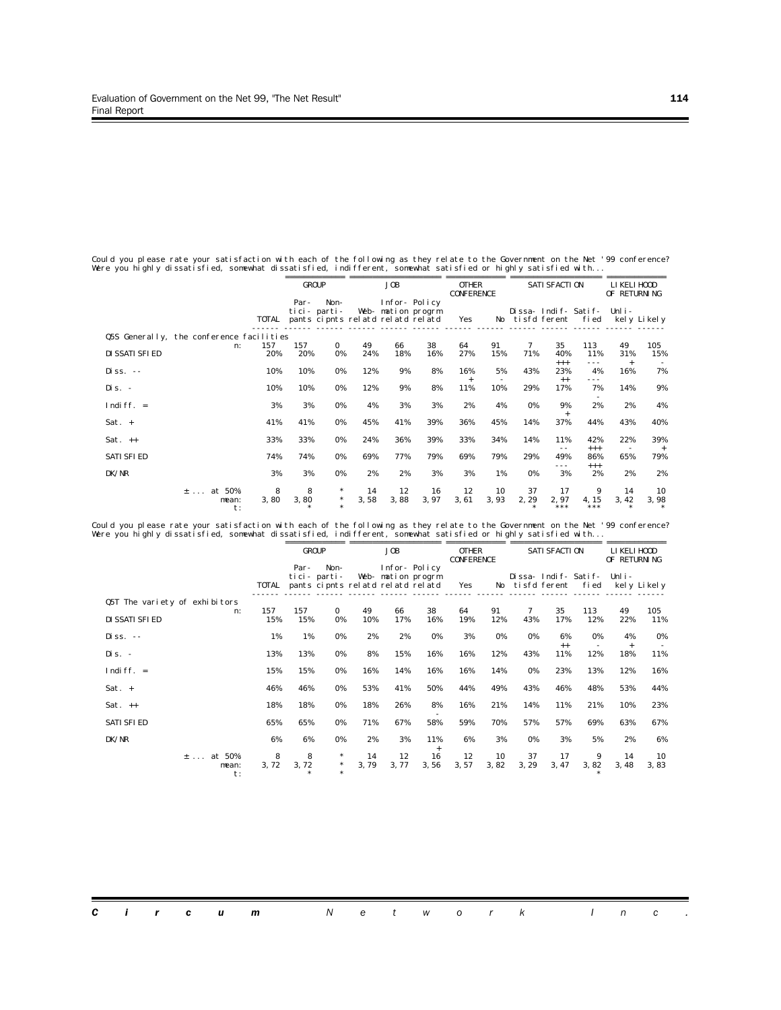|  |  | Could you please rate your satisfaction with each of the following as they relate to the Government on the Net '99 conference? |  |  |  |  |  |  |  |
|--|--|--------------------------------------------------------------------------------------------------------------------------------|--|--|--|--|--|--|--|
|  |  | Were you highly dissatisfied, somewhat dissatisfied, indifferent, somewhat satisfied or highly satisfied with                  |  |  |  |  |  |  |  |

|                   |                                                   |            |                     | <b>GROUP</b>          |            | <b>JOB</b> |                                                                             | <b>OTHER</b><br><b>CONFERENCE</b> |            |             | <b>SATI SFACTI ON</b> |                      | <b>LI KELI HOOD</b><br>OF RETURNING |                 |
|-------------------|---------------------------------------------------|------------|---------------------|-----------------------|------------|------------|-----------------------------------------------------------------------------|-----------------------------------|------------|-------------|-----------------------|----------------------|-------------------------------------|-----------------|
|                   |                                                   | TOTAL      | Par-                | Non-<br>tici-parti-   |            |            | Infor-Policy<br>Web- mation progrm<br>pants cipnts relatd relatd relatd Yes |                                   |            |             | Dissa-Indif-Satif-    | No tisfd ferent fied | Unli $-$                            | kel y Likel y   |
|                   | Q5S Generally, the conference facilities          |            |                     |                       |            |            |                                                                             |                                   |            |             |                       |                      |                                     |                 |
| DI SSATI SFI ED   | n:                                                | 157<br>20% | 157<br>20%          | $\bf{0}$<br>0%        | 49<br>24%  | 66<br>18%  | 38<br>16%                                                                   | 64<br>27%                         | 91<br>15%  | 7<br>71%    | 35<br>40%             | 113<br>11%           | 49<br>31%                           | 105<br>15%      |
| $DisS. - -$       |                                                   | 10%        | 10%                 | 0%                    | 12%        | 9%         | 8%                                                                          | 16%                               | 5%         | 43%         | $^{+++}$<br>23%       | - - -<br>4%          | $+$<br>16%                          | 7%              |
| $Dis. -$          |                                                   | 10%        | 10%                 | 0%                    | 12%        | 9%         | 8%                                                                          | $\ddot{}$<br>11%                  | 10%        | 29%         | $^{++}$<br>17%        | - - -<br>7%          | 14%                                 | 9%              |
| Indiff. $=$       |                                                   | 3%         | 3%                  | 0%                    | 4%         | 3%         | 3%                                                                          | 2%                                | 4%         | 0%          | 9%<br>$\ddot{}$       | 2%                   | 2%                                  | 4%              |
| Sat. $+$          |                                                   | 41%        | 41%                 | 0%                    | 45%        | 41%        | 39%                                                                         | 36%                               | 45%        | 14%         | 37%                   | 44%                  | 43%                                 | 40%             |
| Sat. $++$         |                                                   | 33%        | 33%                 | 0%                    | 24%        | 36%        | 39%                                                                         | 33%                               | 34%        | 14%         | 11%                   | 42%                  | 22%                                 | 39%             |
| <b>SATI SFIED</b> |                                                   | 74%        | 74%                 | 0%                    | 69%        | 77%        | 79%                                                                         | 69%                               | 79%        | 29%         | $- -$<br>49%          | $^{+++}$<br>86%      | 65%                                 | $+$<br>79%      |
| DK/NR             |                                                   | 3%         | 3%                  | 0%                    | 2%         | 2%         | 3%                                                                          | 3%                                | 1%         | 0%          | - - -<br>3%           | $^{+++}$<br>2%       | 2%                                  | 2%              |
|                   | at 50%:<br>$\pm$<br>mean:<br>$\ddot{\phantom{1}}$ | 8<br>3,80  | 8<br>3,80<br>$\ast$ | *<br>$\ast$<br>$\ast$ | 14<br>3,58 | 12<br>3,88 | 16<br>3,97                                                                  | 12<br>3,61                        | 10<br>3,93 | 37<br>2, 29 | 17<br>2,97<br>***     | 9<br>4, 15<br>***    | 14<br>3,42<br>$*$                   | 10<br>3,98<br>* |

Could you please rate your satisfaction with each of the following as they relate to the Government on the Net '99 conference?<br>Were you highly dissatisfied, somewhat dissatisfied, indifferent, somewhat satisfied or highly

|                               |                             | <b>GROUP</b> |                            |            | <b>JOB</b>   |                                                         | <b>OTHER</b><br><b>CONFERENCE</b> |            |             | SATI SFACTI ON                        |            | LI KELI HOOD<br>OF RETURNING |               |
|-------------------------------|-----------------------------|--------------|----------------------------|------------|--------------|---------------------------------------------------------|-----------------------------------|------------|-------------|---------------------------------------|------------|------------------------------|---------------|
|                               | <b>TOTAL</b>                | Par-         | Non-<br>tici-parti-        |            | Infor-Policy | Web- mation progrm<br>pants cipnts relatd relatd relatd | Yes                               |            |             | Dissa-Indif-Satif-<br>No tisfd ferent | fi ed      | Unli-                        | kel y Likel y |
| Q5T The variety of exhibitors |                             |              |                            |            |              |                                                         |                                   |            |             |                                       |            |                              |               |
| DI SSATI SFI ED               | 157<br>n:<br>15%            | 157<br>15%   | $\mathbf{0}$<br>0%         | 49<br>10%  | 66<br>17%    | 38<br>16%                                               | 64<br>19%                         | 91<br>12%  | 7<br>43%    | 35<br>17%                             | 113<br>12% | 49<br>22%                    | 105<br>11%    |
| $DisS. - -$                   | 1%                          | 1%           | 0%                         | 2%         | 2%           | 0%                                                      | 3%                                | 0%         | 0%          | 6%                                    | 0%         | 4%                           | 0%            |
| $Dis. -$                      | 13%                         | 13%          | 0%                         | 8%         | 15%          | 16%                                                     | 16%                               | 12%        | 43%         | $^{++}$<br>11%                        | 12%        | $+$<br>18%                   | 11%           |
| Indiff. $=$                   | 15%                         | 15%          | $0\%$                      | 16%        | 14%          | 16%                                                     | 16%                               | 14%        | 0%          | 23%                                   | 13%        | 12%                          | 16%           |
| Sat. $+$                      | 46%                         | 46%          | 0%                         | 53%        | 41%          | 50%                                                     | 44%                               | 49%        | 43%         | 46%                                   | 48%        | 53%                          | 44%           |
| Sat. $++$                     | 18%                         | 18%          | 0%                         | 18%        | 26%          | 8%                                                      | 16%                               | 21%        | 14%         | 11%                                   | 21%        | 10%                          | 23%           |
| <b>SATI SFIED</b>             | 65%                         | 65%          | 0%                         | 71%        | 67%          | 58%                                                     | 59%                               | 70%        | 57%         | 57%                                   | 69%        | 63%                          | 67%           |
| DK/NR                         | 6%                          | 6%           | 0%                         | 2%         | 3%           | 11%<br>$\ddot{}$                                        | 6%                                | 3%         | 0%          | 3%                                    | 5%         | 2%                           | 6%            |
| at 50%:<br>$\pm$              | 8<br>3,72<br>mean:<br>$t$ : | 8<br>3,72    | $\ast$<br>$\ast$<br>$\ast$ | 14<br>3,79 | 12<br>3,77   | 16<br>3,56                                              | 12<br>3,57                        | 10<br>3,82 | 37<br>3, 29 | 17<br>3, 47                           | 9<br>3,82  | 14<br>3,48                   | 10<br>3,83    |

 $\mathbf{c}$  $i - r$  $\mathcal{L}$  $\mathbf{c}$  $\boldsymbol{u}$  ${\cal N}$  $\rm e$  $\boldsymbol{t}$  $\mathsf{w}$  $\circ$  $\mathbf{r}$  $\pmb{k}$  $\sqrt{n}$  $\boldsymbol{c}$  $\mathbf{m}$  $\mathcal{L}$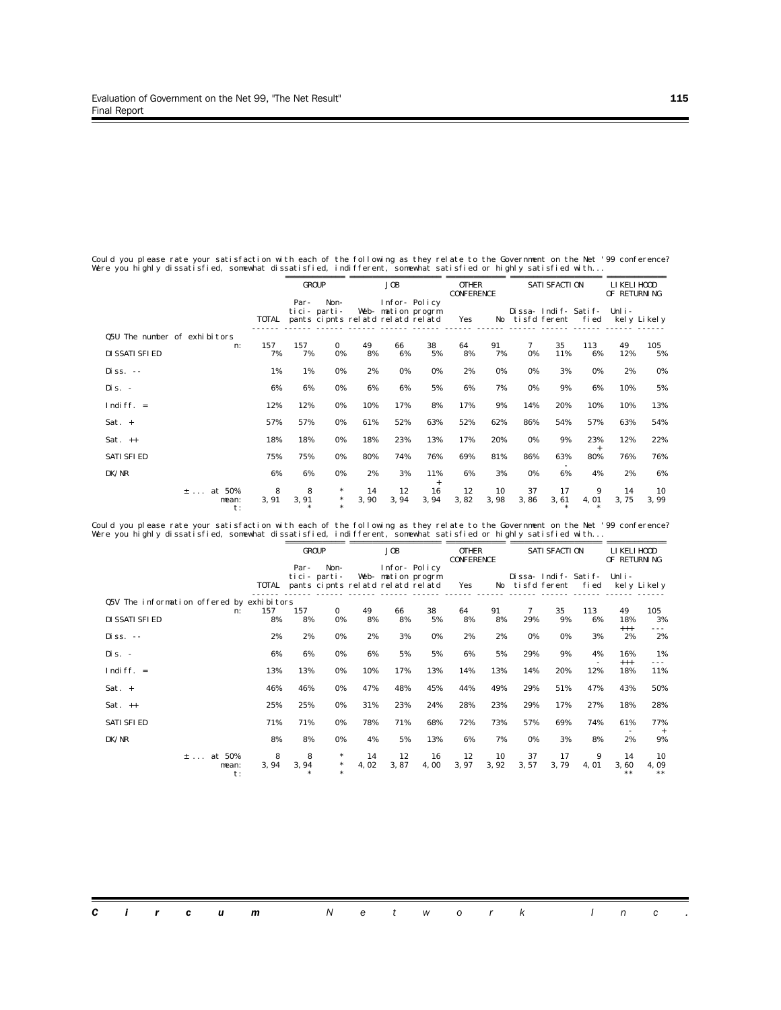Could you please rate your satisfaction with each of the following as they relate to the Government on the Net '99 conference?<br>Were you highly dissatisfied, somewhat dissatisfied, indifferent, somewhat satisfied or highly

|                              |                                          |            | <b>GROUP</b>         |                     |            | <b>JOB</b>  |                                                                             |                                   |            |            |                       |                      |                              |               |
|------------------------------|------------------------------------------|------------|----------------------|---------------------|------------|-------------|-----------------------------------------------------------------------------|-----------------------------------|------------|------------|-----------------------|----------------------|------------------------------|---------------|
|                              |                                          |            |                      |                     |            |             |                                                                             | <b>OTHER</b><br><b>CONFERENCE</b> |            |            | <b>SATI SFACTI ON</b> |                      | LI KELI HOOD<br>OF RETURNING |               |
|                              |                                          | TOTAL      | Par-                 | Non-<br>tici-parti- |            |             | Infor-Policy<br>Web- mation progrm<br>pants cipnts relatd relatd relatd Yes |                                   |            |            | Dissa-Indif-Satif-    | No tisfd ferent fied | Unli-                        | kel y Likel y |
| Q5U The number of exhibitors |                                          |            |                      |                     |            |             |                                                                             |                                   |            |            |                       |                      |                              |               |
| DI SSATI SFI ED              | n:                                       | 157<br>7%  | 157<br>7%            | $\mathbf{0}$<br>0%  | 49<br>8%   | 66<br>6%    | 38<br>5%                                                                    | 64<br>8%                          | 91<br>7%   | 7<br>0%    | 35<br>11%             | 113<br>6%            | 49<br>12%                    | 105<br>5%     |
| $DisS. - -$                  |                                          | 1%         | 1%                   | 0%                  | 2%         | 0%          | 0%                                                                          | 2%                                | 0%         | 0%         | 3%                    | 0%                   | 2%                           | 0%            |
| $Dis. -$                     |                                          | 6%         | 6%                   | 0%                  | 6%         | 6%          | 5%                                                                          | 6%                                | 7%         | 0%         | 9%                    | 6%                   | 10%                          | 5%            |
| Indiff. $=$                  |                                          | 12%        | 12%                  | 0%                  | 10%        | 17%         | 8%                                                                          | 17%                               | 9%         | 14%        | 20%                   | 10%                  | 10%                          | 13%           |
| Sat. $+$                     |                                          | 57%        | 57%                  | 0%                  | 61%        | 52%         | 63%                                                                         | 52%                               | 62%        | 86%        | 54%                   | 57%                  | 63%                          | 54%           |
| Sat. $++$                    |                                          | 18%        | 18%                  | 0%                  | 18%        | 23%         | 13%                                                                         | 17%                               | 20%        | 0%         | 9%                    | 23%<br>$\ddot{}$     | 12%                          | 22%           |
| <b>SATI SFIED</b>            |                                          | 75%        | 75%                  | 0%                  | 80%        | 74%         | 76%                                                                         | 69%                               | 81%        | 86%        | 63%                   | 80%                  | 76%                          | 76%           |
| DK/NR                        |                                          | 6%         | 6%                   | 0%                  | 2%         | 3%          | 11%<br>$\ddot{}$                                                            | 6%                                | 3%         | 0%         | 6%                    | 4%                   | 2%                           | 6%            |
| $\pm$                        | at 50%:<br>mean:<br>$\ddot{\phantom{1}}$ | 8<br>3, 91 | 8<br>3, 91<br>$\ast$ | *<br>*<br>*         | 14<br>3,90 | 12<br>3, 94 | 16<br>3, 94                                                                 | 12<br>3,82                        | 10<br>3,98 | 37<br>3,86 | 17<br>3, 61<br>$*$    | 9<br>4,01<br>$*$     | 14<br>3,75                   | 10<br>3, 99   |

|                                           |                              | <b>GROUP</b> |                            |            | <b>JOB</b> |                                                                         | <b>OTHER</b><br><b>CONFERENCE</b> |             |                 | SATI SFACTI ON |                             | LI KELI HOOD<br>OF RETURNING |                    |
|-------------------------------------------|------------------------------|--------------|----------------------------|------------|------------|-------------------------------------------------------------------------|-----------------------------------|-------------|-----------------|----------------|-----------------------------|------------------------------|--------------------|
|                                           | <b>TOTAL</b>                 | Par-         | Non-<br>tici-parti-        |            |            | Infor-Policy<br>Web- mation progrm<br>pants cipnts relatd relatd relatd | Yes                               |             | No tisfd ferent |                | Dissa-Indif-Satif-<br>fi ed | Unli-                        | kel y Likel y      |
| Q5V The information offered by exhibitors |                              |              |                            |            |            |                                                                         |                                   |             |                 |                |                             |                              |                    |
| DI SSATI SFI ED                           | 157<br>n:<br>8%              | 157<br>8%    | $\mathbf{0}$<br>0%         | 49<br>8%   | 66<br>8%   | 38<br>5%                                                                | 64<br>8%                          | 91<br>8%    | 7<br>29%        | 35<br>9%       | 113<br>6%                   | 49<br>18%                    | 105<br>3%          |
| $DisS. - -$                               | 2%                           | 2%           | 0%                         | 2%         | 3%         | 0%                                                                      | 2%                                | 2%          | 0%              | 0%             | 3%                          | $^{+++}$<br>2%               | - - -<br>2%        |
| $Dis. -$                                  | 6%                           | 6%           | 0%                         | 6%         | 5%         | 5%                                                                      | 6%                                | 5%          | 29%             | 9%             | 4%                          | 16%                          | 1%<br>- - -        |
| Indiff. $=$                               | 13%                          | 13%          | 0%                         | 10%        | 17%        | 13%                                                                     | 14%                               | 13%         | 14%             | 20%            | 12%                         | $^{+++}$<br>18%              | 11%                |
| Sat. $+$                                  | 46%                          | 46%          | 0%                         | 47%        | 48%        | 45%                                                                     | 44%                               | 49%         | 29%             | 51%            | 47%                         | 43%                          | 50%                |
| Sat. $++$                                 | 25%                          | 25%          | 0%                         | 31%        | 23%        | 24%                                                                     | 28%                               | 23%         | 29%             | 17%            | 27%                         | 18%                          | 28%                |
| <b>SATI SFIED</b>                         | 71%                          | 71%          | 0%                         | 78%        | 71%        | 68%                                                                     | 72%                               | 73%         | 57%             | 69%            | 74%                         | 61%                          | 77%<br>$^{+}$      |
| DK/NR                                     | 8%                           | 8%           | 0%                         | 4%         | 5%         | 13%                                                                     | 6%                                | 7%          | 0%              | 3%             | 8%                          | 2%                           | 9%                 |
| at 50%:<br>$\pm$                          | 8<br>3, 94<br>mean:<br>$t$ : | 8<br>3,94    | $\ast$<br>$\ast$<br>$\ast$ | 14<br>4,02 | 12<br>3,87 | 16<br>4,00                                                              | 12<br>3,97                        | 10<br>3, 92 | 37<br>3, 57     | 17<br>3, 79    | 9<br>4,01                   | 14<br>3,60<br>**             | 10<br>4,09<br>$**$ |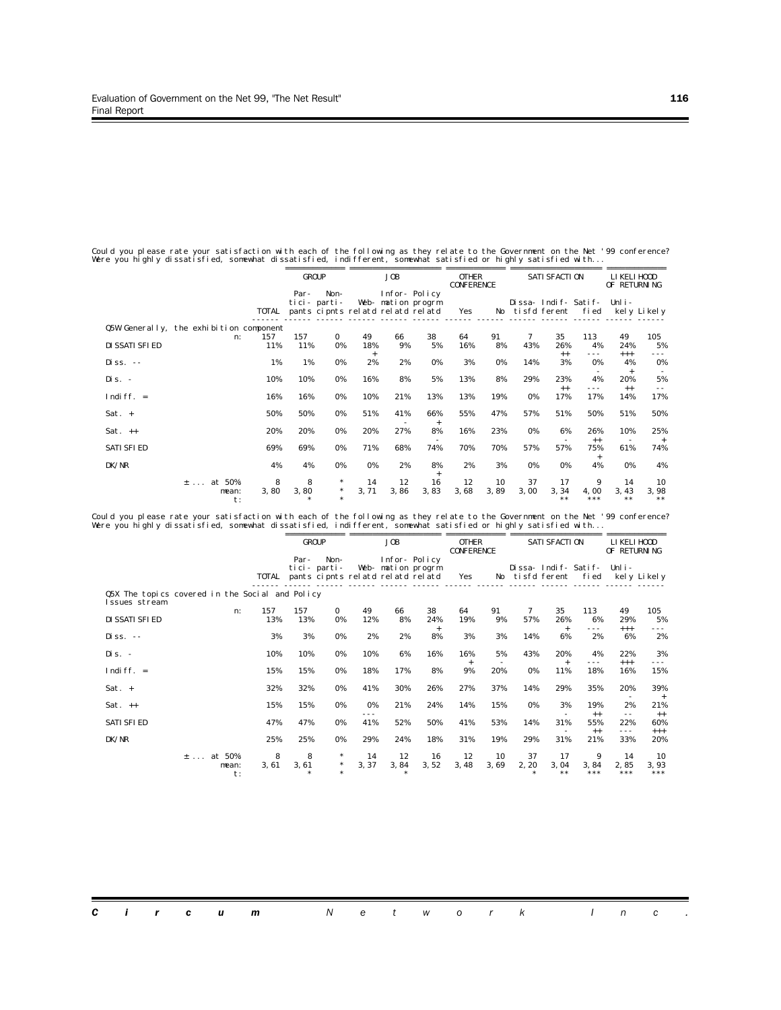| Could you please rate your satisfaction with each of the following as they relate to the Government on the Net '99 conference? |  |  |
|--------------------------------------------------------------------------------------------------------------------------------|--|--|
| Were you highly dissatisfied, somewhat dissatisfied, indifferent, somewhat satisfied or highly satisfied with                  |  |  |

|                                         |               |              |        | <b>GROUP</b> |           | <b>JOB</b> |                                   | <b>OTHER</b>      |      |                 | <b>SATI SFACTI ON</b> |           | LI KELI HOOD |               |
|-----------------------------------------|---------------|--------------|--------|--------------|-----------|------------|-----------------------------------|-------------------|------|-----------------|-----------------------|-----------|--------------|---------------|
|                                         |               |              | Par-   | Non-         |           |            | Infor-Policy                      | <b>CONFERENCE</b> |      |                 |                       |           | OF RETURNING |               |
|                                         |               |              |        | tici-parti-  |           |            | Web- mation progrm                |                   |      |                 | Dissa-Indif-Satif-    |           | Unli-        |               |
|                                         |               | <b>TOTAL</b> |        |              |           |            | pants cipnts relatd relatd relatd | Yes               |      | No tisfd ferent |                       | fi ed     |              | kel y Likel y |
|                                         |               |              |        |              |           |            |                                   |                   |      |                 |                       |           |              |               |
| Q5W Generally, the exhibition component |               |              |        |              |           |            |                                   |                   |      |                 |                       |           |              |               |
|                                         |               | 157<br>n:    | 157    | $\mathbf{0}$ | 49        | 66         | 38                                | 64                | 91   | 7               | 35                    | 113       | 49           | 105           |
| DI SSATI SFI ED                         |               | 11%          | 11%    | 0%           | 18%       | 9%         | 5%                                | 16%               | 8%   | 43%             | 26%                   | 4%        | 24%          | 5%            |
|                                         |               |              |        |              | $\ddot{}$ |            |                                   |                   |      |                 | $^{++}$               | - - -     | $^{+++}$     | - - -         |
| $DisS. - -$                             |               | 1%           | 1%     | 0%           | 2%        | 2%         | 0%                                | 3%                | 0%   | 14%             | 3%                    | 0%        | 4%           | 0%            |
| $Dis. -$                                |               | 10%          | 10%    | 0%           | 16%       | 8%         | 5%                                | 13%               | 8%   | 29%             | 23%                   | 4%        | $+$<br>20%   | 5%            |
|                                         |               |              |        |              |           |            |                                   |                   |      |                 | $^{++}$               | $- - -$   | $^{++}$      | $- -$         |
| Indiff. $=$                             |               | 16%          | 16%    | 0%           | 10%       | 21%        | 13%                               | 13%               | 19%  | 0%              | 17%                   | 17%       | 14%          | 17%           |
|                                         |               |              |        |              |           |            |                                   |                   |      |                 |                       |           |              |               |
| Sat. $+$                                |               | 50%          | 50%    | 0%           | 51%       | 41%        | 66%                               | 55%               | 47%  | 57%             | 51%                   | 50%       | 51%          | 50%           |
| Sat. $++$                               |               | 20%          | 20%    | 0%           | 20%       | 27%        | $\ddot{}$<br>8%                   | 16%               | 23%  | 0%              | 6%                    | 26%       | 10%          | 25%           |
|                                         |               |              |        |              |           |            |                                   |                   |      |                 |                       | $^{++}$   |              |               |
| <b>SATI SFI ED</b>                      |               | 69%          | 69%    | 0%           | 71%       | 68%        | 74%                               | 70%               | 70%  | 57%             | 57%                   | 75%       | 61%          | 74%           |
|                                         |               |              |        |              |           |            |                                   |                   |      |                 |                       | $\ddot{}$ |              |               |
| DK/NR                                   |               | 4%           | 4%     | 0%           | 0%        | 2%         | 8%                                | 2%                | 3%   | 0%              | 0%                    | 4%        | 0%           | 4%            |
|                                         | $\pm$ at 50%: | 8            | 8      | $\ast$       | 14        | 12         | $\ddot{}$<br>16                   | 12                | 10   | 37              | 17                    | 9         | 14           | 10            |
|                                         | mean:         | 3,80         | 3,80   | $\ast$       | 3, 71     | 3,86       | 3,83                              | 3,68              | 3,89 | 3,00            | 3, 34                 | 4,00      | 3, 43        | 3,98          |
|                                         |               | $t$ :        | $\ast$ | $\ast$       |           |            |                                   |                   |      |                 | **                    | ***       | **           | $* *$         |

|                                                                  |                                    |            | <b>GROUP</b>        |                       |             | <b>JOB</b>        |                                                                         | <b>OTHER</b><br><b>CONFERENCE</b> |              |                   | SATI SFACTI ON                        |                  | LI KELI HOOD<br>OF RETURNING |                   |
|------------------------------------------------------------------|------------------------------------|------------|---------------------|-----------------------|-------------|-------------------|-------------------------------------------------------------------------|-----------------------------------|--------------|-------------------|---------------------------------------|------------------|------------------------------|-------------------|
|                                                                  |                                    | TOTAL      | Par-                | Non-<br>tici-parti-   |             |                   | Infor-Policy<br>Web- mation progrm<br>pants cipnts relatd relatd relatd | Yes                               |              |                   | Dissa-Indif-Satif-<br>No tisfd ferent | fi ed            | Unli $-$                     | kel y Likel y     |
| Q5X The topics covered in the Social and Policy<br>Issues stream |                                    |            |                     |                       |             |                   |                                                                         |                                   |              |                   |                                       |                  |                              |                   |
| DI SSATI SFI ED                                                  | n:                                 | 157<br>13% | 157<br>13%          | $\bf{0}$<br>0%        | 49<br>12%   | 66<br>8%          | 38<br>24%                                                               | 64<br>19%                         | 91<br>9%     | 7<br>57%          | 35<br>26%                             | 113<br>6%        | 49<br>29%                    | 105<br>5%         |
| $DisS. - -$                                                      |                                    | 3%         | 3%                  | 0%                    | 2%          | 2%                | $+$<br>8%                                                               | 3%                                | 3%           | 14%               | 6%                                    | $- - -$<br>2%    | $^{+++}$<br>6%               | - - -<br>2%       |
| $Dis. -$                                                         |                                    | 10%        | 10%                 | 0%                    | 10%         | 6%                | 16%                                                                     | 16%<br>$\ddot{}$                  | 5%<br>$\sim$ | 43%               | 20%<br>$+$                            | 4%<br>$- - -$    | 22%<br>$^{+++}$              | 3%                |
| Indiff. $=$                                                      |                                    | 15%        | 15%                 | 0%                    | 18%         | 17%               | 8%                                                                      | 9%                                | 20%          | 0%                | 11%                                   | 18%              | 16%                          | 15%               |
| Sat. $+$                                                         |                                    | 32%        | 32%                 | 0%                    | 41%         | 30%               | 26%                                                                     | 27%                               | 37%          | 14%               | 29%                                   | 35%              | 20%<br>$\sim$                | 39%<br>$+$        |
| Sat. $++$                                                        |                                    | 15%        | 15%                 | 0%                    | 0%<br>- - - | 21%               | 24%                                                                     | 14%                               | 15%          | 0%                | 3%                                    | 19%<br>$^{++}$   | 2%<br>$ -$                   | 21%<br>$^{++}$    |
| <b>SATI SFI ED</b>                                               |                                    | 47%        | 47%                 | 0%                    | 41%         | 52%               | 50%                                                                     | 41%                               | 53%          | 14%               | 31%                                   | 55%<br>$^{++}$   | 22%<br>$- - -$               | 60%<br>$^{+++}$   |
| DK/NR                                                            |                                    | 25%        | 25%                 | 0%                    | 29%         | 24%               | 18%                                                                     | 31%                               | 19%          | 29%               | 31%                                   | 21%              | 33%                          | 20%               |
|                                                                  | at 50%:<br>$\pm$<br>mean:<br>$t$ : | 8<br>3,61  | 8<br>3,61<br>$\ast$ | $\ast$<br>*<br>$\ast$ | 14<br>3, 37 | 12<br>3, 84<br>×. | 16<br>3, 52                                                             | 12<br>3,48                        | 10<br>3,69   | 37<br>2, 20<br>÷. | 17<br>3, 04<br>**                     | 9<br>3,84<br>*** | 14<br>2,85<br>***            | 10<br>3,93<br>*** |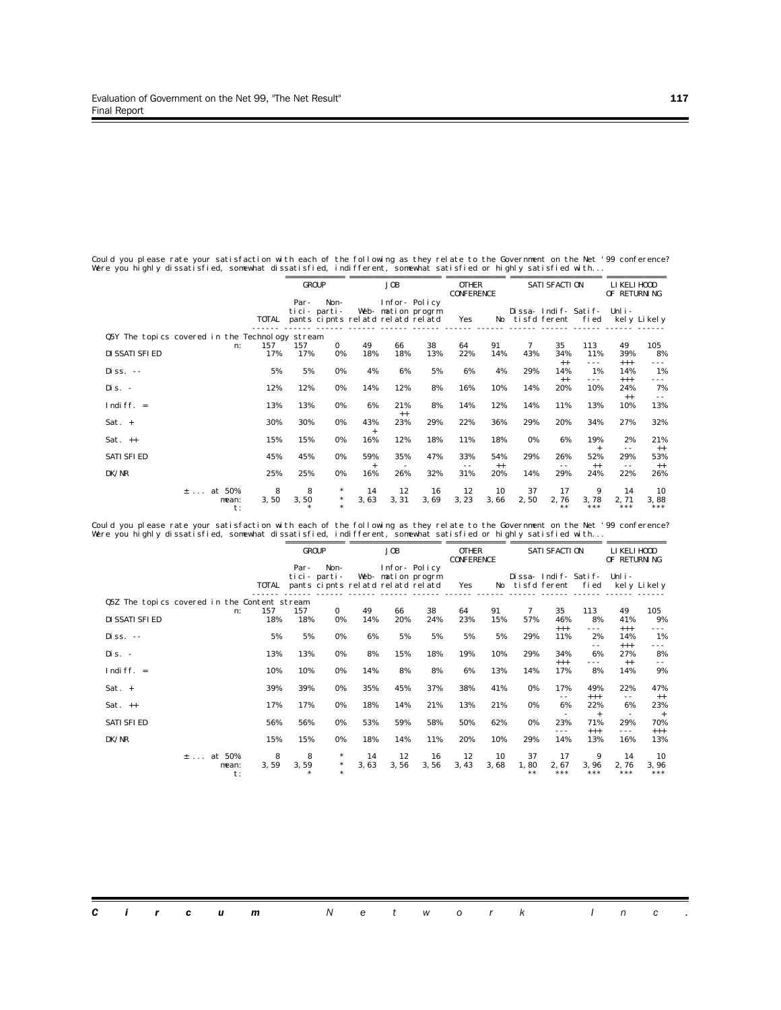|  |  |  |  |  |  |  |                                                                                                               |  | Could you please rate your satisfaction with each of the following as they relate to the Government on the Net '99 conference? |
|--|--|--|--|--|--|--|---------------------------------------------------------------------------------------------------------------|--|--------------------------------------------------------------------------------------------------------------------------------|
|  |  |  |  |  |  |  | Were you highly dissatisfied, somewhat dissatisfied, indifferent, somewhat satisfied or highly satisfied with |  |                                                                                                                                |

|                                                 |                              | <b>GROUP</b> |                     |                  | <b>JOB</b>     |                                                                             | <b>OTHER</b><br><b>CONFERENCE</b> |                |          | <b>SATI SFACTI ON</b> |                      | LI KELI HOOD<br>OF RETURNING |                |
|-------------------------------------------------|------------------------------|--------------|---------------------|------------------|----------------|-----------------------------------------------------------------------------|-----------------------------------|----------------|----------|-----------------------|----------------------|------------------------------|----------------|
|                                                 | TOTAL                        | Par-         | Non-<br>tici-parti- |                  |                | Infor-Policy<br>Web- mation progrm<br>pants cipnts relatd relatd relatd Yes |                                   |                |          | Dissa-Indif-Satif-    | No tisfd ferent fied | Unli $-$                     | kel y Likel y  |
| Q5Y The topics covered in the Technology stream |                              |              |                     |                  |                |                                                                             |                                   |                |          |                       |                      |                              |                |
| DI SSATI SFI ED                                 | 157<br>n:<br>17%             | 157<br>17%   | $\Omega$<br>0%      | 49<br>18%        | 66<br>18%      | 38<br>13%                                                                   | 64<br>22%                         | 91<br>14%      | 7<br>43% | 35<br>34%             | 113<br>11%           | 49<br>39%                    | 105<br>8%      |
| $DisS. - -$                                     | 5%                           | 5%           | 0%                  | 4%               | 6%             | 5%                                                                          | 6%                                | 4%             | 29%      | $^{++}$<br>14%        | - - -<br>1%          | $^{+++}$<br>14%              | - - -<br>1%    |
| $Dis. -$                                        | 12%                          | 12%          | 0%                  | 14%              | 12%            | 8%                                                                          | 16%                               | 10%            | 14%      | $^{++}$<br>20%        | $- - -$<br>10%       | $^{+++}$<br>24%              | $- - -$<br>7%  |
| Indiff. $=$                                     | 13%                          | 13%          | 0%                  | 6%               | 21%            | 8%                                                                          | 14%                               | 12%            | 14%      | 11%                   | 13%                  | $^{++}$<br>10%               | $ -$<br>13%    |
| Sat. $+$                                        | 30%                          | 30%          | $0\%$               | 43%              | $^{++}$<br>23% | 29%                                                                         | 22%                               | 36%            | 29%      | 20%                   | 34%                  | 27%                          | 32%            |
| Sat. $++$                                       | 15%                          | 15%          | 0%                  | $\ddot{}$<br>16% | 12%            | 18%                                                                         | 11%                               | 18%            | 0%       | 6%                    | 19%                  | 2%<br>$- -$                  | 21%<br>$^{++}$ |
| <b>SATI SFI ED</b>                              | 45%                          | 45%          | 0%                  | 59%              | 35%            | 47%                                                                         | 33%                               | 54%            | 29%      | 26%                   | $+$<br>52%           | 29%                          | 53%            |
| DK/NR                                           | 25%                          | 25%          | 0%                  | $+$<br>16%       | 26%            | 32%                                                                         | $ -$<br>31%                       | $^{++}$<br>20% | 14%      | 29%                   | $^{++}$<br>24%       | $ -$<br>22%                  | $^{++}$<br>26% |
| at 50%:<br>$\pm$                                | 8                            | 8            | $\ast$<br>$\ast$    | 14               | 12             | 16                                                                          | 12                                | 10             | 37       | 17                    | 9                    | 14                           | 10             |
| mean:                                           | 3,50<br>$\ddot{\phantom{1}}$ | 3, 50        | $\ast$              | 3,63             | 3, 31          | 3,69                                                                        | 3, 23                             | 3,66           | 2,50     | 2,76<br>**            | 3,78<br>***          | 2,71<br>***                  | 3,88<br>***    |

|                                              |                                        | <b>GROUP</b>        |                     |            | <b>JOB</b> |                                                                         | <b>OTHER</b><br><b>CONFERENCE</b> |            |                  | <b>SATI SFACTI ON</b>                 |                     | LI KELI HOOD<br>OF RETURNING |                      |
|----------------------------------------------|----------------------------------------|---------------------|---------------------|------------|------------|-------------------------------------------------------------------------|-----------------------------------|------------|------------------|---------------------------------------|---------------------|------------------------------|----------------------|
|                                              | TOTAL                                  | Par-                | Non-<br>tici-parti- |            |            | Infor-Policy<br>Web- mation progrm<br>pants cipnts relatd relatd relatd | Yes                               |            |                  | Dissa-Indif-Satif-<br>No tisfd ferent | fi ed               | Unli-                        | kel y Likel y        |
| Q5Z The topics covered in the Content stream |                                        |                     |                     |            |            |                                                                         |                                   |            |                  |                                       |                     |                              |                      |
| DI SSATI SFI ED                              | 157<br>n:<br>18%                       | 157<br>18%          | $\bf{0}$<br>0%      | 49<br>14%  | 66<br>20%  | 38<br>24%                                                               | 64<br>23%                         | 91<br>15%  | 7<br>57%         | 35<br>46%                             | 113<br>8%           | 49<br>41%                    | 105<br>9%            |
| $DisS. -$                                    | 5%                                     | 5%                  | 0%                  | 6%         | 5%         | 5%                                                                      | 5%                                | 5%         | 29%              | $^{+++}$<br>11%                       | - - -<br>2%<br>$ -$ | $^{+++}$<br>14%<br>$^{+++}$  | - - -<br>1%<br>- - - |
| $Dis. -$                                     | 13%                                    | 13%                 | 0%                  | 8%         | 15%        | 18%                                                                     | 19%                               | 10%        | 29%              | 34%                                   | 6%                  | 27%                          | 8%                   |
| Indiff. $=$                                  | 10%                                    | 10%                 | 0%                  | 14%        | 8%         | 8%                                                                      | 6%                                | 13%        | 14%              | $^{+++}$<br>17%                       | .<br>8%             | $^{++}$<br>14%               | $- -$<br>9%          |
| Sat. $+$                                     | 39%                                    | 39%                 | 0%                  | 35%        | 45%        | 37%                                                                     | 38%                               | 41%        | 0%               | 17%<br>$- -$                          | 49%<br>$^{+++}$     | 22%<br>$ -$                  | 47%<br>$^{++}$       |
| Sat. $++$                                    | 17%                                    | 17%                 | 0%                  | 18%        | 14%        | 21%                                                                     | 13%                               | 21%        | 0%               | 6%                                    | 22%                 | 6%                           | 23%                  |
| <b>SATI SFIED</b>                            | 56%                                    | 56%                 | 0%                  | 53%        | 59%        | 58%                                                                     | 50%                               | 62%        | 0%               | 23%                                   | $^{+}$<br>71%       | $\sim$<br>29%<br>$- - -$     | $+$<br>70%           |
| DK/NR                                        | 15%                                    | 15%                 | 0%                  | 18%        | 14%        | 11%                                                                     | 20%                               | 10%        | 29%              | ---<br>14%                            | $^{+++}$<br>13%     | 16%                          | $^{+++}$<br>13%      |
| $\pm$                                        | at 50%:<br>8<br>3,59<br>mean:<br>$t$ : | 8<br>3,59<br>$\ast$ | *<br>*<br>$\ast$    | 14<br>3,63 | 12<br>3,56 | 16<br>3,56                                                              | 12<br>3, 43                       | 10<br>3,68 | 37<br>1,80<br>** | 17<br>2,67<br>***                     | 9<br>3,96<br>***    | 14<br>2,76<br>***            | 10<br>3, 96<br>***   |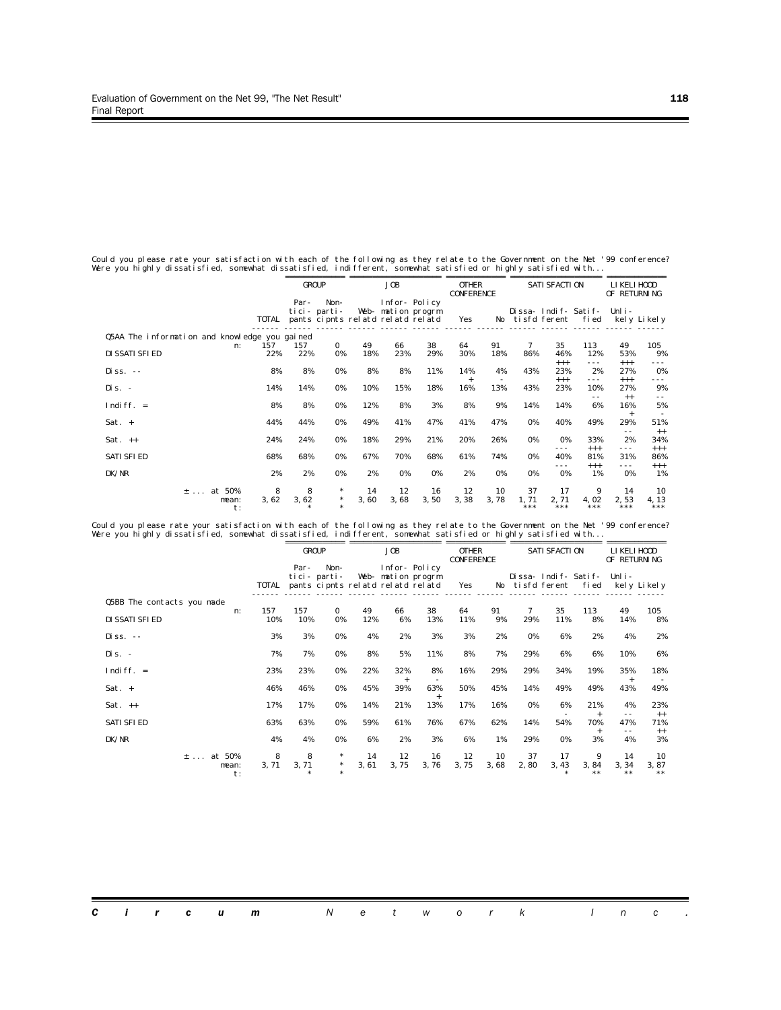|  |  | Could you please rate your satisfaction with each of the following as they relate to the Government on the Net '99 conference? |  |  |  |  |  |  |  |
|--|--|--------------------------------------------------------------------------------------------------------------------------------|--|--|--|--|--|--|--|
|  |  | Were you highly dissatisfied, somewhat dissatisfied, indifferent, somewhat satisfied or highly satisfied with                  |  |  |  |  |  |  |  |

|                                               |                                |                | <b>GROUP</b>        |           | <b>JOB</b> |                                                                             | <b>OTHER</b><br><b>CONFERENCE</b> |           |             | <b>SATI SFACTI ON</b> |                      | LI KELI HOOD<br>OF RETURNING |                 |
|-----------------------------------------------|--------------------------------|----------------|---------------------|-----------|------------|-----------------------------------------------------------------------------|-----------------------------------|-----------|-------------|-----------------------|----------------------|------------------------------|-----------------|
|                                               | TOTAL                          | Par-           | Non-<br>tici-parti- |           |            | Infor-Policy<br>Web- mation progrm<br>pants cipnts relatd relatd relatd Yes |                                   |           |             | Dissa-Indif-Satif-    | No tisfd ferent fied | Unli-                        | kel y Likel y   |
| Q5AA The information and knowledge you gained |                                |                |                     |           |            |                                                                             |                                   |           |             |                       |                      |                              |                 |
| DI SSATI SFI ED                               | 157<br>n:<br>22%               | 157<br>22%     | 0<br>0%             | 49<br>18% | 66<br>23%  | 38<br>29%                                                                   | 64<br>30%                         | 91<br>18% | 7<br>86%    | 35<br>46%             | 113<br>12%           | 49<br>53%                    | 105<br>9%       |
| $DisS. -$                                     | 8%                             | 8%             | 0%                  | 8%        | 8%         | 11%                                                                         | 14%                               | 4%        | 43%         | $^{+++}$<br>23%       | - - -<br>2%          | $^{+++}$<br>27%              | - - -<br>0%     |
| $Dis. -$                                      | 14%                            | 14%            | 0%                  | 10%       | 15%        | 18%                                                                         | $\ddot{}$<br>16%                  | 13%       | 43%         | $^{+++}$<br>23%       | $- - -$<br>10%       | $^{+++}$<br>27%              | $- - -$<br>9%   |
| Indiff. $=$                                   | 8%                             | 8%             | 0%                  | 12%       | 8%         | 3%                                                                          | 8%                                | 9%        | 14%         | 14%                   | $ -$<br>6%           | $^{++}$<br>16%               | $ -$<br>5%      |
| Sat. $+$                                      | 44%                            | 44%            | 0%                  | 49%       | 41%        | 47%                                                                         | 41%                               | 47%       | 0%          | 40%                   | 49%                  | $\ddot{}$<br>29%             | 51%             |
| Sat. $++$                                     | 24%                            | 24%            | 0%                  | 18%       | 29%        | 21%                                                                         | 20%                               | 26%       | 0%          | 0%                    | 33%                  | $ -$<br>2%                   | $^{++}$<br>34%  |
| <b>SATI SFI ED</b>                            | 68%                            | 68%            | 0%                  | 67%       | 70%        | 68%                                                                         | 61%                               | 74%       | $0\%$       | ---<br>40%            | $+++$<br>81%         | $- - -$<br>31%               | $^{+++}$<br>86% |
| DK/NR                                         | 2%                             | 2%             | 0%                  | 2%        | 0%         | 0%                                                                          | 2%                                | 0%        | 0%          | - - -<br>0%           | $+++$<br>1%          | $- - -$<br>0%                | $+++$<br>1%     |
| $\pm$ at 50%:                                 | 8                              | 8              | *                   | 14        | 12         | 16                                                                          | 12                                | 10        | 37          | 17                    | 9                    | 14                           | 10              |
|                                               | 3, 62<br>mean:<br>$\mathbf{f}$ | 3,62<br>$\ast$ | $\ast$<br>$\ast$    | 3,60      | 3,68       | 3,50                                                                        | 3,38                              | 3,78      | 1,71<br>*** | 2, 71<br>***          | 4, 02<br>***         | 2,53<br>***                  | 4, 13<br>***    |

Could you please rate your satisfaction with each of the following as they relate to the Government on the Net '99 conference?<br>Were you highly dissatisfied, somewhat dissatisfied, indifferent, somewhat satisfied or highly

|                            |                |              | <b>GROUP</b> |                            |             | <b>JOB</b>       |                                                                             | <b>OTHER</b><br><b>CONFERENCE</b> |            |            | SATI SFACTI ON     |                      | LI KELI HOOD<br>OF RETURNING |                    |
|----------------------------|----------------|--------------|--------------|----------------------------|-------------|------------------|-----------------------------------------------------------------------------|-----------------------------------|------------|------------|--------------------|----------------------|------------------------------|--------------------|
|                            |                | <b>TOTAL</b> | Par-         | Non-<br>tici-parti-        |             |                  | Infor-Policy<br>Web- mation progrm<br>pants cipnts relatd relatd relatd Yes |                                   |            |            | Dissa-Indif-Satif- | No tisfd ferent fied | Unli-                        | kel y Likel y      |
| Q5BB The contacts you made |                |              |              |                            |             |                  |                                                                             |                                   |            |            |                    |                      |                              |                    |
| DI SSATI SFI ED            | n:             | 157<br>10%   | 157<br>10%   | $\mathbf{0}$<br>0%         | 49<br>12%   | 66<br>6%         | 38<br>13%                                                                   | 64<br>11%                         | 91<br>9%   | 7<br>29%   | 35<br>11%          | 113<br>8%            | 49<br>14%                    | 105<br>8%          |
| $DisS. - -$                |                | 3%           | 3%           | 0%                         | 4%          | 2%               | 3%                                                                          | 3%                                | 2%         | 0%         | 6%                 | 2%                   | 4%                           | 2%                 |
| $Dis. -$                   |                | 7%           | 7%           | 0%                         | 8%          | 5%               | 11%                                                                         | 8%                                | 7%         | 29%        | 6%                 | 6%                   | 10%                          | 6%                 |
| Indiff. $=$                |                | 23%          | 23%          | 0%                         | 22%         | 32%<br>$\ddot{}$ | 8%                                                                          | 16%                               | 29%        | 29%        | 34%                | 19%                  | 35%<br>$+$                   | 18%                |
| Sat. $+$                   |                | 46%          | 46%          | 0%                         | 45%         | 39%              | 63%<br>$\ddot{}$                                                            | 50%                               | 45%        | 14%        | 49%                | 49%                  | 43%                          | 49%                |
| Sat. $++$                  |                | 17%          | 17%          | 0%                         | 14%         | 21%              | 13%                                                                         | 17%                               | 16%        | 0%         | 6%                 | 21%                  | 4%                           | 23%                |
| <b>SATI SFIED</b>          |                | 63%          | 63%          | 0%                         | 59%         | 61%              | 76%                                                                         | 67%                               | 62%        | 14%        | 54%                | $+$<br>70%           | $- -$<br>47%                 | $^{++}$<br>71%     |
| DK/NR                      |                | 4%           | 4%           | <b>0%</b>                  | 6%          | 2%               | 3%                                                                          | 6%                                | 1%         | 29%        | 0%                 | $+$<br>3%            | $ -$<br>4%                   | $^{++}$<br>3%      |
| at 50%:<br>$\pm$           | mean:<br>$t$ : | 8<br>3, 71   | 8<br>3,71    | $\ast$<br>$\ast$<br>$\ast$ | 14<br>3, 61 | 12<br>3, 75      | 16<br>3,76                                                                  | 12<br>3,75                        | 10<br>3,68 | 37<br>2,80 | 17<br>3,43         | 9<br>3, 84<br>**     | 14<br>3, 34<br>**            | 10<br>3,87<br>$**$ |

<u> a shekara ta 1989</u>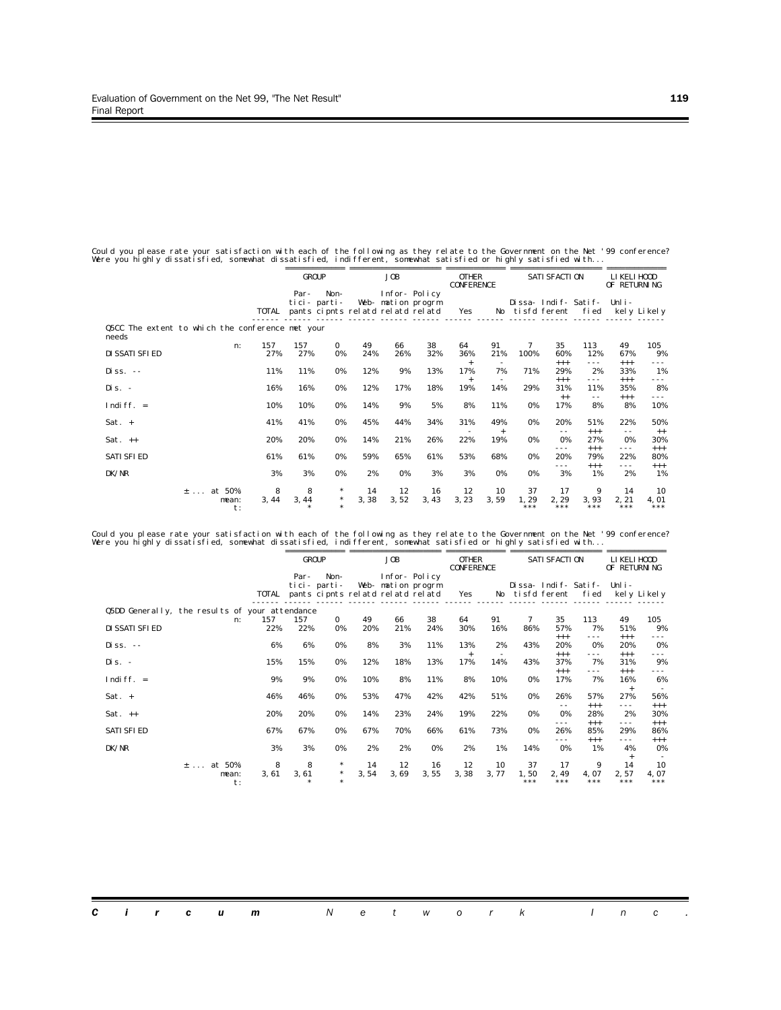|  |  | Could you please rate your satisfaction with each of the following as they relate to the Government on the Net '99 conference? |  |  |  |  |  |  |
|--|--|--------------------------------------------------------------------------------------------------------------------------------|--|--|--|--|--|--|
|  |  | Were you highly dissatisfied, somewhat dissatisfied, indifferent, somewhat satisfied or highly satisfied with                  |  |  |  |  |  |  |

|                                                           |                                 |              |                      | <b>GROUP</b>          |             | <b>JOB</b>  |                                    | <b>OTHER</b><br><b>CONFERENCE</b>     |                                 |                    | <b>SATI SFACTI ON</b> |                      | LI KELI HOOD<br>OF RETURNING |                    |
|-----------------------------------------------------------|---------------------------------|--------------|----------------------|-----------------------|-------------|-------------|------------------------------------|---------------------------------------|---------------------------------|--------------------|-----------------------|----------------------|------------------------------|--------------------|
|                                                           |                                 | <b>TOTAL</b> | Par-                 | Non-<br>tici-parti-   |             |             | Infor-Policy<br>Web- mation progrm | pants cipnts relatd relatd relatd Yes |                                 |                    | Dissa-Indif-Satif-    | No tisfd ferent fied | Unli $-$                     | kel y Likel y      |
| Q5CC The extent to which the conference met your<br>needs |                                 |              |                      |                       |             |             |                                    |                                       |                                 |                    |                       |                      |                              |                    |
| DI SSATI SFI ED                                           | n:                              | 157<br>27%   | 157<br>27%           | $\mathbf{0}$<br>0%    | 49<br>24%   | 66<br>26%   | 38<br>32%                          | 64<br>36%                             | 91<br>21%                       | 7<br>100%          | 35<br>60%             | 113<br>12%           | 49<br>67%                    | 105<br>9%          |
| $DisS. - -$                                               |                                 | 11%          | 11%                  | 0%                    | 12%         | 9%          | 13%                                | $\ddot{}$<br>17%                      | $\overline{\phantom{a}}$<br>7%  | 71%                | $+++$<br>29%          | $\cdots$<br>2%       | $^{+++}$<br>33%              | - - -<br>1%        |
| $Dis. -$                                                  |                                 | 16%          | 16%                  | 0%                    | 12%         | 17%         | 18%                                | $\ddot{}$<br>19%                      | $\overline{\phantom{a}}$<br>14% | 29%                | $^{+++}$<br>31%       | $- - -$<br>11%       | $^{+++}$<br>35%              | $- - -$<br>8%      |
| Indiff. $=$                                               |                                 | 10%          | 10%                  | 0%                    | 14%         | 9%          | 5%                                 | 8%                                    | 11%                             | 0%                 | $^{++}$<br>17%        | $ -$<br>8%           | $^{+++}$<br>8%               | - - -<br>10%       |
| Sat. $+$                                                  |                                 | 41%          | 41%                  | 0%                    | 45%         | 44%         | 34%                                | 31%                                   | 49%                             | 0%                 | 20%                   | 51%                  | 22%                          | 50%                |
| Sat. $++$                                                 |                                 | 20%          | 20%                  | 0%                    | 14%         | 21%         | 26%                                | 22%                                   | $+$<br>19%                      | 0%                 | $- -$<br>0%           | $^{+++}$<br>27%      | $- -$<br>0%                  | $^{++}$<br>30%     |
| <b>SATI SFIED</b>                                         |                                 | 61%          | 61%                  | 0%                    | 59%         | 65%         | 61%                                | 53%                                   | 68%                             | 0%                 | $- - -$<br>20%        | $^{+++}$<br>79%      | $- - -$<br>22%               | $^{+++}$<br>80%    |
| DK/NR                                                     |                                 | 3%           | 3%                   | 0%                    | 2%          | 0%          | 3%                                 | 3%                                    | 0%                              | 0%                 | $- - -$<br>3%         | $+++$<br>1%          | $- - -$<br>2%                | $^{+++}$<br>1%     |
|                                                           | $\pm$ at 50%:<br>mean:<br>$t$ : | 8<br>3,44    | 8<br>3, 44<br>$\ast$ | *<br>$\ast$<br>$\ast$ | 14<br>3, 38 | 12<br>3, 52 | 16<br>3, 43                        | 12<br>3, 23                           | 10<br>3,59                      | 37<br>1, 29<br>*** | 17<br>2, 29<br>***    | 9<br>3,93<br>***     | 14<br>2, 21<br>***           | 10<br>4, 01<br>*** |

|                                                |               |       |                  |                | <b>GROUP</b>        |           | <b>JOB</b>   |                                   | <b>OTHER</b><br><b>CONFERENCE</b> |           |             | <b>SATI SFACTI ON</b> |                 | LI KELI HOOD<br>OF RETURNING |                 |
|------------------------------------------------|---------------|-------|------------------|----------------|---------------------|-----------|--------------|-----------------------------------|-----------------------------------|-----------|-------------|-----------------------|-----------------|------------------------------|-----------------|
|                                                |               |       |                  | Par-           | Non-<br>tici-parti- |           | Infor-Policy | Web- mation progrm                |                                   |           |             | Dissa-Indif-Satif-    |                 | Unli-                        |                 |
|                                                |               |       | TOTAL            |                |                     |           |              | pants cipnts relatd relatd relatd | Yes                               |           |             | No tisfd ferent       | fi ed           |                              | kely Likely     |
| Q5DD Generally, the results of your attendance |               |       |                  |                |                     |           |              |                                   |                                   |           |             |                       |                 |                              |                 |
| DI SSATI SFI ED                                |               |       | 157<br>n:<br>22% | 157<br>22%     | $\mathbf{0}$<br>0%  | 49<br>20% | 66<br>21%    | 38<br>24%                         | 64<br>30%                         | 91<br>16% | 7<br>86%    | 35<br>57%             | 113<br>7%       | 49<br>51%                    | 105<br>9%       |
| $DisS. - -$                                    |               |       | 6%               | 6%             | 0%                  | 8%        | 3%           | 11%                               | 13%                               | 2%        | 43%         | $^{+++}$<br>20%       | - - -<br>0%     | $^{+++}$<br>20%              | - - -<br>0%     |
| $Dis. -$                                       |               |       | 15%              | 15%            | 0%                  | 12%       | 18%          | 13%                               | $\ddot{}$<br>17%                  | 14%       | 43%         | $^{+++}$<br>37%       | $- - -$<br>7%   | $^{+++}$<br>31%              | - - -<br>9%     |
| Indiff. $=$                                    |               |       | 9%               | 9%             | 0%                  | 10%       | 8%           | 11%                               | 8%                                | 10%       | 0%          | $^{+++}$<br>17%       | $- - -$<br>7%   | $^{+++}$<br>16%              | - - -<br>6%     |
| Sat. $+$                                       |               |       | 46%              | 46%            | 0%                  | 53%       | 47%          | 42%                               | 42%                               | 51%       | 0%          | 26%                   | 57%             | $+$<br>27%                   | 56%             |
| Sat. $++$                                      |               |       | 20%              | 20%            | 0%                  | 14%       | 23%          | 24%                               | 19%                               | 22%       | 0%          | $- -$<br>0%           | $^{+++}$<br>28% | $- - -$<br>2%                | $^{+++}$<br>30% |
| <b>SATI SFIED</b>                              |               |       | 67%              | 67%            | 0%                  | 67%       | 70%          | 66%                               | 61%                               | 73%       | 0%          | ---<br>26%            | $^{+++}$<br>85% | $- - -$<br>29%               | $^{+++}$<br>86% |
| DK/NR                                          |               |       | 3%               | 3%             | 0%                  | 2%        | 2%           | 0%                                | 2%                                | 1%        | 14%         | - - -<br>0%           | $^{+++}$<br>1%  | ---<br>4%                    | $^{+++}$<br>0%  |
|                                                | $\pm$ at 50%: |       | 8                | 8              | $\ast$              | 14        | 12           | 16                                | 12                                | 10        | 37          | 17                    | 9               | $+$<br>14                    | 10              |
|                                                |               | mean: | 3,61<br>$t$ :    | 3,61<br>$\ast$ | $\ast$<br>$\ast$    | 3, 54     | 3,69         | 3,55                              | 3,38                              | 3,77      | 1,50<br>*** | 2, 49<br>***          | 4,07<br>***     | 2,57<br>***                  | 4,07<br>***     |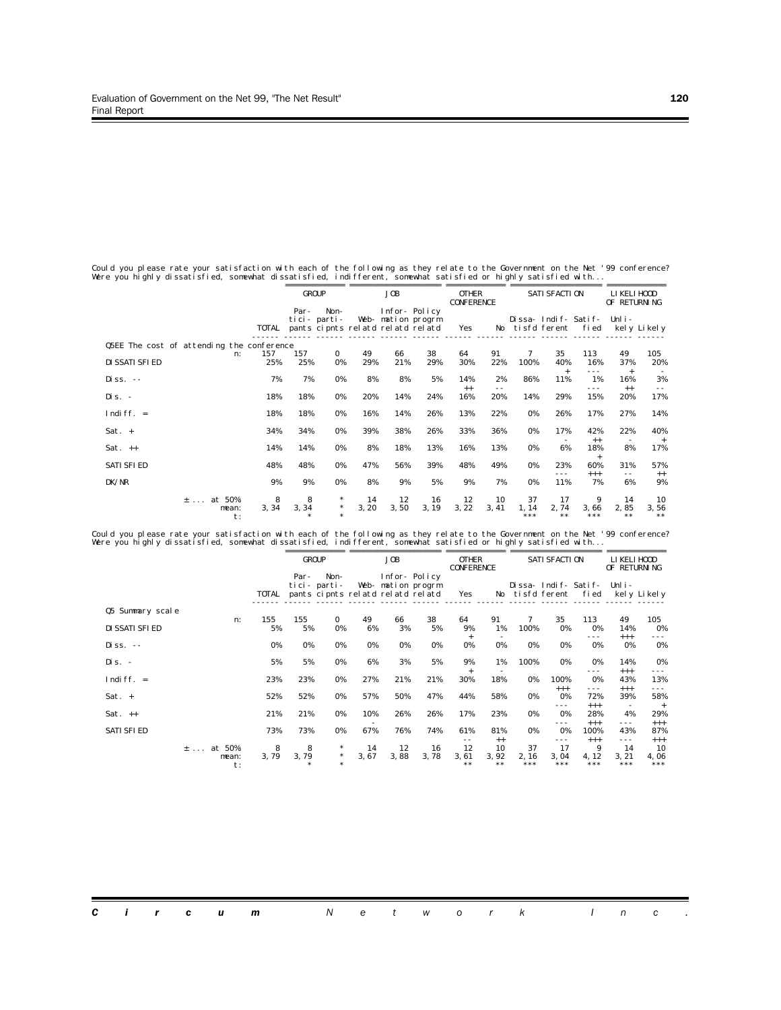|                                           |                      |       | <b>GROUP</b> |       | <b>JOB</b>   |                                       | <b>OTHER</b>      |               |                 | <b>SATI SFACTI ON</b> |                                                                                   | LI KELI HOOD |               |
|-------------------------------------------|----------------------|-------|--------------|-------|--------------|---------------------------------------|-------------------|---------------|-----------------|-----------------------|-----------------------------------------------------------------------------------|--------------|---------------|
|                                           |                      |       |              |       |              |                                       | <b>CONFERENCE</b> |               |                 |                       |                                                                                   | OF RETURNING |               |
|                                           |                      | Par-  | Non-         |       | Infor-Policy |                                       |                   |               |                 |                       |                                                                                   |              |               |
|                                           |                      |       | tici-parti-  |       |              | Web- mation progrm                    |                   |               |                 |                       | Dissa-Indif-Satif-                                                                | Unli-        |               |
|                                           | <b>TOTAL</b>         |       |              |       |              | pants cipnts relatd relatd relatd Yes |                   |               | No tisfd ferent |                       | fi ed                                                                             |              | kel y Likel y |
|                                           |                      |       |              |       |              |                                       |                   |               |                 |                       |                                                                                   |              |               |
| Q5EE The cost of attending the conference |                      |       |              |       |              |                                       |                   |               |                 |                       |                                                                                   |              |               |
|                                           | 157<br>n:            | 157   | $\mathbf{0}$ | 49    | 66           | 38                                    | 64                | 91            | 7               | 35                    | 113                                                                               | 49           | 105           |
| DI SSATI SFI ED                           | 25%                  | 25%   | 0%           | 29%   | 21%          | 29%                                   | 30%               | 22%           | 100%            | 40%                   | 16%                                                                               | 37%          | 20%           |
|                                           |                      |       |              |       |              |                                       |                   |               |                 | $^{+}$                | $- - -$                                                                           | $^{+}$       |               |
| $DisS. -$                                 | 7%                   | 7%    | 0%           | 8%    | 8%           | 5%                                    | 14%               | 2%            | 86%             | 11%                   | 1%                                                                                | 16%          | 3%            |
|                                           |                      |       |              |       |              |                                       | $^{++}$           | $\frac{1}{2}$ |                 |                       | $\frac{1}{2} \left( \frac{1}{2} \right) \left( \frac{1}{2} \right) = \frac{1}{2}$ | $^{++}$      |               |
| $Dis. -$                                  | 18%                  | 18%   | 0%           | 20%   | 14%          | 24%                                   | 16%               | 20%           | 14%             | 29%                   | 15%                                                                               | 20%          | 17%           |
|                                           |                      |       |              |       |              |                                       |                   |               |                 |                       |                                                                                   |              |               |
| Indiff. $=$                               | 18%                  | 18%   | 0%           | 16%   | 14%          | 26%                                   | 13%               | 22%           | 0%              | 26%                   | 17%                                                                               | 27%          | 14%           |
|                                           |                      |       |              |       |              |                                       |                   |               |                 |                       |                                                                                   |              |               |
| Sat. $+$                                  | 34%                  | 34%   | 0%           | 39%   | 38%          | 26%                                   | 33%               | 36%           | 0%              | 17%                   | 42%                                                                               | 22%          | 40%           |
|                                           |                      |       |              |       |              |                                       |                   |               |                 |                       | $^{++}$                                                                           |              | $+$           |
| Sat. $++$                                 | 14%                  | 14%   | 0%           | 8%    | 18%          | 13%                                   | 16%               | 13%           | 0%              | 6%                    | 18%                                                                               | 8%           | 17%           |
|                                           |                      |       |              |       |              |                                       |                   |               |                 |                       | $+$                                                                               |              |               |
| <b>SATI SFIED</b>                         | 48%                  | 48%   | 0%           | 47%   | 56%          | 39%                                   | 48%               | 49%           | 0%              | 23%                   | 60%                                                                               | 31%          | 57%           |
|                                           |                      |       |              |       |              |                                       |                   |               |                 | ---                   | $^{+++}$                                                                          | $ -$         | $^{++}$       |
| DK/NR                                     | 9%                   | 9%    | 0%           | 8%    | 9%           | 5%                                    | 9%                | 7%            | 0%              | 11%                   | 7%                                                                                | 6%           | 9%            |
|                                           |                      |       |              |       |              |                                       |                   |               |                 |                       |                                                                                   |              |               |
| $\pm$ at 50%:                             | 8                    | 8     | *            | 14    | 12           | 16                                    | 12                | 10            | 37              | 17                    | 9                                                                                 | 14           | 10            |
|                                           | 3, 34<br>mean:       | 3, 34 | $\ast$       | 3, 20 | 3,50         | 3, 19                                 | 3, 22             | 3, 41         | 1, 14           | 2,74                  | 3,66                                                                              | 2,85         | 3, 56         |
|                                           | $\ddot{\phantom{1}}$ | *     | *            |       |              |                                       |                   |               | ***             | **                    | ***                                                                               | **           | $* *$         |

|                    |                                 |           |                     | <b>GROUP</b>          |             | <b>JOB</b> |                                                                               | <b>OTHER</b><br><b>CONFERENCE</b> |                                 |                    | <b>SATI SFACTI ON</b> |                             | LI KELI HOOD<br>OF RETURNING |                       |
|--------------------|---------------------------------|-----------|---------------------|-----------------------|-------------|------------|-------------------------------------------------------------------------------|-----------------------------------|---------------------------------|--------------------|-----------------------|-----------------------------|------------------------------|-----------------------|
|                    |                                 |           | Par-                | Non-<br>tici-parti-   |             |            | Infor-Policy<br>Web- mation progrm<br>TOTAL pants cipnts relatd relatd relatd | Yes                               |                                 | No tisfd ferent    |                       | Dissa-Indif-Satif-<br>fi ed | Unli-                        | kel y Likel y         |
| 05 Summary scale   |                                 |           |                     |                       |             |            |                                                                               |                                   |                                 |                    |                       |                             |                              |                       |
| DI SSATI SFI ED    | n:                              | 155<br>5% | 155<br>5%           | $\bf{0}$<br>0%        | 49<br>6%    | 66<br>3%   | 38<br>5%                                                                      | 64<br>9%                          | 91<br>1%                        | 7<br>100%          | 35<br>0%              | 113<br>0%                   | 49<br>14%                    | 105<br>0%             |
| $Dis. -$           |                                 | 0%        | 0%                  | 0%                    | 0%          | 0%         | 0%                                                                            | $\ddot{}$<br>0%                   | $\overline{\phantom{a}}$<br>0%  | 0%                 | 0%                    | $- - -$<br>0%               | $^{+++}$<br>0%               | 0%                    |
| $Dis. -$           |                                 | 5%        | 5%                  | 0%                    | 6%          | 3%         | 5%                                                                            | 9%                                | 1%                              | 100%               | 0%                    | 0%                          | 14%                          | 0%                    |
| Indiff. $=$        |                                 | 23%       | 23%                 | 0%                    | 27%         | 21%        | 21%                                                                           | $\ddot{}$<br>30%                  | $\overline{\phantom{a}}$<br>18% | 0%                 | 100%                  | - - -<br>0%                 | $^{+++}$<br>43%              | 13%                   |
| Sat. $+$           |                                 | 52%       | 52%                 | 0%                    | 57%         | 50%        | 47%                                                                           | 44%                               | 58%                             | 0%                 | $^{+++}$<br>0%<br>--- | $- - -$<br>72%              | $^{+++}$<br>39%              | $- - -$<br>58%<br>$+$ |
| Sat. $++$          |                                 | 21%       | 21%                 | 0%                    | 10%         | 26%        | 26%                                                                           | 17%                               | 23%                             | 0%                 | 0%<br>---             | $^{+++}$<br>28%<br>$^{+++}$ | 4%<br>$- - -$                | 29%<br>$^{+++}$       |
| <b>SATI SFI ED</b> |                                 | 73%       | 73%                 | 0%                    | 67%         | 76%        | 74%                                                                           | 61%<br>$ -$                       | 81%<br>$^{++}$                  | 0%                 | 0%<br>$- - -$         | 100%<br>$^{+++}$            | 43%<br>$\cdots$              | 87%<br>$^{+++}$       |
|                    | $\pm$ at 50%:<br>mean:<br>$+$ . | 8<br>3,79 | 8<br>3,79<br>$\ast$ | *<br>$\ast$<br>$\ast$ | 14<br>3, 67 | 12<br>3,88 | 16<br>3,78                                                                    | 12<br>3,61<br>**                  | 10<br>3, 92<br>**               | 37<br>2, 16<br>*** | 17<br>3, 04<br>***    | 9<br>4, 12<br>***           | 14<br>3, 21<br>***           | 10<br>4,06<br>***     |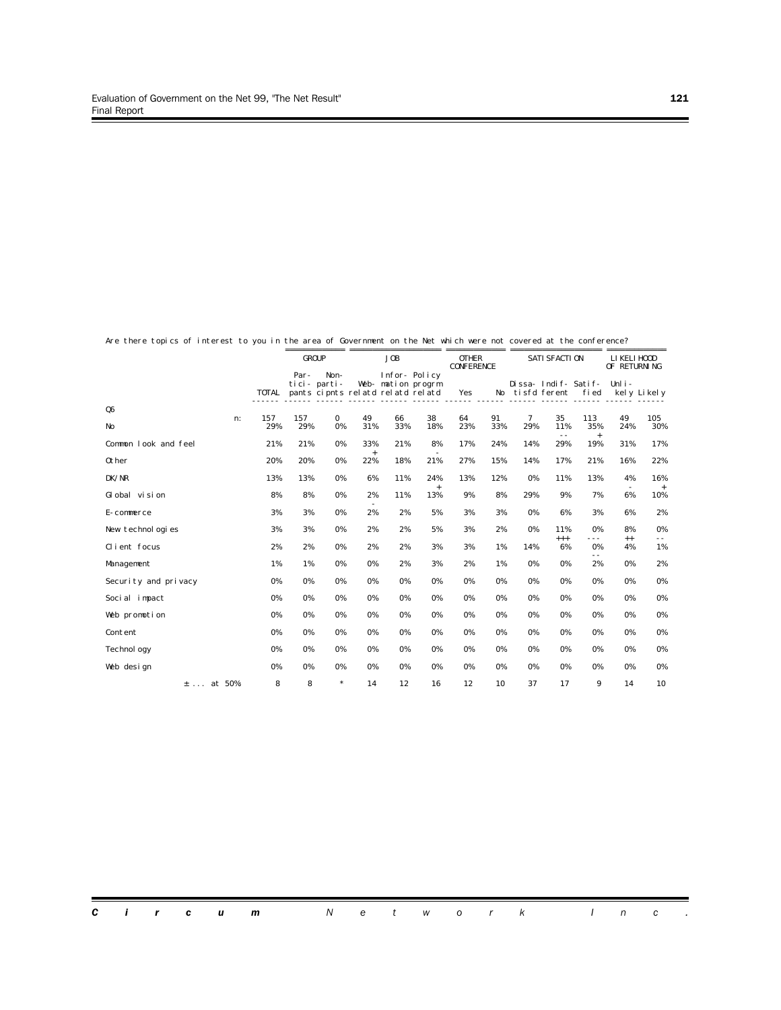|                      |               |              | <b>GROUP</b> |                     | ==== ========    | J0B |                                    | <b>OTHER</b><br><b>CONFERENCE</b> |     |                 | <b>SATI SFACTI ON</b> |                    | LI KELI HOOD<br>OF RETURNING |             |
|----------------------|---------------|--------------|--------------|---------------------|------------------|-----|------------------------------------|-----------------------------------|-----|-----------------|-----------------------|--------------------|------------------------------|-------------|
|                      |               |              | Par-         | Non-<br>tici-parti- |                  |     | Infor-Policy<br>Web- mation progrm |                                   |     |                 |                       | Dissa-Indif-Satif- | Unli-                        |             |
|                      |               | <b>TOTAL</b> |              |                     |                  |     | pants cipnts relatd relatd relatd  | Yes                               |     | No tisfd ferent |                       | fied               |                              | kely Likely |
| 06                   | n:            | 157          | 157          | $\bf{0}$            | 49               | 66  | 38                                 | 64                                | 91  | $\tau$          | 35                    | 113                | 49                           | 105         |
| No                   |               | 29%          | 29%          | 0%                  | 31%              | 33% | 18%                                | 23%                               | 33% | 29%             | 11%                   | 35%                | 24%                          | 30%         |
| Common look and feel |               | 21%          | 21%          | 0%                  | 33%              | 21% | 8%                                 | 17%                               | 24% | 14%             | $\sim$ $-$<br>29%     | $+$<br>19%         | 31%                          | 17%         |
| 0ther                |               | 20%          | 20%          | 0%                  | $\ddot{}$<br>22% | 18% | 21%                                | 27%                               | 15% | 14%             | 17%                   | 21%                | 16%                          | 22%         |
| DK/NR                |               | 13%          | 13%          | 0%                  | 6%               | 11% | 24%                                | 13%                               | 12% | 0%              | 11%                   | 13%                | 4%                           | 16%<br>$+$  |
| Global vision        |               | 8%           | 8%           | 0%                  | 2%               | 11% | $\ddot{}$<br>13%                   | 9%                                | 8%  | 29%             | 9%                    | 7%                 | 6%                           | 10%         |
| E-commerce           |               | 3%           | 3%           | 0%                  | 2%               | 2%  | 5%                                 | 3%                                | 3%  | 0%              | 6%                    | 3%                 | 6%                           | 2%          |
| New technologies     |               | 3%           | 3%           | 0%                  | 2%               | 2%  | 5%                                 | 3%                                | 2%  | 0%              | 11%                   | 0%<br>$- - -$      | 8%                           | 0%<br>$- -$ |
| Client focus         |               | 2%           | 2%           | 0%                  | 2%               | 2%  | 3%                                 | 3%                                | 1%  | 14%             | $^{+++}$<br>6%        | 0%<br>$- -$        | $^{++}$<br>4%                | 1%          |
| Management           |               | 1%           | 1%           | 0%                  | 0%               | 2%  | 3%                                 | 2%                                | 1%  | 0%              | 0%                    | 2%                 | $0\%$                        | $2\%$       |
| Security and privacy |               | 0%           | 0%           | 0%                  | 0%               | 0%  | 0%                                 | 0%                                | 0%  | 0%              | 0%                    | 0%                 | 0%                           | 0%          |
| Social impact        |               | 0%           | 0%           | 0%                  | 0%               | 0%  | 0%                                 | 0%                                | 0%  | 0%              | 0%                    | 0%                 | 0%                           | 0%          |
| Web promotion        |               | 0%           | 0%           | 0%                  | 0%               | 0%  | 0%                                 | 0%                                | 0%  | 0%              | 0%                    | 0%                 | 0%                           | 0%          |
| Content              |               | 0%           | 0%           | 0%                  | 0%               | 0%  | 0%                                 | 0%                                | 0%  | 0%              | 0%                    | 0%                 | 0%                           | 0%          |
| Technol ogy          |               | 0%           | 0%           | 0%                  | 0%               | 0%  | 0%                                 | 0%                                | 0%  | 0%              | 0%                    | 0%                 | 0%                           | 0%          |
| Web design           |               | 0%           | 0%           | 0%                  | 0%               | 0%  | 0%                                 | 0%                                | 0%  | 0%              | 0%                    | 0%                 | 0%                           | 0%          |
|                      | $\pm$ at 50%: | 8            | 8            | $\ast$              | 14               | 12  | 16                                 | 12                                | 10  | 37              | 17                    | 9                  | 14                           | 10          |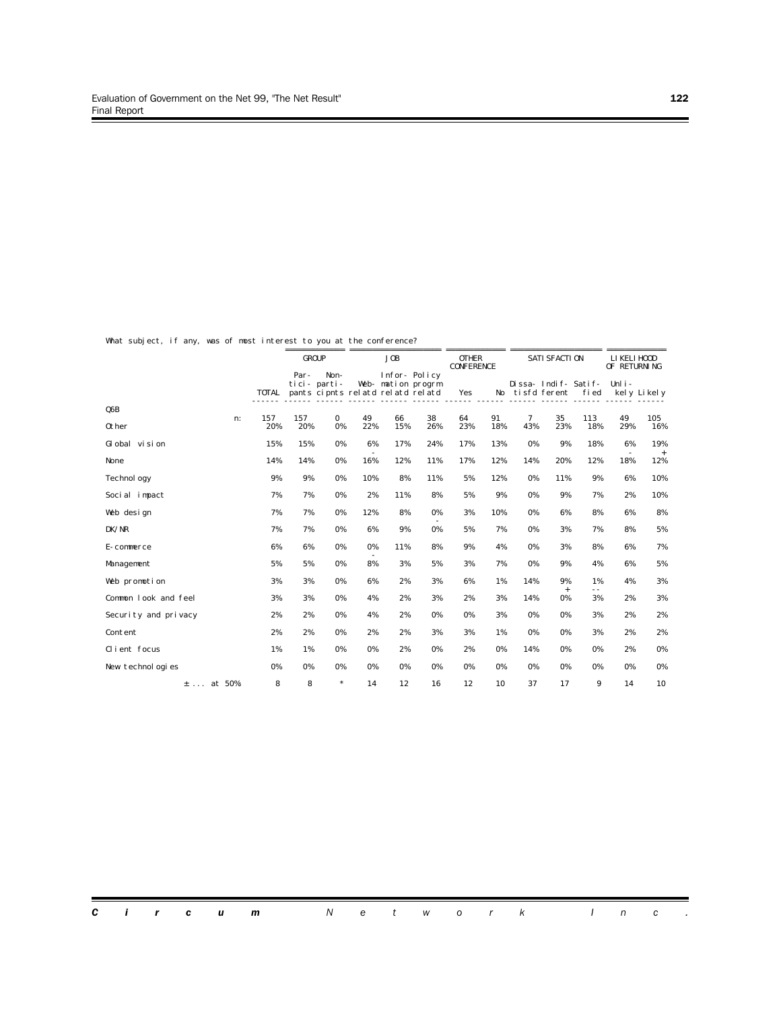| What subject, if any, was of most interest to you at the conference?<br>======================<br><b>GROUP</b> |            |            |                     |           |           |                                                                               |                                   |                |               |                 |                             |                              |                  |
|----------------------------------------------------------------------------------------------------------------|------------|------------|---------------------|-----------|-----------|-------------------------------------------------------------------------------|-----------------------------------|----------------|---------------|-----------------|-----------------------------|------------------------------|------------------|
|                                                                                                                |            |            |                     |           | JOB.      |                                                                               | <b>OTHER</b><br><b>CONFERENCE</b> | =========== == |               | SATI SFACTI ON  |                             | LI KELI HOOD<br>OF RETURNING |                  |
|                                                                                                                |            | Par-       | Non-<br>tici-parti- |           |           | Infor-Policy<br>Web- mation progrm<br>TOTAL pants cipnts relatd relatd relatd | Yes                               |                |               | No tisfd ferent | Dissa-Indif-Satif-<br>fi ed | Unli-                        | kel y Likel y    |
| Q6B                                                                                                            |            |            |                     |           |           |                                                                               |                                   |                |               |                 |                             |                              |                  |
| n:<br>0ther                                                                                                    | 157<br>20% | 157<br>20% | $\bf{0}$<br>0%      | 49<br>22% | 66<br>15% | 38<br>26%                                                                     | 64<br>23%                         | 91<br>18%      | $\tau$<br>43% | 35<br>23%       | 113<br>18%                  | 49<br>29%                    | 105<br>16%       |
| Global vision                                                                                                  | 15%        | 15%        | 0%                  | 6%        | 17%       | 24%                                                                           | 17%                               | 13%            | 0%            | 9%              | 18%                         | 6%                           | 19%<br>$\ddot{}$ |
| None                                                                                                           | 14%        | 14%        | 0%                  | 16%       | 12%       | 11%                                                                           | 17%                               | 12%            | 14%           | 20%             | 12%                         | 18%                          | 12%              |
| <b>Technol</b> ogy                                                                                             | 9%         | 9%         | 0%                  | 10%       | 8%        | 11%                                                                           | 5%                                | 12%            | 0%            | 11%             | 9%                          | 6%                           | 10%              |
| Social impact                                                                                                  | 7%         | 7%         | 0%                  | 2%        | 11%       | 8%                                                                            | 5%                                | 9%             | 0%            | 9%              | 7%                          | 2%                           | 10%              |
| Web design                                                                                                     | 7%         | 7%         | 0%                  | 12%       | 8%        | 0%                                                                            | 3%                                | 10%            | 0%            | 6%              | 8%                          | 6%                           | 8%               |
| DK/NR                                                                                                          | 7%         | 7%         | 0%                  | 6%        | 9%        | 0%                                                                            | 5%                                | 7%             | 0%            | 3%              | 7%                          | 8%                           | 5%               |
| E-commerce                                                                                                     | 6%         | 6%         | 0%                  | 0%        | 11%       | 8%                                                                            | 9%                                | 4%             | 0%            | 3%              | 8%                          | 6%                           | 7%               |
| Management                                                                                                     | 5%         | 5%         | 0%                  | 8%        | 3%        | 5%                                                                            | 3%                                | 7%             | 0%            | 9%              | 4%                          | 6%                           | 5%               |
| Web promotion                                                                                                  | 3%         | 3%         | 0%                  | 6%        | 2%        | 3%                                                                            | 6%                                | 1%             | 14%           | 9%<br>$\ddot{}$ | 1%<br>44                    | 4%                           | 3%               |
| Common look and feel                                                                                           | 3%         | 3%         | 0%                  | 4%        | 2%        | 3%                                                                            | 2%                                | 3%             | 14%           | 0%              | 3%                          | 2%                           | $3\%$            |
| Security and privacy                                                                                           | 2%         | 2%         | 0%                  | 4%        | 2%        | 0%                                                                            | 0%                                | 3%             | 0%            | 0%              | 3%                          | 2%                           | $2\%$            |
| Content                                                                                                        | 2%         | 2%         | 0%                  | 2%        | 2%        | 3%                                                                            | 3%                                | 1%             | 0%            | 0%              | 3%                          | 2%                           | $2\%$            |
| Client focus                                                                                                   | 1%         | 1%         | 0%                  | 0%        | 2%        | 0%                                                                            | 2%                                | 0%             | 14%           | 0%              | 0%                          | 2%                           | 0%               |
| New technologies                                                                                               | 0%         | 0%         | 0%                  | 0%        | 0%        | 0%                                                                            | 0%                                | 0%             | 0%            | 0%              | 0%                          | 0%                           | 0%               |
| $\pm$ at 50%:                                                                                                  | 8          | 8          | $\ast$              | 14        | 12        | 16                                                                            | 12                                | 10             | 37            | 17              | 9                           | 14                           | 10               |

 $C$   $i$   $r$   $c$  ${\cal N}$  $\mathsf{e}% _{0}\left( \mathsf{e}\right)$  $t$  $r$  k  $1 \qquad n$  $\boldsymbol{u}$  $\mathbf{m}$  $\ensuremath{\mathsf{W}}\xspace$  $\circ$  $\mathbf c$  $\mathcal{L}$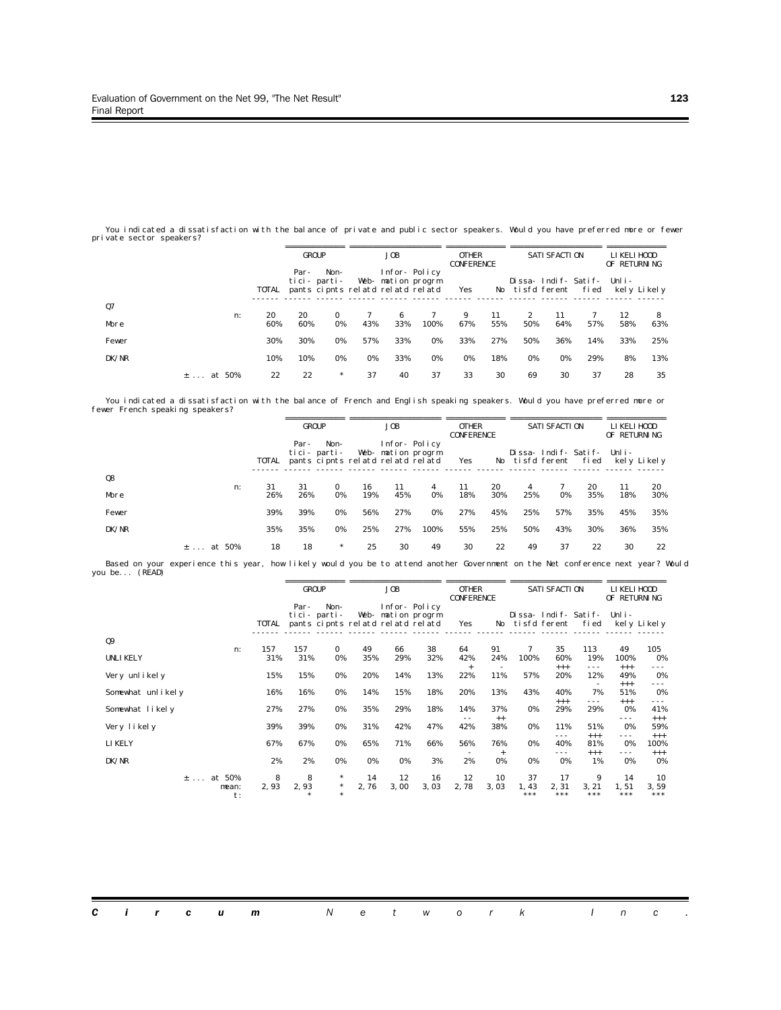You indicated a dissatisfaction with the balance of private and public sector speakers. Would you have preferred more or fewer<br>private sector speakers?

|       |               |           | <b>GROUP</b> |                     |     | <b>JOB</b>   |                                                         | <b>OTHER</b>      |           |                     | <b>SATI SFACTI ON</b> |                                            | <b>LIKELIHOOD</b> |               |
|-------|---------------|-----------|--------------|---------------------|-----|--------------|---------------------------------------------------------|-------------------|-----------|---------------------|-----------------------|--------------------------------------------|-------------------|---------------|
|       |               |           |              |                     |     |              |                                                         | <b>CONFERENCE</b> |           |                     |                       |                                            | OF RETURNING      |               |
|       |               | TOTAL     | Par-         | Non-<br>tici-parti- |     | Infor-Policy | Web- mation progrm<br>pants cipnts relatd relatd relatd | Yes               |           |                     |                       | Dissa-Indif-Satif-<br>No tisfd ferent fied | - Unl i           | kel y Likel y |
| Q7    |               |           |              |                     |     |              |                                                         |                   |           |                     |                       |                                            |                   |               |
| More  | n:            | 20<br>60% | 20<br>60%    | 0<br>0%             | 43% | 6<br>33%     | $\overline{7}$<br>100%                                  | 9<br>67%          | 11<br>55% | $\mathbf{2}$<br>50% | 11<br>64%             | 57%                                        | 12<br>58%         | 8<br>63%      |
| Fewer |               | 30%       | 30%          | 0%                  | 57% | 33%          | 0%                                                      | 33%               | 27%       | 50%                 | 36%                   | 14%                                        | 33%               | 25%           |
| DK/NR |               | 10%       | 10%          | 0%                  | 0%  | 33%          | 0%                                                      | 0%                | 18%       | 0%                  | 0%                    | 29%                                        | 8%                | 13%           |
|       | $\pm$ at 50%: | 22        | 22           | *                   | 37  | 40           | 37                                                      | 33                | 30        | 69                  | 30                    | 37                                         | 28                | 35            |

You indicated a dissatisfaction with the balance of French and English speaking speakers. Would you have preferred more or fewer French speaking speakers?

|       |               |       |      | <b>GROUP</b> |     |              |                                   |                   |     |     |                       |                      |                   |               |
|-------|---------------|-------|------|--------------|-----|--------------|-----------------------------------|-------------------|-----|-----|-----------------------|----------------------|-------------------|---------------|
|       |               |       |      |              |     | J0B          |                                   | <b>OTHER</b>      |     |     | <b>SATI SFACTI ON</b> |                      | <b>LIKELIHOOD</b> |               |
|       |               |       |      |              |     |              |                                   | <b>CONFERENCE</b> |     |     |                       |                      | OF RETURNING      |               |
|       |               |       | Par- | Non-         |     | Infor-Policy |                                   |                   |     |     |                       |                      |                   |               |
|       |               |       |      | tici-parti-  |     |              | Web- mation progrm                |                   |     |     |                       | Dissa-Indif-Satif-   | - Unli            |               |
|       |               | TOTAL |      |              |     |              | pants cipnts relatd relatd relatd | Yes               |     |     |                       | No tisfd ferent fied |                   | kel y Likel y |
| Q8    |               |       |      |              |     |              |                                   |                   |     |     |                       |                      |                   |               |
|       | n:            | 31    | 31   | $\Omega$     | 16  | 11           | 4                                 | 11                | 20  | 4   | 7                     | 20                   | 11                | 20            |
| More  |               | 26%   | 26%  | 0%           | 19% | 45%          | 0%                                | 18%               | 30% | 25% | 0%                    | 35%                  | 18%               | 30%           |
| Fewer |               | 39%   | 39%  | 0%           | 56% | 27%          | 0%                                | 27%               | 45% | 25% | 57%                   | 35%                  | 45%               | 35%           |
| DK/NR |               | 35%   | 35%  | 0%           | 25% | 27%          | 100%                              | 55%               | 25% | 50% | 43%                   | 30%                  | 36%               | 35%           |
|       | $\pm$ at 50%: | 18    | 18   | *            | 25  | 30           | 49                                | 30                | 22  | 49  | 37                    | 22                   | 30                | 22            |

Based on your experience this year, how likely would you be to attend another Government on the Net conference next year? Would you be... (READ)

|      |                                                                                  |                                                                                                                |                                              |                                                                                             |                                                                                                                                     |                                                                                                                                    |                                                                                                        |                                                                |                                                            | LI KELI HOOD                                                                                                                                            |                                                                                                 |
|------|----------------------------------------------------------------------------------|----------------------------------------------------------------------------------------------------------------|----------------------------------------------|---------------------------------------------------------------------------------------------|-------------------------------------------------------------------------------------------------------------------------------------|------------------------------------------------------------------------------------------------------------------------------------|--------------------------------------------------------------------------------------------------------|----------------------------------------------------------------|------------------------------------------------------------|---------------------------------------------------------------------------------------------------------------------------------------------------------|-------------------------------------------------------------------------------------------------|
|      |                                                                                  |                                                                                                                |                                              |                                                                                             |                                                                                                                                     |                                                                                                                                    |                                                                                                        |                                                                |                                                            |                                                                                                                                                         |                                                                                                 |
| Par- | Non-                                                                             |                                                                                                                |                                              |                                                                                             |                                                                                                                                     |                                                                                                                                    |                                                                                                        |                                                                |                                                            |                                                                                                                                                         |                                                                                                 |
|      |                                                                                  |                                                                                                                |                                              |                                                                                             |                                                                                                                                     |                                                                                                                                    |                                                                                                        |                                                                |                                                            |                                                                                                                                                         |                                                                                                 |
|      |                                                                                  |                                                                                                                |                                              |                                                                                             |                                                                                                                                     |                                                                                                                                    |                                                                                                        |                                                                |                                                            |                                                                                                                                                         | kel y Likel y                                                                                   |
|      |                                                                                  |                                                                                                                |                                              |                                                                                             |                                                                                                                                     |                                                                                                                                    |                                                                                                        |                                                                |                                                            |                                                                                                                                                         |                                                                                                 |
|      |                                                                                  |                                                                                                                |                                              |                                                                                             |                                                                                                                                     |                                                                                                                                    |                                                                                                        |                                                                |                                                            |                                                                                                                                                         |                                                                                                 |
|      |                                                                                  |                                                                                                                |                                              |                                                                                             |                                                                                                                                     |                                                                                                                                    |                                                                                                        |                                                                |                                                            |                                                                                                                                                         | 105                                                                                             |
|      |                                                                                  |                                                                                                                |                                              |                                                                                             |                                                                                                                                     |                                                                                                                                    |                                                                                                        |                                                                |                                                            |                                                                                                                                                         | 0%                                                                                              |
|      |                                                                                  |                                                                                                                |                                              |                                                                                             | $^{+}$                                                                                                                              | $\overline{\phantom{a}}$                                                                                                           |                                                                                                        | $^{+++}$                                                       | $\cdots$                                                   | $^{+++}$                                                                                                                                                | - - -                                                                                           |
|      |                                                                                  |                                                                                                                |                                              |                                                                                             |                                                                                                                                     |                                                                                                                                    |                                                                                                        |                                                                |                                                            |                                                                                                                                                         | 0%                                                                                              |
|      |                                                                                  |                                                                                                                |                                              |                                                                                             |                                                                                                                                     |                                                                                                                                    |                                                                                                        |                                                                |                                                            | $^{+++}$                                                                                                                                                | - - -                                                                                           |
|      |                                                                                  |                                                                                                                |                                              |                                                                                             |                                                                                                                                     |                                                                                                                                    |                                                                                                        |                                                                |                                                            |                                                                                                                                                         | 0%                                                                                              |
|      |                                                                                  |                                                                                                                |                                              |                                                                                             |                                                                                                                                     |                                                                                                                                    |                                                                                                        | $^{+++}$                                                       | $- - -$                                                    | $^{+++}$                                                                                                                                                | $- - -$                                                                                         |
|      |                                                                                  |                                                                                                                |                                              |                                                                                             |                                                                                                                                     |                                                                                                                                    |                                                                                                        |                                                                |                                                            |                                                                                                                                                         | 41%                                                                                             |
|      |                                                                                  |                                                                                                                |                                              |                                                                                             | $ -$                                                                                                                                | $^{++}$                                                                                                                            |                                                                                                        |                                                                |                                                            | - - -                                                                                                                                                   | $^{+++}$                                                                                        |
|      |                                                                                  |                                                                                                                |                                              |                                                                                             |                                                                                                                                     |                                                                                                                                    |                                                                                                        |                                                                |                                                            |                                                                                                                                                         | 59%                                                                                             |
|      |                                                                                  |                                                                                                                |                                              |                                                                                             |                                                                                                                                     |                                                                                                                                    |                                                                                                        | $- - -$                                                        | $^{+++}$                                                   | ---                                                                                                                                                     | $^{+++}$                                                                                        |
|      |                                                                                  |                                                                                                                |                                              |                                                                                             |                                                                                                                                     |                                                                                                                                    |                                                                                                        |                                                                |                                                            |                                                                                                                                                         | 100%                                                                                            |
|      |                                                                                  |                                                                                                                |                                              |                                                                                             |                                                                                                                                     | $^{+}$                                                                                                                             |                                                                                                        | ---                                                            |                                                            |                                                                                                                                                         | $+++$                                                                                           |
|      |                                                                                  |                                                                                                                |                                              |                                                                                             |                                                                                                                                     |                                                                                                                                    |                                                                                                        |                                                                |                                                            |                                                                                                                                                         | 0%                                                                                              |
|      |                                                                                  |                                                                                                                |                                              |                                                                                             |                                                                                                                                     |                                                                                                                                    |                                                                                                        |                                                                |                                                            |                                                                                                                                                         | 10                                                                                              |
|      |                                                                                  |                                                                                                                |                                              |                                                                                             |                                                                                                                                     |                                                                                                                                    |                                                                                                        |                                                                |                                                            |                                                                                                                                                         |                                                                                                 |
| $*$  | $\ast$                                                                           |                                                                                                                |                                              |                                                                                             |                                                                                                                                     |                                                                                                                                    | ***                                                                                                    | ***                                                            | ***                                                        | ***                                                                                                                                                     | 3, 59<br>***                                                                                    |
|      | TOTAL<br>157<br>157<br>31%<br>15%<br>16%<br>27%<br>39%<br>67%<br>2%<br>8<br>2,93 | <b>GROUP</b><br>tici-parti-<br>$\bf{0}$<br>31%<br>15%<br>16%<br>27%<br>39%<br>67%<br>2%<br>8<br>*<br>*<br>2,93 | 49<br>0%<br>0%<br>0%<br>0%<br>0%<br>0%<br>0% | <b>JOB</b><br>66<br>35%<br>29%<br>20%<br>14%<br>35%<br>31%<br>65%<br>0%<br>0%<br>14<br>2,76 | Infor-Policy<br>38<br>32%<br>14%<br>13%<br>18%<br>15%<br>29%<br>18%<br>47%<br>42%<br>71%<br>66%<br>3%<br>16<br>12<br>3, 00<br>3, 03 | Web- mation progrm<br>pants cipnts relatd relatd relatd<br>Yes<br>64<br>42%<br>22%<br>20%<br>14%<br>42%<br>56%<br>2%<br>12<br>2,78 | <b>OTHER</b><br><b>CONFERENCE</b><br>91<br>24%<br>11%<br>13%<br>37%<br>38%<br>76%<br>0%<br>10<br>3, 03 | 7<br>100%<br>57%<br>43%<br>0%<br>0%<br>0%<br>0%<br>37<br>1, 43 | 35<br>60%<br>20%<br>40%<br>29%<br>40%<br>0%<br>17<br>2, 31 | <b>SATI SFACTI ON</b><br>Dissa-Indif-Satif-<br>No tisfd ferent fied<br>113<br>19%<br>12%<br>7%<br>29%<br>11%<br>51%<br>81%<br>$+++$<br>1%<br>9<br>3, 21 | OF RETURNING<br>Unli-<br>49<br>100%<br>49%<br>51%<br>0%<br>0%<br>0%<br>---<br>0%<br>14<br>1, 51 |

|  |  |  | <b>Circum</b> Network Inc. |  |  |  |  |  |  |
|--|--|--|----------------------------|--|--|--|--|--|--|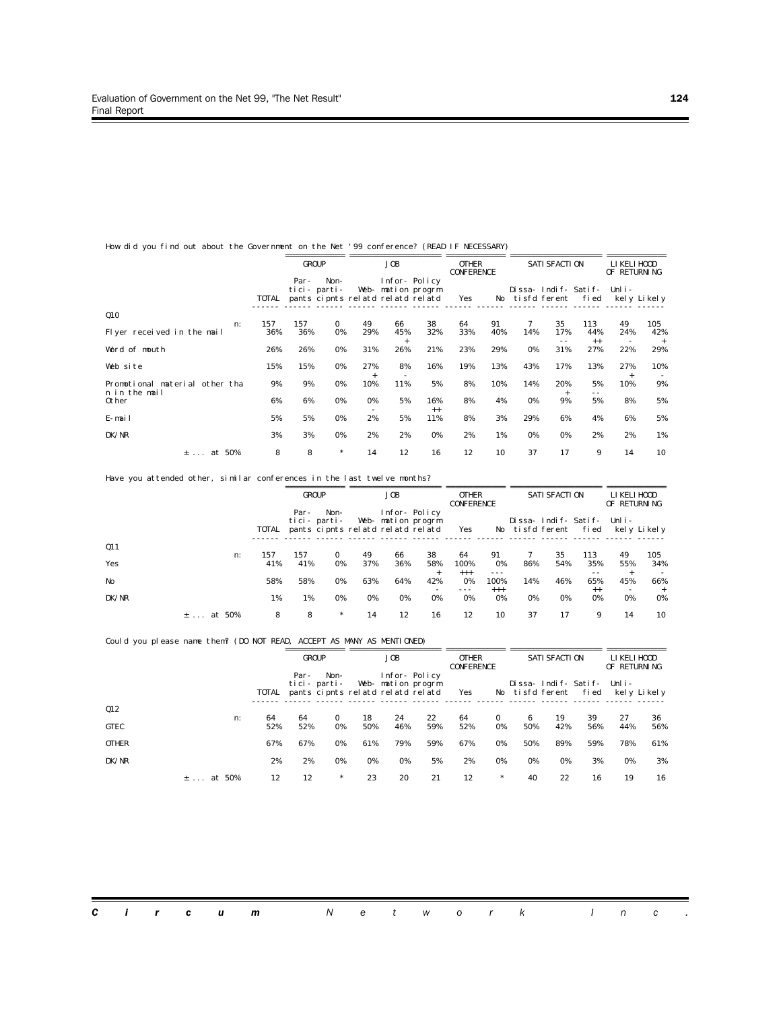#### How did you find out about the Government on the Net '99 conference? (READ IF NECESSARY)

|                                                 |            |            | <b>GROUP</b>        |            | J0B              |                                                                         | <b>OTHER</b><br><b>CONFERENCE</b> |           |          | <b>SATI SFACTI ON</b> |                      | <b>LIKELIHOOD</b><br>OF RETURNING |                  |
|-------------------------------------------------|------------|------------|---------------------|------------|------------------|-------------------------------------------------------------------------|-----------------------------------|-----------|----------|-----------------------|----------------------|-----------------------------------|------------------|
|                                                 | TOTAL      | Par-       | Non-<br>tici-parti- |            |                  | Infor-Policy<br>Web- mation progrm<br>pants cipnts relatd relatd relatd | Yes                               |           |          | Dissa-Indif-Satif-    | No tisfd ferent fied | Unli-                             | kely Likely      |
| Q10                                             |            |            |                     |            |                  |                                                                         |                                   |           |          |                       |                      |                                   |                  |
| n:<br>Flyer received in the mail                | 157<br>36% | 157<br>36% | 0<br>0%             | 49<br>29%  | 66<br>45%        | 38<br>32%                                                               | 64<br>33%                         | 91<br>40% | 7<br>14% | 35<br>17%             | 113<br>44%           | 49<br>24%                         | 105<br>42%       |
| Word of mouth                                   | 26%        | 26%        | 0%                  | 31%        | $\ddot{}$<br>26% | 21%                                                                     | 23%                               | 29%       | 0%       | $ -$<br>31%           | $^{++}$<br>27%       | $\sim$<br>22%                     | $\ddot{}$<br>29% |
| Web site                                        | 15%        | 15%        | 0%                  | 27%<br>$+$ | 8%               | 16%                                                                     | 19%                               | 13%       | 43%      | 17%                   | 13%                  | 27%<br>$+$                        | 10%              |
| Promotional material other tha<br>n in the mail | 9%         | 9%         | 0%                  | 10%        | 11%              | 5%                                                                      | 8%                                | 10%       | 14%      | 20%                   | 5%<br>$ -$           | 10%                               | 9%               |
| 0ther                                           | 6%         | 6%         | 0%                  | 0%         | 5%               | 16%<br>$^{++}$                                                          | 8%                                | 4%        | 0%       | 9%                    | 5%                   | 8%                                | 5%               |
| E-mail                                          | 5%         | 5%         | 0%                  | 2%         | 5%               | 11%                                                                     | 8%                                | 3%        | 29%      | 6%                    | 4%                   | 6%                                | 5%               |
| DK/NR                                           | 3%         | 3%         | 0%                  | 2%         | 2%               | 0%                                                                      | 2%                                | 1%        | 0%       | 0%                    | 2%                   | 2%                                | 1%               |
| $\pm$ at 50%:                                   | 8          | 8          | *                   | 14         | 12               | 16                                                                      | 12                                | 10        | 37       | 17                    | 9                    | 14                                | 10               |

Have you attended other, similar conferences in the last twelve months?

|       |               |            |            | <b>GROUP</b>        |           | <b>JOB</b> |                                                                         | <b>OTHER</b>              |                             |     | <b>SATI SFACTI ON</b> |                                                        | LI KELI HOOD            |                                           |
|-------|---------------|------------|------------|---------------------|-----------|------------|-------------------------------------------------------------------------|---------------------------|-----------------------------|-----|-----------------------|--------------------------------------------------------|-------------------------|-------------------------------------------|
|       |               | TOTAL      | Par-       | Non-<br>tici-parti- |           |            | Infor-Policy<br>Web- mation progrm<br>pants cipnts relatd relatd relatd | <b>CONFERENCE</b><br>Yes  |                             |     |                       | Dissa-Indif-Satif-<br>No tisfd ferent fied kely Likely | OF RETURNING<br>Unl i - |                                           |
| Q11   |               |            |            |                     |           |            |                                                                         |                           |                             |     |                       |                                                        |                         |                                           |
| Yes   | n:            | 157<br>41% | 157<br>41% | $\mathbf{0}$<br>0%  | 49<br>37% | 66<br>36%  | 38<br>58%                                                               | 64<br>100%                | 91<br>0%                    | 86% | 35<br>54%             | 113<br>35%                                             | 49<br>55%               | 105<br>34%                                |
| No    |               | 58%        | 58%        | 0%                  | 63%       | 64%        | $+$<br>42%<br>$\sim$                                                    | $^{+++}$<br>0%<br>$= - -$ | $- - -$<br>100%<br>$^{+++}$ | 14% | 46%                   | $ -$<br>65%<br>$^{++}$                                 | $+$<br>45%<br>$\sim$    | $\overline{\phantom{a}}$<br>66%<br>$^{+}$ |
| DK/NR |               | 1%         | 1%         | 0%                  | 0%        | 0%         | 0%                                                                      | 0%                        | 0%                          | 0%  | 0%                    | 0%                                                     | 0%                      | 0%                                        |
|       | $\pm$ at 50%: | 8          | 8          | *                   | 14        | 12         | 16                                                                      | 12                        | 10                          | 37  | 17                    | 9                                                      | 14                      | 10                                        |

#### Could you please name them? (DO NOT READ, ACCEPT AS MANY AS MENTIONED)

|              |               |       |      | <b>GROUP</b>        |     | J0B          |                                   | <b>OTHER</b>      |    |     | <b>SATI SFACTI ON</b> |                                  | <b>LIKELIHOOD</b> |     |
|--------------|---------------|-------|------|---------------------|-----|--------------|-----------------------------------|-------------------|----|-----|-----------------------|----------------------------------|-------------------|-----|
|              |               |       |      |                     |     |              |                                   | <b>CONFERENCE</b> |    |     |                       |                                  | OF RETURNING      |     |
|              |               |       | Par- | Non-<br>tici-parti- |     | Infor-Policy | Web- mation progrm                |                   |    |     |                       | Dissa-Indif-Satif-               | Unli-             |     |
|              |               | TOTAL |      |                     |     |              | pants cipnts relatd relatd relatd | Yes               |    |     |                       | No tisfd ferent fied kely Likely |                   |     |
| Q12          |               |       |      |                     |     |              |                                   |                   |    |     |                       |                                  |                   |     |
|              | n:            | 64    | 64   | $\bf{0}$            | 18  | 24           | 22                                | 64                | 0  | 6   | 19                    | 39                               | 27                | 36  |
| <b>GTEC</b>  |               | 52%   | 52%  | 0%                  | 50% | 46%          | 59%                               | 52%               | 0% | 50% | 42%                   | 56%                              | 44%               | 56% |
| <b>OTHER</b> |               | 67%   | 67%  | <b>0%</b>           | 61% | 79%          | 59%                               | 67%               | 0% | 50% | 89%                   | 59%                              | 78%               | 61% |
| DK/NR        |               | 2%    | 2%   | 0%                  | 0%  | 0%           | 5%                                | 2%                | 0% | 0%  | 0%                    | 3%                               | 0%                | 3%  |
|              | $\pm$ at 50%: | 12    | 12   | *                   | 23  | 20           | 21                                | 12                | *  | 40  | 22                    | 16                               | 19                | 16  |

and the control of the control of the control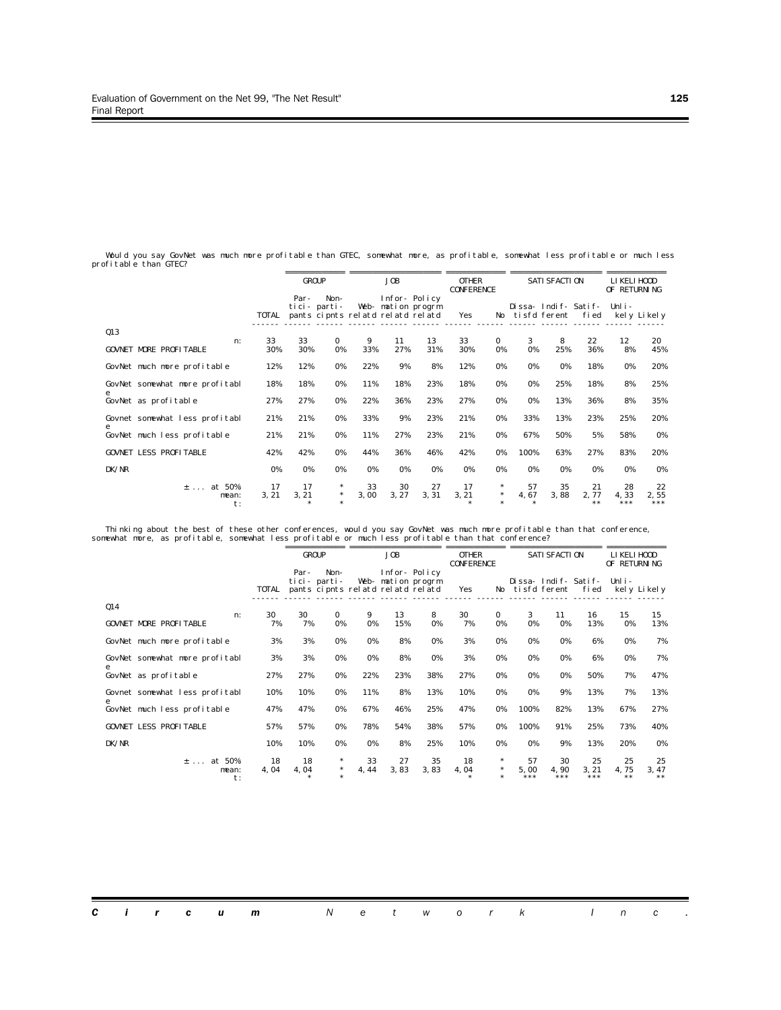Would you say GovNet was much more profitable than GTEC, somewhat more, as profitable, somewhat less profitable or much less<br>profitable than GTEC?

|                                     |              |             | <b>GROUP</b>        |            | <b>JOB</b>  |                                                                         | <b>OTHER</b><br><b>CONFERENCE</b> |                       |                       | <b>SATI SFACTI ON</b>                 |                  | LI KELI HOOD<br>OF RETURNING |                   |
|-------------------------------------|--------------|-------------|---------------------|------------|-------------|-------------------------------------------------------------------------|-----------------------------------|-----------------------|-----------------------|---------------------------------------|------------------|------------------------------|-------------------|
|                                     | <b>TOTAL</b> | Par-        | Non-<br>tici-parti- |            |             | Infor-Policy<br>Web- mation progrm<br>pants cipnts relatd relatd relatd | Yes                               |                       |                       | Dissa-Indif-Satif-<br>No tisfd ferent | fi ed            | Unli $-$                     | kel y Likel y     |
| Q13                                 |              |             | $\mathbf{0}$        |            |             |                                                                         |                                   |                       |                       |                                       |                  |                              |                   |
| n:<br><b>GOVNET MORE PROFITABLE</b> | 33<br>30%    | 33<br>30%   | 0%                  | 9<br>33%   | 11<br>27%   | 13<br>31%                                                               | 33<br>30%                         | 0<br>0%               | 3<br>0%               | 8<br>25%                              | 22<br>36%        | 12<br>8%                     | 20<br>45%         |
| GovNet much more profitable         | 12%          | 12%         | 0%                  | 22%        | 9%          | 8%                                                                      | 12%                               | 0%                    | 0%                    | 0%                                    | 18%              | 0%                           | 20%               |
| GovNet somewhat more profitabl      | 18%          | 18%         | 0%                  | 11%        | 18%         | 23%                                                                     | 18%                               | 0%                    | 0%                    | 25%                                   | 18%              | 8%                           | 25%               |
| е<br>GovNet as profitable           | 27%          | 27%         | 0%                  | 22%        | 36%         | 23%                                                                     | 27%                               | 0%                    | 0%                    | 13%                                   | 36%              | 8%                           | 35%               |
| Govnet somewhat less profitabl      | 21%          | 21%         | 0%                  | 33%        | 9%          | 23%                                                                     | 21%                               | 0%                    | 33%                   | 13%                                   | 23%              | 25%                          | 20%               |
| GovNet much less profitable         | 21%          | 21%         | 0%                  | 11%        | 27%         | 23%                                                                     | 21%                               | 0%                    | 67%                   | 50%                                   | 5%               | 58%                          | 0%                |
| <b>GOVNET LESS PROFITABLE</b>       | 42%          | 42%         | 0%                  | 44%        | 36%         | 46%                                                                     | 42%                               | 0%                    | 100%                  | 63%                                   | 27%              | 83%                          | 20%               |
| DK/NR                               | 0%           | 0%          | 0%                  | $0\%$      | 0%          | 0%                                                                      | 0%                                | 0%                    | 0%                    | 0%                                    | 0%               | 0%                           | 0%                |
| at 50%:<br>$\pm$<br>mean:<br>$t$ :  | 17<br>3, 21  | 17<br>3, 21 | *<br>$\ast$<br>*    | 33<br>3,00 | 30<br>3, 27 | 27<br>3, 31                                                             | 17<br>3, 21<br>$\ast$             | *<br>$\ast$<br>$\ast$ | 57<br>4,67<br>$\star$ | 35<br>3,88                            | 21<br>2,77<br>** | 28<br>4,33<br>***            | 22<br>2,55<br>*** |

Thinking about the best of these other conferences, would you say GovNet was much more profitable than that conference, somewhat more, as profitable, somewhat less profitable or much less profitable than that conference?

|                                     |                               |            |                 | <b>GROUP</b>        |             | <b>JOB</b> |                                                         | <b>OTHER</b><br><b>CONFERENCE</b> |                |                   | SATI SFACTI ON     |                    | LI KELI HOOD<br>OF RETURNING |                      |
|-------------------------------------|-------------------------------|------------|-----------------|---------------------|-------------|------------|---------------------------------------------------------|-----------------------------------|----------------|-------------------|--------------------|--------------------|------------------------------|----------------------|
|                                     |                               |            | Par-            | Non-<br>tici-parti- |             |            | Infor-Policy                                            |                                   |                |                   | Dissa-Indif-Satif- |                    | Unli-                        |                      |
|                                     |                               | TOTAL      |                 |                     |             |            | Web- mation progrm<br>pants cipnts relatd relatd relatd | Yes                               |                |                   | No tisfd ferent    | fi ed              |                              | kely Likely          |
| Q14                                 |                               |            |                 |                     |             |            |                                                         |                                   |                |                   |                    |                    |                              |                      |
| <b>GOVNET MORE PROFITABLE</b>       | n:                            | 30<br>7%   | 30<br>7%        | $\mathbf{0}$<br>0%  | 9<br>0%     | 13<br>15%  | 8<br>0%                                                 | 30<br>7%                          | $\bf{0}$<br>0% | 3<br>0%           | 11<br>0%           | 16<br>13%          | 15<br>0%                     | 15<br>13%            |
| GovNet much more profitable         |                               | 3%         | 3%              | 0%                  | 0%          | 8%         | 0%                                                      | 3%                                | 0%             | 0%                | 0%                 | 6%                 | 0%                           | 7%                   |
| GovNet somewhat more profitabl      |                               | 3%         | 3%              | 0%                  | 0%          | 8%         | 0%                                                      | 3%                                | 0%             | 0%                | 0%                 | 6%                 | 0%                           | 7%                   |
| e<br>GovNet as profitable           |                               | 27%        | 27%             | 0%                  | 22%         | 23%        | 38%                                                     | 27%                               | 0%             | 0%                | 0%                 | 50%                | 7%                           | 47%                  |
| Govnet somewhat less profitabl<br>e |                               | 10%        | 10%             | 0%                  | 11%         | 8%         | 13%                                                     | 10%                               | 0%             | 0%                | 9%                 | 13%                | 7%                           | 13%                  |
| GovNet much less profitable         |                               | 47%        | 47%             | 0%                  | 67%         | 46%        | 25%                                                     | 47%                               | 0%             | 100%              | 82%                | 13%                | 67%                          | 27%                  |
| <b>GOVNET LESS PROFITABLE</b>       |                               | 57%        | 57%             | 0%                  | 78%         | 54%        | 38%                                                     | 57%                               | 0%             | 100%              | 91%                | 25%                | 73%                          | 40%                  |
| DK/NR                               |                               | 10%        | 10%             | 0%                  | 0%          | 8%         | 25%                                                     | 10%                               | 0%             | 0%                | 9%                 | 13%                | 20%                          | 0%                   |
| $\pm$ at 50%:                       | mean:<br>$\ddot{\phantom{1}}$ | 18<br>4,04 | 18<br>4,04<br>* | *<br>$\ast$<br>*    | 33<br>4, 44 | 27<br>3,83 | 35<br>3,83                                              | 18<br>4,04<br>*                   | *<br>*<br>*    | 57<br>5,00<br>*** | 30<br>4.90<br>***  | 25<br>3, 21<br>*** | 25<br>4,75<br>**             | 25<br>3, 47<br>$* *$ |
|                                     |                               |            |                 |                     |             |            |                                                         |                                   |                |                   |                    |                    |                              |                      |

|  |  | <b>Circum</b> Network Inc. |  |  |  |  |  |  |
|--|--|----------------------------|--|--|--|--|--|--|
|  |  |                            |  |  |  |  |  |  |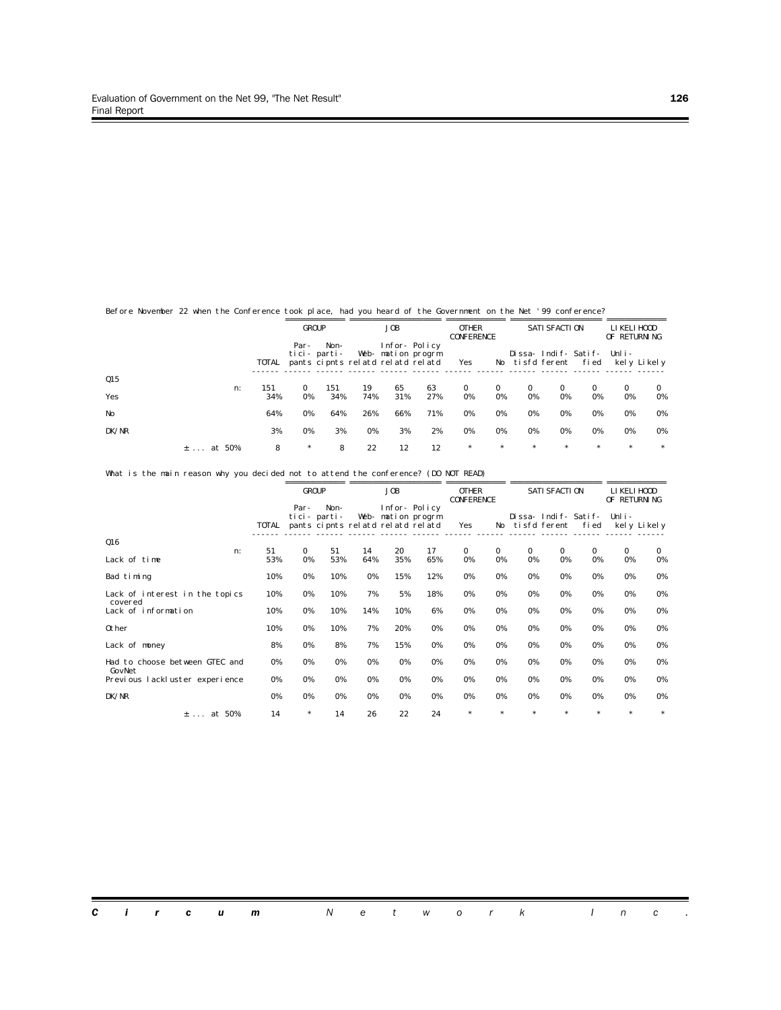Before November 22 when the Conference took place, had you heard of the Government on the Net '99 conference?

|                 |               |            |                | <b>GROUP</b>                                             |           | <b>JOB</b> |                                    | <b>OTHER</b><br><b>CONFERENCE</b> |                |                | <b>SATI SFACTI ON</b> |                                                             | LI KELI HOOD<br>OF RETURNING |                |
|-----------------|---------------|------------|----------------|----------------------------------------------------------|-----------|------------|------------------------------------|-----------------------------------|----------------|----------------|-----------------------|-------------------------------------------------------------|------------------------------|----------------|
|                 |               | TOTAL      | Par-           | Non-<br>tici-parti-<br>pants cipnts relatd relatd relatd |           |            | Infor-Policy<br>Web- mation progrm | Yes                               |                |                |                       | Dissa-Indif-Satif-Unli-<br>No tisfd ferent fied kely Likely |                              |                |
| Q <sub>15</sub> |               |            |                |                                                          |           |            |                                    |                                   |                |                |                       |                                                             |                              |                |
| Yes             | n:            | 151<br>34% | $\Omega$<br>0% | 151<br>34%                                               | 19<br>74% | 65<br>31%  | 63<br>27%                          | $\bf{0}$<br>0%                    | $\bf{0}$<br>0% | $\bf{0}$<br>0% | $\bf{0}$<br>0%        | $\bf{0}$<br>0%                                              | $\bf{0}$<br>0%               | $\bf{0}$<br>0% |
| No              |               | 64%        | 0%             | 64%                                                      | 26%       | 66%        | 71%                                | 0%                                | 0%             | 0%             | 0%                    | 0%                                                          | 0%                           | 0%             |
| DK/NR           |               | 3%         | 0%             | 3%                                                       | 0%        | 3%         | 2%                                 | 0%                                | 0%             | 0%             | 0%                    | 0%                                                          | 0%                           | 0%             |
|                 | $\pm$ at 50%: | 8          | *              | 8                                                        | 22        | 12         | 12                                 | $\ast$                            | *              | *              | $*$                   | $*$                                                         | *                            | *              |

#### What is the main reason why you decided not to attend the conference? (DO NOT READ)

|                                           |              |                | <b>GROUP</b>        |           | <b>JOB</b> |                                    | <b>OTHER</b><br><b>CONFERENCE</b> |                |                | SATI SFACTI ON  |                    | LI KELI HOOD<br>OF RETURNING |                |
|-------------------------------------------|--------------|----------------|---------------------|-----------|------------|------------------------------------|-----------------------------------|----------------|----------------|-----------------|--------------------|------------------------------|----------------|
|                                           |              | Par-           | Non-<br>tici-parti- |           |            | Infor-Policy<br>Web- mation progrm |                                   |                |                |                 | Dissa-Indif-Satif- | Unli-                        |                |
|                                           | <b>TOTAL</b> |                |                     |           |            | pants cipnts relatd relatd relatd  | Yes                               |                |                | No tisfd ferent | fi ed              |                              | kely Likely    |
| <b>Q16</b>                                |              |                |                     |           |            |                                    |                                   |                |                |                 |                    |                              |                |
| n:<br>Lack of time                        | 51<br>53%    | $\bf{0}$<br>0% | 51<br>53%           | 14<br>64% | 20<br>35%  | 17<br>65%                          | 0<br>0%                           | $\bf{0}$<br>0% | $\bf{0}$<br>0% | $\bf{0}$<br>0%  | 0<br>0%            | 0<br>0%                      | $\bf{0}$<br>0% |
| Bad timing                                | 10%          | $0\%$          | 10%                 | 0%        | 15%        | 12%                                | 0%                                | 0%             | 0%             | 0%              | 0%                 | 0%                           | 0%             |
| Lack of interest in the topics<br>covered | 10%          | 0%             | 10%                 | 7%        | 5%         | 18%                                | 0%                                | 0%             | 0%             | 0%              | 0%                 | 0%                           | 0%             |
| Lack of information                       | 10%          | 0%             | 10%                 | 14%       | 10%        | 6%                                 | 0%                                | 0%             | 0%             | 0%              | 0%                 | 0%                           | 0%             |
| 0ther                                     | 10%          | 0%             | 10%                 | 7%        | 20%        | 0%                                 | 0%                                | 0%             | 0%             | 0%              | 0%                 | 0%                           | 0%             |
| Lack of money                             | 8%           | 0%             | 8%                  | 7%        | 15%        | 0%                                 | 0%                                | 0%             | 0%             | 0%              | 0%                 | 0%                           | 0%             |
| Had to choose between GTEC and<br>GovNet  | 0%           | 0%             | 0%                  | 0%        | 0%         | 0%                                 | 0%                                | 0%             | 0%             | 0%              | 0%                 | 0%                           | 0%             |
| Previous lackluster experience            | 0%           | 0%             | 0%                  | 0%        | 0%         | 0%                                 | 0%                                | 0%             | 0%             | 0%              | 0%                 | 0%                           | 0%             |
| DK/NR                                     | 0%           | 0%             | 0%                  | 0%        | 0%         | 0%                                 | 0%                                | 0%             | 0%             | 0%              | 0%                 | 0%                           | 0%             |
| $+$ at 50%                                | 14           | $\ast$         | 14                  | 26        | 22         | 2.4                                | $\ast$                            | $\ast$         | ×.             | $*$             | *                  | *                            | *              |

<u> The Company of the Company of the Company of the Company of the Company of the Company of the Company of the Company of the Company of the Company of the Company of the Company of the Company of the Company of the Compan</u>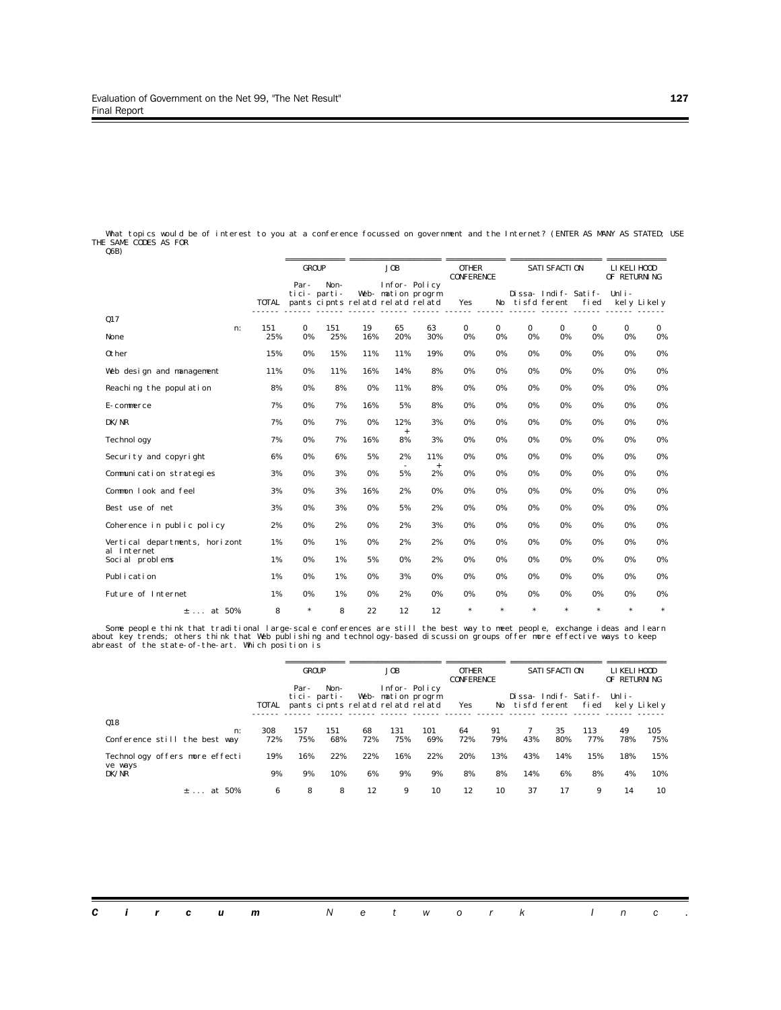|                       |  | What topics would be of interest to you at a conference focussed on government and the Internet? (ENTER AS MANY AS STATED; USE |  |  |  |  |
|-----------------------|--|--------------------------------------------------------------------------------------------------------------------------------|--|--|--|--|
| THE SAME CODES AS FOR |  |                                                                                                                                |  |  |  |  |
| $\Omega$ CD)          |  |                                                                                                                                |  |  |  |  |

| Ann)                                          |              |          |                                                          |     |                 |                    |                                   |          |          |                                       |          |                              |               |
|-----------------------------------------------|--------------|----------|----------------------------------------------------------|-----|-----------------|--------------------|-----------------------------------|----------|----------|---------------------------------------|----------|------------------------------|---------------|
|                                               |              |          | <b>GROUP</b>                                             |     | <b>JOB</b>      |                    | <b>OTHER</b><br><b>CONFERENCE</b> |          |          | SATI SFACTI ON                        |          | LI KELI HOOD<br>OF RETURNING |               |
|                                               | <b>TOTAL</b> | Par-     | Non-<br>tici-parti-<br>pants cipnts relatd relatd relatd |     | Infor-Policy    | Web- mation progrm | Yes                               |          |          | Dissa-Indif-Satif-<br>No tisfd ferent | fied     | Unli $-$                     | kel y Likel y |
| Q17                                           | 151<br>n:    | $\bf{0}$ | 151                                                      | 19  | 65              | 63                 | $\bf{0}$                          | $\bf{0}$ | $\bf{0}$ | $\bf{0}$                              | $\bf{0}$ | $\bf{0}$                     | $\bf{0}$      |
| None                                          | 25%          | 0%       | 25%                                                      | 16% | 20%             | 30%                | 0%                                | 0%       | 0%       | 0%                                    | 0%       | 0%                           | 0%            |
| 0ther                                         | 15%          | 0%       | 15%                                                      | 11% | 11%             | 19%                | 0%                                | 0%       | 0%       | 0%                                    | 0%       | 0%                           | 0%            |
| Web design and management                     | 11%          | 0%       | 11%                                                      | 16% | 14%             | 8%                 | 0%                                | 0%       | 0%       | 0%                                    | 0%       | 0%                           | 0%            |
| Reaching the population                       | 8%           | 0%       | 8%                                                       | 0%  | 11%             | 8%                 | 0%                                | 0%       | 0%       | 0%                                    | 0%       | 0%                           | 0%            |
| E-commerce                                    | 7%           | 0%       | 7%                                                       | 16% | 5%              | 8%                 | 0%                                | 0%       | 0%       | 0%                                    | 0%       | 0%                           | 0%            |
| DK/NR                                         | 7%           | 0%       | 7%                                                       | 0%  | 12%             | 3%                 | 0%                                | 0%       | 0%       | 0%                                    | 0%       | 0%                           | 0%            |
| <b>Technol</b> ogy                            | 7%           | 0%       | 7%                                                       | 16% | $\ddot{}$<br>8% | 3%                 | 0%                                | 0%       | 0%       | 0%                                    | 0%       | 0%                           | 0%            |
| Security and copyright                        | 6%           | 0%       | 6%                                                       | 5%  | 2%<br>$\sim$    | 11%                | 0%                                | 0%       | 0%       | 0%                                    | 0%       | 0%                           | 0%            |
| Communication strategies                      | 3%           | 0%       | 3%                                                       | 0%  | 5%              | $\ddot{}$<br>2%    | 0%                                | 0%       | 0%       | 0%                                    | 0%       | 0%                           | 0%            |
| Common look and feel                          | 3%           | 0%       | 3%                                                       | 16% | 2%              | 0%                 | 0%                                | 0%       | 0%       | 0%                                    | 0%       | 0%                           | 0%            |
| Best use of net                               | 3%           | 0%       | 3%                                                       | 0%  | 5%              | 2%                 | 0%                                | 0%       | 0%       | 0%                                    | 0%       | 0%                           | 0%            |
| Coherence in public policy                    | 2%           | 0%       | 2%                                                       | 0%  | 2%              | 3%                 | 0%                                | 0%       | 0%       | 0%                                    | 0%       | 0%                           | 0%            |
| Vertical departments, horizont<br>al Internet | 1%           | 0%       | 1%                                                       | 0%  | 2%              | 2%                 | 0%                                | 0%       | 0%       | 0%                                    | 0%       | 0%                           | 0%            |
| Social problems                               | 1%           | 0%       | 1%                                                       | 5%  | 0%              | 2%                 | 0%                                | 0%       | 0%       | 0%                                    | 0%       | 0%                           | 0%            |
| Publication                                   | 1%           | 0%       | 1%                                                       | 0%  | 3%              | 0%                 | 0%                                | 0%       | 0%       | 0%                                    | 0%       | 0%                           | 0%            |
| <b>Future of Internet</b>                     | 1%           | 0%       | 1%                                                       | 0%  | 2%              | 0%                 | 0%                                | 0%       | 0%       | 0%                                    | 0%       | 0%                           | 0%            |
| $\pm$ at 50%:                                 | 8            | $\ast$   | 8                                                        | 22  | 12              | 12                 | $\ast$                            | ×        | ×        | $*$                                   | $\ast$   | $\ast$                       | ×.            |

Some people think that traditional large-scale conferences are still the best way to meet people, exchange ideas and learn<br>about key trends; others think that Web publishing and technology-based discussion groups offer mor

|                                     |            |            | <b>GROUP</b>        |           | <b>JOB</b> |                                                                         | <b>OTHER</b><br><b>CONFERENCE</b> |           |     | <b>SATI SFACTI ON</b> |                                           | LI KELI HOOD<br>OF RETURNING |               |
|-------------------------------------|------------|------------|---------------------|-----------|------------|-------------------------------------------------------------------------|-----------------------------------|-----------|-----|-----------------------|-------------------------------------------|------------------------------|---------------|
|                                     | TOTAL      | Par-       | Non-<br>tici-parti- |           |            | Infor-Policy<br>Web- mation progrm<br>pants cipnts relatd relatd relatd | Yes                               |           |     |                       | Dissa-Indif-Satif-<br>No tisfdferent fied | - Unli                       | kel y Likel y |
| Q18                                 |            |            |                     |           |            |                                                                         |                                   |           |     |                       |                                           |                              |               |
| n:<br>Conference still the best way | 308<br>72% | 157<br>75% | 151<br>68%          | 68<br>72% | 131<br>75% | 101<br>69%                                                              | 64<br>72%                         | 91<br>79% | 43% | 35<br>80%             | 113<br>77%                                | 49<br>78%                    | 105<br>75%    |
| Technology offers more effecti      | 19%        | 16%        | 22%                 | 22%       | 16%        | 22%                                                                     | 20%                               | 13%       | 43% | 14%                   | 15%                                       | 18%                          | 15%           |
| ve ways<br>DK/NR                    | 9%         | 9%         | 10%                 | 6%        | 9%         | 9%                                                                      | 8%                                | 8%        | 14% | 6%                    | 8%                                        | 4%                           | 10%           |
| $\pm$ at 50%:                       | 6          | 8          | 8                   | 12        | 9          | 10                                                                      | 12                                | 10        | 37  | 17                    | 9                                         | 14                           | 10            |

 $\mathbf c$  $\mathbf{i}$  $\mathbf{r}$  $\mathbf{I}$  $\mathbf{c}$  $\boldsymbol{u}$  ${\cal N}$  $\rm e$  $\boldsymbol{t}$  $\circ$  $\mathbf{r}$  $\pmb{k}$  $\sqrt{n}$  $\mathbf c$  $\mathbf{m}$  $\ensuremath{\mathsf{W}}\xspace$  $\mathcal{L}$ 

<u> a shekara ta 1989</u>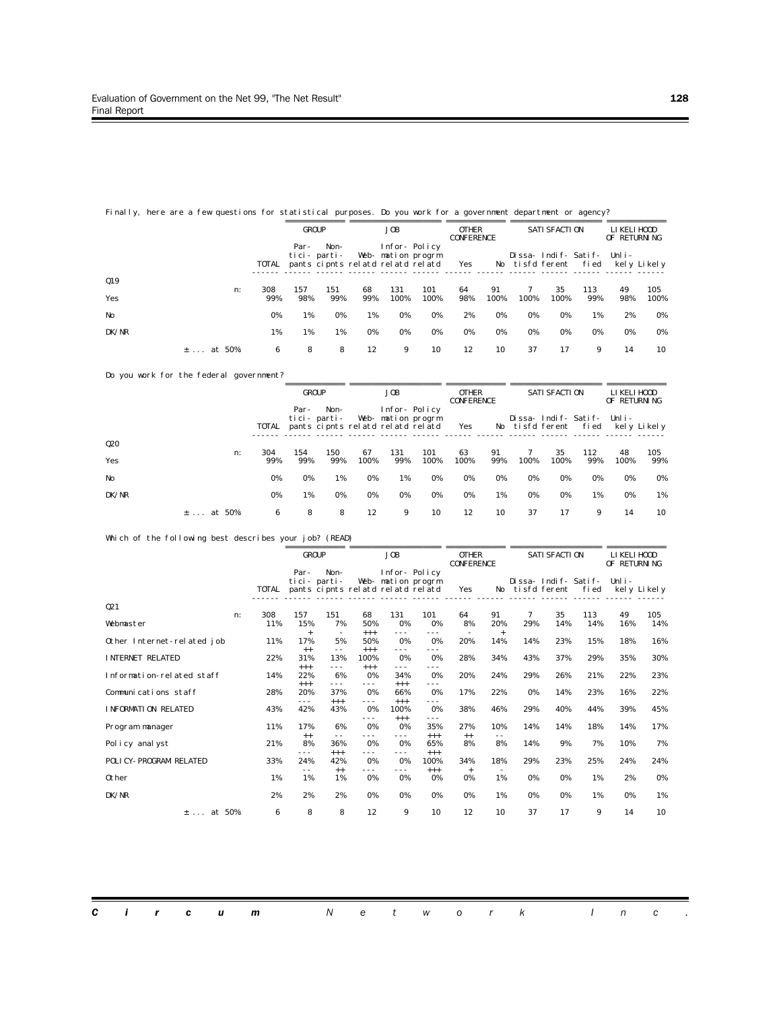|            | Finally, here are a few questions for statistical purposes. Do you work for a government department or agency? |            |            |                     |           |             |                                                                          |                                   |            |      |                       |                                            |                              |               |
|------------|----------------------------------------------------------------------------------------------------------------|------------|------------|---------------------|-----------|-------------|--------------------------------------------------------------------------|-----------------------------------|------------|------|-----------------------|--------------------------------------------|------------------------------|---------------|
|            |                                                                                                                |            |            | <b>GROUP</b>        |           | J0B         |                                                                          | <b>OTHER</b><br><b>CONFERENCE</b> |            |      | <b>SATI SFACTI ON</b> |                                            | LI KELI HOOD<br>OF RETURNING |               |
|            |                                                                                                                | TOTAL      | Par-       | Non-<br>tici-parti- |           |             | Infor- Policy<br>Web- mation progrm<br>pants cipnts relatd relatd relatd | Yes                               |            |      |                       | Dissa-Indif-Satif-<br>No tisfd ferent fied | Unli-                        | kel y Likel y |
| Q19<br>Yes | n:                                                                                                             | 308<br>99% | 157<br>98% | 151<br>99%          | 68<br>99% | 131<br>100% | 101<br>100%                                                              | 64<br>98%                         | 91<br>100% | 100% | 35.<br>100%           | 113<br>99%                                 | 49<br>98%                    | 105<br>100%   |
| No         |                                                                                                                | 0%         | 1%         | 0%                  | 1%        | 0%          | 0%                                                                       | 2%                                | 0%         | 0%   | 0%                    | 1%                                         | 2%                           | 0%            |
| DK/NR      |                                                                                                                | 1%         | 1%         | 1%                  | 0%        | 0%          | 0%                                                                       | 0%                                | 0%         | 0%   | 0%                    | $0\%$                                      | $0\%$                        | 0%            |
|            | $\pm$ at 50%:                                                                                                  | 6          | 8          | 8                   | 12        | 9           | 10                                                                       | 12                                | 10         | 37   | 17                    | 9                                          | 14                           | 10            |

| Do you work for the federal government? |               |    |            |            |                     |            |            |                                                                               |                                   |           |           |                       |                                            |                                   |               |
|-----------------------------------------|---------------|----|------------|------------|---------------------|------------|------------|-------------------------------------------------------------------------------|-----------------------------------|-----------|-----------|-----------------------|--------------------------------------------|-----------------------------------|---------------|
|                                         |               |    |            |            | <b>GROUP</b>        |            | J0B        |                                                                               | <b>OTHER</b><br><b>CONFERENCE</b> |           |           | <b>SATI SFACTI ON</b> |                                            | <b>LIKELIHOOD</b><br>OF RETURNING |               |
|                                         |               |    |            | Par-       | Non-<br>tici-parti- |            |            | Infor-Policy<br>Web- mation progrm<br>TOTAL pants cipnts relatd relatd relatd | Yes                               |           |           |                       | Dissa-Indif-Satif-<br>No tisfd ferent fied | Unl i -                           | kel y Likel y |
| <b>Q20</b>                              |               |    |            |            |                     |            |            |                                                                               |                                   |           |           |                       |                                            |                                   |               |
| Yes                                     |               | n: | 304<br>99% | 154<br>99% | 150<br>99%          | 67<br>100% | 131<br>99% | 101<br>100%                                                                   | 63<br>100%                        | 91<br>99% | 7<br>100% | 35<br>100%            | 112<br>99%                                 | 48<br>100%                        | 105<br>99%    |
| No                                      |               |    | 0%         | 0%         | 1%                  | 0%         | 1%         | 0%                                                                            | 0%                                | 0%        | 0%        | 0%                    | $0\%$                                      | $0\%$                             | 0%            |
| DK/NR                                   |               |    | 0%         | 1%         | <b>0%</b>           | 0%         | 0%         | 0%                                                                            | 0%                                | 1%        | 0%        | 0%                    | 1%                                         | 0%                                | 1%            |
|                                         | $\pm$ at 50%: |    | 6          | 8          | 8                   | 12         | 9          | 10                                                                            | 12                                | 10        | 37        | 17                    | 9                                          | 14                                | 10            |

Which of the following best describes your job? (READ)

|                            |    |            |                         | <b>GROUP</b>        |                       | <b>JOB</b>         |                                                                         | <b>OTHER</b><br><b>CONFERENCE</b> |                  |          | <b>SATI SFACTI ON</b> |                            | LI KELI HOOD<br>OF RETURNING |               |
|----------------------------|----|------------|-------------------------|---------------------|-----------------------|--------------------|-------------------------------------------------------------------------|-----------------------------------|------------------|----------|-----------------------|----------------------------|------------------------------|---------------|
|                            |    | TOTAL      | Par-                    | Non-<br>tici-parti- |                       |                    | Infor-Policy<br>Web- mation progrm<br>pants cipnts relatd relatd relatd | Yes                               |                  |          | No tisfd ferent       | Dissa-Indif-Satif-<br>fied | Unli $-$                     | kel y Likel y |
| Q21                        |    |            |                         |                     |                       |                    |                                                                         |                                   |                  |          |                       |                            |                              |               |
| Webmaster                  | n: | 308<br>11% | 157<br>15%<br>$\ddot{}$ | 151<br>7%           | 68<br>50%<br>$^{+++}$ | 131<br>0%<br>- - - | 101<br>0%<br>- - -                                                      | 64<br>8%                          | 91<br>20%<br>$+$ | 7<br>29% | 35<br>14%             | 113<br>14%                 | 49<br>16%                    | 105<br>14%    |
| Other Internet-related job |    | 11%        | 17%<br>$++$             | 5%<br>$- -$         | 50%<br>$^{+++}$       | 0%<br>- - -        | 0%<br>- - -                                                             | 20%                               | 14%              | 14%      | 23%                   | 15%                        | 18%                          | 16%           |
| <b>INTERNET RELATED</b>    |    | 22%        | 31%<br>$^{+++}$         | 13%<br>- - -        | 100%<br>$^{+++}$      | 0%<br>- - -        | 0%<br>- - -                                                             | 28%                               | 34%              | 43%      | 37%                   | 29%                        | 35%                          | 30%           |
| Information-related staff  |    | 14%        | 22%<br>$^{+++}$         | 6%<br>- - -         | 0%<br>- - -           | 34%<br>$^{+++}$    | 0%<br>- - -                                                             | 20%                               | 24%              | 29%      | 26%                   | 21%                        | 22%                          | 23%           |
| Communications staff       |    | 28%        | 20%<br>---              | 37%<br>$+++$        | 0%<br>$- - -$         | 66%<br>$^{++}$     | 0%<br>- - -                                                             | 17%                               | 22%              | 0%       | 14%                   | 23%                        | 16%                          | 22%           |
| <b>INFORMATION RELATED</b> |    | 43%        | 42%                     | 43%                 | 0%<br>- - -           | 100%<br>$^{+++}$   | 0%<br>- - -                                                             | 38%                               | 46%              | 29%      | 40%                   | 44%                        | 39%                          | 45%           |
| Program manager            |    | 11%        | 17%<br>$^{++}$          | 6%<br>$-$           | 0%<br>- - -           | 0%<br>- - -        | 35%<br>$^{+++}$                                                         | 27%<br>$^{++}$                    | 10%<br>$- -$     | 14%      | 14%                   | 18%                        | 14%                          | 17%           |
| Policy analyst             |    | 21%        | 8%<br>- - -             | 36%<br>$^{+++}$     | 0%<br>- - -           | 0%<br>- - -        | 65%<br>$^{+++}$                                                         | 8%                                | 8%               | 14%      | 9%                    | 7%                         | 10%                          | 7%            |
| POLICY-PROGRAM RELATED     |    | 33%        | 24%<br>- -              | 42%<br>$^{++}$      | 0%<br>$- - -$         | 0%<br>.            | 100%<br>$^{+++}$                                                        | 34%<br>$\ddot{}$                  | 18%              | 29%      | 23%                   | 25%                        | 24%                          | 24%           |
| 0ther                      |    | 1%         | 1%                      | 1%                  | 0%                    | 0%                 | 0%                                                                      | 0%                                | 1%               | 0%       | 0%                    | 1%                         | 2%                           | 0%            |
| DK/NR                      |    | 2%         | 2%                      | 2%                  | 0%                    | 0%                 | 0%                                                                      | 0%                                | 1%               | 0%       | 0%                    | 1%                         | 0%                           | 1%            |
| $\pm$ at 50%:              |    | 6          | 8                       | 8                   | 12                    | 9                  | 10                                                                      | 12                                | 10               | 37       | 17                    | 9                          | 14                           | 10            |

|  |  | <b>Circum</b> Network Inc. |  |  |  |  |  |  |
|--|--|----------------------------|--|--|--|--|--|--|
|  |  |                            |  |  |  |  |  |  |

<u> 1989 - John Harry Harry Harry Harry Harry Harry Harry Harry Harry Harry Harry Harry Harry Harry Harry Harry Harry Harry Harry Harry Harry Harry Harry Harry Harry Harry Harry Harry Harry Harry Harry Harry Harry Harry Harr</u>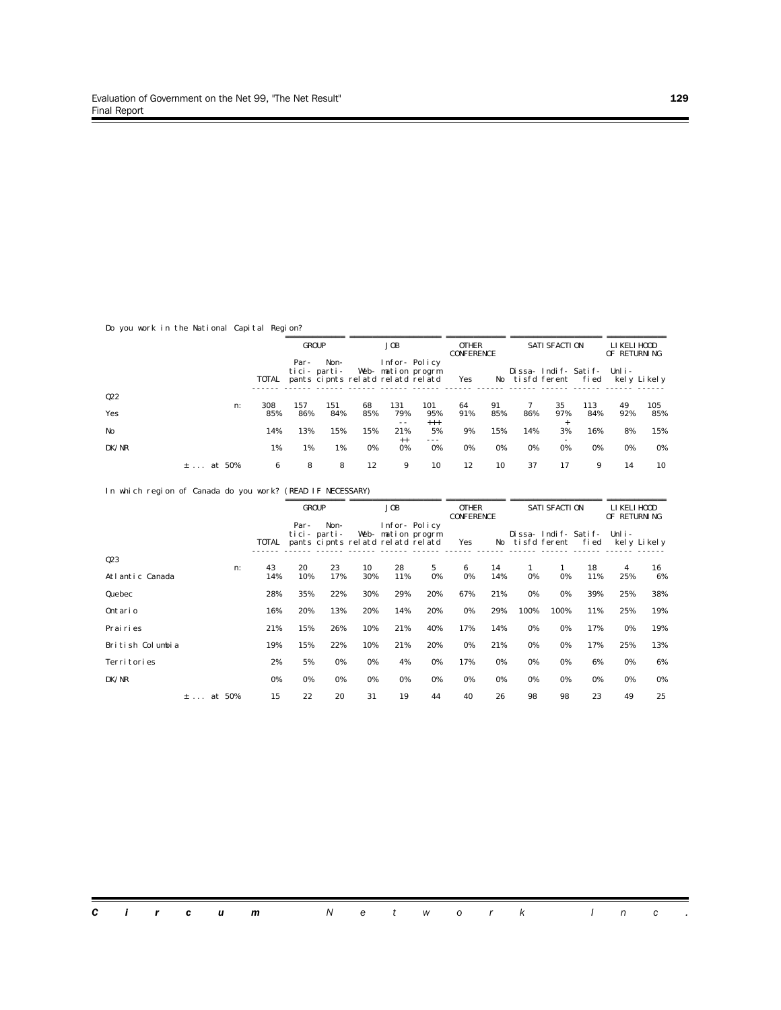#### Do you work in the National Capital Region?

|       |               |            |            | <b>GROUP</b>        |           | <b>JOB</b>            |                                                                         | <b>OTHER</b><br><b>CONFERENCE</b> |           |     | <b>SATI SFACTI ON</b> |                                                        | <b>LIKELIHOOD</b><br>OF RETURNING |            |
|-------|---------------|------------|------------|---------------------|-----------|-----------------------|-------------------------------------------------------------------------|-----------------------------------|-----------|-----|-----------------------|--------------------------------------------------------|-----------------------------------|------------|
|       |               | TOTAL      | Par-       | Non-<br>tici-parti- |           |                       | Infor-Policy<br>Web- mation progrm<br>pants cipnts relatd relatd relatd | Yes                               |           |     |                       | Dissa-Indif-Satif-<br>No tisfd ferent fied kely Likely | Unl i -                           |            |
| Q22   |               |            |            |                     |           |                       |                                                                         |                                   |           |     |                       |                                                        |                                   |            |
| Yes   | n:            | 308<br>85% | 157<br>86% | 151<br>84%          | 68<br>85% | 131<br>79%            | 101<br>95%                                                              | 64<br>91%                         | 91<br>85% | 86% | 35<br>97%             | 113<br>84%                                             | 49<br>92%                         | 105<br>85% |
| No    |               | 14%        | 13%        | 15%                 | 15%       | - -<br>21%<br>$^{++}$ | $^{+++}$<br>5%<br>$- - -$                                               | 9%                                | 15%       | 14% | $\ddot{}$<br>3%       | 16%                                                    | 8%                                | 15%        |
| DK/NR |               | 1%         | 1%         | 1%                  | 0%        | 0%                    | 0%                                                                      | 0%                                | 0%        | 0%  | 0%                    | 0%                                                     | 0%                                | 0%         |
|       | $\pm$ at 50%: | 6          | 8          | 8                   | 12        | 9                     | 10                                                                      | 12                                | 10        | 37  | 17                    | 9                                                      | 14                                | 10         |

# In which region of Canada do you work? (READ IF NECESSARY)

|                  |               |           |           | <b>GROUP</b>        |           | <b>JOB</b> |                                                                          | <b>OTHER</b><br><b>CONFERENCE</b> |           |         | <b>SATI SFACTI ON</b> |                             | LI KELI HOOD<br>OF RETURNING |               |
|------------------|---------------|-----------|-----------|---------------------|-----------|------------|--------------------------------------------------------------------------|-----------------------------------|-----------|---------|-----------------------|-----------------------------|------------------------------|---------------|
|                  |               | TOTAL     | Par-      | Non-<br>tici-parti- |           |            | Infor- Policy<br>Web- mation progrm<br>pants cipnts relatd relatd relatd | Yes                               |           |         | No tisfd ferent       | Dissa-Indif-Satif-<br>fi ed | Unl i -                      | kel y Likel y |
| <b>Q23</b>       |               |           |           |                     |           |            |                                                                          |                                   |           |         |                       |                             |                              |               |
| Atlantic Canada  | n:            | 43<br>14% | 20<br>10% | 23<br>17%           | 10<br>30% | 28<br>11%  | 5<br>0%                                                                  | 6<br>0%                           | 14<br>14% | 1<br>0% | 0%                    | 18<br>11%                   | 4<br>25%                     | 16<br>6%      |
| Quebec           |               | 28%       | 35%       | 22%                 | 30%       | 29%        | 20%                                                                      | 67%                               | 21%       | 0%      | 0%                    | 39%                         | 25%                          | 38%           |
| Ontario          |               | 16%       | 20%       | 13%                 | 20%       | 14%        | 20%                                                                      | 0%                                | 29%       | 100%    | 100%                  | 11%                         | 25%                          | 19%           |
| Prairies         |               | 21%       | 15%       | 26%                 | 10%       | 21%        | 40%                                                                      | 17%                               | 14%       | 0%      | 0%                    | 17%                         | 0%                           | 19%           |
| British Columbia |               | 19%       | 15%       | 22%                 | 10%       | 21%        | 20%                                                                      | 0%                                | 21%       | 0%      | 0%                    | 17%                         | 25%                          | 13%           |
| Terri tori es    |               | 2%        | 5%        | 0%                  | $0\%$     | 4%         | 0%                                                                       | 17%                               | 0%        | 0%      | 0%                    | 6%                          | 0%                           | 6%            |
| DK/NR            |               | 0%        | 0%        | 0%                  | 0%        | 0%         | 0%                                                                       | 0%                                | 0%        | 0%      | 0%                    | 0%                          | 0%                           | 0%            |
|                  | $\pm$ at 50%: | 15        | 22        | 20                  | 31        | 19         | 44                                                                       | 40                                | 26        | 98      | 98                    | 23                          | 49                           | 25            |

<u> The Common School Common School Common School Common School Common School Common School Common School Common School Common School Common School Common School Common School Common School Common School Common School Common</u>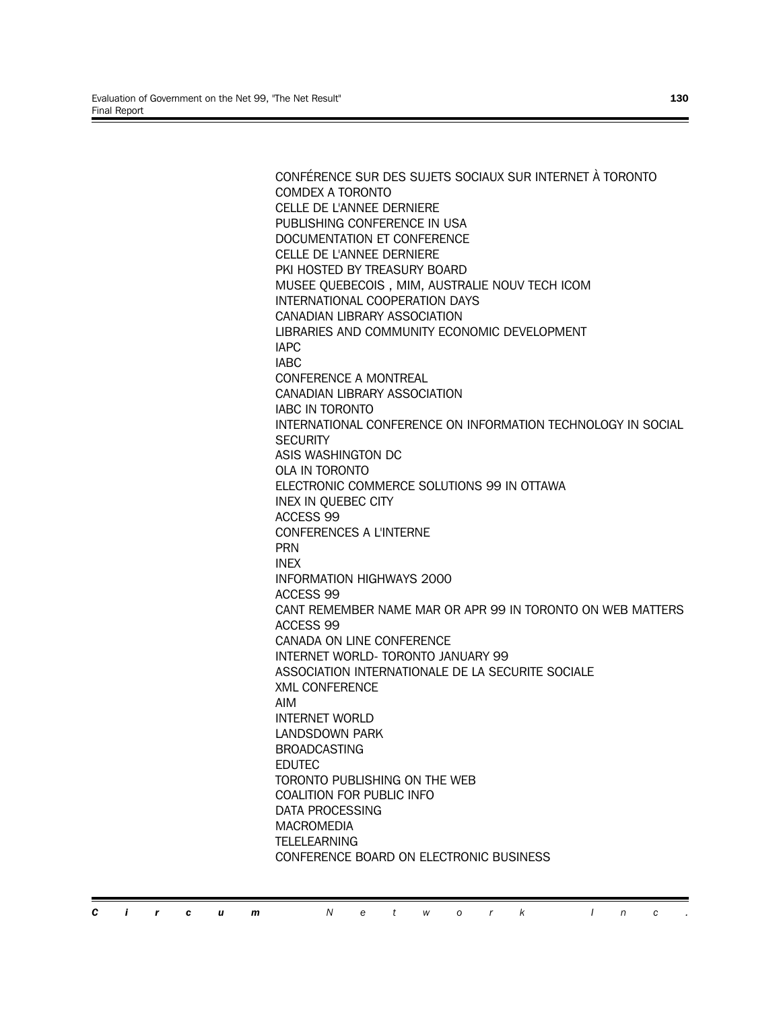CONFÉRENCE SUR DES SUJETS SOCIAUX SUR INTERNET À TORONTO COMDEX A TORONTO CELLE DE L'ANNEE DERNIERE PUBLISHING CONFERENCE IN USA DOCUMENTATION ET CONFERENCE CELLE DE L'ANNEE DERNIERE PKI HOSTED BY TREASURY BOARD MUSEE QUEBECOIS , MIM, AUSTRALIE NOUV TECH ICOM INTERNATIONAL COOPERATION DAYS CANADIAN LIBRARY ASSOCIATION LIBRARIES AND COMMUNITY ECONOMIC DEVELOPMENT IAPC IABC CONFERENCE A MONTREAL CANADIAN LIBRARY ASSOCIATION IABC IN TORONTO INTERNATIONAL CONFERENCE ON INFORMATION TECHNOLOGY IN SOCIAL **SECURITY** ASIS WASHINGTON DC OLA IN TORONTO ELECTRONIC COMMERCE SOLUTIONS 99 IN OTTAWA INEX IN QUEBEC CITY ACCESS 99 CONFERENCES A L'INTERNE PRN INEX INFORMATION HIGHWAYS 2000 ACCESS 99 CANT REMEMBER NAME MAR OR APR 99 IN TORONTO ON WEB MATTERS ACCESS 99 CANADA ON LINE CONFERENCE INTERNET WORLD- TORONTO JANUARY 99 ASSOCIATION INTERNATIONALE DE LA SECURITE SOCIALE XML CONFERENCE AIM INTERNET WORLD LANDSDOWN PARK BROADCASTING EDUTEC TORONTO PUBLISHING ON THE WEB COALITION FOR PUBLIC INFO DATA PROCESSING MACROMEDIA **TELELEARNING** CONFERENCE BOARD ON ELECTRONIC BUSINESS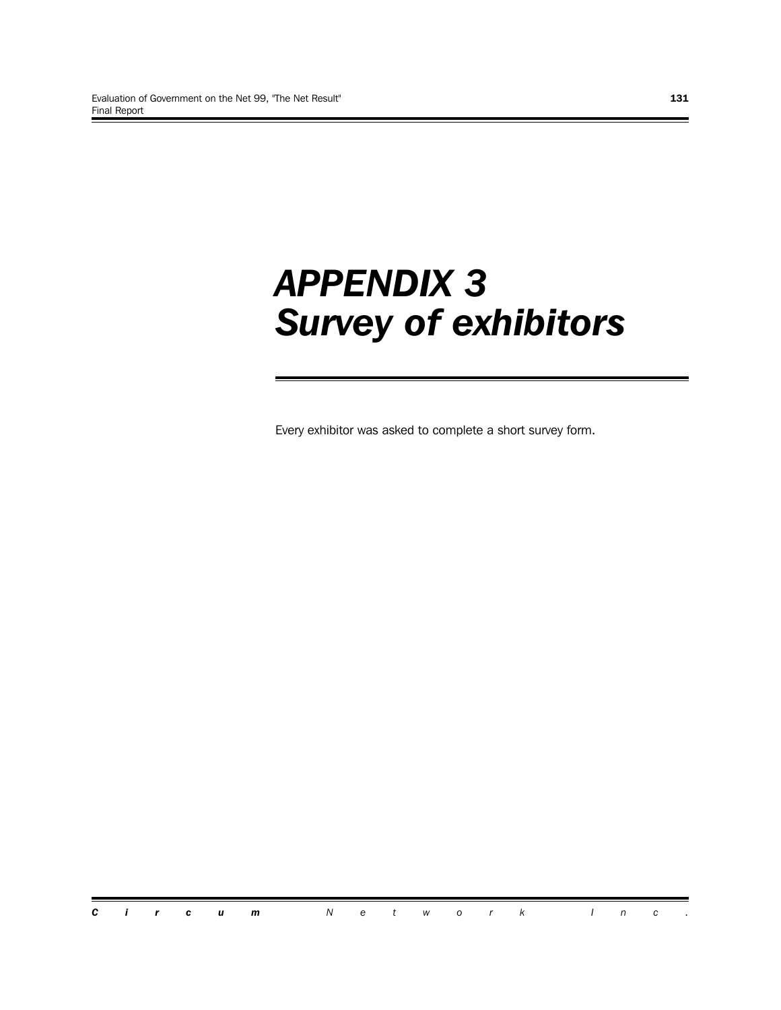# *APPENDIX 3 Survey of exhibitors*

Every exhibitor was asked to complete a short survey form.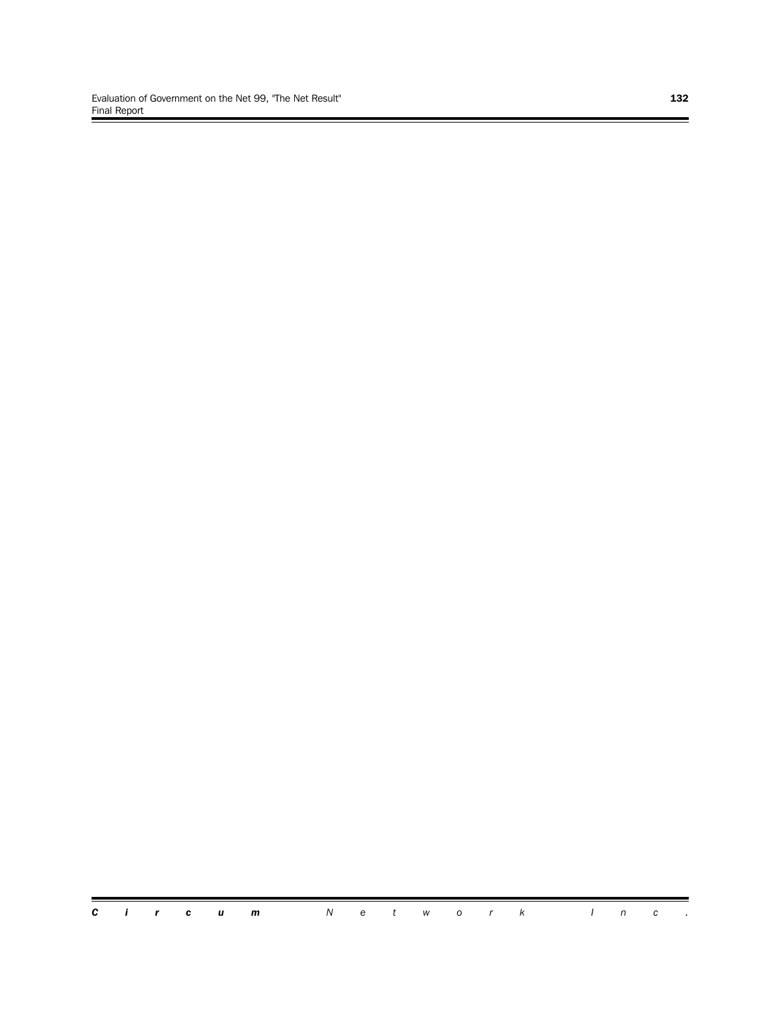<u> The Common School Common School Common School Common School Common School Common School Common School Common School Common School Common School Common School Common School Common School Common School Common School Common</u>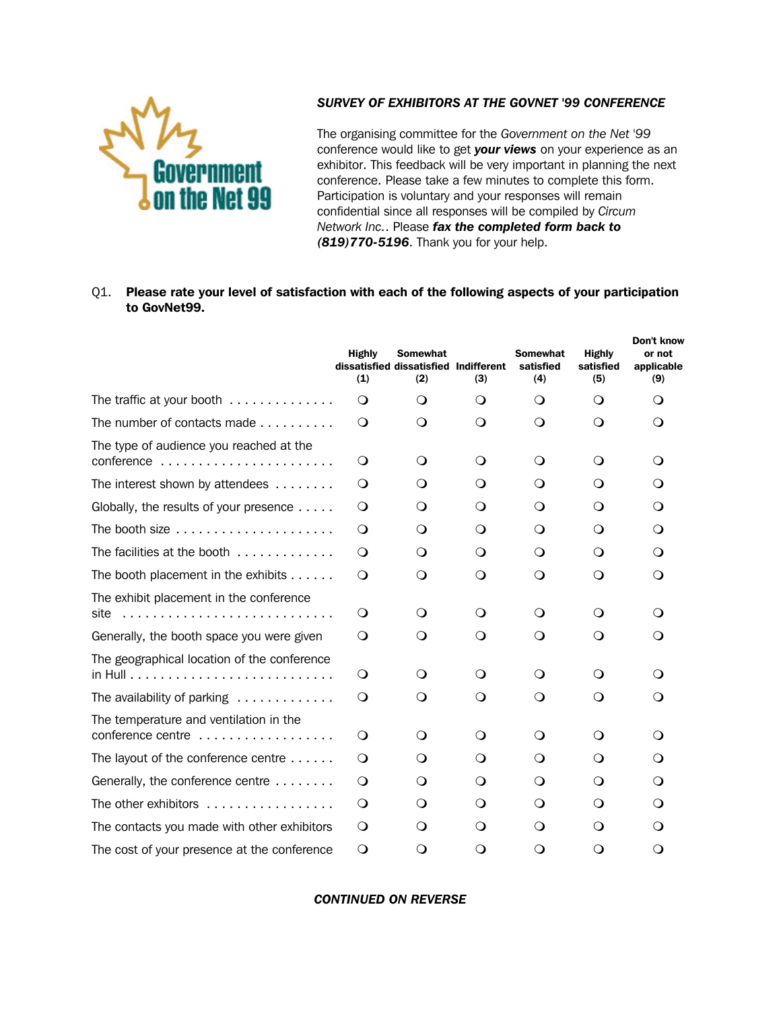

## *SURVEY OF EXHIBITORS AT THE GOVNET '99 CONFERENCE*

The organising committee for the *Government on the Net '99* conference would like to get *your views* on your experience as an exhibitor. This feedback will be very important in planning the next conference. Please take a few minutes to complete this form. Participation is voluntary and your responses will remain confidential since all responses will be compiled by *Circum Network Inc.*. Please *fax the completed form back to (819)770-5196*. Thank you for your help.

## Q1. **Please rate your level of satisfaction with each of the following aspects of your participation to GovNet99.**

|                                                             | <b>Highly</b><br>(1) | <b>Somewhat</b><br>dissatisfied dissatisfied Indifferent<br>(2) | (3)      | Somewhat<br>satisfied<br>(4) | <b>Highly</b><br>satisfied<br>(5) | Don't know<br>or not<br>applicable<br>(9) |
|-------------------------------------------------------------|----------------------|-----------------------------------------------------------------|----------|------------------------------|-----------------------------------|-------------------------------------------|
| The traffic at your booth                                   | $\circ$              | $\circ$                                                         | $\circ$  | $\circ$                      | $\circ$                           | O                                         |
| The number of contacts made $\ldots$ ,                      | $\Omega$             | $\circ$                                                         | $\circ$  | $\circ$                      | $\circ$                           | O                                         |
| The type of audience you reached at the<br>conference       | $\circ$              | $\Omega$                                                        | $\circ$  | $\Omega$                     | $\Omega$                          | $\Omega$                                  |
| The interest shown by attendees $\dots\dots$                | $\circ$              | $\circ$                                                         | $\circ$  | $\Omega$                     | O                                 | ○                                         |
| Globally, the results of your presence                      | $\circ$              | $\circ$                                                         | $\circ$  | $\Omega$                     | ○                                 | ○                                         |
| The booth size                                              | $\circ$              | $\circ$                                                         | $\circ$  | $\circ$                      | $\circ$                           | O                                         |
| The facilities at the booth $\ldots$ ,,,,,,,,,,,            | $\Omega$             | $\Omega$                                                        | $\Omega$ | $\Omega$                     | ○                                 | $\Omega$                                  |
| The booth placement in the exhibits $\dots$                 | $\circ$              | $\circ$                                                         | $\circ$  | $\circ$                      | $\circ$                           | O                                         |
| The exhibit placement in the conference<br>$site$           | $\circ$              | $\circ$                                                         | $\circ$  | $\circ$                      | O                                 |                                           |
| Generally, the booth space you were given                   | $\circ$              | O                                                               | $\circ$  | O                            | O                                 | $\Omega$                                  |
| The geographical location of the conference                 | $\circ$              | O                                                               | $\circ$  | $\circ$                      | O                                 | ○                                         |
| The availability of parking $\ldots \ldots \ldots$          | $\circ$              | $\circ$                                                         | $\circ$  | $\circ$                      | $\circ$                           |                                           |
| The temperature and ventilation in the<br>conference centre | $\circ$              | $\circ$                                                         | $\Omega$ | $\Omega$                     | O                                 | $\Omega$                                  |
| The layout of the conference centre $\dots$                 | $\Omega$             | $\circ$                                                         | $\Omega$ | $\Omega$                     | $\Omega$                          | $\Omega$                                  |
| Generally, the conference centre                            | $\circ$              | $\circ$                                                         | $\circ$  | $\circ$                      | O                                 | ○                                         |
| The other exhibitors                                        | $\circ$              | $\circ$                                                         | $\circ$  | $\circ$                      | O                                 | O                                         |
| The contacts you made with other exhibitors                 | $\circ$              | $\circ$                                                         | $\circ$  | O                            | ○                                 | ∩                                         |
| The cost of your presence at the conference                 | $\circ$              | $\circ$                                                         | $\Omega$ | $\circ$                      | $\circ$                           | ○                                         |

#### *CONTINUED ON REVERSE*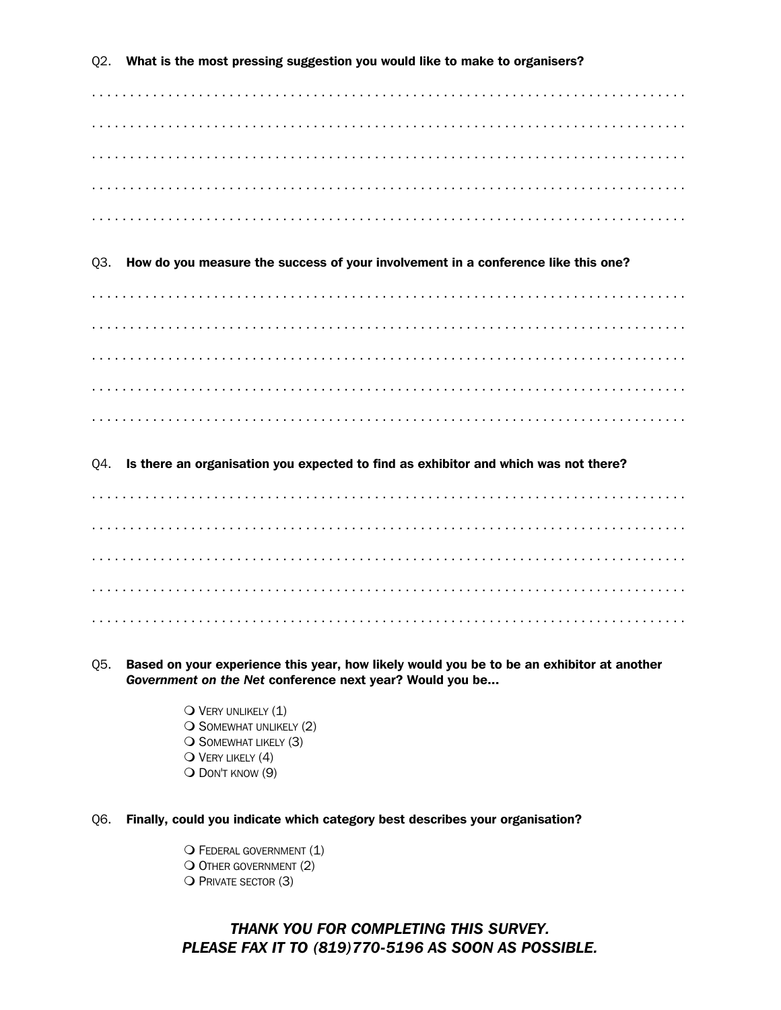.............................................................................. .............................................................................. .............................................................................. .............................................................................. ..............................................................................

## Q3. **How do you measure the success of your involvement in a conference like this one?**

.............................................................................. .............................................................................. .............................................................................. .............................................................................. ..............................................................................

Q4. **Is there an organisation you expected to find as exhibitor and which was not there?**

.............................................................................. .............................................................................. .............................................................................. .............................................................................. ..............................................................................

- Q5. **Based on your experience this year, how likely would you be to be an exhibitor at another** *Government on the Net* **conference next year? Would you be...**
	- $\bigcirc$  VERY UNLIKELY (1) O SOMEWHAT UNLIKELY (2) O SOMEWHAT LIKELY (3)  $\bigcirc$  VERY LIKELY (4)
	- $\overline{O}$  Don't know (9)
- Q6. **Finally, could you indicate which category best describes your organisation?**
	- **O FEDERAL GOVERNMENT (1)**
	- O OTHER GOVERNMENT (2)
	- O PRIVATE SECTOR (3)

# *THANK YOU FOR COMPLETING THIS SURVEY. PLEASE FAX IT TO (819)770-5196 AS SOON AS POSSIBLE.*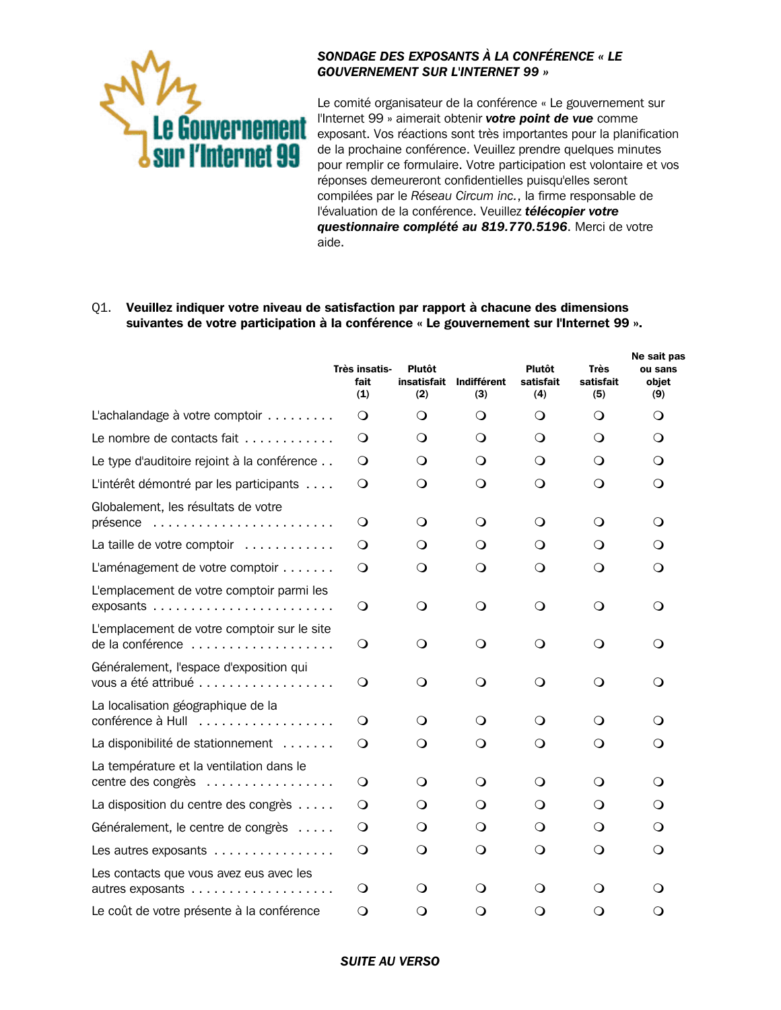

# *SONDAGE DES EXPOSANTS À LA CONFÉRENCE « LE GOUVERNEMENT SUR L'INTERNET 99 »*

Le comité organisateur de la conférence « Le gouvernement sur l'Internet 99 » aimerait obtenir *votre point de vue* comme exposant. Vos réactions sont très importantes pour la planification de la prochaine conférence. Veuillez prendre quelques minutes pour remplir ce formulaire. Votre participation est volontaire et vos réponses demeureront confidentielles puisqu'elles seront compilées par le *Réseau Circum inc.*, la firme responsable de l'évaluation de la conférence. Veuillez *télécopier votre questionnaire complété au 819.770.5196*. Merci de votre aide.

## Q1. **Veuillez indiquer votre niveau de satisfaction par rapport à chacune des dimensions suivantes de votre participation à la conférence « Le gouvernement sur l'Internet 99 ».**

|                                                                 | Très insatis-<br>fait<br>(1) | <b>Plutôt</b><br>insatisfait<br>(2) | Indifférent<br>(3) | <b>Plutôt</b><br>satisfait<br>(4) | <b>Très</b><br>satisfait<br>(5) | Ne sait pas<br>ou sans<br>objet<br>(9) |
|-----------------------------------------------------------------|------------------------------|-------------------------------------|--------------------|-----------------------------------|---------------------------------|----------------------------------------|
| L'achalandage à votre comptoir                                  | $\bigcirc$                   | $\circ$                             | $\circ$            | $\circ$                           | $\circ$                         | $\circ$                                |
| Le nombre de contacts fait                                      | $\circ$                      | $\Omega$                            | $\circ$            | $\circ$                           | $\circ$                         | $\circ$                                |
| Le type d'auditoire rejoint à la conférence                     | $\bigcirc$                   | $\circ$                             | $\circ$            | $\circ$                           | $\circ$                         | $\circ$                                |
| L'intérêt démontré par les participants                         | $\bigcirc$                   | $\circ$                             | $\circ$            | $\circ$                           | $\circ$                         | $\circ$                                |
| Globalement, les résultats de votre<br>$pr$ ésence              | $\circ$                      | $\Omega$                            | $\circ$            | $\circ$                           | $\Omega$                        | O                                      |
| La taille de votre comptoir                                     | $\circ$                      | $\circ$                             | $\circ$            | $\circ$                           | $\Omega$                        | $\circ$                                |
| L'aménagement de votre comptoir                                 | $\circ$                      | $\circ$                             | $\circ$            | $\circ$                           | $\circ$                         | $\circ$                                |
| L'emplacement de votre comptoir parmi les<br>$exposants$        | $\circ$                      | $\circ$                             | $\circ$            | $\circ$                           | $\Omega$                        | $\Omega$                               |
| L'emplacement de votre comptoir sur le site<br>de la conférence | $\bigcirc$                   | $\circ$                             | $\circ$            | $\circ$                           | $\circ$                         | $\circ$                                |
| Généralement, l'espace d'exposition qui<br>vous a été attribué  | $\circ$                      | $\bigcirc$                          | $\circ$            | $\circ$                           | $\circ$                         | O                                      |
| La localisation géographique de la<br>conférence à Hull         | $\circ$                      | $\Omega$                            | $\circ$            | O                                 | $\Omega$                        | O                                      |
| La disponibilité de stationnement                               | $\circ$                      | $\circ$                             | $\circ$            | $\circ$                           | $\circ$                         | Ő                                      |
| La température et la ventilation dans le<br>centre des congrès  | $\circ$                      | $\circ$                             | $\circ$            | $\circ$                           | $\circ$                         | O                                      |
| La disposition du centre des congrès                            | $\circ$                      | $\Omega$                            | $\circ$            | $\circ$                           | $\Omega$                        | $\circ$                                |
| Généralement, le centre de congrès                              | $\circ$                      | $\circ$                             | $\circ$            | $\circ$                           | $\circ$                         | O                                      |
| Les autres exposants                                            | $\bigcirc$                   | $\circ$                             | $\circ$            | $\circ$                           | $\circ$                         | O                                      |
| Les contacts que vous avez eus avec les                         | $\circ$                      | $\circ$                             | $\circ$            | $\circ$                           | $\circ$                         | O                                      |
| Le coût de votre présente à la conférence                       | $\circ$                      | $\circ$                             | $\circ$            | $\circ$                           | $\circ$                         | O                                      |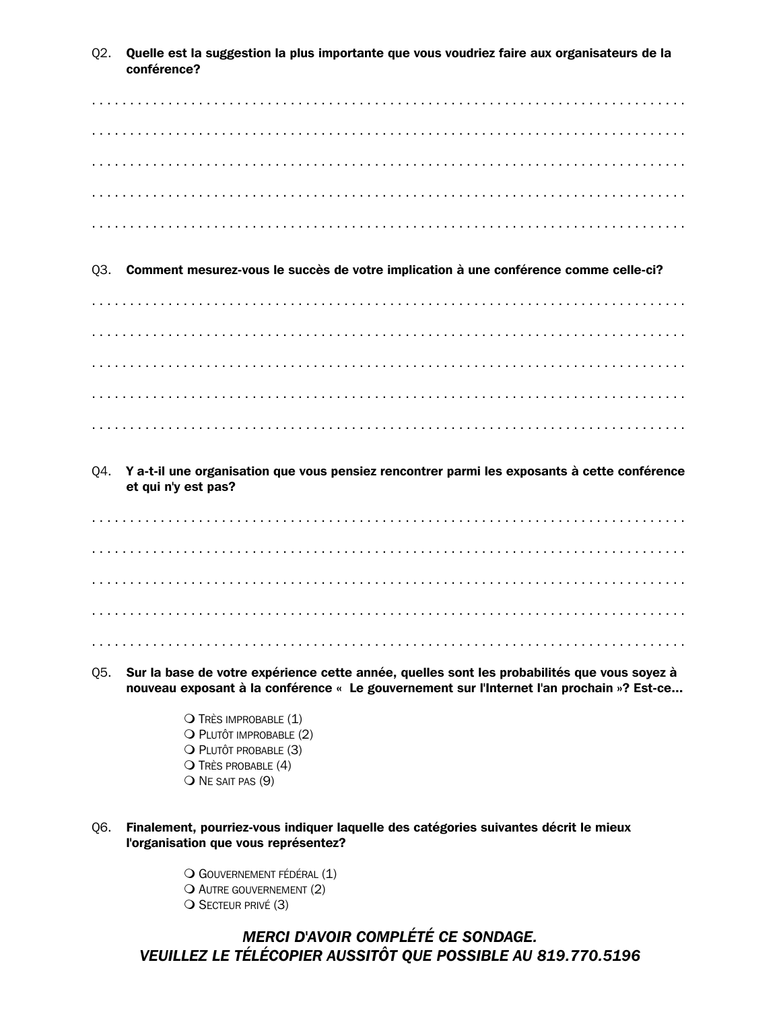- Q2. **Quelle est la suggestion la plus importante que vous voudriez faire aux organisateurs de la conférence?** .............................................................................. .............................................................................. .............................................................................. .............................................................................. .............................................................................. Q3. **Comment mesurez-vous le succès de votre implication à une conférence comme celle-ci?** .............................................................................. .............................................................................. .............................................................................. .............................................................................. .............................................................................. Q4. **Y a-t-il une organisation que vous pensiez rencontrer parmi les exposants à cette conférence et qui n'y est pas?** .............................................................................. .............................................................................. .............................................................................. .............................................................................. .............................................................................. Q5. **Sur la base de votre expérience cette année, quelles sont les probabilités que vous soyez à nouveau exposant à la conférence « Le gouvernement sur l'Internet l'an prochain »? Est-ce...** O TRÈS IMPROBABLE (1) O PLUTÔT IMPROBABLE (2) O PLUTÔT PROBABLE (3)  $\overline{O}$  Très probable (4)  $\bigcirc$  Ne sait pas (9)
- Q6. **Finalement, pourriez-vous indiquer laquelle des catégories suivantes décrit le mieux l'organisation que vous représentez?**
	- **Q GOUVERNEMENT FÉDÉRAL (1)**
	- **O AUTRE GOUVERNEMENT (2)**
	- $\overline{O}$  Secteur privé (3)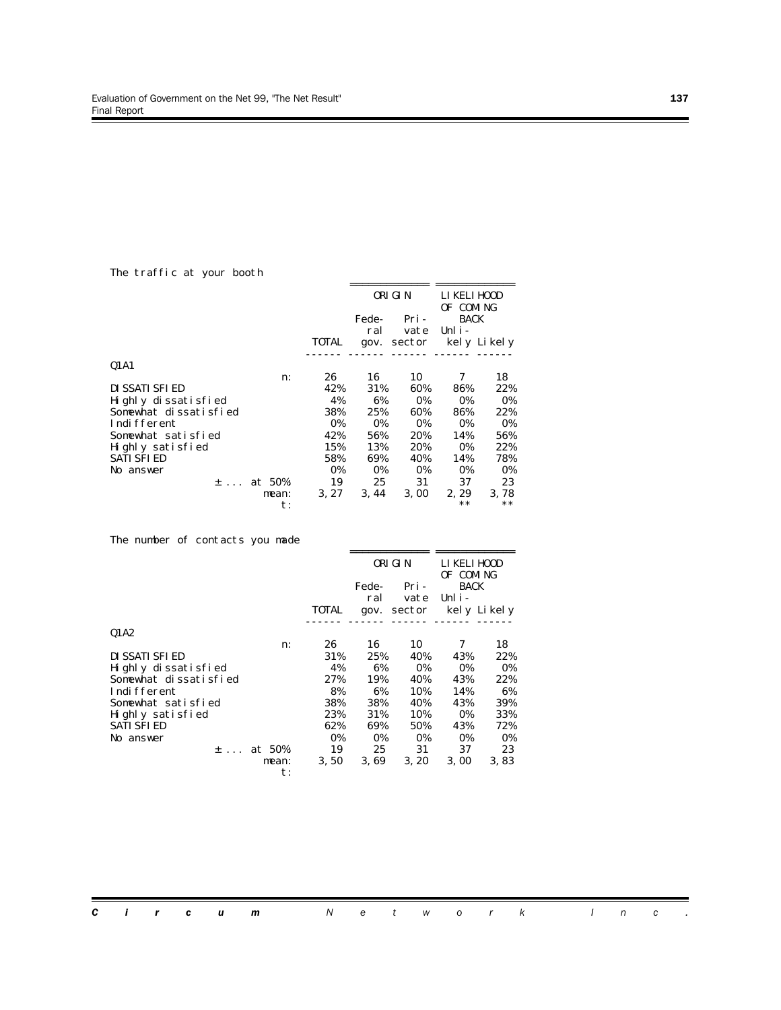## The traffic at your booth

|                       |              |              | ORI GI N      | LI KELI HOOD<br>OF COMING |                |
|-----------------------|--------------|--------------|---------------|---------------------------|----------------|
|                       |              | Fede-<br>ral | Pri -<br>vate | <b>BACK</b><br>Unl i -    |                |
|                       | <b>TOTAL</b> |              | gov. sector   |                           | kel y Li kel y |
| Q1A1                  |              |              |               |                           |                |
| n:                    | 26           | 16           | 10            | 7                         | 18             |
| DI SSATI SFI ED       | 42%          | 31%          | 60%           | 86%                       | 22%            |
| Highly dissatisfied   | 4%           | 6%           | $0\%$         | $0\%$                     | $0\%$          |
| Somewhat dissatisfied | 38%          | 25%          | 60%           | 86%                       | 22%            |
| Indifferent           | $0\%$        | $0\%$        | $0\%$         | $0\%$                     | $0\%$          |
| Somewhat satisfied    | 42%          | 56%          | 20%           | 14%                       | 56%            |
| Highly satisfied      | 15%          | 13%          | 20%           | $0\%$                     | 22%            |
| SATI SFI ED           | 58%          | 69%          | 40%           | 14%                       | 78%            |
| No answer             | $0\%$        | $0\%$        | $0\%$         | $0\%$                     | $0\%$          |
| $\pm$ at 50%:         | 19           | 25           | 31            | 37                        | 23             |
| mean:                 | 3, 27        | 3, 44        | 3,00          | 2.29                      | 3,78           |
| t:                    |              |              |               | **                        | **             |

The number of contacts you made

|                       |              |       | ORI GI N                | LI KELI HOOD |       |
|-----------------------|--------------|-------|-------------------------|--------------|-------|
|                       |              |       |                         | OF COMING    |       |
|                       |              | Fede- | Pri -                   | <b>BACK</b>  |       |
|                       |              | ral   | vate                    | Unl i -      |       |
|                       | <b>TOTAL</b> |       | gov. sector kely Likely |              |       |
| Q1A2                  |              |       |                         |              |       |
| n:                    | 26           | 16    | 10                      | 7            | 18    |
| DI SSATI SFI ED       | 31%          | 25%   | 40%                     | 43%          | 22%   |
| Highly dissatisfied   | 4%           | 6%    | $0\%$                   | 0%           | $0\%$ |
| Somewhat dissatisfied | 27%          | 19%   | 40%                     | 43%          | 22%   |
| Indifferent           | 8%           | 6%    | 10%                     | 14%          | 6%    |
| Somewhat satisfied    | 38%          | 38%   | 40%                     | 43%          | 39%   |
| Highly satisfied      | 23%          | 31%   | 10%                     | 0%           | 33%   |
| SATI SFI ED           | 62%          | 69%   | 50%                     | 43%          | 72%   |
| No answer             | $0\%$        | 0%    | $0\%$                   | $0\%$        | $0\%$ |
| $\pm$ at 50%:         | 19           | 25    | 31                      | 37           | 23    |
| mean:                 | 3,50         | 3,69  | 3, 20                   | 3,00         | 3,83  |
| t:                    |              |       |                         |              |       |

*Circum Network Inc .*

and the control of the control of the control of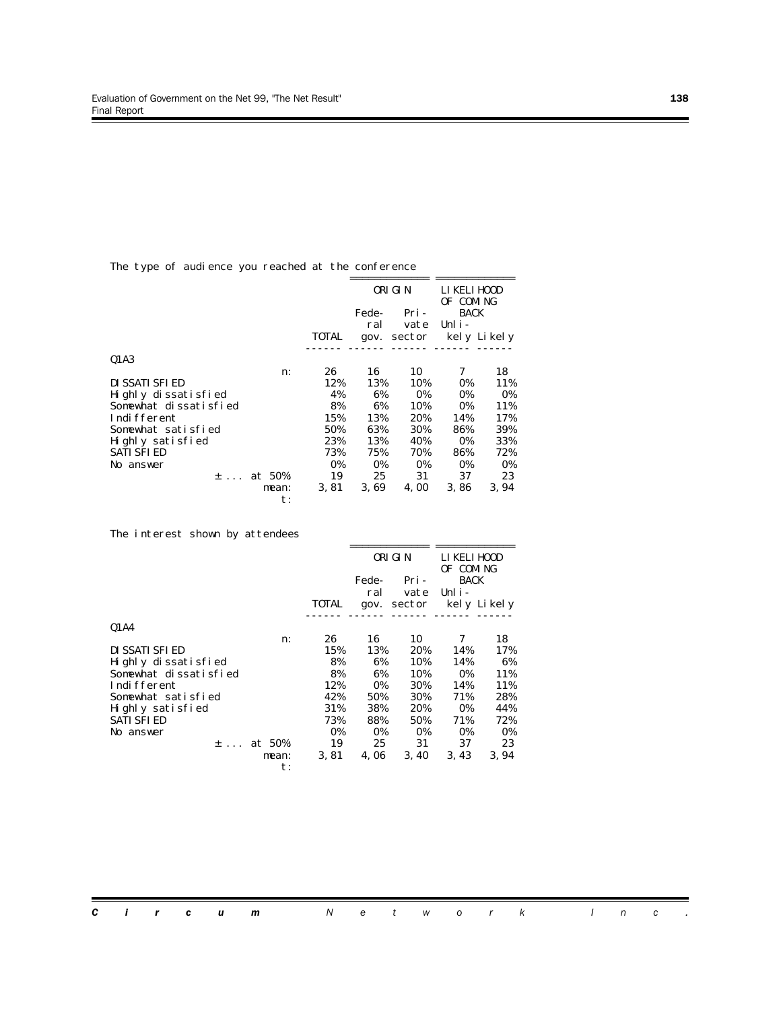The type of audience you reached at the conference

|                       |              |       | ORI GI N    | LI KELI HOOD |               |
|-----------------------|--------------|-------|-------------|--------------|---------------|
|                       |              |       |             | OF COMING    |               |
|                       |              | Fede- | Pri -       | <b>BACK</b>  |               |
|                       |              | ral   | vate        | Unl i -      |               |
|                       | <b>TOTAL</b> |       | gov. sector |              | kel y Likel y |
| Q1A3                  |              |       |             |              |               |
| $n$ :                 | 26           | 16    | 10          | 7            | 18            |
| DI SSATI SFI ED       | 12%          | 13%   | 10%         | $0\%$        | 11%           |
| Highly dissatisfied   | 4%           | 6%    | $0\%$       | 0%           | $0\%$         |
| Somewhat dissatisfied | 8%           | 6%    | 10%         | $0\%$        | 11%           |
| Indifferent           | 15%          | 13%   | 20%         | 14%          | 17%           |
| Somewhat satisfied    | 50%          | 63%   | 30%         | 86%          | 39%           |
| Highly satisfied      | 23%          | 13%   | 40%         | 0%           | 33%           |
| <b>SATI SFI ED</b>    | 73%          | 75%   | 70%         | 86%          | 72%           |
| No answer             | 0%           | 0%    | $0\%$       | 0%           | 0%            |
| $\pm$ at 50%:         | 19           | 25    | 31          | 37           | 23            |
| mean:                 | 3,81         | 3,69  | 4,00        | 3,86         | 3, 94         |
| t:                    |              |       |             |              |               |

The interest shown by attendees

|                       |              |       | ORI GI N                | LI KELI HOOD |       |
|-----------------------|--------------|-------|-------------------------|--------------|-------|
|                       |              |       |                         | OF COMING    |       |
|                       |              | Fede- | Pri -                   | <b>BACK</b>  |       |
|                       |              | ral   | vate                    | Unl i -      |       |
|                       | <b>TOTAL</b> |       | gov. sector kely Likely |              |       |
| 01A4                  |              |       |                         |              |       |
|                       | 26<br>n:     | 16    | 10                      | 7            | 18    |
| DI SSATI SFI ED       | 15%          | 13%   | 20%                     | 14%          | 17%   |
| Highly dissatisfied   | 8%           | 6%    | 10%                     | 14%          | 6%    |
| Somewhat dissatisfied | 8%           | 6%    | 10%                     | $0\%$        | 11%   |
| Indi fferent          | 12%          | $0\%$ | 30%                     | 14%          | 11%   |
| Somewhat satisfied    | 42%          | 50%   | 30%                     | 71%          | 28%   |
| Highly satisfied      | 31%          | 38%   | 20%                     | $0\%$        | 44%   |
| <b>SATI SFI ED</b>    | 73%          | 88%   | 50%                     | 71%          | 72%   |
| No answer             | $0\%$        | 0%    | $0\%$                   | $0\%$        | 0%    |
| $\pm$ at 50%:         | 19           | 25    | 31                      | 37           | 23    |
| mean:                 | 3,81         | 4,06  | 3, 40                   | 3, 43        | 3, 94 |
|                       | t:           |       |                         |              |       |

*Circum Network Inc .*

<u> The Company of the Company of the Company of the Company of the Company of the Company of the Company of the Company of the Company of the Company of the Company of the Company of the Company of the Company of the Compan</u>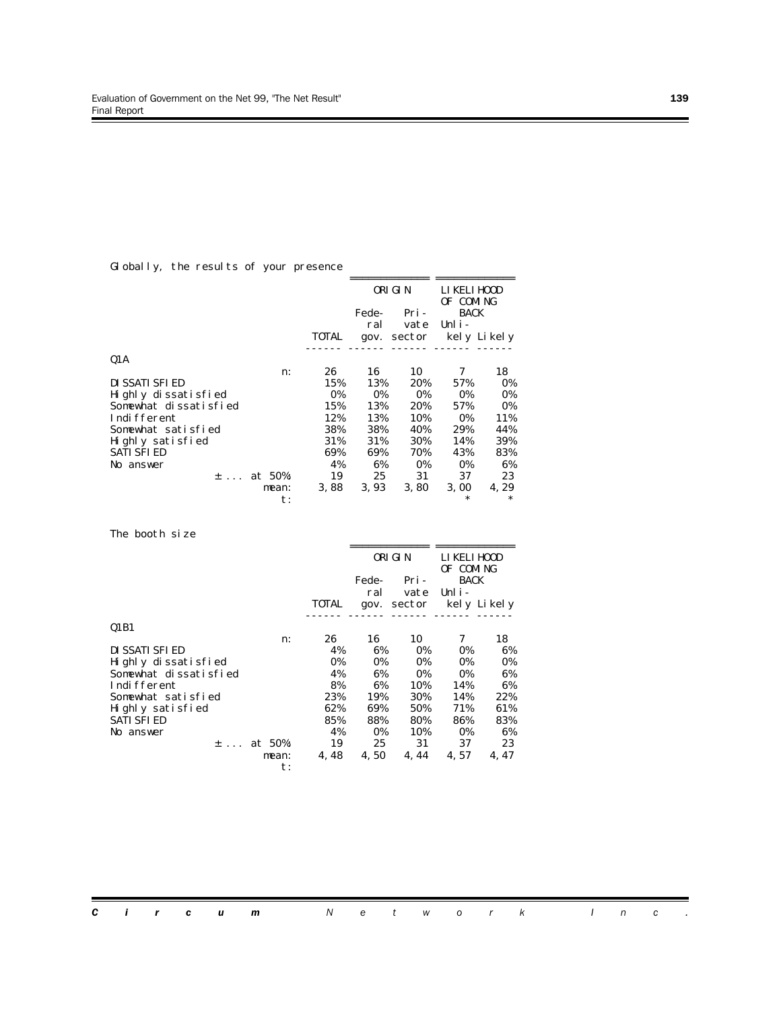## Globally, the results of your presence

|                       |              |       | ORI GI N    | <b>LI KELI HOOD</b><br>OF COMING |                |
|-----------------------|--------------|-------|-------------|----------------------------------|----------------|
|                       |              |       |             |                                  |                |
|                       |              | Fede- | Pri -       | <b>BACK</b>                      |                |
|                       |              | ral   | vate        | Unl i -                          |                |
|                       | <b>TOTAL</b> |       | gov. sector |                                  | kel y Li kel y |
| Q1A                   |              |       |             |                                  |                |
| n:                    | 26           | 16    | 10          | 7                                | 18             |
| DI SSATI SFI ED       | 15%          | 13%   | 20%         | 57%                              | 0%             |
| Highly dissatisfied   | $0\%$        | 0%    | 0%          | 0%                               | 0%             |
| Somewhat dissatisfied | 15%          | 13%   | 20%         | 57%                              | $0\%$          |
| Indifferent           | 12%          | 13%   | 10%         | $0\%$                            | 11%            |
| Somewhat satisfied    | 38%          | 38%   | 40%         | 29%                              | 44%            |
| Highly satisfied      | 31%          | 31%   | 30%         | 14%                              | 39%            |
| SATI SFI ED           | 69%          | 69%   | 70%         | 43%                              | 83%            |
| No answer             | 4%           | 6%    | $0\%$       | $0\%$                            | 6%             |
| $\pm$ at 50%:         | 19           | 25    | 31          | 37                               | 23             |
| mean:                 | 3,88         | 3, 93 | 3,80        | 3,00                             | 4,29           |
| t:                    |              |       |             | *                                | *              |

The booth size

|                       |              |       | ORI GI N                | LI KELI HOOD |       |
|-----------------------|--------------|-------|-------------------------|--------------|-------|
|                       |              |       |                         | OF COMING    |       |
|                       |              | Fede- | Pri -                   | <b>BACK</b>  |       |
|                       |              | ral   | vate                    | Unl i -      |       |
|                       | <b>TOTAL</b> |       | gov. sector kely Likely |              |       |
| Q1B1                  |              |       |                         |              |       |
|                       | 26<br>n:     | 16    | 10                      | 7            | 18    |
| DI SSATI SFI ED       | 4%           | 6%    | $0\%$                   | 0%           | 6%    |
| Highly dissatisfied   | $0\%$        | 0%    | 0%                      | 0%           | 0%    |
| Somewhat dissatisfied | 4%           | 6%    | $0\%$                   | $0\%$        | 6%    |
| Indi fferent          | 8%           | 6%    | 10%                     | 14%          | 6%    |
| Somewhat satisfied    | 23%          | 19%   | 30%                     | 14%          | 22%   |
| Highly satisfied      | 62%          | 69%   | 50%                     | 71%          | 61%   |
| <b>SATI SFI ED</b>    | 85%          | 88%   | 80%                     | 86%          | 83%   |
| No answer             | 4%           | 0%    | 10%                     | $0\%$        | 6%    |
| $\pm$ at 50%:         | 19           | 25    | 31                      | 37           | 23    |
| mean:                 | 4, 48        | 4,50  | 4, 44                   | 4, 57        | 4, 47 |
|                       | t:           |       |                         |              |       |

*Circum Network Inc .*

and the control of the control of the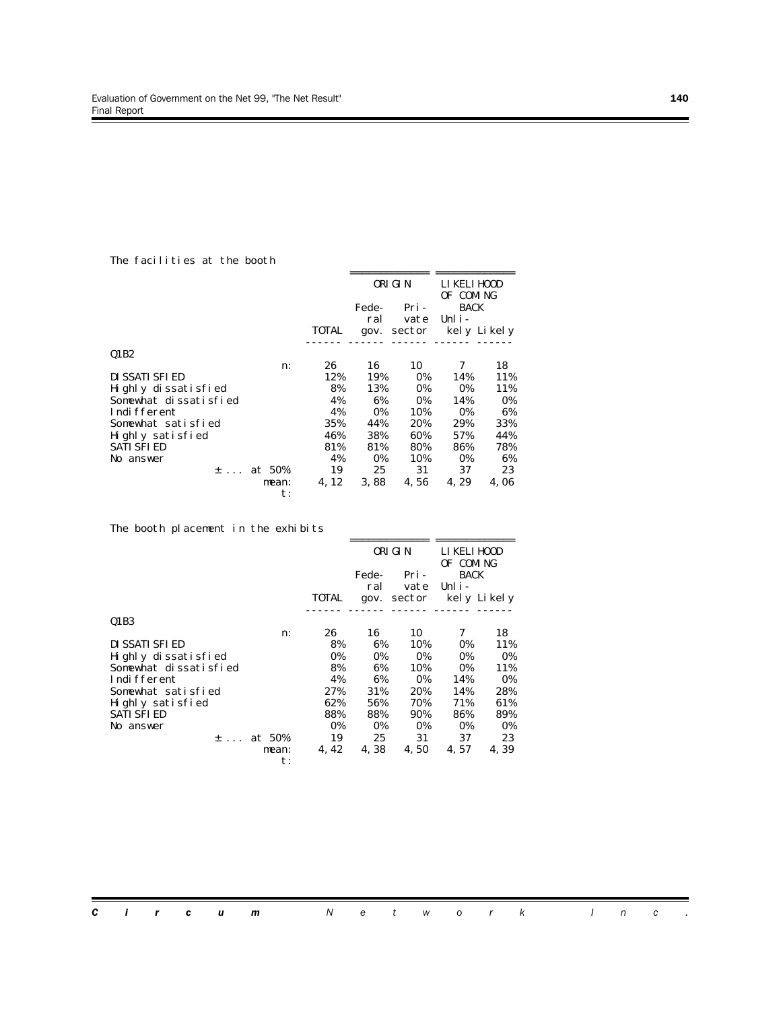## The facilities at the booth

|                       |              |              | ORI GI N                     | LI KELI HOOD                        |               |
|-----------------------|--------------|--------------|------------------------------|-------------------------------------|---------------|
|                       | <b>TOTAL</b> | Fede-<br>ral | Pri -<br>vate<br>gov. sector | OF COMING<br><b>BACK</b><br>Unl i - | kel y Likel y |
| Q1B2                  |              |              |                              |                                     |               |
| n:                    | 26           | 16           | 10                           | 7                                   | 18            |
| DI SSATI SFI ED       | 12%          | 19%          | $0\%$                        | 14%                                 | 11%           |
| Highly dissatisfied   | 8%           | 13%          | $0\%$                        | $0\%$                               | 11%           |
| Somewhat dissatisfied | 4%           | 6%           | $0\%$                        | 14%                                 | 0%            |
| Indifferent           | 4%           | $0\%$        | 10%                          | $0\%$                               | 6%            |
| Somewhat satisfied    | 35%          | 44%          | 20%                          | 29%                                 | 33%           |
| Highly satisfied      | 46%          | 38%          | 60%                          | 57%                                 | 44%           |
| SATI SFI ED           | 81%          | 81%          | 80%                          | 86%                                 | 78%           |
| No answer             | 4%           | $0\%$        | 10%                          | $0\%$                               | 6%            |
| $\pm$ at 50%:         | 19           | 25           | 31                           | 37                                  | 23            |
| mean:                 | 4, 12        | 3,88         | 4,56                         | 4, 29                               | 4,06          |
| t:                    |              |              |                              |                                     |               |

The booth placement in the exhibits

|                       |       |              |       | ORI GI N    | LI KELI HOOD<br>OF COMING |      |
|-----------------------|-------|--------------|-------|-------------|---------------------------|------|
|                       |       |              |       |             |                           |      |
|                       |       |              | Fede- | Pri -       | <b>BACK</b>               |      |
|                       |       |              | ral   | vate        | Unl i -                   |      |
|                       |       | <b>TOTAL</b> |       | gov. sector | kel y Li kel y            |      |
| Q1B3                  |       |              |       |             |                           |      |
|                       | n:    | 26           | 16    | 10          | 7                         | 18   |
| DI SSATI SFI ED       |       | 8%           | 6%    | 10%         | $0\%$                     | 11%  |
| Highly dissatisfied   |       | $0\%$        | 0%    | $0\%$       | 0%                        | 0%   |
| Somewhat dissatisfied |       | 8%           | 6%    | 10%         | $0\%$                     | 11%  |
| Indifferent           |       | 4%           | 6%    | $0\%$       | 14%                       | 0%   |
| Somewhat satisfied    |       | 27%          | 31%   | 20%         | 14%                       | 28%  |
| Highly satisfied      |       | 62%          | 56%   | 70%         | 71%                       | 61%  |
| <b>SATI SFI ED</b>    |       | 88%          | 88%   | 90%         | 86%                       | 89%  |
| No answer             |       | 0%           | 0%    | $0\%$       | 0%                        | 0%   |
| $\pm$ at 50%:         |       | 19           | 25    | 31          | 37                        | 23   |
|                       | mean: | 4, 42        | 4,38  | 4,50        | 4, 57                     | 4,39 |
|                       | t:    |              |       |             |                           |      |

and the control of the control of the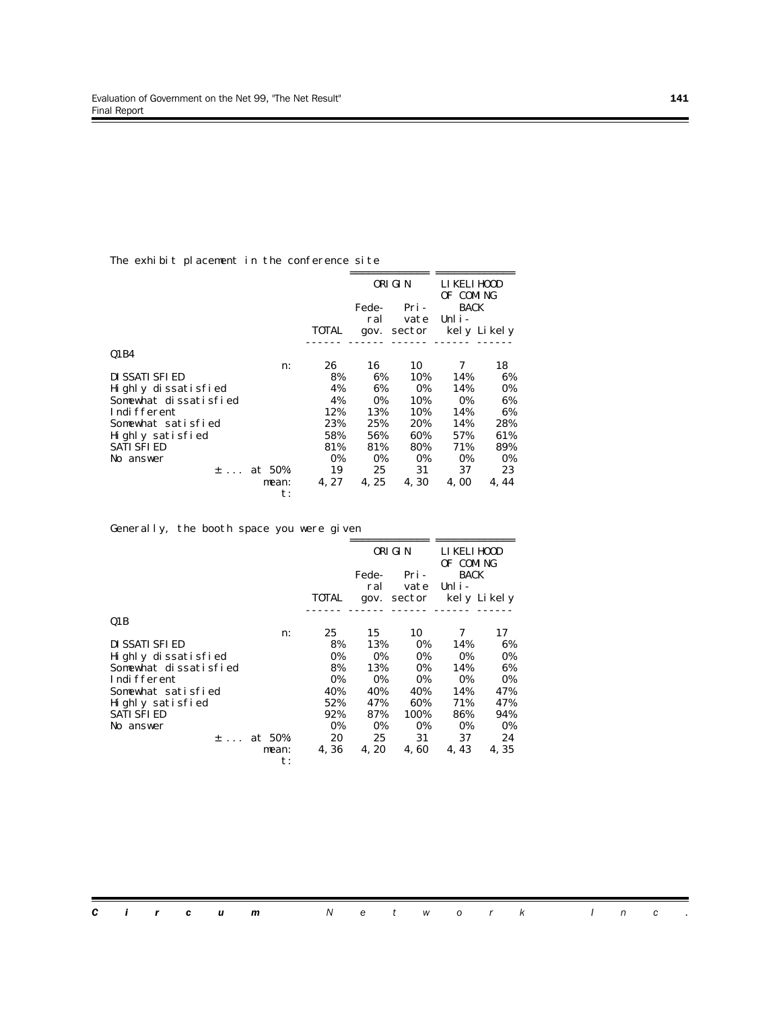## The exhibit placement in the conference site

|                       |              | ORI GI N |             | LI KELI HOOD<br>OF COMING |               |
|-----------------------|--------------|----------|-------------|---------------------------|---------------|
|                       |              | Fede-    | Pri -       | <b>BACK</b>               |               |
|                       |              | ral      | vate        | Unl i -                   |               |
|                       | <b>TOTAL</b> |          | gov. sector |                           | kel y Likel y |
| Q1B4                  |              |          |             |                           |               |
| n:                    | 26           | 16       | 10          | 7                         | 18            |
| DI SSATI SFI ED       | 8%           | 6%       | 10%         | 14%                       | 6%            |
| Highly dissatisfied   | 4%           | 6%       | $0\%$       | 14%                       | $0\%$         |
| Somewhat dissatisfied | 4%           | $0\%$    | 10%         | 0%                        | 6%            |
| Indifferent           | 12%          | 13%      | 10%         | 14%                       | 6%            |
| Somewhat satisfied    | 23%          | 25%      | 20%         | 14%                       | 28%           |
| Highly satisfied      | 58%          | 56%      | 60%         | 57%                       | 61%           |
| SATI SFI ED           | 81%          | 81%      | 80%         | 71%                       | 89%           |
| No answer             | $0\%$        | $0\%$    | $0\%$       | $0\%$                     | $0\%$         |
| $\pm$ at 50%:         | 19           | 25       | 31          | 37                        | 23            |
| mean:                 | 4, 27        | 4, 25    | 4, 30       | 4,00                      | 4, 44         |
| t:                    |              |          |             |                           |               |

Generally, the booth space you were given

|                       |              |       | ORI GI N                | LI KELI HOOD<br>OF COMING |       |
|-----------------------|--------------|-------|-------------------------|---------------------------|-------|
|                       |              |       |                         |                           |       |
|                       |              | Fede- | Pri -                   | <b>BACK</b>               |       |
|                       |              | ral   | vate                    | Unl i -                   |       |
|                       | <b>TOTAL</b> |       | gov. sector kely Likely |                           |       |
| Q1B                   |              |       |                         |                           |       |
|                       | 25<br>n:     | 15    | 10                      | 7                         | 17    |
| DI SSATI SFI ED       | 8%           | 13%   | 0%                      | 14%                       | 6%    |
| Highly dissatisfied   | 0%           | $0\%$ | 0%                      | 0%                        | 0%    |
| Somewhat dissatisfied | 8%           | 13%   | $0\%$                   | 14%                       | 6%    |
| Indifferent           | $0\%$        | $0\%$ | $0\%$                   | $0\%$                     | 0%    |
| Somewhat satisfied    | 40%          | 40%   | 40%                     | 14%                       | 47%   |
| Highly satisfied      | 52%          | 47%   | 60%                     | 71%                       | 47%   |
| <b>SATI SFI ED</b>    | 92%          | 87%   | 100%                    | 86%                       | 94%   |
| No answer             | $0\%$        | 0%    | 0%                      | $0\%$                     | 0%    |
| $\pm$ at 50%:         | 20           | 25    | 31                      | 37                        | 24    |
| mean:                 | 4,36         | 4, 20 | 4,60                    | 4, 43                     | 4, 35 |
|                       | t:           |       |                         |                           |       |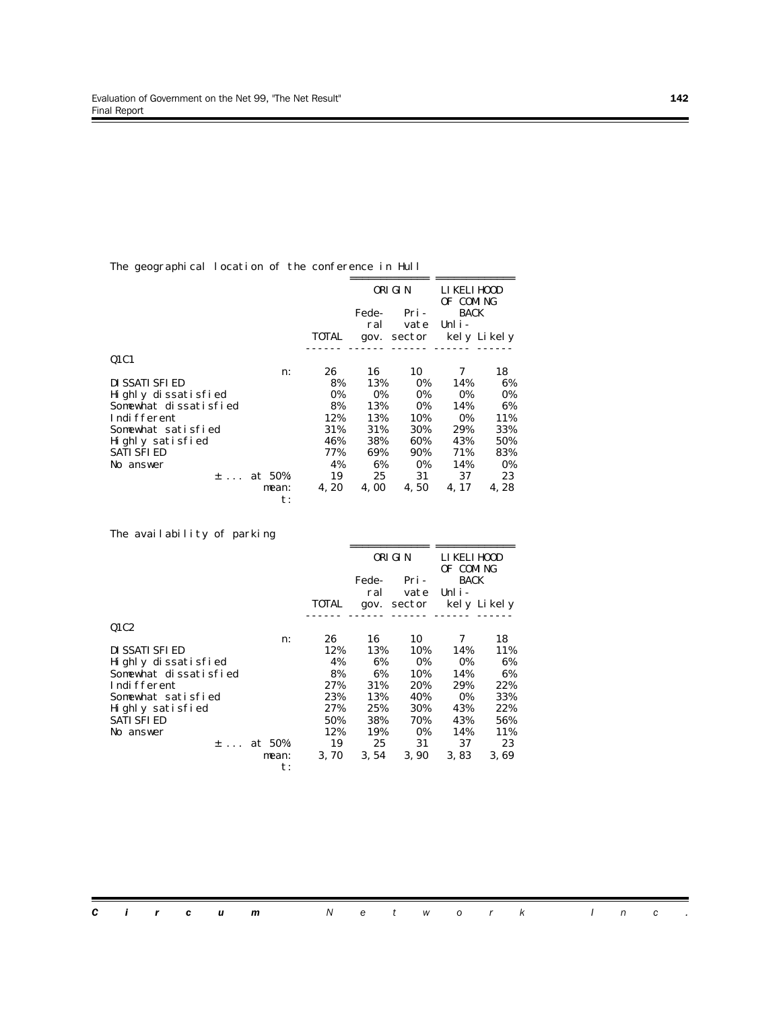## The geographical location of the conference in Hull

|                       |              |       | ORI GIN     | <b>LI KELI HOOD</b><br>OF COMING |                |
|-----------------------|--------------|-------|-------------|----------------------------------|----------------|
|                       |              |       |             |                                  |                |
|                       |              | Fede- | Pri -       | <b>BACK</b>                      |                |
|                       |              | ral   | vate        | Unl i -                          |                |
|                       | <b>TOTAL</b> |       | gov. sector |                                  | kel y Li kel y |
| Q1C1                  |              |       |             |                                  |                |
| n:                    | 26           | 16    | 10          | 7                                | 18             |
| DI SSATI SFI ED       | 8%           | 13%   | $0\%$       | 14%                              | 6%             |
| Highly dissatisfied   | $0\%$        | $0\%$ | 0%          | 0%                               | 0%             |
| Somewhat dissatisfied | 8%           | 13%   | 0%          | 14%                              | 6%             |
| Indifferent           | 12%          | 13%   | 10%         | $0\%$                            | 11%            |
| Somewhat satisfied    | 31%          | 31%   | 30%         | 29%                              | 33%            |
| Highly satisfied      | 46%          | 38%   | 60%         | 43%                              | 50%            |
| <b>SATI SFI ED</b>    | 77%          | 69%   | 90%         | 71%                              | 83%            |
| No answer             | 4%           | 6%    | $0\%$       | 14%                              | 0%             |
| $\pm$ at 50%:         | 19           | 25    | 31          | 37                               | 23             |
| mean:                 | 4, 20        | 4,00  | 4,50        | 4, 17                            | 4,28           |
| t:                    |              |       |             |                                  |                |

The availability of parking

|                       |              |       | ORI GI N                | LI KELI HOOD |      |
|-----------------------|--------------|-------|-------------------------|--------------|------|
|                       |              |       |                         | OF COMING    |      |
|                       |              | Fede- | Pri -                   | <b>BACK</b>  |      |
|                       |              | ral   | vate                    | Unl i -      |      |
|                       | <b>TOTAL</b> |       | gov. sector kely Likely |              |      |
| Q1C <sub>2</sub>      |              |       |                         |              |      |
|                       | 26<br>n:     | 16    | 10                      | 7            | 18   |
| DI SSATI SFI ED       | 12%          | 13%   | 10%                     | 14%          | 11%  |
| Highly dissatisfied   | 4%           | 6%    | $0\%$                   | 0%           | 6%   |
| Somewhat dissatisfied | 8%           | 6%    | 10%                     | 14%          | 6%   |
| Indi fferent          | 27%          | 31%   | 20%                     | 29%          | 22%  |
| Somewhat satisfied    | 23%          | 13%   | 40%                     | $0\%$        | 33%  |
| Highly satisfied      | 27%          | 25%   | 30%                     | 43%          | 22%  |
| <b>SATI SFI ED</b>    | 50%          | 38%   | 70%                     | 43%          | 56%  |
| No answer             | 12%          | 19%   | $0\%$                   | 14%          | 11%  |
| $\pm$ at 50%:         | 19           | 25    | 31                      | 37           | 23   |
| mean:                 | 3, 70        | 3, 54 | 3, 90                   | 3,83         | 3,69 |
|                       | t:           |       |                         |              |      |

*Circum Network Inc .*

<u> The Company of the Company of the Company of the Company of the Company of the Company of the Company of the Company of the Company of the Company of the Company of the Company of the Company of the Company of the Compan</u>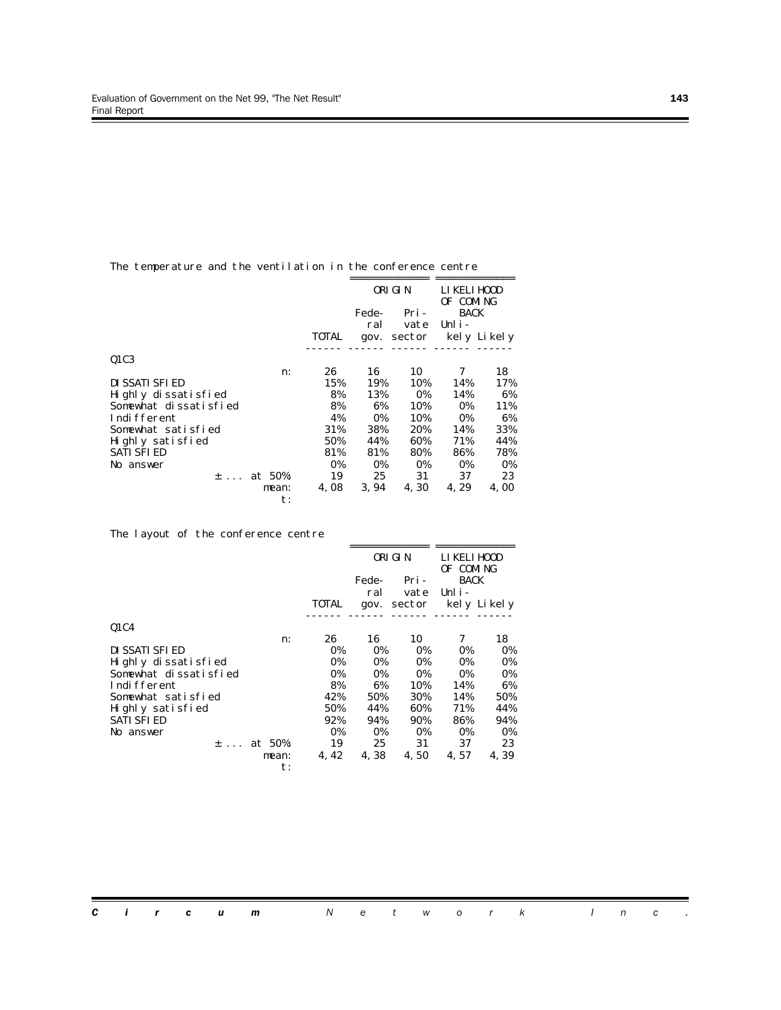|                       |              | ORI GI N             |                         | LI KELI HOOD<br>OF COMING |               |
|-----------------------|--------------|----------------------|-------------------------|---------------------------|---------------|
|                       | <b>TOTAL</b> | Fede-<br>ral<br>gov. | Pri -<br>vate<br>sector | <b>BACK</b><br>Unl i -    | kel y Likel y |
| Q1C3                  |              |                      |                         |                           |               |
| n:                    | 26           | 16                   | 10                      | 7                         | 18            |
| DI SSATI SFI ED       | 15%          | 19%                  | 10%                     | 14%                       | 17%           |
| Highly dissatisfied   | 8%           | 13%                  | $0\%$                   | 14%                       | 6%            |
| Somewhat dissatisfied | 8%           | 6%                   | 10%                     | 0%                        | 11%           |
| Indifferent           | 4%           | $0\%$                | 10%                     | $0\%$                     | 6%            |
| Somewhat satisfied    | 31%          | 38%                  | 20%                     | 14%                       | 33%           |
| Highly satisfied      | 50%          | 44%                  | 60%                     | 71%                       | 44%           |
| SATI SFI ED           | 81%          | 81%                  | 80%                     | 86%                       | 78%           |
| No answer             | 0%           | 0%                   | 0%                      | 0%                        | 0%            |
| $\pm$ at 50%:         | 19           | 25                   | 31                      | 37                        | 23            |
| mean:<br>t:           | 4,08         | 3, 94                | 4,30                    | 4, 29                     | 4,00          |

The temperature and the ventilation in the conference centre

The layout of the conference centre

|                       |              |       | ORI GI N                        | LI KELI HOOD<br>OF COMING |       |
|-----------------------|--------------|-------|---------------------------------|---------------------------|-------|
|                       |              | Fede- | Pri -                           | <b>BACK</b>               |       |
|                       | <b>TOTAL</b> | ral   | vate<br>gov. sector kely Likely | Unl i -                   |       |
| Q1C4                  |              |       |                                 |                           |       |
| n:                    | 26           | 16    | 10                              | 7                         | 18    |
| DI SSATI SFI ED       | 0%           | $0\%$ | $0\%$                           | $0\%$                     | 0%    |
| Highly dissatisfied   | $0\%$        | 0%    | 0%                              | 0%                        | 0%    |
| Somewhat dissatisfied | $0\%$        | $0\%$ | $0\%$                           | $0\%$                     | $0\%$ |
| Indi fferent          | 8%           | 6%    | 10%                             | 14%                       | 6%    |
| Somewhat satisfied    | 42%          | 50%   | 30%                             | 14%                       | 50%   |
| Highly satisfied      | 50%          | 44%   | 60%                             | 71%                       | 44%   |
| <b>SATI SFI ED</b>    | 92%          | 94%   | 90%                             | 86%                       | 94%   |
| No answer             | $0\%$        | 0%    | $0\%$                           | $0\%$                     | 0%    |
| $\pm$ at 50%:         | 19           | 25    | 31                              | 37                        | 23    |
| mean:                 | 4, 42        | 4,38  | 4,50                            | 4, 57                     | 4,39  |
| t:                    |              |       |                                 |                           |       |

*Circum Network Inc .*

and the control of the control of the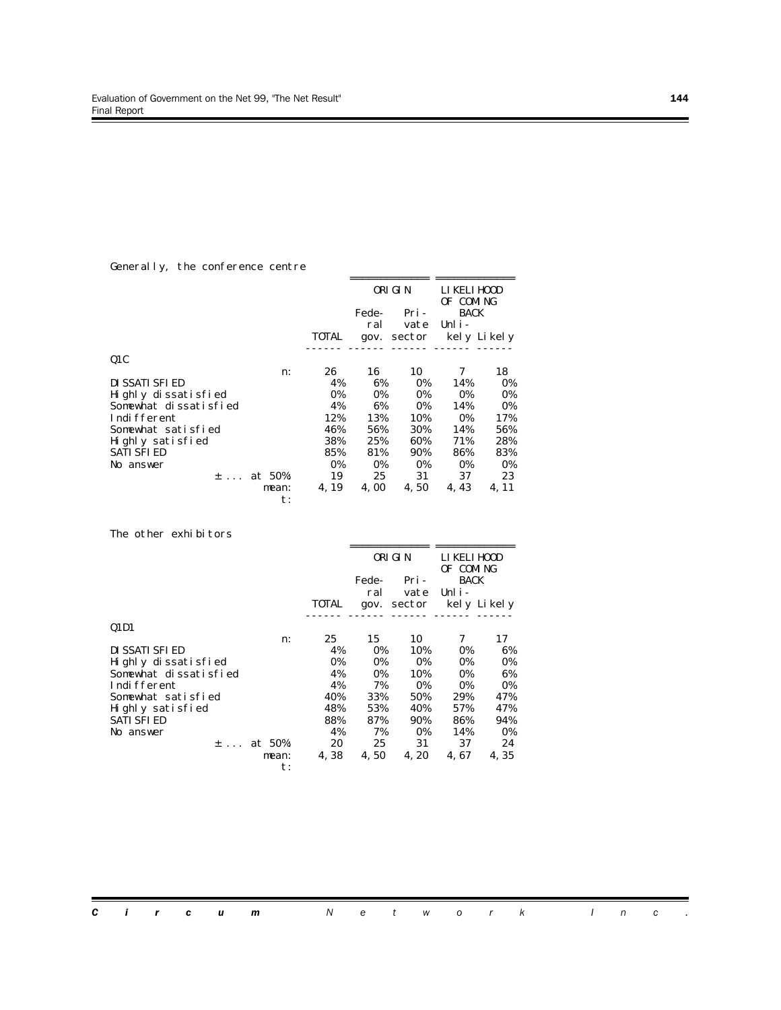## Generally, the conference centre

|                       |              |       | ORI GI N    | LI KELI HOOD<br>OF COMING |                |
|-----------------------|--------------|-------|-------------|---------------------------|----------------|
|                       |              |       |             |                           |                |
|                       |              | Fede- | Pri -       | <b>BACK</b>               |                |
|                       |              | ral   | vate        | Unli-                     |                |
|                       | <b>TOTAL</b> |       | gov. sector |                           | kel y Li kel y |
| Q1C                   |              |       |             |                           |                |
| n:                    | 26           | 16    | 10          | 7                         | 18             |
| DI SSATI SFI ED       | 4%           | 6%    | $0\%$       | 14%                       | 0%             |
| Highly dissatisfied   | 0%           | 0%    | 0%          | $0\%$                     | 0%             |
| Somewhat dissatisfied | 4%           | 6%    | $0\%$       | 14%                       | 0%             |
| Indifferent           | 12%          | 13%   | 10%         | $0\%$                     | 17%            |
| Somewhat satisfied    | 46%          | 56%   | 30%         | 14%                       | 56%            |
| Highly satisfied      | 38%          | 25%   | 60%         | 71%                       | 28%            |
| <b>SATI SFI ED</b>    | 85%          | 81%   | 90%         | 86%                       | 83%            |
| No answer             | 0%           | 0%    | 0%          | 0%                        | 0%             |
| $\pm$ at 50%:         | 19           | 25    | 31          | 37                        | 23             |
| mean:                 | 4, 19        | 4,00  | 4,50        | 4, 43                     | 4, 11          |
| t:                    |              |       |             |                           |                |

The other exhibitors

|                       |              |             | ORI GI N                | LI KELI HOOD |       |
|-----------------------|--------------|-------------|-------------------------|--------------|-------|
|                       |              |             |                         | OF COMING    |       |
|                       |              | Fede-       | Pri -                   | <b>BACK</b>  |       |
|                       |              | ral         | vate                    | Unl i -      |       |
|                       | <b>TOTAL</b> |             | gov. sector kely Likely |              |       |
| Q1D1                  |              |             |                         |              |       |
|                       | 25<br>n:     | 15          | 10                      | 7            | 17    |
| DI SSATI SFI ED       |              | $0\%$<br>4% | 10%                     | 0%           | 6%    |
| Highly dissatisfied   |              | $0\%$<br>0% | $0\%$                   | 0%           | 0%    |
| Somewhat dissatisfied |              | $0\%$<br>4% | 10%                     | $0\%$        | 6%    |
| Indi fferent          |              | 4%<br>7%    | $0\%$                   | $0\%$        | 0%    |
| Somewhat satisfied    | 40%          | 33%         | 50%                     | 29%          | 47%   |
| Highly satisfied      | 48%          | 53%         | 40%                     | 57%          | 47%   |
| <b>SATI SFI ED</b>    | 88%          | 87%         | 90%                     | 86%          | 94%   |
| No answer             |              | 4%<br>7%    | $0\%$                   | 14%          | 0%    |
| $\pm$ at 50%:         |              | 20<br>25    | 31                      | 37           | 24    |
| mean:                 | 4,38         | 4,50        | 4, 20                   | 4,67         | 4, 35 |
|                       | t:           |             |                         |              |       |

*Circum Network Inc .*

<u> The Company of the Company of the Company of the Company of the Company of the Company of the Company of the Company of the Company of the Company of the Company of the Company of the Company of the Company of the Compan</u>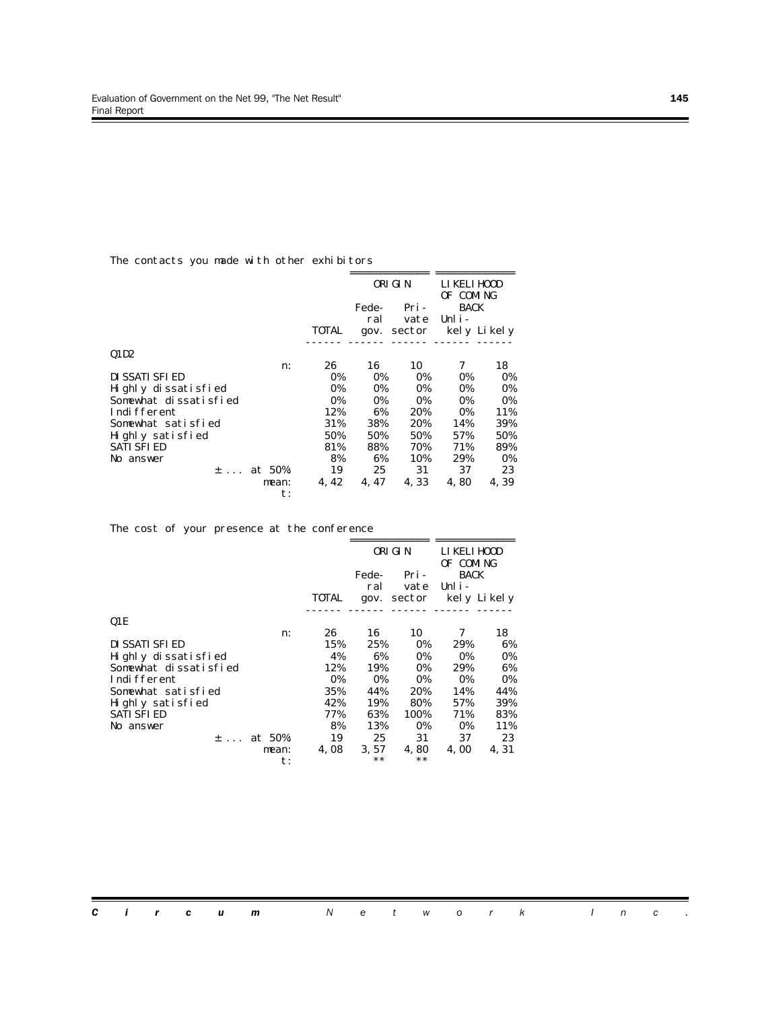## The contacts you made with other exhibitors

|                       |              | ORI GI N     |                                          | LI KELI HOOD<br>OF COMING |       |
|-----------------------|--------------|--------------|------------------------------------------|---------------------------|-------|
|                       | <b>TOTAL</b> | Fede-<br>ral | Pri -<br>vate<br>gov. sector kely Likely | <b>BACK</b><br>Unl i -    |       |
| Q1D <sub>2</sub>      |              |              |                                          |                           |       |
|                       | 26<br>n:     | 16           | 10                                       | 7                         | 18    |
| DI SSATI SFI ED       | 0%           | 0%           | 0%                                       | 0%                        | 0%    |
| Highly dissatisfied   | $0\%$        | $0\%$        | 0%                                       | 0%                        | $0\%$ |
| Somewhat dissatisfied | $0\%$        | $0\%$        | 0%                                       | $0\%$                     | $0\%$ |
| Indifferent           | 12%          | 6%           | 20%                                      | $0\%$                     | 11%   |
| Somewhat satisfied    | 31%          | 38%          | 20%                                      | 14%                       | 39%   |
| Highly satisfied      | 50%          | 50%          | 50%                                      | 57%                       | 50%   |
| SATI SFI ED           | 81%          | 88%          | 70%                                      | 71%                       | 89%   |
| No answer             | 8%           | 6%           | 10%                                      | 29%                       | $0\%$ |
| $\pm$ at 50%:         | 19           | 25           | 31                                       | 37                        | 23    |
| mean:                 | 4, 42        | 4, 47        | 4, 33                                    | 4,80                      | 4, 39 |
|                       | t:           |              |                                          |                           |       |

The cost of your presence at the conference

|                       |              | ORI GI N<br>Fede-<br>Pri - |                         | LI KELI HOOD             |       |  |
|-----------------------|--------------|----------------------------|-------------------------|--------------------------|-------|--|
|                       |              |                            |                         | OF COMING<br><b>BACK</b> |       |  |
|                       |              |                            |                         |                          |       |  |
|                       |              | ral                        | vate                    | Unl i -                  |       |  |
|                       | <b>TOTAL</b> |                            | gov. sector kely Likely |                          |       |  |
| Q1E                   |              |                            |                         |                          |       |  |
| n:                    | 26           | 16                         | 10                      | 7                        | 18    |  |
| DI SSATI SFI ED       | 15%          | 25%                        | $0\%$                   | 29%                      | 6%    |  |
| Highly dissatisfied   | 4%           | 6%                         | 0%                      | 0%                       | 0%    |  |
| Somewhat dissatisfied | 12%          | 19%                        | $0\%$                   | 29%                      | 6%    |  |
| Indifferent           | $0\%$        | 0%                         | $0\%$                   | $0\%$                    | 0%    |  |
| Somewhat satisfied    | 35%          | 44%                        | 20%                     | 14%                      | 44%   |  |
| Highly satisfied      | 42%          | 19%                        | 80%                     | 57%                      | 39%   |  |
| <b>SATI SFI ED</b>    | 77%          | 63%                        | 100%                    | 71%                      | 83%   |  |
| No answer             | 8%           | 13%                        | 0%                      | $0\%$                    | 11%   |  |
| $\pm$ at 50%:         | 19           | 25                         | 31                      | 37                       | 23    |  |
| mean:                 | 4,08         | 3, 57                      | 4,80                    | 4,00                     | 4, 31 |  |
| t:                    |              | $* *$                      | $**$                    |                          |       |  |

<u> a shekara ta 1989</u>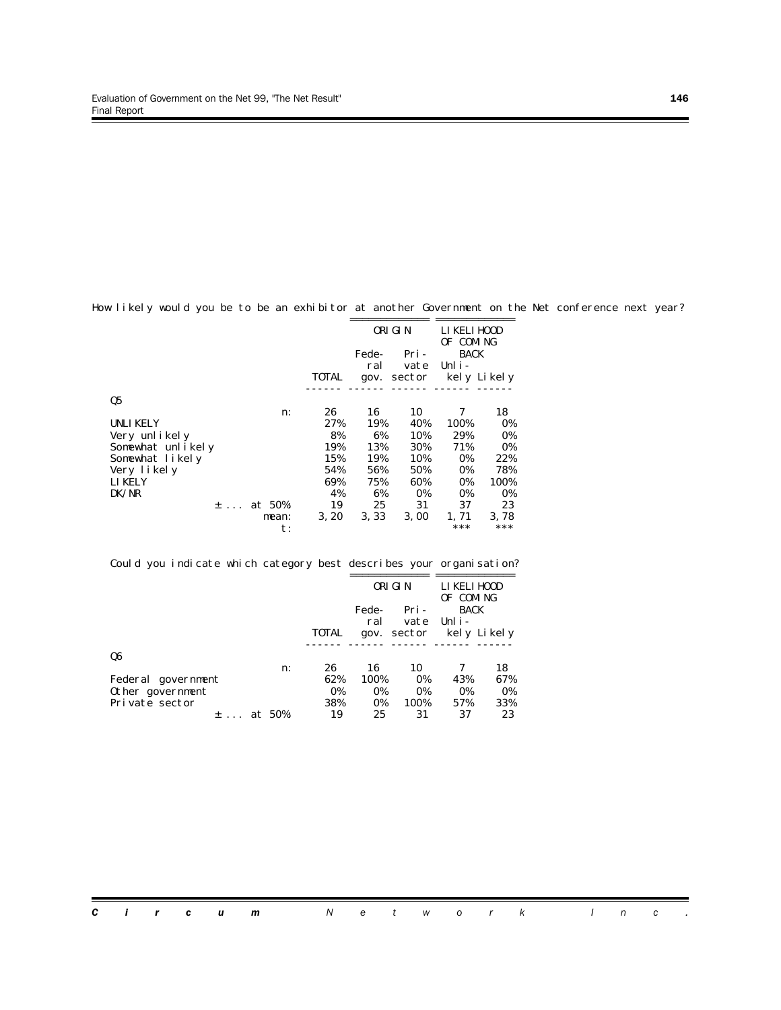How likely would you be to be an exhibitor at another Government on the Net conference next year?

|                     |              | ORI GI N       |             | LI KELI HOOD<br><b>COMING</b><br>0F. |             |
|---------------------|--------------|----------------|-------------|--------------------------------------|-------------|
|                     |              |                |             |                                      |             |
|                     |              | Fede-<br>Pri - |             | <b>BACK</b>                          |             |
|                     |              | ral            | vate        | Unl i -                              |             |
|                     | <b>TOTAL</b> |                | gov. sector |                                      | kely Likely |
| Q5                  |              |                |             |                                      |             |
| n:                  | 26           | 16             | 10          | 7                                    | 18          |
| <b>UNLIKELY</b>     | 27%          | 19%            | 40%         | 100%                                 | 0%          |
| Very unlikely       | 8%           | 6%             | 10%         | 29%                                  | 0%          |
| Somewhat unlikely   | 19%          | 13%            | 30%         | 71%                                  | 0%          |
| Somewhat likely     | 15%          | 19%            | 10%         | 0%                                   | 22%         |
| Very likely         | 54%          | 56%            | 50%         | 0%                                   | 78%         |
| <b>LI KELY</b>      | 69%          | 75%            | 60%         | 0%                                   | 100%        |
| DK/NR               | 4%           | 6%             | 0%          | 0%                                   | 0%          |
| at $50%$ :<br>$\pm$ | 19           | 25             | 31          | 37                                   | 23          |
| mean:               | 3, 20        | 3, 33          | 3,00        | 1,71                                 | 3,78        |
| t:                  |              |                |             | ***                                  | ***         |

Could you indicate which category best describes your organisation?

|                    |              | ORI GI N |             | LI KELI HOOD<br>OF COMING |             |  |
|--------------------|--------------|----------|-------------|---------------------------|-------------|--|
|                    |              | Fede-    | Pri -       |                           | <b>BACK</b> |  |
|                    |              | ral      | vate        | Unl i -                   |             |  |
|                    | <b>TOTAL</b> |          | gov. sector |                           | kely Likely |  |
| Q6                 |              |          |             |                           |             |  |
| $n$ :              | 26           | 16       | 10          |                           | 18          |  |
| Federal government | 62%          | 100%     | $0\%$       | 43%                       | 67%         |  |
| Other government   | $0\%$        | $0\%$    | $0\%$       | 0%                        | 0%          |  |
| Private sector     | 38%          | 0%       | 100%        | 57%                       | 33%         |  |
| $\pm$ at 50%:      | 19           | 25       | 31          | 37                        | 23          |  |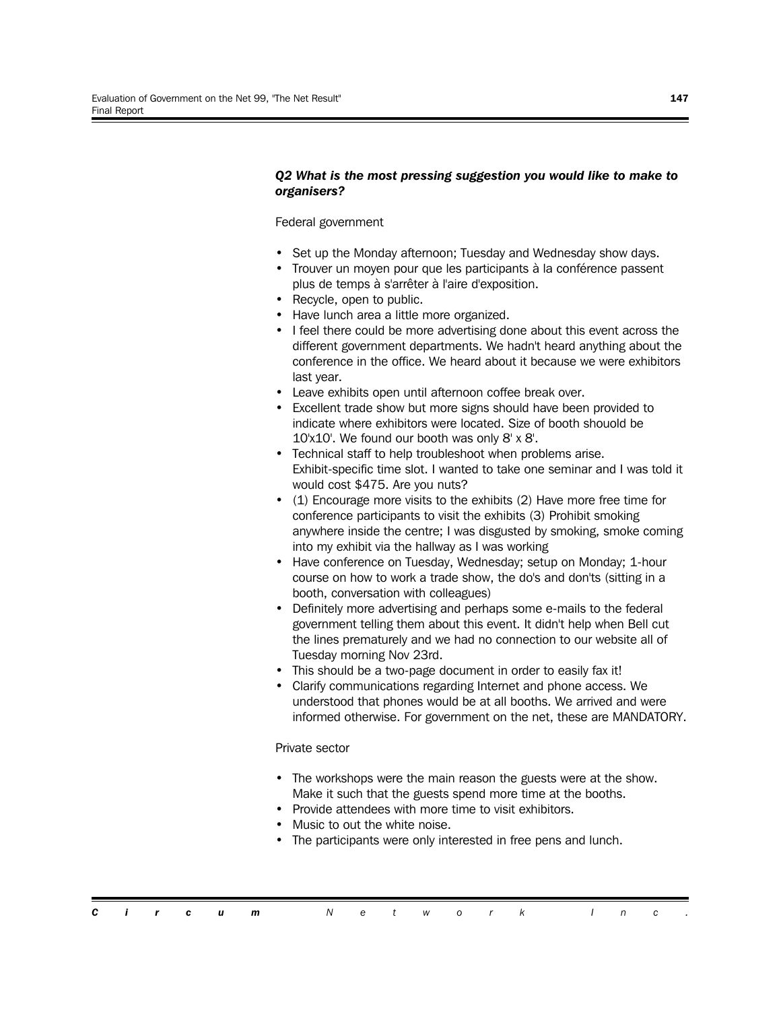## *Q2 What is the most pressing suggestion you would like to make to organisers?*

Federal government

- Set up the Monday afternoon; Tuesday and Wednesday show days.
- Trouver un moyen pour que les participants à la conférence passent plus de temps à s'arrêter à l'aire d'exposition.
- Recycle, open to public.
- Have lunch area a little more organized.
- I feel there could be more advertising done about this event across the different government departments. We hadn't heard anything about the conference in the office. We heard about it because we were exhibitors last year.
- Leave exhibits open until afternoon coffee break over.
- Excellent trade show but more signs should have been provided to indicate where exhibitors were located. Size of booth shouold be 10'x10'. We found our booth was only 8' x 8'.
- Technical staff to help troubleshoot when problems arise. Exhibit-specific time slot. I wanted to take one seminar and I was told it would cost \$475. Are you nuts?
- (1) Encourage more visits to the exhibits (2) Have more free time for conference participants to visit the exhibits (3) Prohibit smoking anywhere inside the centre; I was disgusted by smoking, smoke coming into my exhibit via the hallway as I was working
- Have conference on Tuesday, Wednesday; setup on Monday; 1-hour course on how to work a trade show, the do's and don'ts (sitting in a booth, conversation with colleagues)
- Definitely more advertising and perhaps some e-mails to the federal government telling them about this event. It didn't help when Bell cut the lines prematurely and we had no connection to our website all of Tuesday morning Nov 23rd.
- This should be a two-page document in order to easily fax it!
- Clarify communications regarding Internet and phone access. We understood that phones would be at all booths. We arrived and were informed otherwise. For government on the net, these are MANDATORY.

### Private sector

- The workshops were the main reason the guests were at the show. Make it such that the guests spend more time at the booths.
- Provide attendees with more time to visit exhibitors.
- Music to out the white noise.
- The participants were only interested in free pens and lunch.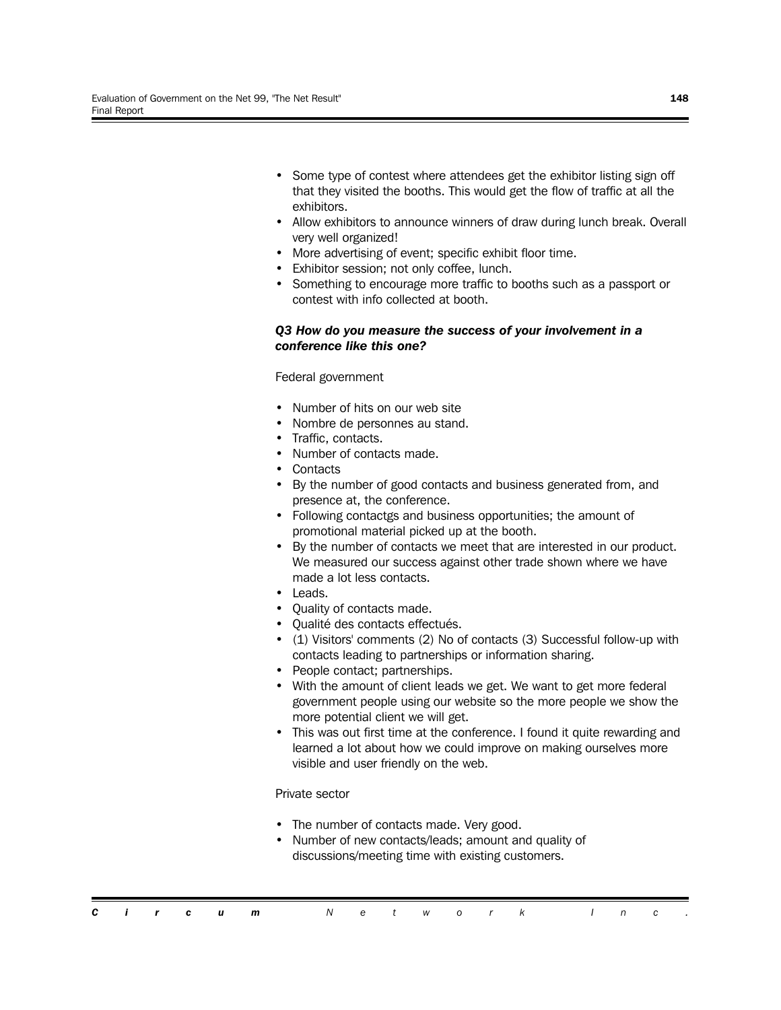- Some type of contest where attendees get the exhibitor listing sign off that they visited the booths. This would get the flow of traffic at all the exhibitors.
- Allow exhibitors to announce winners of draw during lunch break. Overall very well organized!
- More advertising of event; specific exhibit floor time.
- Exhibitor session; not only coffee, lunch.
- Something to encourage more traffic to booths such as a passport or contest with info collected at booth.

## *Q3 How do you measure the success of your involvement in a conference like this one?*

Federal government

- Number of hits on our web site
- Nombre de personnes au stand.
- Traffic, contacts.
- Number of contacts made.
- Contacts
- By the number of good contacts and business generated from, and presence at, the conference.
- Following contactgs and business opportunities; the amount of promotional material picked up at the booth.
- By the number of contacts we meet that are interested in our product. We measured our success against other trade shown where we have made a lot less contacts.
- Leads.
- Quality of contacts made.
- Qualité des contacts effectués.
- (1) Visitors' comments (2) No of contacts (3) Successful follow-up with contacts leading to partnerships or information sharing.
- People contact; partnerships.
- With the amount of client leads we get. We want to get more federal government people using our website so the more people we show the more potential client we will get.
- This was out first time at the conference. I found it quite rewarding and learned a lot about how we could improve on making ourselves more visible and user friendly on the web.

### Private sector

- The number of contacts made. Very good.
- Number of new contacts/leads; amount and quality of discussions/meeting time with existing customers.